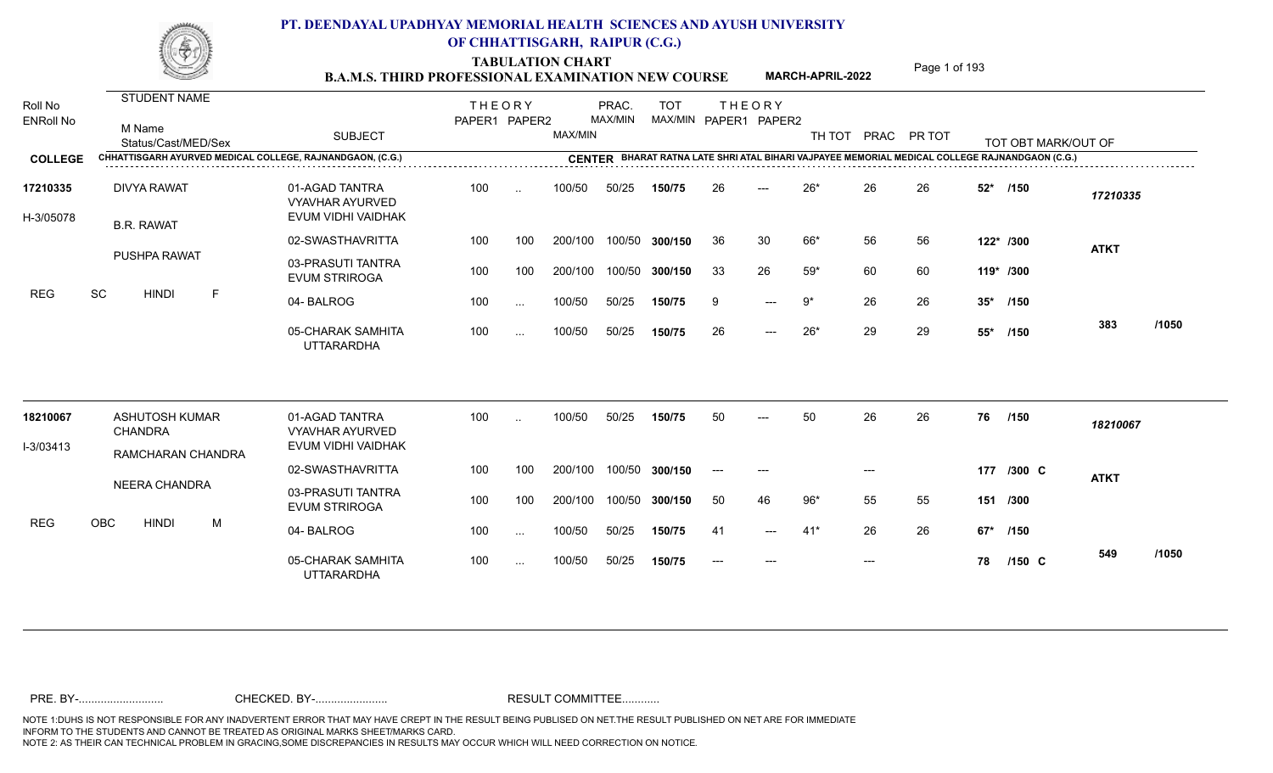TABULATION CHART<br> **TABULATION CHART B.A.M.S. THIRD PROFESSIONAL EXAMINATION NEW COURSE MARCH-APRIL-2022 Page 1 of 193** 

**MARCH-APRIL-2022**

| Roll No<br><b>ENRoll No</b> | <b>STUDENT NAME</b><br>M Name<br>Status/Cast/MED/Sex      | <b>SUBJECT</b>                                                 | <b>THEORY</b><br>PAPER1 PAPER2 |               | MAX/MIN | PRAC.<br>MAX/MIN | <b>TOT</b>     |       | <b>THEORY</b><br>MAX/MIN PAPER1 PAPER2 | TH TOT |       | PRAC PR TOT |           | TOT OBT MARK/OUT OF                                                                            |             |       |
|-----------------------------|-----------------------------------------------------------|----------------------------------------------------------------|--------------------------------|---------------|---------|------------------|----------------|-------|----------------------------------------|--------|-------|-------------|-----------|------------------------------------------------------------------------------------------------|-------------|-------|
| <b>COLLEGE</b>              | CHHATTISGARH AYURVED MEDICAL COLLEGE, RAJNANDGAON, (C.G.) |                                                                |                                |               |         |                  |                |       |                                        |        |       |             |           | CENTER BHARAT RATNA LATE SHRI ATAL BIHARI VAJPAYEE MEMORIAL MEDICAL COLLEGE RAJNANDGAON (C.G.) |             |       |
| 17210335<br>H-3/05078       | <b>DIVYA RAWAT</b><br><b>B.R. RAWAT</b>                   | 01-AGAD TANTRA<br><b>VYAVHAR AYURVED</b><br>EVUM VIDHI VAIDHAK | 100                            | $\ddotsc$     | 100/50  | 50/25            | 150/75         | 26    | $---$                                  | $26*$  | 26    | 26          | $52*$     | /150                                                                                           | 17210335    |       |
|                             |                                                           | 02-SWASTHAVRITTA                                               | 100                            | 100           | 200/100 |                  | 100/50 300/150 | 36    | 30                                     | 66*    | 56    | 56          |           | 122* /300                                                                                      | <b>ATKT</b> |       |
|                             | <b>PUSHPA RAWAT</b>                                       | 03-PRASUTI TANTRA<br><b>EVUM STRIROGA</b>                      | 100                            | 100           | 200/100 |                  | 100/50 300/150 | 33    | 26                                     | $59*$  | 60    | 60          | 119* /300 |                                                                                                |             |       |
| <b>REG</b>                  | SC<br><b>HINDI</b><br>F                                   | 04-BALROG                                                      | 100                            | $\ldots$      | 100/50  | 50/25            | 150/75         | 9     | $---$                                  | 9*     | 26    | 26          | $35^*$    | /150                                                                                           |             |       |
|                             |                                                           | 05-CHARAK SAMHITA<br><b>UTTARARDHA</b>                         | 100                            | $\sim$ .      | 100/50  | 50/25            | 150/75         | 26    | $\qquad \qquad - -$                    | $26*$  | 29    | 29          | $55*$     | /150                                                                                           | 383         | /1050 |
| 18210067                    | <b>ASHUTOSH KUMAR</b>                                     | 01-AGAD TANTRA                                                 | 100                            | $\ddotsc$     | 100/50  | 50/25            | 150/75         | 50    | $---$                                  | 50     | 26    | 26          | 76        | /150                                                                                           | 18210067    |       |
| I-3/03413                   | <b>CHANDRA</b>                                            | <b>VYAVHAR AYURVED</b><br>EVUM VIDHI VAIDHAK                   |                                |               |         |                  |                |       |                                        |        |       |             |           |                                                                                                |             |       |
|                             | RAMCHARAN CHANDRA                                         | 02-SWASTHAVRITTA                                               | 100                            | 100           | 200/100 |                  | 100/50 300/150 | $---$ | $---$                                  |        | $---$ |             |           | 177 /300 C                                                                                     | <b>ATKT</b> |       |
|                             | NEERA CHANDRA                                             | 03-PRASUTI TANTRA<br><b>EVUM STRIROGA</b>                      | 100                            | 100           | 200/100 |                  | 100/50 300/150 | 50    | 46                                     | $96*$  | 55    | 55          |           | 151 /300                                                                                       |             |       |
| <b>REG</b>                  | OBC<br><b>HINDI</b><br>M                                  | 04-BALROG                                                      | 100                            | $\sim$ $\sim$ | 100/50  | 50/25            | 150/75         | -41   | $---$                                  | $41*$  | 26    | 26          | 67*       | /150                                                                                           |             |       |
|                             |                                                           | 05-CHARAK SAMHITA<br><b>UTTARARDHA</b>                         | 100                            | $\sim$ $\sim$ | 100/50  | 50/25            | 150/75         |       |                                        |        | $---$ |             | 78        | $/150$ C                                                                                       | 549         | /1050 |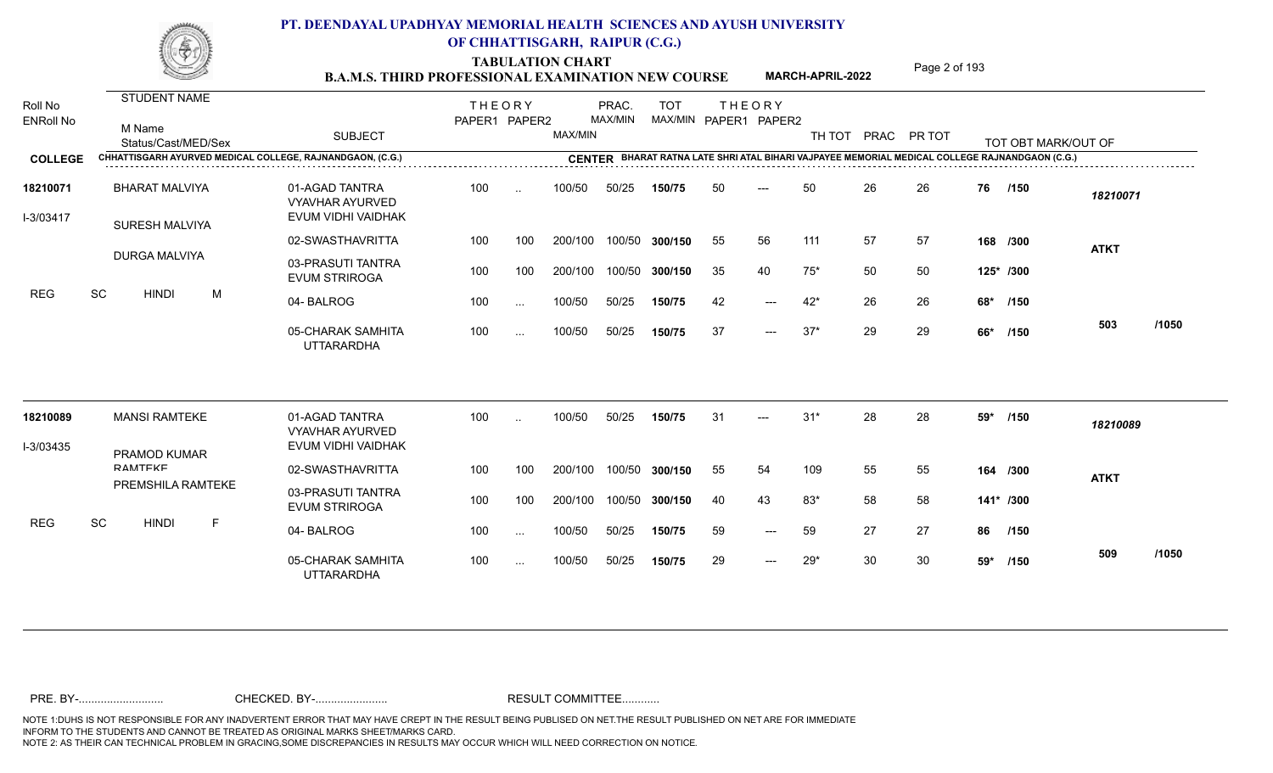TABULATION CHART<br> **TABULATION CHART B.A.M.S. THIRD PROFESSIONAL EXAMINATION NEW COURSE MARCH-APRIL-2022 Page 2 of 193** 

**MARCH-APRIL-2022**

| Roll No<br><b>ENRoll No</b> | STUDENT NAME<br>M Name<br>Status/Cast/MED/Sex             | <b>SUBJECT</b>                                                 | <b>THEORY</b><br>PAPER1 PAPER2 |           | MAX/MIN | PRAC.<br>MAX/MIN | <b>TOT</b><br>MAX/MIN PAPER1 PAPER2 |    | <b>THEORY</b>             | TH TOT |    | PRAC PR TOT |     | TOT OBT MARK/OUT OF                                                                            |             |       |
|-----------------------------|-----------------------------------------------------------|----------------------------------------------------------------|--------------------------------|-----------|---------|------------------|-------------------------------------|----|---------------------------|--------|----|-------------|-----|------------------------------------------------------------------------------------------------|-------------|-------|
| <b>COLLEGE</b>              | CHHATTISGARH AYURVED MEDICAL COLLEGE, RAJNANDGAON, (C.G.) |                                                                |                                |           |         |                  |                                     |    |                           |        |    |             |     | CENTER BHARAT RATNA LATE SHRI ATAL BIHARI VAJPAYEE MEMORIAL MEDICAL COLLEGE RAJNANDGAON (C.G.) |             |       |
| 18210071<br>I-3/03417       | <b>BHARAT MALVIYA</b><br>SURESH MALVIYA                   | 01-AGAD TANTRA<br><b>VYAVHAR AYURVED</b><br>EVUM VIDHI VAIDHAK | 100                            | $\sim$    | 100/50  | 50/25            | 150/75                              | 50 | $---$                     | 50     | 26 | 26          | 76  | /150                                                                                           | 18210071    |       |
|                             |                                                           | 02-SWASTHAVRITTA                                               | 100                            | 100       | 200/100 | 100/50           | 300/150                             | 55 | 56                        | 111    | 57 | 57          |     | 168 /300                                                                                       | <b>ATKT</b> |       |
|                             | <b>DURGA MALVIYA</b>                                      | 03-PRASUTI TANTRA<br><b>EVUM STRIROGA</b>                      | 100                            | 100       | 200/100 | 100/50           | 300/150                             | 35 | 40                        | $75*$  | 50 | 50          |     | 125* /300                                                                                      |             |       |
| <b>REG</b>                  | SC<br>M<br><b>HINDI</b>                                   | 04-BALROG                                                      | 100                            | $\sim$ .  | 100/50  | 50/25            | 150/75                              | 42 | $\qquad \qquad -\qquad -$ | $42*$  | 26 | 26          | 68* | /150                                                                                           |             |       |
|                             |                                                           | 05-CHARAK SAMHITA<br><b>UTTARARDHA</b>                         | 100                            | $\cdots$  | 100/50  | 50/25            | 150/75                              | 37 | $---$                     | $37*$  | 29 | 29          | 66* | /150                                                                                           | 503         | /1050 |
| 18210089                    | <b>MANSI RAMTEKE</b>                                      | 01-AGAD TANTRA<br><b>VYAVHAR AYURVED</b>                       | 100                            | $\ddotsc$ | 100/50  | 50/25            | 150/75                              | 31 | ---                       | $31*$  | 28 | 28          | 59* | /150                                                                                           | 18210089    |       |
| I-3/03435                   | PRAMOD KUMAR                                              | EVUM VIDHI VAIDHAK                                             |                                |           |         |                  |                                     |    |                           |        |    |             |     |                                                                                                |             |       |
|                             | RAMTEKE                                                   | 02-SWASTHAVRITTA                                               | 100                            | 100       | 200/100 | 100/50           | 300/150                             | 55 | 54                        | 109    | 55 | 55          |     | 164 /300                                                                                       | <b>ATKT</b> |       |
|                             | PREMSHILA RAMTEKE                                         | 03-PRASUTI TANTRA<br><b>EVUM STRIROGA</b>                      | 100                            | 100       | 200/100 | 100/50           | 300/150                             | 40 | 43                        | 83*    | 58 | 58          |     | 141* /300                                                                                      |             |       |
| <b>REG</b>                  | SC<br><b>HINDI</b><br>F.                                  | 04-BALROG                                                      | 100                            | $\sim$ .  | 100/50  | 50/25            | 150/75                              | 59 | $---$                     | 59     | 27 | 27          | 86  | /150                                                                                           |             |       |
|                             |                                                           | 05-CHARAK SAMHITA<br><b>UTTARARDHA</b>                         | 100                            | $\cdots$  | 100/50  | 50/25            | 150/75                              | 29 | $\qquad \qquad -\qquad -$ | $29*$  | 30 | 30          | 59* | /150                                                                                           | 509         | /1050 |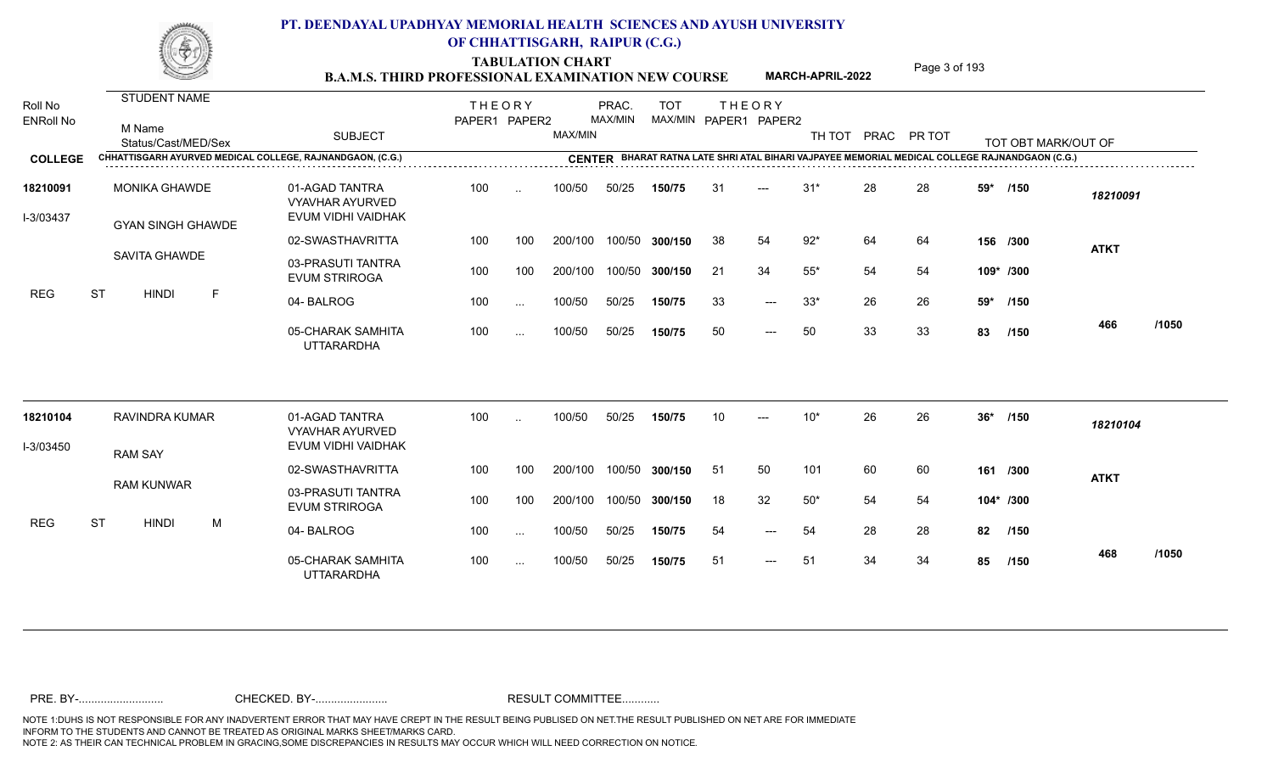TABULATION CHART<br> **TABULATION CHART B.A.M.S. THIRD PROFESSIONAL EXAMINATION NEW COURSE MARCH-APRIL-2022 Page 3 of 193** 

**MARCH-APRIL-2022**

| Roll No<br><b>ENRoll No</b> | <b>STUDENT NAME</b><br>M Name<br>Status/Cast/MED/Sex      | <b>SUBJECT</b>                                                 | <b>THEORY</b><br>PAPER1 PAPER2 |           | MAX/MIN | PRAC.<br>MAX/MIN | <b>TOT</b>     | MAX/MIN PAPER1 PAPER2 | <b>THEORY</b> | TH TOT      |    | PRAC PR TOT |       | TOT OBT MARK/OUT OF                                                                            |             |       |
|-----------------------------|-----------------------------------------------------------|----------------------------------------------------------------|--------------------------------|-----------|---------|------------------|----------------|-----------------------|---------------|-------------|----|-------------|-------|------------------------------------------------------------------------------------------------|-------------|-------|
| <b>COLLEGE</b>              | CHHATTISGARH AYURVED MEDICAL COLLEGE, RAJNANDGAON, (C.G.) |                                                                |                                |           |         |                  |                |                       |               |             |    |             |       | CENTER BHARAT RATNA LATE SHRI ATAL BIHARI VAJPAYEE MEMORIAL MEDICAL COLLEGE RAJNANDGAON (C.G.) |             |       |
| 18210091<br>I-3/03437       | <b>MONIKA GHAWDE</b><br><b>GYAN SINGH GHAWDE</b>          | 01-AGAD TANTRA<br><b>VYAVHAR AYURVED</b><br>EVUM VIDHI VAIDHAK | 100                            | $\ddotsc$ | 100/50  | 50/25            | 150/75         | 31                    | $---$         | $31*$       | 28 | 28          | 59*   | /150                                                                                           | 18210091    |       |
|                             |                                                           | 02-SWASTHAVRITTA                                               | 100                            | 100       | 200/100 |                  | 100/50 300/150 | 38                    | 54            | $92*$       | 64 | 64          |       | 156 /300                                                                                       | <b>ATKT</b> |       |
|                             | <b>SAVITA GHAWDE</b>                                      | 03-PRASUTI TANTRA<br><b>EVUM STRIROGA</b>                      | 100                            | 100       | 200/100 |                  | 100/50 300/150 | 21                    | 34            | $55^{\ast}$ | 54 | 54          |       | 109* /300                                                                                      |             |       |
| <b>REG</b>                  | <b>ST</b><br><b>HINDI</b><br>$\mathsf{F}$                 | 04-BALROG                                                      | 100                            | $\ddotsc$ | 100/50  | 50/25            | 150/75         | 33                    | $---$         | $33*$       | 26 | 26          | 59*   | /150                                                                                           |             |       |
|                             |                                                           | 05-CHARAK SAMHITA<br><b>UTTARARDHA</b>                         | 100                            | $\cdots$  | 100/50  | 50/25            | 150/75         | 50                    | $---$         | 50          | 33 | 33          | 83    | /150                                                                                           | 466         | /1050 |
| 18210104                    | RAVINDRA KUMAR                                            | 01-AGAD TANTRA<br><b>VYAVHAR AYURVED</b>                       | 100                            | $\ddotsc$ | 100/50  | 50/25            | 150/75         | 10 <sup>1</sup>       |               | $10*$       | 26 | 26          | $36*$ | /150                                                                                           | 18210104    |       |
| I-3/03450                   | <b>RAM SAY</b>                                            | EVUM VIDHI VAIDHAK                                             |                                |           |         |                  |                |                       |               |             |    |             |       |                                                                                                |             |       |
|                             |                                                           | 02-SWASTHAVRITTA                                               | 100                            | 100       | 200/100 | 100/50           | 300/150        | 51                    | 50            | 101         | 60 | 60          |       | 161 /300                                                                                       | <b>ATKT</b> |       |
|                             | <b>RAM KUNWAR</b>                                         | 03-PRASUTI TANTRA<br><b>EVUM STRIROGA</b>                      | 100                            | 100       | 200/100 |                  | 100/50 300/150 | 18                    | 32            | $50*$       | 54 | 54          |       | 104* /300                                                                                      |             |       |
| <b>REG</b>                  | <b>ST</b><br><b>HINDI</b><br>M                            | 04-BALROG                                                      | 100                            | $\ddotsc$ | 100/50  | 50/25            | 150/75         | 54                    | $---$         | 54          | 28 | 28          | 82    | /150                                                                                           |             |       |
|                             |                                                           | 05-CHARAK SAMHITA<br><b>UTTARARDHA</b>                         | 100                            | $\sim$ .  | 100/50  | 50/25            | 150/75         | 51                    | $---$         | 51          | 34 | 34          | 85    | /150                                                                                           | 468         | /1050 |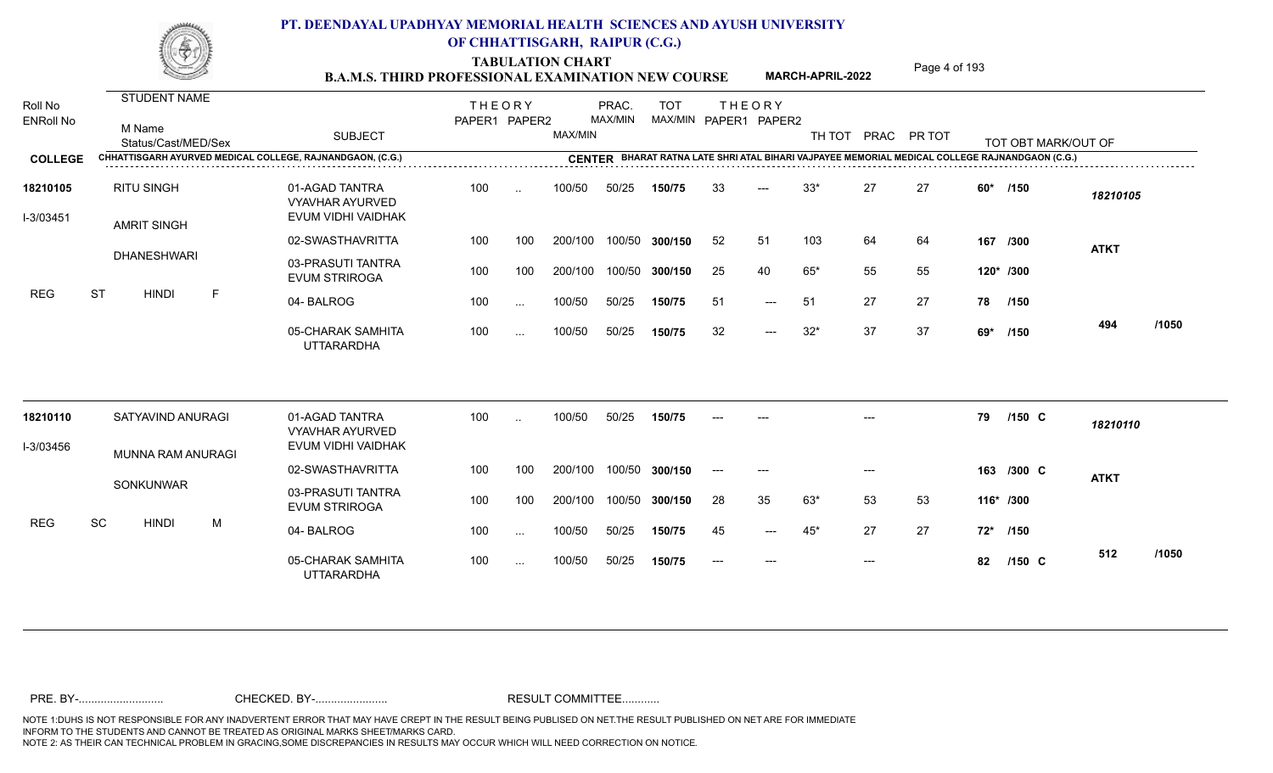TABULATION CHART<br> **TABULATION CHART B.A.M.S. THIRD PROFESSIONAL EXAMINATION NEW COURSE MARCH-APRIL-2022 Page 4 of 193** 

**MARCH-APRIL-2022**

| Roll No<br><b>ENRoll No</b> | <b>STUDENT NAME</b><br>M Name<br>Status/Cast/MED/Sex | <b>SUBJECT</b><br>CHHATTISGARH AYURVED MEDICAL COLLEGE, RAJNANDGAON, (C.G.) | <b>THEORY</b><br>PAPER1 PAPER2 |               | MAX/MIN | PRAC.<br>MAX/MIN | <b>TOT</b>     |       | <b>THEORY</b><br>MAX/MIN PAPER1 PAPER2 | TH TOT |                           | PRAC PR TOT |       | TOT OBT MARK/OUT OF<br>CENTER BHARAT RATNA LATE SHRI ATAL BIHARI VAJPAYEE MEMORIAL MEDICAL COLLEGE RAJNANDGAON (C.G.) |             |       |
|-----------------------------|------------------------------------------------------|-----------------------------------------------------------------------------|--------------------------------|---------------|---------|------------------|----------------|-------|----------------------------------------|--------|---------------------------|-------------|-------|-----------------------------------------------------------------------------------------------------------------------|-------------|-------|
| <b>COLLEGE</b>              |                                                      |                                                                             |                                |               |         |                  |                |       |                                        |        |                           |             |       |                                                                                                                       |             |       |
| 18210105<br>I-3/03451       | <b>RITU SINGH</b><br><b>AMRIT SINGH</b>              | 01-AGAD TANTRA<br><b>VYAVHAR AYURVED</b><br>EVUM VIDHI VAIDHAK              | 100                            | $\sim$        | 100/50  | 50/25            | 150/75         | 33    |                                        | $33*$  | 27                        | 27          | $60*$ | /150                                                                                                                  | 18210105    |       |
|                             |                                                      | 02-SWASTHAVRITTA                                                            | 100                            | 100           | 200/100 |                  | 100/50 300/150 | 52    | 51                                     | 103    | 64                        | 64          |       | 167 /300                                                                                                              | <b>ATKT</b> |       |
|                             | <b>DHANESHWARI</b>                                   | 03-PRASUTI TANTRA<br><b>EVUM STRIROGA</b>                                   | 100                            | 100           | 200/100 |                  | 100/50 300/150 | 25    | 40                                     | $65*$  | 55                        | 55          |       | 120* /300                                                                                                             |             |       |
| <b>REG</b>                  | <b>ST</b><br><b>HINDI</b><br>F                       | 04-BALROG                                                                   | 100                            | $\ddotsc$     | 100/50  | 50/25            | 150/75         | 51    | $---$                                  | 51     | 27                        | 27          |       | 78 /150                                                                                                               |             |       |
|                             |                                                      | 05-CHARAK SAMHITA<br><b>UTTARARDHA</b>                                      | 100                            | $\cdots$      | 100/50  | 50/25            | 150/75         | 32    | $---$                                  | $32*$  | 37                        | 37          | 69*   | /150                                                                                                                  | 494         | /1050 |
| 18210110                    | SATYAVIND ANURAGI                                    | 01-AGAD TANTRA                                                              | 100                            | $\ddotsc$     | 100/50  | 50/25            | 150/75         |       |                                        |        |                           |             | 79    | $/150$ C                                                                                                              | 18210110    |       |
| I-3/03456                   |                                                      | <b>VYAVHAR AYURVED</b><br>EVUM VIDHI VAIDHAK                                |                                |               |         |                  |                |       |                                        |        |                           |             |       |                                                                                                                       |             |       |
|                             | MUNNA RAM ANURAGI                                    | 02-SWASTHAVRITTA                                                            | 100                            | 100           | 200/100 |                  | 100/50 300/150 | $---$ | $---$                                  |        | $---$                     |             |       | 163 /300 C                                                                                                            | <b>ATKT</b> |       |
|                             | SONKUNWAR                                            | 03-PRASUTI TANTRA<br><b>EVUM STRIROGA</b>                                   | 100                            | 100           | 200/100 |                  | 100/50 300/150 | 28    | 35                                     | 63*    | 53                        | 53          |       | 116* /300                                                                                                             |             |       |
| <b>REG</b>                  | SC<br><b>HINDI</b><br>M                              | 04-BALROG                                                                   | 100                            | $\ddotsc$     | 100/50  | 50/25            | 150/75         | 45    | $---$                                  | 45*    | 27                        | 27          | $72*$ | /150                                                                                                                  |             |       |
|                             |                                                      | 05-CHARAK SAMHITA<br><b>UTTARARDHA</b>                                      | 100                            | $\sim$ $\sim$ | 100/50  | 50/25            | 150/75         | $---$ | $---$                                  |        | $\qquad \qquad -\qquad -$ |             | 82    | $/150$ C                                                                                                              | 512         | /1050 |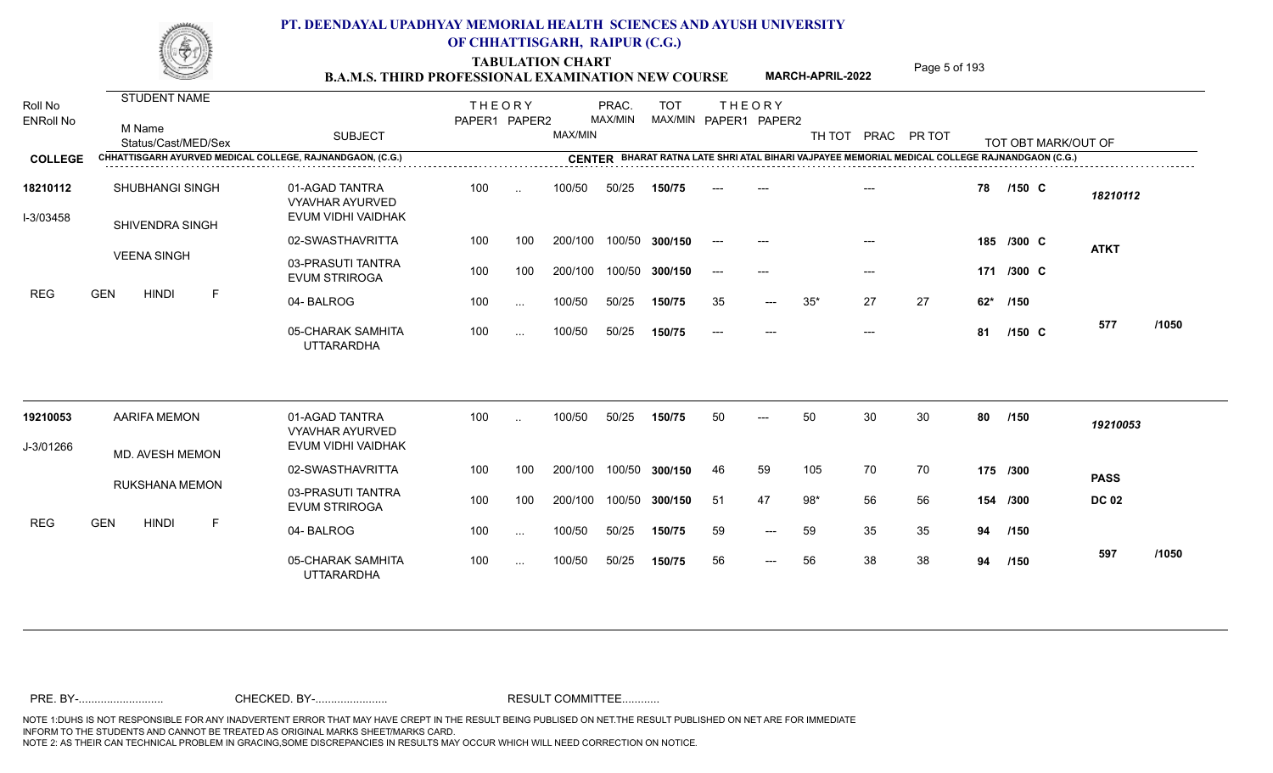TABULATION CHART<br> **TABULATION CHART B.A.M.S. THIRD PROFESSIONAL EXAMINATION NEW COURSE MARCH-APRIL-2022 Page 5 of 193** 

**MARCH-APRIL-2022**

| Roll No<br><b>ENRoll No</b><br><b>COLLEGE</b> | STUDENT NAME<br>M Name<br>Status/Cast/MED/Sex<br>CHHATTISGARH AYURVED MEDICAL COLLEGE, RAJNANDGAON, (C.G.) | <b>SUBJECT</b>                                                 | <b>THEORY</b><br>PAPER1 PAPER2 |           | MAX/MIN | PRAC.<br>MAX/MIN | <b>TOT</b>     |       | <b>THEORY</b><br>MAX/MIN PAPER1 PAPER2 | TH TOT |                     | PRAC PR TOT |       | TOT OBT MARK/OUT OF<br>CENTER BHARAT RATNA LATE SHRI ATAL BIHARI VAJPAYEE MEMORIAL MEDICAL COLLEGE RAJNANDGAON (C.G.) |              |       |
|-----------------------------------------------|------------------------------------------------------------------------------------------------------------|----------------------------------------------------------------|--------------------------------|-----------|---------|------------------|----------------|-------|----------------------------------------|--------|---------------------|-------------|-------|-----------------------------------------------------------------------------------------------------------------------|--------------|-------|
|                                               |                                                                                                            |                                                                |                                |           |         |                  |                |       |                                        |        |                     |             |       |                                                                                                                       |              |       |
| 18210112<br>I-3/03458                         | <b>SHUBHANGI SINGH</b><br>SHIVENDRA SINGH                                                                  | 01-AGAD TANTRA<br><b>VYAVHAR AYURVED</b><br>EVUM VIDHI VAIDHAK | 100                            | $\cdot$ . | 100/50  | 50/25            | 150/75         |       |                                        |        |                     |             | 78    | $/150$ C                                                                                                              | 18210112     |       |
|                                               |                                                                                                            | 02-SWASTHAVRITTA                                               | 100                            | 100       | 200/100 |                  | 100/50 300/150 | $---$ | $---$                                  |        |                     |             |       | 185 /300 C                                                                                                            | <b>ATKT</b>  |       |
|                                               | <b>VEENA SINGH</b>                                                                                         | 03-PRASUTI TANTRA<br><b>EVUM STRIROGA</b>                      | 100                            | 100       | 200/100 |                  | 100/50 300/150 | $--$  | $---$                                  |        | $\qquad \qquad - -$ |             |       | 171 /300 C                                                                                                            |              |       |
| <b>REG</b>                                    | <b>GEN</b><br><b>HINDI</b><br>F                                                                            | 04-BALROG                                                      | 100                            | $\cdots$  | 100/50  | 50/25            | 150/75         | 35    | $---$                                  | $35*$  | 27                  | 27          | $62*$ | /150                                                                                                                  |              |       |
|                                               |                                                                                                            | 05-CHARAK SAMHITA<br><b>UTTARARDHA</b>                         | 100                            | $\cdots$  | 100/50  | 50/25            | 150/75         | $---$ | $---$                                  |        | $---$               |             | 81    | $/150$ C                                                                                                              | 577          | /1050 |
| 19210053                                      | <b>AARIFA MEMON</b>                                                                                        | 01-AGAD TANTRA                                                 | 100                            | $\ddotsc$ | 100/50  | 50/25            | 150/75         | 50    |                                        | 50     | 30                  | 30          | 80    | /150                                                                                                                  | 19210053     |       |
| J-3/01266                                     |                                                                                                            | <b>VYAVHAR AYURVED</b><br>EVUM VIDHI VAIDHAK                   |                                |           |         |                  |                |       |                                        |        |                     |             |       |                                                                                                                       |              |       |
|                                               | MD. AVESH MEMON                                                                                            | 02-SWASTHAVRITTA                                               | 100                            | 100       | 200/100 |                  | 100/50 300/150 | 46    | 59                                     | 105    | 70                  | 70          |       | 175 /300                                                                                                              | <b>PASS</b>  |       |
|                                               | <b>RUKSHANA MEMON</b>                                                                                      | 03-PRASUTI TANTRA<br><b>EVUM STRIROGA</b>                      | 100                            | 100       | 200/100 |                  | 100/50 300/150 | -51   | 47                                     | $98*$  | 56                  | 56          |       | 154 /300                                                                                                              | <b>DC 02</b> |       |
| <b>REG</b>                                    | <b>GEN</b><br><b>HINDI</b><br>F                                                                            | 04-BALROG                                                      | 100                            | $\cdots$  | 100/50  | 50/25            | 150/75         | 59    | $---$                                  | 59     | 35                  | 35          | 94    | /150                                                                                                                  |              |       |
|                                               |                                                                                                            | 05-CHARAK SAMHITA<br><b>UTTARARDHA</b>                         | 100                            | $\cdots$  | 100/50  | 50/25            | 150/75         | 56    | $---$                                  | 56     | 38                  | 38          | 94    | /150                                                                                                                  | 597          | /1050 |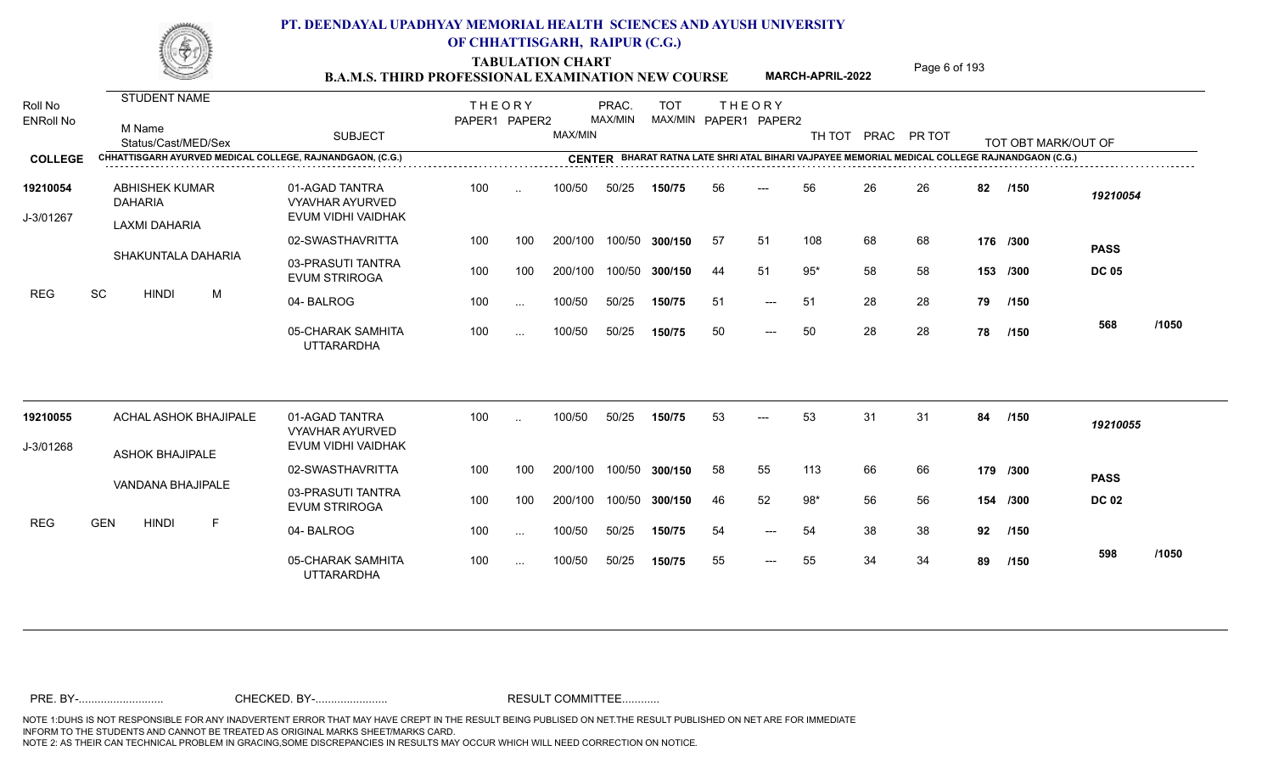TABULATION CHART<br> **TABULATION CHART B.A.M.S. THIRD PROFESSIONAL EXAMINATION NEW COURSE MARCH-APRIL-2022 Page 6 of 193** 

**MARCH-APRIL-2022**

| Roll No<br><b>ENRoll No</b> | STUDENT NAME<br>M Name<br>Status/Cast/MED/Sex<br>CHHATTISGARH AYURVED MEDICAL COLLEGE, RAJNANDGAON, (C.G.) | <b>SUBJECT</b>                                                 | <b>THEORY</b><br>PAPER1 PAPER2 |           | MAX/MIN | PRAC.<br>MAX/MIN | <b>TOT</b>     |    | <b>THEORY</b><br>MAX/MIN PAPER1 PAPER2 |       |    | TH TOT PRAC PR TOT |    | TOT OBT MARK/OUT OF<br>CENTER BHARAT RATNA LATE SHRI ATAL BIHARI VAJPAYEE MEMORIAL MEDICAL COLLEGE RAJNANDGAON (C.G.) |                             |       |
|-----------------------------|------------------------------------------------------------------------------------------------------------|----------------------------------------------------------------|--------------------------------|-----------|---------|------------------|----------------|----|----------------------------------------|-------|----|--------------------|----|-----------------------------------------------------------------------------------------------------------------------|-----------------------------|-------|
| <b>COLLEGE</b>              |                                                                                                            |                                                                |                                |           |         |                  |                |    |                                        |       |    |                    |    |                                                                                                                       |                             |       |
| 19210054<br>J-3/01267       | <b>ABHISHEK KUMAR</b><br><b>DAHARIA</b>                                                                    | 01-AGAD TANTRA<br><b>VYAVHAR AYURVED</b><br>EVUM VIDHI VAIDHAK | 100                            | $\ddotsc$ | 100/50  | 50/25            | 150/75         | 56 |                                        | 56    | 26 | 26                 | 82 | /150                                                                                                                  | 19210054                    |       |
|                             | <b>LAXMI DAHARIA</b>                                                                                       | 02-SWASTHAVRITTA                                               | 100                            | 100       | 200/100 | 100/50           | 300/150        | 57 | 51                                     | 108   | 68 | 68                 |    | 176 /300                                                                                                              |                             |       |
|                             | SHAKUNTALA DAHARIA                                                                                         | 03-PRASUTI TANTRA<br><b>EVUM STRIROGA</b>                      | 100                            | 100       | 200/100 | 100/50           | 300/150        | 44 | 51                                     | $95*$ | 58 | 58                 |    | 153 /300                                                                                                              | <b>PASS</b><br><b>DC 05</b> |       |
| <b>REG</b>                  | SC<br><b>HINDI</b><br>M                                                                                    | 04-BALROG                                                      | 100                            | $\ldots$  | 100/50  | 50/25            | 150/75         | 51 | $---$                                  | 51    | 28 | 28                 | 79 | /150                                                                                                                  |                             |       |
|                             |                                                                                                            | 05-CHARAK SAMHITA<br><b>UTTARARDHA</b>                         | 100                            | $\cdots$  | 100/50  | 50/25            | 150/75         | 50 | $---$                                  | 50    | 28 | 28                 | 78 | /150                                                                                                                  | 568                         | /1050 |
| 19210055                    | ACHAL ASHOK BHAJIPALE                                                                                      | 01-AGAD TANTRA                                                 | 100                            | $\ddotsc$ | 100/50  | 50/25            | 150/75         | 53 |                                        | 53    | 31 | 31                 | 84 | /150                                                                                                                  | 19210055                    |       |
| J-3/01268                   |                                                                                                            | <b>VYAVHAR AYURVED</b><br>EVUM VIDHI VAIDHAK                   |                                |           |         |                  |                |    |                                        |       |    |                    |    |                                                                                                                       |                             |       |
|                             | <b>ASHOK BHAJIPALE</b>                                                                                     | 02-SWASTHAVRITTA                                               | 100                            | 100       | 200/100 | 100/50           | 300/150        | 58 | 55                                     | 113   | 66 | 66                 |    | 179 /300                                                                                                              |                             |       |
|                             | VANDANA BHAJIPALE                                                                                          | 03-PRASUTI TANTRA<br><b>EVUM STRIROGA</b>                      | 100                            | 100       | 200/100 |                  | 100/50 300/150 | 46 | 52                                     | $98*$ | 56 | 56                 |    | 154 /300                                                                                                              | <b>PASS</b><br><b>DC 02</b> |       |
| <b>REG</b>                  | <b>GEN</b><br><b>HINDI</b><br>F                                                                            | 04-BALROG                                                      | 100                            | $\cdots$  | 100/50  | 50/25            | 150/75         | 54 | ---                                    | 54    | 38 | 38                 | 92 | /150                                                                                                                  |                             |       |
|                             |                                                                                                            | 05-CHARAK SAMHITA<br><b>UTTARARDHA</b>                         | 100                            | $\ddotsc$ | 100/50  | 50/25            | 150/75         | 55 | $---$                                  | 55    | 34 | 34                 | 89 | /150                                                                                                                  | 598                         | /1050 |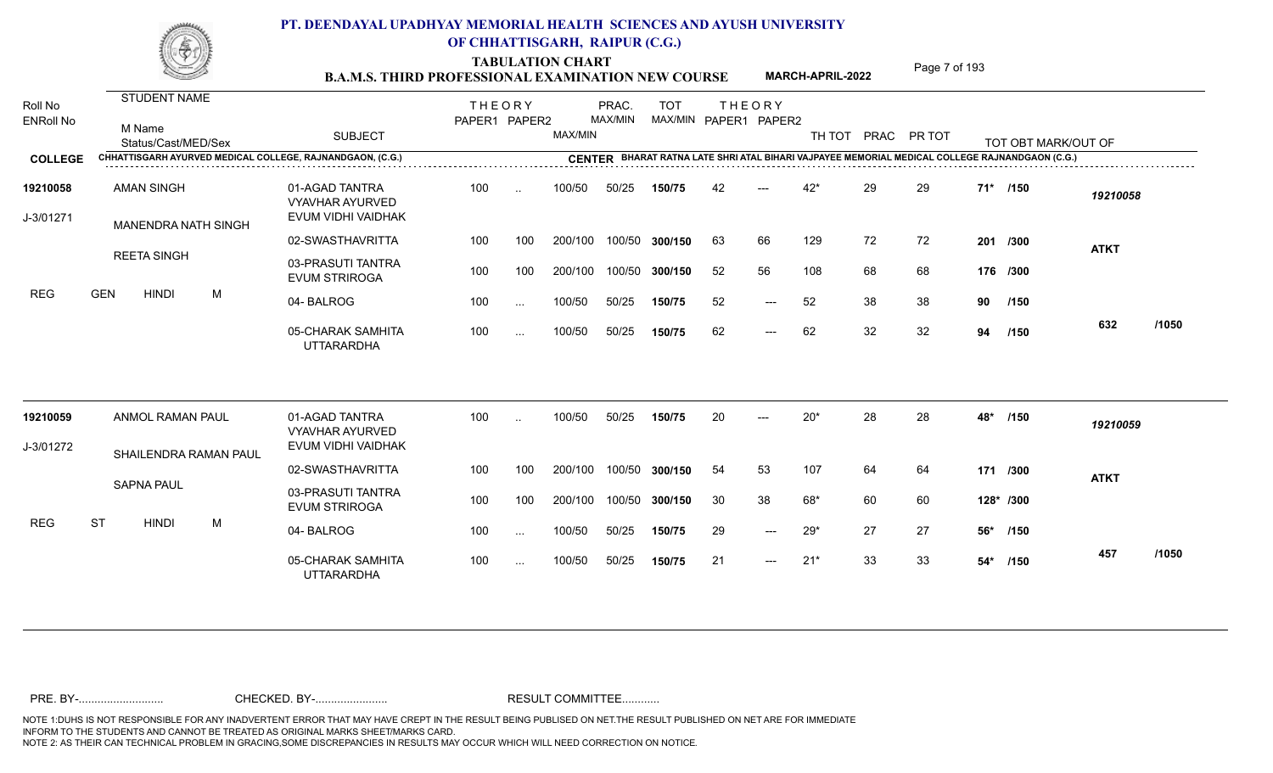TABULATION CHART<br> **TABULATION CHART B.A.M.S. THIRD PROFESSIONAL EXAMINATION NEW COURSE MARCH-APRIL-2022 Page 7 of 193** 

**MARCH-APRIL-2022**

| Roll No<br><b>ENRoll No</b> | <b>STUDENT NAME</b><br>M Name<br>Status/Cast/MED/Sex |   | <b>SUBJECT</b>                                                 | <b>THEORY</b><br>PAPER1 PAPER2 |          | MAX/MIN | PRAC.<br>MAX/MIN | <b>TOT</b>     |    | <b>THEORY</b><br>MAX/MIN PAPER1 PAPER2 | TH TOT |    | PRAC PR TOT |     | TOT OBT MARK/OUT OF                                                                            |             |       |
|-----------------------------|------------------------------------------------------|---|----------------------------------------------------------------|--------------------------------|----------|---------|------------------|----------------|----|----------------------------------------|--------|----|-------------|-----|------------------------------------------------------------------------------------------------|-------------|-------|
| <b>COLLEGE</b>              |                                                      |   | CHHATTISGARH AYURVED MEDICAL COLLEGE, RAJNANDGAON, (C.G.)      |                                |          |         |                  |                |    |                                        |        |    |             |     | CENTER BHARAT RATNA LATE SHRI ATAL BIHARI VAJPAYEE MEMORIAL MEDICAL COLLEGE RAJNANDGAON (C.G.) |             |       |
| 19210058<br>J-3/01271       | <b>AMAN SINGH</b><br>MANENDRA NATH SINGH             |   | 01-AGAD TANTRA<br><b>VYAVHAR AYURVED</b><br>EVUM VIDHI VAIDHAK | 100                            | $\sim$   | 100/50  | 50/25            | 150/75         | 42 |                                        | $42*$  | 29 | 29          |     | 71* /150                                                                                       | 19210058    |       |
|                             |                                                      |   | 02-SWASTHAVRITTA                                               | 100                            | 100      | 200/100 |                  | 100/50 300/150 | 63 | 66                                     | 129    | 72 | 72          |     | 201 /300                                                                                       | <b>ATKT</b> |       |
|                             | <b>REETA SINGH</b>                                   |   | 03-PRASUTI TANTRA<br><b>EVUM STRIROGA</b>                      | 100                            | 100      | 200/100 |                  | 100/50 300/150 | 52 | 56                                     | 108    | 68 | 68          |     | 176 /300                                                                                       |             |       |
| <b>REG</b>                  | <b>GEN</b><br><b>HINDI</b>                           | M | 04-BALROG                                                      | 100                            | $\sim$   | 100/50  | 50/25            | 150/75         | 52 | $---$                                  | 52     | 38 | 38          | 90  | /150                                                                                           |             |       |
|                             |                                                      |   | 05-CHARAK SAMHITA<br><b>UTTARARDHA</b>                         | 100                            | $\sim$   | 100/50  | 50/25            | 150/75         | 62 | $---$                                  | 62     | 32 | 32          | 94  | /150                                                                                           | 632         | /1050 |
| 19210059                    | <b>ANMOL RAMAN PAUL</b>                              |   | 01-AGAD TANTRA<br><b>VYAVHAR AYURVED</b>                       | 100                            | $\sim$   | 100/50  | 50/25            | 150/75         | 20 | $---$                                  | $20*$  | 28 | 28          | 48* | /150                                                                                           | 19210059    |       |
| J-3/01272                   | SHAILENDRA RAMAN PAUL                                |   | EVUM VIDHI VAIDHAK                                             |                                |          |         |                  |                |    |                                        |        |    |             |     |                                                                                                |             |       |
|                             |                                                      |   | 02-SWASTHAVRITTA                                               | 100                            | 100      | 200/100 | 100/50           | 300/150        | 54 | 53                                     | 107    | 64 | 64          |     | 171 /300                                                                                       | <b>ATKT</b> |       |
|                             | <b>SAPNA PAUL</b>                                    |   | 03-PRASUTI TANTRA<br><b>EVUM STRIROGA</b>                      | 100                            | 100      | 200/100 |                  | 100/50 300/150 | 30 | 38                                     | 68*    | 60 | 60          |     | 128* /300                                                                                      |             |       |
| <b>REG</b>                  | <b>ST</b><br><b>HINDI</b>                            | M | 04-BALROG                                                      | 100                            | $\cdots$ | 100/50  | 50/25            | 150/75         | 29 | $\qquad \qquad - -$                    | $29*$  | 27 | 27          | 56* | /150                                                                                           |             |       |
|                             |                                                      |   | 05-CHARAK SAMHITA<br><b>UTTARARDHA</b>                         | 100                            | $\cdots$ | 100/50  | 50/25            | 150/75         | 21 | $---$                                  | $21*$  | 33 | 33          |     | 54* /150                                                                                       | 457         | /1050 |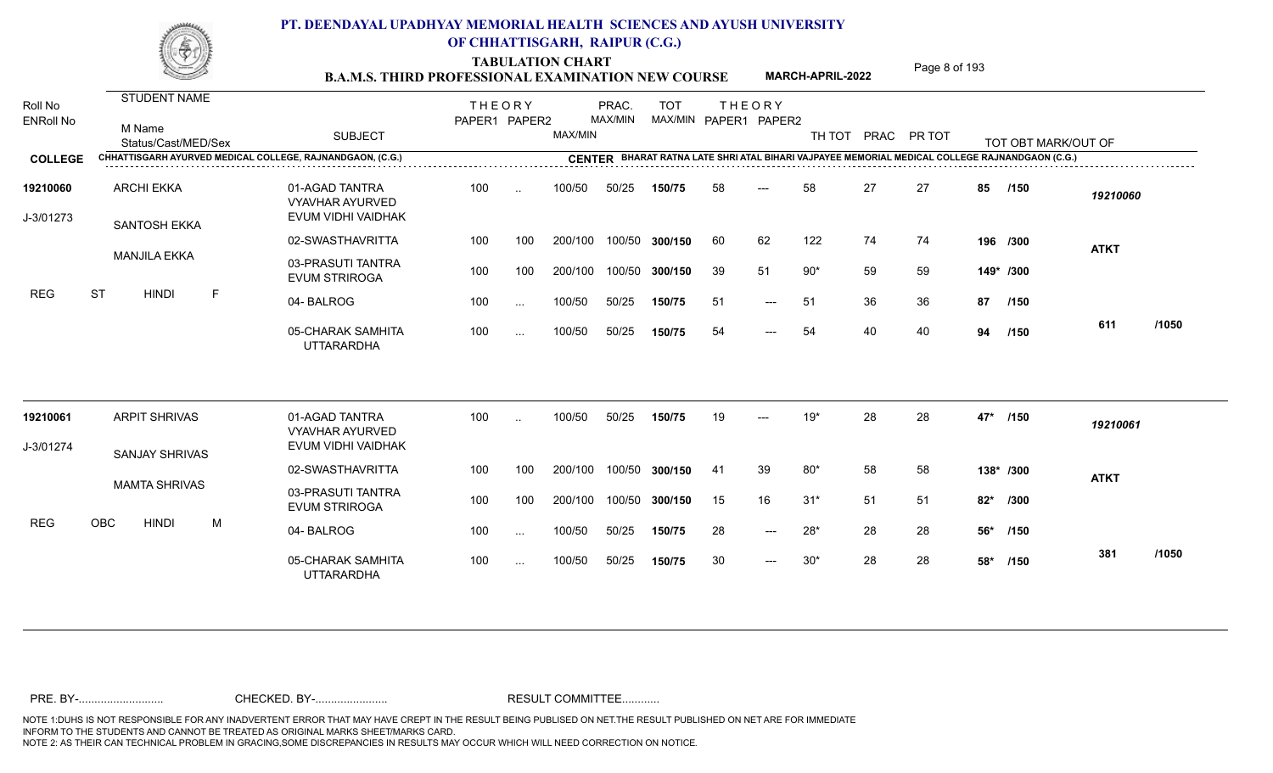TABULATION CHART<br> **TABULATION CHART B.A.M.S. THIRD PROFESSIONAL EXAMINATION NEW COURSE MARCH-APRIL-2022 Page 8 of 193** 

**MARCH-APRIL-2022**

| Roll No<br><b>ENRoll No</b> | <b>STUDENT NAME</b><br>M Name<br>Status/Cast/MED/Sex |   | <b>SUBJECT</b>                                                 | <b>THEORY</b><br>PAPER1 PAPER2 |               | MAX/MIN | PRAC.<br>MAX/MIN | <b>TOT</b>     |    | <b>THEORY</b><br>MAX/MIN PAPER1 PAPER2 |       |    | TH TOT PRAC PR TOT |       | TOT OBT MARK/OUT OF                                                                            |             |       |
|-----------------------------|------------------------------------------------------|---|----------------------------------------------------------------|--------------------------------|---------------|---------|------------------|----------------|----|----------------------------------------|-------|----|--------------------|-------|------------------------------------------------------------------------------------------------|-------------|-------|
| <b>COLLEGE</b>              |                                                      |   | CHHATTISGARH AYURVED MEDICAL COLLEGE, RAJNANDGAON, (C.G.)      |                                |               |         |                  |                |    |                                        |       |    |                    |       | CENTER BHARAT RATNA LATE SHRI ATAL BIHARI VAJPAYEE MEMORIAL MEDICAL COLLEGE RAJNANDGAON (C.G.) |             |       |
| 19210060<br>J-3/01273       | <b>ARCHI EKKA</b><br>SANTOSH EKKA                    |   | 01-AGAD TANTRA<br><b>VYAVHAR AYURVED</b><br>EVUM VIDHI VAIDHAK | 100                            | $\sim$        | 100/50  | 50/25            | 150/75         | 58 | ---                                    | 58    | 27 | 27                 | 85    | /150                                                                                           | 19210060    |       |
|                             |                                                      |   | 02-SWASTHAVRITTA                                               | 100                            | 100           | 200/100 |                  | 100/50 300/150 | 60 | 62                                     | 122   | 74 | 74                 |       | 196 /300                                                                                       | <b>ATKT</b> |       |
|                             | <b>MANJILA EKKA</b>                                  |   | 03-PRASUTI TANTRA<br><b>EVUM STRIROGA</b>                      | 100                            | 100           | 200/100 |                  | 100/50 300/150 | 39 | 51                                     | $90*$ | 59 | 59                 |       | 149* /300                                                                                      |             |       |
| <b>REG</b>                  | <b>ST</b><br><b>HINDI</b>                            | F | 04-BALROG                                                      | 100                            | $\cdots$      | 100/50  | 50/25            | 150/75         | 51 | $\qquad \qquad - -$                    | 51    | 36 | 36                 | 87    | /150                                                                                           |             |       |
|                             |                                                      |   | 05-CHARAK SAMHITA<br><b>UTTARARDHA</b>                         | 100                            | $\sim$ $\sim$ | 100/50  | 50/25            | 150/75         | 54 | $\qquad \qquad - -$                    | 54    | 40 | 40                 | 94    | /150                                                                                           | 611         | /1050 |
| 19210061                    | <b>ARPIT SHRIVAS</b>                                 |   | 01-AGAD TANTRA<br><b>VYAVHAR AYURVED</b>                       | 100                            | $\sim$        | 100/50  | 50/25            | 150/75         | 19 | ---                                    | $19*$ | 28 | 28                 | 47*   | /150                                                                                           | 19210061    |       |
| J-3/01274                   | <b>SANJAY SHRIVAS</b>                                |   | EVUM VIDHI VAIDHAK                                             |                                |               |         |                  |                |    |                                        |       |    |                    |       |                                                                                                |             |       |
|                             |                                                      |   | 02-SWASTHAVRITTA                                               | 100                            | 100           | 200/100 | 100/50           | 300/150        | 41 | 39                                     | $80*$ | 58 | 58                 |       | 138* /300                                                                                      | <b>ATKT</b> |       |
|                             | <b>MAMTA SHRIVAS</b>                                 |   | 03-PRASUTI TANTRA<br><b>EVUM STRIROGA</b>                      | 100                            | 100           | 200/100 |                  | 100/50 300/150 | 15 | 16                                     | $31*$ | 51 | 51                 | $82*$ | /300                                                                                           |             |       |
| <b>REG</b>                  | OBC<br><b>HINDI</b>                                  | M | 04-BALROG                                                      | 100                            | $\sim$        | 100/50  | 50/25            | 150/75         | 28 | $\qquad \qquad - -$                    | $28*$ | 28 | 28                 | 56*   | /150                                                                                           |             |       |
|                             |                                                      |   | 05-CHARAK SAMHITA<br><b>UTTARARDHA</b>                         | 100                            | $\sim$ $\sim$ | 100/50  | 50/25            | 150/75         | 30 | $\qquad \qquad - -$                    | $30*$ | 28 | 28                 | 58*   | /150                                                                                           | 381         | /1050 |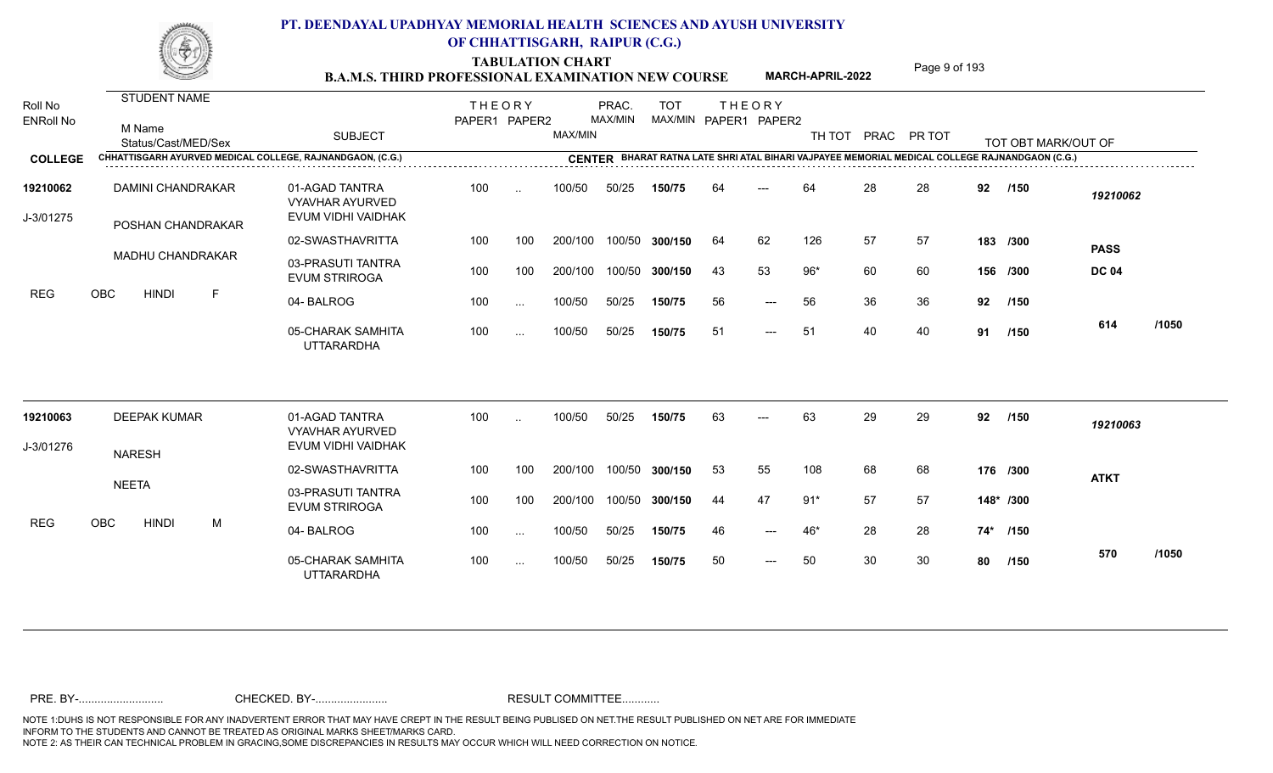TABULATION CHART<br> **TABULATION CHART B.A.M.S. THIRD PROFESSIONAL EXAMINATION NEW COURSE MARCH-APRIL-2022 Page 9 of 193** 

**MARCH-APRIL-2022**

| Roll No<br><b>ENRoll No</b> | <b>STUDENT NAME</b><br>M Name<br>Status/Cast/MED/Sex |   | <b>SUBJECT</b>                                                 | <b>THEORY</b><br>PAPER1 PAPER2 |               | MAX/MIN | PRAC.<br>MAX/MIN | <b>TOT</b>     |    | <b>THEORY</b><br>MAX/MIN PAPER1 PAPER2 | TH TOT |    | PRAC PR TOT |    | TOT OBT MARK/OUT OF                                                                            |                             |       |
|-----------------------------|------------------------------------------------------|---|----------------------------------------------------------------|--------------------------------|---------------|---------|------------------|----------------|----|----------------------------------------|--------|----|-------------|----|------------------------------------------------------------------------------------------------|-----------------------------|-------|
| <b>COLLEGE</b>              |                                                      |   | CHHATTISGARH AYURVED MEDICAL COLLEGE, RAJNANDGAON, (C.G.)      |                                |               |         |                  |                |    |                                        |        |    |             |    | CENTER BHARAT RATNA LATE SHRI ATAL BIHARI VAJPAYEE MEMORIAL MEDICAL COLLEGE RAJNANDGAON (C.G.) |                             |       |
| 19210062<br>J-3/01275       | <b>DAMINI CHANDRAKAR</b><br>POSHAN CHANDRAKAR        |   | 01-AGAD TANTRA<br><b>VYAVHAR AYURVED</b><br>EVUM VIDHI VAIDHAK | 100                            | $\cdot$ .     | 100/50  | 50/25            | 150/75         | 64 |                                        | 64     | 28 | 28          | 92 | /150                                                                                           | 19210062                    |       |
|                             |                                                      |   | 02-SWASTHAVRITTA                                               | 100                            | 100           | 200/100 |                  | 100/50 300/150 | 64 | 62                                     | 126    | 57 | 57          |    | 183 /300                                                                                       |                             |       |
|                             | <b>MADHU CHANDRAKAR</b>                              |   | 03-PRASUTI TANTRA<br><b>EVUM STRIROGA</b>                      | 100                            | 100           | 200/100 |                  | 100/50 300/150 | 43 | 53                                     | $96*$  | 60 | 60          |    | 156 /300                                                                                       | <b>PASS</b><br><b>DC 04</b> |       |
| <b>REG</b>                  | <b>OBC</b><br><b>HINDI</b>                           | F | 04-BALROG                                                      | 100                            | $\sim$ $\sim$ | 100/50  | 50/25            | 150/75         | 56 | $---$                                  | 56     | 36 | 36          | 92 | /150                                                                                           |                             |       |
|                             |                                                      |   | 05-CHARAK SAMHITA<br><b>UTTARARDHA</b>                         | 100                            | $\sim$ .      | 100/50  | 50/25            | 150/75         | 51 | $\qquad \qquad - -$                    | 51     | 40 | 40          | 91 | /150                                                                                           | 614                         | /1050 |
| 19210063                    | <b>DEEPAK KUMAR</b>                                  |   | 01-AGAD TANTRA<br><b>VYAVHAR AYURVED</b>                       | 100                            | $\ddotsc$     | 100/50  | 50/25            | 150/75         | 63 |                                        | 63     | 29 | 29          | 92 | /150                                                                                           | 19210063                    |       |
| J-3/01276                   | <b>NARESH</b>                                        |   | EVUM VIDHI VAIDHAK                                             |                                |               |         |                  |                |    |                                        |        |    |             |    |                                                                                                |                             |       |
|                             |                                                      |   | 02-SWASTHAVRITTA                                               | 100                            | 100           | 200/100 |                  | 100/50 300/150 | 53 | 55                                     | 108    | 68 | 68          |    | 176 /300                                                                                       | <b>ATKT</b>                 |       |
|                             | <b>NEETA</b>                                         |   | 03-PRASUTI TANTRA<br><b>EVUM STRIROGA</b>                      | 100                            | 100           | 200/100 |                  | 100/50 300/150 | 44 | 47                                     | $91*$  | 57 | 57          |    | 148* /300                                                                                      |                             |       |
| <b>REG</b>                  | <b>OBC</b><br><b>HINDI</b>                           | M | 04-BALROG                                                      | 100                            | $\sim$ .      | 100/50  | 50/25            | 150/75         | 46 | $---$                                  | 46*    | 28 | 28          |    | 74* /150                                                                                       |                             |       |
|                             |                                                      |   | 05-CHARAK SAMHITA<br><b>UTTARARDHA</b>                         | 100                            | $\sim$ $\sim$ | 100/50  | 50/25            | 150/75         | 50 | $---$                                  | 50     | 30 | 30          | 80 | /150                                                                                           | 570                         | /1050 |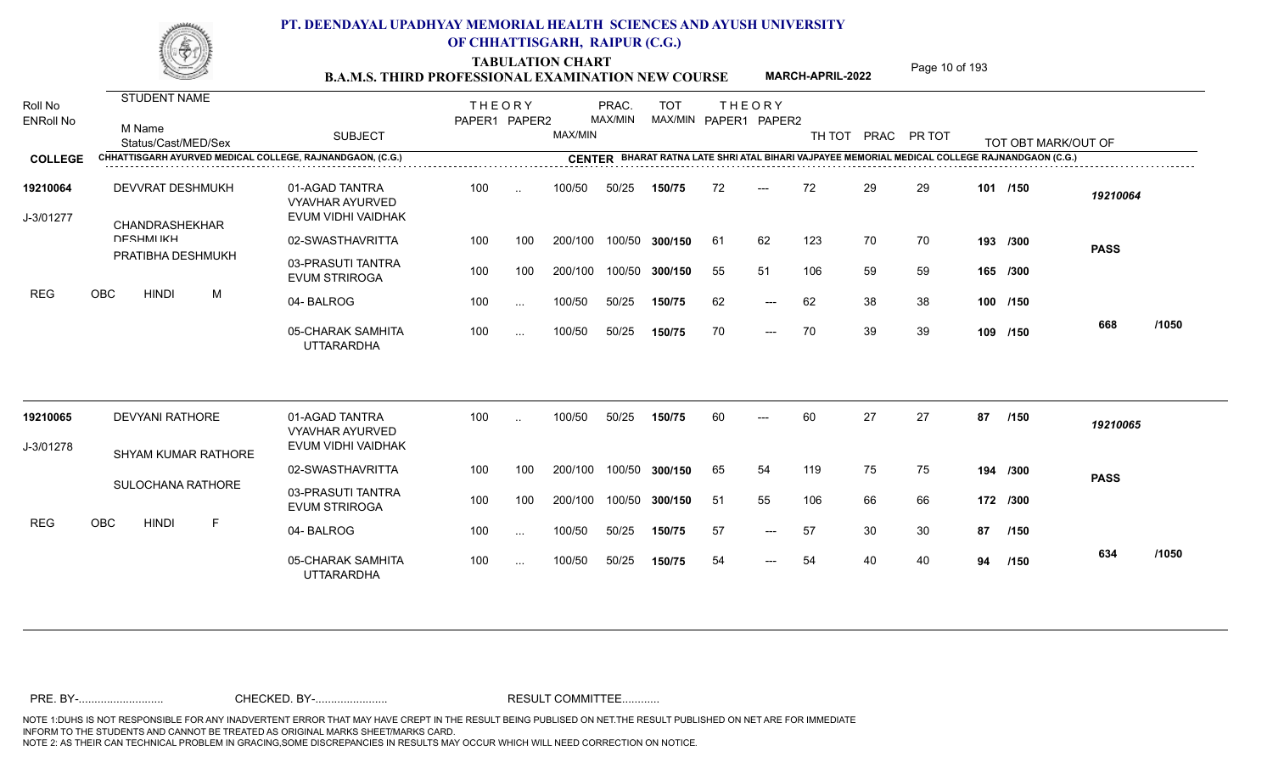TABULATION CHART<br>**B.A.M.S. THIRD PROFESSIONAL EXAMINATION NEW COURSE** MARCH-APRIL-2022 Page 10 of 193

**MARCH-APRIL-2022**

| Roll No<br><b>ENRoll No</b> | STUDENT NAME<br>M Name                                    |                                                                | <b>THEORY</b><br>PAPER1 PAPER2 |           |         | PRAC.<br>MAX/MIN | <b>TOT</b><br>MAX/MIN PAPER1 PAPER2 |    | <b>THEORY</b>       |                    |    |    |    |                                                                                                |             |       |
|-----------------------------|-----------------------------------------------------------|----------------------------------------------------------------|--------------------------------|-----------|---------|------------------|-------------------------------------|----|---------------------|--------------------|----|----|----|------------------------------------------------------------------------------------------------|-------------|-------|
|                             | Status/Cast/MED/Sex                                       | <b>SUBJECT</b>                                                 |                                |           | MAX/MIN |                  |                                     |    |                     | TH TOT PRAC PR TOT |    |    |    | TOT OBT MARK/OUT OF                                                                            |             |       |
| <b>COLLEGE</b>              | CHHATTISGARH AYURVED MEDICAL COLLEGE, RAJNANDGAON, (C.G.) |                                                                |                                |           |         |                  |                                     |    |                     |                    |    |    |    | CENTER BHARAT RATNA LATE SHRI ATAL BIHARI VAJPAYEE MEMORIAL MEDICAL COLLEGE RAJNANDGAON (C.G.) |             |       |
| 19210064<br>J-3/01277       | DEVVRAT DESHMUKH<br>CHANDRASHEKHAR                        | 01-AGAD TANTRA<br><b>VYAVHAR AYURVED</b><br>EVUM VIDHI VAIDHAK | 100                            |           | 100/50  | 50/25            | 150/75                              | 72 | $---$               | 72                 | 29 | 29 |    | 101 /150                                                                                       | 19210064    |       |
|                             | <b>DESHMIKH</b>                                           | 02-SWASTHAVRITTA                                               | 100                            | 100       | 200/100 | 100/50           | 300/150                             | 61 | 62                  | 123                | 70 | 70 |    | 193 /300                                                                                       | <b>PASS</b> |       |
|                             | PRATIBHA DESHMUKH                                         | 03-PRASUTI TANTRA<br><b>EVUM STRIROGA</b>                      | 100                            | 100       | 200/100 | 100/50           | 300/150                             | 55 | 51                  | 106                | 59 | 59 |    | 165 /300                                                                                       |             |       |
| <b>REG</b>                  | OBC<br><b>HINDI</b><br>M                                  | 04-BALROG                                                      | 100                            | $\ddotsc$ | 100/50  | 50/25            | 150/75                              | 62 | $\qquad \qquad - -$ | 62                 | 38 | 38 |    | 100 /150                                                                                       |             |       |
|                             |                                                           | 05-CHARAK SAMHITA<br><b>UTTARARDHA</b>                         | 100                            | $\cdots$  | 100/50  | 50/25            | 150/75                              | 70 | $---$               | 70                 | 39 | 39 |    | 109 /150                                                                                       | 668         | /1050 |
| 19210065                    | <b>DEVYANI RATHORE</b>                                    | 01-AGAD TANTRA<br><b>VYAVHAR AYURVED</b>                       | 100                            |           | 100/50  | 50/25            | 150/75                              | 60 |                     | 60                 | 27 | 27 | 87 | /150                                                                                           | 19210065    |       |
| J-3/01278                   | <b>SHYAM KUMAR RATHORE</b>                                | EVUM VIDHI VAIDHAK                                             |                                |           |         |                  |                                     |    |                     |                    |    |    |    |                                                                                                |             |       |
|                             |                                                           | 02-SWASTHAVRITTA                                               | 100                            | 100       | 200/100 | 100/50           | 300/150                             | 65 | 54                  | 119                | 75 | 75 |    | 194 /300                                                                                       | <b>PASS</b> |       |
|                             | SULOCHANA RATHORE                                         | 03-PRASUTI TANTRA<br><b>EVUM STRIROGA</b>                      | 100                            | 100       | 200/100 |                  | 100/50 300/150                      | 51 | 55                  | 106                | 66 | 66 |    | 172 /300                                                                                       |             |       |
| <b>REG</b>                  | <b>HINDI</b><br><b>OBC</b><br>F                           | 04-BALROG                                                      | 100                            | $\ddotsc$ | 100/50  | 50/25            | 150/75                              | 57 | $\qquad \qquad - -$ | 57                 | 30 | 30 | 87 | /150                                                                                           |             |       |
|                             |                                                           | 05-CHARAK SAMHITA<br>UTTARARDHA                                | 100                            | $\ddotsc$ | 100/50  | 50/25            | 150/75                              | 54 | ---                 | 54                 | 40 | 40 | 94 | /150                                                                                           | 634         | /1050 |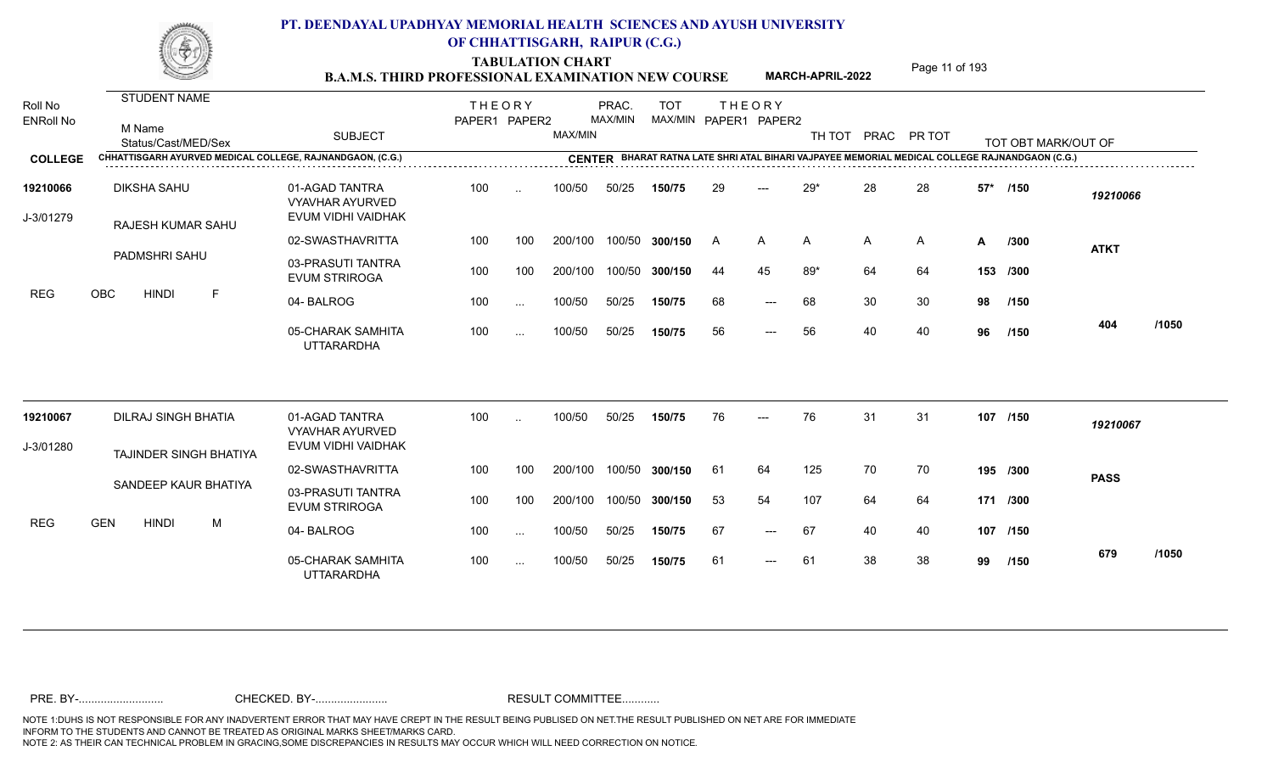**TABULATION CHART**<br> **Page 11 of 193** 

|                             |            |                                                      |   | <b>B.A.M.S. THIRD PROFESSIONAL EXAMINATION NEW COURSE</b> |                                |                      |         |                  |                |                       |                     | MARCH-APRIL-2022 |    | טטו וטוו טעטו      |       |                                                                                                |             |       |
|-----------------------------|------------|------------------------------------------------------|---|-----------------------------------------------------------|--------------------------------|----------------------|---------|------------------|----------------|-----------------------|---------------------|------------------|----|--------------------|-------|------------------------------------------------------------------------------------------------|-------------|-------|
| Roll No<br><b>ENRoll No</b> |            | <b>STUDENT NAME</b><br>M Name<br>Status/Cast/MED/Sex |   | <b>SUBJECT</b>                                            | <b>THEORY</b><br>PAPER1 PAPER2 |                      | MAX/MIN | PRAC.<br>MAX/MIN | <b>TOT</b>     | MAX/MIN PAPER1 PAPER2 | <b>THEORY</b>       |                  |    | TH TOT PRAC PR TOT |       | TOT OBT MARK/OUT OF                                                                            |             |       |
| <b>COLLEGE</b>              |            |                                                      |   | CHHATTISGARH AYURVED MEDICAL COLLEGE, RAJNANDGAON, (C.G.) |                                |                      |         |                  |                |                       |                     |                  |    |                    |       | CENTER BHARAT RATNA LATE SHRI ATAL BIHARI VAJPAYEE MEMORIAL MEDICAL COLLEGE RAJNANDGAON (C.G.) |             |       |
| 19210066                    |            | <b>DIKSHA SAHU</b>                                   |   | 01-AGAD TANTRA<br><b>VYAVHAR AYURVED</b>                  | 100                            | $\sim$               | 100/50  | 50/25            | 150/75         | 29                    | $---$               | $29*$            | 28 | 28                 | $57*$ | /150                                                                                           | 19210066    |       |
| J-3/01279                   |            | RAJESH KUMAR SAHU                                    |   | EVUM VIDHI VAIDHAK                                        |                                |                      |         |                  |                |                       |                     |                  |    |                    |       |                                                                                                |             |       |
|                             |            |                                                      |   | 02-SWASTHAVRITTA                                          | 100                            | 100                  | 200/100 |                  | 100/50 300/150 | <b>A</b>              | A                   | A                | A  | A                  | A     | /300                                                                                           | <b>ATKT</b> |       |
|                             |            | PADMSHRI SAHU                                        |   | 03-PRASUTI TANTRA<br><b>EVUM STRIROGA</b>                 | 100                            | 100                  | 200/100 |                  | 100/50 300/150 | 44                    | 45                  | $89*$            | 64 | 64                 |       | 153 /300                                                                                       |             |       |
| <b>REG</b>                  | OBC        | <b>HINDI</b>                                         | F | 04-BALROG                                                 | 100                            | $\ldots$             | 100/50  | 50/25            | 150/75         | 68                    | $\qquad \qquad - -$ | 68               | 30 | 30                 | 98    | /150                                                                                           |             |       |
|                             |            |                                                      |   | 05-CHARAK SAMHITA<br><b>UTTARARDHA</b>                    | 100                            | $\sim$ .             | 100/50  | 50/25            | 150/75         | 56                    | $\qquad \qquad - -$ | 56               | 40 | 40                 | 96    | /150                                                                                           | 404         | /1050 |
| 19210067                    |            | <b>DILRAJ SINGH BHATIA</b>                           |   | 01-AGAD TANTRA<br><b>VYAVHAR AYURVED</b>                  | 100                            | $\ddot{\phantom{a}}$ | 100/50  | 50/25            | 150/75         | 76                    | $---$               | 76               | 31 | 31                 |       | 107 /150                                                                                       | 19210067    |       |
| J-3/01280                   |            |                                                      |   | EVUM VIDHI VAIDHAK                                        |                                |                      |         |                  |                |                       |                     |                  |    |                    |       |                                                                                                |             |       |
|                             |            | TAJINDER SINGH BHATIYA                               |   | 02-SWASTHAVRITTA                                          | 100                            | 100                  | 200/100 |                  | 100/50 300/150 | -61                   | 64                  | 125              | 70 | 70                 |       | 195 /300                                                                                       | <b>PASS</b> |       |
|                             |            | SANDEEP KAUR BHATIYA                                 |   | 03-PRASUTI TANTRA<br><b>EVUM STRIROGA</b>                 | 100                            | 100                  | 200/100 |                  | 100/50 300/150 | 53                    | 54                  | 107              | 64 | 64                 |       | 171 /300                                                                                       |             |       |
| <b>REG</b>                  | <b>GEN</b> | <b>HINDI</b>                                         | M | 04-BALROG                                                 | 100                            | $\ldots$             | 100/50  | 50/25            | 150/75         | 67                    | $\qquad \qquad - -$ | 67               | 40 | 40                 |       | 107 /150                                                                                       |             |       |
|                             |            |                                                      |   | 05-CHARAK SAMHITA<br><b>UTTARARDHA</b>                    | 100                            | $\ddotsc$            | 100/50  | 50/25            | 150/75         | 61                    | $---$               | 61               | 38 | 38                 | 99    | /150                                                                                           | 679         | /1050 |
|                             |            |                                                      |   |                                                           |                                |                      |         |                  |                |                       |                     |                  |    |                    |       |                                                                                                |             |       |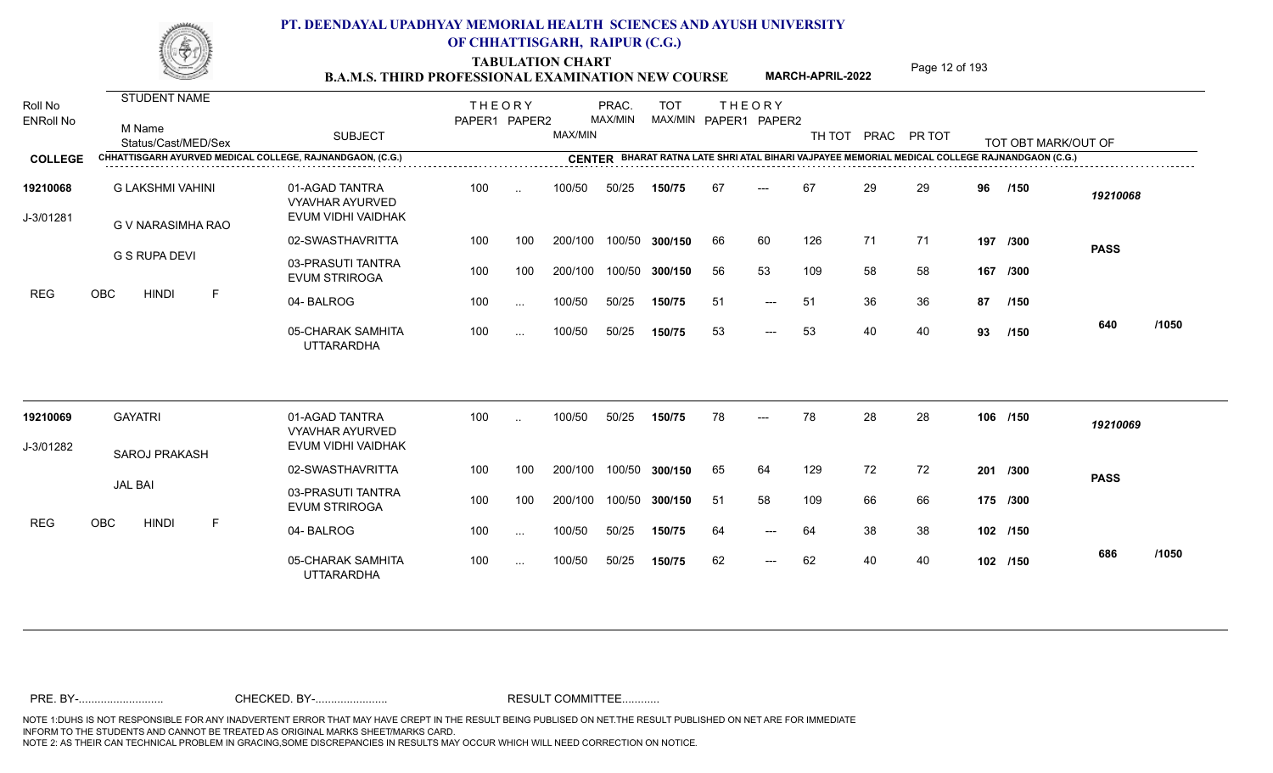TABULATION CHART<br> **TABULATION CHART** PAGE MARCH-APRIL-2022 Page 12 of 193

**MARCH-APRIL-2022**

| Roll No<br><b>ENRoll No</b><br><b>COLLEGE</b> | STUDENT NAME<br>M Name<br>Status/Cast/MED/Sex<br>CHHATTISGARH AYURVED MEDICAL COLLEGE, RAJNANDGAON, (C.G.) | <b>SUBJECT</b>                            | <b>THEORY</b><br>PAPER1 PAPER2 |               | MAX/MIN | PRAC.<br>MAX/MIN | <b>TOT</b><br>MAX/MIN PAPER1 PAPER2 |     | <b>THEORY</b> | TH TOT PRAC PR TOT |    |    |    | TOT OBT MARK/OUT OF<br>CENTER BHARAT RATNA LATE SHRI ATAL BIHARI VAJPAYEE MEMORIAL MEDICAL COLLEGE RAJNANDGAON (C.G.) |             |       |
|-----------------------------------------------|------------------------------------------------------------------------------------------------------------|-------------------------------------------|--------------------------------|---------------|---------|------------------|-------------------------------------|-----|---------------|--------------------|----|----|----|-----------------------------------------------------------------------------------------------------------------------|-------------|-------|
| 19210068                                      | <b>G LAKSHMI VAHINI</b>                                                                                    | 01-AGAD TANTRA<br><b>VYAVHAR AYURVED</b>  | 100                            | $\cdot$ .     | 100/50  | 50/25            | 150/75                              | 67  | $---$         | 67                 | 29 | 29 | 96 | /150                                                                                                                  | 19210068    |       |
| J-3/01281                                     | G V NARASIMHA RAO                                                                                          | EVUM VIDHI VAIDHAK<br>02-SWASTHAVRITTA    | 100                            | 100           | 200/100 |                  | 100/50 300/150                      | 66  | 60            | 126                | 71 | 71 |    | 197 /300                                                                                                              |             |       |
|                                               | G S RUPA DEVI                                                                                              | 03-PRASUTI TANTRA<br><b>EVUM STRIROGA</b> | 100                            | 100           | 200/100 |                  | 100/50 300/150                      | 56  | 53            | 109                | 58 | 58 |    | 167 /300                                                                                                              | <b>PASS</b> |       |
| REG                                           | OBC<br><b>HINDI</b><br>F                                                                                   | 04-BALROG                                 | 100                            | $\cdots$      | 100/50  | 50/25            | 150/75                              | 51  | $---$         | 51                 | 36 | 36 | 87 | /150                                                                                                                  |             |       |
|                                               |                                                                                                            | 05-CHARAK SAMHITA<br><b>UTTARARDHA</b>    | 100                            | $\cdots$      | 100/50  | 50/25            | 150/75                              | 53  | $---$         | 53                 | 40 | 40 | 93 | /150                                                                                                                  | 640         | /1050 |
| 19210069                                      | <b>GAYATRI</b>                                                                                             | 01-AGAD TANTRA<br><b>VYAVHAR AYURVED</b>  | 100                            | $\cdot$       | 100/50  | 50/25            | 150/75                              | 78  |               | 78                 | 28 | 28 |    | 106 /150                                                                                                              | 19210069    |       |
| J-3/01282                                     | <b>SAROJ PRAKASH</b>                                                                                       | EVUM VIDHI VAIDHAK                        |                                |               |         |                  |                                     |     |               |                    |    |    |    |                                                                                                                       |             |       |
|                                               | <b>JAL BAI</b>                                                                                             | 02-SWASTHAVRITTA                          | 100                            | 100           | 200/100 |                  | 100/50 300/150                      | 65  | 64            | 129                | 72 | 72 |    | 201 /300                                                                                                              | <b>PASS</b> |       |
|                                               |                                                                                                            | 03-PRASUTI TANTRA<br><b>EVUM STRIROGA</b> | 100                            | 100           | 200/100 |                  | 100/50 300/150                      | -51 | 58            | 109                | 66 | 66 |    | 175 /300                                                                                                              |             |       |
| <b>REG</b>                                    | OBC<br><b>HINDI</b><br>F                                                                                   | 04-BALROG                                 | 100                            | $\sim$        | 100/50  | 50/25            | 150/75                              | 64  | $---$         | 64                 | 38 | 38 |    | 102 /150                                                                                                              |             |       |
|                                               |                                                                                                            | 05-CHARAK SAMHITA<br><b>UTTARARDHA</b>    | 100                            | $\sim$ $\sim$ | 100/50  | 50/25            | 150/75                              | 62  | $---$         | 62                 | 40 | 40 |    | 102 /150                                                                                                              | 686         | /1050 |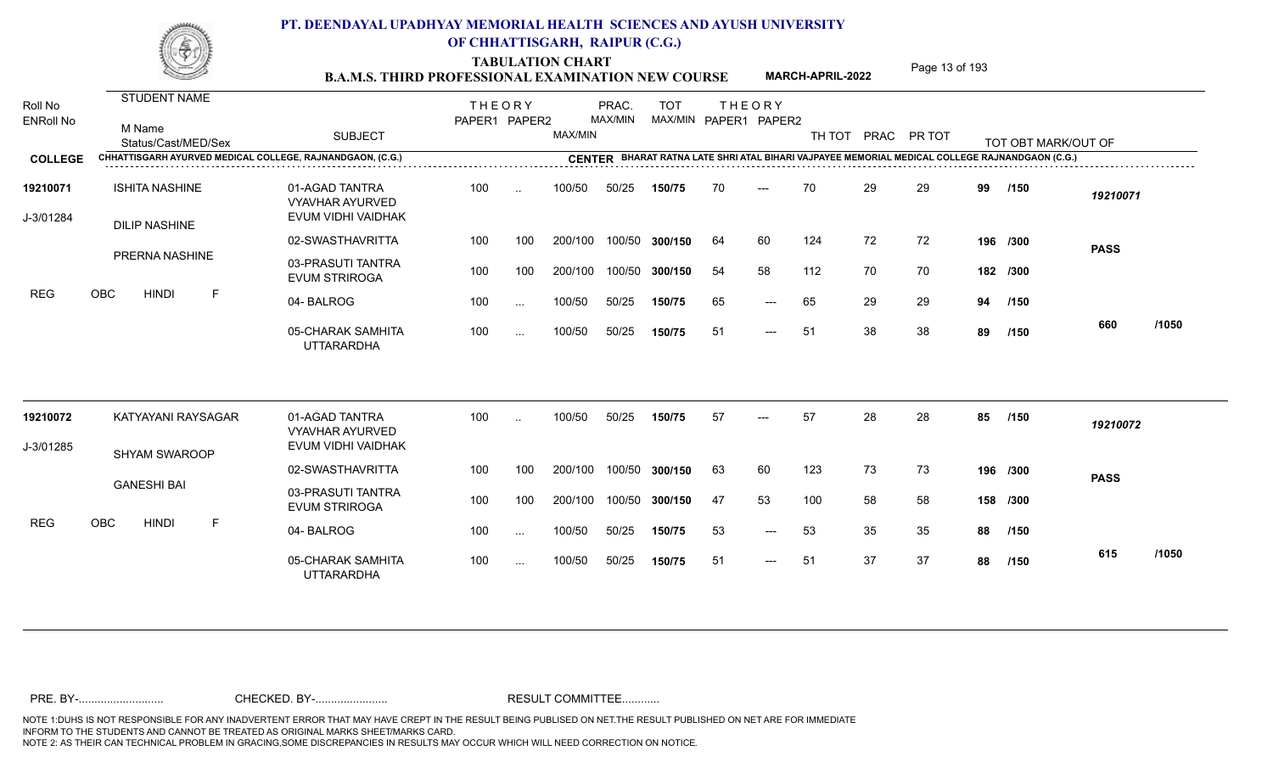TABULATION CHART<br> **TABULATION CHART B.A.M.S. THIRD PROFESSIONAL EXAMINATION NEW COURSE MARCH-APRIL-2022 Page 13 of 193** 

**MARCH-APRIL-2022**

| Roll No<br><b>ENRoll No</b> | STUDENT NAME<br>M Name<br>Status/Cast/MED/Sex             | <b>SUBJECT</b>                                                 | <b>THEORY</b><br>PAPER1 PAPER2 |           | MAX/MIN | PRAC.<br>MAX/MIN | <b>TOT</b>     |     | <b>THEORY</b><br>MAX/MIN PAPER1 PAPER2 |     |    | TH TOT PRAC PR TOT |    | TOT OBT MARK/OUT OF                                                                            |             |       |
|-----------------------------|-----------------------------------------------------------|----------------------------------------------------------------|--------------------------------|-----------|---------|------------------|----------------|-----|----------------------------------------|-----|----|--------------------|----|------------------------------------------------------------------------------------------------|-------------|-------|
| <b>COLLEGE</b>              | CHHATTISGARH AYURVED MEDICAL COLLEGE, RAJNANDGAON, (C.G.) |                                                                |                                |           |         |                  |                |     |                                        |     |    |                    |    | CENTER BHARAT RATNA LATE SHRI ATAL BIHARI VAJPAYEE MEMORIAL MEDICAL COLLEGE RAJNANDGAON (C.G.) |             |       |
| 19210071<br>J-3/01284       | <b>ISHITA NASHINE</b><br><b>DILIP NASHINE</b>             | 01-AGAD TANTRA<br><b>VYAVHAR AYURVED</b><br>EVUM VIDHI VAIDHAK | 100                            | $\ddotsc$ | 100/50  | 50/25            | 150/75         | 70  | $---$                                  | 70  | 29 | 29                 | 99 | /150                                                                                           | 19210071    |       |
|                             |                                                           | 02-SWASTHAVRITTA                                               | 100                            | 100       | 200/100 |                  | 100/50 300/150 | 64  | 60                                     | 124 | 72 | 72                 |    | 196 /300                                                                                       | <b>PASS</b> |       |
|                             | PRERNA NASHINE                                            | 03-PRASUTI TANTRA<br><b>EVUM STRIROGA</b>                      | 100                            | 100       | 200/100 |                  | 100/50 300/150 | 54  | 58                                     | 112 | 70 | 70                 |    | 182 /300                                                                                       |             |       |
| <b>REG</b>                  | OBC<br><b>HINDI</b><br>$\mathsf{F}$                       | 04-BALROG                                                      | 100                            | $\cdots$  | 100/50  | 50/25            | 150/75         | 65  | ---                                    | 65  | 29 | 29                 | 94 | /150                                                                                           |             |       |
|                             |                                                           | 05-CHARAK SAMHITA<br><b>UTTARARDHA</b>                         | 100                            | $\cdots$  | 100/50  | 50/25            | 150/75         | 51  | $---$                                  | 51  | 38 | 38                 | 89 | /150                                                                                           | 660         | /1050 |
| 19210072                    | KATYAYANI RAYSAGAR                                        | 01-AGAD TANTRA<br><b>VYAVHAR AYURVED</b>                       | 100                            |           | 100/50  | 50/25            | 150/75         | 57  |                                        | 57  | 28 | 28                 | 85 | /150                                                                                           | 19210072    |       |
| J-3/01285                   | <b>SHYAM SWAROOP</b>                                      | EVUM VIDHI VAIDHAK                                             |                                |           |         |                  |                |     |                                        |     |    |                    |    |                                                                                                |             |       |
|                             |                                                           | 02-SWASTHAVRITTA                                               | 100                            | 100       | 200/100 |                  | 100/50 300/150 | 63  | 60                                     | 123 | 73 | 73                 |    | 196 /300                                                                                       | <b>PASS</b> |       |
|                             | <b>GANESHI BAI</b>                                        | 03-PRASUTI TANTRA<br><b>EVUM STRIROGA</b>                      | 100                            | 100       | 200/100 |                  | 100/50 300/150 | -47 | 53                                     | 100 | 58 | 58                 |    | 158 /300                                                                                       |             |       |
| <b>REG</b>                  | OBC<br><b>HINDI</b><br>F                                  | 04-BALROG                                                      | 100                            | $\sim$    | 100/50  | 50/25            | 150/75         | 53  | $---$                                  | 53  | 35 | 35                 | 88 | /150                                                                                           |             |       |
|                             |                                                           | 05-CHARAK SAMHITA<br><b>UTTARARDHA</b>                         | 100                            | $\sim$    | 100/50  | 50/25            | 150/75         | 51  | ---                                    | 51  | 37 | 37                 | 88 | /150                                                                                           | 615         | /1050 |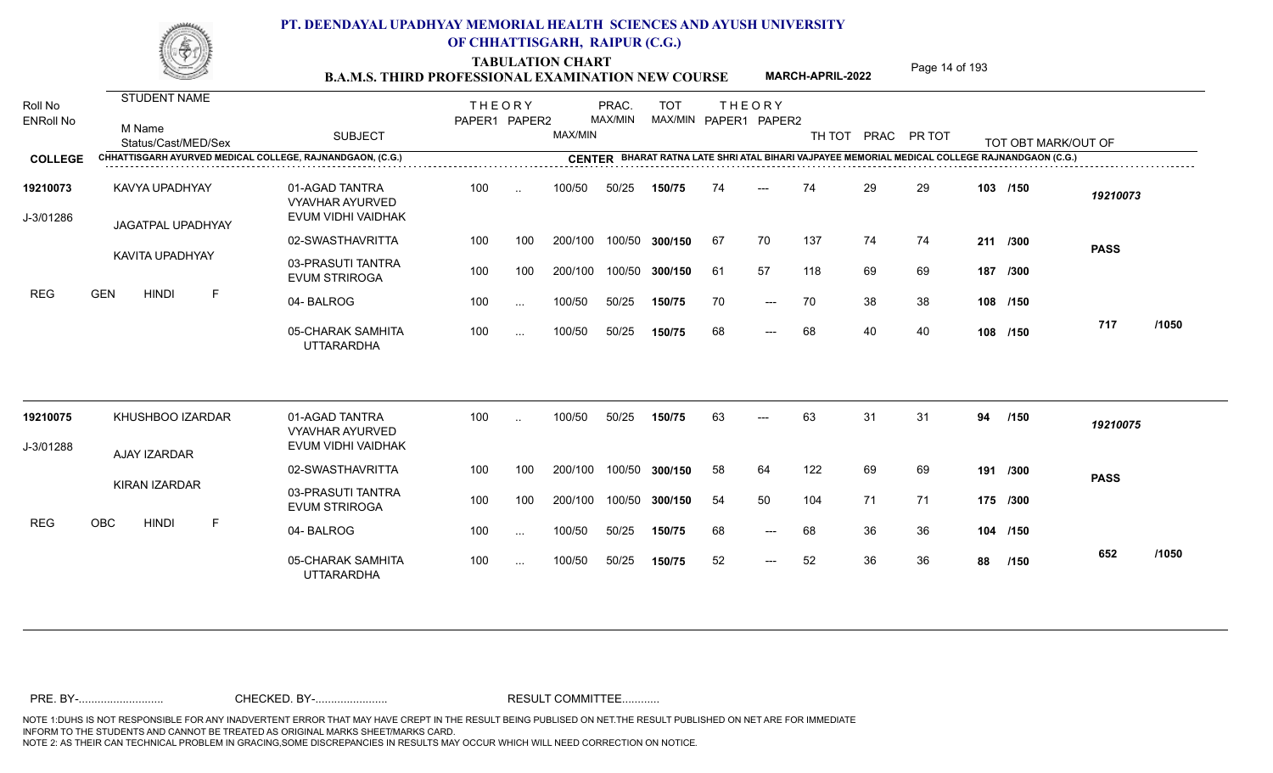TABULATION CHART<br>**B.A.M.S. THIRD PROFESSIONAL EXAMINATION NEW COURSE** MARCH-APRIL-2022 Page 14 of 193

**MARCH-APRIL-2022**

| Roll No<br><b>ENRoll No</b> | STUDENT NAME<br>M Name<br>Status/Cast/MED/Sex             | <b>SUBJECT</b>                                                 | <b>THEORY</b><br>PAPER1 PAPER2 |               | MAX/MIN | PRAC.<br>MAX/MIN | <b>TOT</b>     |    | <b>THEORY</b><br>MAX/MIN PAPER1 PAPER2 | TH TOT |    | PRAC PR TOT |    | TOT OBT MARK/OUT OF                                                                            |             |       |
|-----------------------------|-----------------------------------------------------------|----------------------------------------------------------------|--------------------------------|---------------|---------|------------------|----------------|----|----------------------------------------|--------|----|-------------|----|------------------------------------------------------------------------------------------------|-------------|-------|
| <b>COLLEGE</b>              | CHHATTISGARH AYURVED MEDICAL COLLEGE, RAJNANDGAON, (C.G.) |                                                                |                                |               |         |                  |                |    |                                        |        |    |             |    | CENTER BHARAT RATNA LATE SHRI ATAL BIHARI VAJPAYEE MEMORIAL MEDICAL COLLEGE RAJNANDGAON (C.G.) |             |       |
| 19210073<br>J-3/01286       | KAVYA UPADHYAY<br>JAGATPAL UPADHYAY                       | 01-AGAD TANTRA<br><b>VYAVHAR AYURVED</b><br>EVUM VIDHI VAIDHAK | 100                            | $\ddotsc$     | 100/50  | 50/25            | 150/75         | 74 | $---$                                  | 74     | 29 | 29          |    | 103 /150                                                                                       | 19210073    |       |
|                             |                                                           | 02-SWASTHAVRITTA                                               | 100                            | 100           | 200/100 |                  | 100/50 300/150 | 67 | 70                                     | 137    | 74 | 74          |    | 211 /300                                                                                       | <b>PASS</b> |       |
|                             | KAVITA UPADHYAY                                           | 03-PRASUTI TANTRA<br><b>EVUM STRIROGA</b>                      | 100                            | 100           | 200/100 |                  | 100/50 300/150 | 61 | 57                                     | 118    | 69 | 69          |    | 187 /300                                                                                       |             |       |
| <b>REG</b>                  | <b>GEN</b><br><b>HINDI</b><br>F                           | 04-BALROG                                                      | 100                            | $\ldots$      | 100/50  | 50/25            | 150/75         | 70 | $\qquad \qquad - -$                    | 70     | 38 | 38          |    | 108 /150                                                                                       |             |       |
|                             |                                                           | 05-CHARAK SAMHITA<br><b>UTTARARDHA</b>                         | 100                            | $\ldots$      | 100/50  | 50/25            | 150/75         | 68 | $\qquad \qquad - -$                    | 68     | 40 | 40          |    | 108 /150                                                                                       | 717         | /1050 |
| 19210075                    | KHUSHBOO IZARDAR                                          | 01-AGAD TANTRA<br><b>VYAVHAR AYURVED</b>                       | 100                            | $\ddotsc$     | 100/50  | 50/25            | 150/75         | 63 | $---$                                  | 63     | 31 | 31          | 94 | /150                                                                                           | 19210075    |       |
| J-3/01288                   | AJAY IZARDAR                                              | EVUM VIDHI VAIDHAK                                             |                                |               |         |                  |                |    |                                        |        |    |             |    |                                                                                                |             |       |
|                             |                                                           | 02-SWASTHAVRITTA                                               | 100                            | 100           | 200/100 |                  | 100/50 300/150 | 58 | 64                                     | 122    | 69 | 69          |    | 191 /300                                                                                       | <b>PASS</b> |       |
|                             | KIRAN IZARDAR                                             | 03-PRASUTI TANTRA<br><b>EVUM STRIROGA</b>                      | 100                            | 100           | 200/100 |                  | 100/50 300/150 | 54 | 50                                     | 104    | 71 | 71          |    | 175 /300                                                                                       |             |       |
| <b>REG</b>                  | OBC<br><b>HINDI</b><br>F                                  | 04-BALROG                                                      | 100                            | $\sim$ .      | 100/50  | 50/25            | 150/75         | 68 | $\qquad \qquad - -$                    | 68     | 36 | 36          |    | 104 /150                                                                                       |             |       |
|                             |                                                           | 05-CHARAK SAMHITA<br><b>UTTARARDHA</b>                         | 100                            | $\sim$ $\sim$ | 100/50  | 50/25            | 150/75         | 52 | $---$                                  | 52     | 36 | 36          | 88 | /150                                                                                           | 652         | /1050 |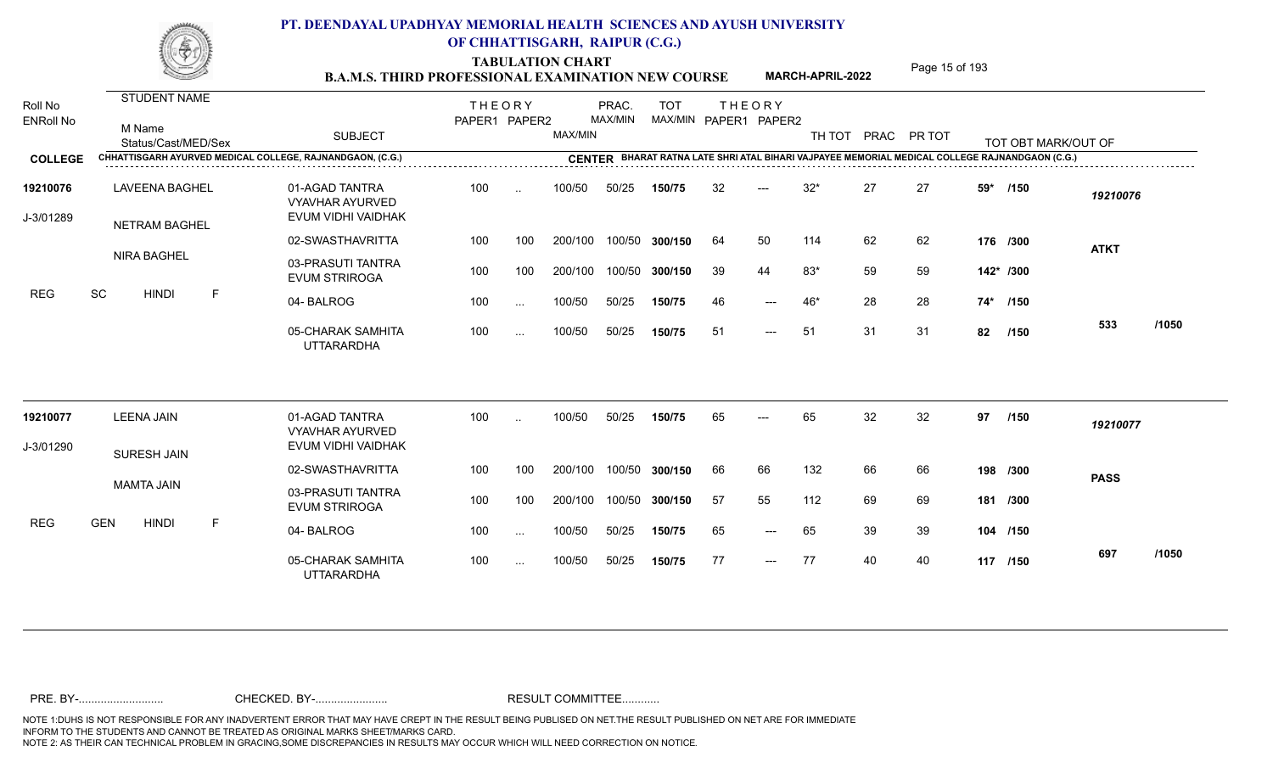TABULATION CHART<br> **TABULATION CHART B.A.M.S. THIRD PROFESSIONAL EXAMINATION NEW COURSE** MARCH-APRIL-2022

**MARCH-APRIL-2022**

| Roll No<br><b>ENRoll No</b> | STUDENT NAME<br>M Name<br>Status/Cast/MED/Sex |   | <b>SUBJECT</b><br>CHHATTISGARH AYURVED MEDICAL COLLEGE, RAJNANDGAON, (C.G.) | <b>THEORY</b><br>PAPER1 PAPER2 |               | MAX/MIN | PRAC.<br>MAX/MIN | <b>TOT</b><br>MAX/MIN PAPER1 PAPER2 |    | <b>THEORY</b> | TH TOT |    | PRAC PR TOT |     | TOT OBT MARK/OUT OF                                                                            |             |       |
|-----------------------------|-----------------------------------------------|---|-----------------------------------------------------------------------------|--------------------------------|---------------|---------|------------------|-------------------------------------|----|---------------|--------|----|-------------|-----|------------------------------------------------------------------------------------------------|-------------|-------|
| <b>COLLEGE</b>              |                                               |   |                                                                             |                                |               |         |                  |                                     |    |               |        |    |             |     | CENTER BHARAT RATNA LATE SHRI ATAL BIHARI VAJPAYEE MEMORIAL MEDICAL COLLEGE RAJNANDGAON (C.G.) |             |       |
| 19210076<br>J-3/01289       | <b>LAVEENA BAGHEL</b><br>NETRAM BAGHEL        |   | 01-AGAD TANTRA<br><b>VYAVHAR AYURVED</b><br>EVUM VIDHI VAIDHAK              | 100                            | $\ddotsc$     | 100/50  | 50/25            | 150/75                              | 32 | $---$         | $32*$  | 27 | 27          | 59* | /150                                                                                           | 19210076    |       |
|                             |                                               |   | 02-SWASTHAVRITTA                                                            | 100                            | 100           | 200/100 |                  | 100/50 300/150                      | 64 | 50            | 114    | 62 | 62          |     | 176 /300                                                                                       | <b>ATKT</b> |       |
|                             | <b>NIRA BAGHEL</b>                            |   | 03-PRASUTI TANTRA<br><b>EVUM STRIROGA</b>                                   | 100                            | 100           | 200/100 |                  | 100/50 300/150                      | 39 | 44            | $83*$  | 59 | 59          |     | 142* /300                                                                                      |             |       |
| <b>REG</b>                  | SC<br><b>HINDI</b>                            | F | 04-BALROG                                                                   | 100                            | $\cdots$      | 100/50  | 50/25            | 150/75                              | 46 | ---           | 46*    | 28 | 28          |     | 74* /150                                                                                       |             |       |
|                             |                                               |   | 05-CHARAK SAMHITA<br><b>UTTARARDHA</b>                                      | 100                            | $\cdots$      | 100/50  | 50/25            | 150/75                              | 51 | $---$         | 51     | 31 | 31          | 82  | /150                                                                                           | 533         | /1050 |
| 19210077                    | <b>LEENA JAIN</b>                             |   | 01-AGAD TANTRA<br><b>VYAVHAR AYURVED</b>                                    | 100                            | $\cdot$ .     | 100/50  | 50/25            | 150/75                              | 65 |               | 65     | 32 | 32          | 97  | /150                                                                                           | 19210077    |       |
| J-3/01290                   | <b>SURESH JAIN</b>                            |   | EVUM VIDHI VAIDHAK                                                          |                                |               |         |                  |                                     |    |               |        |    |             |     |                                                                                                |             |       |
|                             |                                               |   | 02-SWASTHAVRITTA                                                            | 100                            | 100           | 200/100 |                  | 100/50 300/150                      | 66 | 66            | 132    | 66 | 66          |     | 198 /300                                                                                       | <b>PASS</b> |       |
|                             | <b>MAMTA JAIN</b>                             |   | 03-PRASUTI TANTRA<br><b>EVUM STRIROGA</b>                                   | 100                            | 100           | 200/100 |                  | 100/50 300/150                      | 57 | 55            | 112    | 69 | 69          |     | 181 /300                                                                                       |             |       |
| <b>REG</b>                  | <b>GEN</b><br><b>HINDI</b>                    | F | 04-BALROG                                                                   | 100                            | $\sim$        | 100/50  | 50/25            | 150/75                              | 65 | $---$         | 65     | 39 | 39          |     | 104 /150                                                                                       |             |       |
|                             |                                               |   | 05-CHARAK SAMHITA<br><b>UTTARARDHA</b>                                      | 100                            | $\sim$ $\sim$ | 100/50  | 50/25            | 150/75                              | 77 | $---$         | 77     | 40 | 40          |     | 117 /150                                                                                       | 697         | /1050 |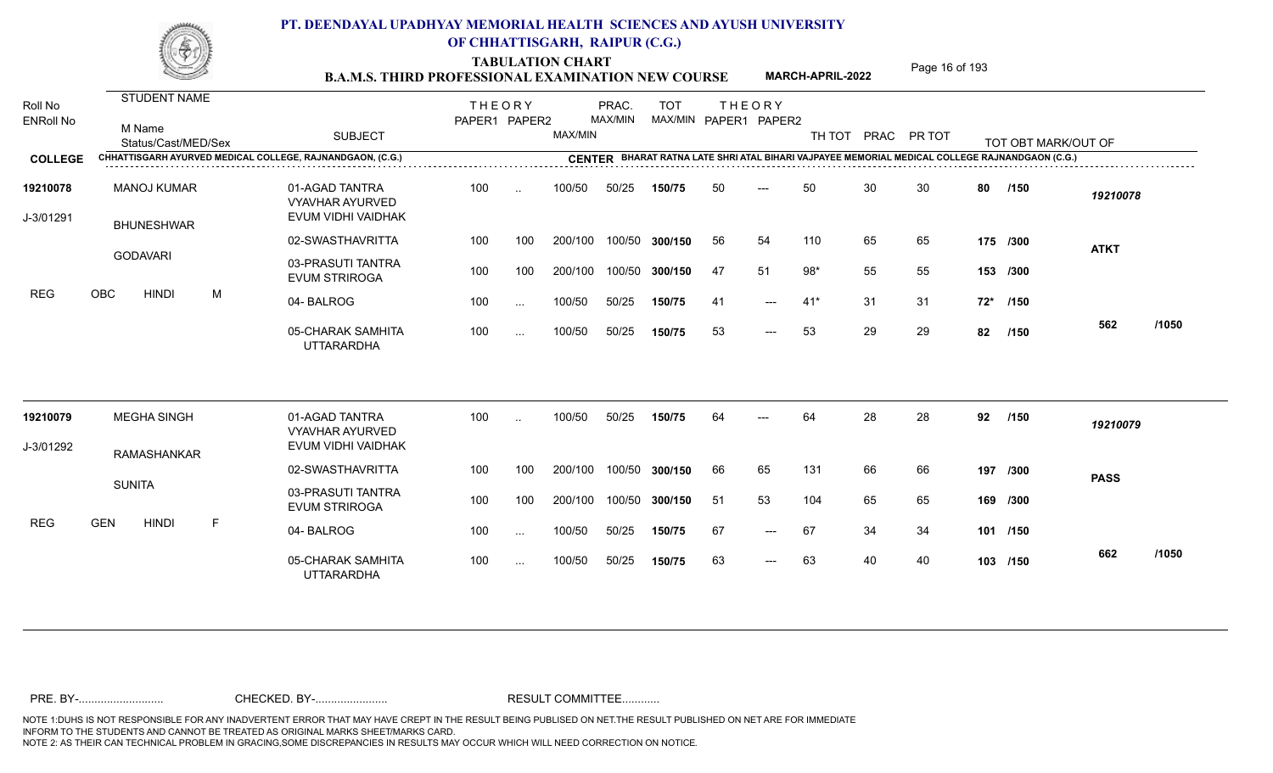TABULATION CHART<br> **TABULATION CHART** PAGE MARCH-APRIL-2022 Page 16 of 193

**MARCH-APRIL-2022**

| Roll No<br><b>ENRoll No</b> | <b>STUDENT NAME</b><br>M Name<br>Status/Cast/MED/Sex |   | <b>SUBJECT</b>                                                 | <b>THEORY</b><br>PAPER1 PAPER2 |           | MAX/MIN | PRAC.<br>MAX/MIN | <b>TOT</b>     |     | <b>THEORY</b><br>MAX/MIN PAPER1 PAPER2 | TH TOT | PRAC PR TOT |    |     | TOT OBT MARK/OUT OF                                                                            |             |       |
|-----------------------------|------------------------------------------------------|---|----------------------------------------------------------------|--------------------------------|-----------|---------|------------------|----------------|-----|----------------------------------------|--------|-------------|----|-----|------------------------------------------------------------------------------------------------|-------------|-------|
| <b>COLLEGE</b>              |                                                      |   | CHHATTISGARH AYURVED MEDICAL COLLEGE, RAJNANDGAON, (C.G.)      |                                |           |         |                  |                |     |                                        |        |             |    |     | CENTER BHARAT RATNA LATE SHRI ATAL BIHARI VAJPAYEE MEMORIAL MEDICAL COLLEGE RAJNANDGAON (C.G.) |             |       |
| 19210078<br>J-3/01291       | <b>MANOJ KUMAR</b><br><b>BHUNESHWAR</b>              |   | 01-AGAD TANTRA<br><b>VYAVHAR AYURVED</b><br>EVUM VIDHI VAIDHAK | 100                            | $\ddotsc$ | 100/50  | 50/25            | 150/75         | 50  | $---$                                  | 50     | 30          | 30 | 80  | /150                                                                                           | 19210078    |       |
|                             |                                                      |   | 02-SWASTHAVRITTA                                               | 100                            | 100       | 200/100 |                  | 100/50 300/150 | 56  | 54                                     | 110    | 65          | 65 |     | 175 /300                                                                                       | <b>ATKT</b> |       |
|                             | <b>GODAVARI</b>                                      |   | 03-PRASUTI TANTRA<br><b>EVUM STRIROGA</b>                      | 100                            | 100       | 200/100 |                  | 100/50 300/150 | 47  | 51                                     | $98*$  | 55          | 55 |     | 153 /300                                                                                       |             |       |
| <b>REG</b>                  | <b>OBC</b><br><b>HINDI</b>                           | M | 04-BALROG                                                      | 100                            | $\sim$    | 100/50  | 50/25            | 150/75         | 41  | $---$                                  | $41*$  | 31          | 31 |     | 72* /150                                                                                       |             |       |
|                             |                                                      |   | 05-CHARAK SAMHITA<br><b>UTTARARDHA</b>                         | 100                            | $\sim$    | 100/50  | 50/25            | 150/75         | 53  | $---$                                  | 53     | 29          | 29 | 82  | /150                                                                                           | 562         | /1050 |
| 19210079                    | <b>MEGHA SINGH</b>                                   |   | 01-AGAD TANTRA<br><b>VYAVHAR AYURVED</b>                       | 100                            | $\sim$    | 100/50  | 50/25            | 150/75         | 64  | $---$                                  | 64     | 28          | 28 | 92  | /150                                                                                           | 19210079    |       |
| J-3/01292                   | RAMASHANKAR                                          |   | EVUM VIDHI VAIDHAK                                             |                                |           |         |                  |                |     |                                        |        |             |    |     |                                                                                                |             |       |
|                             |                                                      |   | 02-SWASTHAVRITTA                                               | 100                            | 100       | 200/100 |                  | 100/50 300/150 | 66  | 65                                     | 131    | 66          | 66 | 197 | /300                                                                                           | <b>PASS</b> |       |
|                             | <b>SUNITA</b>                                        |   | 03-PRASUTI TANTRA<br><b>EVUM STRIROGA</b>                      | 100                            | 100       | 200/100 |                  | 100/50 300/150 | -51 | 53                                     | 104    | 65          | 65 |     | 169 /300                                                                                       |             |       |
| <b>REG</b>                  | <b>GEN</b><br><b>HINDI</b>                           | F | 04-BALROG                                                      | 100                            | $\sim$    | 100/50  | 50/25            | 150/75         | 67  | $\qquad \qquad - -$                    | 67     | 34          | 34 |     | 101 /150                                                                                       |             |       |
|                             |                                                      |   | 05-CHARAK SAMHITA<br><b>UTTARARDHA</b>                         | 100                            | $\cdots$  | 100/50  | 50/25            | 150/75         | 63  | $---$                                  | 63     | 40          | 40 |     | 103 /150                                                                                       | 662         | /1050 |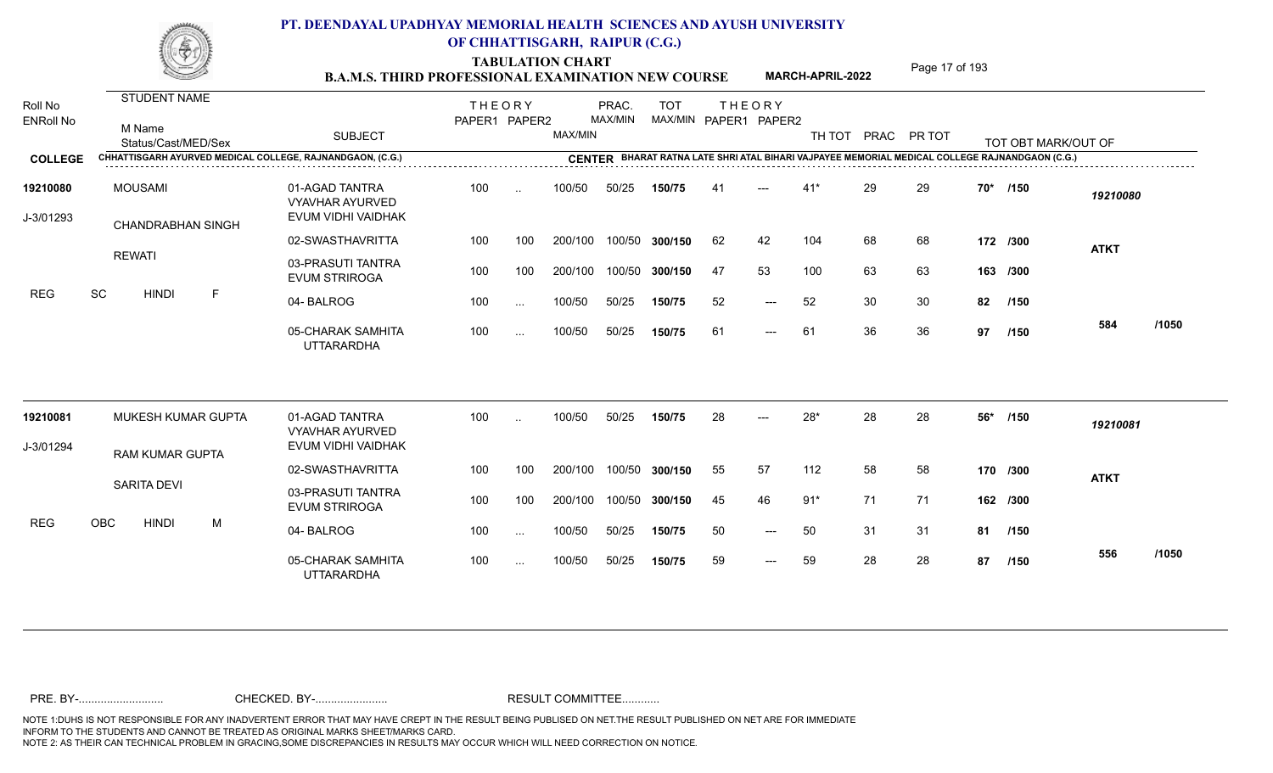TABULATION CHART<br>**B.A.M.S. THIRD PROFESSIONAL EXAMINATION NEW COURSE** MARCH-APRIL-2022 Page 17 of 193

**MARCH-APRIL-2022**

| Roll No<br><b>ENRoll No</b> | <b>STUDENT NAME</b><br>M Name<br>Status/Cast/MED/Sex |   | <b>SUBJECT</b>                                                 | <b>THEORY</b><br>PAPER1 PAPER2 |               | MAX/MIN | PRAC.<br>MAX/MIN | <b>TOT</b><br>MAX/MIN PAPER1 PAPER2 |     | <b>THEORY</b> | TH TOT |    | PRAC PR TOT |     | TOT OBT MARK/OUT OF |             |       |
|-----------------------------|------------------------------------------------------|---|----------------------------------------------------------------|--------------------------------|---------------|---------|------------------|-------------------------------------|-----|---------------|--------|----|-------------|-----|---------------------|-------------|-------|
| <b>COLLEGE</b>              |                                                      |   | CHHATTISGARH AYURVED MEDICAL COLLEGE, RAJNANDGAON, (C.G.)      |                                |               |         |                  |                                     |     |               |        |    |             |     |                     |             |       |
| 19210080<br>J-3/01293       | <b>MOUSAMI</b><br><b>CHANDRABHAN SINGH</b>           |   | 01-AGAD TANTRA<br><b>VYAVHAR AYURVED</b><br>EVUM VIDHI VAIDHAK | 100                            | $\ddotsc$     | 100/50  | 50/25            | 150/75                              | 41  | $---$         | $41*$  | 29 | 29          | 70* | /150                | 19210080    |       |
|                             |                                                      |   | 02-SWASTHAVRITTA                                               | 100                            | 100           | 200/100 |                  | 100/50 300/150                      | 62  | 42            | 104    | 68 | 68          |     | 172 /300            | <b>ATKT</b> |       |
|                             | <b>REWATI</b>                                        |   | 03-PRASUTI TANTRA<br><b>EVUM STRIROGA</b>                      | 100                            | 100           | 200/100 |                  | 100/50 300/150                      | -47 | 53            | 100    | 63 | 63          |     | 163 /300            |             |       |
| <b>REG</b>                  | SC<br><b>HINDI</b>                                   | E | 04-BALROG                                                      | 100                            | $\sim$        | 100/50  | 50/25            | 150/75                              | 52  | $---$         | 52     | 30 | 30          | 82  | /150                |             |       |
|                             |                                                      |   | 05-CHARAK SAMHITA<br><b>UTTARARDHA</b>                         | 100                            | $\cdots$      | 100/50  | 50/25            | 150/75                              | 61  | $---$         | 61     | 36 | 36          | 97  | /150                | 584         | /1050 |
| 19210081                    | MUKESH KUMAR GUPTA                                   |   | 01-AGAD TANTRA<br><b>VYAVHAR AYURVED</b>                       | 100                            | $\ddotsc$     | 100/50  | 50/25            | 150/75                              | 28  |               | $28*$  | 28 | 28          | 56* | /150                | 19210081    |       |
| J-3/01294                   | <b>RAM KUMAR GUPTA</b>                               |   | EVUM VIDHI VAIDHAK                                             |                                |               |         |                  |                                     |     |               |        |    |             |     |                     |             |       |
|                             |                                                      |   | 02-SWASTHAVRITTA                                               | 100                            | 100           | 200/100 | 100/50           | 300/150                             | 55  | 57            | 112    | 58 | 58          |     | 170 /300            | <b>ATKT</b> |       |
|                             | SARITA DEVI                                          |   | 03-PRASUTI TANTRA<br><b>EVUM STRIROGA</b>                      | 100                            | 100           | 200/100 |                  | 100/50 300/150                      | 45  | 46            | $91*$  | 71 | 71          |     | 162 /300            |             |       |
| <b>REG</b>                  | OBC<br><b>HINDI</b>                                  | M | 04-BALROG                                                      | 100                            | $\ddotsc$     | 100/50  | 50/25            | 150/75                              | 50  | $---$         | 50     | 31 | 31          | 81  | /150                |             |       |
|                             |                                                      |   | 05-CHARAK SAMHITA<br><b>UTTARARDHA</b>                         | 100                            | $\sim$ $\sim$ | 100/50  | 50/25            | 150/75                              | 59  | $---$         | 59     | 28 | 28          | 87  | /150                | 556         | /1050 |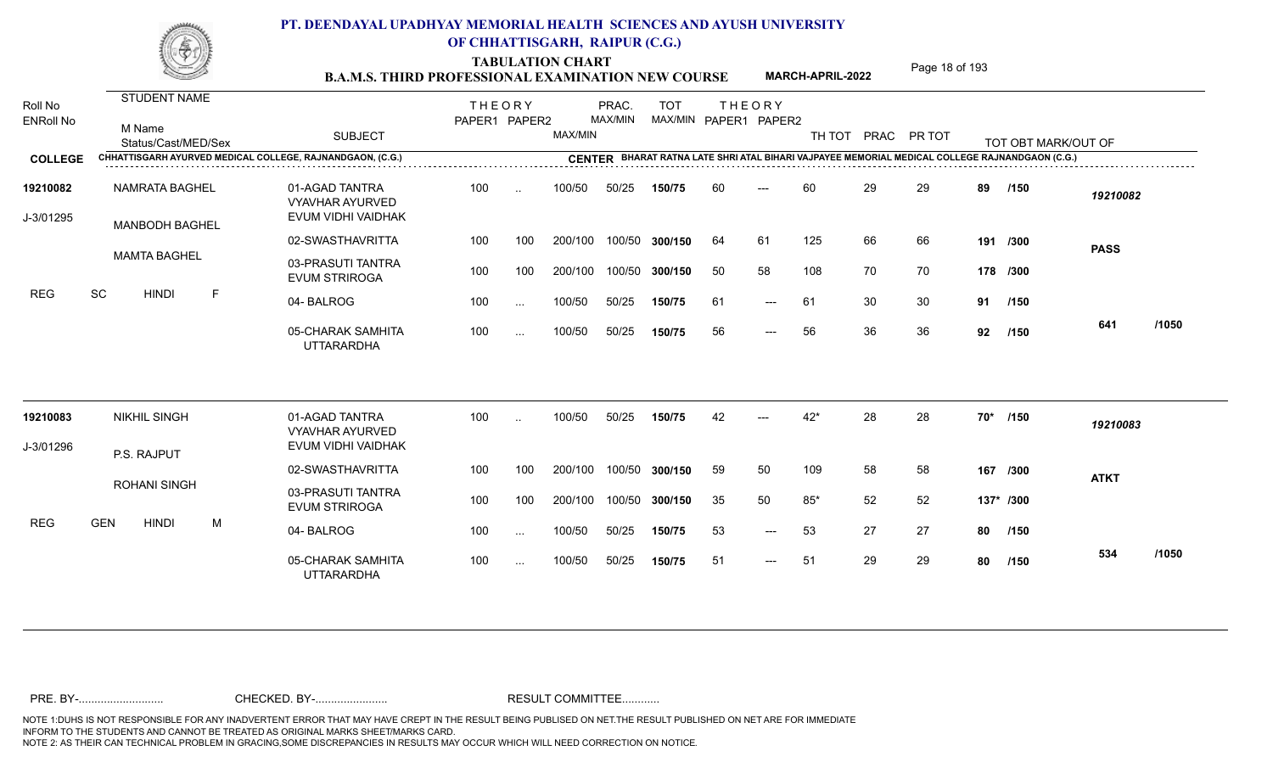TABULATION CHART<br> **TABULATION CHART** PAGE MARCH-APRIL-2022 Page 18 of 193

**MARCH-APRIL-2022**

| Roll No<br><b>ENRoll No</b> | STUDENT NAME<br>M Name<br>Status/Cast/MED/Sex  |   | <b>SUBJECT</b>                                                 | <b>THEORY</b><br>PAPER1 PAPER2 |           | MAX/MIN | PRAC.<br>MAX/MIN | <b>TOT</b><br>MAX/MIN PAPER1 PAPER2 |    | <b>THEORY</b> | TH TOT PRAC PR TOT |    |    |     | TOT OBT MARK/OUT OF                                                                            |             |       |
|-----------------------------|------------------------------------------------|---|----------------------------------------------------------------|--------------------------------|-----------|---------|------------------|-------------------------------------|----|---------------|--------------------|----|----|-----|------------------------------------------------------------------------------------------------|-------------|-------|
| <b>COLLEGE</b>              |                                                |   | CHHATTISGARH AYURVED MEDICAL COLLEGE, RAJNANDGAON, (C.G.)      |                                |           |         |                  |                                     |    |               |                    |    |    |     | CENTER BHARAT RATNA LATE SHRI ATAL BIHARI VAJPAYEE MEMORIAL MEDICAL COLLEGE RAJNANDGAON (C.G.) |             |       |
| 19210082<br>J-3/01295       | <b>NAMRATA BAGHEL</b><br><b>MANBODH BAGHEL</b> |   | 01-AGAD TANTRA<br><b>VYAVHAR AYURVED</b><br>EVUM VIDHI VAIDHAK | 100                            | $\ddotsc$ | 100/50  | 50/25            | 150/75                              | 60 | $---$         | 60                 | 29 | 29 | 89  | /150                                                                                           | 19210082    |       |
|                             |                                                |   | 02-SWASTHAVRITTA                                               | 100                            | 100       | 200/100 |                  | 100/50 300/150                      | 64 | 61            | 125                | 66 | 66 |     | 191 /300                                                                                       | <b>PASS</b> |       |
|                             | <b>MAMTA BAGHEL</b>                            |   | 03-PRASUTI TANTRA<br><b>EVUM STRIROGA</b>                      | 100                            | 100       | 200/100 |                  | 100/50 300/150                      | 50 | 58            | 108                | 70 | 70 |     | 178 /300                                                                                       |             |       |
| <b>REG</b>                  | SC<br><b>HINDI</b>                             | F | 04-BALROG                                                      | 100                            | $\cdots$  | 100/50  | 50/25            | 150/75                              | 61 | ---           | 61                 | 30 | 30 | 91  | /150                                                                                           |             |       |
|                             |                                                |   | 05-CHARAK SAMHITA<br><b>UTTARARDHA</b>                         | 100                            | $\cdots$  | 100/50  | 50/25            | 150/75                              | 56 | $---$         | 56                 | 36 | 36 | 92  | /150                                                                                           | 641         | /1050 |
| 19210083                    | <b>NIKHIL SINGH</b>                            |   | 01-AGAD TANTRA<br><b>VYAVHAR AYURVED</b>                       | 100                            |           | 100/50  | 50/25            | 150/75                              | 42 |               | $42*$              | 28 | 28 | 70* | /150                                                                                           | 19210083    |       |
| J-3/01296                   | P.S. RAJPUT                                    |   | EVUM VIDHI VAIDHAK                                             |                                |           |         |                  |                                     |    |               |                    |    |    |     |                                                                                                |             |       |
|                             |                                                |   | 02-SWASTHAVRITTA                                               | 100                            | 100       | 200/100 |                  | 100/50 300/150                      | 59 | 50            | 109                | 58 | 58 |     | 167 /300                                                                                       | <b>ATKT</b> |       |
|                             | <b>ROHANI SINGH</b>                            |   | 03-PRASUTI TANTRA<br><b>EVUM STRIROGA</b>                      | 100                            | 100       | 200/100 |                  | 100/50 300/150                      | 35 | 50            | $85*$              | 52 | 52 |     | 137* /300                                                                                      |             |       |
| <b>REG</b>                  | <b>GEN</b><br><b>HINDI</b>                     | M | 04-BALROG                                                      | 100                            | $\sim$    | 100/50  | 50/25            | 150/75                              | 53 | $---$         | 53                 | 27 | 27 | 80  | /150                                                                                           |             |       |
|                             |                                                |   | 05-CHARAK SAMHITA<br><b>UTTARARDHA</b>                         | 100                            | $\sim$    | 100/50  | 50/25            | 150/75                              | 51 | ---           | 51                 | 29 | 29 | 80  | /150                                                                                           | 534         | /1050 |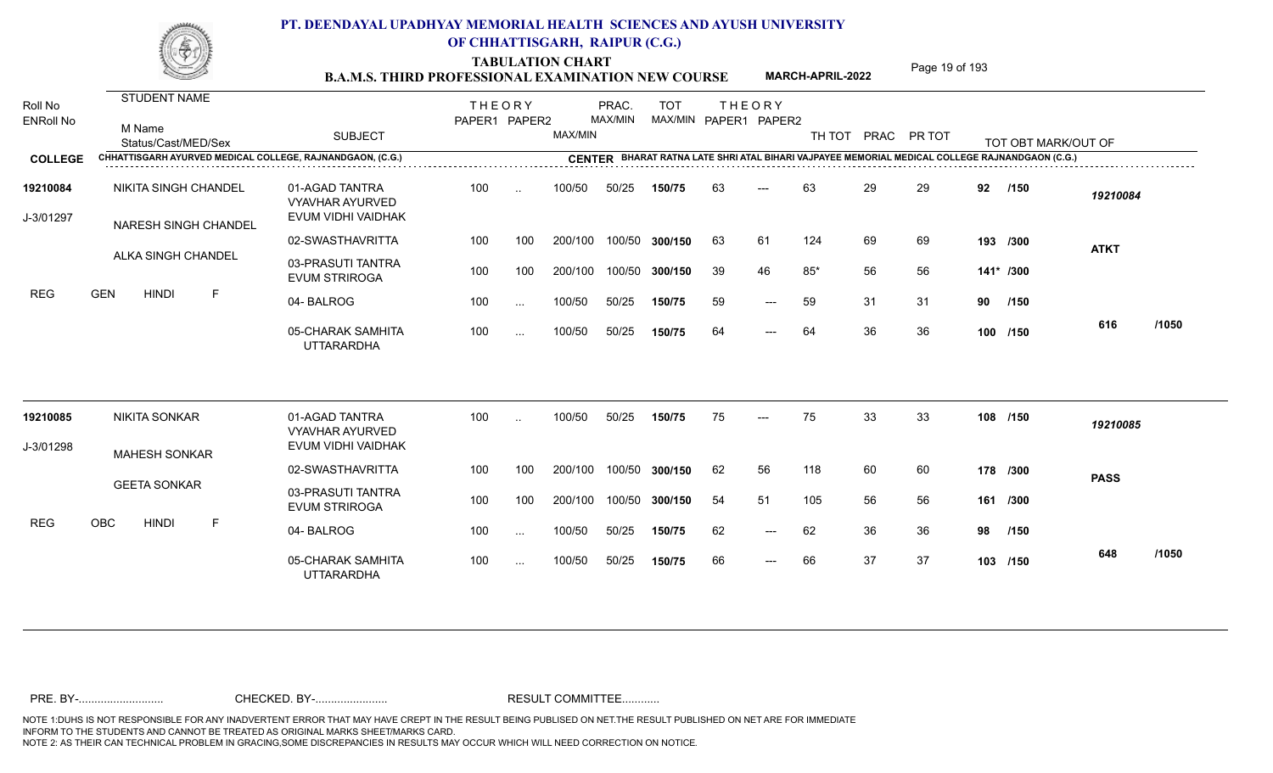TABULATION CHART<br> **TABULATION CHART** PAGE MARCH-APRIL-2022 Page 19 of 193

**MARCH-APRIL-2022**

| Roll No<br><b>ENRoll No</b> | STUDENT NAME<br>M Name<br>Status/Cast/MED/Sex             | <b>SUBJECT</b>                                                 | <b>THEORY</b><br>PAPER1 PAPER2 |               | MAX/MIN | PRAC.<br>MAX/MIN | <b>TOT</b>     |    | <b>THEORY</b><br>MAX/MIN PAPER1 PAPER2 | TH TOT |    | PRAC PR TOT |    | TOT OBT MARK/OUT OF                                                                            |             |       |
|-----------------------------|-----------------------------------------------------------|----------------------------------------------------------------|--------------------------------|---------------|---------|------------------|----------------|----|----------------------------------------|--------|----|-------------|----|------------------------------------------------------------------------------------------------|-------------|-------|
| <b>COLLEGE</b>              | CHHATTISGARH AYURVED MEDICAL COLLEGE, RAJNANDGAON, (C.G.) |                                                                |                                |               |         |                  |                |    |                                        |        |    |             |    | CENTER BHARAT RATNA LATE SHRI ATAL BIHARI VAJPAYEE MEMORIAL MEDICAL COLLEGE RAJNANDGAON (C.G.) |             |       |
| 19210084<br>J-3/01297       | NIKITA SINGH CHANDEL<br><b>NARESH SINGH CHANDEL</b>       | 01-AGAD TANTRA<br><b>VYAVHAR AYURVED</b><br>EVUM VIDHI VAIDHAK | 100                            | $\ddotsc$     | 100/50  | 50/25            | 150/75         | 63 | $---$                                  | 63     | 29 | 29          | 92 | /150                                                                                           | 19210084    |       |
|                             |                                                           | 02-SWASTHAVRITTA                                               | 100                            | 100           | 200/100 |                  | 100/50 300/150 | 63 | 61                                     | 124    | 69 | 69          |    | 193 /300                                                                                       | <b>ATKT</b> |       |
|                             | ALKA SINGH CHANDEL                                        | 03-PRASUTI TANTRA<br><b>EVUM STRIROGA</b>                      | 100                            | 100           | 200/100 |                  | 100/50 300/150 | 39 | 46                                     | $85*$  | 56 | 56          |    | 141* /300                                                                                      |             |       |
| <b>REG</b>                  | <b>GEN</b><br><b>HINDI</b><br>F                           | 04-BALROG                                                      | 100                            | $\ldots$      | 100/50  | 50/25            | 150/75         | 59 | $---$                                  | 59     | 31 | 31          | 90 | /150                                                                                           |             |       |
|                             |                                                           | 05-CHARAK SAMHITA<br><b>UTTARARDHA</b>                         | 100                            | $\sim$ .      | 100/50  | 50/25            | 150/75         | 64 | $---$                                  | 64     | 36 | 36          |    | 100 /150                                                                                       | 616         | /1050 |
| 19210085                    | <b>NIKITA SONKAR</b>                                      | 01-AGAD TANTRA<br><b>VYAVHAR AYURVED</b>                       | 100                            | $\cdot$ .     | 100/50  | 50/25            | 150/75         | 75 | $---$                                  | 75     | 33 | 33          |    | 108 /150                                                                                       | 19210085    |       |
| J-3/01298                   | <b>MAHESH SONKAR</b>                                      | EVUM VIDHI VAIDHAK                                             |                                |               |         |                  |                |    |                                        |        |    |             |    |                                                                                                |             |       |
|                             |                                                           | 02-SWASTHAVRITTA                                               | 100                            | 100           | 200/100 |                  | 100/50 300/150 | 62 | 56                                     | 118    | 60 | 60          |    | 178 /300                                                                                       | <b>PASS</b> |       |
|                             | <b>GEETA SONKAR</b>                                       | 03-PRASUTI TANTRA<br><b>EVUM STRIROGA</b>                      | 100                            | 100           | 200/100 |                  | 100/50 300/150 | 54 | 51                                     | 105    | 56 | 56          |    | 161 /300                                                                                       |             |       |
| <b>REG</b>                  | <b>OBC</b><br><b>HINDI</b><br>F                           | 04-BALROG                                                      | 100                            | $\ldots$      | 100/50  | 50/25            | 150/75         | 62 | $\qquad \qquad - -$                    | 62     | 36 | 36          | 98 | /150                                                                                           |             |       |
|                             |                                                           | 05-CHARAK SAMHITA<br><b>UTTARARDHA</b>                         | 100                            | $\sim$ $\sim$ | 100/50  | 50/25            | 150/75         | 66 | $---$                                  | 66     | 37 | 37          |    | 103 /150                                                                                       | 648         | /1050 |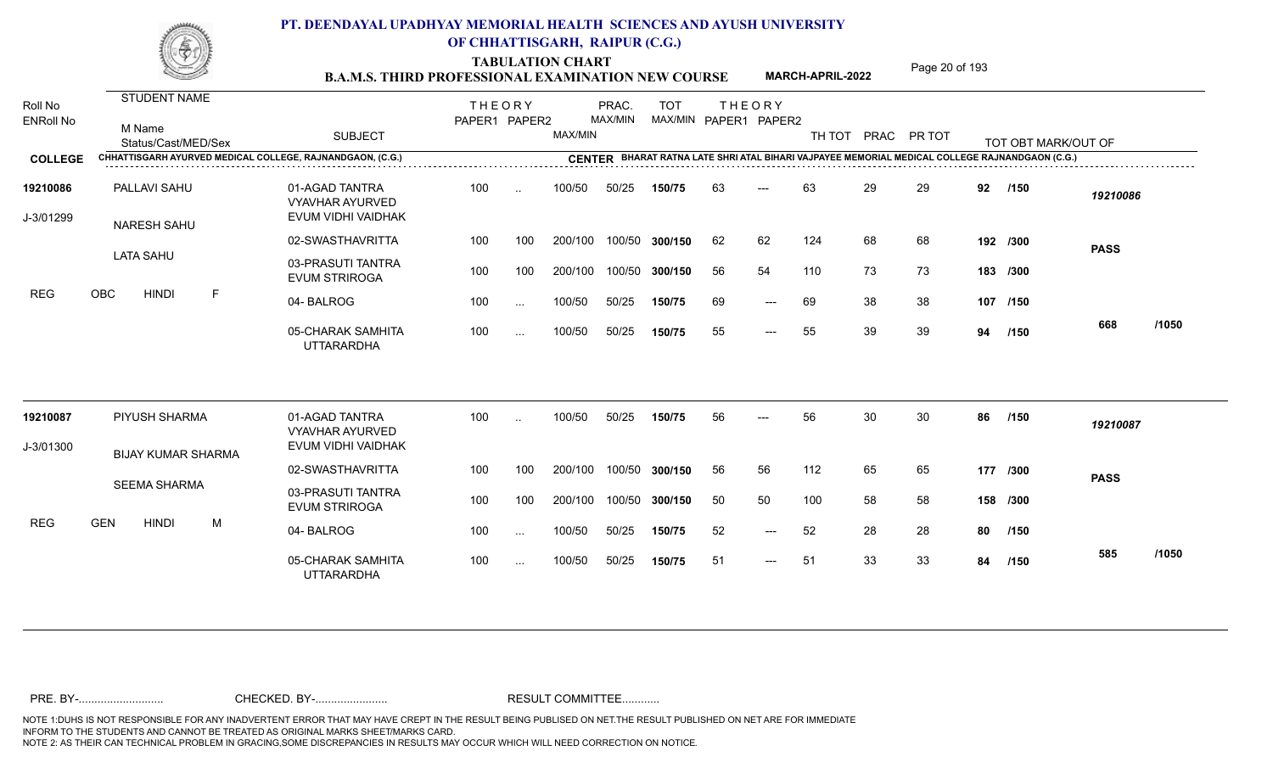TABULATION CHART<br> **TABULATION CHART** PAGE MARCH-APRIL-2022 Page 20 of 193

**MARCH-APRIL-2022**

| Roll No<br><b>ENRoll No</b> | STUDENT NAME<br>M Name<br>Status/Cast/MED/Sex             | <b>SUBJECT</b>                                                 | <b>THEORY</b><br>PAPER1 PAPER2 |                      | MAX/MIN | PRAC.<br>MAX/MIN | <b>TOT</b>     |    | <b>THEORY</b><br>MAX/MIN PAPER1 PAPER2 | TH TOT |    | PRAC PR TOT |    | TOT OBT MARK/OUT OF                                                                            |             |       |
|-----------------------------|-----------------------------------------------------------|----------------------------------------------------------------|--------------------------------|----------------------|---------|------------------|----------------|----|----------------------------------------|--------|----|-------------|----|------------------------------------------------------------------------------------------------|-------------|-------|
| <b>COLLEGE</b>              | CHHATTISGARH AYURVED MEDICAL COLLEGE, RAJNANDGAON, (C.G.) |                                                                |                                |                      |         |                  |                |    |                                        |        |    |             |    | CENTER BHARAT RATNA LATE SHRI ATAL BIHARI VAJPAYEE MEMORIAL MEDICAL COLLEGE RAJNANDGAON (C.G.) |             |       |
| 19210086<br>J-3/01299       | PALLAVI SAHU<br>NARESH SAHU                               | 01-AGAD TANTRA<br><b>VYAVHAR AYURVED</b><br>EVUM VIDHI VAIDHAK | 100                            | $\ddotsc$            | 100/50  | 50/25            | 150/75         | 63 | $---$                                  | 63     | 29 | 29          | 92 | /150                                                                                           | 19210086    |       |
|                             |                                                           | 02-SWASTHAVRITTA                                               | 100                            | 100                  | 200/100 |                  | 100/50 300/150 | 62 | 62                                     | 124    | 68 | 68          |    | 192 /300                                                                                       | <b>PASS</b> |       |
|                             | <b>LATA SAHU</b>                                          | 03-PRASUTI TANTRA<br><b>EVUM STRIROGA</b>                      | 100                            | 100                  | 200/100 |                  | 100/50 300/150 | 56 | 54                                     | 110    | 73 | 73          |    | 183 /300                                                                                       |             |       |
| <b>REG</b>                  | OBC<br><b>HINDI</b><br>F                                  | 04-BALROG                                                      | 100                            | $\ldots$             | 100/50  | 50/25            | 150/75         | 69 | $---$                                  | 69     | 38 | 38          |    | 107 /150                                                                                       |             |       |
|                             |                                                           | 05-CHARAK SAMHITA<br><b>UTTARARDHA</b>                         | 100                            | $\sim$ $\sim$        | 100/50  | 50/25            | 150/75         | 55 | $\qquad \qquad - -$                    | 55     | 39 | 39          | 94 | /150                                                                                           | 668         | /1050 |
| 19210087                    | PIYUSH SHARMA                                             | 01-AGAD TANTRA<br><b>VYAVHAR AYURVED</b>                       | 100                            | $\ddot{\phantom{a}}$ | 100/50  | 50/25            | 150/75         | 56 | $---$                                  | 56     | 30 | 30          | 86 | /150                                                                                           | 19210087    |       |
| J-3/01300                   | <b>BIJAY KUMAR SHARMA</b>                                 | EVUM VIDHI VAIDHAK                                             |                                |                      |         |                  |                |    |                                        |        |    |             |    |                                                                                                |             |       |
|                             |                                                           | 02-SWASTHAVRITTA                                               | 100                            | 100                  | 200/100 |                  | 100/50 300/150 | 56 | 56                                     | 112    | 65 | 65          |    | 177 /300                                                                                       | <b>PASS</b> |       |
|                             | SEEMA SHARMA                                              | 03-PRASUTI TANTRA<br><b>EVUM STRIROGA</b>                      | 100                            | 100                  | 200/100 |                  | 100/50 300/150 | 50 | 50                                     | 100    | 58 | 58          |    | 158 /300                                                                                       |             |       |
| <b>REG</b>                  | <b>GEN</b><br><b>HINDI</b><br>M                           | 04-BALROG                                                      | 100                            | $\sim$ $\sim$        | 100/50  | 50/25            | 150/75         | 52 | $\qquad \qquad - -$                    | 52     | 28 | 28          | 80 | /150                                                                                           |             |       |
|                             |                                                           | 05-CHARAK SAMHITA<br><b>UTTARARDHA</b>                         | 100                            | $\sim$ $\sim$        | 100/50  | 50/25            | 150/75         | 51 | $---$                                  | 51     | 33 | 33          | 84 | /150                                                                                           | 585         | /1050 |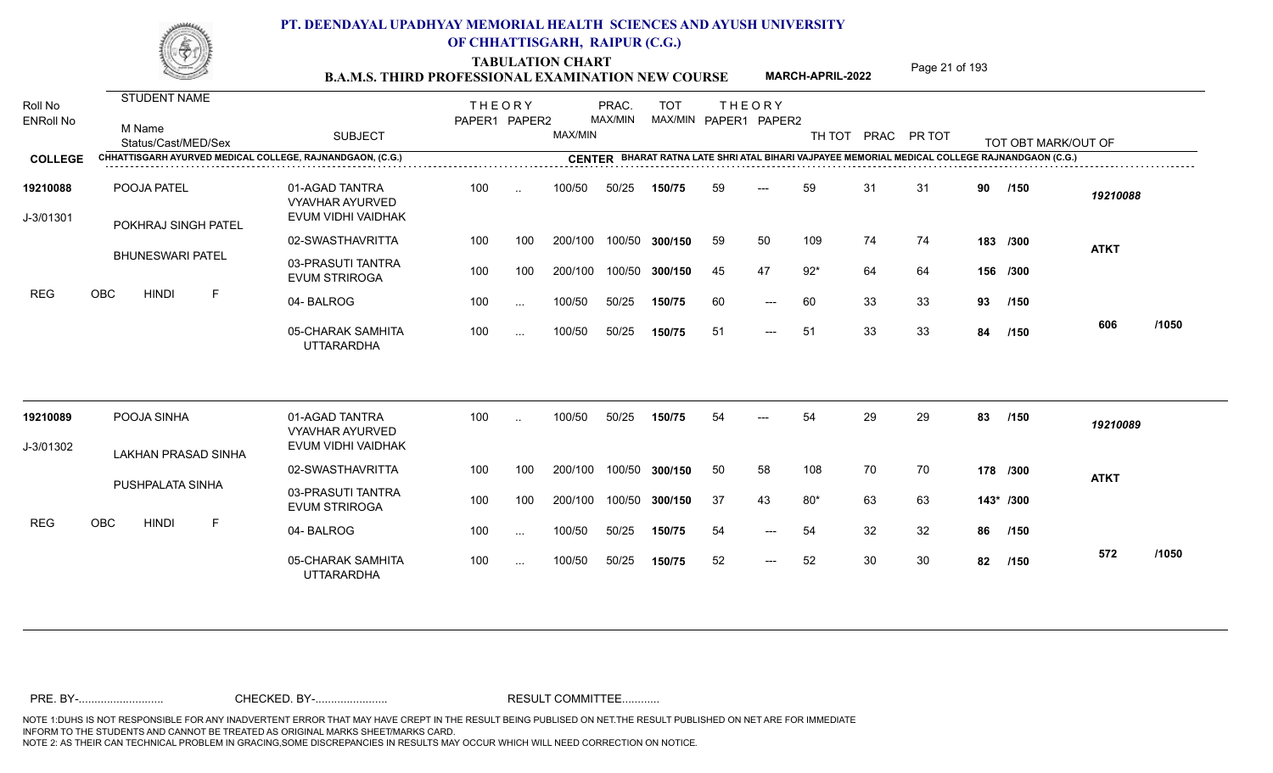TABULATION CHART<br> **TABULATION CHART** PAGE MARCH-APRIL-2022 Page 21 of 193

**MARCH-APRIL-2022**

| Roll No<br><b>ENRoll No</b> | <b>STUDENT NAME</b><br>M Name<br>Status/Cast/MED/Sex      | <b>SUBJECT</b>                                                 | <b>THEORY</b><br>PAPER1 PAPER2 |               | MAX/MIN | PRAC.<br>MAX/MIN | <b>TOT</b><br>MAX/MIN PAPER1 PAPER2 |     | <b>THEORY</b> |       |    | TH TOT PRAC PR TOT |    | TOT OBT MARK/OUT OF                                                                            |             |       |
|-----------------------------|-----------------------------------------------------------|----------------------------------------------------------------|--------------------------------|---------------|---------|------------------|-------------------------------------|-----|---------------|-------|----|--------------------|----|------------------------------------------------------------------------------------------------|-------------|-------|
| <b>COLLEGE</b>              | CHHATTISGARH AYURVED MEDICAL COLLEGE, RAJNANDGAON, (C.G.) |                                                                |                                |               |         |                  |                                     |     |               |       |    |                    |    | CENTER BHARAT RATNA LATE SHRI ATAL BIHARI VAJPAYEE MEMORIAL MEDICAL COLLEGE RAJNANDGAON (C.G.) |             |       |
| 19210088<br>J-3/01301       | POOJA PATEL<br>POKHRAJ SINGH PATEL                        | 01-AGAD TANTRA<br><b>VYAVHAR AYURVED</b><br>EVUM VIDHI VAIDHAK | 100                            | $\ddotsc$     | 100/50  | 50/25            | 150/75                              | 59  |               | 59    | 31 | 31                 | 90 | /150                                                                                           | 19210088    |       |
|                             |                                                           | 02-SWASTHAVRITTA                                               | 100                            | 100           | 200/100 | 100/50           | 300/150                             | 59  | 50            | 109   | 74 | 74                 |    | 183 /300                                                                                       | <b>ATKT</b> |       |
|                             | <b>BHUNESWARI PATEL</b>                                   | 03-PRASUTI TANTRA<br><b>EVUM STRIROGA</b>                      | 100                            | 100           | 200/100 | 100/50           | 300/150                             | 45  | 47            | $92*$ | 64 | 64                 |    | 156 /300                                                                                       |             |       |
| <b>REG</b>                  | OBC<br>$\mathsf F$<br><b>HINDI</b>                        | 04-BALROG                                                      | 100                            | $\sim$ $\sim$ | 100/50  | 50/25            | 150/75                              | 60  | $---$         | 60    | 33 | 33                 | 93 | /150                                                                                           |             |       |
|                             |                                                           | 05-CHARAK SAMHITA<br><b>UTTARARDHA</b>                         | 100                            | $\cdots$      | 100/50  | 50/25            | 150/75                              | -51 | $---$         | 51    | 33 | 33                 | 84 | /150                                                                                           | 606         | /1050 |
| 19210089                    | POOJA SINHA                                               | 01-AGAD TANTRA<br><b>VYAVHAR AYURVED</b>                       | 100                            | $\sim$        | 100/50  | 50/25            | 150/75                              | 54  | ---           | 54    | 29 | 29                 | 83 | /150                                                                                           | 19210089    |       |
| J-3/01302                   | <b>LAKHAN PRASAD SINHA</b>                                | EVUM VIDHI VAIDHAK                                             |                                |               |         |                  |                                     |     |               |       |    |                    |    |                                                                                                |             |       |
|                             |                                                           | 02-SWASTHAVRITTA                                               | 100                            | 100           | 200/100 | 100/50           | 300/150                             | 50  | 58            | 108   | 70 | 70                 |    | 178 /300                                                                                       | <b>ATKT</b> |       |
|                             | PUSHPALATA SINHA                                          | 03-PRASUTI TANTRA<br><b>EVUM STRIROGA</b>                      | 100                            | 100           | 200/100 | 100/50           | 300/150                             | 37  | 43            | $80*$ | 63 | 63                 |    | 143* /300                                                                                      |             |       |
| <b>REG</b>                  | <b>OBC</b><br><b>HINDI</b><br>-F                          | 04-BALROG                                                      | 100                            | $\cdots$      | 100/50  | 50/25            | 150/75                              | 54  | $---$         | 54    | 32 | 32                 | 86 | /150                                                                                           |             |       |
|                             |                                                           | 05-CHARAK SAMHITA<br><b>UTTARARDHA</b>                         | 100                            | $\cdots$      | 100/50  | 50/25            | 150/75                              | 52  | $---$         | 52    | 30 | 30                 | 82 | /150                                                                                           | 572         | /1050 |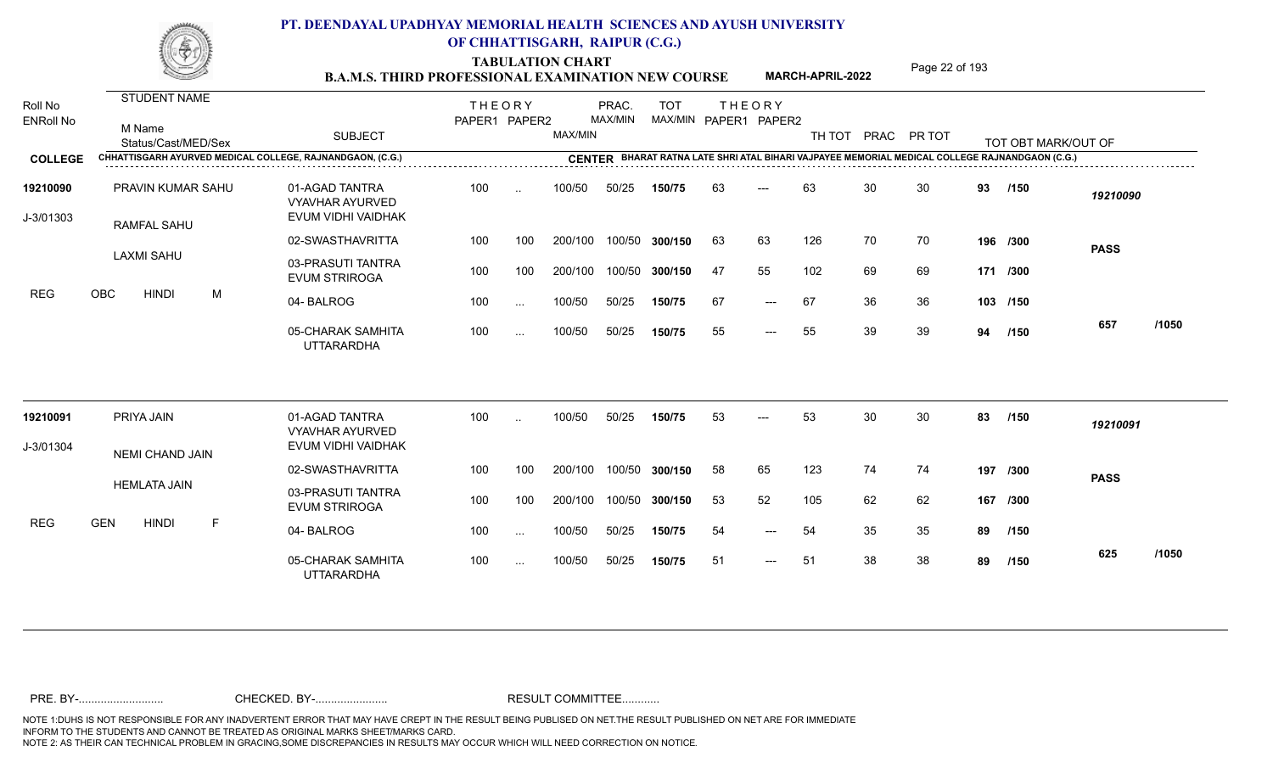TABULATION CHART<br> **TABULATION CHART** PAGE **Page 22 of 193 B.A.M.S. THIRD PROFESSIONAL EXAMINATION NEW COURSE MARCH-APRIL-2022** 

**MARCH-APRIL-2022**

| Roll No<br><b>ENRoll No</b> | STUDENT NAME<br>M Name<br>Status/Cast/MED/Sex             | <b>SUBJECT</b>                                                 | <b>THEORY</b><br>PAPER1 PAPER2 |                      | MAX/MIN | PRAC.<br>MAX/MIN | <b>TOT</b>     |    | <b>THEORY</b><br>MAX/MIN PAPER1 PAPER2 |     |    | TH TOT PRAC PR TOT |    | TOT OBT MARK/OUT OF                                                                            |             |       |
|-----------------------------|-----------------------------------------------------------|----------------------------------------------------------------|--------------------------------|----------------------|---------|------------------|----------------|----|----------------------------------------|-----|----|--------------------|----|------------------------------------------------------------------------------------------------|-------------|-------|
| <b>COLLEGE</b>              | CHHATTISGARH AYURVED MEDICAL COLLEGE, RAJNANDGAON, (C.G.) |                                                                |                                |                      |         |                  |                |    |                                        |     |    |                    |    | CENTER BHARAT RATNA LATE SHRI ATAL BIHARI VAJPAYEE MEMORIAL MEDICAL COLLEGE RAJNANDGAON (C.G.) |             |       |
| 19210090<br>J-3/01303       | PRAVIN KUMAR SAHU<br><b>RAMFAL SAHU</b>                   | 01-AGAD TANTRA<br><b>VYAVHAR AYURVED</b><br>EVUM VIDHI VAIDHAK | 100                            | $\ddotsc$            | 100/50  | 50/25            | 150/75         | 63 | $---$                                  | 63  | 30 | 30                 | 93 | /150                                                                                           | 19210090    |       |
|                             |                                                           | 02-SWASTHAVRITTA                                               | 100                            | 100                  | 200/100 |                  | 100/50 300/150 | 63 | 63                                     | 126 | 70 | 70                 |    | 196 /300                                                                                       | <b>PASS</b> |       |
|                             | <b>LAXMI SAHU</b>                                         | 03-PRASUTI TANTRA<br><b>EVUM STRIROGA</b>                      | 100                            | 100                  | 200/100 |                  | 100/50 300/150 | 47 | 55                                     | 102 | 69 | 69                 |    | 171 /300                                                                                       |             |       |
| <b>REG</b>                  | <b>OBC</b><br><b>HINDI</b><br>M                           | 04-BALROG                                                      | 100                            | $\sim$ $\sim$        | 100/50  | 50/25            | 150/75         | 67 | $---$                                  | 67  | 36 | 36                 |    | 103 /150                                                                                       |             |       |
|                             |                                                           | 05-CHARAK SAMHITA<br><b>UTTARARDHA</b>                         | 100                            | $\cdots$             | 100/50  | 50/25            | 150/75         | 55 | $---$                                  | 55  | 39 | 39                 | 94 | /150                                                                                           | 657         | /1050 |
| 19210091                    | PRIYA JAIN                                                | 01-AGAD TANTRA<br><b>VYAVHAR AYURVED</b>                       | 100                            | $\ddot{\phantom{a}}$ | 100/50  | 50/25            | 150/75         | 53 | $---$                                  | 53  | 30 | 30                 | 83 | /150                                                                                           | 19210091    |       |
| J-3/01304                   | <b>NEMI CHAND JAIN</b>                                    | EVUM VIDHI VAIDHAK                                             |                                |                      |         |                  |                |    |                                        |     |    |                    |    |                                                                                                |             |       |
|                             |                                                           | 02-SWASTHAVRITTA                                               | 100                            | 100                  | 200/100 |                  | 100/50 300/150 | 58 | 65                                     | 123 | 74 | 74                 |    | 197 /300                                                                                       | <b>PASS</b> |       |
|                             | <b>HEMLATA JAIN</b>                                       | 03-PRASUTI TANTRA<br><b>EVUM STRIROGA</b>                      | 100                            | 100                  | 200/100 |                  | 100/50 300/150 | 53 | 52                                     | 105 | 62 | 62                 |    | 167 /300                                                                                       |             |       |
| <b>REG</b>                  | <b>GEN</b><br><b>HINDI</b><br>F                           | 04-BALROG                                                      | 100                            | $\sim$ $\sim$        | 100/50  | 50/25            | 150/75         | 54 | $---$                                  | 54  | 35 | 35                 | 89 | /150                                                                                           |             |       |
|                             |                                                           | 05-CHARAK SAMHITA<br><b>UTTARARDHA</b>                         | 100                            | $\sim$ $\sim$        | 100/50  | 50/25            | 150/75         | 51 | $---$                                  | 51  | 38 | 38                 | 89 | /150                                                                                           | 625         | /1050 |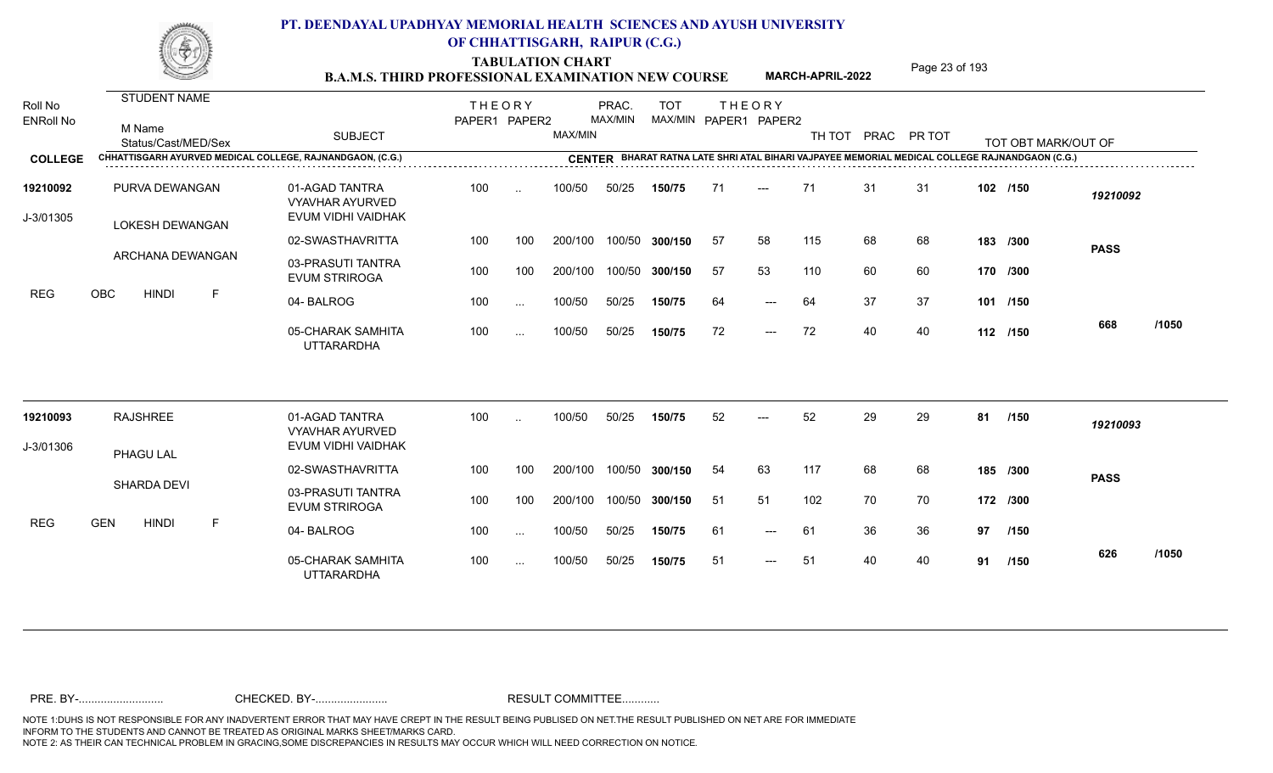TABULATION CHART<br> **TABULATION CHART** PAGE MARCH-APRIL-2022 Page 23 of 193

**MARCH-APRIL-2022**

| Roll No<br><b>ENRoll No</b> | STUDENT NAME<br>M Name<br>Status/Cast/MED/Sex             | <b>SUBJECT</b>                                                 | <b>THEORY</b><br>PAPER1 PAPER2 |                          | MAX/MIN | PRAC.<br>MAX/MIN | <b>TOT</b>     |     | <b>THEORY</b><br>MAX/MIN PAPER1 PAPER2 |     |    | TH TOT PRAC PR TOT |    | TOT OBT MARK/OUT OF                                                                            |             |       |
|-----------------------------|-----------------------------------------------------------|----------------------------------------------------------------|--------------------------------|--------------------------|---------|------------------|----------------|-----|----------------------------------------|-----|----|--------------------|----|------------------------------------------------------------------------------------------------|-------------|-------|
| <b>COLLEGE</b>              | CHHATTISGARH AYURVED MEDICAL COLLEGE, RAJNANDGAON, (C.G.) |                                                                |                                |                          |         |                  |                |     |                                        |     |    |                    |    | CENTER BHARAT RATNA LATE SHRI ATAL BIHARI VAJPAYEE MEMORIAL MEDICAL COLLEGE RAJNANDGAON (C.G.) |             |       |
| 19210092<br>J-3/01305       | PURVA DEWANGAN<br>LOKESH DEWANGAN                         | 01-AGAD TANTRA<br><b>VYAVHAR AYURVED</b><br>EVUM VIDHI VAIDHAK | 100                            | $\ddotsc$                | 100/50  | 50/25            | 150/75         | 71  | $---$                                  | 71  | 31 | 31                 |    | 102 /150                                                                                       | 19210092    |       |
|                             |                                                           | 02-SWASTHAVRITTA                                               | 100                            | 100                      | 200/100 |                  | 100/50 300/150 | 57  | 58                                     | 115 | 68 | 68                 |    | 183 /300                                                                                       | <b>PASS</b> |       |
|                             | ARCHANA DEWANGAN                                          | 03-PRASUTI TANTRA<br><b>EVUM STRIROGA</b>                      | 100                            | 100                      | 200/100 |                  | 100/50 300/150 | 57  | 53                                     | 110 | 60 | 60                 |    | 170 /300                                                                                       |             |       |
| <b>REG</b>                  | OBC<br><b>HINDI</b><br>$\mathsf{F}$                       | 04-BALROG                                                      | 100                            | $\sim$ $\sim$            | 100/50  | 50/25            | 150/75         | 64  | $---$                                  | 64  | 37 | 37                 |    | 101 /150                                                                                       |             |       |
|                             |                                                           | 05-CHARAK SAMHITA<br><b>UTTARARDHA</b>                         | 100                            | $\cdots$                 | 100/50  | 50/25            | 150/75         | 72  | $---$                                  | 72  | 40 | 40                 |    | 112 /150                                                                                       | 668         | /1050 |
| 19210093                    | <b>RAJSHREE</b>                                           | 01-AGAD TANTRA<br><b>VYAVHAR AYURVED</b>                       | 100                            | $\overline{\phantom{a}}$ | 100/50  | 50/25            | 150/75         | 52  | $---$                                  | 52  | 29 | 29                 | 81 | /150                                                                                           | 19210093    |       |
| J-3/01306                   | PHAGU LAL                                                 | EVUM VIDHI VAIDHAK                                             |                                |                          |         |                  |                |     |                                        |     |    |                    |    |                                                                                                |             |       |
|                             |                                                           | 02-SWASTHAVRITTA                                               | 100                            | 100                      | 200/100 |                  | 100/50 300/150 | 54  | 63                                     | 117 | 68 | 68                 |    | 185 /300                                                                                       | <b>PASS</b> |       |
|                             | SHARDA DEVI                                               | 03-PRASUTI TANTRA<br><b>EVUM STRIROGA</b>                      | 100                            | 100                      | 200/100 |                  | 100/50 300/150 | -51 | 51                                     | 102 | 70 | 70                 |    | 172 /300                                                                                       |             |       |
| <b>REG</b>                  | <b>GEN</b><br><b>HINDI</b><br>F                           | 04-BALROG                                                      | 100                            | $\cdots$                 | 100/50  | 50/25            | 150/75         | 61  | $---$                                  | 61  | 36 | 36                 | 97 | /150                                                                                           |             |       |
|                             |                                                           | 05-CHARAK SAMHITA<br><b>UTTARARDHA</b>                         | 100                            | $\sim$ $\sim$            | 100/50  | 50/25            | 150/75         | -51 | $---$                                  | 51  | 40 | 40                 | 91 | /150                                                                                           | 626         | /1050 |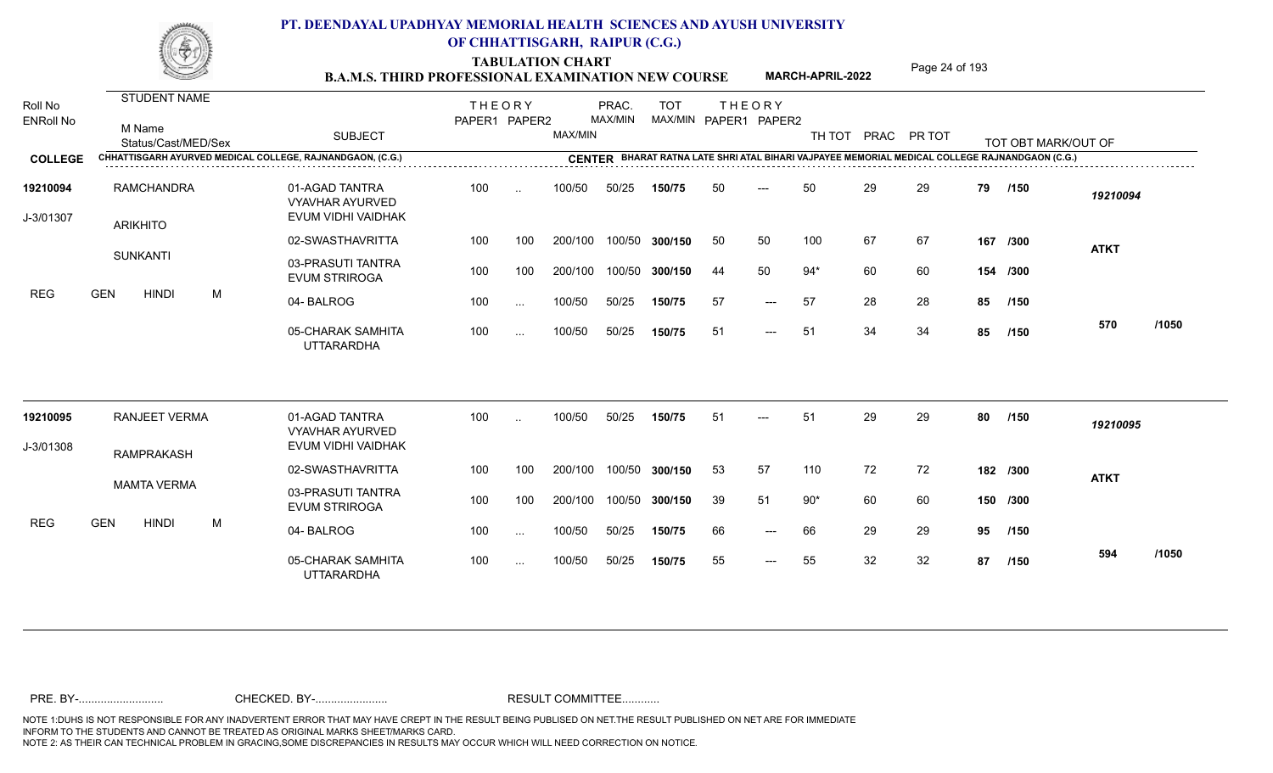TABULATION CHART<br>**B.A.M.S. THIRD PROFESSIONAL EXAMINATION NEW COURSE** MARCH-APRIL-2022 Page 24 of 193

**MARCH-APRIL-2022**

| Roll No<br><b>ENRoll No</b> | STUDENT NAME<br>M Name<br>Status/Cast/MED/Sex |   | <b>SUBJECT</b>                                                 | <b>THEORY</b><br>PAPER1 PAPER2 |               | MAX/MIN | PRAC.<br>MAX/MIN | <b>TOT</b>     |    | <b>THEORY</b><br>MAX/MIN PAPER1 PAPER2 | TH TOT |    | PRAC PR TOT |    | TOT OBT MARK/OUT OF                                                                            |             |       |
|-----------------------------|-----------------------------------------------|---|----------------------------------------------------------------|--------------------------------|---------------|---------|------------------|----------------|----|----------------------------------------|--------|----|-------------|----|------------------------------------------------------------------------------------------------|-------------|-------|
| <b>COLLEGE</b>              |                                               |   | CHHATTISGARH AYURVED MEDICAL COLLEGE, RAJNANDGAON, (C.G.)      |                                |               |         |                  |                |    |                                        |        |    |             |    | CENTER BHARAT RATNA LATE SHRI ATAL BIHARI VAJPAYEE MEMORIAL MEDICAL COLLEGE RAJNANDGAON (C.G.) |             |       |
| 19210094<br>J-3/01307       | RAMCHANDRA<br><b>ARIKHITO</b>                 |   | 01-AGAD TANTRA<br><b>VYAVHAR AYURVED</b><br>EVUM VIDHI VAIDHAK | 100                            | $\ddotsc$     | 100/50  | 50/25            | 150/75         | 50 | $---$                                  | 50     | 29 | 29          | 79 | /150                                                                                           | 19210094    |       |
|                             |                                               |   | 02-SWASTHAVRITTA                                               | 100                            | 100           | 200/100 |                  | 100/50 300/150 | 50 | 50                                     | 100    | 67 | 67          |    | 167 /300                                                                                       | <b>ATKT</b> |       |
|                             | <b>SUNKANTI</b>                               |   | 03-PRASUTI TANTRA<br><b>EVUM STRIROGA</b>                      | 100                            | 100           | 200/100 |                  | 100/50 300/150 | 44 | 50                                     | $94*$  | 60 | 60          |    | 154 /300                                                                                       |             |       |
| <b>REG</b>                  | <b>GEN</b><br><b>HINDI</b>                    | M | 04-BALROG                                                      | 100                            | $\ldots$      | 100/50  | 50/25            | 150/75         | 57 | $---$                                  | 57     | 28 | 28          | 85 | /150                                                                                           |             |       |
|                             |                                               |   | 05-CHARAK SAMHITA<br><b>UTTARARDHA</b>                         | 100                            | $\sim$ .      | 100/50  | 50/25            | 150/75         | 51 | $\qquad \qquad - -$                    | 51     | 34 | 34          | 85 | /150                                                                                           | 570         | /1050 |
| 19210095                    | <b>RANJEET VERMA</b>                          |   | 01-AGAD TANTRA<br><b>VYAVHAR AYURVED</b>                       | 100                            | $\cdot$ .     | 100/50  | 50/25            | 150/75         | 51 | $---$                                  | 51     | 29 | 29          | 80 | /150                                                                                           | 19210095    |       |
| J-3/01308                   | <b>RAMPRAKASH</b>                             |   | EVUM VIDHI VAIDHAK                                             |                                |               |         |                  |                |    |                                        |        |    |             |    |                                                                                                |             |       |
|                             |                                               |   | 02-SWASTHAVRITTA                                               | 100                            | 100           | 200/100 |                  | 100/50 300/150 | 53 | 57                                     | 110    | 72 | 72          |    | 182 /300                                                                                       | <b>ATKT</b> |       |
|                             | <b>MAMTA VERMA</b>                            |   | 03-PRASUTI TANTRA<br><b>EVUM STRIROGA</b>                      | 100                            | 100           | 200/100 |                  | 100/50 300/150 | 39 | 51                                     | $90*$  | 60 | 60          |    | 150 /300                                                                                       |             |       |
| <b>REG</b>                  | <b>GEN</b><br><b>HINDI</b>                    | М | 04-BALROG                                                      | 100                            | $\ldots$      | 100/50  | 50/25            | 150/75         | 66 | $\qquad \qquad - -$                    | 66     | 29 | 29          | 95 | /150                                                                                           |             |       |
|                             |                                               |   | 05-CHARAK SAMHITA<br><b>UTTARARDHA</b>                         | 100                            | $\sim$ $\sim$ | 100/50  | 50/25            | 150/75         | 55 | $---$                                  | 55     | 32 | 32          | 87 | /150                                                                                           | 594         | /1050 |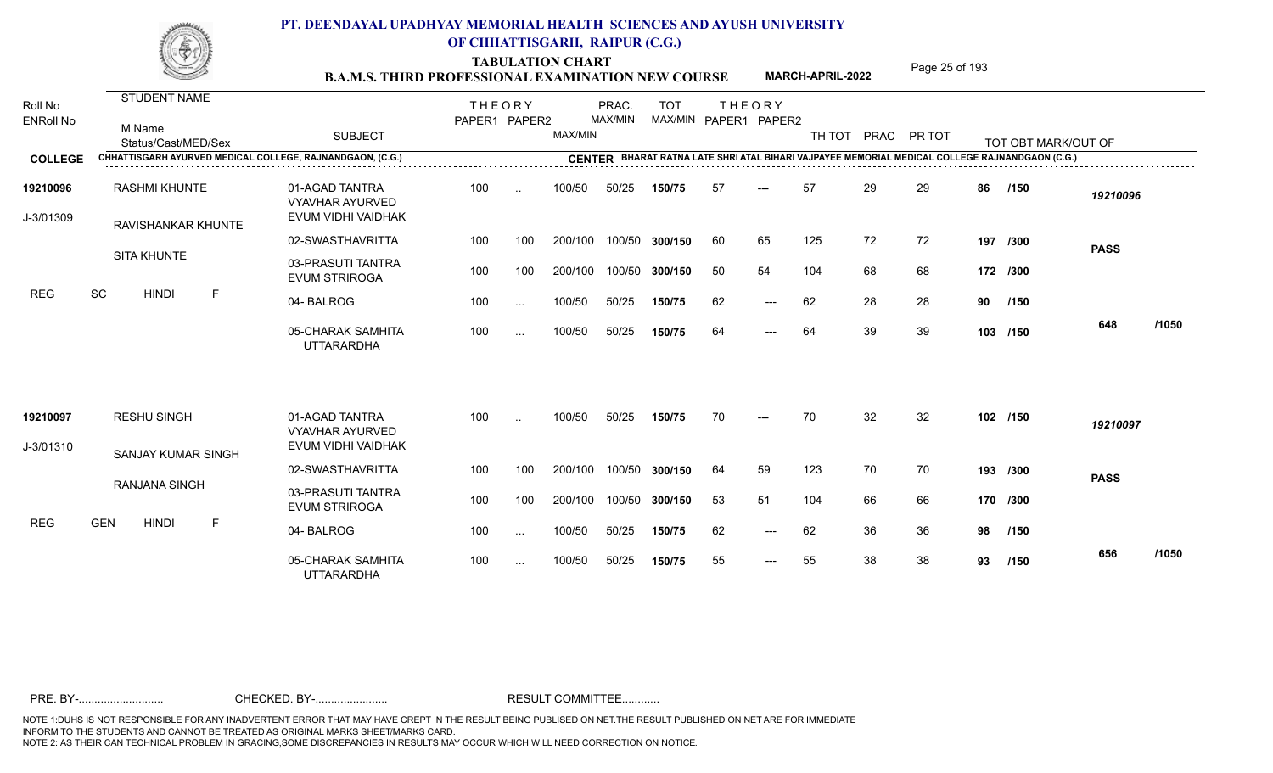TABULATION CHART<br> **TABULATION CHART B.A.M.S. THIRD PROFESSIONAL EXAMINATION NEW COURSE MARCH-APRIL-2022 Page 25 of 193** 

**MARCH-APRIL-2022**

| Roll No<br><b>ENRoll No</b> | STUDENT NAME<br>M Name<br>Status/Cast/MED/Sex             | <b>SUBJECT</b>                                                 | <b>THEORY</b><br>PAPER1 PAPER2 |               | MAX/MIN | PRAC.<br>MAX/MIN | <b>TOT</b>     |    | <b>THEORY</b><br>MAX/MIN PAPER1 PAPER2 | TH TOT |    | PRAC PR TOT |    | TOT OBT MARK/OUT OF                                                                            |             |       |
|-----------------------------|-----------------------------------------------------------|----------------------------------------------------------------|--------------------------------|---------------|---------|------------------|----------------|----|----------------------------------------|--------|----|-------------|----|------------------------------------------------------------------------------------------------|-------------|-------|
| <b>COLLEGE</b>              | CHHATTISGARH AYURVED MEDICAL COLLEGE, RAJNANDGAON, (C.G.) |                                                                |                                |               |         |                  |                |    |                                        |        |    |             |    | CENTER BHARAT RATNA LATE SHRI ATAL BIHARI VAJPAYEE MEMORIAL MEDICAL COLLEGE RAJNANDGAON (C.G.) |             |       |
| 19210096<br>J-3/01309       | <b>RASHMI KHUNTE</b><br>RAVISHANKAR KHUNTE                | 01-AGAD TANTRA<br><b>VYAVHAR AYURVED</b><br>EVUM VIDHI VAIDHAK | 100                            | $\ddotsc$     | 100/50  | 50/25            | 150/75         | 57 | $---$                                  | 57     | 29 | 29          | 86 | /150                                                                                           | 19210096    |       |
|                             |                                                           | 02-SWASTHAVRITTA                                               | 100                            | 100           | 200/100 |                  | 100/50 300/150 | 60 | 65                                     | 125    | 72 | 72          |    | 197 /300                                                                                       | <b>PASS</b> |       |
|                             | <b>SITA KHUNTE</b>                                        | 03-PRASUTI TANTRA<br><b>EVUM STRIROGA</b>                      | 100                            | 100           | 200/100 |                  | 100/50 300/150 | 50 | 54                                     | 104    | 68 | 68          |    | 172 /300                                                                                       |             |       |
| <b>REG</b>                  | <b>SC</b><br><b>HINDI</b><br>F                            | 04-BALROG                                                      | 100                            | $\sim$ $\sim$ | 100/50  | 50/25            | 150/75         | 62 | $---$                                  | 62     | 28 | 28          | 90 | /150                                                                                           |             |       |
|                             |                                                           | 05-CHARAK SAMHITA<br><b>UTTARARDHA</b>                         | 100                            | $\sim$ .      | 100/50  | 50/25            | 150/75         | 64 | $---$                                  | 64     | 39 | 39          |    | 103 /150                                                                                       | 648         | /1050 |
| 19210097                    | <b>RESHU SINGH</b>                                        | 01-AGAD TANTRA<br><b>VYAVHAR AYURVED</b>                       | 100                            | $\ddotsc$     | 100/50  | 50/25            | 150/75         | 70 |                                        | 70     | 32 | 32          |    | 102 /150                                                                                       | 19210097    |       |
| J-3/01310                   | SANJAY KUMAR SINGH                                        | EVUM VIDHI VAIDHAK                                             |                                |               |         |                  |                |    |                                        |        |    |             |    |                                                                                                |             |       |
|                             |                                                           | 02-SWASTHAVRITTA                                               | 100                            | 100           | 200/100 |                  | 100/50 300/150 | 64 | 59                                     | 123    | 70 | 70          |    | 193 /300                                                                                       | <b>PASS</b> |       |
|                             | RANJANA SINGH                                             | 03-PRASUTI TANTRA<br><b>EVUM STRIROGA</b>                      | 100                            | 100           | 200/100 |                  | 100/50 300/150 | 53 | 51                                     | 104    | 66 | 66          |    | 170 /300                                                                                       |             |       |
| <b>REG</b>                  | <b>GEN</b><br><b>HINDI</b><br>F                           | 04-BALROG                                                      | 100                            | $\sim$ .      | 100/50  | 50/25            | 150/75         | 62 | $---$                                  | 62     | 36 | 36          | 98 | /150                                                                                           |             |       |
|                             |                                                           | 05-CHARAK SAMHITA<br><b>UTTARARDHA</b>                         | 100                            | $\sim$ $\sim$ | 100/50  | 50/25            | 150/75         | 55 | $---$                                  | 55     | 38 | 38          | 93 | /150                                                                                           | 656         | /1050 |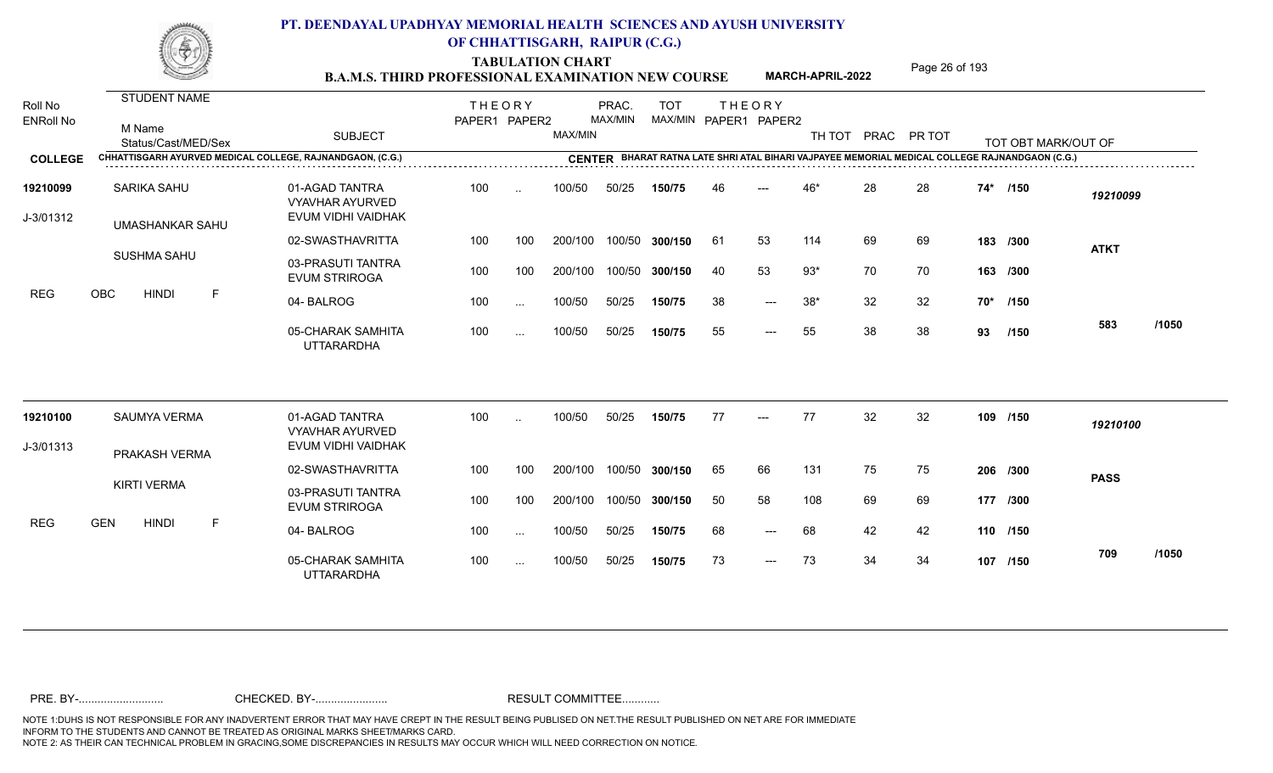TABULATION CHART<br> **TABULATION CHART** PAGE 26 of 193<br> **B.A.M.S. THIRD PROFESSIONAL EXAMINATION NEW COURSE** MARCH-APRIL-2022

**MARCH-APRIL-2022**

| Roll No<br><b>ENRoll No</b> | STUDENT NAME<br>M Name<br>Status/Cast/MED/Sex             | <b>SUBJECT</b>                                                 | <b>THEORY</b><br>PAPER1 PAPER2 |               | MAX/MIN | PRAC.<br>MAX/MIN | <b>TOT</b>     |     | <b>THEORY</b><br>MAX/MIN PAPER1 PAPER2 | TH TOT |    | PRAC PR TOT |     | TOT OBT MARK/OUT OF                                                                            |             |       |
|-----------------------------|-----------------------------------------------------------|----------------------------------------------------------------|--------------------------------|---------------|---------|------------------|----------------|-----|----------------------------------------|--------|----|-------------|-----|------------------------------------------------------------------------------------------------|-------------|-------|
| <b>COLLEGE</b>              | CHHATTISGARH AYURVED MEDICAL COLLEGE, RAJNANDGAON, (C.G.) |                                                                |                                |               |         |                  |                |     |                                        |        |    |             |     | CENTER BHARAT RATNA LATE SHRI ATAL BIHARI VAJPAYEE MEMORIAL MEDICAL COLLEGE RAJNANDGAON (C.G.) |             |       |
| 19210099<br>J-3/01312       | SARIKA SAHU<br><b>UMASHANKAR SAHU</b>                     | 01-AGAD TANTRA<br><b>VYAVHAR AYURVED</b><br>EVUM VIDHI VAIDHAK | 100                            | $\ddotsc$     | 100/50  | 50/25            | 150/75         | 46  | $---$                                  | 46*    | 28 | 28          | 74* | /150                                                                                           | 19210099    |       |
|                             |                                                           | 02-SWASTHAVRITTA                                               | 100                            | 100           | 200/100 |                  | 100/50 300/150 | -61 | 53                                     | 114    | 69 | 69          |     | 183 /300                                                                                       | <b>ATKT</b> |       |
|                             | <b>SUSHMA SAHU</b>                                        | 03-PRASUTI TANTRA<br><b>EVUM STRIROGA</b>                      | 100                            | 100           | 200/100 |                  | 100/50 300/150 | 40  | 53                                     | $93*$  | 70 | 70          |     | 163 /300                                                                                       |             |       |
| <b>REG</b>                  | OBC<br><b>HINDI</b><br>F                                  | 04-BALROG                                                      | 100                            | $\sim$ .      | 100/50  | 50/25            | 150/75         | 38  | $---$                                  | $38*$  | 32 | 32          |     | 70* /150                                                                                       |             |       |
|                             |                                                           | 05-CHARAK SAMHITA<br><b>UTTARARDHA</b>                         | 100                            | $\sim$ .      | 100/50  | 50/25            | 150/75         | 55  | $---$                                  | 55     | 38 | 38          | 93  | /150                                                                                           | 583         | /1050 |
| 19210100                    | <b>SAUMYA VERMA</b>                                       | 01-AGAD TANTRA<br><b>VYAVHAR AYURVED</b>                       | 100                            | $\ddotsc$     | 100/50  | 50/25            | 150/75         | 77  | $---$                                  | 77     | 32 | 32          |     | 109 /150                                                                                       | 19210100    |       |
| J-3/01313                   | PRAKASH VERMA                                             | EVUM VIDHI VAIDHAK                                             |                                |               |         |                  |                |     |                                        |        |    |             |     |                                                                                                |             |       |
|                             |                                                           | 02-SWASTHAVRITTA                                               | 100                            | 100           | 200/100 |                  | 100/50 300/150 | 65  | 66                                     | 131    | 75 | 75          |     | 206 /300                                                                                       | <b>PASS</b> |       |
|                             | <b>KIRTI VERMA</b>                                        | 03-PRASUTI TANTRA<br><b>EVUM STRIROGA</b>                      | 100                            | 100           | 200/100 |                  | 100/50 300/150 | 50  | 58                                     | 108    | 69 | 69          |     | 177 /300                                                                                       |             |       |
| <b>REG</b>                  | <b>GEN</b><br><b>HINDI</b><br>F                           | 04-BALROG                                                      | 100                            | $\sim$ $\sim$ | 100/50  | 50/25            | 150/75         | 68  | $\qquad \qquad - -$                    | 68     | 42 | 42          |     | 110 /150                                                                                       |             |       |
|                             |                                                           | 05-CHARAK SAMHITA<br><b>UTTARARDHA</b>                         | 100                            | $\sim$ $\sim$ | 100/50  | 50/25            | 150/75         | 73  | $---$                                  | 73     | 34 | 34          |     | 107 /150                                                                                       | 709         | /1050 |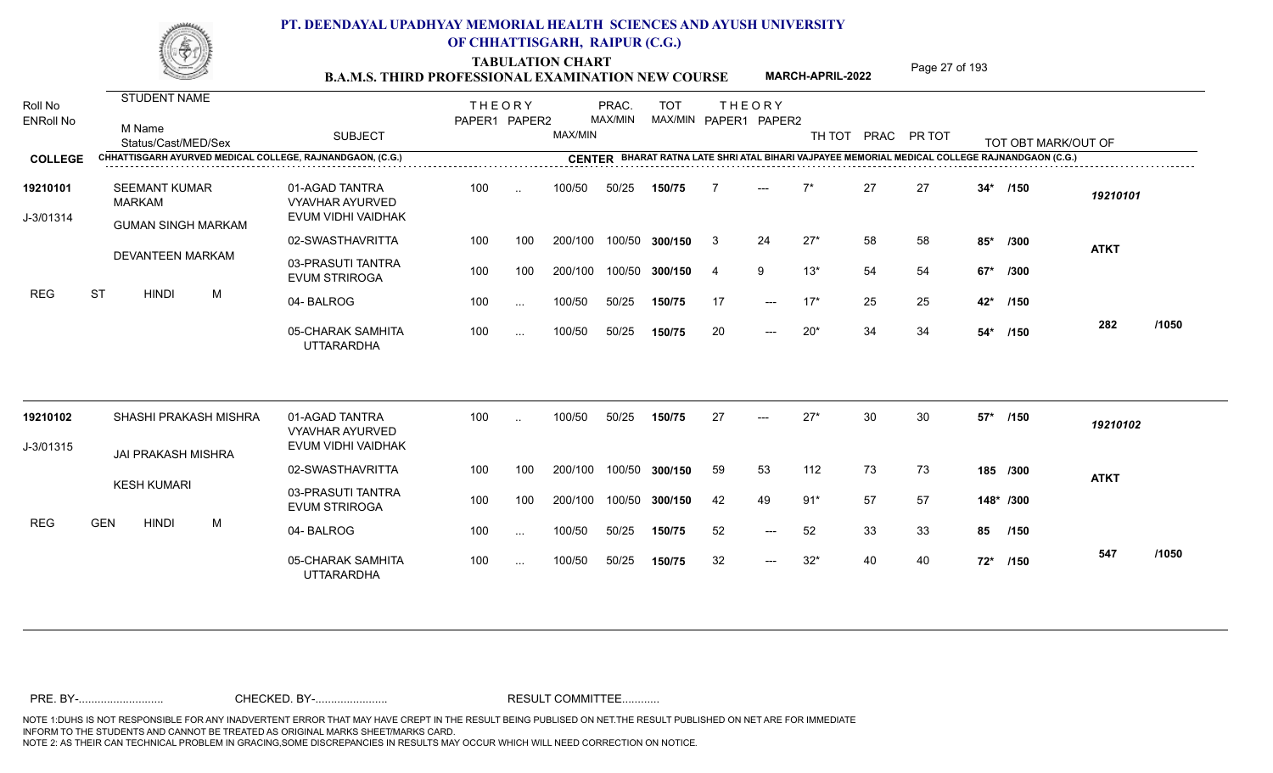TABULATION CHART<br>**B.A.M.S. THIRD PROFESSIONAL EXAMINATION NEW COURSE** MARCH-APRIL-2022 Page 27 of 193

**MARCH-APRIL-2022**

| Roll No<br><b>ENRoll No</b> |            |               | STUDENT NAME<br>M Name<br>Status/Cast/MED/Sex |                       | <b>SUBJECT</b>                                                 | <b>THEORY</b><br>PAPER1 PAPER2 |           | MAX/MIN | PRAC.<br>MAX/MIN | <b>TOT</b> |    | <b>THEORY</b><br>MAX/MIN PAPER1 PAPER2 |       |    | TH TOT PRAC PR TOT |        | TOT OBT MARK/OUT OF                                                                            |             |       |
|-----------------------------|------------|---------------|-----------------------------------------------|-----------------------|----------------------------------------------------------------|--------------------------------|-----------|---------|------------------|------------|----|----------------------------------------|-------|----|--------------------|--------|------------------------------------------------------------------------------------------------|-------------|-------|
| <b>COLLEGE</b>              |            |               |                                               |                       | CHHATTISGARH AYURVED MEDICAL COLLEGE, RAJNANDGAON, (C.G.)      |                                |           |         |                  |            |    |                                        |       |    |                    |        | CENTER BHARAT RATNA LATE SHRI ATAL BIHARI VAJPAYEE MEMORIAL MEDICAL COLLEGE RAJNANDGAON (C.G.) |             |       |
| 19210101<br>J-3/01314       |            | <b>MARKAM</b> | <b>SEEMANT KUMAR</b>                          |                       | 01-AGAD TANTRA<br><b>VYAVHAR AYURVED</b><br>EVUM VIDHI VAIDHAK | 100                            | $\ddotsc$ | 100/50  | 50/25            | 150/75     |    |                                        | $7*$  | 27 | 27                 | $34*$  | /150                                                                                           | 19210101    |       |
|                             |            |               | <b>GUMAN SINGH MARKAM</b>                     |                       | 02-SWASTHAVRITTA                                               | 100                            | 100       | 200/100 | 100/50           | 300/150    | -3 | 24                                     | $27*$ | 58 | 58                 | $85*$  | /300                                                                                           |             |       |
|                             |            |               | <b>DEVANTEEN MARKAM</b>                       |                       | 03-PRASUTI TANTRA<br><b>EVUM STRIROGA</b>                      | 100                            | 100       | 200/100 | 100/50           | 300/150    | 4  | 9                                      | $13*$ | 54 | 54                 | $67*$  | /300                                                                                           | <b>ATKT</b> |       |
| <b>REG</b>                  | <b>ST</b>  |               | <b>HINDI</b>                                  | M                     | 04-BALROG                                                      | 100                            | $\ddots$  | 100/50  | 50/25            | 150/75     | 17 | $---$                                  | $17*$ | 25 | 25                 | 42*    | /150                                                                                           |             |       |
|                             |            |               |                                               |                       | 05-CHARAK SAMHITA<br><b>UTTARARDHA</b>                         | 100                            | $\ddotsc$ | 100/50  | 50/25            | 150/75     | 20 | $---$                                  | $20*$ | 34 | 34                 |        | 54* /150                                                                                       | 282         | /1050 |
| 19210102                    |            |               |                                               | SHASHI PRAKASH MISHRA | 01-AGAD TANTRA<br><b>VYAVHAR AYURVED</b>                       | 100                            | $\ddotsc$ | 100/50  | 50/25            | 150/75     | 27 | $---$                                  | $27*$ | 30 | 30                 | $57*$  | /150                                                                                           | 19210102    |       |
| J-3/01315                   |            |               | <b>JAI PRAKASH MISHRA</b>                     |                       | EVUM VIDHI VAIDHAK                                             |                                |           |         |                  |            |    |                                        |       |    |                    |        |                                                                                                |             |       |
|                             |            |               |                                               |                       | 02-SWASTHAVRITTA                                               | 100                            | 100       | 200/100 | 100/50           | 300/150    | 59 | 53                                     | 112   | 73 | 73                 |        | 185 /300                                                                                       | <b>ATKT</b> |       |
|                             |            |               | <b>KESH KUMARI</b>                            |                       | 03-PRASUTI TANTRA<br><b>EVUM STRIROGA</b>                      | 100                            | 100       | 200/100 | 100/50           | 300/150    | 42 | 49                                     | $91*$ | 57 | 57                 |        | 148* /300                                                                                      |             |       |
| <b>REG</b>                  | <b>GEN</b> |               | <b>HINDI</b>                                  | M                     | 04-BALROG                                                      | 100                            | $\ddotsc$ | 100/50  | 50/25            | 150/75     | 52 | $---$                                  | 52    | 33 | 33                 | 85     | /150                                                                                           |             |       |
|                             |            |               |                                               |                       | 05-CHARAK SAMHITA<br><b>UTTARARDHA</b>                         | 100                            | $\sim$    | 100/50  | 50/25            | 150/75     | 32 | $---$                                  | $32*$ | 40 | 40                 | $72^*$ | /150                                                                                           | 547         | /1050 |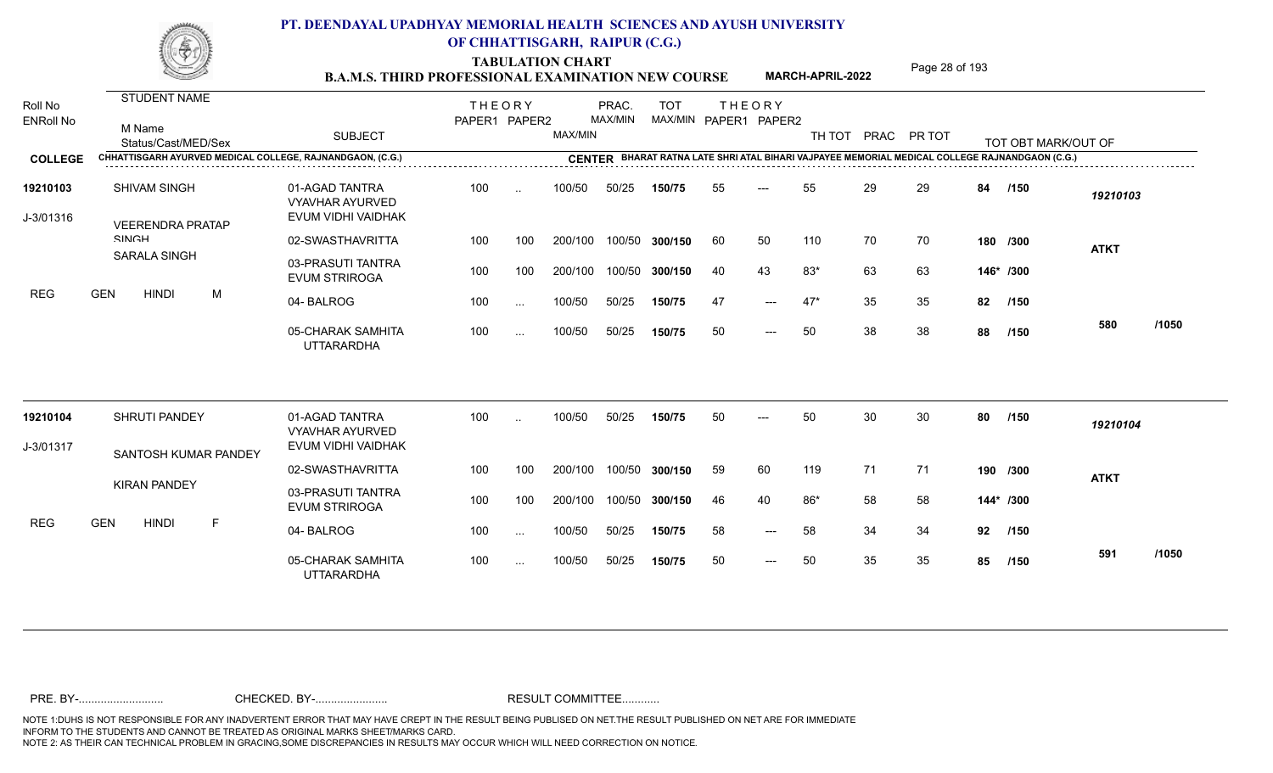TABULATION CHART<br>**B.A.M.S. THIRD PROFESSIONAL EXAMINATION NEW COURSE** MARCH-APRIL-2022 Page 28 of 193

**MARCH-APRIL-2022**

| Roll No               | <b>STUDENT NAME</b>                                       |                                                                | <b>THEORY</b> |           |         | PRAC.   | <b>TOT</b>     |    | <b>THEORY</b>         |        |    |             |    |                                                                                                |             |       |
|-----------------------|-----------------------------------------------------------|----------------------------------------------------------------|---------------|-----------|---------|---------|----------------|----|-----------------------|--------|----|-------------|----|------------------------------------------------------------------------------------------------|-------------|-------|
| <b>ENRoll No</b>      | M Name<br>Status/Cast/MED/Sex                             | <b>SUBJECT</b>                                                 | PAPER1 PAPER2 |           | MAX/MIN | MAX/MIN |                |    | MAX/MIN PAPER1 PAPER2 | TH TOT |    | PRAC PR TOT |    | TOT OBT MARK/OUT OF                                                                            |             |       |
| <b>COLLEGE</b>        | CHHATTISGARH AYURVED MEDICAL COLLEGE, RAJNANDGAON, (C.G.) |                                                                |               |           |         |         |                |    |                       |        |    |             |    | CENTER BHARAT RATNA LATE SHRI ATAL BIHARI VAJPAYEE MEMORIAL MEDICAL COLLEGE RAJNANDGAON (C.G.) |             |       |
| 19210103<br>J-3/01316 | <b>SHIVAM SINGH</b><br><b>VEERENDRA PRATAP</b>            | 01-AGAD TANTRA<br><b>VYAVHAR AYURVED</b><br>EVUM VIDHI VAIDHAK | 100           | $\sim$    | 100/50  | 50/25   | 150/75         | 55 | $---$                 | 55     | 29 | 29          | 84 | /150                                                                                           | 19210103    |       |
|                       | <b>SINICH</b>                                             | 02-SWASTHAVRITTA                                               | 100           | 100       | 200/100 |         | 100/50 300/150 | 60 | 50                    | 110    | 70 | 70          |    | 180 /300                                                                                       | <b>ATKT</b> |       |
|                       | <b>SARALA SINGH</b>                                       | 03-PRASUTI TANTRA<br><b>EVUM STRIROGA</b>                      | 100           | 100       | 200/100 |         | 100/50 300/150 | 40 | 43                    | $83*$  | 63 | 63          |    | 146* /300                                                                                      |             |       |
| <b>REG</b>            | <b>GEN</b><br><b>HINDI</b><br>M                           | 04-BALROG                                                      | 100           | $\cdots$  | 100/50  | 50/25   | 150/75         | 47 | $---$                 | $47*$  | 35 | 35          | 82 | /150                                                                                           |             |       |
|                       |                                                           | 05-CHARAK SAMHITA<br><b>UTTARARDHA</b>                         | 100           | $\cdots$  | 100/50  | 50/25   | 150/75         | 50 | $---$                 | 50     | 38 | 38          | 88 | /150                                                                                           | 580         | /1050 |
| 19210104              | SHRUTI PANDEY                                             | 01-AGAD TANTRA<br><b>VYAVHAR AYURVED</b>                       | 100           | $\ddotsc$ | 100/50  | 50/25   | 150/75         | 50 | ---                   | 50     | 30 | 30          | 80 | /150                                                                                           | 19210104    |       |
| J-3/01317             | SANTOSH KUMAR PANDEY                                      | EVUM VIDHI VAIDHAK                                             |               |           |         |         |                |    |                       |        |    |             |    |                                                                                                |             |       |
|                       |                                                           | 02-SWASTHAVRITTA                                               | 100           | 100       | 200/100 | 100/50  | 300/150        | 59 | 60                    | 119    | 71 | 71          |    | 190 /300                                                                                       | <b>ATKT</b> |       |
|                       | <b>KIRAN PANDEY</b>                                       | 03-PRASUTI TANTRA<br><b>EVUM STRIROGA</b>                      | 100           | 100       | 200/100 |         | 100/50 300/150 | 46 | 40                    | $86*$  | 58 | 58          |    | 144* /300                                                                                      |             |       |
| <b>REG</b>            | <b>GEN</b><br><b>HINDI</b><br>F                           | 04-BALROG                                                      | 100           | $\ddotsc$ | 100/50  | 50/25   | 150/75         | 58 | $---$                 | 58     | 34 | 34          | 92 | 1150                                                                                           |             |       |
|                       |                                                           | 05-CHARAK SAMHITA<br><b>UTTARARDHA</b>                         | 100           | $\cdots$  | 100/50  | 50/25   | 150/75         | 50 | $---$                 | 50     | 35 | 35          | 85 | /150                                                                                           | 591         | /1050 |
|                       |                                                           |                                                                |               |           |         |         |                |    |                       |        |    |             |    |                                                                                                |             |       |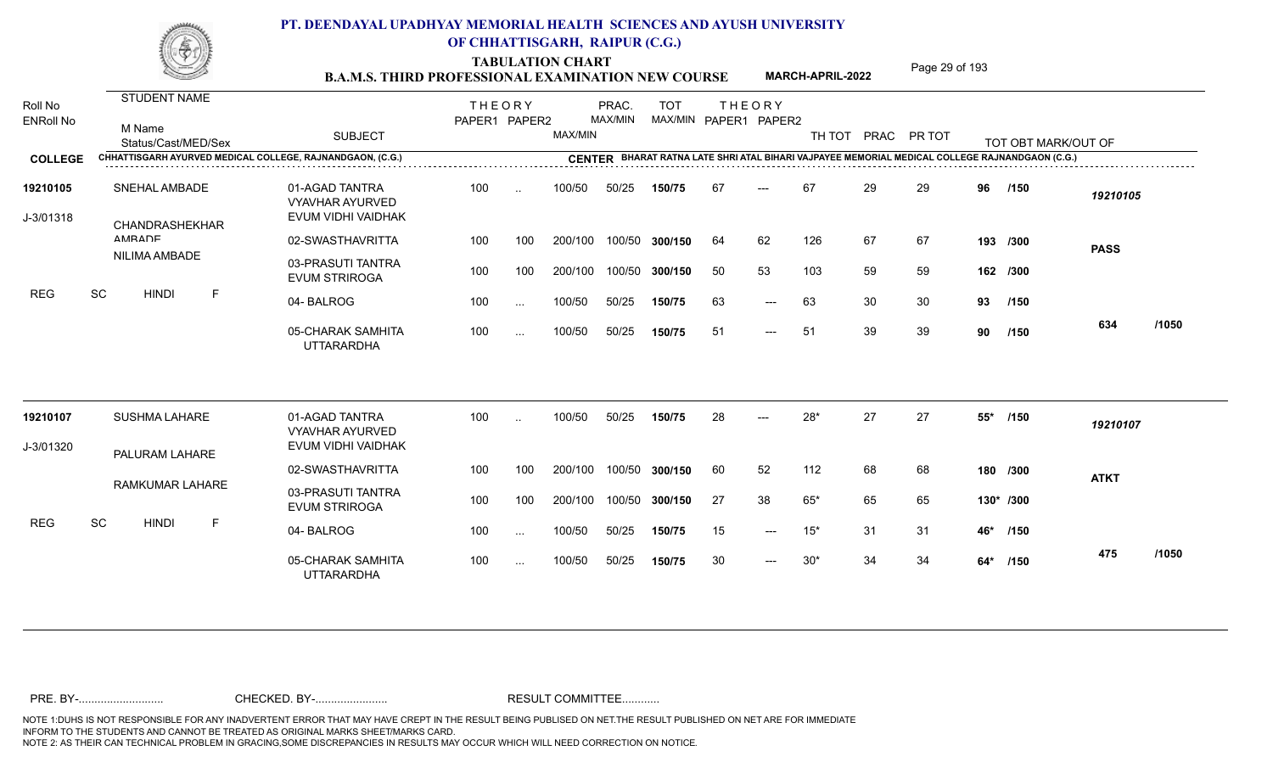TABULATION CHART<br> **TABULATION CHART** PAGE **Page 29 of 193 B.A.M.S. THIRD PROFESSIONAL EXAMINATION NEW COURSE MARCH-APRIL-2022** 

**MARCH-APRIL-2022**

| Roll No               | STUDENT NAME                                              |                                                                | <b>THEORY</b> |               |         | PRAC.   | <b>TOT</b>     |    | <b>THEORY</b>         |                    |    |    |       |                                                                                                |             |       |
|-----------------------|-----------------------------------------------------------|----------------------------------------------------------------|---------------|---------------|---------|---------|----------------|----|-----------------------|--------------------|----|----|-------|------------------------------------------------------------------------------------------------|-------------|-------|
| <b>ENRoll No</b>      | M Name<br>Status/Cast/MED/Sex                             | <b>SUBJECT</b>                                                 | PAPER1 PAPER2 |               | MAX/MIN | MAX/MIN |                |    | MAX/MIN PAPER1 PAPER2 | TH TOT PRAC PR TOT |    |    |       | TOT OBT MARK/OUT OF                                                                            |             |       |
| <b>COLLEGE</b>        | CHHATTISGARH AYURVED MEDICAL COLLEGE, RAJNANDGAON, (C.G.) |                                                                |               |               |         |         |                |    |                       |                    |    |    |       | CENTER BHARAT RATNA LATE SHRI ATAL BIHARI VAJPAYEE MEMORIAL MEDICAL COLLEGE RAJNANDGAON (C.G.) |             |       |
| 19210105<br>J-3/01318 | <b>SNEHAL AMBADE</b><br>CHANDRASHEKHAR                    | 01-AGAD TANTRA<br><b>VYAVHAR AYURVED</b><br>EVUM VIDHI VAIDHAK | 100           | $\ddotsc$     | 100/50  | 50/25   | 150/75         | 67 | $---$                 | 67                 | 29 | 29 | 96    | /150                                                                                           | 19210105    |       |
|                       | AMRADE                                                    | 02-SWASTHAVRITTA                                               | 100           | 100           | 200/100 |         | 100/50 300/150 | 64 | 62                    | 126                | 67 | 67 |       | 193 /300                                                                                       |             |       |
|                       | NILIMA AMBADE                                             | 03-PRASUTI TANTRA<br><b>EVUM STRIROGA</b>                      | 100           | 100           | 200/100 |         | 100/50 300/150 | 50 | 53                    | 103                | 59 | 59 |       | 162 /300                                                                                       | <b>PASS</b> |       |
| <b>REG</b>            | SC<br><b>HINDI</b><br>F                                   | 04-BALROG                                                      | 100           | $\cdots$      | 100/50  | 50/25   | 150/75         | 63 | $---$                 | 63                 | 30 | 30 | 93    | /150                                                                                           |             |       |
|                       |                                                           | 05-CHARAK SAMHITA<br><b>UTTARARDHA</b>                         | 100           | $\cdots$      | 100/50  | 50/25   | 150/75         | 51 | $---$                 | 51                 | 39 | 39 | 90    | /150                                                                                           | 634         | /1050 |
| 19210107              | SUSHMA LAHARE                                             | 01-AGAD TANTRA<br><b>VYAVHAR AYURVED</b>                       | 100           |               | 100/50  | 50/25   | 150/75         | 28 |                       | $28*$              | 27 | 27 | $55*$ | /150                                                                                           | 19210107    |       |
| J-3/01320             |                                                           | EVUM VIDHI VAIDHAK                                             |               |               |         |         |                |    |                       |                    |    |    |       |                                                                                                |             |       |
|                       | PALURAM LAHARE                                            | 02-SWASTHAVRITTA                                               | 100           | 100           | 200/100 |         | 100/50 300/150 | 60 | 52                    | 112                | 68 | 68 |       | 180 /300                                                                                       | <b>ATKT</b> |       |
|                       | RAMKUMAR LAHARE                                           | 03-PRASUTI TANTRA<br><b>EVUM STRIROGA</b>                      | 100           | 100           | 200/100 |         | 100/50 300/150 | 27 | 38                    | 65*                | 65 | 65 |       | 130* /300                                                                                      |             |       |
| <b>REG</b>            | SC<br><b>HINDI</b><br>F                                   | 04-BALROG                                                      | 100           | $\cdots$      | 100/50  | 50/25   | 150/75         | 15 | $---$                 | $15*$              | 31 | 31 | 46*   | /150                                                                                           |             |       |
|                       |                                                           | 05-CHARAK SAMHITA<br><b>UTTARARDHA</b>                         | 100           | $\sim$ $\sim$ | 100/50  | 50/25   | 150/75         | 30 | $---$                 | $30*$              | 34 | 34 |       | 64* /150                                                                                       | 475         | /1050 |
|                       |                                                           |                                                                |               |               |         |         |                |    |                       |                    |    |    |       |                                                                                                |             |       |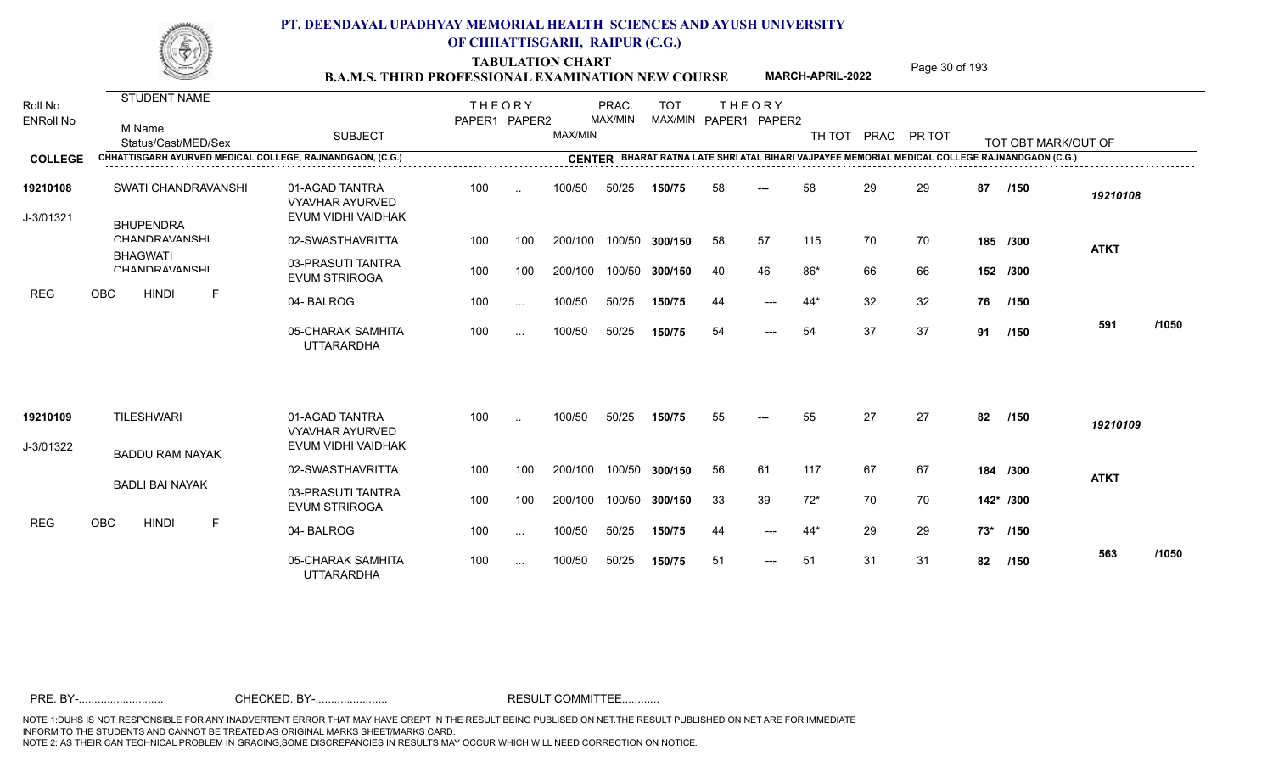TABULATION CHART<br> **TABULATION CHART** PAGE MARCH-APRIL-2022 Page 30 of 193

**MARCH-APRIL-2022**

| Roll No<br><b>ENRoll No</b><br><b>COLLEGE</b> | <b>STUDENT NAME</b><br>M Name<br>Status/Cast/MED/Sex<br>CHHATTISGARH AYURVED MEDICAL COLLEGE, RAJNANDGAON, (C.G.) | <b>SUBJECT</b>                                                 | <b>THEORY</b><br>PAPER1 PAPER2 |               | MAX/MIN | PRAC.<br>MAX/MIN | <b>TOT</b><br>MAX/MIN PAPER1 PAPER2 |    | <b>THEORY</b> | TH TOT PRAC PR TOT |    |    |    | TOT OBT MARK/OUT OF<br>CENTER BHARAT RATNA LATE SHRI ATAL BIHARI VAJPAYEE MEMORIAL MEDICAL COLLEGE RAJNANDGAON (C.G.) |             |       |
|-----------------------------------------------|-------------------------------------------------------------------------------------------------------------------|----------------------------------------------------------------|--------------------------------|---------------|---------|------------------|-------------------------------------|----|---------------|--------------------|----|----|----|-----------------------------------------------------------------------------------------------------------------------|-------------|-------|
|                                               |                                                                                                                   |                                                                |                                |               |         |                  |                                     |    |               |                    |    |    |    |                                                                                                                       |             |       |
| 19210108<br>J-3/01321                         | SWATI CHANDRAVANSHI<br><b>BHUPENDRA</b>                                                                           | 01-AGAD TANTRA<br><b>VYAVHAR AYURVED</b><br>EVUM VIDHI VAIDHAK | 100                            | $\sim$        | 100/50  | 50/25            | 150/75                              | 58 | ---           | 58                 | 29 | 29 | 87 | /150                                                                                                                  | 19210108    |       |
|                                               | <b>CHANDRAVANSHI</b>                                                                                              | 02-SWASTHAVRITTA                                               | 100                            | 100           | 200/100 | 100/50           | 300/150                             | 58 | 57            | 115                | 70 | 70 |    | 185 /300                                                                                                              | <b>ATKT</b> |       |
|                                               | <b>BHAGWATI</b><br><b>CHANDRAVANSHI</b>                                                                           | 03-PRASUTI TANTRA<br><b>EVUM STRIROGA</b>                      | 100                            | 100           | 200/100 | 100/50           | 300/150                             | 40 | 46            | 86*                | 66 | 66 |    | 152 /300                                                                                                              |             |       |
| <b>REG</b>                                    | OBC<br><b>HINDI</b><br>F                                                                                          | 04-BALROG                                                      | 100                            | $\ddotsc$     | 100/50  | 50/25            | 150/75                              | 44 | $---$         | $44*$              | 32 | 32 | 76 | /150                                                                                                                  |             |       |
|                                               |                                                                                                                   | 05-CHARAK SAMHITA<br><b>UTTARARDHA</b>                         | 100                            | $\ddotsc$     | 100/50  | 50/25            | 150/75                              | 54 | ---           | 54                 | 37 | 37 | 91 | /150                                                                                                                  | 591         | /1050 |
|                                               | <b>TILESHWARI</b>                                                                                                 | 01-AGAD TANTRA                                                 | 100                            |               | 100/50  | 50/25            | 150/75                              | 55 |               | 55                 | 27 | 27 | 82 | /150                                                                                                                  |             |       |
| 19210109                                      |                                                                                                                   | <b>VYAVHAR AYURVED</b>                                         |                                |               |         |                  |                                     |    |               |                    |    |    |    |                                                                                                                       | 19210109    |       |
| J-3/01322                                     | <b>BADDU RAM NAYAK</b>                                                                                            | EVUM VIDHI VAIDHAK                                             |                                |               |         |                  |                                     |    |               |                    |    |    |    |                                                                                                                       |             |       |
|                                               | <b>BADLI BAI NAYAK</b>                                                                                            | 02-SWASTHAVRITTA                                               | 100                            | 100           | 200/100 | 100/50           | 300/150                             | 56 | 61            | 117                | 67 | 67 |    | 184 /300                                                                                                              | <b>ATKT</b> |       |
|                                               |                                                                                                                   | 03-PRASUTI TANTRA<br><b>EVUM STRIROGA</b>                      | 100                            | 100           | 200/100 |                  | 100/50 300/150                      | 33 | 39            | $72*$              | 70 | 70 |    | 142* /300                                                                                                             |             |       |
| <b>REG</b>                                    | OBC<br><b>HINDI</b><br>F                                                                                          | 04-BALROG                                                      | 100                            | $\sim$ $\sim$ | 100/50  | 50/25            | 150/75                              | 44 | ---           | $44*$              | 29 | 29 |    | 73* /150                                                                                                              |             |       |
|                                               |                                                                                                                   | 05-CHARAK SAMHITA<br><b>UTTARARDHA</b>                         | 100                            | $\cdots$      | 100/50  | 50/25            | 150/75                              | 51 | $---$         | 51                 | 31 | 31 | 82 | /150                                                                                                                  | 563         | /1050 |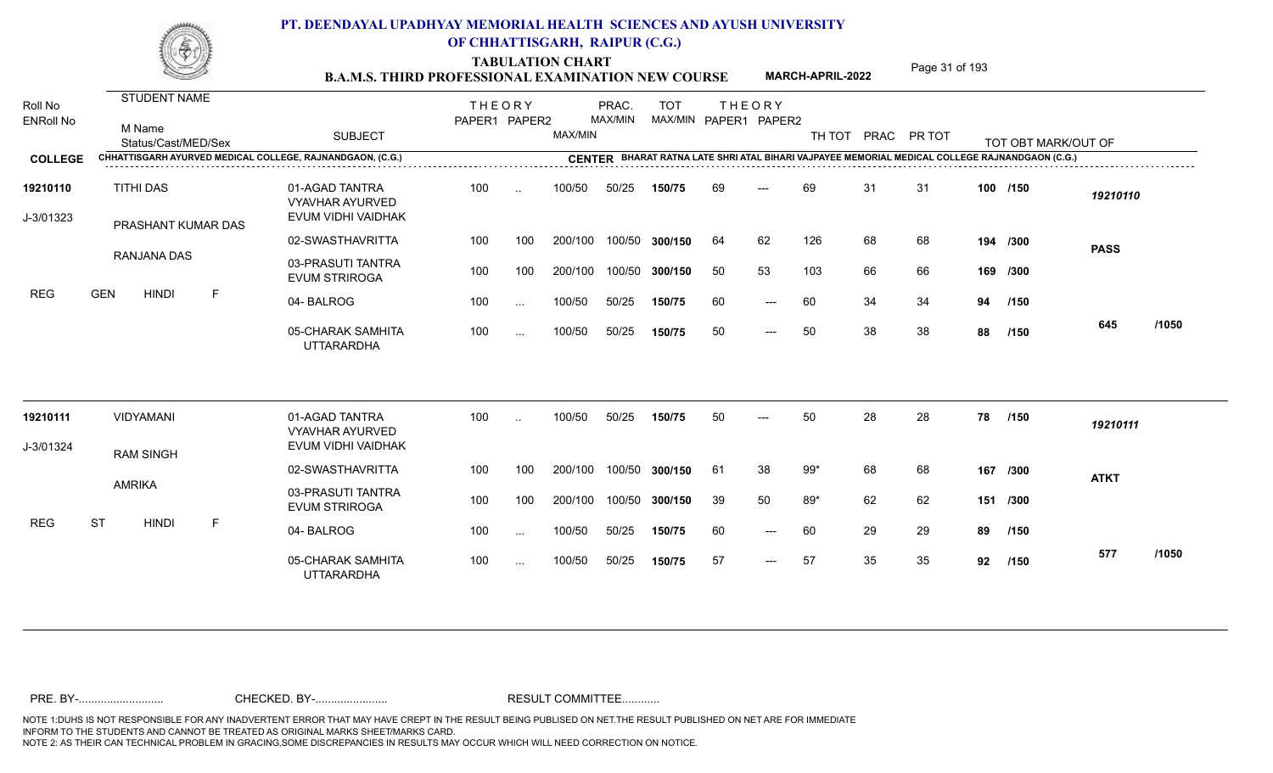TABULATION CHART<br> **TABULATION CHART** PAGE MARCH-APRIL-2022 Page 31 of 193

**MARCH-APRIL-2022**

| Roll No<br><b>ENRoll No</b> | STUDENT NAME<br>M Name<br>Status/Cast/MED/Sex |   | <b>SUBJECT</b>                                                 | <b>THEORY</b><br>PAPER1 PAPER2 |               | MAX/MIN | PRAC.<br>MAX/MIN | <b>TOT</b>     |    | <b>THEORY</b><br>MAX/MIN PAPER1 PAPER2 | TH TOT |    | PRAC PR TOT |          | TOT OBT MARK/OUT OF                                                                            |             |       |
|-----------------------------|-----------------------------------------------|---|----------------------------------------------------------------|--------------------------------|---------------|---------|------------------|----------------|----|----------------------------------------|--------|----|-------------|----------|------------------------------------------------------------------------------------------------|-------------|-------|
| <b>COLLEGE</b>              |                                               |   | CHHATTISGARH AYURVED MEDICAL COLLEGE, RAJNANDGAON, (C.G.)      |                                |               |         |                  |                |    |                                        |        |    |             |          | CENTER BHARAT RATNA LATE SHRI ATAL BIHARI VAJPAYEE MEMORIAL MEDICAL COLLEGE RAJNANDGAON (C.G.) |             |       |
| 19210110<br>J-3/01323       | <b>TITHI DAS</b><br>PRASHANT KUMAR DAS        |   | 01-AGAD TANTRA<br><b>VYAVHAR AYURVED</b><br>EVUM VIDHI VAIDHAK | 100                            | $\ddotsc$     | 100/50  | 50/25            | 150/75         | 69 | $---$                                  | 69     | 31 | 31          |          | 100 /150                                                                                       | 19210110    |       |
|                             |                                               |   | 02-SWASTHAVRITTA                                               | 100                            | 100           | 200/100 |                  | 100/50 300/150 | 64 | 62                                     | 126    | 68 | 68          |          | 194 /300                                                                                       | <b>PASS</b> |       |
|                             | RANJANA DAS                                   |   | 03-PRASUTI TANTRA<br><b>EVUM STRIROGA</b>                      | 100                            | 100           | 200/100 |                  | 100/50 300/150 | 50 | 53                                     | 103    | 66 | 66          |          | 169 /300                                                                                       |             |       |
| <b>REG</b>                  | <b>GEN</b><br><b>HINDI</b>                    | F | 04-BALROG                                                      | 100                            | $\cdots$      | 100/50  | 50/25            | 150/75         | 60 | $---$                                  | 60     | 34 | 34          | 94       | /150                                                                                           |             |       |
|                             |                                               |   | 05-CHARAK SAMHITA<br><b>UTTARARDHA</b>                         | 100                            | $\cdots$      | 100/50  | 50/25            | 150/75         | 50 | $---$                                  | 50     | 38 | 38          | 88       | /150                                                                                           | 645         | /1050 |
| 19210111                    | VIDYAMANI                                     |   | 01-AGAD TANTRA<br><b>VYAVHAR AYURVED</b>                       | 100                            | $\cdot$ .     | 100/50  | 50/25            | 150/75         | 50 |                                        | 50     | 28 | 28          | 78       | /150                                                                                           | 19210111    |       |
| J-3/01324                   | <b>RAM SINGH</b>                              |   | EVUM VIDHI VAIDHAK                                             |                                |               |         |                  |                |    |                                        |        |    |             |          |                                                                                                |             |       |
|                             |                                               |   | 02-SWASTHAVRITTA                                               | 100                            | 100           | 200/100 |                  | 100/50 300/150 | 61 | 38                                     | $99*$  | 68 | 68          |          | 167 /300                                                                                       | <b>ATKT</b> |       |
|                             | <b>AMRIKA</b>                                 |   | 03-PRASUTI TANTRA<br><b>EVUM STRIROGA</b>                      | 100                            | 100           | 200/100 |                  | 100/50 300/150 | 39 | 50                                     | $89*$  | 62 | 62          | 151 /300 |                                                                                                |             |       |
| <b>REG</b>                  | <b>ST</b><br><b>HINDI</b>                     | F | 04-BALROG                                                      | 100                            | $\sim$        | 100/50  | 50/25            | 150/75         | 60 | $---$                                  | 60     | 29 | 29          | 89       | /150                                                                                           |             |       |
|                             |                                               |   | 05-CHARAK SAMHITA<br><b>UTTARARDHA</b>                         | 100                            | $\sim$ $\sim$ | 100/50  | 50/25            | 150/75         | 57 | $---$                                  | 57     | 35 | 35          | 92       | /150                                                                                           | 577         | /1050 |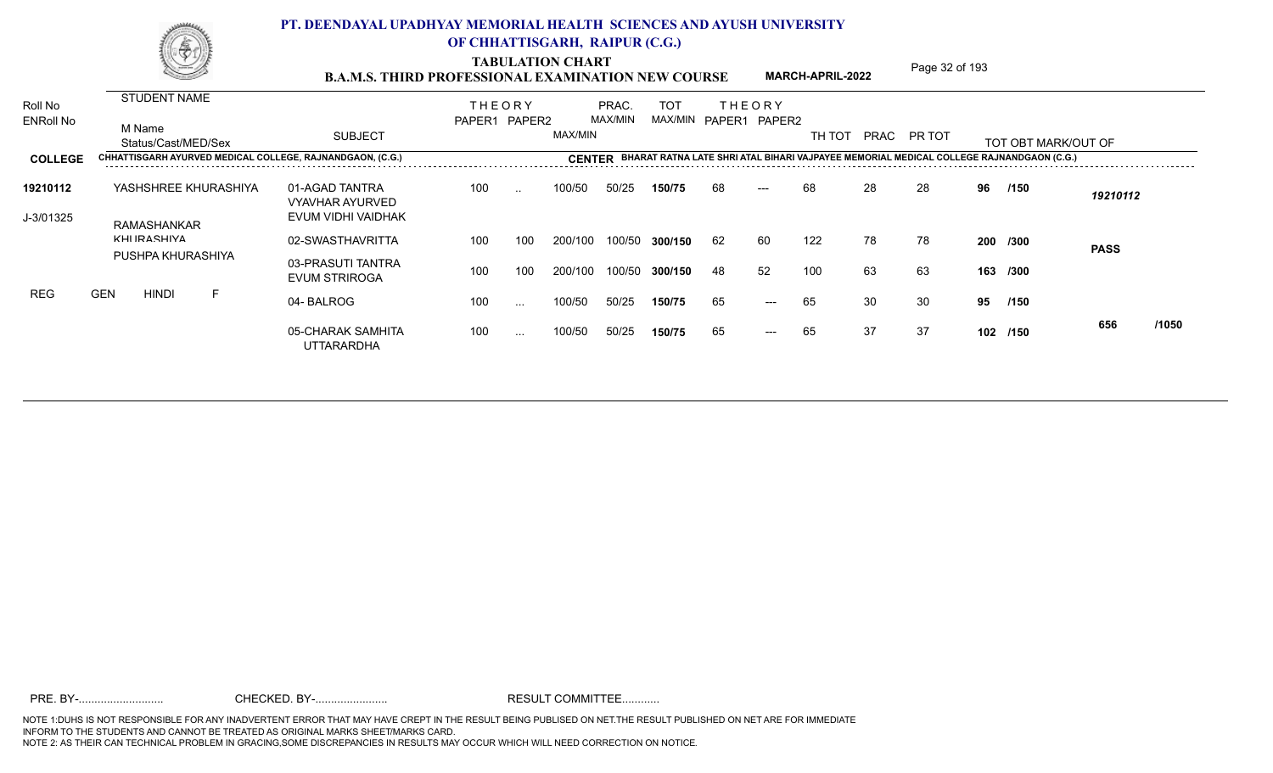TABULATION CHART<br> **TABULATION CHART** PAGE MARCH-APRIL-2022 Page 32 of 193

**MARCH-APRIL-2022**

| Roll No          |            |                    | <b>STUDENT NAME</b> |                      |                                                           | <b>THEORY</b> |                      |               | PRAC.   | <b>TOT</b> |    | THEORY                |        |    |             |     |                                                                                         |             |       |
|------------------|------------|--------------------|---------------------|----------------------|-----------------------------------------------------------|---------------|----------------------|---------------|---------|------------|----|-----------------------|--------|----|-------------|-----|-----------------------------------------------------------------------------------------|-------------|-------|
| <b>ENRoll No</b> |            | M Name             | Status/Cast/MED/Sex |                      | <b>SUBJECT</b>                                            | PAPER1 PAPER2 |                      | MAX/MIN       | MAX/MIN |            |    | MAX/MIN PAPER1 PAPER2 | TH TOT |    | PRAC PR TOT |     | TOT OBT MARK/OUT OF                                                                     |             |       |
| <b>COLLEGE</b>   |            | .                  |                     |                      | CHHATTISGARH AYURVED MEDICAL COLLEGE, RAJNANDGAON, (C.G.) |               |                      | <b>CENTER</b> |         |            |    |                       |        |    |             |     | BHARAT RATNA LATE SHRI ATAL BIHARI VAJPAYEE MEMORIAL MEDICAL COLLEGE RAJNANDGAON (C.G.) |             |       |
| 19210112         |            |                    |                     | YASHSHREE KHURASHIYA | 01-AGAD TANTRA<br><b>VYAVHAR AYURVED</b>                  | 100           | $\cdot$              | 100/50        | 50/25   | 150/75     | 68 | $---$                 | 68     | 28 | 28          | 96  | /150                                                                                    | 19210112    |       |
| J-3/01325        |            | <b>KHIIRASHIVA</b> | RAMASHANKAR         |                      | EVUM VIDHI VAIDHAK                                        |               |                      |               |         |            |    |                       |        |    |             |     |                                                                                         |             |       |
|                  |            |                    | PUSHPA KHURASHIYA   |                      | 02-SWASTHAVRITTA                                          | 100           | 100                  | 200/100       | 100/50  | 300/150    | 62 | 60                    | 122    | 78 | 78          |     | 200 /300                                                                                | <b>PASS</b> |       |
|                  |            |                    |                     |                      | 03-PRASUTI TANTRA<br><b>EVUM STRIROGA</b>                 | 100           | 100                  | 200/100       | 100/50  | 300/150    | 48 | 52                    | 100    | 63 | 63          |     | 163 /300                                                                                |             |       |
| REG              | <b>GEN</b> |                    | <b>HINDI</b>        | F.                   | 04-BALROG                                                 | 100           | $\sim$ $\sim$ $\sim$ | 100/50        | 50/25   | 150/75     | 65 | $---$                 | 65     | 30 | 30          | 95  | /150                                                                                    |             |       |
|                  |            |                    |                     |                      | 05-CHARAK SAMHITA<br>UTTARARDHA                           | 100           | $\sim$ $\sim$ $\sim$ | 100/50        | 50/25   | 150/75     | 65 | $---$                 | 65     | 37 | 37          | 102 | /150                                                                                    | 656         | /1050 |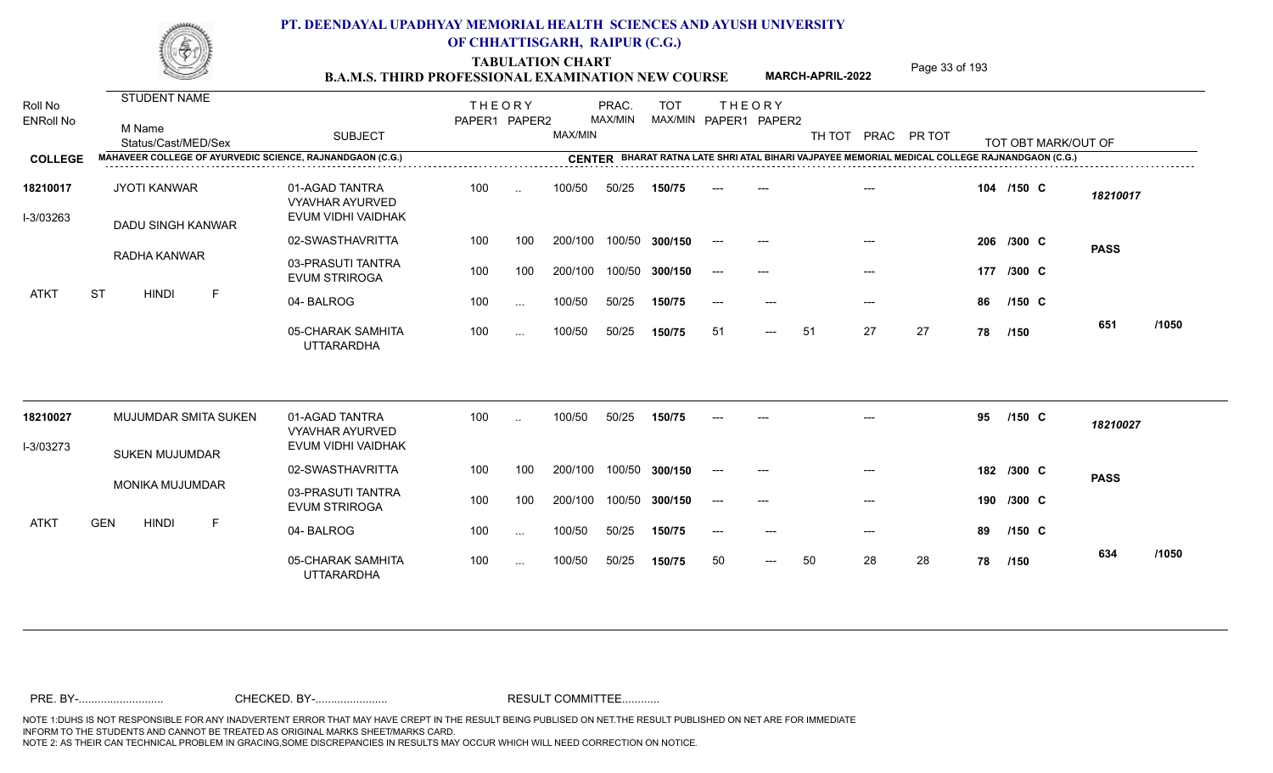TABULATION CHART<br> **TABULATION CHART** PAGE MARCH-APRIL-2022 Page 33 of 193

**MARCH-APRIL-2022**

| Roll No<br><b>ENRoll No</b> | <b>STUDENT NAME</b><br>M Name<br>Status/Cast/MED/Sex      | <b>SUBJECT</b>                                                 | <b>THEORY</b><br>PAPER1 PAPER2 |               | MAX/MIN | PRAC.<br>MAX/MIN | <b>TOT</b>     |       | <b>THEORY</b><br>MAX/MIN PAPER1 PAPER2 | TH TOT |       | PRAC PR TOT |     | TOT OBT MARK/OUT OF                                                                            |             |       |
|-----------------------------|-----------------------------------------------------------|----------------------------------------------------------------|--------------------------------|---------------|---------|------------------|----------------|-------|----------------------------------------|--------|-------|-------------|-----|------------------------------------------------------------------------------------------------|-------------|-------|
| <b>COLLEGE</b>              | MAHAVEER COLLEGE OF AYURVEDIC SCIENCE, RAJNANDGAON (C.G.) |                                                                |                                |               |         |                  |                |       |                                        |        |       |             |     | CENTER BHARAT RATNA LATE SHRI ATAL BIHARI VAJPAYEE MEMORIAL MEDICAL COLLEGE RAJNANDGAON (C.G.) |             |       |
| 18210017<br>I-3/03263       | <b>JYOTI KANWAR</b><br>DADU SINGH KANWAR                  | 01-AGAD TANTRA<br><b>VYAVHAR AYURVED</b><br>EVUM VIDHI VAIDHAK | 100                            | $\ddotsc$     | 100/50  | 50/25            | 150/75         |       |                                        |        |       |             |     | 104 /150 C                                                                                     | 18210017    |       |
|                             |                                                           | 02-SWASTHAVRITTA                                               | 100                            | 100           | 200/100 |                  | 100/50 300/150 | $--$  | $---$                                  |        |       |             |     | 206 /300 C                                                                                     | <b>PASS</b> |       |
|                             | RADHA KANWAR                                              | 03-PRASUTI TANTRA<br><b>EVUM STRIROGA</b>                      | 100                            | 100           | 200/100 |                  | 100/50 300/150 | $--$  | $---$                                  |        | $---$ |             | 177 | /300 C                                                                                         |             |       |
| <b>ATKT</b>                 | <b>ST</b><br><b>HINDI</b><br>F                            | 04-BALROG                                                      | 100                            | $\sim$ $\sim$ | 100/50  | 50/25            | 150/75         | $---$ | $---$                                  |        | $---$ |             | 86  | $/150$ C                                                                                       |             |       |
|                             |                                                           | 05-CHARAK SAMHITA<br><b>UTTARARDHA</b>                         | 100                            | $\sim$ .      | 100/50  | 50/25            | 150/75         | 51    | $\qquad \qquad - -$                    | 51     | 27    | 27          | 78  | /150                                                                                           | 651         | /1050 |
| 18210027                    | MUJUMDAR SMITA SUKEN                                      | 01-AGAD TANTRA<br><b>VYAVHAR AYURVED</b>                       | 100                            | $\ddotsc$     | 100/50  | 50/25            | 150/75         |       |                                        |        |       |             | 95  | $/150$ C                                                                                       | 18210027    |       |
| I-3/03273                   | <b>SUKEN MUJUMDAR</b>                                     | EVUM VIDHI VAIDHAK                                             |                                |               |         |                  |                |       |                                        |        |       |             |     |                                                                                                |             |       |
|                             |                                                           | 02-SWASTHAVRITTA                                               | 100                            | 100           | 200/100 |                  | 100/50 300/150 | $---$ | $---$                                  |        | $---$ |             |     | 182 /300 C                                                                                     | <b>PASS</b> |       |
|                             | MONIKA MUJUMDAR                                           | 03-PRASUTI TANTRA<br><b>EVUM STRIROGA</b>                      | 100                            | 100           | 200/100 |                  | 100/50 300/150 | $---$ | $---$                                  |        | $---$ |             |     | 190 /300 C                                                                                     |             |       |
| <b>ATKT</b>                 | <b>GEN</b><br><b>HINDI</b><br>F                           | 04-BALROG                                                      | 100                            | $\sim$ $\sim$ | 100/50  | 50/25            | 150/75         |       |                                        |        | $---$ |             | 89  | $/150$ C                                                                                       |             |       |
|                             |                                                           | 05-CHARAK SAMHITA<br><b>UTTARARDHA</b>                         | 100                            | $\sim$ $\sim$ | 100/50  | 50/25            | 150/75         | 50    | $---$                                  | 50     | 28    | 28          | 78  | /150                                                                                           | 634         | /1050 |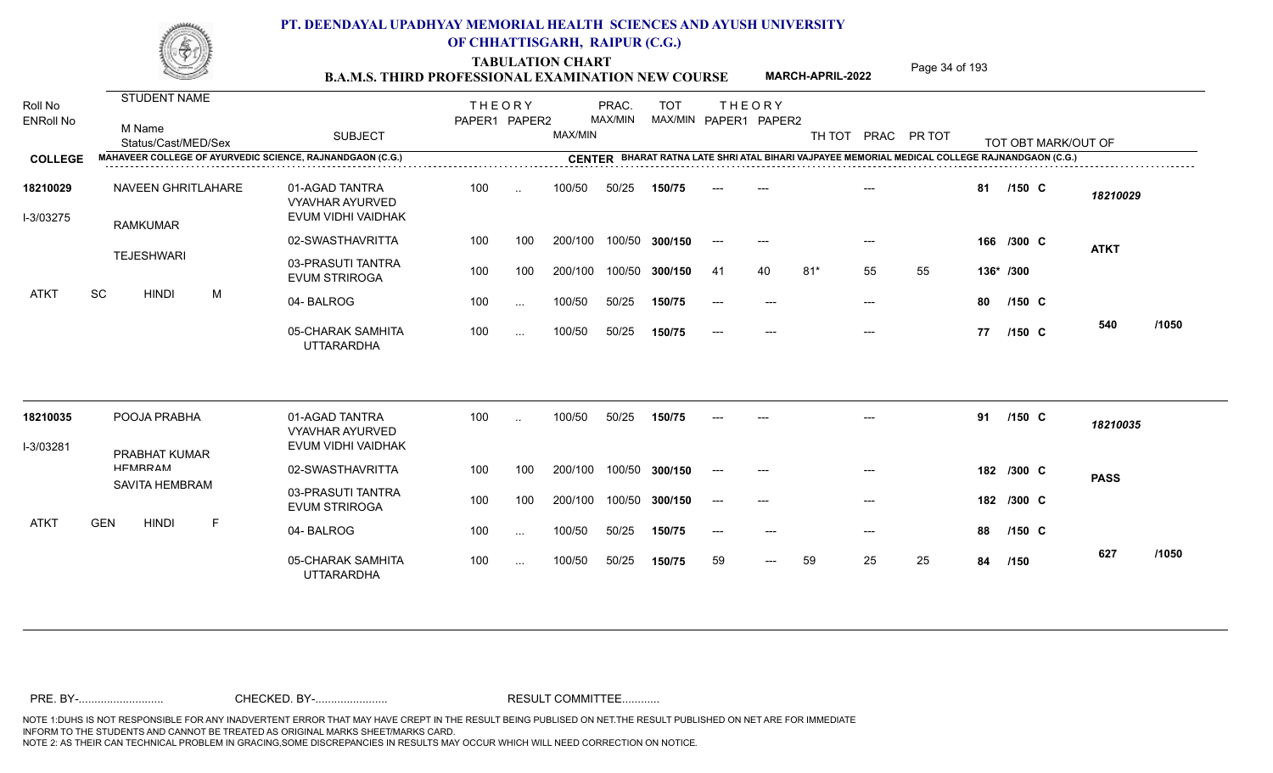TABULATION CHART<br> **TABULATION CHART** PAGE **Page 34 of 193 B.A.M.S. THIRD PROFESSIONAL EXAMINATION NEW COURSE** MARCH-APRIL-2022

**MARCH-APRIL-2022**

| Roll No<br><b>ENRoll No</b><br><b>COLLEGE</b> | STUDENT NAME<br>M Name<br>Status/Cast/MED/Sex<br>MAHAVEER COLLEGE OF AYURVEDIC SCIENCE, RAJNANDGAON (C.G.) | <b>SUBJECT</b>                                                 | <b>THEORY</b><br>PAPER1 PAPER2 |           | MAX/MIN | PRAC.<br>MAX/MIN | <b>TOT</b><br>MAX/MIN PAPER1 PAPER2 |       | <b>THEORY</b> |       |       | TH TOT PRAC PR TOT<br>CENTER BHARAT RATNA LATE SHRI ATAL BIHARI VAJPAYEE MEMORIAL MEDICAL COLLEGE RAJNANDGAON (C.G.) |           |            | TOT OBT MARK/OUT OF |       |
|-----------------------------------------------|------------------------------------------------------------------------------------------------------------|----------------------------------------------------------------|--------------------------------|-----------|---------|------------------|-------------------------------------|-------|---------------|-------|-------|----------------------------------------------------------------------------------------------------------------------|-----------|------------|---------------------|-------|
| 18210029<br>I-3/03275                         | NAVEEN GHRITLAHARE                                                                                         | 01-AGAD TANTRA<br><b>VYAVHAR AYURVED</b><br>EVUM VIDHI VAIDHAK | 100                            | $\ddotsc$ | 100/50  | 50/25            | 150/75                              |       |               |       |       |                                                                                                                      | 81        | $/150$ C   | 18210029            |       |
|                                               | <b>RAMKUMAR</b>                                                                                            | 02-SWASTHAVRITTA                                               | 100                            | 100       | 200/100 |                  | 100/50 300/150                      | $---$ | $---$         |       | $---$ |                                                                                                                      |           | 166 /300 C | <b>ATKT</b>         |       |
|                                               | <b>TEJESHWARI</b>                                                                                          | 03-PRASUTI TANTRA<br><b>EVUM STRIROGA</b>                      | 100                            | 100       | 200/100 |                  | 100/50 300/150                      | -41   | 40            | $81*$ | 55    | 55                                                                                                                   | 136* /300 |            |                     |       |
| <b>ATKT</b>                                   | SC<br><b>HINDI</b><br>M                                                                                    | 04-BALROG                                                      | 100                            | $\cdots$  | 100/50  | 50/25            | 150/75                              | $---$ | $---$         |       | $---$ |                                                                                                                      | 80        | /150 C     |                     |       |
|                                               |                                                                                                            | 05-CHARAK SAMHITA<br><b>UTTARARDHA</b>                         | 100                            | $\cdots$  | 100/50  | 50/25            | 150/75                              | ----  | $---$         |       | $---$ |                                                                                                                      | 77        | $/150$ C   | 540                 | /1050 |
| 18210035                                      | POOJA PRABHA                                                                                               | 01-AGAD TANTRA<br><b>VYAVHAR AYURVED</b>                       | 100                            | $\ddotsc$ | 100/50  | 50/25            | 150/75                              |       |               |       |       |                                                                                                                      | 91        | /150 C     | 18210035            |       |
| I-3/03281                                     | <b>PRABHAT KUMAR</b>                                                                                       | EVUM VIDHI VAIDHAK                                             |                                |           |         |                  |                                     |       |               |       |       |                                                                                                                      |           |            |                     |       |
|                                               | HEMRRAM                                                                                                    | 02-SWASTHAVRITTA                                               | 100                            | 100       | 200/100 |                  | 100/50 300/150                      |       | $---$         |       |       |                                                                                                                      |           | 182 /300 C | <b>PASS</b>         |       |
|                                               | <b>SAVITA HEMBRAM</b>                                                                                      | 03-PRASUTI TANTRA<br><b>EVUM STRIROGA</b>                      | 100                            | 100       | 200/100 |                  | 100/50 300/150                      | $--$  | $---$         |       | $---$ |                                                                                                                      |           | 182 /300 C |                     |       |
| <b>ATKT</b>                                   | <b>GEN</b><br><b>HINDI</b><br>F.                                                                           | 04-BALROG                                                      | 100                            | $\cdots$  | 100/50  | 50/25            | 150/75                              |       |               |       | $---$ |                                                                                                                      | 88        | $/150$ C   |                     |       |
|                                               |                                                                                                            | 05-CHARAK SAMHITA<br><b>UTTARARDHA</b>                         | 100                            | $\cdots$  | 100/50  | 50/25            | 150/75                              | 59    | $---$         | 59    | 25    | 25                                                                                                                   | 84        | /150       | 627                 | /1050 |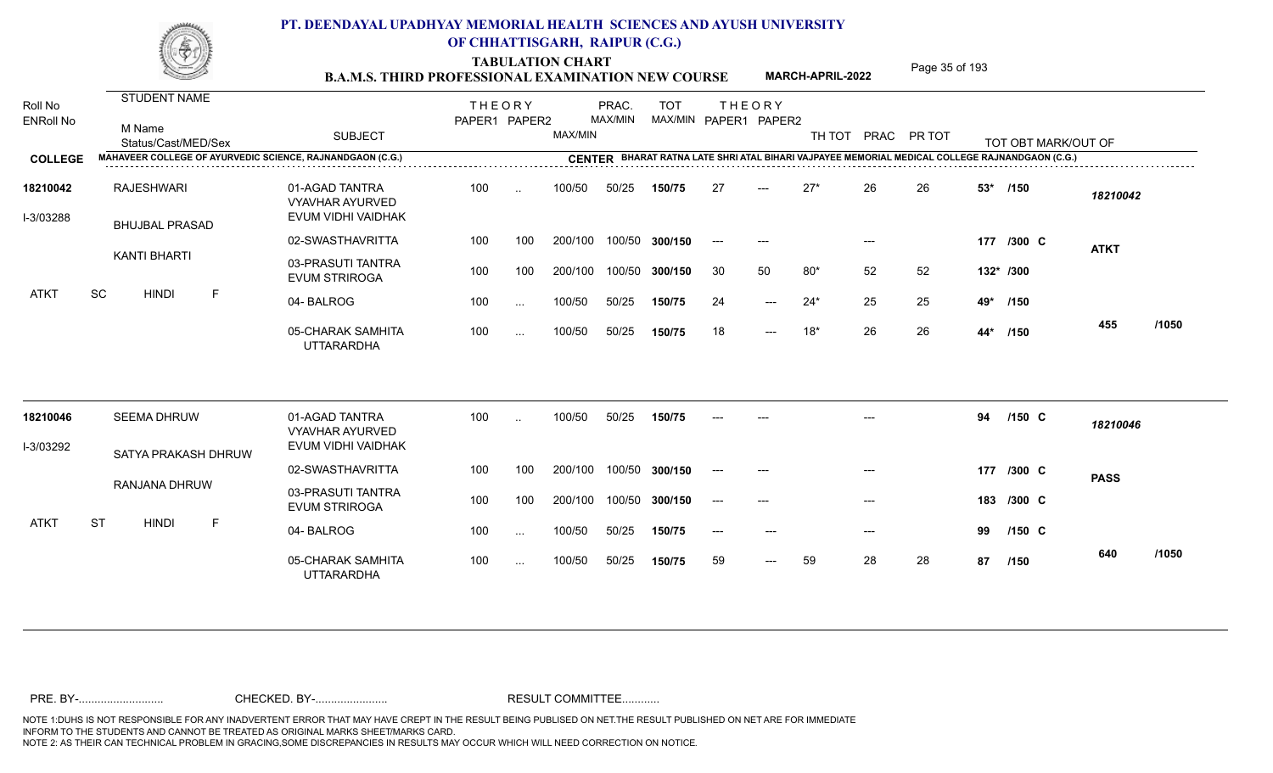TABULATION CHART<br> **TABULATION CHART** PAGE **Page 35 of 193 Page 35 of 193 B.A.M.S. THIRD PROFESSIONAL EXAMINATION NEW COURSE MARCH-APRIL-2022** 

**MARCH-APRIL-2022**

| Roll No<br><b>ENRoll No</b> | STUDENT NAME<br>M Name<br>Status/Cast/MED/Sex                    | <b>SUBJECT</b>                                                 | <b>THEORY</b><br>PAPER1 PAPER2 |           | MAX/MIN | PRAC.<br>MAX/MIN | <b>TOT</b>     |       | <b>THEORY</b><br>MAX/MIN PAPER1 PAPER2 | TH TOT |       | PRAC PR TOT |       | TOT OBT MARK/OUT OF                                                                            |             |       |
|-----------------------------|------------------------------------------------------------------|----------------------------------------------------------------|--------------------------------|-----------|---------|------------------|----------------|-------|----------------------------------------|--------|-------|-------------|-------|------------------------------------------------------------------------------------------------|-------------|-------|
| <b>COLLEGE</b>              | <b>MAHAVEER COLLEGE OF AYURVEDIC SCIENCE, RAJNANDGAON (C.G.)</b> |                                                                |                                |           |         |                  |                |       |                                        |        |       |             |       | CENTER BHARAT RATNA LATE SHRI ATAL BIHARI VAJPAYEE MEMORIAL MEDICAL COLLEGE RAJNANDGAON (C.G.) |             |       |
| 18210042<br>I-3/03288       | <b>RAJESHWARI</b><br><b>BHUJBAL PRASAD</b>                       | 01-AGAD TANTRA<br><b>VYAVHAR AYURVED</b><br>EVUM VIDHI VAIDHAK | 100                            | $\cdot$ . | 100/50  | 50/25            | 150/75         | 27    | $---$                                  | $27*$  | 26    | 26          | $53*$ | /150                                                                                           | 18210042    |       |
|                             |                                                                  | 02-SWASTHAVRITTA                                               | 100                            | 100       | 200/100 |                  | 100/50 300/150 | $---$ | $---$                                  |        | $---$ |             |       | 177 /300 C                                                                                     | <b>ATKT</b> |       |
|                             | <b>KANTI BHARTI</b>                                              | 03-PRASUTI TANTRA<br><b>EVUM STRIROGA</b>                      | 100                            | 100       | 200/100 |                  | 100/50 300/150 | 30    | 50                                     | $80*$  | 52    | 52          |       | 132* /300                                                                                      |             |       |
| <b>ATKT</b>                 | SC<br><b>HINDI</b><br>F                                          | 04-BALROG                                                      | 100                            | $\cdots$  | 100/50  | 50/25            | 150/75         | 24    | $---$                                  | $24*$  | 25    | 25          | 49*   | /150                                                                                           |             |       |
|                             |                                                                  | 05-CHARAK SAMHITA<br><b>UTTARARDHA</b>                         | 100                            | $\cdots$  | 100/50  | 50/25            | 150/75         | 18    | $---$                                  | $18*$  | 26    | 26          | 44*   | /150                                                                                           | 455         | /1050 |
| 18210046                    | <b>SEEMA DHRUW</b>                                               | 01-AGAD TANTRA<br><b>VYAVHAR AYURVED</b>                       | 100                            | $\ddotsc$ | 100/50  | 50/25            | 150/75         |       |                                        |        |       |             | 94    | $/150$ C                                                                                       | 18210046    |       |
| I-3/03292                   | SATYA PRAKASH DHRUW                                              | EVUM VIDHI VAIDHAK                                             |                                |           |         |                  |                |       |                                        |        |       |             |       |                                                                                                |             |       |
|                             |                                                                  | 02-SWASTHAVRITTA                                               | 100                            | 100       | 200/100 |                  | 100/50 300/150 |       |                                        |        |       |             |       | 177 /300 C                                                                                     | <b>PASS</b> |       |
|                             | RANJANA DHRUW                                                    | 03-PRASUTI TANTRA<br><b>EVUM STRIROGA</b>                      | 100                            | 100       | 200/100 |                  | 100/50 300/150 | $---$ | $---$                                  |        | $---$ |             | 183   | /300 C                                                                                         |             |       |
| <b>ATKT</b>                 | <b>ST</b><br><b>HINDI</b><br>F                                   | 04-BALROG                                                      | 100                            | $\cdots$  | 100/50  | 50/25            | 150/75         |       |                                        |        | $---$ |             | 99    | $/150$ C                                                                                       |             |       |
|                             |                                                                  | 05-CHARAK SAMHITA<br><b>UTTARARDHA</b>                         | 100                            | $\cdots$  | 100/50  | 50/25            | 150/75         | 59    | $---$                                  | 59     | 28    | 28          | 87    | /150                                                                                           | 640         | /1050 |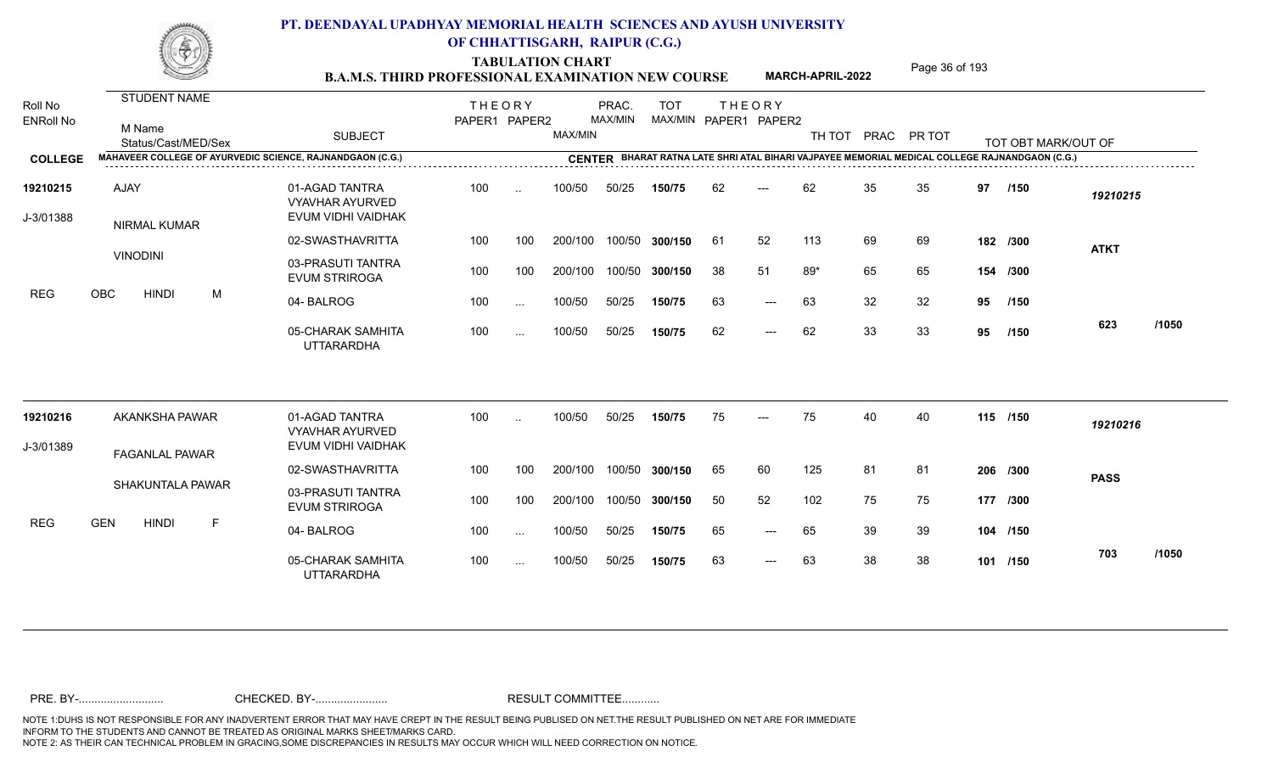TABULATION CHART<br> **TABULATION CHART B.A.M.S. THIRD PROFESSIONAL EXAMINATION NEW COURSE MARCH-APRIL-2022** Page 36 of 193

**MARCH-APRIL-2022**

| Roll No<br><b>ENRoll No</b> | <b>STUDENT NAME</b><br>M Name<br>Status/Cast/MED/Sex      | <b>SUBJECT</b>                                                 | <b>THEORY</b><br>PAPER1 PAPER2 |                      | MAX/MIN | PRAC.<br>MAX/MIN | <b>TOT</b><br>MAX/MIN PAPER1 PAPER2 |     | <b>THEORY</b> |       |    | TH TOT PRAC PR TOT |    | TOT OBT MARK/OUT OF                                                                            |             |       |
|-----------------------------|-----------------------------------------------------------|----------------------------------------------------------------|--------------------------------|----------------------|---------|------------------|-------------------------------------|-----|---------------|-------|----|--------------------|----|------------------------------------------------------------------------------------------------|-------------|-------|
| <b>COLLEGE</b>              | MAHAVEER COLLEGE OF AYURVEDIC SCIENCE, RAJNANDGAON (C.G.) |                                                                |                                |                      |         |                  |                                     |     |               |       |    |                    |    | CENTER BHARAT RATNA LATE SHRI ATAL BIHARI VAJPAYEE MEMORIAL MEDICAL COLLEGE RAJNANDGAON (C.G.) |             |       |
| 19210215<br>J-3/01388       | AJAY<br>NIRMAL KUMAR                                      | 01-AGAD TANTRA<br><b>VYAVHAR AYURVED</b><br>EVUM VIDHI VAIDHAK | 100                            | $\ddot{\phantom{a}}$ | 100/50  | 50/25            | 150/75                              | 62  | ---           | 62    | 35 | 35                 | 97 | /150                                                                                           | 19210215    |       |
|                             |                                                           | 02-SWASTHAVRITTA                                               | 100                            | 100                  | 200/100 | 100/50           | 300/150                             | -61 | 52            | 113   | 69 | 69                 |    | 182 /300                                                                                       | <b>ATKT</b> |       |
|                             | <b>VINODINI</b>                                           | 03-PRASUTI TANTRA<br><b>EVUM STRIROGA</b>                      | 100                            | 100                  | 200/100 | 100/50           | 300/150                             | 38  | 51            | $89*$ | 65 | 65                 |    | 154 /300                                                                                       |             |       |
| <b>REG</b>                  | <b>OBC</b><br><b>HINDI</b><br>M                           | 04-BALROG                                                      | 100                            | $\sim$ $\sim$        | 100/50  | 50/25            | 150/75                              | 63  | $---$         | 63    | 32 | 32                 | 95 | /150                                                                                           |             |       |
|                             |                                                           | 05-CHARAK SAMHITA<br><b>UTTARARDHA</b>                         | 100                            | $\ldots$             | 100/50  | 50/25            | 150/75                              | 62  | $---$         | 62    | 33 | 33                 | 95 | /150                                                                                           | 623         | /1050 |
| 19210216                    | AKANKSHA PAWAR                                            | 01-AGAD TANTRA<br><b>VYAVHAR AYURVED</b>                       | 100                            |                      | 100/50  | 50/25            | 150/75                              | 75  |               | 75    | 40 | 40                 |    | 115 /150                                                                                       | 19210216    |       |
| J-3/01389                   | <b>FAGANLAL PAWAR</b>                                     | EVUM VIDHI VAIDHAK                                             |                                |                      |         |                  |                                     |     |               |       |    |                    |    |                                                                                                |             |       |
|                             |                                                           | 02-SWASTHAVRITTA                                               | 100                            | 100                  | 200/100 | 100/50           | 300/150                             | 65  | 60            | 125   | 81 | 81                 |    | 206 /300                                                                                       | <b>PASS</b> |       |
|                             | <b>SHAKUNTALA PAWAR</b>                                   | 03-PRASUTI TANTRA<br><b>EVUM STRIROGA</b>                      | 100                            | 100                  | 200/100 | 100/50           | 300/150                             | 50  | 52            | 102   | 75 | 75                 |    | 177 /300                                                                                       |             |       |
| <b>REG</b>                  | <b>GEN</b><br>F<br><b>HINDI</b>                           | 04-BALROG                                                      | 100                            | $\ddotsc$            | 100/50  | 50/25            | 150/75                              | 65  | $---$         | 65    | 39 | 39                 |    | 104 /150                                                                                       |             |       |
|                             |                                                           | 05-CHARAK SAMHITA<br><b>UTTARARDHA</b>                         | 100                            | $\sim$ $\sim$        | 100/50  | 50/25            | 150/75                              | 63  | $---$         | 63    | 38 | 38                 |    | 101 /150                                                                                       | 703         | /1050 |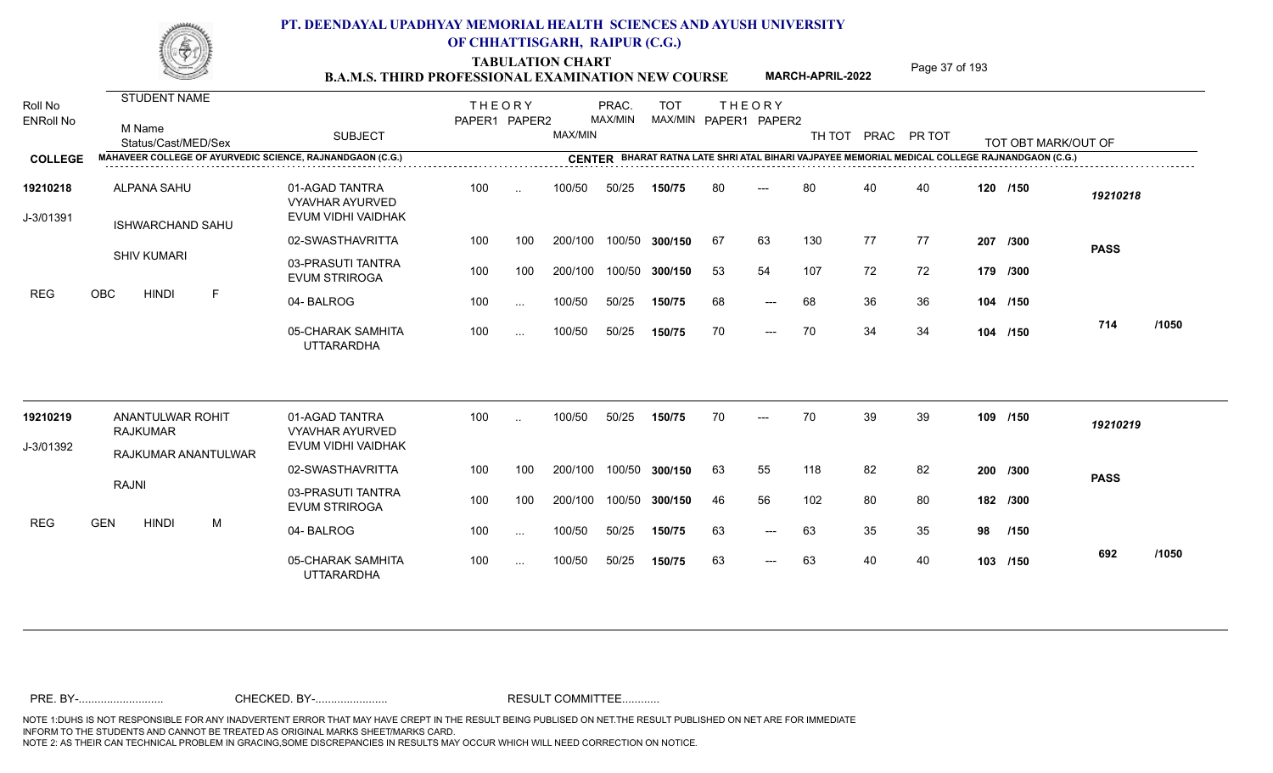TABULATION CHART<br> **TABULATION CHART B.A.M.S. THIRD PROFESSIONAL EXAMINATION NEW COURSE** MARCH-APRIL-2022 **Page 37 of 193** 

**MARCH-APRIL-2022**

| Roll No<br><b>ENRoll No</b> | STUDENT NAME<br>M Name<br>Status/Cast/MED/Sex             | <b>SUBJECT</b>                                                 | <b>THEORY</b><br>PAPER1 PAPER2 |               | MAX/MIN | PRAC.<br><b>MAX/MIN</b> | <b>TOT</b><br>MAX/MIN PAPER1 PAPER2 |    | <b>THEORY</b>       |     |    | TH TOT PRAC PR TOT |          | TOT OBT MARK/OUT OF |             |       |
|-----------------------------|-----------------------------------------------------------|----------------------------------------------------------------|--------------------------------|---------------|---------|-------------------------|-------------------------------------|----|---------------------|-----|----|--------------------|----------|---------------------|-------------|-------|
| <b>COLLEGE</b>              | MAHAVEER COLLEGE OF AYURVEDIC SCIENCE, RAJNANDGAON (C.G.) |                                                                |                                |               |         |                         |                                     |    |                     |     |    |                    |          |                     |             |       |
| 19210218<br>J-3/01391       | <b>ALPANA SAHU</b><br><b>ISHWARCHAND SAHU</b>             | 01-AGAD TANTRA<br><b>VYAVHAR AYURVED</b><br>EVUM VIDHI VAIDHAK | 100                            | $\sim$        | 100/50  | 50/25                   | 150/75                              | 80 | ---                 | 80  | 40 | 40                 |          | 120 /150            | 19210218    |       |
|                             |                                                           | 02-SWASTHAVRITTA                                               | 100                            | 100           | 200/100 | 100/50                  | 300/150                             | 67 | 63                  | 130 | 77 | 77                 |          | 207 /300            | <b>PASS</b> |       |
|                             | <b>SHIV KUMARI</b>                                        | 03-PRASUTI TANTRA<br><b>EVUM STRIROGA</b>                      | 100                            | 100           | 200/100 | 100/50                  | 300/150                             | 53 | 54                  | 107 | 72 | 72                 | 179 /300 |                     |             |       |
| <b>REG</b>                  | $\mathsf F$<br><b>OBC</b><br><b>HINDI</b>                 | 04-BALROG                                                      | 100                            | $\sim$        | 100/50  | 50/25                   | 150/75                              | 68 | $-$                 | 68  | 36 | 36                 |          | 104 /150            |             |       |
|                             |                                                           | 05-CHARAK SAMHITA<br><b>UTTARARDHA</b>                         | 100                            | $\sim$ .      | 100/50  | 50/25                   | 150/75                              | 70 | $---$               | 70  | 34 | 34                 |          | 104 /150            | 714         | /1050 |
| 19210219                    | ANANTULWAR ROHIT<br><b>RAJKUMAR</b>                       | 01-AGAD TANTRA<br><b>VYAVHAR AYURVED</b>                       | 100                            | $\sim$        | 100/50  | 50/25                   | 150/75                              | 70 |                     | 70  | 39 | 39                 |          | 109 /150            | 19210219    |       |
| J-3/01392                   | RAJKUMAR ANANTULWAR                                       | EVUM VIDHI VAIDHAK                                             |                                |               |         |                         |                                     |    |                     |     |    |                    |          |                     |             |       |
|                             |                                                           | 02-SWASTHAVRITTA                                               | 100                            | 100           | 200/100 | 100/50                  | 300/150                             | 63 | 55                  | 118 | 82 | 82                 |          | 200 /300            | <b>PASS</b> |       |
|                             | <b>RAJNI</b>                                              | 03-PRASUTI TANTRA<br><b>EVUM STRIROGA</b>                      | 100                            | 100           | 200/100 | 100/50                  | 300/150                             | 46 | 56                  | 102 | 80 | 80                 |          | 182 /300            |             |       |
| <b>REG</b>                  | <b>HINDI</b><br><b>GEN</b><br>M                           | 04-BALROG                                                      | 100                            | $\sim$        | 100/50  | 50/25                   | 150/75                              | 63 | $\qquad \qquad - -$ | 63  | 35 | 35                 | 98       | /150                |             |       |
|                             |                                                           | 05-CHARAK SAMHITA<br><b>UTTARARDHA</b>                         | 100                            | $\sim$ $\sim$ | 100/50  | 50/25                   | 150/75                              | 63 | $\qquad \qquad - -$ | 63  | 40 | 40                 |          | 103 /150            | 692         | /1050 |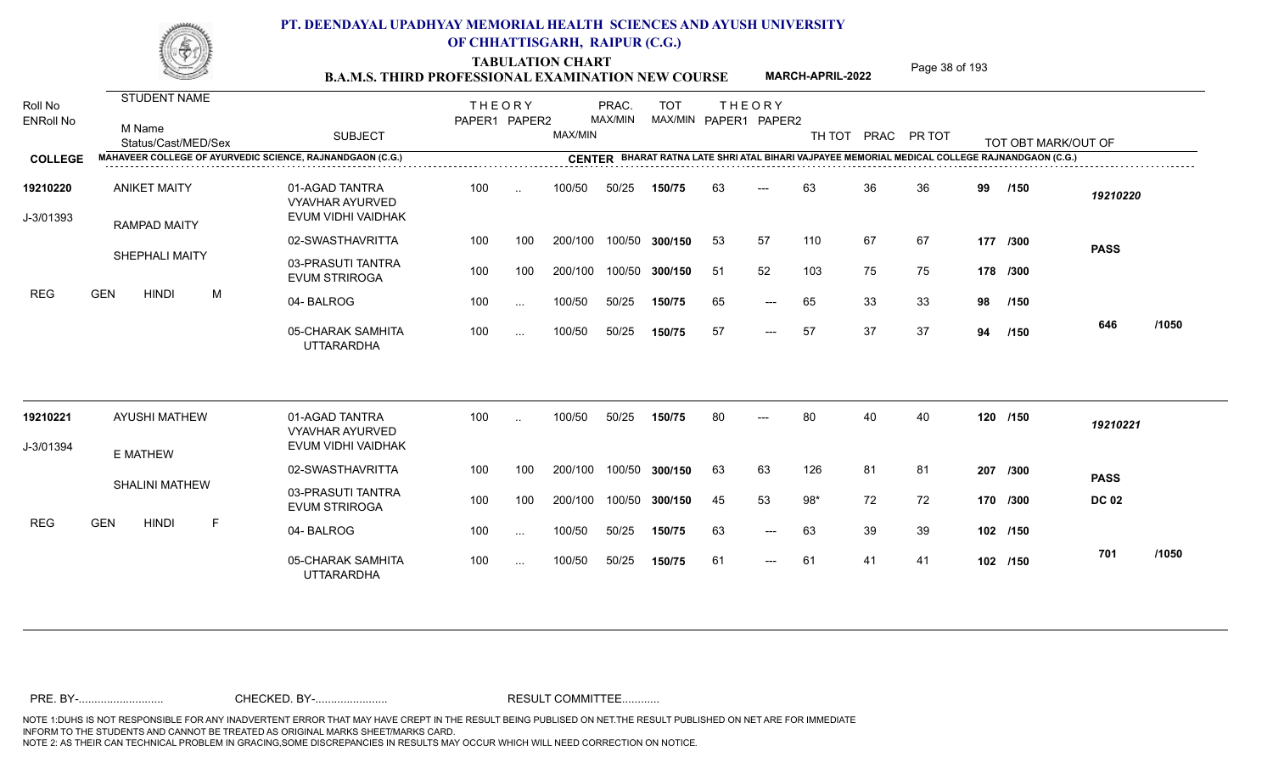TABULATION CHART<br> **TABULATION CHART** PAGE MARCH-APRIL-2022 Page 38 of 193

**MARCH-APRIL-2022**

| Roll No<br><b>ENRoll No</b> | STUDENT NAME<br>M Name<br>Status/Cast/MED/Sex                    | <b>SUBJECT</b>                                                 | <b>THEORY</b><br>PAPER1 PAPER2 |                      | MAX/MIN | PRAC.<br><b>MAX/MIN</b> | <b>TOT</b><br>MAX/MIN PAPER1 PAPER2 | <b>THEORY</b> |                     |       |    | TH TOT PRAC PR TOT |    | TOT OBT MARK/OUT OF |              |       |
|-----------------------------|------------------------------------------------------------------|----------------------------------------------------------------|--------------------------------|----------------------|---------|-------------------------|-------------------------------------|---------------|---------------------|-------|----|--------------------|----|---------------------|--------------|-------|
| <b>COLLEGE</b>              | <b>MAHAVEER COLLEGE OF AYURVEDIC SCIENCE, RAJNANDGAON (C.G.)</b> |                                                                |                                |                      |         |                         |                                     |               |                     |       |    |                    |    |                     |              |       |
| 19210220<br>J-3/01393       | <b>ANIKET MAITY</b><br><b>RAMPAD MAITY</b>                       | 01-AGAD TANTRA<br><b>VYAVHAR AYURVED</b><br>EVUM VIDHI VAIDHAK | 100                            | $\ddot{\phantom{a}}$ | 100/50  | 50/25                   | 150/75                              | 63            | $---$               | 63    | 36 | 36                 | 99 | /150                | 19210220     |       |
|                             |                                                                  | 02-SWASTHAVRITTA                                               | 100                            | 100                  | 200/100 | 100/50                  | 300/150                             | 53            | 57                  | 110   | 67 | 67                 |    | 177 /300            | <b>PASS</b>  |       |
|                             | SHEPHALI MAITY                                                   | 03-PRASUTI TANTRA<br><b>EVUM STRIROGA</b>                      | 100                            | 100                  | 200/100 | 100/50                  | 300/150                             | 51            | 52                  | 103   | 75 | 75                 |    | 178 /300            |              |       |
| <b>REG</b>                  | <b>GEN</b><br><b>HINDI</b><br>M                                  | 04-BALROG                                                      | 100                            | $\sim$               | 100/50  | 50/25                   | 150/75                              | 65            | $---$               | 65    | 33 | 33                 | 98 | /150                |              |       |
|                             |                                                                  | 05-CHARAK SAMHITA<br><b>UTTARARDHA</b>                         | 100                            | $\cdots$             | 100/50  | 50/25                   | 150/75                              | 57            | $---$               | 57    | 37 | 37                 | 94 | /150                | 646          | /1050 |
| 19210221                    | <b>AYUSHI MATHEW</b>                                             | 01-AGAD TANTRA<br><b>VYAVHAR AYURVED</b>                       | 100                            |                      | 100/50  | 50/25                   | 150/75                              | 80            |                     | 80    | 40 | 40                 |    | 120 /150            | 19210221     |       |
| J-3/01394                   | E MATHEW                                                         | EVUM VIDHI VAIDHAK                                             |                                |                      |         |                         |                                     |               |                     |       |    |                    |    |                     |              |       |
|                             |                                                                  | 02-SWASTHAVRITTA                                               | 100                            | 100                  | 200/100 | 100/50                  | 300/150                             | 63            | 63                  | 126   | 81 | 81                 |    | 207 /300            | <b>PASS</b>  |       |
|                             | <b>SHALINI MATHEW</b>                                            | 03-PRASUTI TANTRA<br><b>EVUM STRIROGA</b>                      | 100                            | 100                  | 200/100 | 100/50                  | 300/150                             | 45            | 53                  | $98*$ | 72 | 72                 |    | 170 /300            | <b>DC 02</b> |       |
| <b>REG</b>                  | <b>GEN</b><br>$\mathsf F$<br><b>HINDI</b>                        | 04-BALROG                                                      | 100                            | $\sim$               | 100/50  | 50/25                   | 150/75                              | 63            | $---$               | 63    | 39 | 39                 |    | 102 /150            |              |       |
|                             |                                                                  | 05-CHARAK SAMHITA<br><b>UTTARARDHA</b>                         | 100                            | $\cdots$             | 100/50  | 50/25                   | 150/75                              | 61            | $\qquad \qquad - -$ | 61    | 41 | 41                 |    | 102 /150            | 701          | /1050 |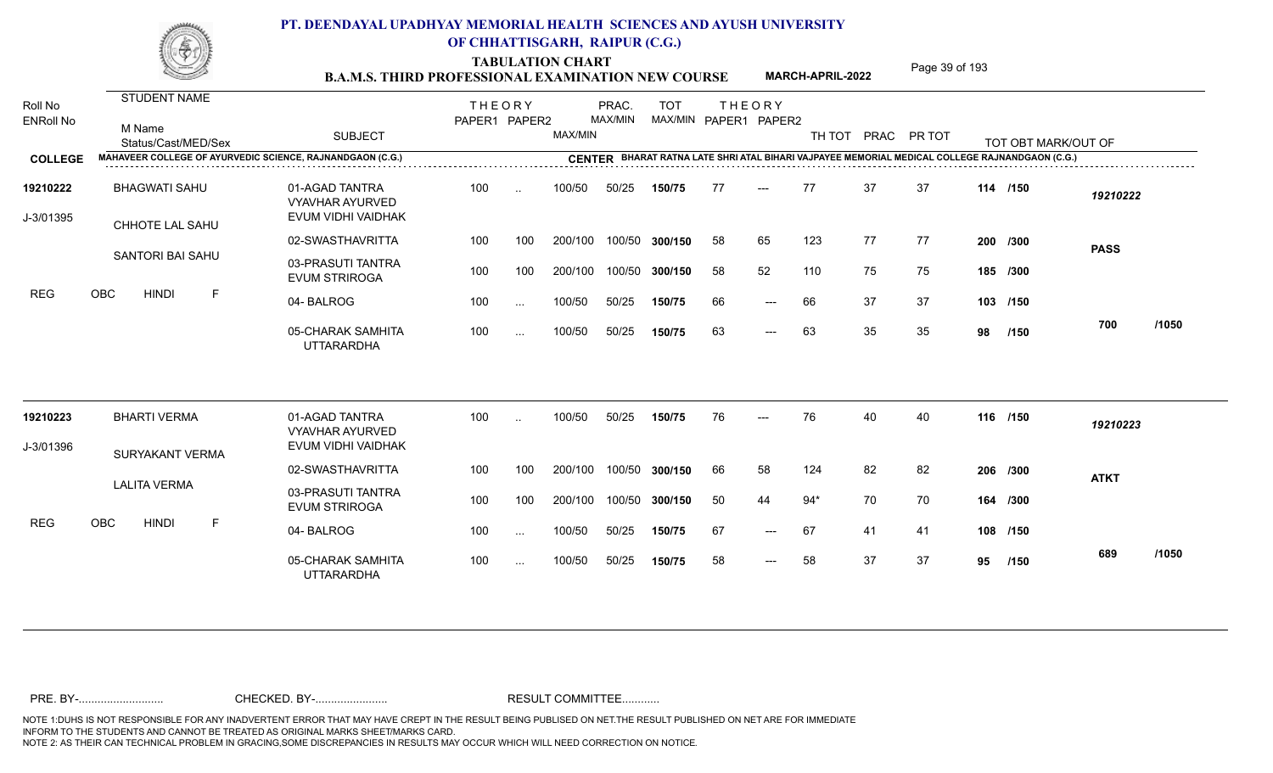TABULATION CHART<br> **TABULATION CHART** PAGE **Page 39 of 193 B.A.M.S. THIRD PROFESSIONAL EXAMINATION NEW COURSE** MARCH-APRIL-2022

**MARCH-APRIL-2022**

| Roll No<br><b>ENRoll No</b> | <b>STUDENT NAME</b><br>M Name<br>Status/Cast/MED/Sex             | <b>SUBJECT</b>                                                 | <b>THEORY</b><br>PAPER1 PAPER2 |               | MAX/MIN | PRAC.<br>MAX/MIN | <b>TOT</b>     |    | <b>THEORY</b><br>MAX/MIN PAPER1 PAPER2 | TH TOT |    | PRAC PR TOT |    | TOT OBT MARK/OUT OF                                                                            |             |       |
|-----------------------------|------------------------------------------------------------------|----------------------------------------------------------------|--------------------------------|---------------|---------|------------------|----------------|----|----------------------------------------|--------|----|-------------|----|------------------------------------------------------------------------------------------------|-------------|-------|
| <b>COLLEGE</b>              | <b>MAHAVEER COLLEGE OF AYURVEDIC SCIENCE, RAJNANDGAON (C.G.)</b> |                                                                |                                |               |         |                  |                |    |                                        |        |    |             |    | CENTER BHARAT RATNA LATE SHRI ATAL BIHARI VAJPAYEE MEMORIAL MEDICAL COLLEGE RAJNANDGAON (C.G.) |             |       |
| 19210222<br>J-3/01395       | <b>BHAGWATI SAHU</b><br><b>CHHOTE LAL SAHU</b>                   | 01-AGAD TANTRA<br><b>VYAVHAR AYURVED</b><br>EVUM VIDHI VAIDHAK | 100                            | $\ddotsc$     | 100/50  | 50/25            | 150/75         | 77 | $---$                                  | 77     | 37 | 37          |    | 114 /150                                                                                       | 19210222    |       |
|                             |                                                                  | 02-SWASTHAVRITTA                                               | 100                            | 100           | 200/100 |                  | 100/50 300/150 | 58 | 65                                     | 123    | 77 | 77          |    | 200 /300                                                                                       | <b>PASS</b> |       |
|                             | SANTORI BAI SAHU                                                 | 03-PRASUTI TANTRA<br><b>EVUM STRIROGA</b>                      | 100                            | 100           | 200/100 |                  | 100/50 300/150 | 58 | 52                                     | 110    | 75 | 75          |    | 185 /300                                                                                       |             |       |
| <b>REG</b>                  | OBC<br><b>HINDI</b><br>F                                         | 04-BALROG                                                      | 100                            | $\sim$ $\sim$ | 100/50  | 50/25            | 150/75         | 66 | $\qquad \qquad - -$                    | 66     | 37 | 37          |    | 103 /150                                                                                       |             |       |
|                             |                                                                  | 05-CHARAK SAMHITA<br><b>UTTARARDHA</b>                         | 100                            | $\sim$ .      | 100/50  | 50/25            | 150/75         | 63 | $\qquad \qquad - -$                    | 63     | 35 | 35          | 98 | /150                                                                                           | 700         | /1050 |
| 19210223                    | <b>BHARTI VERMA</b>                                              | 01-AGAD TANTRA<br><b>VYAVHAR AYURVED</b>                       | 100                            | $\cdot$ .     | 100/50  | 50/25            | 150/75         | 76 |                                        | 76     | 40 | 40          |    | 116 /150                                                                                       | 19210223    |       |
| J-3/01396                   | SURYAKANT VERMA                                                  | EVUM VIDHI VAIDHAK                                             |                                |               |         |                  |                |    |                                        |        |    |             |    |                                                                                                |             |       |
|                             |                                                                  | 02-SWASTHAVRITTA                                               | 100                            | 100           | 200/100 |                  | 100/50 300/150 | 66 | 58                                     | 124    | 82 | 82          |    | 206 /300                                                                                       | <b>ATKT</b> |       |
|                             | <b>LALITA VERMA</b>                                              | 03-PRASUTI TANTRA<br><b>EVUM STRIROGA</b>                      | 100                            | 100           | 200/100 |                  | 100/50 300/150 | 50 | 44                                     | $94*$  | 70 | 70          |    | 164 /300                                                                                       |             |       |
| <b>REG</b>                  | <b>OBC</b><br><b>HINDI</b><br>F                                  | 04-BALROG                                                      | 100                            | $\ldots$      | 100/50  | 50/25            | 150/75         | 67 | $---$                                  | 67     | 41 | 41          |    | 108 /150                                                                                       |             |       |
|                             |                                                                  | 05-CHARAK SAMHITA<br><b>UTTARARDHA</b>                         | 100                            | $\sim$ $\sim$ | 100/50  | 50/25            | 150/75         | 58 | $---$                                  | 58     | 37 | 37          | 95 | /150                                                                                           | 689         | /1050 |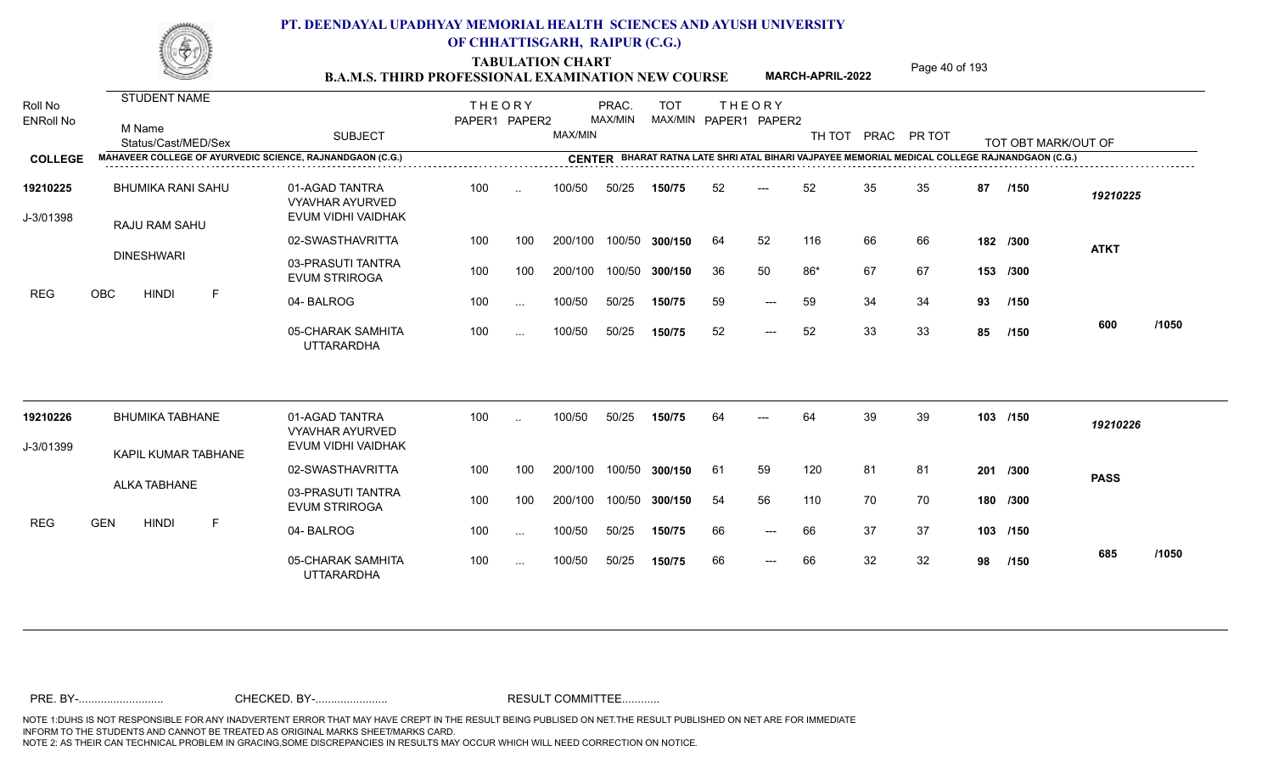TABULATION CHART<br> **TABULATION CHART B.A.M.S. THIRD PROFESSIONAL EXAMINATION NEW COURSE MARCH-APRIL-2022 Page 40 of 193** 

**MARCH-APRIL-2022**

| Roll No<br><b>ENRoll No</b><br><b>COLLEGE</b> | STUDENT NAME<br>M Name<br>Status/Cast/MED/Sex<br>MAHAVEER COLLEGE OF AYURVEDIC SCIENCE, RAJNANDGAON (C.G.) | <b>SUBJECT</b>                               | <b>THEORY</b><br>PAPER1 PAPER2 |               | MAX/MIN | PRAC.<br>MAX/MIN | <b>TOT</b><br>MAX/MIN PAPER1 PAPER2 |    | <b>THEORY</b> | TH TOT PRAC PR TOT |    |    |     | TOT OBT MARK/OUT OF<br>CENTER BHARAT RATNA LATE SHRI ATAL BIHARI VAJPAYEE MEMORIAL MEDICAL COLLEGE RAJNANDGAON (C.G.) |             |       |
|-----------------------------------------------|------------------------------------------------------------------------------------------------------------|----------------------------------------------|--------------------------------|---------------|---------|------------------|-------------------------------------|----|---------------|--------------------|----|----|-----|-----------------------------------------------------------------------------------------------------------------------|-------------|-------|
| 19210225                                      | <b>BHUMIKA RANI SAHU</b>                                                                                   | 01-AGAD TANTRA                               | 100                            | $\ddotsc$     | 100/50  | 50/25            | 150/75                              | 52 | $---$         | 52                 | 35 | 35 | 87  | /150                                                                                                                  | 19210225    |       |
| J-3/01398                                     | RAJU RAM SAHU                                                                                              | <b>VYAVHAR AYURVED</b><br>EVUM VIDHI VAIDHAK |                                |               |         |                  |                                     |    |               |                    |    |    |     |                                                                                                                       |             |       |
|                                               | <b>DINESHWARI</b>                                                                                          | 02-SWASTHAVRITTA                             | 100                            | 100           | 200/100 |                  | 100/50 300/150                      | 64 | 52            | 116                | 66 | 66 |     | 182 /300                                                                                                              | <b>ATKT</b> |       |
|                                               |                                                                                                            | 03-PRASUTI TANTRA<br><b>EVUM STRIROGA</b>    | 100                            | 100           | 200/100 |                  | 100/50 300/150                      | 36 | 50            | $86*$              | 67 | 67 |     | 153 /300                                                                                                              |             |       |
| <b>REG</b>                                    | OBC<br><b>HINDI</b><br>-F                                                                                  | 04-BALROG                                    | 100                            | $\ddots$      | 100/50  | 50/25            | 150/75                              | 59 | $---$         | 59                 | 34 | 34 | 93  | /150                                                                                                                  |             |       |
|                                               |                                                                                                            | 05-CHARAK SAMHITA<br><b>UTTARARDHA</b>       | 100                            | $\cdots$      | 100/50  | 50/25            | 150/75                              | 52 | $---$         | 52                 | 33 | 33 | 85  | /150                                                                                                                  | 600         | /1050 |
| 19210226                                      | <b>BHUMIKA TABHANE</b>                                                                                     | 01-AGAD TANTRA<br><b>VYAVHAR AYURVED</b>     | 100                            |               | 100/50  | 50/25            | 150/75                              | 64 |               | 64                 | 39 | 39 |     | 103 /150                                                                                                              | 19210226    |       |
| J-3/01399                                     | KAPIL KUMAR TABHANE                                                                                        | EVUM VIDHI VAIDHAK                           |                                |               |         |                  |                                     |    |               |                    |    |    |     |                                                                                                                       |             |       |
|                                               |                                                                                                            | 02-SWASTHAVRITTA                             | 100                            | 100           | 200/100 |                  | 100/50 300/150                      | 61 | 59            | 120                | 81 | 81 | 201 | /300                                                                                                                  | <b>PASS</b> |       |
|                                               | ALKA TABHANE                                                                                               | 03-PRASUTI TANTRA<br><b>EVUM STRIROGA</b>    | 100                            | 100           | 200/100 |                  | 100/50 300/150                      | 54 | 56            | 110                | 70 | 70 |     | 180 /300                                                                                                              |             |       |
| <b>REG</b>                                    | <b>GEN</b><br><b>HINDI</b><br>E                                                                            | 04-BALROG                                    | 100                            | $\cdots$      | 100/50  | 50/25            | 150/75                              | 66 | $---$         | 66                 | 37 | 37 |     | 103 /150                                                                                                              |             |       |
|                                               |                                                                                                            | 05-CHARAK SAMHITA<br><b>UTTARARDHA</b>       | 100                            | $\sim$ $\sim$ | 100/50  | 50/25            | 150/75                              | 66 | $---$         | 66                 | 32 | 32 | 98  | /150                                                                                                                  | 685         | /1050 |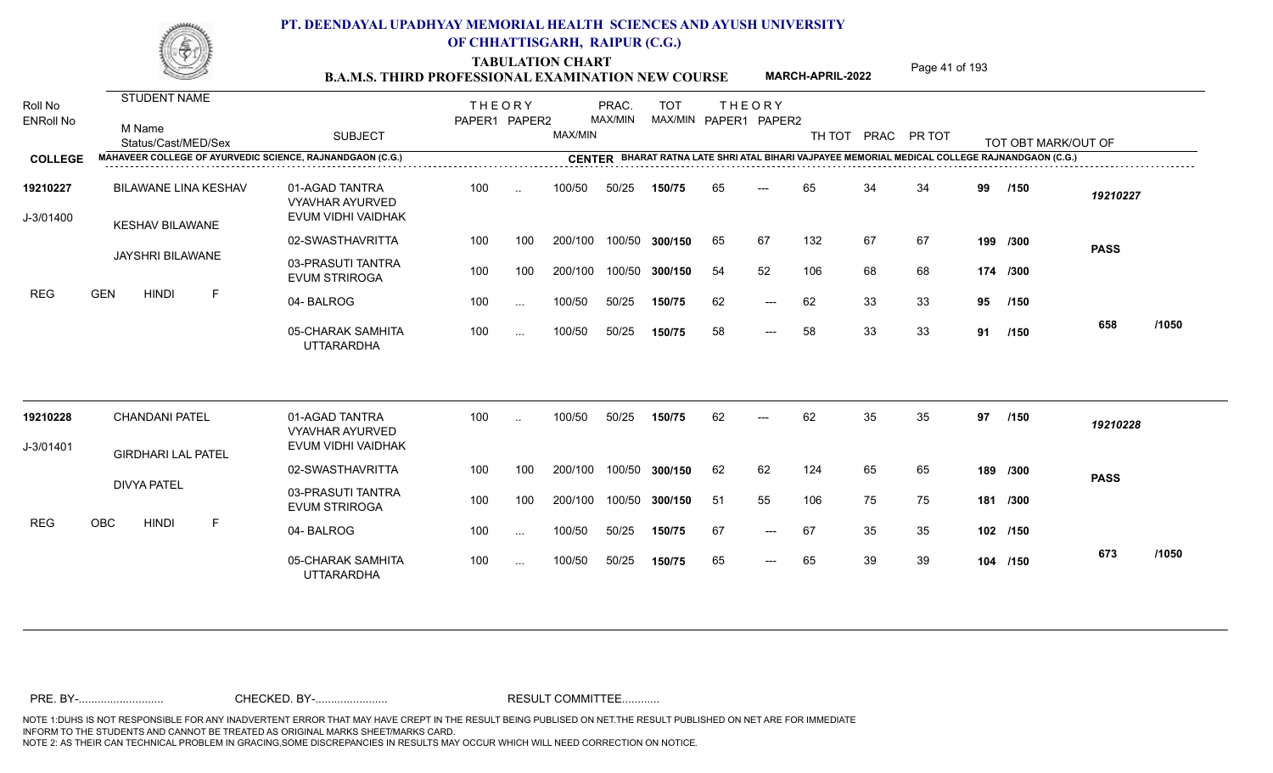TABULATION CHART<br>**B.A.M.S. THIRD PROFESSIONAL EXAMINATION NEW COURSE** MARCH-APRIL-2022 Page 41 of 193

**MARCH-APRIL-2022**

| Roll No<br><b>ENRoll No</b><br><b>COLLEGE</b><br>19210227 | STUDENT NAME<br>M Name<br>Status/Cast/MED/Sex<br>MAHAVEER COLLEGE OF AYURVEDIC SCIENCE, RAJNANDGAON (C.G.)<br><b>BILAWANE LINA KESHAV</b> | <b>SUBJECT</b><br>01-AGAD TANTRA             | <b>THEORY</b><br>PAPER1 PAPER2<br>100 | $\cdot$ . | MAX/MIN<br>100/50 | PRAC.<br>MAX/MIN<br>50/25 | <b>TOT</b><br>150/75 | 65  | <b>THEORY</b><br>MAX/MIN PAPER1 PAPER2 | TH TOT PRAC PR TOT<br>65 | 34 | 34 | 99 | TOT OBT MARK/OUT OF<br>CENTER BHARAT RATNA LATE SHRI ATAL BIHARI VAJPAYEE MEMORIAL MEDICAL COLLEGE RAJNANDGAON (C.G.)<br>/150 | 19210227    |       |
|-----------------------------------------------------------|-------------------------------------------------------------------------------------------------------------------------------------------|----------------------------------------------|---------------------------------------|-----------|-------------------|---------------------------|----------------------|-----|----------------------------------------|--------------------------|----|----|----|-------------------------------------------------------------------------------------------------------------------------------|-------------|-------|
| J-3/01400                                                 | <b>KESHAV BILAWANE</b>                                                                                                                    | <b>VYAVHAR AYURVED</b><br>EVUM VIDHI VAIDHAK |                                       |           |                   |                           |                      |     |                                        |                          |    |    |    |                                                                                                                               |             |       |
|                                                           | <b>JAYSHRI BILAWANE</b>                                                                                                                   | 02-SWASTHAVRITTA                             | 100                                   | 100       | 200/100           |                           | 100/50 300/150       | 65  | 67                                     | 132                      | 67 | 67 |    | 199 /300                                                                                                                      | <b>PASS</b> |       |
|                                                           |                                                                                                                                           | 03-PRASUTI TANTRA<br><b>EVUM STRIROGA</b>    | 100                                   | 100       | 200/100           |                           | 100/50 300/150       | 54  | 52                                     | 106                      | 68 | 68 |    | 174 /300                                                                                                                      |             |       |
| REG                                                       | <b>GEN</b><br><b>HINDI</b><br>F                                                                                                           | 04-BALROG                                    | 100                                   | $\cdots$  | 100/50            | 50/25                     | 150/75               | 62  | $---$                                  | 62                       | 33 | 33 | 95 | /150                                                                                                                          |             |       |
|                                                           |                                                                                                                                           | 05-CHARAK SAMHITA<br><b>UTTARARDHA</b>       | 100                                   | $\cdots$  | 100/50            | 50/25                     | 150/75               | 58  | $---$                                  | 58                       | 33 | 33 | 91 | /150                                                                                                                          | 658         | /1050 |
| 19210228                                                  | <b>CHANDANI PATEL</b>                                                                                                                     | 01-AGAD TANTRA<br><b>VYAVHAR AYURVED</b>     | 100                                   |           | 100/50            | 50/25                     | 150/75               | 62  | $---$                                  | 62                       | 35 | 35 | 97 | /150                                                                                                                          | 19210228    |       |
| J-3/01401                                                 | <b>GIRDHARI LAL PATEL</b>                                                                                                                 | EVUM VIDHI VAIDHAK                           |                                       |           |                   |                           |                      |     |                                        |                          |    |    |    |                                                                                                                               |             |       |
|                                                           | <b>DIVYA PATEL</b>                                                                                                                        | 02-SWASTHAVRITTA                             | 100                                   | 100       | 200/100           |                           | 100/50 300/150       | 62  | 62                                     | 124                      | 65 | 65 |    | 189 /300                                                                                                                      | <b>PASS</b> |       |
|                                                           |                                                                                                                                           | 03-PRASUTI TANTRA<br><b>EVUM STRIROGA</b>    | 100                                   | 100       | 200/100           |                           | 100/50 300/150       | -51 | 55                                     | 106                      | 75 | 75 |    | 181 /300                                                                                                                      |             |       |
| <b>REG</b>                                                | OBC<br><b>HINDI</b><br>F                                                                                                                  | 04-BALROG                                    | 100                                   | $\cdots$  | 100/50            | 50/25                     | 150/75               | 67  | $---$                                  | 67                       | 35 | 35 |    | 102 /150                                                                                                                      |             |       |
|                                                           |                                                                                                                                           | 05-CHARAK SAMHITA<br><b>UTTARARDHA</b>       | 100                                   | $\cdots$  | 100/50            | 50/25                     | 150/75               | 65  | $---$                                  | 65                       | 39 | 39 |    | 104 /150                                                                                                                      | 673         | /1050 |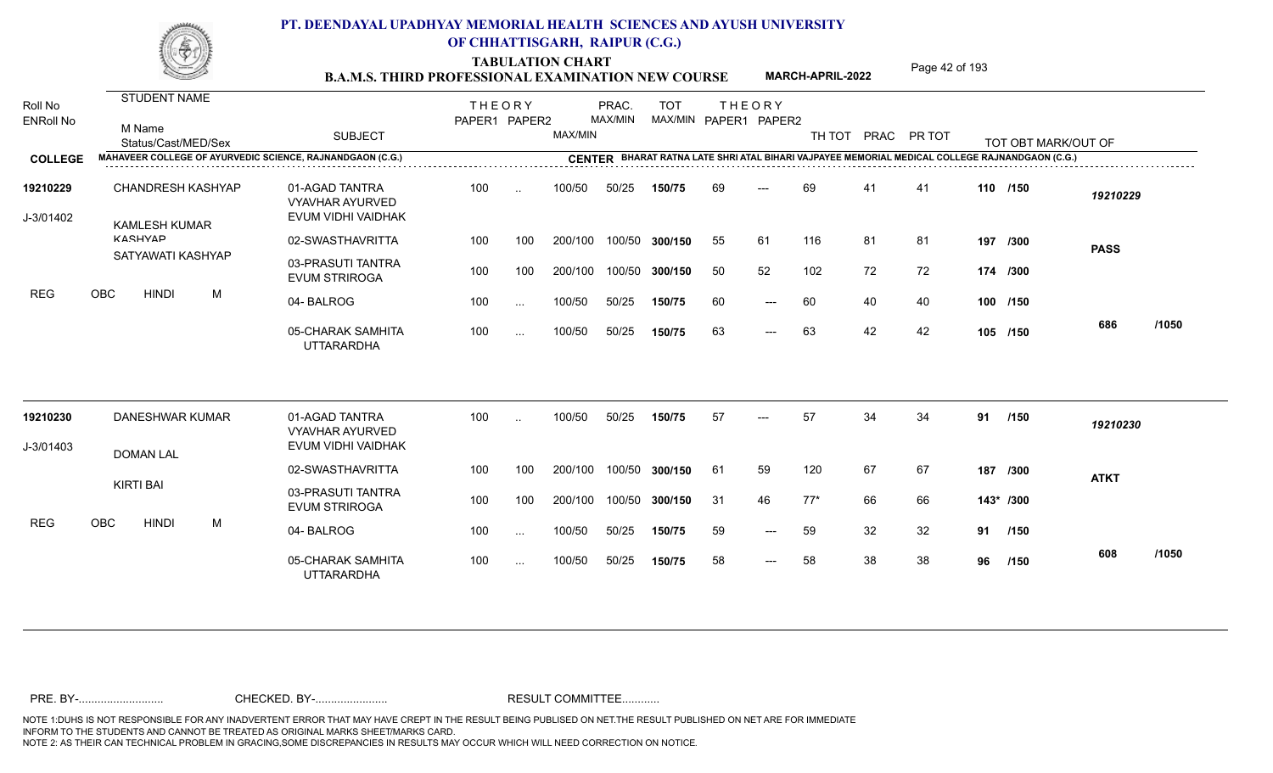TABULATION CHART<br> **TABULATION CHART** PAGE **Page 42 of 193 B.A.M.S. THIRD PROFESSIONAL EXAMINATION NEW COURSE MARCH-APRIL-2022** 

**MARCH-APRIL-2022**

| Roll No               | <b>STUDENT NAME</b>                       |                                                                | <b>THEORY</b> |                      |         | PRAC.   | <b>TOT</b> |    | <b>THEORY</b>         |       |    |                    |    |                                                                                                |             |       |
|-----------------------|-------------------------------------------|----------------------------------------------------------------|---------------|----------------------|---------|---------|------------|----|-----------------------|-------|----|--------------------|----|------------------------------------------------------------------------------------------------|-------------|-------|
| <b>ENRoll No</b>      | M Name<br>Status/Cast/MED/Sex             | <b>SUBJECT</b>                                                 | PAPER1 PAPER2 |                      | MAX/MIN | MAX/MIN |            |    | MAX/MIN PAPER1 PAPER2 |       |    | TH TOT PRAC PR TOT |    | TOT OBT MARK/OUT OF                                                                            |             |       |
| <b>COLLEGE</b>        |                                           | MAHAVEER COLLEGE OF AYURVEDIC SCIENCE, RAJNANDGAON (C.G.)      |               |                      |         |         |            |    |                       |       |    |                    |    | CENTER BHARAT RATNA LATE SHRI ATAL BIHARI VAJPAYEE MEMORIAL MEDICAL COLLEGE RAJNANDGAON (C.G.) |             |       |
| 19210229<br>J-3/01402 | CHANDRESH KASHYAP<br><b>KAMLESH KUMAR</b> | 01-AGAD TANTRA<br><b>VYAVHAR AYURVED</b><br>EVUM VIDHI VAIDHAK | 100           | $\ddot{\phantom{a}}$ | 100/50  | 50/25   | 150/75     | 69 | $---$                 | 69    | 41 | 41                 |    | 110 /150                                                                                       | 19210229    |       |
|                       | <b>KASHVAD</b>                            | 02-SWASTHAVRITTA                                               | 100           | 100                  | 200/100 | 100/50  | 300/150    | 55 | 61                    | 116   | 81 | 81                 |    | 197 /300                                                                                       | <b>PASS</b> |       |
|                       | SATYAWATI KASHYAP                         | 03-PRASUTI TANTRA<br><b>EVUM STRIROGA</b>                      | 100           | 100                  | 200/100 | 100/50  | 300/150    | 50 | 52                    | 102   | 72 | 72                 |    | 174 /300                                                                                       |             |       |
| <b>REG</b>            | OBC<br><b>HINDI</b><br>M                  | 04-BALROG                                                      | 100           | $\sim$ . $\sim$      | 100/50  | 50/25   | 150/75     | 60 | $---$                 | 60    | 40 | 40                 |    | 100 /150                                                                                       |             |       |
|                       |                                           | 05-CHARAK SAMHITA<br><b>UTTARARDHA</b>                         | 100           | $\ddotsc$            | 100/50  | 50/25   | 150/75     | 63 | $---$                 | 63    | 42 | 42                 |    | 105 /150                                                                                       | 686         | /1050 |
| 19210230              | <b>DANESHWAR KUMAR</b>                    | 01-AGAD TANTRA<br><b>VYAVHAR AYURVED</b>                       | 100           |                      | 100/50  | 50/25   | 150/75     | 57 | ---                   | 57    | 34 | 34                 | 91 | /150                                                                                           | 19210230    |       |
| J-3/01403             | <b>DOMAN LAL</b>                          | EVUM VIDHI VAIDHAK                                             |               |                      |         |         |            |    |                       |       |    |                    |    |                                                                                                |             |       |
|                       |                                           | 02-SWASTHAVRITTA                                               | 100           | 100                  | 200/100 | 100/50  | 300/150    | 61 | 59                    | 120   | 67 | 67                 |    | 187 /300                                                                                       | <b>ATKT</b> |       |
|                       | <b>KIRTI BAI</b>                          | 03-PRASUTI TANTRA<br><b>EVUM STRIROGA</b>                      | 100           | 100                  | 200/100 | 100/50  | 300/150    | 31 | 46                    | $77*$ | 66 | 66                 |    | 143* /300                                                                                      |             |       |
| <b>REG</b>            | OBC<br><b>HINDI</b><br>M                  | 04-BALROG                                                      | 100           | $\ddotsc$            | 100/50  | 50/25   | 150/75     | 59 | $---$                 | 59    | 32 | 32                 | 91 | /150                                                                                           |             |       |
|                       |                                           | 05-CHARAK SAMHITA<br><b>UTTARARDHA</b>                         | 100           | $\cdots$             | 100/50  | 50/25   | 150/75     | 58 | ---                   | 58    | 38 | 38                 | 96 | /150                                                                                           | 608         | /1050 |
|                       |                                           |                                                                |               |                      |         |         |            |    |                       |       |    |                    |    |                                                                                                |             |       |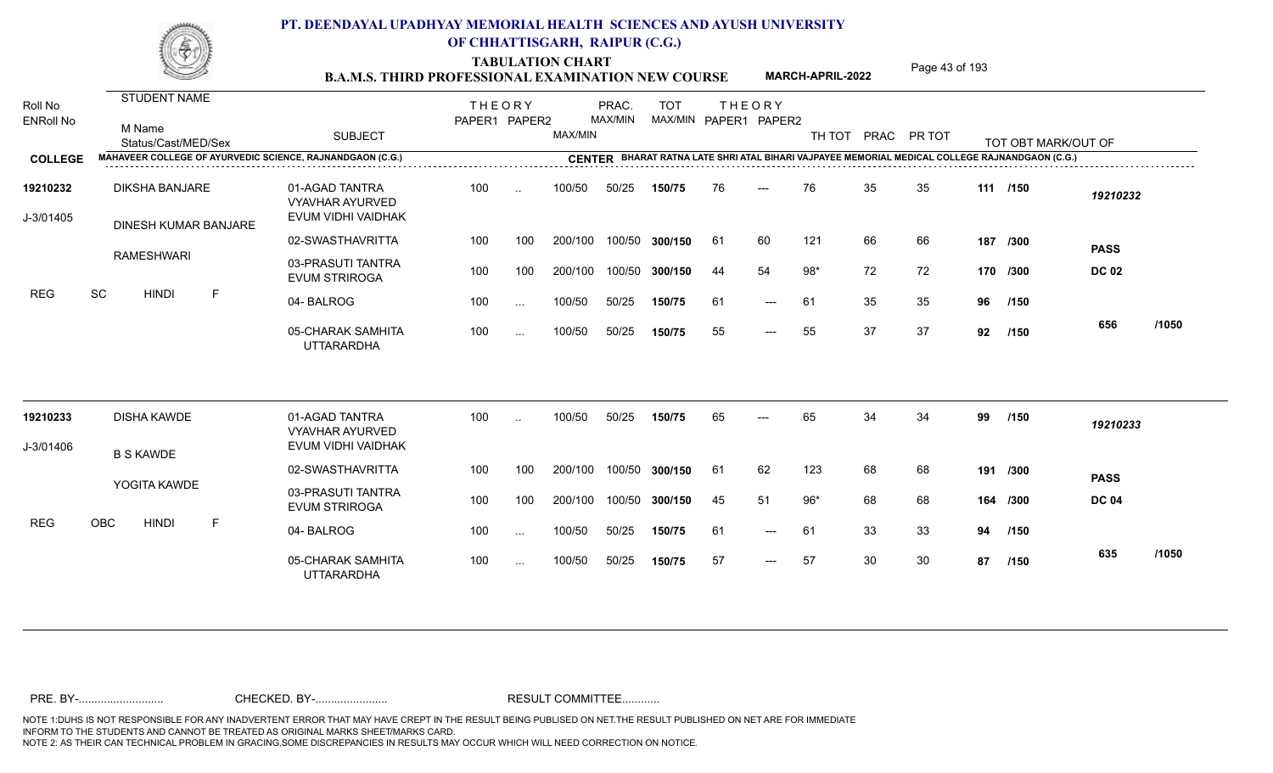TABULATION CHART<br>**B.A.M.S. THIRD PROFESSIONAL EXAMINATION NEW COURSE** MARCH-APRIL-2022 Page 43 of 193

**MARCH-APRIL-2022**

| Roll No               | <b>STUDENT NAME</b>                                       |                                                                | <b>THEORY</b> |          |         | PRAC.   | <b>TOT</b>     |     | <b>THEORY</b>         |       |    |                    |     |                                                                                                |              |       |
|-----------------------|-----------------------------------------------------------|----------------------------------------------------------------|---------------|----------|---------|---------|----------------|-----|-----------------------|-------|----|--------------------|-----|------------------------------------------------------------------------------------------------|--------------|-------|
| <b>ENRoll No</b>      | M Name<br>Status/Cast/MED/Sex                             | <b>SUBJECT</b>                                                 | PAPER1 PAPER2 |          | MAX/MIN | MAX/MIN |                |     | MAX/MIN PAPER1 PAPER2 |       |    | TH TOT PRAC PR TOT |     | TOT OBT MARK/OUT OF                                                                            |              |       |
| <b>COLLEGE</b>        | MAHAVEER COLLEGE OF AYURVEDIC SCIENCE, RAJNANDGAON (C.G.) |                                                                |               |          |         |         |                |     |                       |       |    |                    |     | CENTER BHARAT RATNA LATE SHRI ATAL BIHARI VAJPAYEE MEMORIAL MEDICAL COLLEGE RAJNANDGAON (C.G.) |              |       |
| 19210232<br>J-3/01405 | <b>DIKSHA BANJARE</b><br>DINESH KUMAR BANJARE             | 01-AGAD TANTRA<br><b>VYAVHAR AYURVED</b><br>EVUM VIDHI VAIDHAK | 100           | $\sim$   | 100/50  | 50/25   | 150/75         | 76  | $---$                 | 76    | 35 | 35                 |     | 111 /150                                                                                       | 19210232     |       |
|                       |                                                           | 02-SWASTHAVRITTA                                               | 100           | 100      | 200/100 |         | 100/50 300/150 | -61 | 60                    | 121   | 66 | 66                 |     | 187 /300                                                                                       | <b>PASS</b>  |       |
|                       | <b>RAMESHWARI</b>                                         | 03-PRASUTI TANTRA<br><b>EVUM STRIROGA</b>                      | 100           | 100      | 200/100 |         | 100/50 300/150 | 44  | 54                    | $98*$ | 72 | 72                 |     | 170 /300                                                                                       | <b>DC 02</b> |       |
| <b>REG</b>            | SC<br><b>HINDI</b><br>F                                   | 04-BALROG                                                      | 100           | $\cdots$ | 100/50  | 50/25   | 150/75         | 61  | $---$                 | 61    | 35 | 35                 | 96  | /150                                                                                           |              |       |
|                       |                                                           | 05-CHARAK SAMHITA<br><b>UTTARARDHA</b>                         | 100           | $\cdots$ | 100/50  | 50/25   | 150/75         | 55  | $---$                 | 55    | 37 | 37                 | 92  | /150                                                                                           | 656          | /1050 |
| 19210233              | <b>DISHA KAWDE</b>                                        | 01-AGAD TANTRA<br><b>VYAVHAR AYURVED</b>                       | 100           |          | 100/50  | 50/25   | 150/75         | 65  |                       | 65    | 34 | 34                 | 99  | /150                                                                                           | 19210233     |       |
| J-3/01406             | <b>B S KAWDE</b>                                          | EVUM VIDHI VAIDHAK                                             |               |          |         |         |                |     |                       |       |    |                    |     |                                                                                                |              |       |
|                       |                                                           | 02-SWASTHAVRITTA                                               | 100           | 100      | 200/100 |         | 100/50 300/150 | -61 | 62                    | 123   | 68 | 68                 | 191 | /300                                                                                           | <b>PASS</b>  |       |
|                       | YOGITA KAWDE                                              | 03-PRASUTI TANTRA<br><b>EVUM STRIROGA</b>                      | 100           | 100      | 200/100 |         | 100/50 300/150 | 45  | 51                    | $96*$ | 68 | 68                 |     | 164 /300                                                                                       | <b>DC 04</b> |       |
| <b>REG</b>            | OBC<br><b>HINDI</b><br>F                                  | 04-BALROG                                                      | 100           | $\cdots$ | 100/50  | 50/25   | 150/75         | 61  | $---$                 | 61    | 33 | 33                 | 94  | /150                                                                                           |              |       |
|                       |                                                           | 05-CHARAK SAMHITA<br><b>UTTARARDHA</b>                         | 100           | $\cdots$ | 100/50  | 50/25   | 150/75         | 57  | $---$                 | 57    | 30 | 30                 | 87  | /150                                                                                           | 635          | /1050 |
|                       |                                                           |                                                                |               |          |         |         |                |     |                       |       |    |                    |     |                                                                                                |              |       |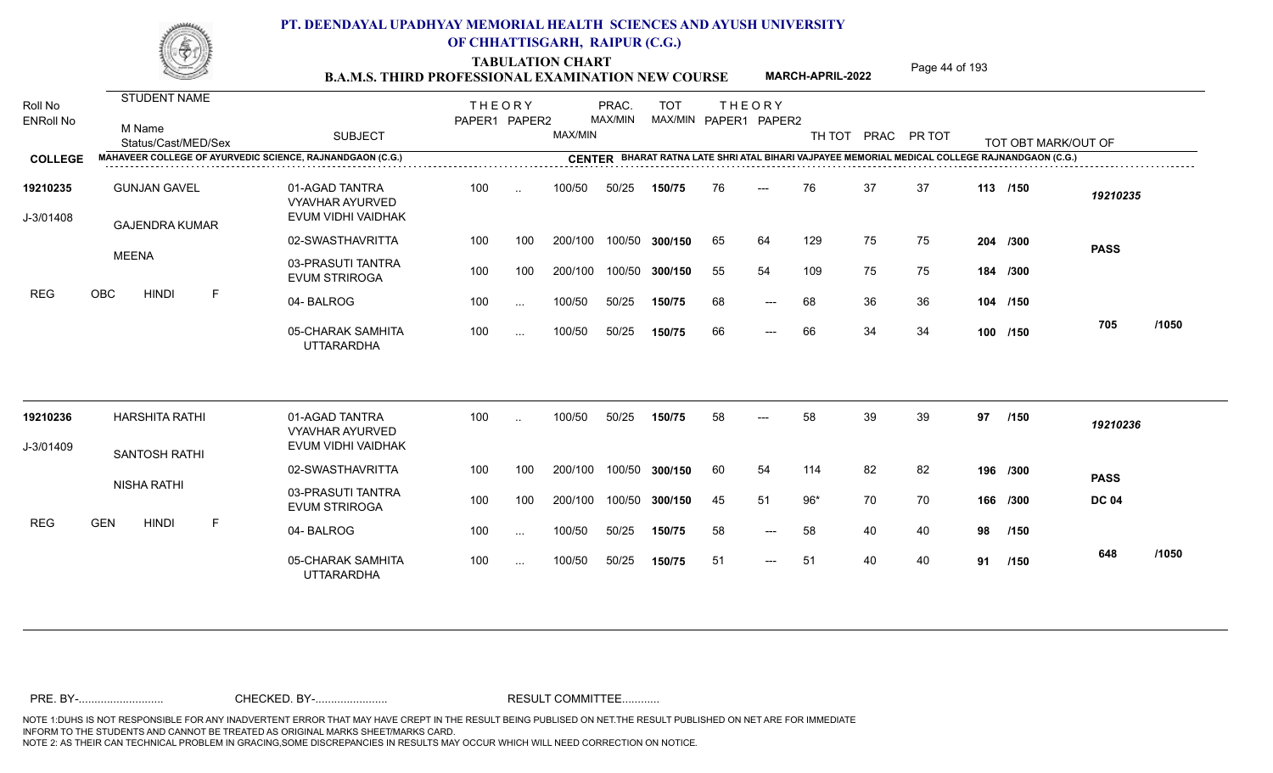TABULATION CHART<br> **TABULATION CHART** PAGE **Page 44 of 193 Page 44 of 193 B.A.M.S. THIRD PROFESSIONAL EXAMINATION NEW COURSE MARCH-APRIL-2022** 

**MARCH-APRIL-2022**

| Roll No<br><b>ENRoll No</b> | STUDENT NAME<br>M Name<br>Status/Cast/MED/Sex             | <b>SUBJECT</b>                                                 | <b>THEORY</b><br>PAPER1 PAPER2 |           | MAX/MIN | PRAC.<br>MAX/MIN | <b>TOT</b>     |    | <b>THEORY</b><br>MAX/MIN PAPER1 PAPER2 |       |    | TH TOT PRAC PR TOT |    | TOT OBT MARK/OUT OF                                                                            |              |       |
|-----------------------------|-----------------------------------------------------------|----------------------------------------------------------------|--------------------------------|-----------|---------|------------------|----------------|----|----------------------------------------|-------|----|--------------------|----|------------------------------------------------------------------------------------------------|--------------|-------|
| <b>COLLEGE</b>              | MAHAVEER COLLEGE OF AYURVEDIC SCIENCE, RAJNANDGAON (C.G.) |                                                                |                                |           |         |                  |                |    |                                        |       |    |                    |    | CENTER BHARAT RATNA LATE SHRI ATAL BIHARI VAJPAYEE MEMORIAL MEDICAL COLLEGE RAJNANDGAON (C.G.) |              |       |
| 19210235<br>J-3/01408       | <b>GUNJAN GAVEL</b><br><b>GAJENDRA KUMAR</b>              | 01-AGAD TANTRA<br><b>VYAVHAR AYURVED</b><br>EVUM VIDHI VAIDHAK | 100                            | $\ddotsc$ | 100/50  | 50/25            | 150/75         | 76 | $---$                                  | 76    | 37 | 37                 |    | 113 /150                                                                                       | 19210235     |       |
|                             |                                                           | 02-SWASTHAVRITTA                                               | 100                            | 100       | 200/100 |                  | 100/50 300/150 | 65 | 64                                     | 129   | 75 | 75                 |    | 204 /300                                                                                       | <b>PASS</b>  |       |
|                             | <b>MEENA</b>                                              | 03-PRASUTI TANTRA<br><b>EVUM STRIROGA</b>                      | 100                            | 100       | 200/100 |                  | 100/50 300/150 | 55 | 54                                     | 109   | 75 | 75                 |    | 184 /300                                                                                       |              |       |
| <b>REG</b>                  | OBC<br><b>HINDI</b><br>F                                  | 04-BALROG                                                      | 100                            | $\cdots$  | 100/50  | 50/25            | 150/75         | 68 | $---$                                  | 68    | 36 | 36                 |    | 104 /150                                                                                       |              |       |
|                             |                                                           | 05-CHARAK SAMHITA<br><b>UTTARARDHA</b>                         | 100                            | $\cdots$  | 100/50  | 50/25            | 150/75         | 66 | $---$                                  | 66    | 34 | 34                 |    | 100 /150                                                                                       | 705          | /1050 |
| 19210236                    | <b>HARSHITA RATHI</b>                                     | 01-AGAD TANTRA<br><b>VYAVHAR AYURVED</b>                       | 100                            | $\sim$    | 100/50  | 50/25            | 150/75         | 58 | $---$                                  | 58    | 39 | 39                 | 97 | /150                                                                                           | 19210236     |       |
| J-3/01409                   | <b>SANTOSH RATHI</b>                                      | EVUM VIDHI VAIDHAK                                             |                                |           |         |                  |                |    |                                        |       |    |                    |    |                                                                                                |              |       |
|                             |                                                           | 02-SWASTHAVRITTA                                               | 100                            | 100       | 200/100 |                  | 100/50 300/150 | 60 | 54                                     | 114   | 82 | 82                 |    | 196 /300                                                                                       | <b>PASS</b>  |       |
|                             | <b>NISHA RATHI</b>                                        | 03-PRASUTI TANTRA<br><b>EVUM STRIROGA</b>                      | 100                            | 100       | 200/100 |                  | 100/50 300/150 | 45 | 51                                     | $96*$ | 70 | 70                 |    | 166 /300                                                                                       | <b>DC 04</b> |       |
| <b>REG</b>                  | <b>GEN</b><br><b>HINDI</b><br>F                           | 04-BALROG                                                      | 100                            | $\cdots$  | 100/50  | 50/25            | 150/75         | 58 | $---$                                  | 58    | 40 | 40                 | 98 | /150                                                                                           |              |       |
|                             |                                                           | 05-CHARAK SAMHITA<br><b>UTTARARDHA</b>                         | 100                            | $\cdots$  | 100/50  | 50/25            | 150/75         | 51 | $---$                                  | 51    | 40 | 40                 | 91 | /150                                                                                           | 648          | /1050 |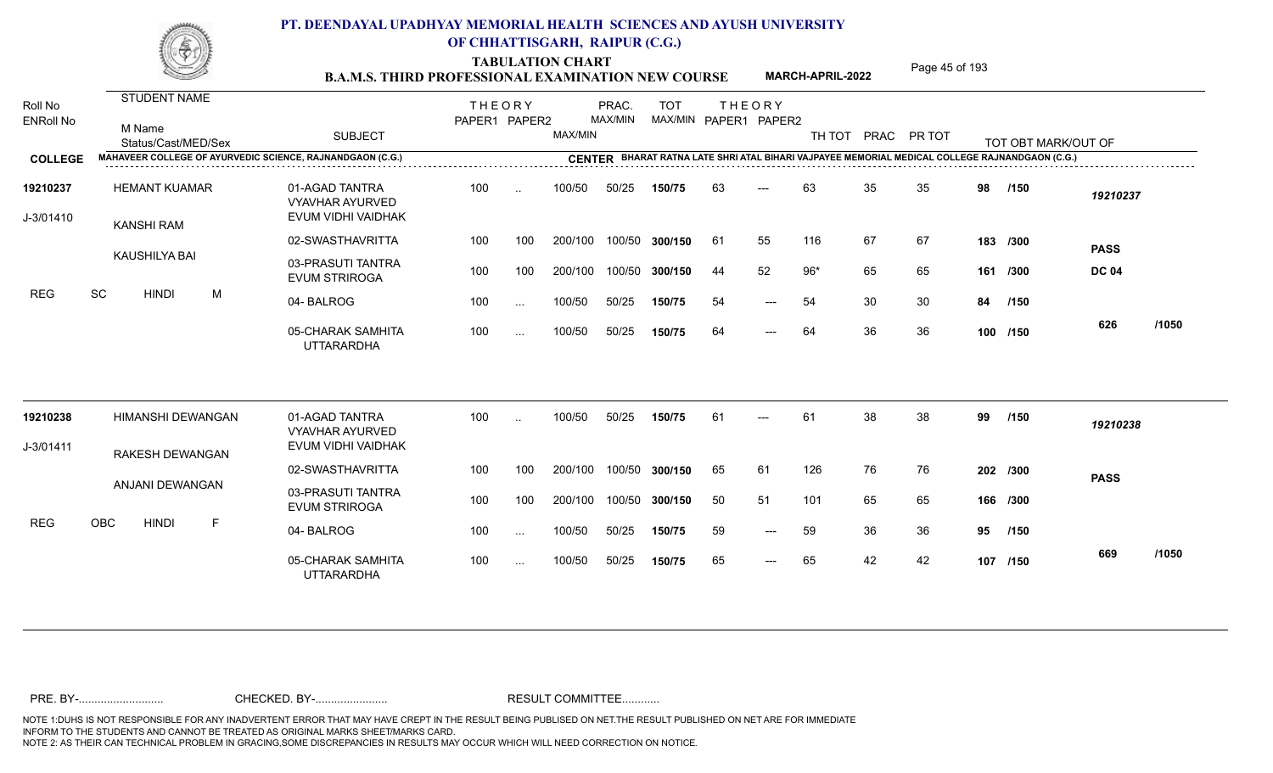TABULATION CHART<br> **TABULATION CHART** PAGE MARCH-APRIL-2022 Page 45 of 193

**MARCH-APRIL-2022**

| Roll No               | <b>STUDENT NAME</b>                                              |                                                                | <b>THEORY</b> |                      |         | PRAC.   | <b>TOT</b>     |     | <b>THEORY</b>         |        |    |             |    |                                                                                                |              |       |
|-----------------------|------------------------------------------------------------------|----------------------------------------------------------------|---------------|----------------------|---------|---------|----------------|-----|-----------------------|--------|----|-------------|----|------------------------------------------------------------------------------------------------|--------------|-------|
| <b>ENRoll No</b>      | M Name<br>Status/Cast/MED/Sex                                    | <b>SUBJECT</b>                                                 | PAPER1 PAPER2 |                      | MAX/MIN | MAX/MIN |                |     | MAX/MIN PAPER1 PAPER2 | TH TOT |    | PRAC PR TOT |    | TOT OBT MARK/OUT OF                                                                            |              |       |
| <b>COLLEGE</b>        | <b>MAHAVEER COLLEGE OF AYURVEDIC SCIENCE, RAJNANDGAON (C.G.)</b> |                                                                |               |                      |         |         |                |     |                       |        |    |             |    | CENTER BHARAT RATNA LATE SHRI ATAL BIHARI VAJPAYEE MEMORIAL MEDICAL COLLEGE RAJNANDGAON (C.G.) |              |       |
| 19210237<br>J-3/01410 | <b>HEMANT KUAMAR</b><br>KANSHI RAM                               | 01-AGAD TANTRA<br><b>VYAVHAR AYURVED</b><br>EVUM VIDHI VAIDHAK | 100           | $\ddot{\phantom{a}}$ | 100/50  | 50/25   | 150/75         | 63  | $---$                 | 63     | 35 | 35          | 98 | /150                                                                                           | 19210237     |       |
|                       |                                                                  | 02-SWASTHAVRITTA                                               | 100           | 100                  | 200/100 |         | 100/50 300/150 | -61 | 55                    | 116    | 67 | 67          |    | 183 /300                                                                                       | <b>PASS</b>  |       |
|                       | KAUSHILYA BAI                                                    | 03-PRASUTI TANTRA<br><b>EVUM STRIROGA</b>                      | 100           | 100                  | 200/100 |         | 100/50 300/150 | 44  | 52                    | $96*$  | 65 | 65          |    | 161 /300                                                                                       | <b>DC 04</b> |       |
| <b>REG</b>            | SC<br>M<br><b>HINDI</b>                                          | 04-BALROG                                                      | 100           | $\cdots$             | 100/50  | 50/25   | 150/75         | 54  | $---$                 | 54     | 30 | 30          | 84 | /150                                                                                           |              |       |
|                       |                                                                  | 05-CHARAK SAMHITA<br><b>UTTARARDHA</b>                         | 100           | $\cdots$             | 100/50  | 50/25   | 150/75         | 64  | $---$                 | 64     | 36 | 36          |    | 100 /150                                                                                       | 626          | /1050 |
| 19210238              | HIMANSHI DEWANGAN                                                | 01-AGAD TANTRA<br><b>VYAVHAR AYURVED</b>                       | 100           | $\sim$               | 100/50  | 50/25   | 150/75         | -61 | ---                   | 61     | 38 | 38          | 99 | /150                                                                                           | 19210238     |       |
| J-3/01411             | RAKESH DEWANGAN                                                  | EVUM VIDHI VAIDHAK                                             |               |                      |         |         |                |     |                       |        |    |             |    |                                                                                                |              |       |
|                       |                                                                  | 02-SWASTHAVRITTA                                               | 100           | 100                  | 200/100 |         | 100/50 300/150 | 65  | 61                    | 126    | 76 | 76          |    | 202 /300                                                                                       | <b>PASS</b>  |       |
|                       | ANJANI DEWANGAN                                                  | 03-PRASUTI TANTRA<br><b>EVUM STRIROGA</b>                      | 100           | 100                  | 200/100 |         | 100/50 300/150 | 50  | 51                    | 101    | 65 | 65          |    | 166 /300                                                                                       |              |       |
| <b>REG</b>            | OBC<br><b>HINDI</b><br>E                                         | 04-BALROG                                                      | 100           | $\cdots$             | 100/50  | 50/25   | 150/75         | 59  | $\qquad \qquad - -$   | 59     | 36 | 36          | 95 | /150                                                                                           |              |       |
|                       |                                                                  | 05-CHARAK SAMHITA<br><b>UTTARARDHA</b>                         | 100           | $\sim$               | 100/50  | 50/25   | 150/75         | 65  | $---$                 | 65     | 42 | 42          |    | 107 /150                                                                                       | 669          | /1050 |
|                       |                                                                  |                                                                |               |                      |         |         |                |     |                       |        |    |             |    |                                                                                                |              |       |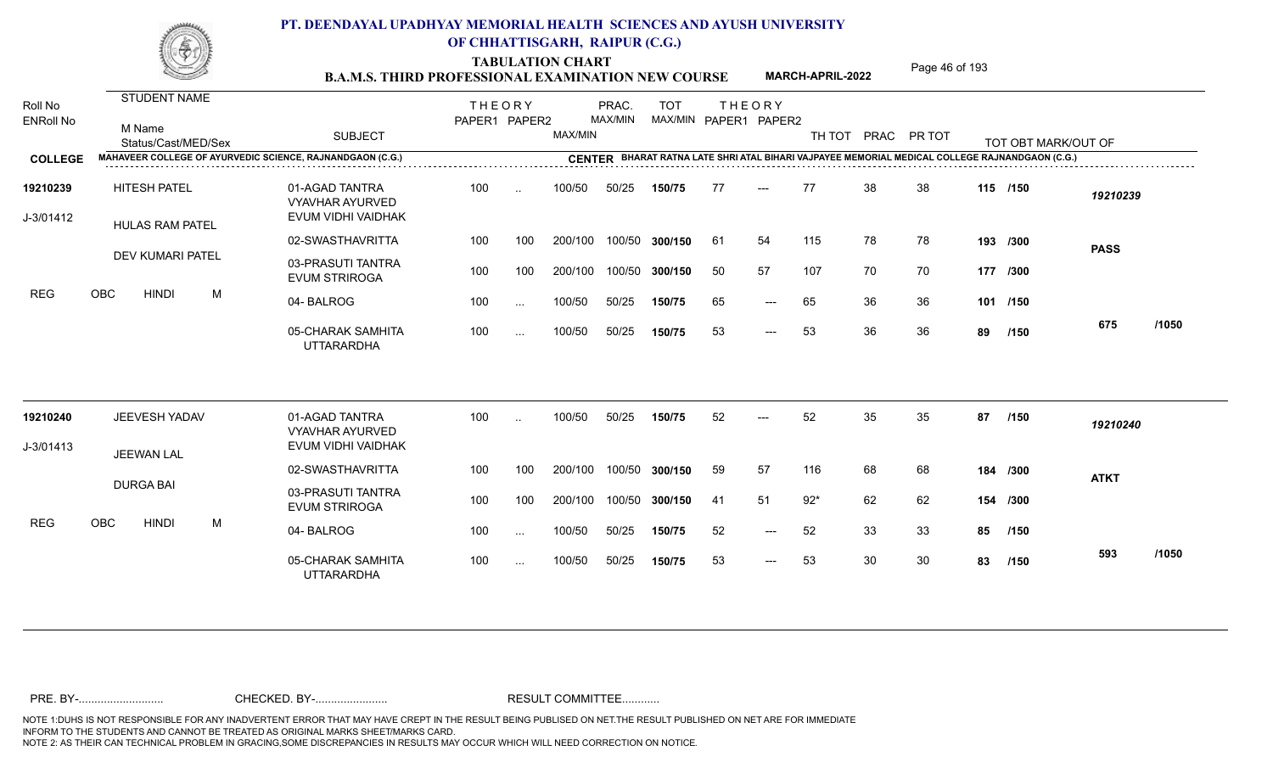TABULATION CHART<br> **TABULATION CHART B.A.M.S. THIRD PROFESSIONAL EXAMINATION NEW COURSE MARCH-APRIL-2022 Page 46 of 193** 

**MARCH-APRIL-2022**

| Roll No<br><b>ENRoll No</b> |            | <b>STUDENT NAME</b><br>M Name<br>Status/Cast/MED/Sex |   | <b>SUBJECT</b>                                                 | <b>THEORY</b><br>PAPER1 PAPER2 |               | MAX/MIN | PRAC.<br>MAX/MIN | <b>TOT</b>     |     | <b>THEORY</b><br>MAX/MIN PAPER1 PAPER2 | TH TOT | PRAC PR TOT |    |    | TOT OBT MARK/OUT OF                                                                            |             |       |
|-----------------------------|------------|------------------------------------------------------|---|----------------------------------------------------------------|--------------------------------|---------------|---------|------------------|----------------|-----|----------------------------------------|--------|-------------|----|----|------------------------------------------------------------------------------------------------|-------------|-------|
| <b>COLLEGE</b>              |            |                                                      |   | MAHAVEER COLLEGE OF AYURVEDIC SCIENCE, RAJNANDGAON (C.G.)      |                                |               |         |                  |                |     |                                        |        |             |    |    | CENTER BHARAT RATNA LATE SHRI ATAL BIHARI VAJPAYEE MEMORIAL MEDICAL COLLEGE RAJNANDGAON (C.G.) |             |       |
| 19210239<br>J-3/01412       |            | <b>HITESH PATEL</b><br><b>HULAS RAM PATEL</b>        |   | 01-AGAD TANTRA<br><b>VYAVHAR AYURVED</b><br>EVUM VIDHI VAIDHAK | 100                            | $\sim$        | 100/50  | 50/25            | 150/75         | 77  | $---$                                  | 77     | 38          | 38 |    | 115 /150                                                                                       | 19210239    |       |
|                             |            |                                                      |   | 02-SWASTHAVRITTA                                               | 100                            | 100           | 200/100 |                  | 100/50 300/150 | -61 | 54                                     | 115    | 78          | 78 |    | 193 /300                                                                                       | <b>PASS</b> |       |
|                             |            | DEV KUMARI PATEL                                     |   | 03-PRASUTI TANTRA<br><b>EVUM STRIROGA</b>                      | 100                            | 100           | 200/100 |                  | 100/50 300/150 | 50  | 57                                     | 107    | 70          | 70 |    | 177 /300                                                                                       |             |       |
| <b>REG</b>                  | OBC        | <b>HINDI</b>                                         | M | 04-BALROG                                                      | 100                            | $\ldots$      | 100/50  | 50/25            | 150/75         | 65  | $---$                                  | 65     | 36          | 36 |    | 101 /150                                                                                       |             |       |
|                             |            |                                                      |   | 05-CHARAK SAMHITA<br><b>UTTARARDHA</b>                         | 100                            | $\sim$ .      | 100/50  | 50/25            | 150/75         | 53  | $\qquad \qquad - -$                    | 53     | 36          | 36 | 89 | /150                                                                                           | 675         | /1050 |
| 19210240                    |            | JEEVESH YADAV                                        |   | 01-AGAD TANTRA<br><b>VYAVHAR AYURVED</b>                       | 100                            | $\ddotsc$     | 100/50  | 50/25            | 150/75         | 52  | ---                                    | 52     | 35          | 35 | 87 | /150                                                                                           | 19210240    |       |
| J-3/01413                   |            | <b>JEEWAN LAL</b>                                    |   | EVUM VIDHI VAIDHAK                                             |                                |               |         |                  |                |     |                                        |        |             |    |    |                                                                                                |             |       |
|                             |            |                                                      |   | 02-SWASTHAVRITTA                                               | 100                            | 100           | 200/100 |                  | 100/50 300/150 | 59  | 57                                     | 116    | 68          | 68 |    | 184 /300                                                                                       | <b>ATKT</b> |       |
|                             |            | <b>DURGA BAI</b>                                     |   | 03-PRASUTI TANTRA<br><b>EVUM STRIROGA</b>                      | 100                            | 100           | 200/100 |                  | 100/50 300/150 | -41 | 51                                     | $92*$  | 62          | 62 |    | 154 /300                                                                                       |             |       |
| <b>REG</b>                  | <b>OBC</b> | <b>HINDI</b>                                         | M | 04-BALROG                                                      | 100                            | $\sim$ $\sim$ | 100/50  | 50/25            | 150/75         | 52  | $\qquad \qquad - -$                    | 52     | 33          | 33 | 85 | /150                                                                                           |             |       |
|                             |            |                                                      |   | 05-CHARAK SAMHITA<br><b>UTTARARDHA</b>                         | 100                            | $\ldots$      | 100/50  | 50/25            | 150/75         | 53  | $---$                                  | 53     | 30          | 30 | 83 | /150                                                                                           | 593         | /1050 |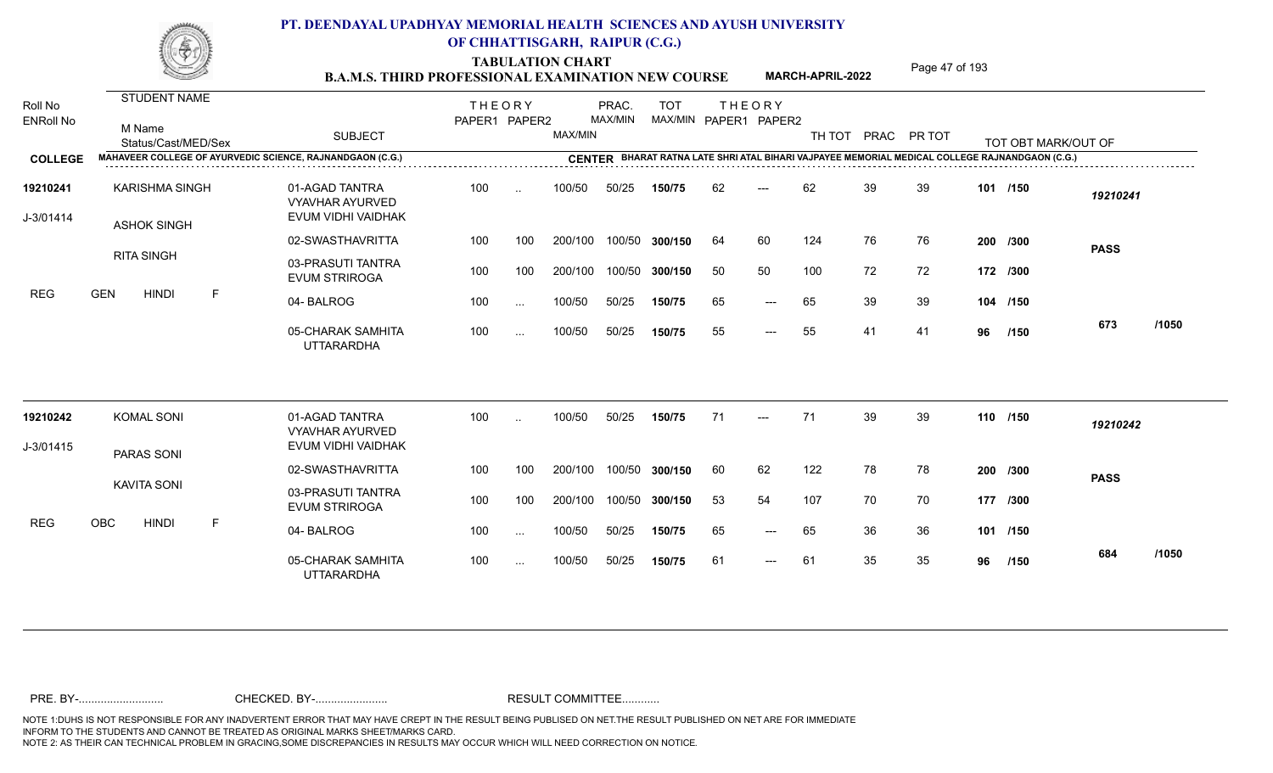TABULATION CHART<br>**B.A.M.S. THIRD PROFESSIONAL EXAMINATION NEW COURSE** MARCH-APRIL-2022 Page 47 of 193

**MARCH-APRIL-2022**

| Roll No<br><b>ENRoll No</b> | STUDENT NAME<br>M Name<br>Status/Cast/MED/Sex | <b>SUBJECT</b>                                                 | <b>THEORY</b><br>PAPER1 PAPER2 |               | MAX/MIN       | PRAC.<br>MAX/MIN | <b>TOT</b>     | MAX/MIN PAPER1 PAPER2 | <b>THEORY</b>       |     |    | TH TOT PRAC PR TOT |    | TOT OBT MARK/OUT OF                                                                     |             |       |
|-----------------------------|-----------------------------------------------|----------------------------------------------------------------|--------------------------------|---------------|---------------|------------------|----------------|-----------------------|---------------------|-----|----|--------------------|----|-----------------------------------------------------------------------------------------|-------------|-------|
| <b>COLLEGE</b>              |                                               | MAHAVEER COLLEGE OF AYURVEDIC SCIENCE, RAJNANDGAON (C.G.)      |                                |               | <b>CENTER</b> |                  |                |                       |                     |     |    |                    |    | BHARAT RATNA LATE SHRI ATAL BIHARI VAJPAYEE MEMORIAL MEDICAL COLLEGE RAJNANDGAON (C.G.) |             |       |
| 19210241<br>J-3/01414       | <b>KARISHMA SINGH</b><br><b>ASHOK SINGH</b>   | 01-AGAD TANTRA<br><b>VYAVHAR AYURVED</b><br>EVUM VIDHI VAIDHAK | 100                            | $\ddotsc$     | 100/50        | 50/25            | 150/75         | 62                    | $---$               | 62  | 39 | 39                 |    | 101 /150                                                                                | 19210241    |       |
|                             |                                               | 02-SWASTHAVRITTA                                               | 100                            | 100           | 200/100       |                  | 100/50 300/150 | 64                    | 60                  | 124 | 76 | 76                 |    | 200 /300                                                                                | <b>PASS</b> |       |
|                             | <b>RITA SINGH</b>                             | 03-PRASUTI TANTRA<br><b>EVUM STRIROGA</b>                      | 100                            | 100           | 200/100       |                  | 100/50 300/150 | 50                    | 50                  | 100 | 72 | 72                 |    | 172 /300                                                                                |             |       |
| <b>REG</b>                  | <b>GEN</b><br><b>HINDI</b><br>-F              | 04-BALROG                                                      | 100                            | $\sim$ $\sim$ | 100/50        | 50/25            | 150/75         | 65                    | $\qquad \qquad - -$ | 65  | 39 | 39                 |    | 104 /150                                                                                |             |       |
|                             |                                               | 05-CHARAK SAMHITA<br><b>UTTARARDHA</b>                         | 100                            | $\cdots$      | 100/50        | 50/25            | 150/75         | 55                    | $---$               | 55  | 41 | 41                 | 96 | /150                                                                                    | 673         | /1050 |
| 19210242                    | <b>KOMAL SONI</b>                             | 01-AGAD TANTRA<br><b>VYAVHAR AYURVED</b>                       | 100                            |               | 100/50        | 50/25            | 150/75         | 71                    | $---$               | 71  | 39 | 39                 |    | 110 /150                                                                                | 19210242    |       |
| J-3/01415                   | <b>PARAS SONI</b>                             | EVUM VIDHI VAIDHAK                                             |                                |               |               |                  |                |                       |                     |     |    |                    |    |                                                                                         |             |       |
|                             |                                               | 02-SWASTHAVRITTA                                               | 100                            | 100           | 200/100       |                  | 100/50 300/150 | 60                    | 62                  | 122 | 78 | 78                 |    | 200 /300                                                                                | <b>PASS</b> |       |
|                             | <b>KAVITA SONI</b>                            | 03-PRASUTI TANTRA<br><b>EVUM STRIROGA</b>                      | 100                            | 100           | 200/100       |                  | 100/50 300/150 | 53                    | 54                  | 107 | 70 | 70                 |    | 177 /300                                                                                |             |       |
| <b>REG</b>                  | OBC<br><b>HINDI</b><br>F                      | 04-BALROG                                                      | 100                            | $\ddotsc$     | 100/50        | 50/25            | 150/75         | 65                    | $\qquad \qquad - -$ | 65  | 36 | 36                 |    | 101 /150                                                                                |             |       |
|                             |                                               | 05-CHARAK SAMHITA<br><b>UTTARARDHA</b>                         | 100                            | $\sim$        | 100/50        | 50/25            | 150/75         | 61                    | ---                 | 61  | 35 | 35                 | 96 | /150                                                                                    | 684         | /1050 |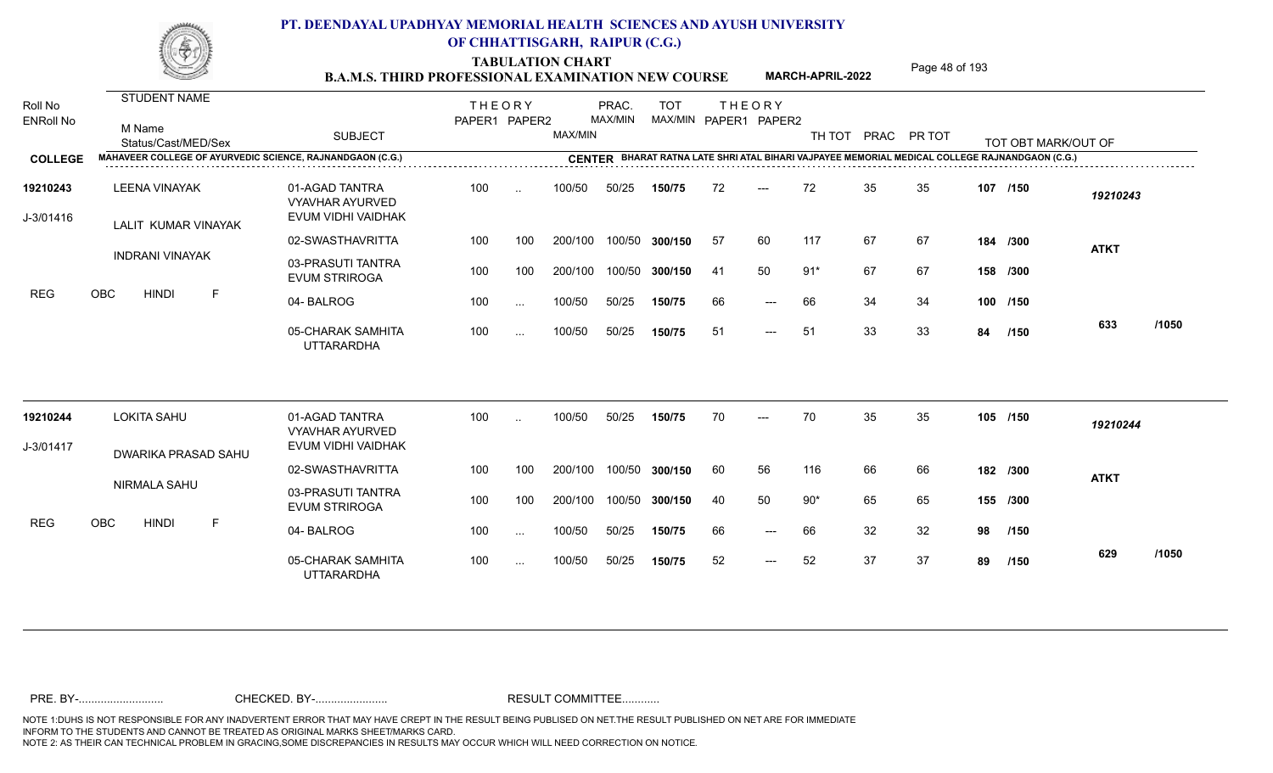TABULATION CHART<br> **TABULATION CHART** PAGE MARCH-APRIL-2022 Page 48 of 193

**MARCH-APRIL-2022**

| Roll No<br><b>ENRoll No</b> | <b>STUDENT NAME</b><br>M Name<br>Status/Cast/MED/Sex      | <b>SUBJECT</b>                                                 | <b>THEORY</b><br>PAPER1 PAPER2 |                      | MAX/MIN | PRAC.<br>MAX/MIN | <b>TOT</b>     |     | <b>THEORY</b><br>MAX/MIN PAPER1 PAPER2 | TH TOT |    | PRAC PR TOT |    | TOT OBT MARK/OUT OF                                                                            |             |       |
|-----------------------------|-----------------------------------------------------------|----------------------------------------------------------------|--------------------------------|----------------------|---------|------------------|----------------|-----|----------------------------------------|--------|----|-------------|----|------------------------------------------------------------------------------------------------|-------------|-------|
| <b>COLLEGE</b>              | MAHAVEER COLLEGE OF AYURVEDIC SCIENCE, RAJNANDGAON (C.G.) |                                                                |                                |                      |         |                  |                |     |                                        |        |    |             |    | CENTER BHARAT RATNA LATE SHRI ATAL BIHARI VAJPAYEE MEMORIAL MEDICAL COLLEGE RAJNANDGAON (C.G.) |             |       |
| 19210243<br>J-3/01416       | LEENA VINAYAK<br>LALIT KUMAR VINAYAK                      | 01-AGAD TANTRA<br><b>VYAVHAR AYURVED</b><br>EVUM VIDHI VAIDHAK | 100                            | $\ddotsc$            | 100/50  | 50/25            | 150/75         | 72  | $---$                                  | 72     | 35 | 35          |    | 107 /150                                                                                       | 19210243    |       |
|                             |                                                           | 02-SWASTHAVRITTA                                               | 100                            | 100                  | 200/100 |                  | 100/50 300/150 | -57 | 60                                     | 117    | 67 | 67          |    | 184 /300                                                                                       | <b>ATKT</b> |       |
|                             | <b>INDRANI VINAYAK</b>                                    | 03-PRASUTI TANTRA<br><b>EVUM STRIROGA</b>                      | 100                            | 100                  | 200/100 |                  | 100/50 300/150 | -41 | 50                                     | $91*$  | 67 | 67          |    | 158 /300                                                                                       |             |       |
| <b>REG</b>                  | <b>OBC</b><br><b>HINDI</b><br>$\mathsf{F}$                | 04-BALROG                                                      | 100                            | $\sim$               | 100/50  | 50/25            | 150/75         | 66  | $\qquad \qquad - -$                    | 66     | 34 | 34          |    | 100 /150                                                                                       |             |       |
|                             |                                                           | 05-CHARAK SAMHITA<br><b>UTTARARDHA</b>                         | 100                            | $\sim$               | 100/50  | 50/25            | 150/75         | 51  | $\qquad \qquad - -$                    | 51     | 33 | 33          | 84 | /150                                                                                           | 633         | /1050 |
| 19210244                    | <b>LOKITA SAHU</b>                                        | 01-AGAD TANTRA<br><b>VYAVHAR AYURVED</b>                       | 100                            | $\ddot{\phantom{a}}$ | 100/50  | 50/25            | 150/75         | 70  | $---$                                  | 70     | 35 | 35          |    | 105 /150                                                                                       | 19210244    |       |
| J-3/01417                   | DWARIKA PRASAD SAHU                                       | EVUM VIDHI VAIDHAK                                             |                                |                      |         |                  |                |     |                                        |        |    |             |    |                                                                                                |             |       |
|                             |                                                           | 02-SWASTHAVRITTA                                               | 100                            | 100                  | 200/100 | 100/50           | 300/150        | 60  | 56                                     | 116    | 66 | 66          |    | 182 /300                                                                                       | <b>ATKT</b> |       |
|                             | NIRMALA SAHU                                              | 03-PRASUTI TANTRA<br><b>EVUM STRIROGA</b>                      | 100                            | 100                  | 200/100 |                  | 100/50 300/150 | 40  | 50                                     | $90*$  | 65 | 65          |    | 155 /300                                                                                       |             |       |
| <b>REG</b>                  | OBC<br><b>HINDI</b><br>F                                  | 04-BALROG                                                      | 100                            | $\cdots$             | 100/50  | 50/25            | 150/75         | 66  | $---$                                  | 66     | 32 | 32          | 98 | /150                                                                                           |             |       |
|                             |                                                           | 05-CHARAK SAMHITA<br><b>UTTARARDHA</b>                         | 100                            | $\cdots$             | 100/50  | 50/25            | 150/75         | 52  | $---$                                  | 52     | 37 | 37          | 89 | /150                                                                                           | 629         | /1050 |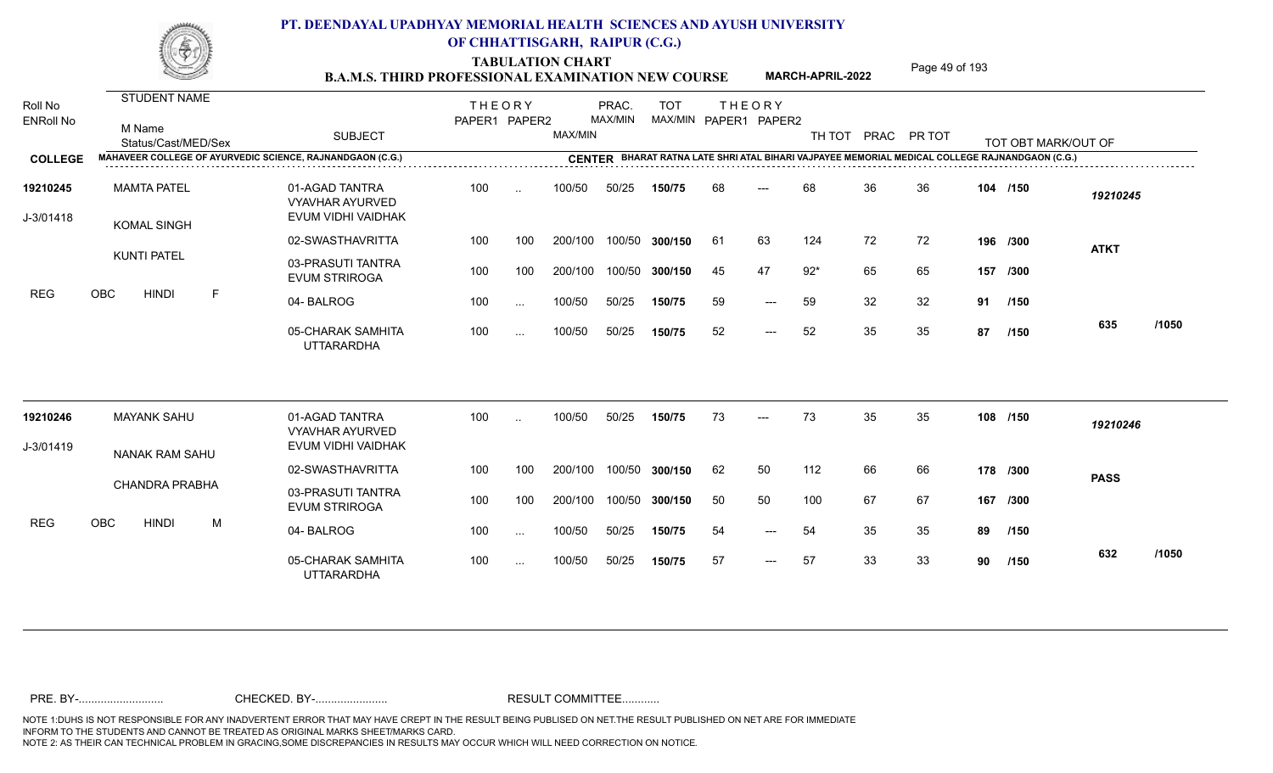TABULATION CHART<br> **TABULATION CHART B.A.M.S. THIRD PROFESSIONAL EXAMINATION NEW COURSE MARCH-APRIL-2022 Page 49 of 193** 

**MARCH-APRIL-2022**

| Roll No<br><b>ENRoll No</b> | <b>STUDENT NAME</b><br>M Name<br>Status/Cast/MED/Sex | <b>SUBJECT</b>                                                 | <b>THEORY</b><br>PAPER1 PAPER2 |           | MAX/MIN | PRAC.<br>MAX/MIN | <b>TOT</b>     |     | <b>THEORY</b><br>MAX/MIN PAPER1 PAPER2 | TH TOT |    | PRAC PR TOT |    | TOT OBT MARK/OUT OF                                                                            |             |       |
|-----------------------------|------------------------------------------------------|----------------------------------------------------------------|--------------------------------|-----------|---------|------------------|----------------|-----|----------------------------------------|--------|----|-------------|----|------------------------------------------------------------------------------------------------|-------------|-------|
| <b>COLLEGE</b>              |                                                      | MAHAVEER COLLEGE OF AYURVEDIC SCIENCE, RAJNANDGAON (C.G.)      |                                |           |         |                  |                |     |                                        |        |    |             |    | CENTER BHARAT RATNA LATE SHRI ATAL BIHARI VAJPAYEE MEMORIAL MEDICAL COLLEGE RAJNANDGAON (C.G.) |             |       |
| 19210245<br>J-3/01418       | <b>MAMTA PATEL</b><br><b>KOMAL SINGH</b>             | 01-AGAD TANTRA<br><b>VYAVHAR AYURVED</b><br>EVUM VIDHI VAIDHAK | 100                            | $\sim$    | 100/50  | 50/25            | 150/75         | 68  | $---$                                  | 68     | 36 | 36          |    | 104 /150                                                                                       | 19210245    |       |
|                             |                                                      | 02-SWASTHAVRITTA                                               | 100                            | 100       | 200/100 |                  | 100/50 300/150 | -61 | 63                                     | 124    | 72 | 72          |    | 196 /300                                                                                       | <b>ATKT</b> |       |
|                             | <b>KUNTI PATEL</b>                                   | 03-PRASUTI TANTRA<br><b>EVUM STRIROGA</b>                      | 100                            | 100       | 200/100 |                  | 100/50 300/150 | 45  | 47                                     | $92*$  | 65 | 65          |    | 157 /300                                                                                       |             |       |
| <b>REG</b>                  | $\mathsf{F}$<br>OBC<br><b>HINDI</b>                  | 04-BALROG                                                      | 100                            | $\cdots$  | 100/50  | 50/25            | 150/75         | 59  | $---$                                  | 59     | 32 | 32          |    | 91 /150                                                                                        |             |       |
|                             |                                                      | 05-CHARAK SAMHITA<br><b>UTTARARDHA</b>                         | 100                            | $\cdots$  | 100/50  | 50/25            | 150/75         | 52  | $---$                                  | 52     | 35 | 35          | 87 | /150                                                                                           | 635         | /1050 |
| 19210246                    | <b>MAYANK SAHU</b>                                   | 01-AGAD TANTRA<br><b>VYAVHAR AYURVED</b>                       | 100                            | $\ddotsc$ | 100/50  | 50/25            | 150/75         | 73  | $---$                                  | 73     | 35 | 35          |    | 108 /150                                                                                       | 19210246    |       |
| J-3/01419                   | NANAK RAM SAHU                                       | EVUM VIDHI VAIDHAK                                             |                                |           |         |                  |                |     |                                        |        |    |             |    |                                                                                                |             |       |
|                             |                                                      | 02-SWASTHAVRITTA                                               | 100                            | 100       | 200/100 | 100/50           | 300/150        | 62  | 50                                     | 112    | 66 | 66          |    | 178 /300                                                                                       | <b>PASS</b> |       |
|                             | <b>CHANDRA PRABHA</b>                                | 03-PRASUTI TANTRA<br><b>EVUM STRIROGA</b>                      | 100                            | 100       | 200/100 |                  | 100/50 300/150 | 50  | 50                                     | 100    | 67 | 67          |    | 167 /300                                                                                       |             |       |
| <b>REG</b>                  | OBC<br><b>HINDI</b><br>M                             | 04-BALROG                                                      | 100                            | $\cdots$  | 100/50  | 50/25            | 150/75         | 54  | $---$                                  | 54     | 35 | 35          | 89 | /150                                                                                           |             |       |
|                             |                                                      | 05-CHARAK SAMHITA<br><b>UTTARARDHA</b>                         | 100                            | $\cdots$  | 100/50  | 50/25            | 150/75         | 57  | $---$                                  | 57     | 33 | 33          | 90 | /150                                                                                           | 632         | /1050 |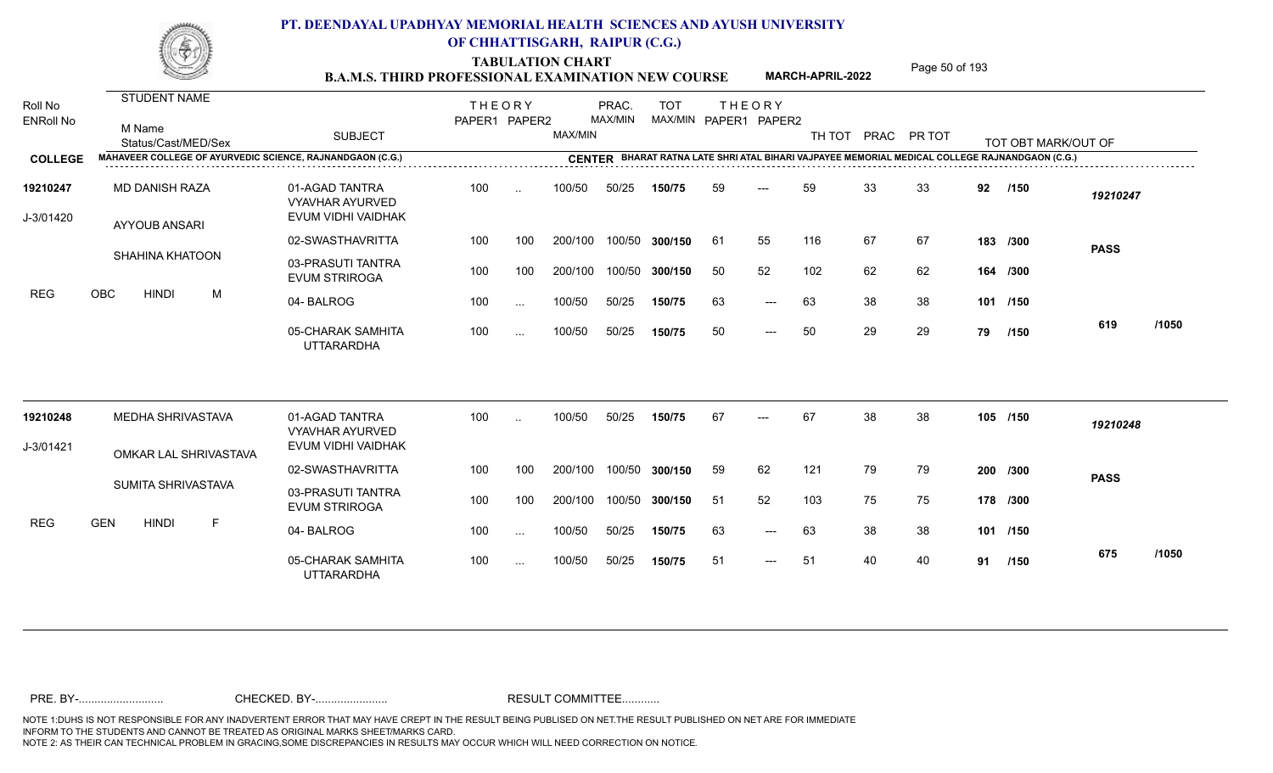TABULATION CHART<br> **TABULATION CHART** PAGE MARCH-APRIL-2022 Page 50 of 193

**MARCH-APRIL-2022**

| Roll No<br><b>ENRoll No</b> | STUDENT NAME<br>M Name<br>Status/Cast/MED/Sex             | <b>SUBJECT</b>                                                 | <b>THEORY</b><br>PAPER1 PAPER2 |               | MAX/MIN | PRAC.<br>MAX/MIN | <b>TOT</b><br>MAX/MIN PAPER1 PAPER2 | <b>THEORY</b> |       |     |    | TH TOT PRAC PR TOT |    | TOT OBT MARK/OUT OF |             |       |
|-----------------------------|-----------------------------------------------------------|----------------------------------------------------------------|--------------------------------|---------------|---------|------------------|-------------------------------------|---------------|-------|-----|----|--------------------|----|---------------------|-------------|-------|
| <b>COLLEGE</b>              | MAHAVEER COLLEGE OF AYURVEDIC SCIENCE, RAJNANDGAON (C.G.) |                                                                |                                |               |         |                  |                                     |               |       |     |    |                    |    |                     |             |       |
| 19210247<br>J-3/01420       | MD DANISH RAZA<br><b>AYYOUB ANSARI</b>                    | 01-AGAD TANTRA<br><b>VYAVHAR AYURVED</b><br>EVUM VIDHI VAIDHAK | 100                            | $\sim$        | 100/50  | 50/25            | 150/75                              | 59            | ---   | 59  | 33 | 33                 | 92 | /150                | 19210247    |       |
|                             |                                                           | 02-SWASTHAVRITTA                                               | 100                            | 100           | 200/100 | 100/50           | 300/150                             | 61            | 55    | 116 | 67 | 67                 |    | 183 /300            | <b>PASS</b> |       |
|                             | <b>SHAHINA KHATOON</b>                                    | 03-PRASUTI TANTRA<br><b>EVUM STRIROGA</b>                      | 100                            | 100           | 200/100 | 100/50           | 300/150                             | 50            | 52    | 102 | 62 | 62                 |    | 164 /300            |             |       |
| <b>REG</b>                  | <b>OBC</b><br><b>HINDI</b><br>M                           | 04-BALROG                                                      | 100                            | $\cdots$      | 100/50  | 50/25            | 150/75                              | 63            | $---$ | 63  | 38 | 38                 |    | 101 /150            |             |       |
|                             |                                                           | 05-CHARAK SAMHITA<br><b>UTTARARDHA</b>                         | 100                            | $\cdots$      | 100/50  | 50/25            | 150/75                              | 50            | $---$ | 50  | 29 | 29                 | 79 | /150                | 619         | /1050 |
| 19210248                    | MEDHA SHRIVASTAVA                                         | 01-AGAD TANTRA<br><b>VYAVHAR AYURVED</b>                       | 100                            | $\ddotsc$     | 100/50  | 50/25            | 150/75                              | 67            |       | 67  | 38 | 38                 |    | 105 /150            | 19210248    |       |
| J-3/01421                   | OMKAR LAL SHRIVASTAVA                                     | EVUM VIDHI VAIDHAK                                             |                                |               |         |                  |                                     |               |       |     |    |                    |    |                     |             |       |
|                             |                                                           | 02-SWASTHAVRITTA                                               | 100                            | 100           | 200/100 | 100/50           | 300/150                             | 59            | 62    | 121 | 79 | 79                 |    | 200 /300            | <b>PASS</b> |       |
|                             | SUMITA SHRIVASTAVA                                        | 03-PRASUTI TANTRA<br><b>EVUM STRIROGA</b>                      | 100                            | 100           | 200/100 | 100/50           | 300/150                             | 51            | 52    | 103 | 75 | 75                 |    | 178 /300            |             |       |
| <b>REG</b>                  | <b>GEN</b><br><b>HINDI</b><br>F.                          | 04-BALROG                                                      | 100                            | $\sim$ .      | 100/50  | 50/25            | 150/75                              | 63            | $---$ | 63  | 38 | 38                 |    | 101 /150            |             |       |
|                             |                                                           | 05-CHARAK SAMHITA<br><b>UTTARARDHA</b>                         | 100                            | $\sim$ $\sim$ | 100/50  | 50/25            | 150/75                              | 51            | $---$ | 51  | 40 | 40                 |    | 91 /150             | 675         | /1050 |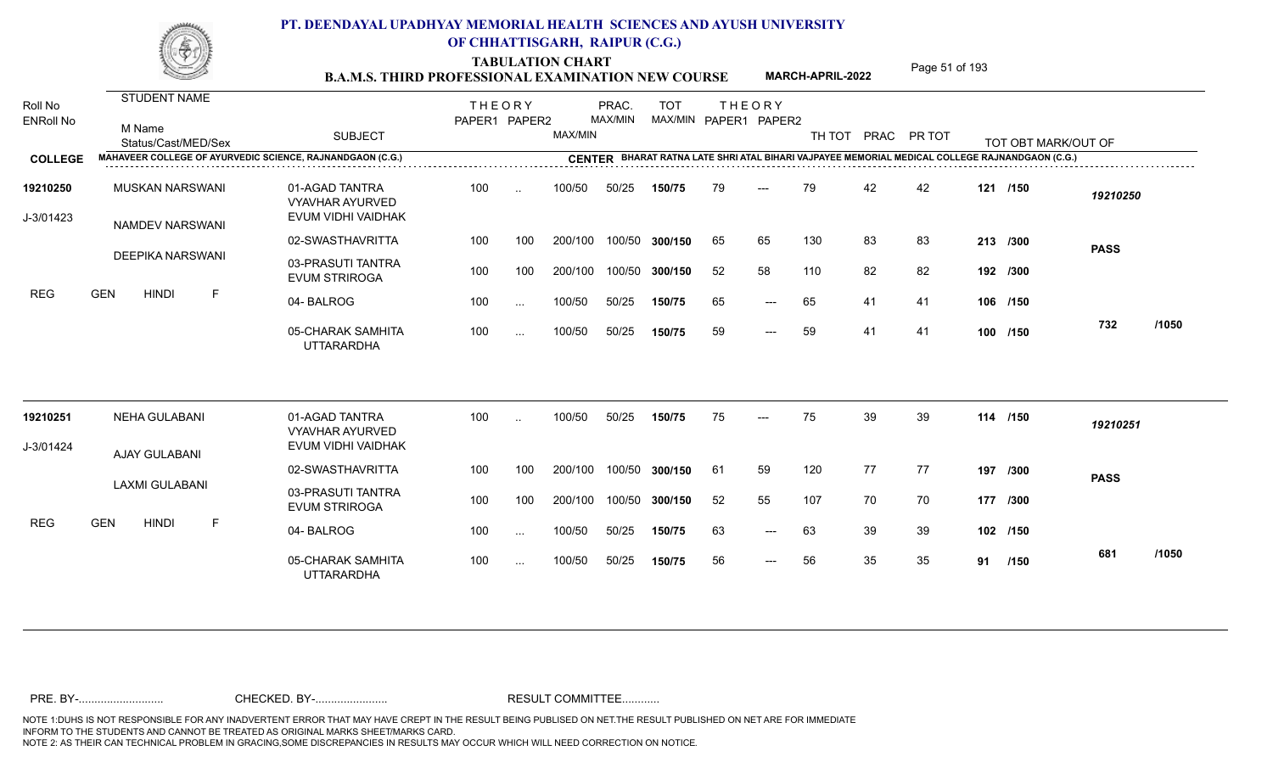TABULATION CHART<br> **TABULATION CHART B.A.M.S. THIRD PROFESSIONAL EXAMINATION NEW COURSE** MARCH-APRIL-2022 **Page 51 of 193** 

**MARCH-APRIL-2022**

| Roll No<br><b>ENRoll No</b> | STUDENT NAME<br>M Name<br>Status/Cast/MED/Sex                    | <b>SUBJECT</b>                                                 | <b>THEORY</b><br>PAPER1 PAPER2 |           | MAX/MIN | PRAC.<br>MAX/MIN | <b>TOT</b> |    | <b>THEORY</b><br>MAX/MIN PAPER1 PAPER2 |     |    | TH TOT PRAC PR TOT |     | TOT OBT MARK/OUT OF                                                                            |             |       |
|-----------------------------|------------------------------------------------------------------|----------------------------------------------------------------|--------------------------------|-----------|---------|------------------|------------|----|----------------------------------------|-----|----|--------------------|-----|------------------------------------------------------------------------------------------------|-------------|-------|
| <b>COLLEGE</b>              | <b>MAHAVEER COLLEGE OF AYURVEDIC SCIENCE, RAJNANDGAON (C.G.)</b> |                                                                |                                |           |         |                  |            |    |                                        |     |    |                    |     | CENTER BHARAT RATNA LATE SHRI ATAL BIHARI VAJPAYEE MEMORIAL MEDICAL COLLEGE RAJNANDGAON (C.G.) |             |       |
| 19210250<br>J-3/01423       | <b>MUSKAN NARSWANI</b><br><b>NAMDEV NARSWANI</b>                 | 01-AGAD TANTRA<br><b>VYAVHAR AYURVED</b><br>EVUM VIDHI VAIDHAK | 100                            | $\sim$    | 100/50  | 50/25            | 150/75     | 79 | $---$                                  | 79  | 42 | 42                 |     | 121 /150                                                                                       | 19210250    |       |
|                             |                                                                  | 02-SWASTHAVRITTA                                               | 100                            | 100       | 200/100 | 100/50           | 300/150    | 65 | 65                                     | 130 | 83 | 83                 |     | 213 /300                                                                                       | <b>PASS</b> |       |
|                             | <b>DEEPIKA NARSWANI</b>                                          | 03-PRASUTI TANTRA<br><b>EVUM STRIROGA</b>                      | 100                            | 100       | 200/100 | 100/50           | 300/150    | 52 | 58                                     | 110 | 82 | 82                 |     | 192 /300                                                                                       |             |       |
| REG                         | <b>GEN</b><br><b>HINDI</b><br>F                                  | 04-BALROG                                                      | 100                            | $\ddotsc$ | 100/50  | 50/25            | 150/75     | 65 | $---$                                  | 65  | 41 | 41                 |     | 106 /150                                                                                       |             |       |
|                             |                                                                  | 05-CHARAK SAMHITA<br><b>UTTARARDHA</b>                         | 100                            | $\ddotsc$ | 100/50  | 50/25            | 150/75     | 59 | $---$                                  | 59  | 41 | 41                 |     | 100 /150                                                                                       | 732         | /1050 |
| 19210251                    | <b>NEHA GULABANI</b>                                             | 01-AGAD TANTRA<br><b>VYAVHAR AYURVED</b>                       | 100                            |           | 100/50  | 50/25            | 150/75     | 75 |                                        | 75  | 39 | 39                 |     | 114 /150                                                                                       | 19210251    |       |
| J-3/01424                   | AJAY GULABANI                                                    | EVUM VIDHI VAIDHAK                                             |                                |           |         |                  |            |    |                                        |     |    |                    |     |                                                                                                |             |       |
|                             |                                                                  | 02-SWASTHAVRITTA                                               | 100                            | 100       | 200/100 | 100/50           | 300/150    | 61 | 59                                     | 120 | 77 | 77                 | 197 | /300                                                                                           | <b>PASS</b> |       |
|                             | <b>LAXMI GULABANI</b>                                            | 03-PRASUTI TANTRA<br><b>EVUM STRIROGA</b>                      | 100                            | 100       | 200/100 | 100/50           | 300/150    | 52 | 55                                     | 107 | 70 | 70                 |     | 177 /300                                                                                       |             |       |
| <b>REG</b>                  | <b>GEN</b><br><b>HINDI</b><br>F                                  | 04-BALROG                                                      | 100                            | $\ddotsc$ | 100/50  | 50/25            | 150/75     | 63 | $---$                                  | 63  | 39 | 39                 |     | 102 /150                                                                                       |             |       |
|                             |                                                                  | 05-CHARAK SAMHITA<br><b>UTTARARDHA</b>                         | 100                            | $\ddotsc$ | 100/50  | 50/25            | 150/75     | 56 | $---$                                  | 56  | 35 | 35                 |     | 91 /150                                                                                        | 681         | /1050 |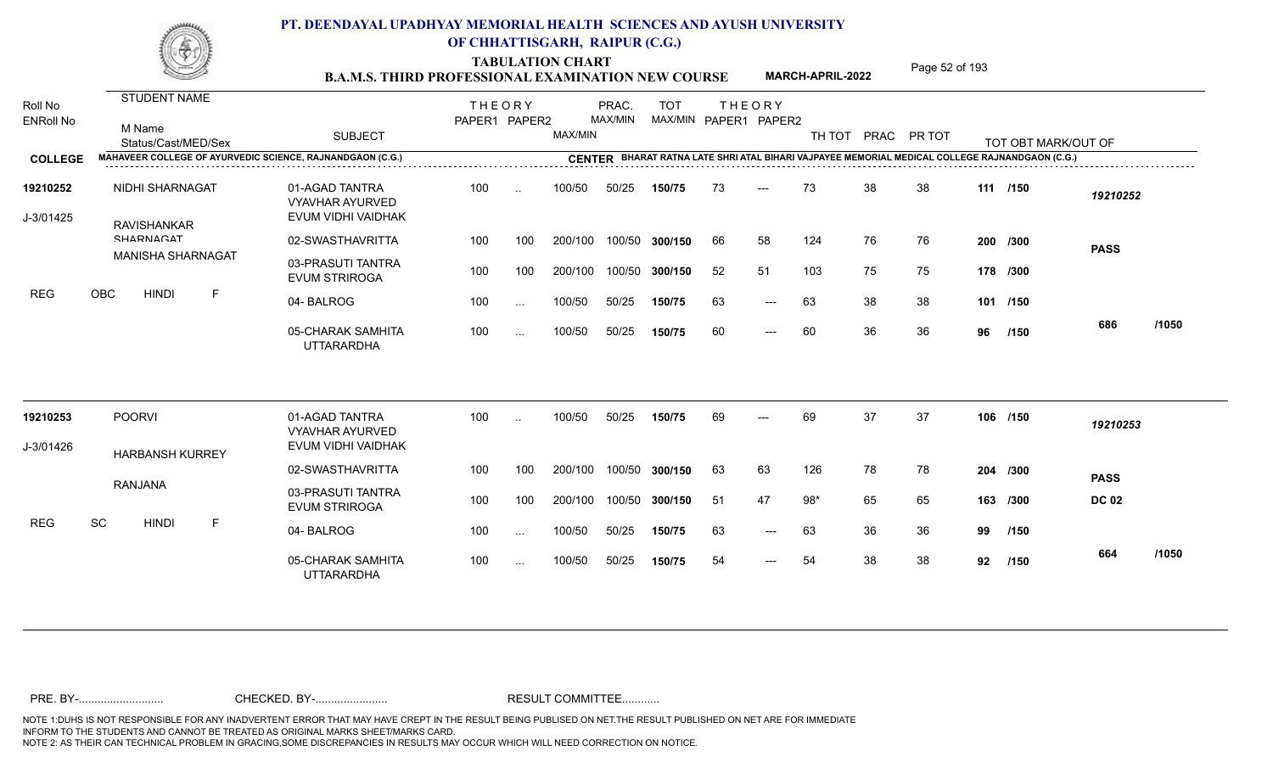TABULATION CHART<br> **TABULATION CHART** PAGE MARCH-APRIL-2022 Page 52 of 193

**MARCH-APRIL-2022**

| Roll No<br><b>ENRoll No</b> | <b>STUDENT NAME</b><br>M Name<br>Status/Cast/MED/Sex      | <b>SUBJECT</b>                                                 | <b>THEORY</b><br>PAPER1 PAPER2 |           | MAX/MIN | PRAC.<br>MAX/MIN | <b>TOT</b><br>MAX/MIN PAPER1 PAPER2 |    | <b>THEORY</b> | TH TOT PRAC |    | PR TOT |    | TOT OBT MARK/OUT OF                                                                            |              |       |
|-----------------------------|-----------------------------------------------------------|----------------------------------------------------------------|--------------------------------|-----------|---------|------------------|-------------------------------------|----|---------------|-------------|----|--------|----|------------------------------------------------------------------------------------------------|--------------|-------|
| <b>COLLEGE</b>              | MAHAVEER COLLEGE OF AYURVEDIC SCIENCE, RAJNANDGAON (C.G.) |                                                                |                                |           |         |                  |                                     |    |               |             |    |        |    | CENTER BHARAT RATNA LATE SHRI ATAL BIHARI VAJPAYEE MEMORIAL MEDICAL COLLEGE RAJNANDGAON (C.G.) |              |       |
| 19210252<br>J-3/01425       | NIDHI SHARNAGAT<br><b>RAVISHANKAR</b>                     | 01-AGAD TANTRA<br><b>VYAVHAR AYURVED</b><br>EVUM VIDHI VAIDHAK | 100                            | $\ddotsc$ | 100/50  | 50/25            | 150/75                              | 73 | $---$         | 73          | 38 | 38     |    | 111 /150                                                                                       | 19210252     |       |
|                             | <b>CHARNIACAT</b>                                         | 02-SWASTHAVRITTA                                               | 100                            | 100       | 200/100 |                  | 100/50 300/150                      | 66 | 58            | 124         | 76 | 76     |    | 200 /300                                                                                       | <b>PASS</b>  |       |
|                             | <b>MANISHA SHARNAGAT</b>                                  | 03-PRASUTI TANTRA<br><b>EVUM STRIROGA</b>                      | 100                            | 100       | 200/100 | 100/50           | 300/150                             | 52 | 51            | 103         | 75 | 75     |    | 178 /300                                                                                       |              |       |
| <b>REG</b>                  | <b>OBC</b><br><b>HINDI</b><br>F                           | 04-BALROG                                                      | 100                            | $\cdots$  | 100/50  | 50/25            | 150/75                              | 63 | $---$         | 63          | 38 | 38     |    | 101 /150                                                                                       |              |       |
|                             |                                                           | 05-CHARAK SAMHITA<br><b>UTTARARDHA</b>                         | 100                            | $\cdots$  | 100/50  | 50/25            | 150/75                              | 60 | $---$         | 60          | 36 | 36     | 96 | /150                                                                                           | 686          | /1050 |
| 19210253                    | <b>POORVI</b>                                             | 01-AGAD TANTRA<br><b>VYAVHAR AYURVED</b>                       | 100                            | $\ddotsc$ | 100/50  | 50/25            | 150/75                              | 69 | $---$         | 69          | 37 | 37     |    | 106 /150                                                                                       | 19210253     |       |
| J-3/01426                   | <b>HARBANSH KURREY</b>                                    | EVUM VIDHI VAIDHAK                                             |                                |           |         |                  |                                     |    |               |             |    |        |    |                                                                                                |              |       |
|                             |                                                           | 02-SWASTHAVRITTA                                               | 100                            | 100       | 200/100 | 100/50           | 300/150                             | 63 | 63            | 126         | 78 | 78     |    | 204 /300                                                                                       | <b>PASS</b>  |       |
|                             | <b>RANJANA</b>                                            | 03-PRASUTI TANTRA<br><b>EVUM STRIROGA</b>                      | 100                            | 100       | 200/100 |                  | 100/50 300/150                      | 51 | 47            | $98*$       | 65 | 65     |    | 163 /300                                                                                       | <b>DC 02</b> |       |
| <b>REG</b>                  | SC<br><b>HINDI</b><br>F                                   | 04-BALROG                                                      | 100                            | $\sim$    | 100/50  | 50/25            | 150/75                              | 63 | $---$         | 63          | 36 | 36     | 99 | /150                                                                                           |              |       |
|                             |                                                           | 05-CHARAK SAMHITA<br><b>UTTARARDHA</b>                         | 100                            | $\ddotsc$ | 100/50  | 50/25            | 150/75                              | 54 | $---$         | 54          | 38 | 38     | 92 | /150                                                                                           | 664          | /1050 |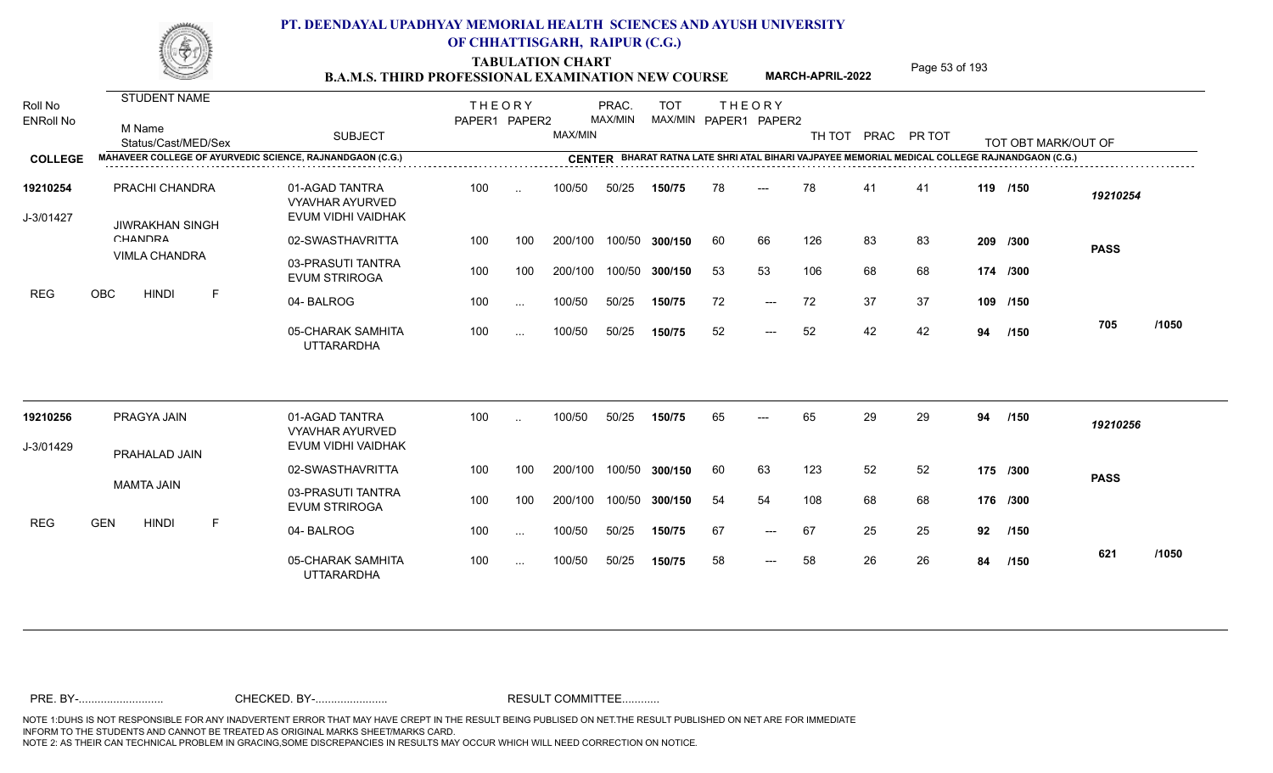TABULATION CHART<br> **TABULATION CHART** PAGE MARCH-APRIL-2022 Page 53 of 193

**MARCH-APRIL-2022**

| Roll No<br><b>ENRoll No</b> | STUDENT NAME<br>M Name<br>Status/Cast/MED/Sex             | <b>SUBJECT</b>                                                 | <b>THEORY</b><br>PAPER1 PAPER2 |               | MAX/MIN       | PRAC.<br>MAX/MIN | <b>TOT</b>     | MAX/MIN PAPER1 PAPER2 | <b>THEORY</b>       |     |    | TH TOT PRAC PR TOT |    | TOT OBT MARK/OUT OF                                                                     |             |       |
|-----------------------------|-----------------------------------------------------------|----------------------------------------------------------------|--------------------------------|---------------|---------------|------------------|----------------|-----------------------|---------------------|-----|----|--------------------|----|-----------------------------------------------------------------------------------------|-------------|-------|
| <b>COLLEGE</b>              | MAHAVEER COLLEGE OF AYURVEDIC SCIENCE, RAJNANDGAON (C.G.) |                                                                |                                |               | <b>CENTER</b> |                  |                |                       |                     |     |    |                    |    | BHARAT RATNA LATE SHRI ATAL BIHARI VAJPAYEE MEMORIAL MEDICAL COLLEGE RAJNANDGAON (C.G.) |             |       |
| 19210254<br>J-3/01427       | PRACHI CHANDRA<br><b>JIWRAKHAN SINGH</b>                  | 01-AGAD TANTRA<br><b>VYAVHAR AYURVED</b><br>EVUM VIDHI VAIDHAK | 100                            | $\ddotsc$     | 100/50        | 50/25            | 150/75         | 78                    |                     | 78  | 41 | 41                 |    | 119 /150                                                                                | 19210254    |       |
|                             | CHANDRA                                                   | 02-SWASTHAVRITTA                                               | 100                            | 100           | 200/100       |                  | 100/50 300/150 | 60                    | 66                  | 126 | 83 | 83                 |    | 209 /300                                                                                | <b>PASS</b> |       |
|                             | <b>VIMLA CHANDRA</b>                                      | 03-PRASUTI TANTRA<br><b>EVUM STRIROGA</b>                      | 100                            | 100           | 200/100       |                  | 100/50 300/150 | 53                    | 53                  | 106 | 68 | 68                 |    | 174 /300                                                                                |             |       |
| <b>REG</b>                  | <b>OBC</b><br><b>HINDI</b><br>F                           | 04-BALROG                                                      | 100                            | $\sim$ $\sim$ | 100/50        | 50/25            | 150/75         | 72                    | $\qquad \qquad - -$ | 72  | 37 | 37                 |    | 109 /150                                                                                |             |       |
|                             |                                                           | 05-CHARAK SAMHITA<br><b>UTTARARDHA</b>                         | 100                            | $\cdots$      | 100/50        | 50/25            | 150/75         | 52                    | $---$               | 52  | 42 | 42                 | 94 | /150                                                                                    | 705         | /1050 |
| 19210256                    | PRAGYA JAIN                                               | 01-AGAD TANTRA<br><b>VYAVHAR AYURVED</b>                       | 100                            |               | 100/50        | 50/25            | 150/75         | 65                    |                     | 65  | 29 | 29                 | 94 | /150                                                                                    | 19210256    |       |
| J-3/01429                   | PRAHALAD JAIN                                             | EVUM VIDHI VAIDHAK                                             |                                |               |               |                  |                |                       |                     |     |    |                    |    |                                                                                         |             |       |
|                             |                                                           | 02-SWASTHAVRITTA                                               | 100                            | 100           | 200/100       | 100/50           | 300/150        | 60                    | 63                  | 123 | 52 | 52                 |    | 175 /300                                                                                | <b>PASS</b> |       |
|                             | <b>MAMTA JAIN</b>                                         | 03-PRASUTI TANTRA<br><b>EVUM STRIROGA</b>                      | 100                            | 100           | 200/100       |                  | 100/50 300/150 | 54                    | 54                  | 108 | 68 | 68                 |    | 176 /300                                                                                |             |       |
| <b>REG</b>                  | <b>GEN</b><br><b>HINDI</b><br>F                           | 04-BALROG                                                      | 100                            | $\ddotsc$     | 100/50        | 50/25            | 150/75         | 67                    | $---$               | 67  | 25 | 25                 | 92 | /150                                                                                    |             |       |
|                             |                                                           | 05-CHARAK SAMHITA<br><b>UTTARARDHA</b>                         | 100                            | $\sim$ $\sim$ | 100/50        | 50/25            | 150/75         | 58                    | $---$               | 58  | 26 | 26                 | 84 | /150                                                                                    | 621         | /1050 |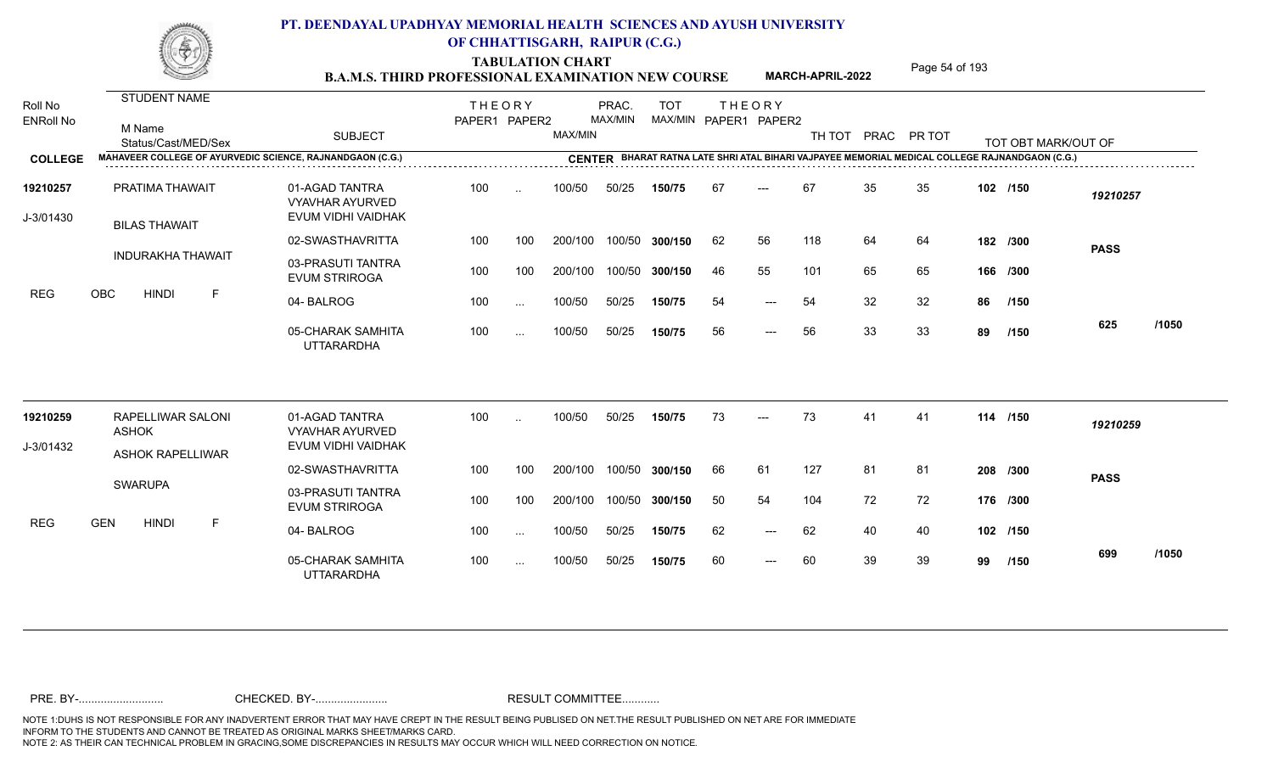TABULATION CHART<br> **TABULATION CHART** PAGE **Page 54 of 193 Page 54 of 193 B.A.M.S. THIRD PROFESSIONAL EXAMINATION NEW COURSE MARCH-APRIL-2022** 

**MARCH-APRIL-2022**

| Roll No<br><b>ENRoll No</b> | STUDENT NAME<br>M Name<br>Status/Cast/MED/Sex             | <b>SUBJECT</b>                                                 | <b>THEORY</b><br>PAPER1 PAPER2 |           | MAX/MIN | PRAC.<br>MAX/MIN | <b>TOT</b>     |    | <b>THEORY</b><br>MAX/MIN PAPER1 PAPER2 | TH TOT |    | PRAC PR TOT |    | TOT OBT MARK/OUT OF                                                                            |             |       |
|-----------------------------|-----------------------------------------------------------|----------------------------------------------------------------|--------------------------------|-----------|---------|------------------|----------------|----|----------------------------------------|--------|----|-------------|----|------------------------------------------------------------------------------------------------|-------------|-------|
| <b>COLLEGE</b>              | MAHAVEER COLLEGE OF AYURVEDIC SCIENCE, RAJNANDGAON (C.G.) |                                                                |                                | .         |         |                  |                |    |                                        |        |    |             |    | CENTER BHARAT RATNA LATE SHRI ATAL BIHARI VAJPAYEE MEMORIAL MEDICAL COLLEGE RAJNANDGAON (C.G.) |             |       |
| 19210257<br>J-3/01430       | PRATIMA THAWAIT<br><b>BILAS THAWAIT</b>                   | 01-AGAD TANTRA<br><b>VYAVHAR AYURVED</b><br>EVUM VIDHI VAIDHAK | 100                            | $\ddotsc$ | 100/50  | 50/25            | 150/75         | 67 | $---$                                  | 67     | 35 | 35          |    | 102 /150                                                                                       | 19210257    |       |
|                             |                                                           | 02-SWASTHAVRITTA                                               | 100                            | 100       | 200/100 |                  | 100/50 300/150 | 62 | 56                                     | 118    | 64 | 64          |    | 182 /300                                                                                       | <b>PASS</b> |       |
|                             | <b>INDURAKHA THAWAIT</b>                                  | 03-PRASUTI TANTRA<br><b>EVUM STRIROGA</b>                      | 100                            | 100       | 200/100 |                  | 100/50 300/150 | 46 | 55                                     | 101    | 65 | 65          |    | 166 /300                                                                                       |             |       |
| <b>REG</b>                  | OBC<br>F<br><b>HINDI</b>                                  | 04-BALROG                                                      | 100                            | $\cdots$  | 100/50  | 50/25            | 150/75         | 54 | $---$                                  | 54     | 32 | 32          | 86 | /150                                                                                           |             |       |
|                             |                                                           | 05-CHARAK SAMHITA<br><b>UTTARARDHA</b>                         | 100                            | $\ddotsc$ | 100/50  | 50/25            | 150/75         | 56 | $---$                                  | 56     | 33 | 33          | 89 | /150                                                                                           | 625         | /1050 |
| 19210259                    | RAPELLIWAR SALONI<br><b>ASHOK</b>                         | 01-AGAD TANTRA<br><b>VYAVHAR AYURVED</b>                       | 100                            |           | 100/50  | 50/25            | 150/75         | 73 | $---$                                  | 73     | 41 | 41          |    | 114 /150                                                                                       | 19210259    |       |
| J-3/01432                   | <b>ASHOK RAPELLIWAR</b>                                   | EVUM VIDHI VAIDHAK                                             |                                |           |         |                  |                |    |                                        |        |    |             |    |                                                                                                |             |       |
|                             | <b>SWARUPA</b>                                            | 02-SWASTHAVRITTA                                               | 100                            | 100       | 200/100 |                  | 100/50 300/150 | 66 | 61                                     | 127    | 81 | 81          |    | 208 /300                                                                                       | <b>PASS</b> |       |
|                             |                                                           | 03-PRASUTI TANTRA<br><b>EVUM STRIROGA</b>                      | 100                            | 100       | 200/100 |                  | 100/50 300/150 | 50 | 54                                     | 104    | 72 | 72          |    | 176 /300                                                                                       |             |       |
| <b>REG</b>                  | <b>GEN</b><br><b>HINDI</b><br>F                           | 04-BALROG                                                      | 100                            | $\cdots$  | 100/50  | 50/25            | 150/75         | 62 | $---$                                  | 62     | 40 | 40          |    | 102 /150                                                                                       |             |       |
|                             |                                                           | 05-CHARAK SAMHITA<br><b>UTTARARDHA</b>                         | 100                            | $\cdots$  | 100/50  | 50/25            | 150/75         | 60 | $---$                                  | 60     | 39 | 39          | 99 | /150                                                                                           | 699         | /1050 |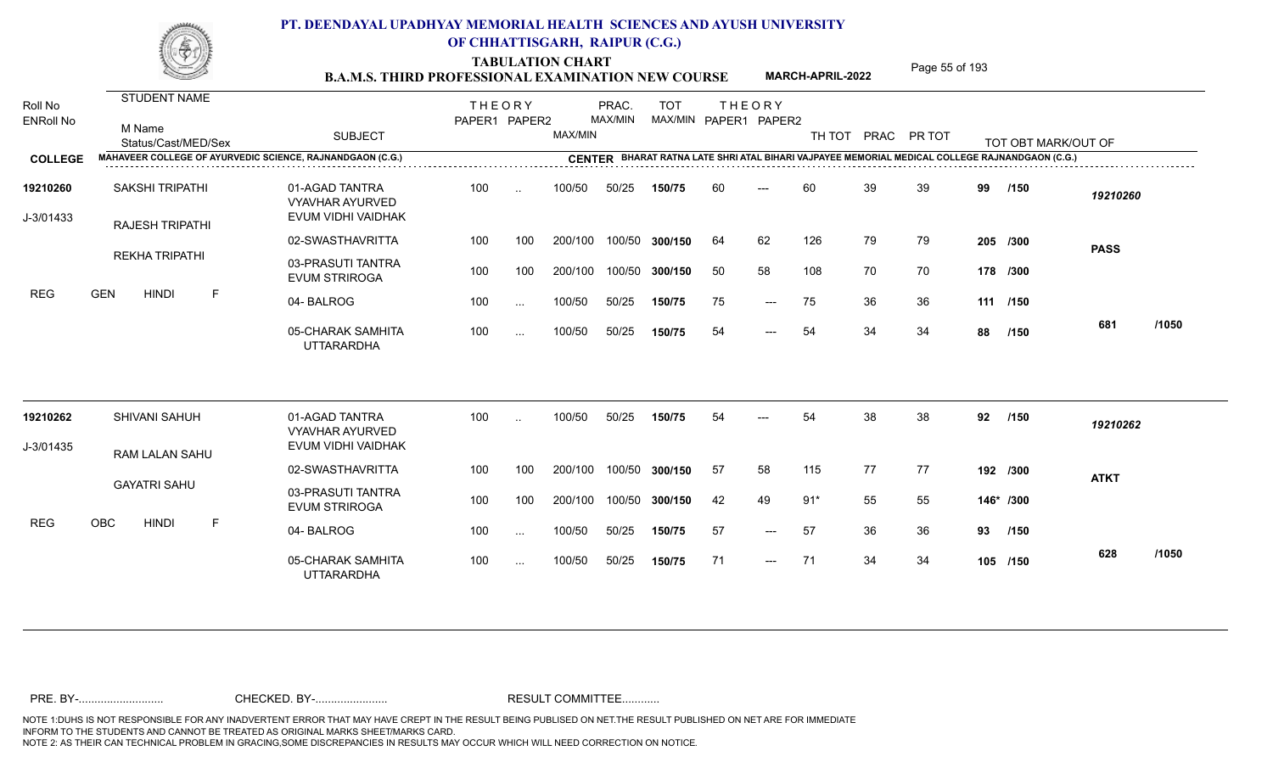TABULATION CHART<br>**B.A.M.S. THIRD PROFESSIONAL EXAMINATION NEW COURSE** MARCH-APRIL-2022 Page 55 of 193

**MARCH-APRIL-2022**

| Roll No<br><b>ENRoll No</b> | <b>STUDENT NAME</b><br>M Name<br>Status/Cast/MED/Sex      | <b>SUBJECT</b>                                                 | <b>THEORY</b><br>PAPER1 PAPER2 |           | MAX/MIN | PRAC.<br>MAX/MIN | <b>TOT</b><br>MAX/MIN PAPER1 PAPER2 |    | <b>THEORY</b> | TH TOT |    | PRAC PR TOT |    | TOT OBT MARK/OUT OF |             |       |
|-----------------------------|-----------------------------------------------------------|----------------------------------------------------------------|--------------------------------|-----------|---------|------------------|-------------------------------------|----|---------------|--------|----|-------------|----|---------------------|-------------|-------|
| <b>COLLEGE</b>              | MAHAVEER COLLEGE OF AYURVEDIC SCIENCE, RAJNANDGAON (C.G.) |                                                                |                                |           |         |                  |                                     |    |               |        |    |             |    |                     |             |       |
| 19210260<br>J-3/01433       | SAKSHI TRIPATHI<br><b>RAJESH TRIPATHI</b>                 | 01-AGAD TANTRA<br><b>VYAVHAR AYURVED</b><br>EVUM VIDHI VAIDHAK | 100                            | $\sim$    | 100/50  | 50/25            | 150/75                              | 60 | $---$         | 60     | 39 | 39          | 99 | /150                | 19210260    |       |
|                             |                                                           | 02-SWASTHAVRITTA                                               | 100                            | 100       | 200/100 |                  | 100/50 300/150                      | 64 | 62            | 126    | 79 | 79          |    | 205 /300            | <b>PASS</b> |       |
|                             | <b>REKHA TRIPATHI</b>                                     | 03-PRASUTI TANTRA<br><b>EVUM STRIROGA</b>                      | 100                            | 100       | 200/100 |                  | 100/50 300/150                      | 50 | 58            | 108    | 70 | 70          |    | 178 /300            |             |       |
| <b>REG</b>                  | <b>GEN</b><br><b>HINDI</b><br>F                           | 04-BALROG                                                      | 100                            | $\sim$    | 100/50  | 50/25            | 150/75                              | 75 | $---$         | 75     | 36 | 36          |    | 111 /150            |             |       |
|                             |                                                           | 05-CHARAK SAMHITA<br><b>UTTARARDHA</b>                         | 100                            | $\cdots$  | 100/50  | 50/25            | 150/75                              | 54 | $---$         | 54     | 34 | 34          | 88 | /150                | 681         | /1050 |
| 19210262                    | SHIVANI SAHUH                                             | 01-AGAD TANTRA<br><b>VYAVHAR AYURVED</b>                       | 100                            | $\ddotsc$ | 100/50  | 50/25            | 150/75                              | 54 |               | 54     | 38 | 38          | 92 | /150                | 19210262    |       |
| J-3/01435                   | RAM LALAN SAHU                                            | EVUM VIDHI VAIDHAK                                             |                                |           |         |                  |                                     |    |               |        |    |             |    |                     |             |       |
|                             |                                                           | 02-SWASTHAVRITTA                                               | 100                            | 100       | 200/100 |                  | 100/50 300/150                      | 57 | 58            | 115    | 77 | 77          |    | 192 /300            | <b>ATKT</b> |       |
|                             | <b>GAYATRI SAHU</b>                                       | 03-PRASUTI TANTRA<br><b>EVUM STRIROGA</b>                      | 100                            | 100       | 200/100 |                  | 100/50 300/150                      | 42 | 49            | $91*$  | 55 | 55          |    | 146* /300           |             |       |
| <b>REG</b>                  | OBC<br><b>HINDI</b><br>F                                  | 04-BALROG                                                      | 100                            | $\sim$    | 100/50  | 50/25            | 150/75                              | 57 | $---$         | 57     | 36 | 36          | 93 | /150                |             |       |
|                             |                                                           | 05-CHARAK SAMHITA<br><b>UTTARARDHA</b>                         | 100                            | $\sim$    | 100/50  | 50/25            | 150/75                              | 71 | $---$         | 71     | 34 | 34          |    | 105 /150            | 628         | /1050 |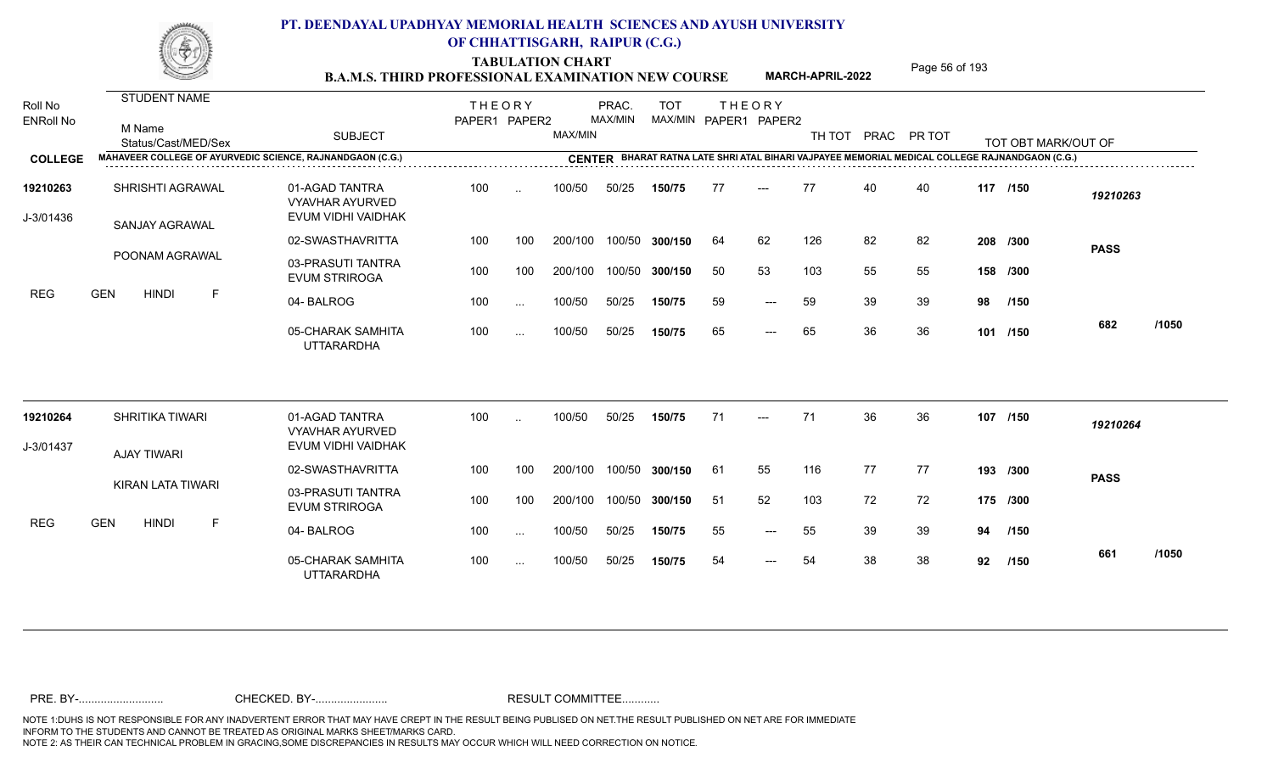TABULATION CHART<br>**B.A.M.S. THIRD PROFESSIONAL EXAMINATION NEW COURSE** MARCH-APRIL-2022 Page 56 of 193

**MARCH-APRIL-2022**

| Roll No               | STUDENT NAME                                              |                                                                | <b>THEORY</b> |                      |         | PRAC.   | <b>TOT</b>     |     | <b>THEORY</b>         |                    |    |    |    |                                                                                                |             |       |
|-----------------------|-----------------------------------------------------------|----------------------------------------------------------------|---------------|----------------------|---------|---------|----------------|-----|-----------------------|--------------------|----|----|----|------------------------------------------------------------------------------------------------|-------------|-------|
| <b>ENRoll No</b>      | M Name<br>Status/Cast/MED/Sex                             | <b>SUBJECT</b>                                                 | PAPER1 PAPER2 |                      | MAX/MIN | MAX/MIN |                |     | MAX/MIN PAPER1 PAPER2 | TH TOT PRAC PR TOT |    |    |    | TOT OBT MARK/OUT OF                                                                            |             |       |
| <b>COLLEGE</b>        | MAHAVEER COLLEGE OF AYURVEDIC SCIENCE, RAJNANDGAON (C.G.) |                                                                |               |                      |         |         |                |     |                       |                    |    |    |    | CENTER BHARAT RATNA LATE SHRI ATAL BIHARI VAJPAYEE MEMORIAL MEDICAL COLLEGE RAJNANDGAON (C.G.) |             |       |
| 19210263<br>J-3/01436 | SHRISHTI AGRAWAL                                          | 01-AGAD TANTRA<br><b>VYAVHAR AYURVED</b><br>EVUM VIDHI VAIDHAK | 100           | $\ddotsc$            | 100/50  | 50/25   | 150/75         | 77  | $---$                 | 77                 | 40 | 40 |    | 117 /150                                                                                       | 19210263    |       |
|                       | SANJAY AGRAWAL                                            | 02-SWASTHAVRITTA                                               | 100           | 100                  | 200/100 |         | 100/50 300/150 | 64  | 62                    | 126                | 82 | 82 |    | 208 /300                                                                                       |             |       |
|                       | POONAM AGRAWAL                                            | 03-PRASUTI TANTRA<br><b>EVUM STRIROGA</b>                      | 100           | 100                  | 200/100 |         | 100/50 300/150 | 50  | 53                    | 103                | 55 | 55 |    | 158 /300                                                                                       | <b>PASS</b> |       |
| <b>REG</b>            | <b>GEN</b><br><b>HINDI</b><br>F                           | 04-BALROG                                                      | 100           | $\sim$ .             | 100/50  | 50/25   | 150/75         | 59  | $---$                 | 59                 | 39 | 39 | 98 | /150                                                                                           |             |       |
|                       |                                                           | 05-CHARAK SAMHITA<br><b>UTTARARDHA</b>                         | 100           | $\sim$ $\sim$ $\sim$ | 100/50  | 50/25   | 150/75         | 65  | $---$                 | 65                 | 36 | 36 |    | 101 /150                                                                                       | 682         | /1050 |
| 19210264              | <b>SHRITIKA TIWARI</b>                                    | 01-AGAD TANTRA<br><b>VYAVHAR AYURVED</b>                       | 100           | $\sim$               | 100/50  | 50/25   | 150/75         | 71  | $---$                 | 71                 | 36 | 36 |    | 107 /150                                                                                       | 19210264    |       |
| J-3/01437             | <b>AJAY TIWARI</b>                                        | EVUM VIDHI VAIDHAK                                             |               |                      |         |         |                |     |                       |                    |    |    |    |                                                                                                |             |       |
|                       |                                                           | 02-SWASTHAVRITTA                                               | 100           | 100                  | 200/100 |         | 100/50 300/150 | -61 | 55                    | 116                | 77 | 77 |    | 193 /300                                                                                       | <b>PASS</b> |       |
|                       | <b>KIRAN LATA TIWARI</b>                                  | 03-PRASUTI TANTRA<br><b>EVUM STRIROGA</b>                      | 100           | 100                  | 200/100 |         | 100/50 300/150 | -51 | 52                    | 103                | 72 | 72 |    | 175 /300                                                                                       |             |       |
| <b>REG</b>            | <b>GEN</b><br><b>HINDI</b><br>F                           | 04-BALROG                                                      | 100           | $\cdots$             | 100/50  | 50/25   | 150/75         | 55  | $---$                 | 55                 | 39 | 39 | 94 | /150                                                                                           |             |       |
|                       |                                                           | 05-CHARAK SAMHITA<br><b>UTTARARDHA</b>                         | 100           | $\cdots$             | 100/50  | 50/25   | 150/75         | 54  | $---$                 | 54                 | 38 | 38 | 92 | /150                                                                                           | 661         | /1050 |
|                       |                                                           |                                                                |               |                      |         |         |                |     |                       |                    |    |    |    |                                                                                                |             |       |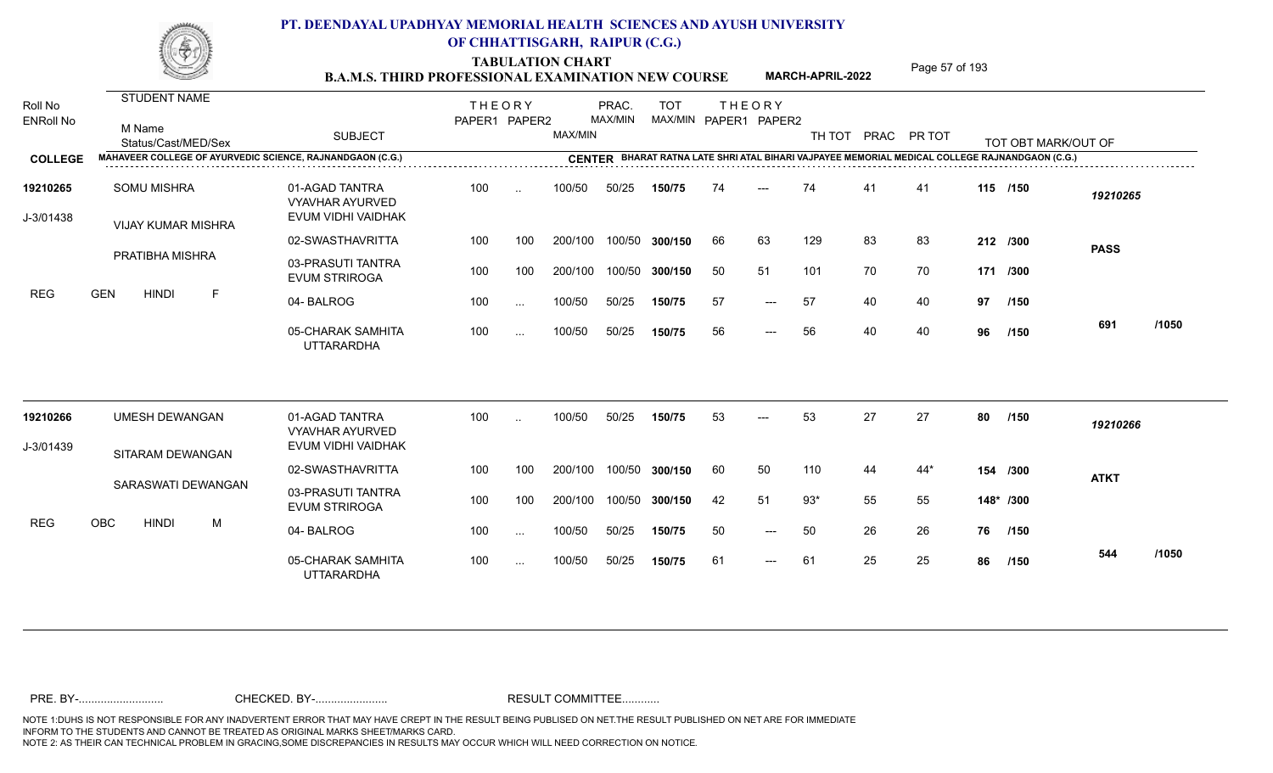TABULATION CHART<br>**B.A.M.S. THIRD PROFESSIONAL EXAMINATION NEW COURSE** MARCH-APRIL-2022 Page 57 of 193

**MARCH-APRIL-2022**

| Roll No<br><b>ENRoll No</b> | STUDENT NAME<br>M Name<br>Status/Cast/MED/Sex                    | <b>SUBJECT</b>                                                 | <b>THEORY</b><br>PAPER1 PAPER2 |               | MAX/MIN | PRAC.<br>MAX/MIN | <b>TOT</b><br>MAX/MIN PAPER1 PAPER2 | <b>THEORY</b> |                     | TH TOT PRAC PR TOT |    |       |    | TOT OBT MARK/OUT OF |             |       |
|-----------------------------|------------------------------------------------------------------|----------------------------------------------------------------|--------------------------------|---------------|---------|------------------|-------------------------------------|---------------|---------------------|--------------------|----|-------|----|---------------------|-------------|-------|
| <b>COLLEGE</b>              | <b>MAHAVEER COLLEGE OF AYURVEDIC SCIENCE, RAJNANDGAON (C.G.)</b> |                                                                |                                |               |         |                  |                                     |               |                     |                    |    |       |    |                     |             |       |
| 19210265<br>J-3/01438       | <b>SOMU MISHRA</b><br><b>VIJAY KUMAR MISHRA</b>                  | 01-AGAD TANTRA<br><b>VYAVHAR AYURVED</b><br>EVUM VIDHI VAIDHAK | 100                            | $\sim$        | 100/50  | 50/25            | 150/75                              | 74            | $---$               | 74                 | 41 | 41    |    | 115 /150            | 19210265    |       |
|                             |                                                                  | 02-SWASTHAVRITTA                                               | 100                            | 100           | 200/100 | 100/50           | 300/150                             | 66            | 63                  | 129                | 83 | 83    |    | 212 /300            | <b>PASS</b> |       |
|                             | PRATIBHA MISHRA                                                  | 03-PRASUTI TANTRA<br><b>EVUM STRIROGA</b>                      | 100                            | 100           | 200/100 | 100/50           | 300/150                             | 50            | 51                  | 101                | 70 | 70    |    | 171 /300            |             |       |
| <b>REG</b>                  | <b>GEN</b><br><b>HINDI</b><br>E                                  | 04-BALROG                                                      | 100                            | $\sim$        | 100/50  | 50/25            | 150/75                              | -57           | $---$               | 57                 | 40 | 40    | 97 | /150                |             |       |
|                             |                                                                  | 05-CHARAK SAMHITA<br><b>UTTARARDHA</b>                         | 100                            | $\cdots$      | 100/50  | 50/25            | 150/75                              | 56            | $---$               | 56                 | 40 | 40    | 96 | /150                | 691         | /1050 |
| 19210266                    | <b>UMESH DEWANGAN</b>                                            | 01-AGAD TANTRA<br><b>VYAVHAR AYURVED</b>                       | 100                            |               | 100/50  | 50/25            | 150/75                              | 53            |                     | 53                 | 27 | 27    | 80 | /150                | 19210266    |       |
| J-3/01439                   | SITARAM DEWANGAN                                                 | EVUM VIDHI VAIDHAK                                             |                                |               |         |                  |                                     |               |                     |                    |    |       |    |                     |             |       |
|                             |                                                                  | 02-SWASTHAVRITTA                                               | 100                            | 100           | 200/100 | 100/50           | 300/150                             | 60            | 50                  | 110                | 44 | $44*$ |    | 154 /300            | <b>ATKT</b> |       |
|                             | SARASWATI DEWANGAN                                               | 03-PRASUTI TANTRA<br><b>EVUM STRIROGA</b>                      | 100                            | 100           | 200/100 | 100/50           | 300/150                             | 42            | 51                  | $93*$              | 55 | 55    |    | 148* /300           |             |       |
| <b>REG</b>                  | <b>OBC</b><br><b>HINDI</b><br>M                                  | 04-BALROG                                                      | 100                            | $\ddotsc$     | 100/50  | 50/25            | 150/75                              | 50            | $\qquad \qquad - -$ | 50                 | 26 | 26    | 76 | /150                |             |       |
|                             |                                                                  | 05-CHARAK SAMHITA<br><b>UTTARARDHA</b>                         | 100                            | $\sim$ $\sim$ | 100/50  | 50/25            | 150/75                              | 61            | $---$               | 61                 | 25 | 25    | 86 | /150                | 544         | /1050 |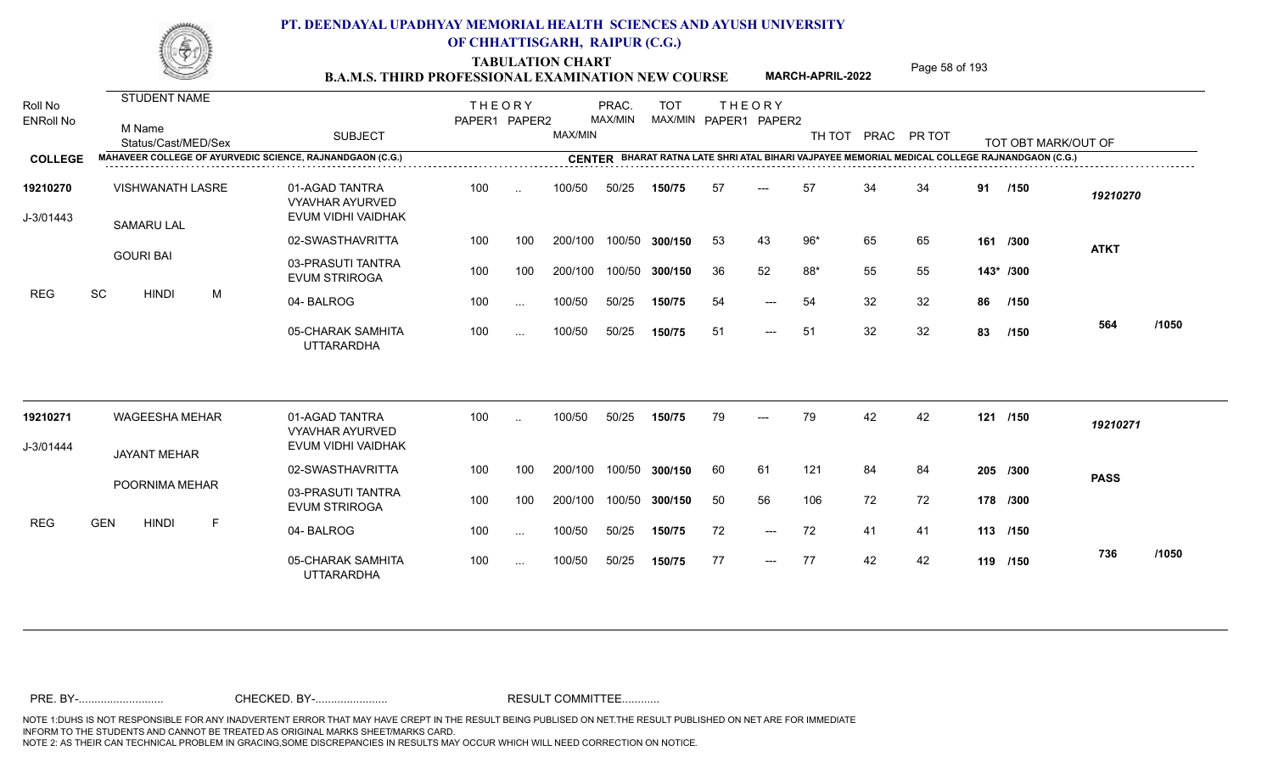TABULATION CHART<br>**B.A.M.S. THIRD PROFESSIONAL EXAMINATION NEW COURSE** MARCH-APRIL-2022 Page 58 of 193

**MARCH-APRIL-2022**

| Roll No<br><b>ENRoll No</b> | STUDENT NAME<br>M Name<br>Status/Cast/MED/Sex |   | <b>SUBJECT</b>                                                 | <b>THEORY</b><br>PAPER1 PAPER2 |                          | MAX/MIN | PRAC.<br>MAX/MIN | <b>TOT</b><br>MAX/MIN PAPER1 PAPER2 |    | <b>THEORY</b>       |       |    | TH TOT PRAC PR TOT |    | TOT OBT MARK/OUT OF                                                                            |             |       |
|-----------------------------|-----------------------------------------------|---|----------------------------------------------------------------|--------------------------------|--------------------------|---------|------------------|-------------------------------------|----|---------------------|-------|----|--------------------|----|------------------------------------------------------------------------------------------------|-------------|-------|
| <b>COLLEGE</b>              |                                               |   | MAHAVEER COLLEGE OF AYURVEDIC SCIENCE, RAJNANDGAON (C.G.)      |                                |                          |         |                  |                                     |    |                     |       |    |                    |    | CENTER BHARAT RATNA LATE SHRI ATAL BIHARI VAJPAYEE MEMORIAL MEDICAL COLLEGE RAJNANDGAON (C.G.) |             |       |
| 19210270<br>J-3/01443       | <b>VISHWANATH LASRE</b><br><b>SAMARU LAL</b>  |   | 01-AGAD TANTRA<br><b>VYAVHAR AYURVED</b><br>EVUM VIDHI VAIDHAK | 100                            | $\ddotsc$                | 100/50  | 50/25            | 150/75                              | 57 | $\qquad \qquad - -$ | 57    | 34 | 34                 | 91 | /150                                                                                           | 19210270    |       |
|                             |                                               |   | 02-SWASTHAVRITTA                                               | 100                            | 100                      | 200/100 |                  | 100/50 300/150                      | 53 | 43                  | $96*$ | 65 | 65                 |    | 161 /300                                                                                       | <b>ATKT</b> |       |
|                             | <b>GOURI BAI</b>                              |   | 03-PRASUTI TANTRA<br><b>EVUM STRIROGA</b>                      | 100                            | 100                      | 200/100 |                  | 100/50 300/150                      | 36 | 52                  | 88*   | 55 | 55                 |    | 143* /300                                                                                      |             |       |
| <b>REG</b>                  | $\operatorname{\textsf{SC}}$<br><b>HINDI</b>  | M | 04-BALROG                                                      | 100                            | $\sim$ $\sim$            | 100/50  | 50/25            | 150/75                              | 54 | $---$               | 54    | 32 | 32                 | 86 | /150                                                                                           |             |       |
|                             |                                               |   | 05-CHARAK SAMHITA<br><b>UTTARARDHA</b>                         | 100                            | $\cdots$                 | 100/50  | 50/25            | 150/75                              | 51 | $---$               | 51    | 32 | 32                 | 83 | /150                                                                                           | 564         | /1050 |
| 19210271                    | <b>WAGEESHA MEHAR</b>                         |   | 01-AGAD TANTRA<br><b>VYAVHAR AYURVED</b>                       | 100                            | $\overline{\phantom{a}}$ | 100/50  | 50/25            | 150/75                              | 79 | $---$               | 79    | 42 | 42                 |    | 121 /150                                                                                       | 19210271    |       |
| J-3/01444                   | <b>JAYANT MEHAR</b>                           |   | EVUM VIDHI VAIDHAK                                             |                                |                          |         |                  |                                     |    |                     |       |    |                    |    |                                                                                                |             |       |
|                             |                                               |   | 02-SWASTHAVRITTA                                               | 100                            | 100                      | 200/100 |                  | 100/50 300/150                      | 60 | 61                  | 121   | 84 | 84                 |    | 205 /300                                                                                       | <b>PASS</b> |       |
|                             | POORNIMA MEHAR                                |   | 03-PRASUTI TANTRA<br><b>EVUM STRIROGA</b>                      | 100                            | 100                      | 200/100 |                  | 100/50 300/150                      | 50 | 56                  | 106   | 72 | 72                 |    | 178 /300                                                                                       |             |       |
| <b>REG</b>                  | <b>GEN</b><br><b>HINDI</b>                    | F | 04-BALROG                                                      | 100                            | $\cdots$                 | 100/50  | 50/25            | 150/75                              | 72 | $---$               | 72    | 41 | 41                 |    | 113 /150                                                                                       |             |       |
|                             |                                               |   | 05-CHARAK SAMHITA<br><b>UTTARARDHA</b>                         | 100                            | $\sim$ $\sim$            | 100/50  | 50/25            | 150/75                              | 77 | $---$               | 77    | 42 | 42                 |    | 119 /150                                                                                       | 736         | /1050 |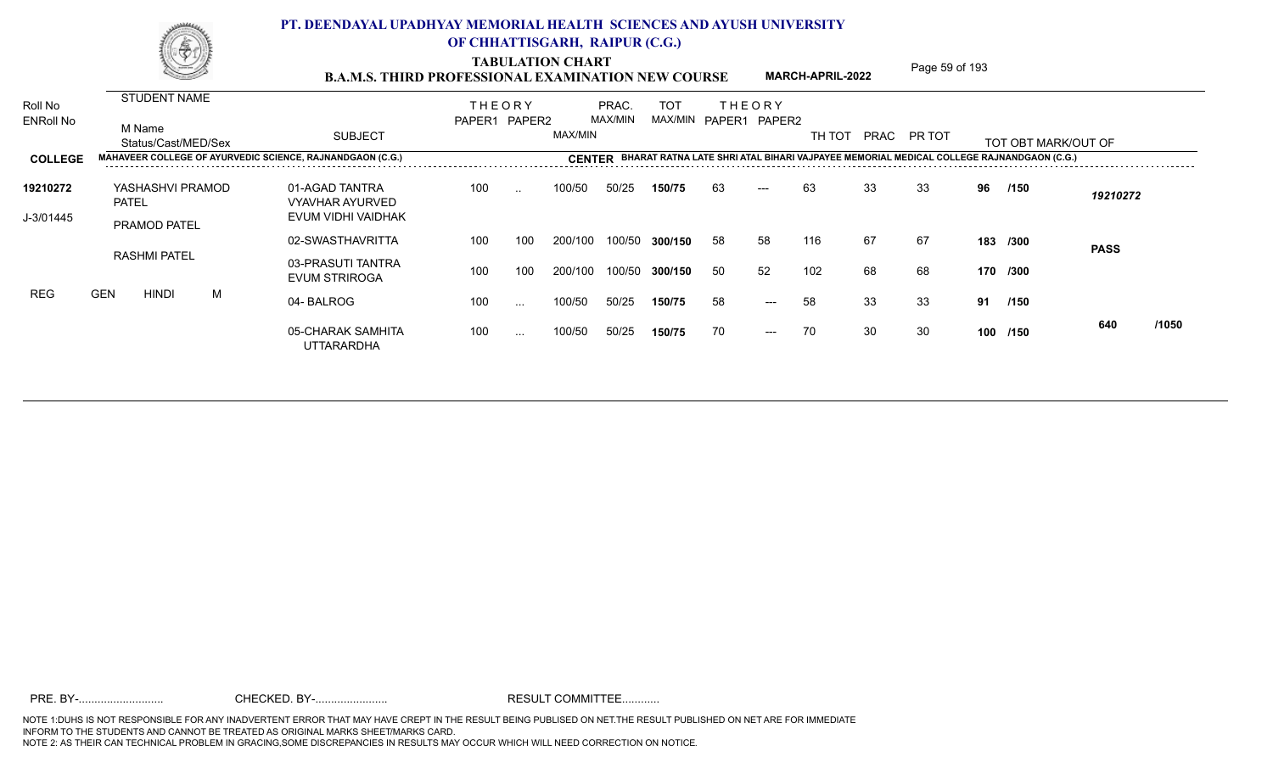TABULATION CHART<br> **TABULATION CHART** PAGE MARCH-APRIL-2022 Page 59 of 193

**MARCH-APRIL-2022**

| Roll No          |            |                     | <b>STUDENT NAME</b> |   |                                                          | <b>THEORY</b> |               |               | PRAC.   | <b>TOT</b>            |     | <b>THEORY</b>         |        |    |             |     |                                                               |             |       |
|------------------|------------|---------------------|---------------------|---|----------------------------------------------------------|---------------|---------------|---------------|---------|-----------------------|-----|-----------------------|--------|----|-------------|-----|---------------------------------------------------------------|-------------|-------|
| <b>ENRoll No</b> |            | M Name              | Status/Cast/MED/Sex |   | <b>SUBJECT</b>                                           | PAPER1 PAPER2 |               | MAX/MIN       | MAX/MIN | MAX/MIN PAPER1 PAPER2 |     |                       | TH TOT |    | PRAC PR TOT |     | TOT OBT MARK/OUT OF                                           |             |       |
| <b>COLLEGE</b>   |            |                     |                     |   | MAHAVEER COLLEGE OF AYURVEDIC SCIENCE, RAJNANDGAON (C.G. |               |               | <b>CENTER</b> |         |                       |     |                       |        |    |             |     | L BIHARI VAJPAYEE MEMORIAL MEDICAL COLLEGE RAJNANDGAON (C.G.) |             |       |
| 19210272         |            | <b>PATEL</b>        | YASHASHVI PRAMOD    |   | 01-AGAD TANTRA<br><b>VYAVHAR AYURVED</b>                 | 100           | $\ddotsc$     | 100/50        | 50/25   | 150/75                | 63  | $---$                 | 63     | 33 | 33          | 96  | /150                                                          | 19210272    |       |
| J-3/01445        |            | <b>PRAMOD PATEL</b> |                     |   | EVUM VIDHI VAIDHAK                                       |               |               |               |         |                       |     |                       |        |    |             |     |                                                               |             |       |
|                  |            |                     |                     |   | 02-SWASTHAVRITTA                                         | 100           | 100           | 200/100       | 100/50  | 300/150               | 58  | 58                    | 116    | 67 | 67          |     | 183 /300                                                      | <b>PASS</b> |       |
|                  |            | <b>RASHMI PATEL</b> |                     |   | 03-PRASUTI TANTRA<br><b>EVUM STRIROGA</b>                | 100           | 100           | 200/100       | 100/50  | 300/150               | -50 | 52                    | 102    | 68 | 68          |     | 170 /300                                                      |             |       |
| REG              | <b>GEN</b> | <b>HINDI</b>        |                     | M | 04-BALROG                                                | 100           | $\sim$ $\sim$ | 100/50        | 50/25   | 150/75                | 58  | $\qquad \qquad - - -$ | 58     | 33 | 33          | 91  | /150                                                          |             |       |
|                  |            |                     |                     |   | 05-CHARAK SAMHITA<br><b>UTTARARDHA</b>                   | 100           | $\sim$ $\sim$ | 100/50        | 50/25   | 150/75                | 70  | $\qquad \qquad - - -$ | 70     | 30 | 30          | 100 | /150                                                          | 640         | /1050 |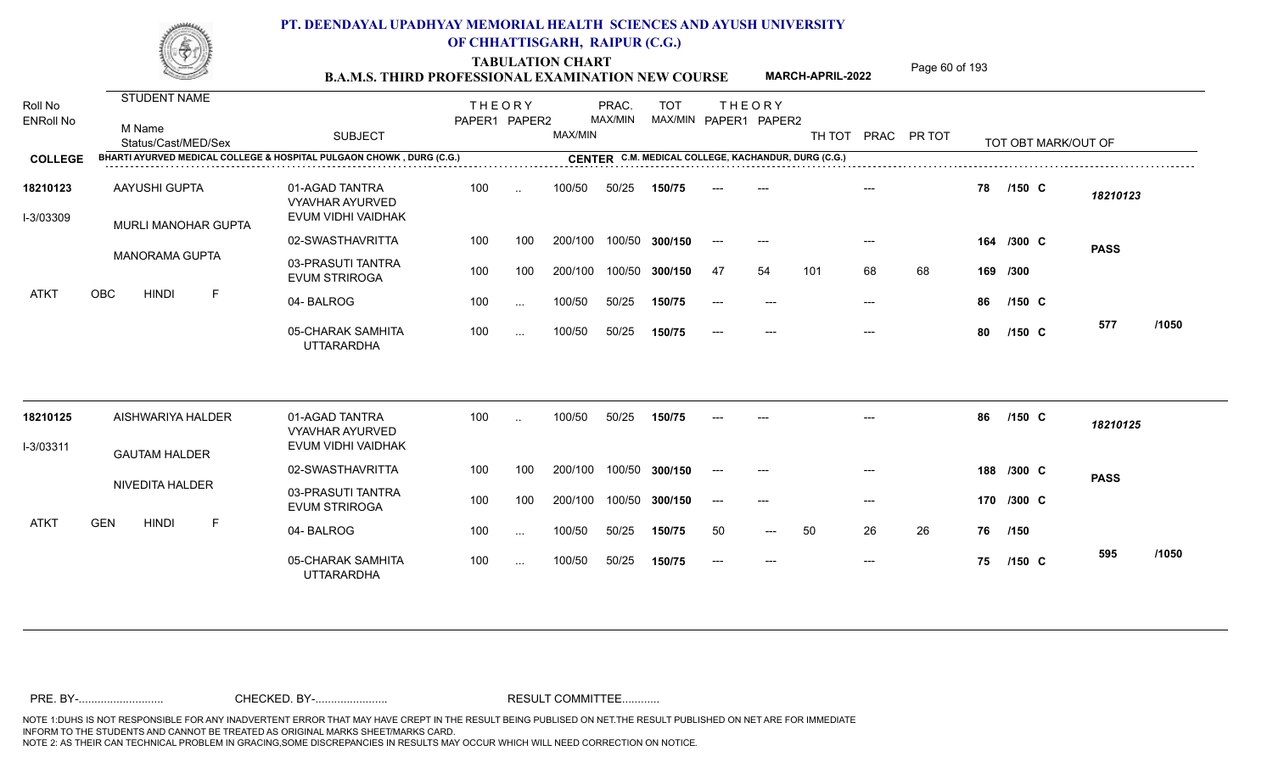TABULATION CHART<br> **TABULATION CHART B.A.M.S. THIRD PROFESSIONAL EXAMINATION NEW COURSE** MARCH-APRIL-2022

**MARCH-APRIL-2022**

| <b>STUDENT NAME</b><br>Roll No<br><b>THEORY</b><br>PRAC.<br><b>TOT</b><br><b>THEORY</b><br>MAX/MIN<br>MAX/MIN PAPER1 PAPER2<br>PAPER1 PAPER2<br><b>ENRoll No</b><br>M Name<br>MAX/MIN<br><b>SUBJECT</b><br>TH TOT<br>PRAC PR TOT<br>Status/Cast/MED/Sex<br>TOT OBT MARK/OUT OF<br>BHARTI AYURVED MEDICAL COLLEGE & HOSPITAL PULGAON CHOWK, DURG (C.G.)<br>CENTER C.M. MEDICAL COLLEGE, KACHANDUR, DURG (C.G.)<br><b>COLLEGE</b><br>01-AGAD TANTRA<br><b>AAYUSHI GUPTA</b><br>100<br>100/50<br>50/25<br>78<br>18210123<br>$/150$ C<br>150/75<br>$\ddotsc$<br>18210123<br><b>VYAVHAR AYURVED</b><br>EVUM VIDHI VAIDHAK<br>I-3/03309<br>MURLI MANOHAR GUPTA<br>02-SWASTHAVRITTA<br>100/50 300/150<br>100<br>100<br>200/100<br>164 /300 C<br>$---$<br>$---$<br>$---$<br><b>PASS</b><br><b>MANORAMA GUPTA</b><br>03-PRASUTI TANTRA<br>68<br>100<br>100<br>200/100<br>100/50 300/150<br>54<br>101<br>68<br>47<br>169 /300<br><b>EVUM STRIROGA</b><br>OBC<br><b>HINDI</b><br>F<br>ATKT<br>04-BALROG<br>100<br>100/50<br>50/25<br>150/75<br>86<br>$/150$ C<br>----<br>$---$<br>$---$<br>$\cdots$<br>577<br>05-CHARAK SAMHITA<br>100<br>100/50<br>50/25<br>150/75<br>80<br>$/150$ C<br>$---$<br>----<br>$---$<br>$\cdots$<br><b>UTTARARDHA</b><br>01-AGAD TANTRA<br>AISHWARIYA HALDER<br>100<br>100/50<br>50/25<br>86<br>$/150$ C<br>18210125<br>150/75<br>$\ddotsc$<br>18210125<br><b>VYAVHAR AYURVED</b><br>EVUM VIDHI VAIDHAK<br>I-3/03311<br><b>GAUTAM HALDER</b><br>02-SWASTHAVRITTA<br>100<br>200/100<br>100/50 300/150<br>100<br>188 /300 C<br>----<br>$---$<br>$---$<br><b>PASS</b><br>NIVEDITA HALDER<br>03-PRASUTI TANTRA<br>100<br>200/100<br>100/50 300/150<br>100<br>170 /300 C<br>$---$<br>$---$<br>$---$<br><b>EVUM STRIROGA</b><br><b>GEN</b><br><b>HINDI</b><br><b>ATKT</b><br>F<br>50<br>26<br>04-BALROG<br>100<br>100/50<br>50/25<br>50<br>26<br>150/75<br>76<br>/150<br>$---$<br>$\sim$<br>595<br>05-CHARAK SAMHITA<br>100<br>50/25<br>100/50<br>150/75<br>75<br>$/150$ C<br>$---$<br>$\sim$ $\sim$<br><b>UTTARARDHA</b> |  |  |  |  |  |  |  |  |       |
|-------------------------------------------------------------------------------------------------------------------------------------------------------------------------------------------------------------------------------------------------------------------------------------------------------------------------------------------------------------------------------------------------------------------------------------------------------------------------------------------------------------------------------------------------------------------------------------------------------------------------------------------------------------------------------------------------------------------------------------------------------------------------------------------------------------------------------------------------------------------------------------------------------------------------------------------------------------------------------------------------------------------------------------------------------------------------------------------------------------------------------------------------------------------------------------------------------------------------------------------------------------------------------------------------------------------------------------------------------------------------------------------------------------------------------------------------------------------------------------------------------------------------------------------------------------------------------------------------------------------------------------------------------------------------------------------------------------------------------------------------------------------------------------------------------------------------------------------------------------------------------------------------------------------------------------------------------------------------------------------------------------------------------------|--|--|--|--|--|--|--|--|-------|
|                                                                                                                                                                                                                                                                                                                                                                                                                                                                                                                                                                                                                                                                                                                                                                                                                                                                                                                                                                                                                                                                                                                                                                                                                                                                                                                                                                                                                                                                                                                                                                                                                                                                                                                                                                                                                                                                                                                                                                                                                                     |  |  |  |  |  |  |  |  |       |
|                                                                                                                                                                                                                                                                                                                                                                                                                                                                                                                                                                                                                                                                                                                                                                                                                                                                                                                                                                                                                                                                                                                                                                                                                                                                                                                                                                                                                                                                                                                                                                                                                                                                                                                                                                                                                                                                                                                                                                                                                                     |  |  |  |  |  |  |  |  |       |
|                                                                                                                                                                                                                                                                                                                                                                                                                                                                                                                                                                                                                                                                                                                                                                                                                                                                                                                                                                                                                                                                                                                                                                                                                                                                                                                                                                                                                                                                                                                                                                                                                                                                                                                                                                                                                                                                                                                                                                                                                                     |  |  |  |  |  |  |  |  |       |
|                                                                                                                                                                                                                                                                                                                                                                                                                                                                                                                                                                                                                                                                                                                                                                                                                                                                                                                                                                                                                                                                                                                                                                                                                                                                                                                                                                                                                                                                                                                                                                                                                                                                                                                                                                                                                                                                                                                                                                                                                                     |  |  |  |  |  |  |  |  |       |
|                                                                                                                                                                                                                                                                                                                                                                                                                                                                                                                                                                                                                                                                                                                                                                                                                                                                                                                                                                                                                                                                                                                                                                                                                                                                                                                                                                                                                                                                                                                                                                                                                                                                                                                                                                                                                                                                                                                                                                                                                                     |  |  |  |  |  |  |  |  |       |
|                                                                                                                                                                                                                                                                                                                                                                                                                                                                                                                                                                                                                                                                                                                                                                                                                                                                                                                                                                                                                                                                                                                                                                                                                                                                                                                                                                                                                                                                                                                                                                                                                                                                                                                                                                                                                                                                                                                                                                                                                                     |  |  |  |  |  |  |  |  |       |
|                                                                                                                                                                                                                                                                                                                                                                                                                                                                                                                                                                                                                                                                                                                                                                                                                                                                                                                                                                                                                                                                                                                                                                                                                                                                                                                                                                                                                                                                                                                                                                                                                                                                                                                                                                                                                                                                                                                                                                                                                                     |  |  |  |  |  |  |  |  |       |
|                                                                                                                                                                                                                                                                                                                                                                                                                                                                                                                                                                                                                                                                                                                                                                                                                                                                                                                                                                                                                                                                                                                                                                                                                                                                                                                                                                                                                                                                                                                                                                                                                                                                                                                                                                                                                                                                                                                                                                                                                                     |  |  |  |  |  |  |  |  | /1050 |
|                                                                                                                                                                                                                                                                                                                                                                                                                                                                                                                                                                                                                                                                                                                                                                                                                                                                                                                                                                                                                                                                                                                                                                                                                                                                                                                                                                                                                                                                                                                                                                                                                                                                                                                                                                                                                                                                                                                                                                                                                                     |  |  |  |  |  |  |  |  |       |
|                                                                                                                                                                                                                                                                                                                                                                                                                                                                                                                                                                                                                                                                                                                                                                                                                                                                                                                                                                                                                                                                                                                                                                                                                                                                                                                                                                                                                                                                                                                                                                                                                                                                                                                                                                                                                                                                                                                                                                                                                                     |  |  |  |  |  |  |  |  |       |
|                                                                                                                                                                                                                                                                                                                                                                                                                                                                                                                                                                                                                                                                                                                                                                                                                                                                                                                                                                                                                                                                                                                                                                                                                                                                                                                                                                                                                                                                                                                                                                                                                                                                                                                                                                                                                                                                                                                                                                                                                                     |  |  |  |  |  |  |  |  |       |
|                                                                                                                                                                                                                                                                                                                                                                                                                                                                                                                                                                                                                                                                                                                                                                                                                                                                                                                                                                                                                                                                                                                                                                                                                                                                                                                                                                                                                                                                                                                                                                                                                                                                                                                                                                                                                                                                                                                                                                                                                                     |  |  |  |  |  |  |  |  |       |
|                                                                                                                                                                                                                                                                                                                                                                                                                                                                                                                                                                                                                                                                                                                                                                                                                                                                                                                                                                                                                                                                                                                                                                                                                                                                                                                                                                                                                                                                                                                                                                                                                                                                                                                                                                                                                                                                                                                                                                                                                                     |  |  |  |  |  |  |  |  |       |
|                                                                                                                                                                                                                                                                                                                                                                                                                                                                                                                                                                                                                                                                                                                                                                                                                                                                                                                                                                                                                                                                                                                                                                                                                                                                                                                                                                                                                                                                                                                                                                                                                                                                                                                                                                                                                                                                                                                                                                                                                                     |  |  |  |  |  |  |  |  | /1050 |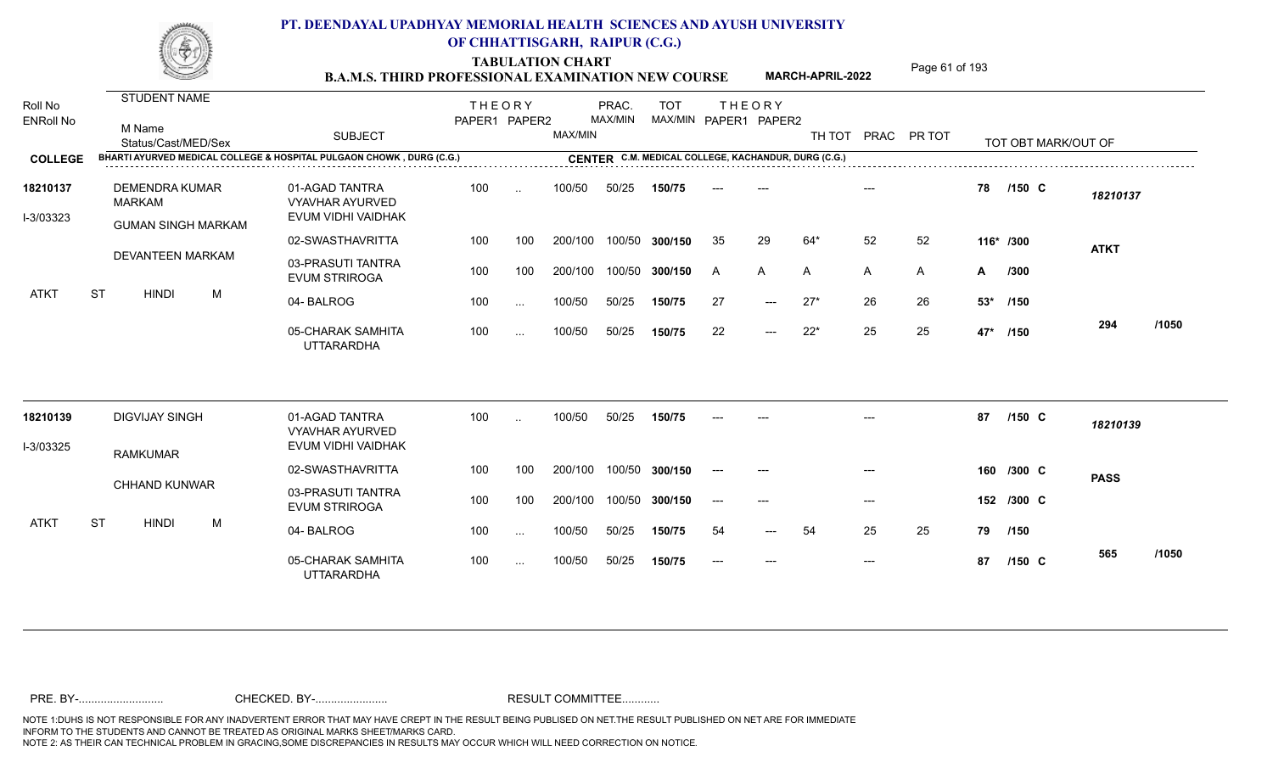TABULATION CHART<br> **TABULATION CHART B.A.M.S. THIRD PROFESSIONAL EXAMINATION NEW COURSE** MARCH-APRIL-2022 **Page 61 of 193 MARCH-APRIL-2022**

| BHARTI AYURVED MEDICAL COLLEGE & HOSPITAL PULGAON CHOWK, DURG (C.G.)<br>CENTER C.M. MEDICAL COLLEGE, KACHANDUR, DURG (C.G.)<br>01-AGAD TANTRA<br><b>DEMENDRA KUMAR</b><br>100<br>100/50<br>50/25<br>78<br>$/150$ C<br>18210137<br>150/75<br>$\ddotsc$<br>18210137<br><b>MARKAM</b><br><b>VYAVHAR AYURVED</b><br>EVUM VIDHI VAIDHAK<br>I-3/03323<br><b>GUMAN SINGH MARKAM</b><br>02-SWASTHAVRITTA<br>29<br>64*<br>52<br>52<br>100<br>100<br>200/100<br>100/50 300/150<br>35<br>116* /300<br><b>ATKT</b><br><b>DEVANTEEN MARKAM</b><br>03-PRASUTI TANTRA<br>100<br>100<br>200/100<br>100/50<br>$\mathsf{A}$<br>300/150<br>A<br>A<br>A<br>A<br>/300<br>$\mathsf{A}$<br><b>EVUM STRIROGA</b><br><b>ST</b><br><b>HINDI</b><br>M<br>ATKT<br>100/50<br>50/25<br>27<br>$27*$<br>26<br>26<br>04-BALROG<br>100<br>150/75<br>53* /150<br>$\frac{1}{2}$<br>$\cdots$<br>294<br>22<br>$22*$<br>25<br>05-CHARAK SAMHITA<br>25<br>100<br>100/50<br>50/25<br>150/75<br>47* /150<br>$---$<br>$\sim$ $\sim$<br><b>UTTARARDHA</b><br>01-AGAD TANTRA<br><b>DIGVIJAY SINGH</b><br>100<br>100/50<br>50/25<br>87<br>$/150$ C<br>18210139<br>150/75<br>$\ddotsc$<br>18210139<br><b>VYAVHAR AYURVED</b><br>EVUM VIDHI VAIDHAK<br>I-3/03325<br><b>RAMKUMAR</b><br>02-SWASTHAVRITTA<br>100<br>100<br>200/100<br>100/50 300/150<br>160 /300 C<br>$---$<br>---<br><b>PASS</b><br><b>CHHAND KUNWAR</b><br>03-PRASUTI TANTRA<br>100<br>200/100<br>100<br>100/50<br>152 /300 C<br>300/150<br>$---$<br>$---$<br>$---$<br><b>EVUM STRIROGA</b><br><b>ST</b><br><b>HINDI</b><br>M<br>ATKT<br>25<br>25<br>04-BALROG<br>100<br>100/50<br>50/25<br>54<br>54<br>150/75<br>79<br>/150<br>$---$<br>$\sim$ $\sim$<br>565<br>05-CHARAK SAMHITA<br>100<br>100/50<br>50/25<br>150/75<br>87<br>$/150$ C<br>$---$<br>$---$<br>$---$<br>$\ddotsc$<br><b>UTTARARDHA</b> | Roll No<br><b>ENRoll No</b> | M Name<br>Status/Cast/MED/Sex | <b>SUBJECT</b> | PAPER1 PAPER2 | MAX/MIN | MAX/MIN |  | MAX/MIN PAPER1 PAPER2 | TH TOT PRAC | PR TOT | TOT OBT MARK/OUT OF |       |
|-----------------------------------------------------------------------------------------------------------------------------------------------------------------------------------------------------------------------------------------------------------------------------------------------------------------------------------------------------------------------------------------------------------------------------------------------------------------------------------------------------------------------------------------------------------------------------------------------------------------------------------------------------------------------------------------------------------------------------------------------------------------------------------------------------------------------------------------------------------------------------------------------------------------------------------------------------------------------------------------------------------------------------------------------------------------------------------------------------------------------------------------------------------------------------------------------------------------------------------------------------------------------------------------------------------------------------------------------------------------------------------------------------------------------------------------------------------------------------------------------------------------------------------------------------------------------------------------------------------------------------------------------------------------------------------------------------------------------------------------------------------------------------------------------------------------------|-----------------------------|-------------------------------|----------------|---------------|---------|---------|--|-----------------------|-------------|--------|---------------------|-------|
|                                                                                                                                                                                                                                                                                                                                                                                                                                                                                                                                                                                                                                                                                                                                                                                                                                                                                                                                                                                                                                                                                                                                                                                                                                                                                                                                                                                                                                                                                                                                                                                                                                                                                                                                                                                                                       | <b>COLLEGE</b>              |                               |                |               |         |         |  |                       |             |        |                     |       |
|                                                                                                                                                                                                                                                                                                                                                                                                                                                                                                                                                                                                                                                                                                                                                                                                                                                                                                                                                                                                                                                                                                                                                                                                                                                                                                                                                                                                                                                                                                                                                                                                                                                                                                                                                                                                                       |                             |                               |                |               |         |         |  |                       |             |        |                     |       |
|                                                                                                                                                                                                                                                                                                                                                                                                                                                                                                                                                                                                                                                                                                                                                                                                                                                                                                                                                                                                                                                                                                                                                                                                                                                                                                                                                                                                                                                                                                                                                                                                                                                                                                                                                                                                                       |                             |                               |                |               |         |         |  |                       |             |        |                     |       |
|                                                                                                                                                                                                                                                                                                                                                                                                                                                                                                                                                                                                                                                                                                                                                                                                                                                                                                                                                                                                                                                                                                                                                                                                                                                                                                                                                                                                                                                                                                                                                                                                                                                                                                                                                                                                                       |                             |                               |                |               |         |         |  |                       |             |        |                     |       |
|                                                                                                                                                                                                                                                                                                                                                                                                                                                                                                                                                                                                                                                                                                                                                                                                                                                                                                                                                                                                                                                                                                                                                                                                                                                                                                                                                                                                                                                                                                                                                                                                                                                                                                                                                                                                                       |                             |                               |                |               |         |         |  |                       |             |        |                     |       |
|                                                                                                                                                                                                                                                                                                                                                                                                                                                                                                                                                                                                                                                                                                                                                                                                                                                                                                                                                                                                                                                                                                                                                                                                                                                                                                                                                                                                                                                                                                                                                                                                                                                                                                                                                                                                                       |                             |                               |                |               |         |         |  |                       |             |        |                     |       |
|                                                                                                                                                                                                                                                                                                                                                                                                                                                                                                                                                                                                                                                                                                                                                                                                                                                                                                                                                                                                                                                                                                                                                                                                                                                                                                                                                                                                                                                                                                                                                                                                                                                                                                                                                                                                                       |                             |                               |                |               |         |         |  |                       |             |        |                     | /1050 |
|                                                                                                                                                                                                                                                                                                                                                                                                                                                                                                                                                                                                                                                                                                                                                                                                                                                                                                                                                                                                                                                                                                                                                                                                                                                                                                                                                                                                                                                                                                                                                                                                                                                                                                                                                                                                                       |                             |                               |                |               |         |         |  |                       |             |        |                     |       |
|                                                                                                                                                                                                                                                                                                                                                                                                                                                                                                                                                                                                                                                                                                                                                                                                                                                                                                                                                                                                                                                                                                                                                                                                                                                                                                                                                                                                                                                                                                                                                                                                                                                                                                                                                                                                                       |                             |                               |                |               |         |         |  |                       |             |        |                     |       |
|                                                                                                                                                                                                                                                                                                                                                                                                                                                                                                                                                                                                                                                                                                                                                                                                                                                                                                                                                                                                                                                                                                                                                                                                                                                                                                                                                                                                                                                                                                                                                                                                                                                                                                                                                                                                                       |                             |                               |                |               |         |         |  |                       |             |        |                     |       |
|                                                                                                                                                                                                                                                                                                                                                                                                                                                                                                                                                                                                                                                                                                                                                                                                                                                                                                                                                                                                                                                                                                                                                                                                                                                                                                                                                                                                                                                                                                                                                                                                                                                                                                                                                                                                                       |                             |                               |                |               |         |         |  |                       |             |        |                     |       |
|                                                                                                                                                                                                                                                                                                                                                                                                                                                                                                                                                                                                                                                                                                                                                                                                                                                                                                                                                                                                                                                                                                                                                                                                                                                                                                                                                                                                                                                                                                                                                                                                                                                                                                                                                                                                                       |                             |                               |                |               |         |         |  |                       |             |        |                     |       |
|                                                                                                                                                                                                                                                                                                                                                                                                                                                                                                                                                                                                                                                                                                                                                                                                                                                                                                                                                                                                                                                                                                                                                                                                                                                                                                                                                                                                                                                                                                                                                                                                                                                                                                                                                                                                                       |                             |                               |                |               |         |         |  |                       |             |        |                     | /1050 |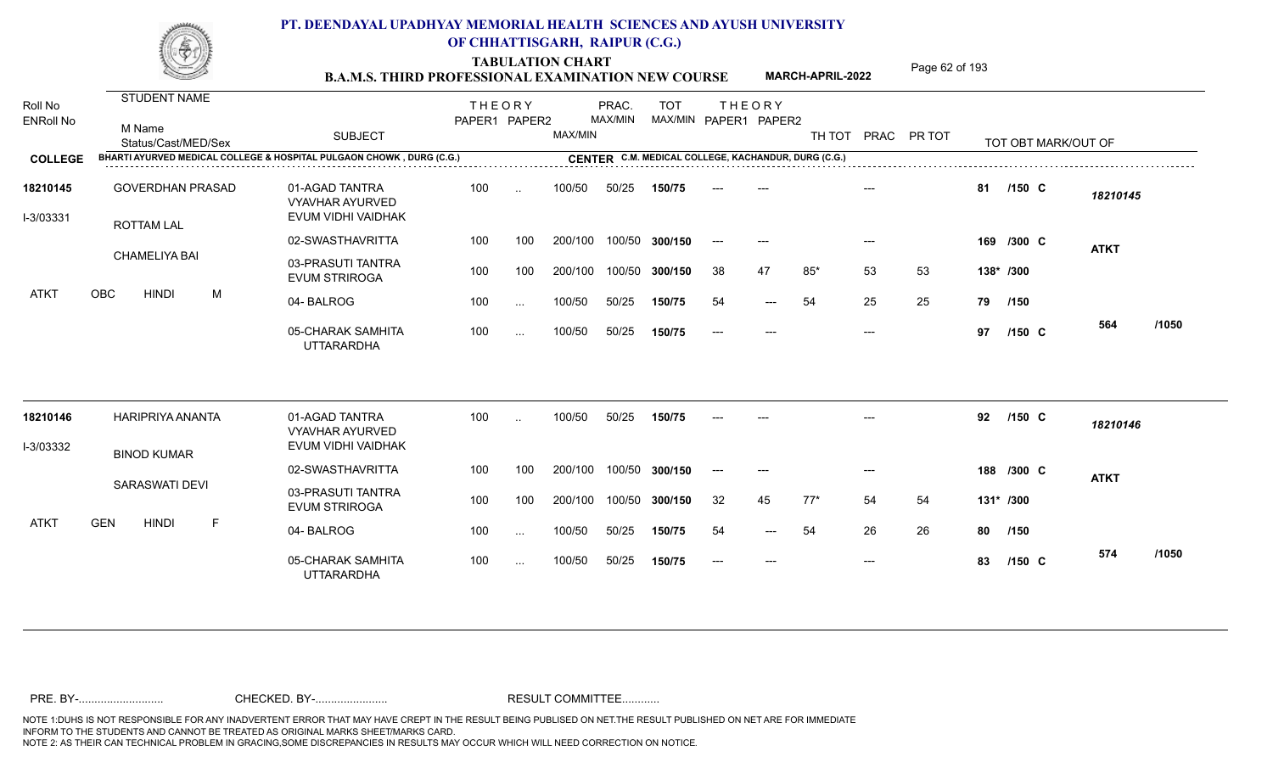TABULATION CHART<br> **TABULATION CHART** PAGE MARCH-APRIL-2022 Page 62 of 193

**MARCH-APRIL-2022**

| Roll No<br><b>ENRoll No</b><br><b>COLLEGE</b> | <b>STUDENT NAME</b><br>M Name<br>Status/Cast/MED/Sex<br>BHARTI AYURVED MEDICAL COLLEGE & HOSPITAL PULGAON CHOWK, DURG (C.G.) | <b>SUBJECT</b>                            | <b>THEORY</b><br>PAPER1 PAPER2 |               | MAX/MIN | PRAC.<br>MAX/MIN | <b>TOT</b>     |       | <b>THEORY</b><br>MAX/MIN PAPER1 PAPER2<br>CENTER C.M. MEDICAL COLLEGE, KACHANDUR, DURG (C.G.) | TH TOT PRAC PR TOT |       |    |           |            | TOT OBT MARK/OUT OF |       |
|-----------------------------------------------|------------------------------------------------------------------------------------------------------------------------------|-------------------------------------------|--------------------------------|---------------|---------|------------------|----------------|-------|-----------------------------------------------------------------------------------------------|--------------------|-------|----|-----------|------------|---------------------|-------|
| 18210145                                      | <b>GOVERDHAN PRASAD</b>                                                                                                      | 01-AGAD TANTRA<br><b>VYAVHAR AYURVED</b>  | 100                            | $\ddotsc$     | 100/50  | 50/25            | 150/75         |       |                                                                                               |                    |       |    | 81        | $/150$ C   | 18210145            |       |
| I-3/03331                                     | <b>ROTTAM LAL</b>                                                                                                            | EVUM VIDHI VAIDHAK                        |                                |               |         |                  |                |       |                                                                                               |                    |       |    |           |            |                     |       |
|                                               | <b>CHAMELIYA BAI</b>                                                                                                         | 02-SWASTHAVRITTA                          | 100                            | 100           | 200/100 |                  | 100/50 300/150 | $---$ | $---$                                                                                         |                    | $---$ |    |           | 169 /300 C | <b>ATKT</b>         |       |
|                                               |                                                                                                                              | 03-PRASUTI TANTRA<br><b>EVUM STRIROGA</b> | 100                            | 100           | 200/100 |                  | 100/50 300/150 | 38    | 47                                                                                            | $85*$              | 53    | 53 | 138* /300 |            |                     |       |
| ATKT                                          | OBC<br><b>HINDI</b><br>M                                                                                                     | 04-BALROG                                 | 100                            | $\ddotsc$     | 100/50  | 50/25            | 150/75         | 54    | $---$                                                                                         | 54                 | 25    | 25 | 79        | /150       |                     |       |
|                                               |                                                                                                                              | 05-CHARAK SAMHITA<br><b>UTTARARDHA</b>    | 100                            | $\cdots$      | 100/50  | 50/25            | 150/75         |       |                                                                                               |                    | $---$ |    | 97        | $/150$ C   | 564                 | /1050 |
| 18210146                                      | <b>HARIPRIYA ANANTA</b>                                                                                                      | 01-AGAD TANTRA<br><b>VYAVHAR AYURVED</b>  | 100                            |               | 100/50  | 50/25            | 150/75         |       |                                                                                               |                    |       |    | 92        | $/150$ C   | 18210146            |       |
| I-3/03332                                     | <b>BINOD KUMAR</b>                                                                                                           | EVUM VIDHI VAIDHAK                        |                                |               |         |                  |                |       |                                                                                               |                    |       |    |           |            |                     |       |
|                                               |                                                                                                                              | 02-SWASTHAVRITTA                          | 100                            | 100           | 200/100 |                  | 100/50 300/150 | $---$ | $---$                                                                                         |                    | $---$ |    |           | 188 /300 C | <b>ATKT</b>         |       |
|                                               | SARASWATI DEVI                                                                                                               | 03-PRASUTI TANTRA<br><b>EVUM STRIROGA</b> | 100                            | 100           | 200/100 |                  | 100/50 300/150 | 32    | 45                                                                                            | $77*$              | 54    | 54 | 131* /300 |            |                     |       |
| ATKT                                          | <b>GEN</b><br><b>HINDI</b><br>F                                                                                              | 04-BALROG                                 | 100                            | $\cdots$      | 100/50  | 50/25            | 150/75         | 54    | $---$                                                                                         | 54                 | 26    | 26 | 80        | /150       |                     |       |
|                                               |                                                                                                                              | 05-CHARAK SAMHITA<br><b>UTTARARDHA</b>    | 100                            | $\cdot \cdot$ | 100/50  | 50/25            | 150/75         | $---$ | $---$                                                                                         |                    | $---$ |    | 83        | $/150$ C   | 574                 | /1050 |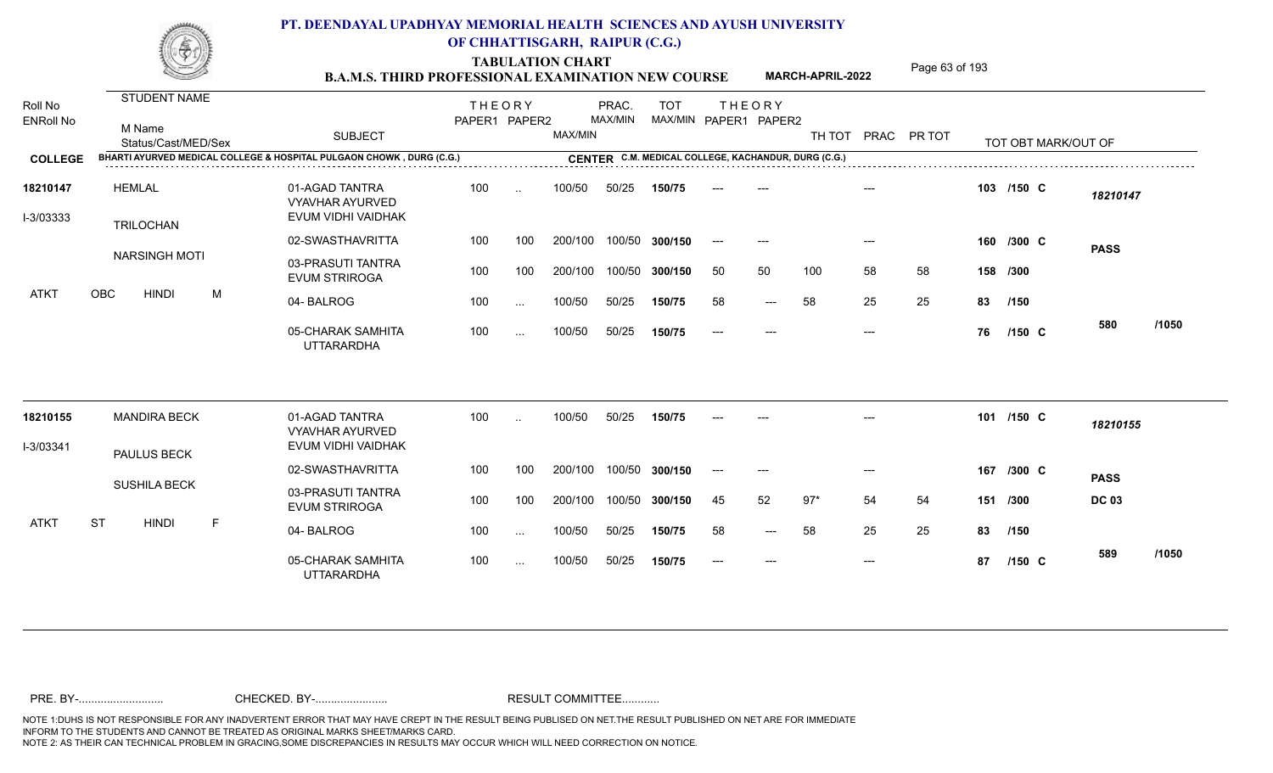TABULATION CHART<br> **TABULATION CHART EXAMINATION NEW COURSE MARCH-APRIL-2022** Page 63 of 193

**MARCH-APRIL-2022**

| Roll No<br><b>ENRoll No</b> | STUDENT NAME<br>M Name<br>Status/Cast/MED/Sex | <b>SUBJECT</b>                                                       | <b>THEORY</b><br>PAPER1 PAPER2 |           | MAX/MIN | PRAC.<br>MAX/MIN | <b>TOT</b>     |       | <b>THEORY</b><br>MAX/MIN PAPER1 PAPER2              | TH TOT |       | PRAC PR TOT |          | TOT OBT MARK/OUT OF |              |       |
|-----------------------------|-----------------------------------------------|----------------------------------------------------------------------|--------------------------------|-----------|---------|------------------|----------------|-------|-----------------------------------------------------|--------|-------|-------------|----------|---------------------|--------------|-------|
| <b>COLLEGE</b>              |                                               | BHARTI AYURVED MEDICAL COLLEGE & HOSPITAL PULGAON CHOWK, DURG (C.G.) |                                |           |         |                  |                |       | CENTER C.M. MEDICAL COLLEGE, KACHANDUR, DURG (C.G.) |        |       |             |          |                     |              |       |
| 18210147<br>I-3/03333       | <b>HEMLAL</b><br><b>TRILOCHAN</b>             | 01-AGAD TANTRA<br><b>VYAVHAR AYURVED</b><br>EVUM VIDHI VAIDHAK       | 100                            | $\cdot$ . | 100/50  | 50/25            | 150/75         |       |                                                     |        |       |             |          | 103 /150 C          | 18210147     |       |
|                             |                                               | 02-SWASTHAVRITTA                                                     | 100                            | 100       | 200/100 |                  | 100/50 300/150 | $---$ | $---$                                               |        | $---$ |             |          | 160 /300 C          | <b>PASS</b>  |       |
|                             | <b>NARSINGH MOTI</b>                          | 03-PRASUTI TANTRA<br><b>EVUM STRIROGA</b>                            | 100                            | 100       | 200/100 |                  | 100/50 300/150 | 50    | 50                                                  | 100    | 58    | 58          | 158 /300 |                     |              |       |
| <b>ATKT</b>                 | OBC<br><b>HINDI</b><br>M                      | 04-BALROG                                                            | 100                            | $\cdots$  | 100/50  | 50/25            | 150/75         | 58    | $---$                                               | 58     | 25    | 25          | 83       | /150                |              |       |
|                             |                                               | 05-CHARAK SAMHITA<br><b>UTTARARDHA</b>                               | 100                            | $\cdots$  | 100/50  | 50/25            | 150/75         | ----  | $---$                                               |        | $---$ |             | 76       | $/150$ C            | 580          | /1050 |
| 18210155                    | <b>MANDIRA BECK</b>                           | 01-AGAD TANTRA<br><b>VYAVHAR AYURVED</b>                             | 100                            | $\ddotsc$ | 100/50  | 50/25            | 150/75         |       |                                                     |        |       |             | 101      | $/150$ C            | 18210155     |       |
| I-3/03341                   | PAULUS BECK                                   | EVUM VIDHI VAIDHAK                                                   |                                |           |         |                  |                |       |                                                     |        |       |             |          |                     |              |       |
|                             |                                               | 02-SWASTHAVRITTA                                                     | 100                            | 100       | 200/100 |                  | 100/50 300/150 |       |                                                     |        |       |             | 167      | $/300$ C            | <b>PASS</b>  |       |
|                             | <b>SUSHILA BECK</b>                           | 03-PRASUTI TANTRA<br><b>EVUM STRIROGA</b>                            | 100                            | 100       | 200/100 |                  | 100/50 300/150 | 45    | 52                                                  | $97*$  | 54    | 54          | 151      | /300                | <b>DC 03</b> |       |
| <b>ATKT</b>                 | <b>ST</b><br><b>HINDI</b><br>F                | 04-BALROG                                                            | 100                            | $\cdots$  | 100/50  | 50/25            | 150/75         | 58    | $---$                                               | 58     | 25    | 25          | 83       | /150                |              |       |
|                             |                                               | 05-CHARAK SAMHITA<br><b>UTTARARDHA</b>                               | 100                            | $\cdots$  | 100/50  | 50/25            | 150/75         | $---$ | $---$                                               |        | $---$ |             | 87       | $/150$ C            | 589          | /1050 |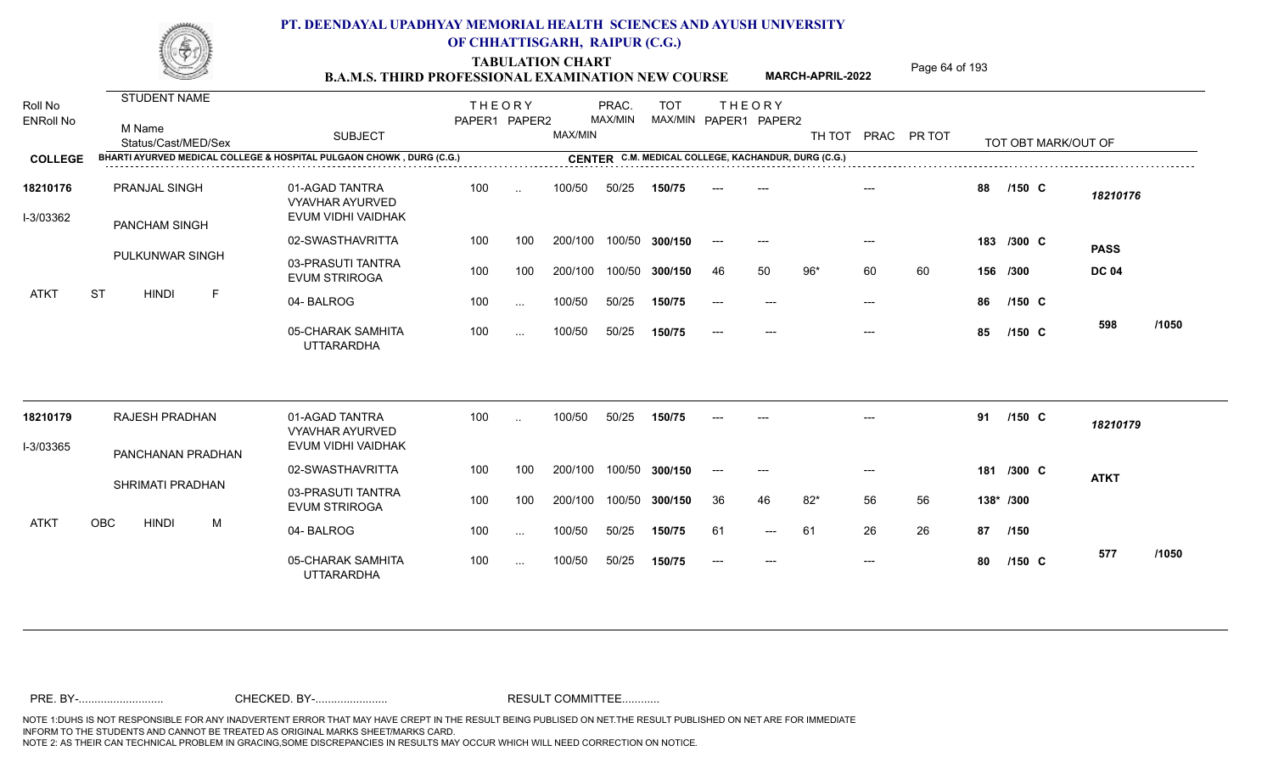TABULATION CHART<br> **TABULATION CHART B.A.M.S. THIRD PROFESSIONAL EXAMINATION NEW COURSE MARCH-APRIL-2022 Page 64 of 193** 

**MARCH-APRIL-2022**

| Roll No<br><b>ENRoll No</b> | <b>STUDENT NAME</b><br>M Name<br>Status/Cast/MED/Sex                 | <b>SUBJECT</b>                                                 | <b>THEORY</b><br>PAPER1 PAPER2 |               | MAX/MIN | PRAC.<br>MAX/MIN | <b>TOT</b>                                          |       | <b>THEORY</b><br>MAX/MIN PAPER1 PAPER2 |       |       | TH TOT PRAC PR TOT |          |            | TOT OBT MARK/OUT OF |          |       |
|-----------------------------|----------------------------------------------------------------------|----------------------------------------------------------------|--------------------------------|---------------|---------|------------------|-----------------------------------------------------|-------|----------------------------------------|-------|-------|--------------------|----------|------------|---------------------|----------|-------|
| <b>COLLEGE</b>              | BHARTI AYURVED MEDICAL COLLEGE & HOSPITAL PULGAON CHOWK, DURG (C.G.) |                                                                |                                |               |         |                  | CENTER C.M. MEDICAL COLLEGE, KACHANDUR, DURG (C.G.) |       |                                        |       |       |                    |          |            |                     |          |       |
| 18210176<br>I-3/03362       | <b>PRANJAL SINGH</b><br>PANCHAM SINGH                                | 01-AGAD TANTRA<br><b>VYAVHAR AYURVED</b><br>EVUM VIDHI VAIDHAK | 100                            | $\ddotsc$     | 100/50  | 50/25            | 150/75                                              |       |                                        |       |       |                    | 88       | $/150$ C   |                     | 18210176 |       |
|                             |                                                                      | 02-SWASTHAVRITTA                                               | 100                            | 100           | 200/100 |                  | 100/50 300/150                                      | $---$ | $---$                                  |       | $---$ |                    |          | 183 /300 C | <b>PASS</b>         |          |       |
|                             | PULKUNWAR SINGH                                                      | 03-PRASUTI TANTRA<br><b>EVUM STRIROGA</b>                      | 100                            | 100           | 200/100 |                  | 100/50 300/150                                      | 46    | 50                                     | $96*$ | 60    | 60                 | 156 /300 |            | <b>DC 04</b>        |          |       |
| ATKT                        | <b>ST</b><br><b>HINDI</b><br>F                                       | 04-BALROG                                                      | 100                            | $\ddotsc$     | 100/50  | 50/25            | 150/75                                              | ----  |                                        |       | $---$ |                    | 86       | $/150$ C   |                     |          |       |
|                             |                                                                      | 05-CHARAK SAMHITA<br><b>UTTARARDHA</b>                         | 100                            | $\sim$ $\sim$ | 100/50  | 50/25            | 150/75                                              |       |                                        |       | $---$ |                    | 85       | $/150$ C   | 598                 |          | /1050 |
| 18210179                    | RAJESH PRADHAN                                                       | 01-AGAD TANTRA<br><b>VYAVHAR AYURVED</b>                       | 100                            | $\ddotsc$     | 100/50  | 50/25            | 150/75                                              |       |                                        |       |       |                    | 91       | /150 C     |                     | 18210179 |       |
| I-3/03365                   | PANCHANAN PRADHAN                                                    | EVUM VIDHI VAIDHAK                                             |                                |               |         |                  |                                                     |       |                                        |       |       |                    |          |            |                     |          |       |
|                             | SHRIMATI PRADHAN                                                     | 02-SWASTHAVRITTA                                               | 100                            | 100           | 200/100 |                  | 100/50 300/150                                      | $---$ | $---$                                  |       | $---$ |                    | 181      | $/300$ C   | <b>ATKT</b>         |          |       |
|                             |                                                                      | 03-PRASUTI TANTRA<br><b>EVUM STRIROGA</b>                      | 100                            | 100           | 200/100 |                  | 100/50 300/150                                      | 36    | 46                                     | $82*$ | 56    | 56                 |          | 138* /300  |                     |          |       |
| ATKT                        | <b>OBC</b><br><b>HINDI</b><br>M                                      | 04-BALROG                                                      | 100                            | $\sim$ $\sim$ | 100/50  | 50/25            | 150/75                                              | 61    | $---$                                  | -61   | 26    | 26                 | 87       | /150       |                     |          |       |
|                             |                                                                      | 05-CHARAK SAMHITA<br><b>UTTARARDHA</b>                         | 100                            | $\sim$ $\sim$ | 100/50  | 50/25            | 150/75                                              | $---$ | $---$                                  |       | $---$ |                    | 80       | $/150$ C   | 577                 |          | /1050 |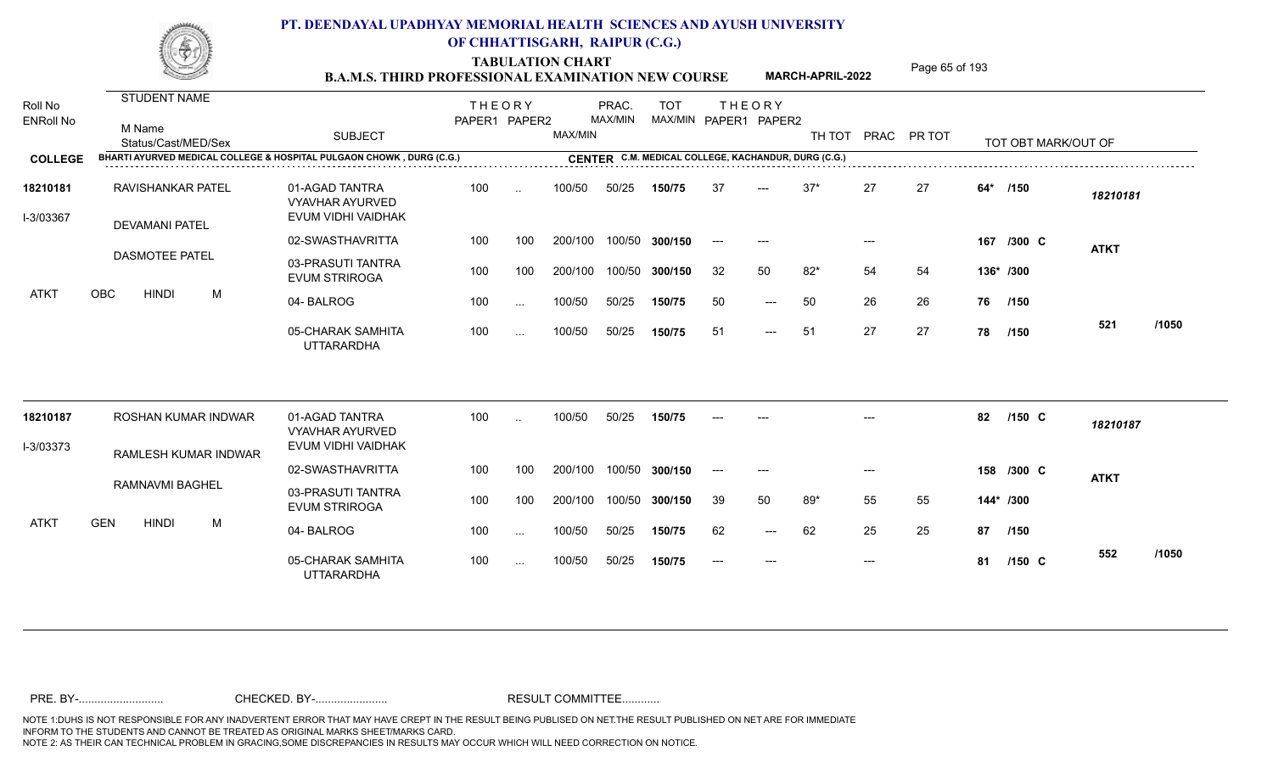TABULATION CHART<br>**B.A.M.S. THIRD PROFESSIONAL EXAMINATION NEW COURSE** MARCH-APRIL-2022 Page 65 of 193

**MARCH-APRIL-2022**

| Roll No<br><b>ENRoll No</b> | <b>STUDENT NAME</b><br>M Name<br>Status/Cast/MED/Sex |                             | <b>SUBJECT</b>                                                       | <b>THEORY</b><br>PAPER1 PAPER2 |               | MAX/MIN | PRAC.<br>MAX/MIN | <b>TOT</b><br>MAX/MIN PAPER1 PAPER2                 |       | <b>THEORY</b> |       |       | TH TOT PRAC PR TOT |       | TOT OBT MARK/OUT OF |             |       |
|-----------------------------|------------------------------------------------------|-----------------------------|----------------------------------------------------------------------|--------------------------------|---------------|---------|------------------|-----------------------------------------------------|-------|---------------|-------|-------|--------------------|-------|---------------------|-------------|-------|
| <b>COLLEGE</b>              |                                                      |                             | BHARTI AYURVED MEDICAL COLLEGE & HOSPITAL PULGAON CHOWK, DURG (C.G.) |                                |               |         |                  | CENTER C.M. MEDICAL COLLEGE, KACHANDUR, DURG (C.G.) |       |               |       |       |                    |       |                     |             |       |
| 18210181<br>I-3/03367       | <b>RAVISHANKAR PATEL</b><br><b>DEVAMANI PATEL</b>    |                             | 01-AGAD TANTRA<br><b>VYAVHAR AYURVED</b><br>EVUM VIDHI VAIDHAK       | 100                            | $\sim$        | 100/50  | 50/25            | 150/75                                              | 37    | $---$         | $37*$ | 27    | 27                 | $64*$ | /150                | 18210181    |       |
|                             |                                                      |                             | 02-SWASTHAVRITTA                                                     | 100                            | 100           | 200/100 |                  | 100/50 300/150                                      | $---$ | $---$         |       | $---$ |                    |       | 167 /300 C          | <b>ATKT</b> |       |
|                             | <b>DASMOTEE PATEL</b>                                |                             | 03-PRASUTI TANTRA<br><b>EVUM STRIROGA</b>                            | 100                            | 100           | 200/100 |                  | 100/50 300/150                                      | 32    | 50            | $82*$ | 54    | 54                 |       | 136* /300           |             |       |
| ATKT                        | OBC<br><b>HINDI</b>                                  | M                           | 04-BALROG                                                            | 100                            | $\cdots$      | 100/50  | 50/25            | 150/75                                              | 50    | $---$         | 50    | 26    | 26                 |       | 76 /150             |             |       |
|                             |                                                      |                             | 05-CHARAK SAMHITA<br><b>UTTARARDHA</b>                               | 100                            | $\sim$ $\sim$ | 100/50  | 50/25            | 150/75                                              | 51    | $---$         | -51   | 27    | 27                 | 78    | /150                | 521         | /1050 |
| 18210187                    |                                                      | <b>ROSHAN KUMAR INDWAR</b>  | 01-AGAD TANTRA<br><b>VYAVHAR AYURVED</b>                             | 100                            | $\ddotsc$     | 100/50  | 50/25            | 150/75                                              |       |               |       |       |                    | 82    | /150 C              | 18210187    |       |
| I-3/03373                   |                                                      | <b>RAMLESH KUMAR INDWAR</b> | EVUM VIDHI VAIDHAK                                                   |                                |               |         |                  |                                                     |       |               |       |       |                    |       |                     |             |       |
|                             |                                                      |                             | 02-SWASTHAVRITTA                                                     | 100                            | 100           | 200/100 |                  | 100/50 300/150                                      | $---$ | $---$         |       | $---$ |                    |       | 158 /300 C          | <b>ATKT</b> |       |
|                             | RAMNAVMI BAGHEL                                      |                             | 03-PRASUTI TANTRA<br><b>EVUM STRIROGA</b>                            | 100                            | 100           | 200/100 |                  | 100/50 300/150                                      | 39    | 50            | 89*   | 55    | 55                 |       | 144* /300           |             |       |
| ATKT                        | <b>GEN</b><br><b>HINDI</b>                           | M                           | 04-BALROG                                                            | 100                            | $\sim$ $\sim$ | 100/50  | 50/25            | 150/75                                              | 62    | ---           | 62    | 25    | 25                 | 87    | /150                |             |       |
|                             |                                                      |                             | 05-CHARAK SAMHITA<br><b>UTTARARDHA</b>                               | 100                            | $\cdots$      | 100/50  | 50/25            | 150/75                                              | $---$ | $---$         |       | $---$ |                    | 81    | $/150$ C            | 552         | /1050 |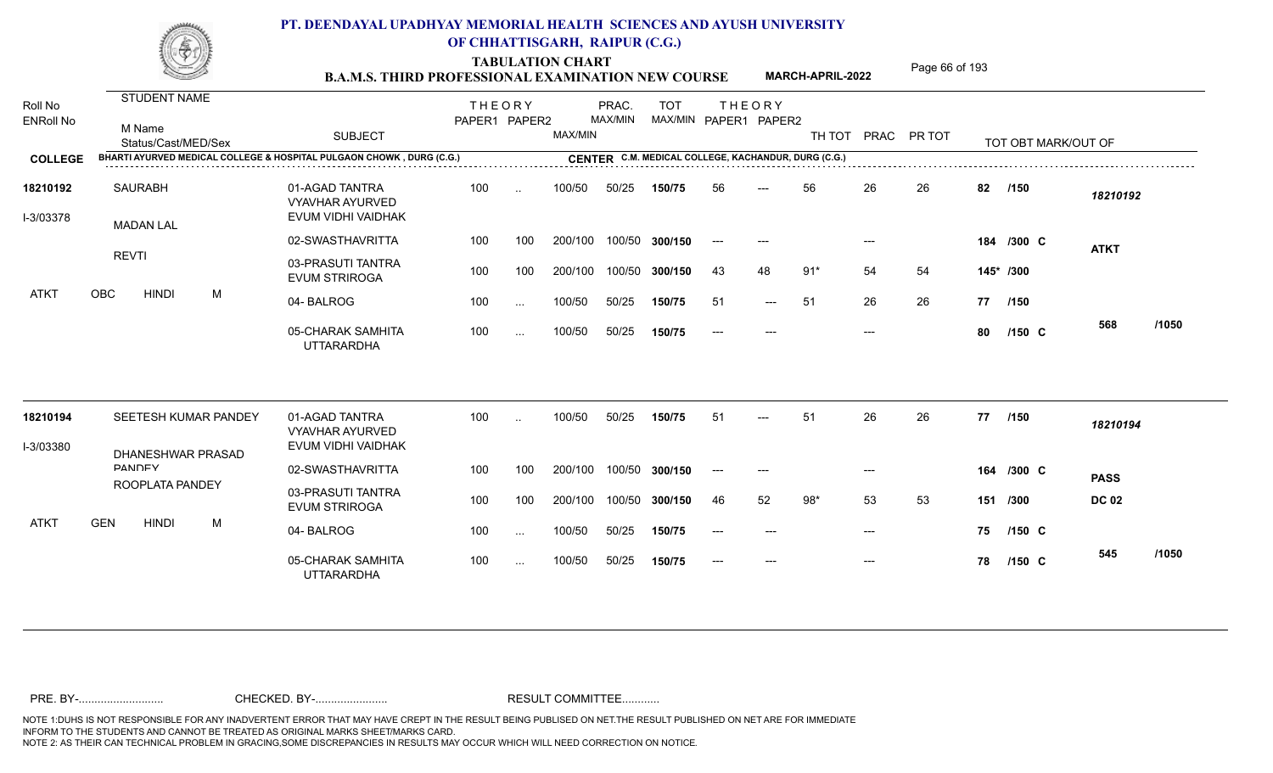TABULATION CHART<br> **TABULATION CHART EXAMINATION NEW COURSE MARCH-APRIL-2022** <sup>Page 66 of 193</sup>

**MARCH-APRIL-2022**

| Roll No<br><b>ENRoll No</b> | <b>STUDENT NAME</b><br>M Name                                                               | <b>SUBJECT</b>                                                 | <b>THEORY</b><br>PAPER1 PAPER2 |               | MAX/MIN | PRAC.<br>MAX/MIN | <b>TOT</b> |       | <b>THEORY</b><br>MAX/MIN PAPER1 PAPER2              | TH TOT PRAC PR TOT |       |    |           |                     |              |       |
|-----------------------------|---------------------------------------------------------------------------------------------|----------------------------------------------------------------|--------------------------------|---------------|---------|------------------|------------|-------|-----------------------------------------------------|--------------------|-------|----|-----------|---------------------|--------------|-------|
| <b>COLLEGE</b>              | Status/Cast/MED/Sex<br>BHARTI AYURVED MEDICAL COLLEGE & HOSPITAL PULGAON CHOWK, DURG (C.G.) |                                                                |                                |               |         |                  |            |       | CENTER C.M. MEDICAL COLLEGE, KACHANDUR, DURG (C.G.) |                    |       |    |           | TOT OBT MARK/OUT OF |              |       |
|                             |                                                                                             |                                                                |                                |               |         |                  |            |       |                                                     |                    |       |    |           |                     |              |       |
| 18210192<br>I-3/03378       | <b>SAURABH</b><br><b>MADAN LAL</b>                                                          | 01-AGAD TANTRA<br><b>VYAVHAR AYURVED</b><br>EVUM VIDHI VAIDHAK | 100                            | $\sim$        | 100/50  | 50/25            | 150/75     | 56    | $---$                                               | 56                 | 26    | 26 | 82        | /150                | 18210192     |       |
|                             |                                                                                             | 02-SWASTHAVRITTA                                               | 100                            | 100           | 200/100 | 100/50           | 300/150    | $---$ |                                                     |                    |       |    |           | 184 /300 C          | <b>ATKT</b>  |       |
|                             | <b>REVTI</b>                                                                                | 03-PRASUTI TANTRA<br><b>EVUM STRIROGA</b>                      | 100                            | 100           | 200/100 | 100/50           | 300/150    | 43    | 48                                                  | $91*$              | 54    | 54 | 145* /300 |                     |              |       |
| <b>ATKT</b>                 | M<br><b>OBC</b><br><b>HINDI</b>                                                             | 04-BALROG                                                      | 100                            | $\sim$ .      | 100/50  | 50/25            | 150/75     | 51    | $---$                                               | 51                 | 26    | 26 | 77 /150   |                     |              |       |
|                             |                                                                                             | 05-CHARAK SAMHITA<br><b>UTTARARDHA</b>                         | 100                            | $\cdots$      | 100/50  | 50/25            | 150/75     | $---$ | $---$                                               |                    | $---$ |    | 80        | $/150$ C            | 568          | /1050 |
| 18210194                    | SEETESH KUMAR PANDEY                                                                        | 01-AGAD TANTRA                                                 | 100                            |               | 100/50  | 50/25            | 150/75     | 51    |                                                     | 51                 | 26    | 26 | 77 /150   |                     |              |       |
| I-3/03380                   |                                                                                             | <b>VYAVHAR AYURVED</b><br>EVUM VIDHI VAIDHAK                   |                                |               |         |                  |            |       |                                                     |                    |       |    |           |                     | 18210194     |       |
|                             | DHANESHWAR PRASAD<br><b>DANDEV</b>                                                          | 02-SWASTHAVRITTA                                               | 100                            | 100           | 200/100 | 100/50           | 300/150    | $---$ | $---$                                               |                    | $---$ |    |           | 164 /300 C          | <b>PASS</b>  |       |
|                             | ROOPLATA PANDEY                                                                             | 03-PRASUTI TANTRA<br><b>EVUM STRIROGA</b>                      | 100                            | 100           | 200/100 | 100/50           | 300/150    | 46    | 52                                                  | 98*                | 53    | 53 | 151 /300  |                     | <b>DC 02</b> |       |
| <b>ATKT</b>                 | <b>GEN</b><br><b>HINDI</b><br>M                                                             | 04-BALROG                                                      | 100                            | $\sim$        | 100/50  | 50/25            | 150/75     | $---$ | $---$                                               |                    | $---$ |    | 75        | $/150$ C            |              |       |
|                             |                                                                                             | 05-CHARAK SAMHITA<br><b>UTTARARDHA</b>                         | 100                            | $\sim$ $\sim$ | 100/50  | 50/25            | 150/75     |       | $---$                                               |                    |       |    | 78        | $/150$ C            | 545          | /1050 |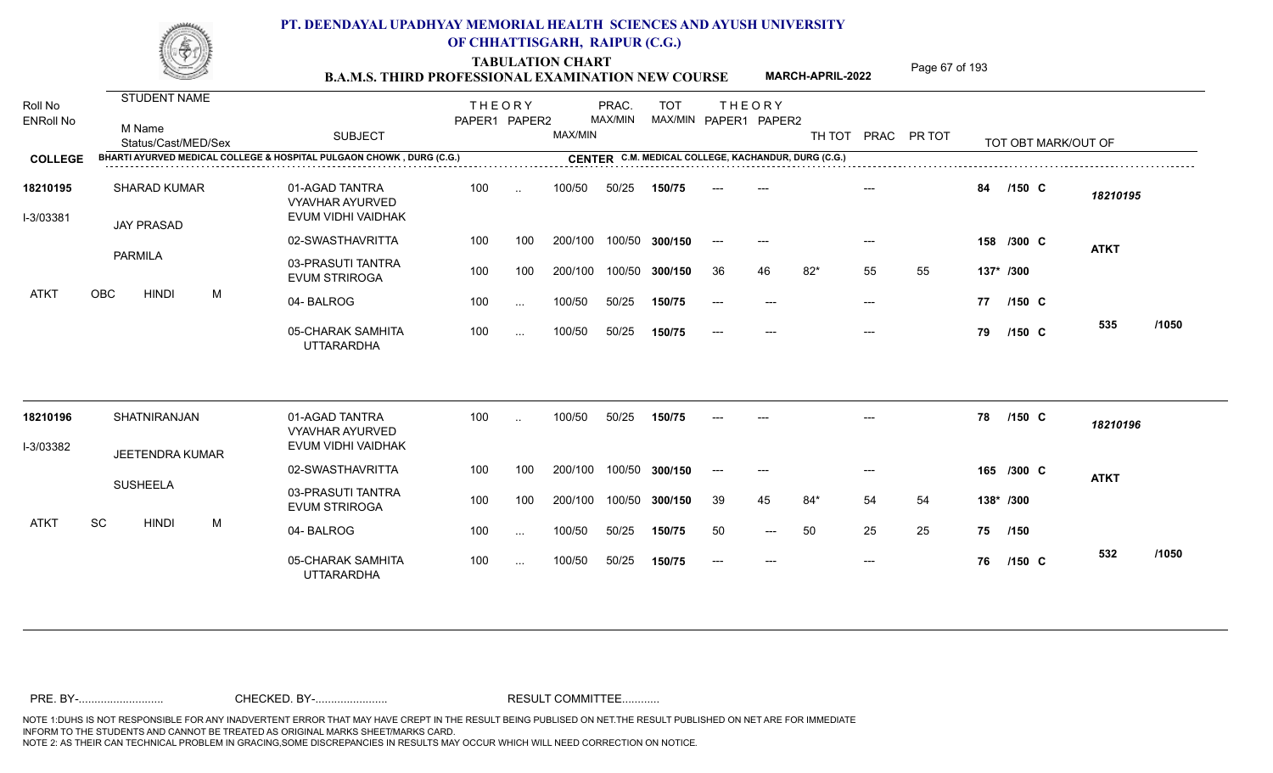TABULATION CHART<br>**B.A.M.S. THIRD PROFESSIONAL EXAMINATION NEW COURSE** MARCH-APRIL-2022 Page 67 of 193

**MARCH-APRIL-2022**

| Roll No<br><b>ENRoll No</b> | STUDENT NAME<br>M Name<br>Status/Cast/MED/Sex                        | <b>SUBJECT</b>                                                 | <b>THEORY</b><br>PAPER1 PAPER2 |           | MAX/MIN | PRAC.<br>MAX/MIN | <b>TOT</b>                                          |       | <b>THEORY</b><br>MAX/MIN PAPER1 PAPER2 |       |       | TH TOT PRAC PR TOT |           | TOT OBT MARK/OUT OF |             |       |
|-----------------------------|----------------------------------------------------------------------|----------------------------------------------------------------|--------------------------------|-----------|---------|------------------|-----------------------------------------------------|-------|----------------------------------------|-------|-------|--------------------|-----------|---------------------|-------------|-------|
| <b>COLLEGE</b>              | BHARTI AYURVED MEDICAL COLLEGE & HOSPITAL PULGAON CHOWK, DURG (C.G.) |                                                                |                                |           |         |                  | CENTER C.M. MEDICAL COLLEGE, KACHANDUR, DURG (C.G.) |       |                                        |       |       |                    |           |                     |             |       |
|                             |                                                                      |                                                                |                                |           |         |                  |                                                     |       |                                        |       |       |                    |           |                     |             |       |
| 18210195<br>I-3/03381       | <b>SHARAD KUMAR</b><br><b>JAY PRASAD</b>                             | 01-AGAD TANTRA<br><b>VYAVHAR AYURVED</b><br>EVUM VIDHI VAIDHAK | 100                            | $\sim$    | 100/50  | 50/25            | 150/75                                              |       |                                        |       |       |                    | 84        | $/150$ C            | 18210195    |       |
|                             |                                                                      | 02-SWASTHAVRITTA                                               | 100                            | 100       | 200/100 |                  | 100/50 300/150                                      | $---$ | $\qquad \qquad -\qquad -$              |       | ---   |                    |           | 158 /300 C          | <b>ATKT</b> |       |
|                             | <b>PARMILA</b>                                                       | 03-PRASUTI TANTRA<br><b>EVUM STRIROGA</b>                      | 100                            | 100       | 200/100 | 100/50           | 300/150                                             | 36    | 46                                     | $82*$ | 55    | 55                 | 137* /300 |                     |             |       |
| ATKT                        | OBC<br><b>HINDI</b><br>M                                             | 04-BALROG                                                      | 100                            | $\ddotsc$ | 100/50  | 50/25            | 150/75                                              | $---$ | $---$                                  |       | $---$ |                    | 77        | $/150$ C            |             |       |
|                             |                                                                      | 05-CHARAK SAMHITA<br><b>UTTARARDHA</b>                         | 100                            | $\ldots$  | 100/50  | 50/25            | 150/75                                              | ----  | $---$                                  |       | $---$ |                    | 79        | $/150$ C            | 535         | /1050 |
| 18210196                    | SHATNIRANJAN                                                         | 01-AGAD TANTRA<br><b>VYAVHAR AYURVED</b>                       | 100                            |           | 100/50  | 50/25            | 150/75                                              |       |                                        |       |       |                    | 78        | $/150$ C            | 18210196    |       |
| I-3/03382                   | <b>JEETENDRA KUMAR</b>                                               | EVUM VIDHI VAIDHAK                                             |                                |           |         |                  |                                                     |       |                                        |       |       |                    |           |                     |             |       |
|                             |                                                                      | 02-SWASTHAVRITTA                                               | 100                            | 100       | 200/100 |                  | 100/50 300/150                                      | $---$ | $---$                                  |       | ---   |                    |           | 165 /300 C          | <b>ATKT</b> |       |
|                             | <b>SUSHEELA</b>                                                      | 03-PRASUTI TANTRA<br><b>EVUM STRIROGA</b>                      | 100                            | 100       | 200/100 | 100/50           | 300/150                                             | 39    | 45                                     | 84*   | 54    | 54                 | 138* /300 |                     |             |       |
| ATKT                        | SC<br><b>HINDI</b><br>М                                              | 04-BALROG                                                      | 100                            | $\cdots$  | 100/50  | 50/25            | 150/75                                              | 50    | $---$                                  | 50    | 25    | 25                 | 75        | /150                |             |       |
|                             |                                                                      | 05-CHARAK SAMHITA<br><b>UTTARARDHA</b>                         | 100                            | $\sim$    | 100/50  | 50/25            | 150/75                                              | $ -$  | $---$                                  |       | $---$ |                    | 76        | $/150$ C            | 532         | /1050 |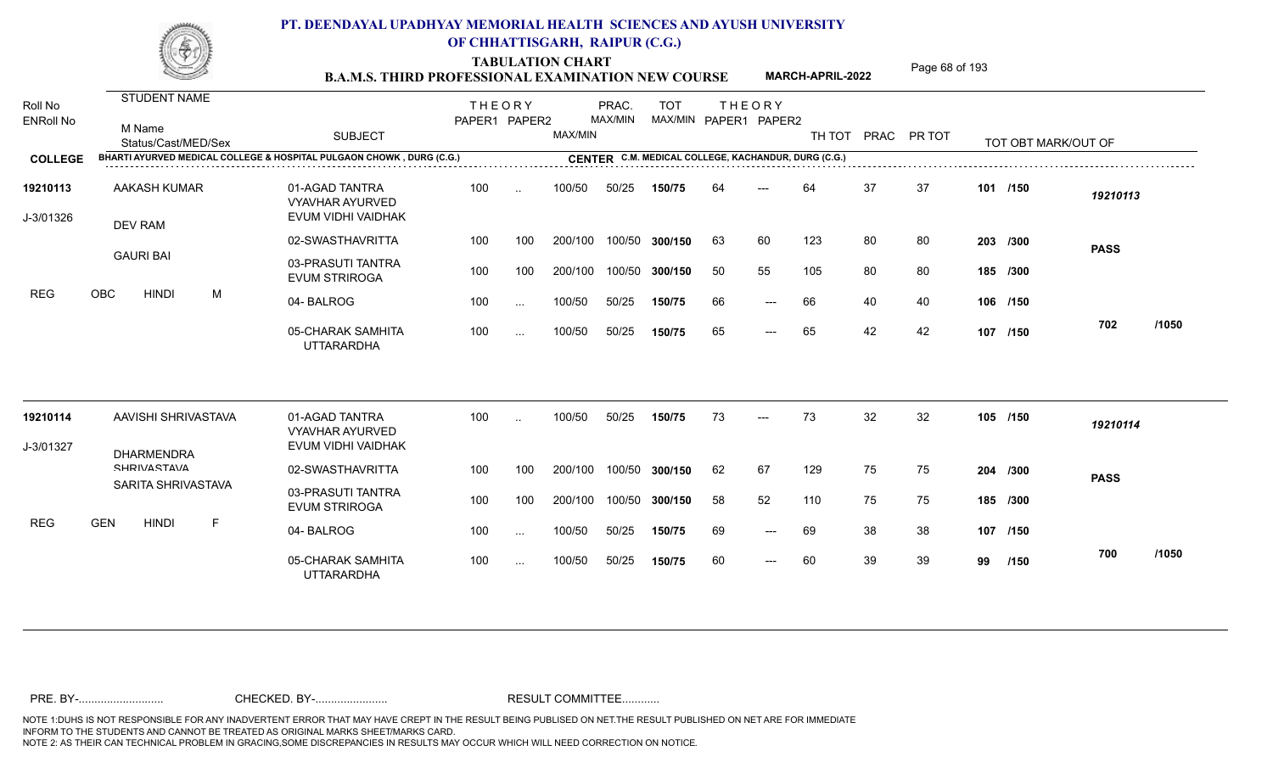**TABULATION CHART<br>B.A.M.S. THIRD PROFESSIONAL EXAMINATION NEW COURSE** MARCH-APRIL-2022 Page 68 of 193

**MARCH-APRIL-2022**

| Roll No               | <b>STUDENT NAME</b>                                                  |                                                                | <b>THEORY</b> |           |         | PRAC.   | <b>TOT</b>     |    | <b>THEORY</b>                                       |        |    |             |    |                     |             |       |
|-----------------------|----------------------------------------------------------------------|----------------------------------------------------------------|---------------|-----------|---------|---------|----------------|----|-----------------------------------------------------|--------|----|-------------|----|---------------------|-------------|-------|
| <b>ENRoll No</b>      | M Name<br>Status/Cast/MED/Sex                                        | <b>SUBJECT</b>                                                 | PAPER1 PAPER2 |           | MAX/MIN | MAX/MIN |                |    | MAX/MIN PAPER1 PAPER2                               | TH TOT |    | PRAC PR TOT |    | TOT OBT MARK/OUT OF |             |       |
| <b>COLLEGE</b>        | BHARTI AYURVED MEDICAL COLLEGE & HOSPITAL PULGAON CHOWK, DURG (C.G.) |                                                                |               |           |         |         |                |    | CENTER C.M. MEDICAL COLLEGE, KACHANDUR, DURG (C.G.) |        |    |             |    |                     |             |       |
| 19210113<br>J-3/01326 | <b>AAKASH KUMAR</b><br>DEV RAM                                       | 01-AGAD TANTRA<br><b>VYAVHAR AYURVED</b><br>EVUM VIDHI VAIDHAK | 100           | $\ddotsc$ | 100/50  | 50/25   | 150/75         | 64 | ---                                                 | 64     | 37 | 37          |    | 101 /150            | 19210113    |       |
|                       |                                                                      | 02-SWASTHAVRITTA                                               | 100           | 100       | 200/100 |         | 100/50 300/150 | 63 | 60                                                  | 123    | 80 | 80          |    | 203 /300            | <b>PASS</b> |       |
|                       | <b>GAURI BAI</b>                                                     | 03-PRASUTI TANTRA<br><b>EVUM STRIROGA</b>                      | 100           | 100       | 200/100 | 100/50  | 300/150        | 50 | 55                                                  | 105    | 80 | 80          |    | 185 /300            |             |       |
| <b>REG</b>            | <b>OBC</b><br><b>HINDI</b><br>M                                      | 04-BALROG                                                      | 100           | $\cdots$  | 100/50  | 50/25   | 150/75         | 66 | $---$                                               | 66     | 40 | 40          |    | 106 /150            |             |       |
|                       |                                                                      | 05-CHARAK SAMHITA<br><b>UTTARARDHA</b>                         | 100           | $\sim$ .  | 100/50  | 50/25   | 150/75         | 65 | $\qquad \qquad - -$                                 | 65     | 42 | 42          |    | 107 /150            | 702         | /1050 |
| 19210114              | AAVISHI SHRIVASTAVA                                                  | 01-AGAD TANTRA                                                 | 100           | $\ddotsc$ | 100/50  | 50/25   | 150/75         | 73 | $---$                                               | 73     | 32 | 32          |    | 105 /150            | 19210114    |       |
| J-3/01327             |                                                                      | <b>VYAVHAR AYURVED</b><br>EVUM VIDHI VAIDHAK                   |               |           |         |         |                |    |                                                     |        |    |             |    |                     |             |       |
|                       | <b>DHARMENDRA</b><br><b>CHRIVACTAVA</b>                              | 02-SWASTHAVRITTA                                               | 100           | 100       | 200/100 |         | 100/50 300/150 | 62 | 67                                                  | 129    | 75 | 75          |    | 204 /300            | <b>PASS</b> |       |
|                       | SARITA SHRIVASTAVA                                                   | 03-PRASUTI TANTRA<br><b>EVUM STRIROGA</b>                      | 100           | 100       | 200/100 |         | 100/50 300/150 | 58 | 52                                                  | 110    | 75 | 75          |    | 185 /300            |             |       |
| <b>REG</b>            | <b>GEN</b><br><b>HINDI</b><br>E                                      | 04-BALROG                                                      | 100           | $\cdots$  | 100/50  | 50/25   | 150/75         | 69 | $---$                                               | 69     | 38 | 38          |    | 107 /150            |             |       |
|                       |                                                                      | 05-CHARAK SAMHITA<br><b>UTTARARDHA</b>                         | 100           | $\cdots$  | 100/50  | 50/25   | 150/75         | 60 | $\qquad \qquad - -$                                 | 60     | 39 | 39          | 99 | /150                | 700         | /1050 |
|                       |                                                                      |                                                                |               |           |         |         |                |    |                                                     |        |    |             |    |                     |             |       |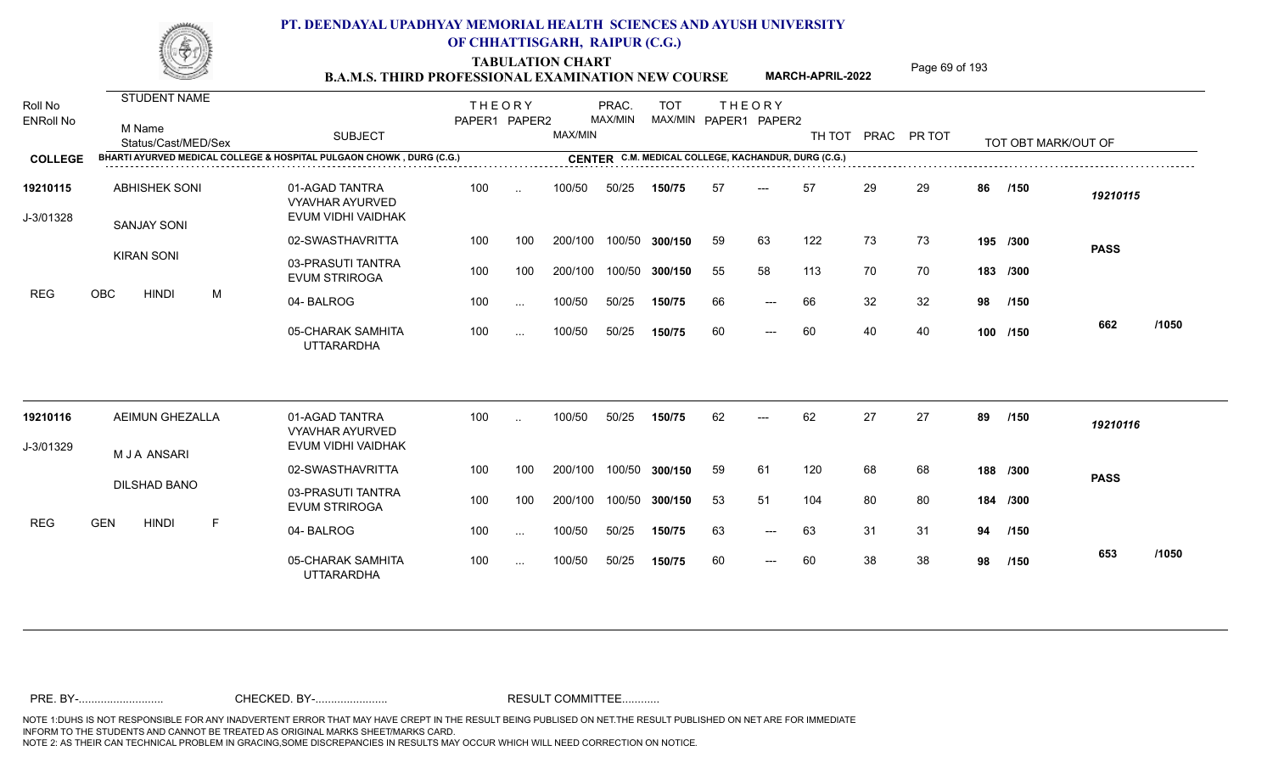TABULATION CHART<br> **TABULATION CHART B.A.M.S. THIRD PROFESSIONAL EXAMINATION NEW COURSE** MARCH-APRIL-2022

**MARCH-APRIL-2022**

| Roll No<br><b>ENRoll No</b> | STUDENT NAME<br>M Name<br>Status/Cast/MED/Sex                        | <b>SUBJECT</b>                                                 | <b>THEORY</b><br>PAPER1 PAPER2 |               | MAX/MIN | PRAC.<br>MAX/MIN | <b>TOT</b><br>MAX/MIN PAPER1 PAPER2                 |    | <b>THEORY</b> | TH TOT |    | PRAC PR TOT |    | TOT OBT MARK/OUT OF |             |       |
|-----------------------------|----------------------------------------------------------------------|----------------------------------------------------------------|--------------------------------|---------------|---------|------------------|-----------------------------------------------------|----|---------------|--------|----|-------------|----|---------------------|-------------|-------|
| <b>COLLEGE</b>              | BHARTI AYURVED MEDICAL COLLEGE & HOSPITAL PULGAON CHOWK, DURG (C.G.) |                                                                |                                |               |         |                  | CENTER C.M. MEDICAL COLLEGE, KACHANDUR, DURG (C.G.) |    |               |        |    |             |    |                     |             |       |
| 19210115<br>J-3/01328       | <b>ABHISHEK SONI</b><br><b>SANJAY SONI</b>                           | 01-AGAD TANTRA<br><b>VYAVHAR AYURVED</b><br>EVUM VIDHI VAIDHAK | 100                            | $\ddotsc$     | 100/50  | 50/25            | 150/75                                              | 57 | $---$         | 57     | 29 | 29          | 86 | /150                | 19210115    |       |
|                             |                                                                      | 02-SWASTHAVRITTA                                               | 100                            | 100           | 200/100 |                  | 100/50 300/150                                      | 59 | 63            | 122    | 73 | 73          |    | 195 /300            | <b>PASS</b> |       |
|                             | <b>KIRAN SONI</b>                                                    | 03-PRASUTI TANTRA<br><b>EVUM STRIROGA</b>                      | 100                            | 100           | 200/100 |                  | 100/50 300/150                                      | 55 | 58            | 113    | 70 | 70          |    | 183 /300            |             |       |
| <b>REG</b>                  | OBC<br><b>HINDI</b><br>M                                             | 04-BALROG                                                      | 100                            | $\cdots$      | 100/50  | 50/25            | 150/75                                              | 66 | ---           | 66     | 32 | 32          | 98 | /150                |             |       |
|                             |                                                                      | 05-CHARAK SAMHITA<br><b>UTTARARDHA</b>                         | 100                            | $\cdots$      | 100/50  | 50/25            | 150/75                                              | 60 | $---$         | 60     | 40 | 40          |    | 100 /150            | 662         | /1050 |
| 19210116                    | <b>AEIMUN GHEZALLA</b>                                               | 01-AGAD TANTRA<br><b>VYAVHAR AYURVED</b>                       | 100                            | $\ddotsc$     | 100/50  | 50/25            | 150/75                                              | 62 |               | 62     | 27 | 27          | 89 | /150                | 19210116    |       |
| J-3/01329                   | M J A ANSARI                                                         | EVUM VIDHI VAIDHAK                                             |                                |               |         |                  |                                                     |    |               |        |    |             |    |                     |             |       |
|                             |                                                                      | 02-SWASTHAVRITTA                                               | 100                            | 100           | 200/100 |                  | 100/50 300/150                                      | 59 | 61            | 120    | 68 | 68          |    | 188 /300            | <b>PASS</b> |       |
|                             | <b>DILSHAD BANO</b>                                                  | 03-PRASUTI TANTRA<br><b>EVUM STRIROGA</b>                      | 100                            | 100           | 200/100 |                  | 100/50 300/150                                      | 53 | 51            | 104    | 80 | 80          |    | 184 /300            |             |       |
| <b>REG</b>                  | <b>GEN</b><br><b>HINDI</b><br>F                                      | 04-BALROG                                                      | 100                            | $\sim$        | 100/50  | 50/25            | 150/75                                              | 63 | $---$         | 63     | 31 | 31          | 94 | /150                |             |       |
|                             |                                                                      | 05-CHARAK SAMHITA<br><b>UTTARARDHA</b>                         | 100                            | $\sim$ $\sim$ | 100/50  | 50/25            | 150/75                                              | 60 | $---$         | 60     | 38 | 38          | 98 | /150                | 653         | /1050 |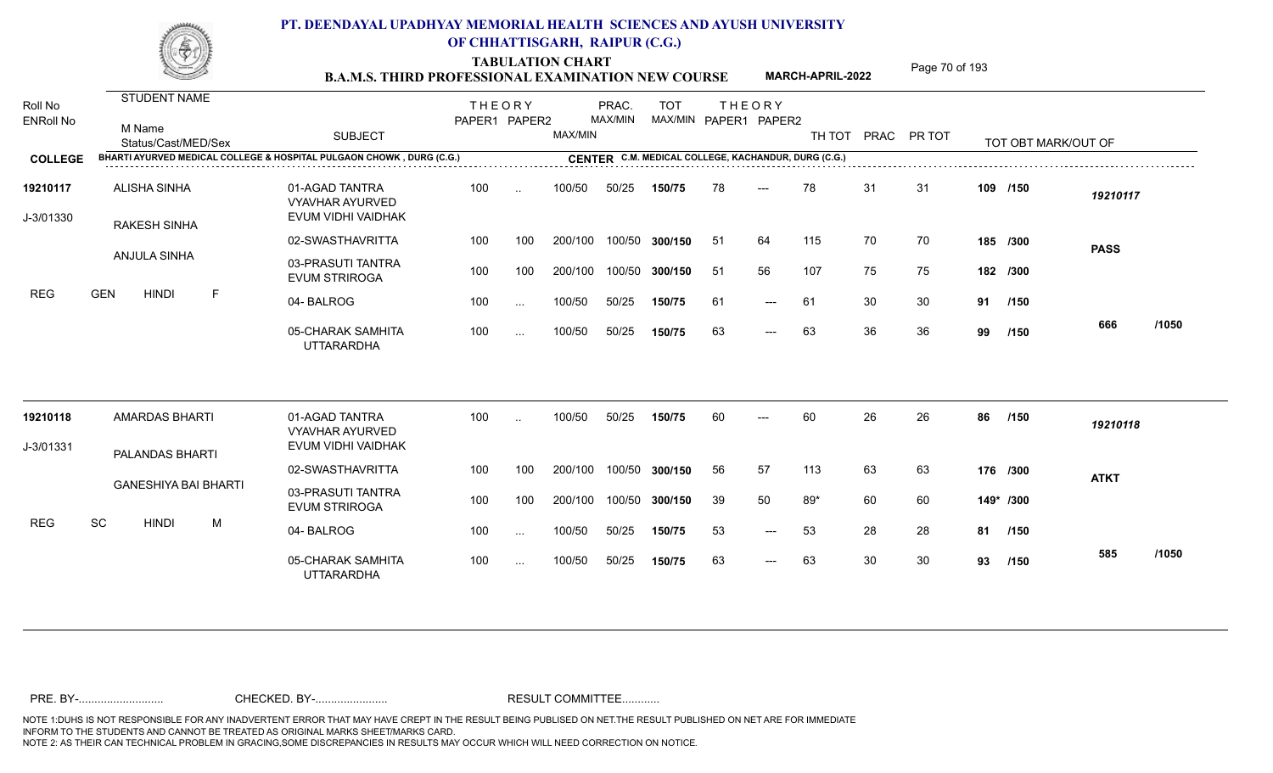TABULATION CHART<br>**B.A.M.S. THIRD PROFESSIONAL EXAMINATION NEW COURSE** MARCH-APRIL-2022 Page 70 of 193

**MARCH-APRIL-2022**

| Roll No<br><b>ENRoll No</b> | STUDENT NAME<br>M Name<br>Status/Cast/MED/Sex                        | <b>SUBJECT</b>                                                 | <b>THEORY</b><br>PAPER1 PAPER2 |          | MAX/MIN | PRAC.<br>MAX/MIN | <b>TOT</b>     |     | <b>THEORY</b><br>MAX/MIN PAPER1 PAPER2              | TH TOT PRAC PR TOT |    |    |           | TOT OBT MARK/OUT OF |             |       |
|-----------------------------|----------------------------------------------------------------------|----------------------------------------------------------------|--------------------------------|----------|---------|------------------|----------------|-----|-----------------------------------------------------|--------------------|----|----|-----------|---------------------|-------------|-------|
| <b>COLLEGE</b>              | BHARTI AYURVED MEDICAL COLLEGE & HOSPITAL PULGAON CHOWK, DURG (C.G.) |                                                                |                                |          |         |                  |                |     | CENTER C.M. MEDICAL COLLEGE, KACHANDUR, DURG (C.G.) |                    |    |    |           |                     |             |       |
| 19210117<br>J-3/01330       | <b>ALISHA SINHA</b><br><b>RAKESH SINHA</b>                           | 01-AGAD TANTRA<br><b>VYAVHAR AYURVED</b><br>EVUM VIDHI VAIDHAK | 100                            |          | 100/50  | 50/25            | 150/75         | 78  | ---                                                 | 78                 | 31 | 31 |           | 109 /150            | 19210117    |       |
|                             |                                                                      | 02-SWASTHAVRITTA                                               | 100                            | 100      | 200/100 |                  | 100/50 300/150 | -51 | 64                                                  | 115                | 70 | 70 |           | 185 /300            | <b>PASS</b> |       |
|                             | ANJULA SINHA                                                         | 03-PRASUTI TANTRA<br><b>EVUM STRIROGA</b>                      | 100                            | 100      | 200/100 |                  | 100/50 300/150 | -51 | 56                                                  | 107                | 75 | 75 |           | 182 /300            |             |       |
| REG                         | <b>GEN</b><br><b>HINDI</b><br>F                                      | 04-BALROG                                                      | 100                            | $\cdots$ | 100/50  | 50/25            | 150/75         | 61  | $---$                                               | 61                 | 30 | 30 | 91 /150   |                     |             |       |
|                             |                                                                      | 05-CHARAK SAMHITA<br><b>UTTARARDHA</b>                         | 100                            | $\cdots$ | 100/50  | 50/25            | 150/75         | 63  | $---$                                               | 63                 | 36 | 36 | 99        | /150                | 666         | /1050 |
| 19210118                    | <b>AMARDAS BHARTI</b>                                                | 01-AGAD TANTRA<br><b>VYAVHAR AYURVED</b>                       | 100                            | $\sim$   | 100/50  | 50/25            | 150/75         | 60  | $---$                                               | 60                 | 26 | 26 | 86        | /150                | 19210118    |       |
| J-3/01331                   | PALANDAS BHARTI                                                      | EVUM VIDHI VAIDHAK                                             |                                |          |         |                  |                |     |                                                     |                    |    |    |           |                     |             |       |
|                             |                                                                      | 02-SWASTHAVRITTA                                               | 100                            | 100      | 200/100 |                  | 100/50 300/150 | 56  | 57                                                  | 113                | 63 | 63 |           | 176 /300            | <b>ATKT</b> |       |
|                             | <b>GANESHIYA BAI BHARTI</b>                                          | 03-PRASUTI TANTRA<br><b>EVUM STRIROGA</b>                      | 100                            | 100      | 200/100 |                  | 100/50 300/150 | 39  | 50                                                  | $89*$              | 60 | 60 | 149* /300 |                     |             |       |
| <b>REG</b>                  | SC<br><b>HINDI</b><br>M                                              | 04-BALROG                                                      | 100                            | $\cdots$ | 100/50  | 50/25            | 150/75         | 53  | $---$                                               | 53                 | 28 | 28 | 81        | /150                |             |       |
|                             |                                                                      | 05-CHARAK SAMHITA<br><b>UTTARARDHA</b>                         | 100                            | $\sim$   | 100/50  | 50/25            | 150/75         | 63  | $\qquad \qquad - -$                                 | 63                 | 30 | 30 | 93        | /150                | 585         | /1050 |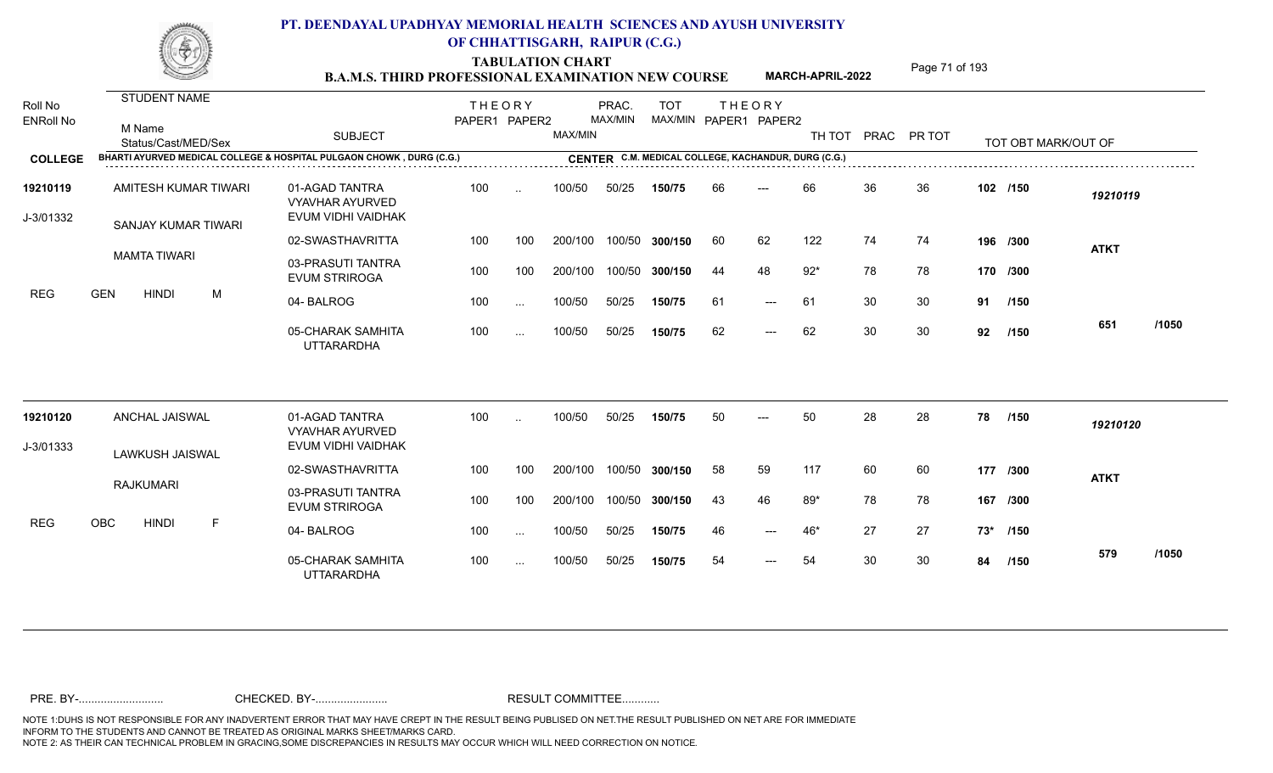**TABULATION CHART<br>B.A.M.S. THIRD PROFESSIONAL EXAMINATION NEW COURSE** MARCH-APRIL-2022 <sup>Page 71</sup> of 193

**MARCH-APRIL-2022**

|                       |                  |                                                    |   | <u>Bu mund i hinwe i noi bddi oi und bun mun uni iol che u</u>       |               |           |         |         |                                                     |    |                       |       |    |                    |     |                     |             |       |
|-----------------------|------------------|----------------------------------------------------|---|----------------------------------------------------------------------|---------------|-----------|---------|---------|-----------------------------------------------------|----|-----------------------|-------|----|--------------------|-----|---------------------|-------------|-------|
| Roll No               |                  | <b>STUDENT NAME</b>                                |   |                                                                      | <b>THEORY</b> |           |         | PRAC.   | <b>TOT</b>                                          |    | <b>THEORY</b>         |       |    |                    |     |                     |             |       |
| <b>ENRoll No</b>      | M Name           | Status/Cast/MED/Sex                                |   | <b>SUBJECT</b>                                                       | PAPER1 PAPER2 |           | MAX/MIN | MAX/MIN |                                                     |    | MAX/MIN PAPER1 PAPER2 |       |    | TH TOT PRAC PR TOT |     | TOT OBT MARK/OUT OF |             |       |
| <b>COLLEGE</b>        |                  |                                                    |   | BHARTI AYURVED MEDICAL COLLEGE & HOSPITAL PULGAON CHOWK, DURG (C.G.) |               |           |         |         | CENTER C.M. MEDICAL COLLEGE, KACHANDUR, DURG (C.G.) |    |                       |       |    |                    |     |                     |             |       |
| 19210119<br>J-3/01332 |                  | <b>AMITESH KUMAR TIWARI</b><br>SANJAY KUMAR TIWARI |   | 01-AGAD TANTRA<br><b>VYAVHAR AYURVED</b><br>EVUM VIDHI VAIDHAK       | 100           | $\ddotsc$ | 100/50  | 50/25   | 150/75                                              | 66 | $---$                 | 66    | 36 | 36                 |     | 102 /150            | 19210119    |       |
|                       |                  |                                                    |   | 02-SWASTHAVRITTA                                                     | 100           | 100       | 200/100 |         | 100/50 300/150                                      | 60 | 62                    | 122   | 74 | 74                 |     | 196 /300            | <b>ATKT</b> |       |
|                       |                  | <b>MAMTA TIWARI</b>                                |   | 03-PRASUTI TANTRA<br><b>EVUM STRIROGA</b>                            | 100           | 100       | 200/100 |         | 100/50 300/150                                      | 44 | 48                    | $92*$ | 78 | 78                 |     | 170 /300            |             |       |
| REG                   | <b>GEN</b>       | <b>HINDI</b>                                       | M | 04-BALROG                                                            | 100           | $\ddotsc$ | 100/50  | 50/25   | 150/75                                              | 61 | $---$                 | 61    | 30 | 30                 | 91  | /150                |             |       |
|                       |                  |                                                    |   | 05-CHARAK SAMHITA<br><b>UTTARARDHA</b>                               | 100           | $\cdots$  | 100/50  | 50/25   | 150/75                                              | 62 | $---$                 | 62    | 30 | 30                 | 92  | /150                | 651         | /1050 |
| 19210120              |                  | ANCHAL JAISWAL                                     |   | 01-AGAD TANTRA<br><b>VYAVHAR AYURVED</b>                             | 100           |           | 100/50  | 50/25   | 150/75                                              | 50 |                       | 50    | 28 | 28                 | 78  | /150                | 19210120    |       |
| J-3/01333             |                  |                                                    |   | EVUM VIDHI VAIDHAK                                                   |               |           |         |         |                                                     |    |                       |       |    |                    |     |                     |             |       |
|                       |                  | LAWKUSH JAISWAL                                    |   | 02-SWASTHAVRITTA                                                     | 100           | 100       | 200/100 |         | 100/50 300/150                                      | 58 | 59                    | 117   | 60 | 60                 |     | 177 /300            | <b>ATKT</b> |       |
|                       | <b>RAJKUMARI</b> |                                                    |   | 03-PRASUTI TANTRA<br><b>EVUM STRIROGA</b>                            | 100           | 100       | 200/100 |         | 100/50 300/150                                      | 43 | 46                    | $89*$ | 78 | 78                 |     | 167 /300            |             |       |
| REG                   | OBC              | <b>HINDI</b>                                       | F | 04-BALROG                                                            | 100           | $\cdots$  | 100/50  | 50/25   | 150/75                                              | 46 | $---$                 | 46*   | 27 | 27                 | 73* | /150                |             |       |
|                       |                  |                                                    |   | 05-CHARAK SAMHITA<br><b>UTTARARDHA</b>                               | 100           | $\cdots$  | 100/50  | 50/25   | 150/75                                              | 54 | $---$                 | 54    | 30 | 30                 | 84  | /150                | 579         | /1050 |
|                       |                  |                                                    |   |                                                                      |               |           |         |         |                                                     |    |                       |       |    |                    |     |                     |             |       |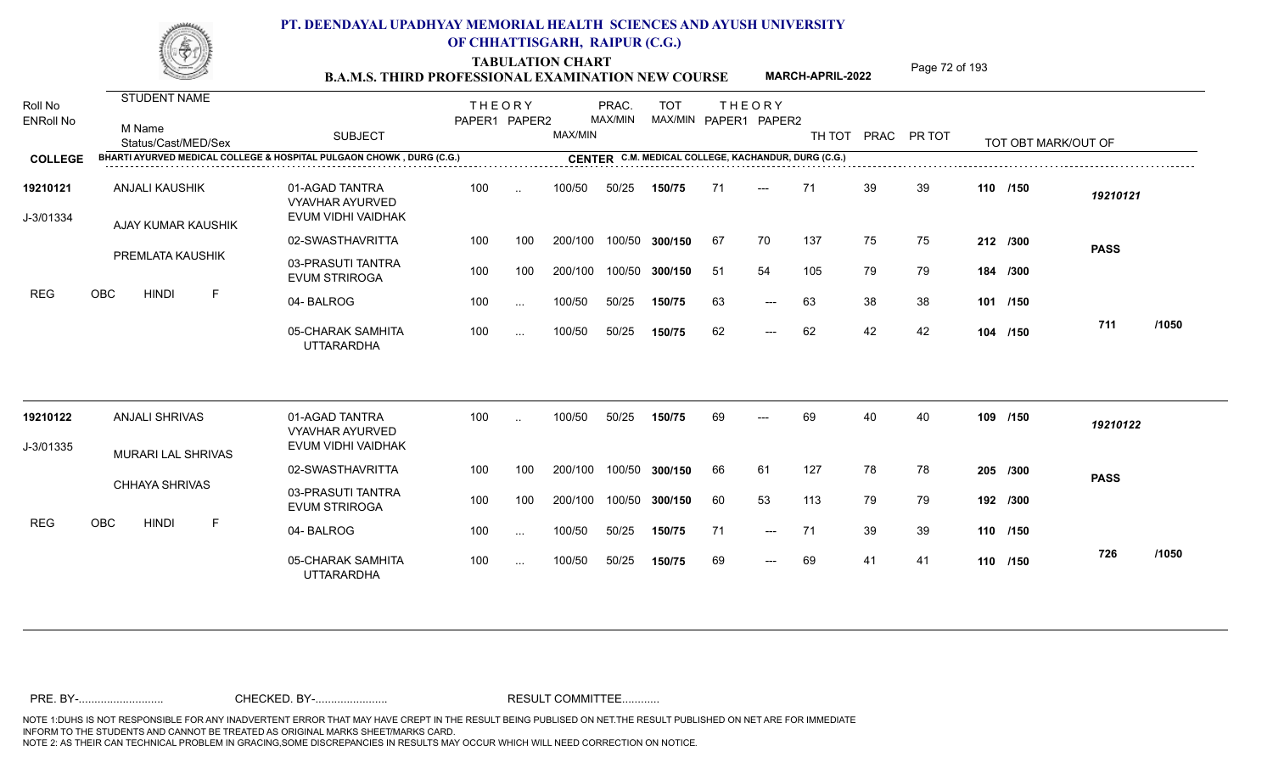TABULATION CHART<br>**B.A.M.S. THIRD PROFESSIONAL EXAMINATION NEW COURSE** MARCH-APRIL-2022 Page 72 of 193

**MARCH-APRIL-2022**

| Roll No<br><b>ENRoll No</b> | STUDENT NAME<br>M Name<br>Status/Cast/MED/Sex                        | <b>SUBJECT</b>                                                 | <b>THEORY</b><br>PAPER1 PAPER2 |               | MAX/MIN | PRAC.<br>MAX/MIN | <b>TOT</b><br>MAX/MIN PAPER1 PAPER2                 |    | <b>THEORY</b>       |     |    | TH TOT PRAC PR TOT | TOT OBT MARK/OUT OF |             |       |
|-----------------------------|----------------------------------------------------------------------|----------------------------------------------------------------|--------------------------------|---------------|---------|------------------|-----------------------------------------------------|----|---------------------|-----|----|--------------------|---------------------|-------------|-------|
| <b>COLLEGE</b>              | BHARTI AYURVED MEDICAL COLLEGE & HOSPITAL PULGAON CHOWK, DURG (C.G.) |                                                                |                                |               |         |                  | CENTER C.M. MEDICAL COLLEGE, KACHANDUR, DURG (C.G.) |    |                     |     |    |                    |                     |             |       |
| 19210121<br>J-3/01334       | <b>ANJALI KAUSHIK</b><br>AJAY KUMAR KAUSHIK                          | 01-AGAD TANTRA<br><b>VYAVHAR AYURVED</b><br>EVUM VIDHI VAIDHAK | 100                            | $\ddotsc$     | 100/50  | 50/25            | 150/75                                              | 71 | $---$               | 71  | 39 | 39                 | 110 /150            | 19210121    |       |
|                             |                                                                      | 02-SWASTHAVRITTA                                               | 100                            | 100           | 200/100 |                  | 100/50 300/150                                      | 67 | 70                  | 137 | 75 | 75                 | 212 /300            |             |       |
|                             | PREMLATA KAUSHIK                                                     | 03-PRASUTI TANTRA<br><b>EVUM STRIROGA</b>                      | 100                            | 100           | 200/100 |                  | 100/50 300/150                                      | 51 | 54                  | 105 | 79 | 79                 | 184 /300            | <b>PASS</b> |       |
| <b>REG</b>                  | <b>OBC</b><br><b>HINDI</b><br>-F                                     | 04-BALROG                                                      | 100                            | $\sim$ $\sim$ | 100/50  | 50/25            | 150/75                                              | 63 | $\qquad \qquad - -$ | 63  | 38 | 38                 | 101 /150            |             |       |
|                             |                                                                      | 05-CHARAK SAMHITA<br><b>UTTARARDHA</b>                         | 100                            | $\cdots$      | 100/50  | 50/25            | 150/75                                              | 62 | $---$               | 62  | 42 | 42                 | 104 /150            | 711         | /1050 |
| 19210122                    | <b>ANJALI SHRIVAS</b>                                                | 01-AGAD TANTRA<br><b>VYAVHAR AYURVED</b>                       | 100                            |               | 100/50  | 50/25            | 150/75                                              | 69 |                     | 69  | 40 | 40                 | 109 /150            | 19210122    |       |
| J-3/01335                   | <b>MURARI LAL SHRIVAS</b>                                            | EVUM VIDHI VAIDHAK                                             |                                |               |         |                  |                                                     |    |                     |     |    |                    |                     |             |       |
|                             |                                                                      | 02-SWASTHAVRITTA                                               | 100                            | 100           | 200/100 |                  | 100/50 300/150                                      | 66 | 61                  | 127 | 78 | 78                 | 205 /300            | <b>PASS</b> |       |
|                             | CHHAYA SHRIVAS                                                       | 03-PRASUTI TANTRA<br><b>EVUM STRIROGA</b>                      | 100                            | 100           | 200/100 |                  | 100/50 300/150                                      | 60 | 53                  | 113 | 79 | 79                 | 192 /300            |             |       |
| <b>REG</b>                  | OBC<br><b>HINDI</b><br>F                                             | 04-BALROG                                                      | 100                            | $\ddotsc$     | 100/50  | 50/25            | 150/75                                              | 71 | $\qquad \qquad - -$ | 71  | 39 | 39                 | 110 /150            |             |       |
|                             |                                                                      | 05-CHARAK SAMHITA<br><b>UTTARARDHA</b>                         | 100                            | $\sim$        | 100/50  | 50/25            | 150/75                                              | 69 | $---$               | 69  | 41 | 41                 | 110 /150            | 726         | /1050 |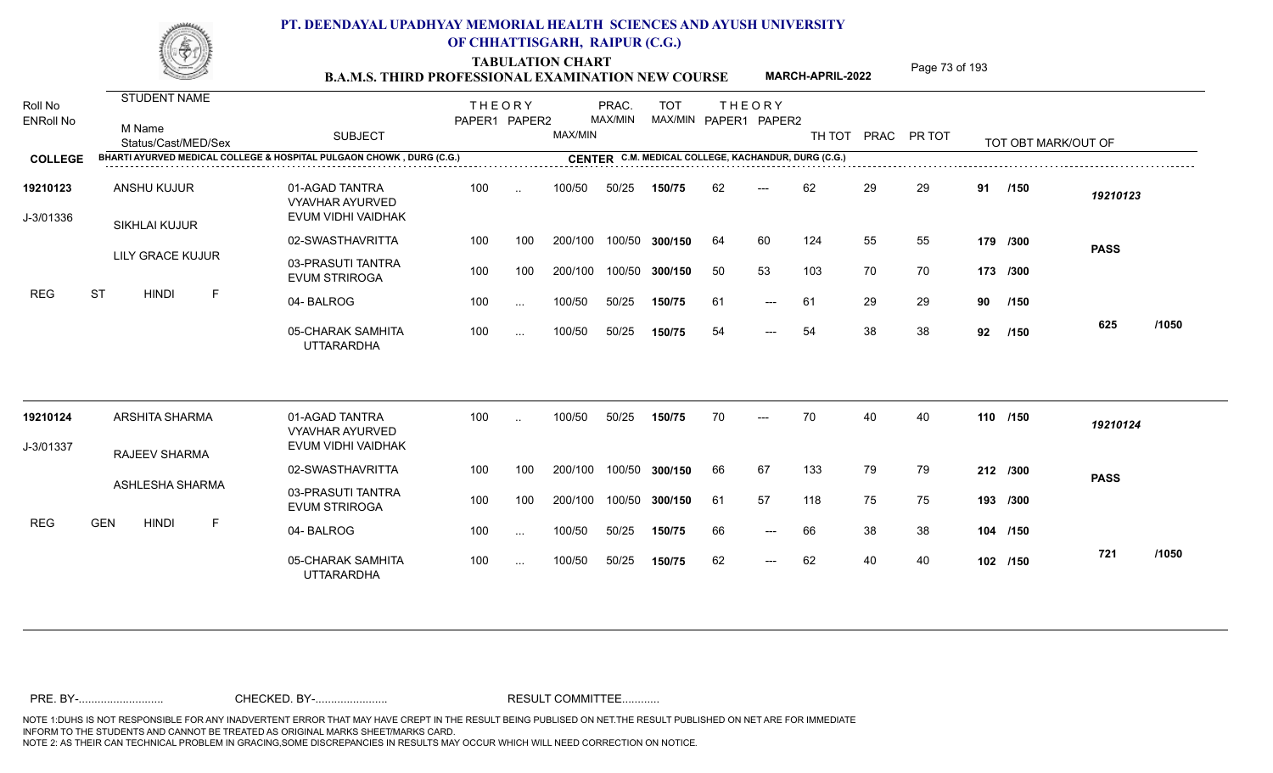TABULATION CHART<br> **TABULATION CHART** PAGE MARCH-APRIL-2022 Page 73 of 193

**MARCH-APRIL-2022**

| Roll No<br><b>ENRoll No</b> | <b>STUDENT NAME</b><br>M Name<br>Status/Cast/MED/Sex                 | <b>SUBJECT</b>                                                 | <b>THEORY</b><br>PAPER1 PAPER2 |           | MAX/MIN | PRAC.<br>MAX/MIN | <b>TOT</b><br>MAX/MIN PAPER1 PAPER2                 |     | <b>THEORY</b> | TH TOT | PRAC | PR TOT |    | TOT OBT MARK/OUT OF |             |       |
|-----------------------------|----------------------------------------------------------------------|----------------------------------------------------------------|--------------------------------|-----------|---------|------------------|-----------------------------------------------------|-----|---------------|--------|------|--------|----|---------------------|-------------|-------|
| <b>COLLEGE</b>              | BHARTI AYURVED MEDICAL COLLEGE & HOSPITAL PULGAON CHOWK, DURG (C.G.) |                                                                |                                |           |         |                  | CENTER C.M. MEDICAL COLLEGE, KACHANDUR, DURG (C.G.) |     |               |        |      |        |    |                     |             |       |
| 19210123<br>J-3/01336       | <b>ANSHU KUJUR</b><br>SIKHLAI KUJUR                                  | 01-AGAD TANTRA<br><b>VYAVHAR AYURVED</b><br>EVUM VIDHI VAIDHAK | 100                            | $\ddotsc$ | 100/50  | 50/25            | 150/75                                              | 62  | $---$         | 62     | 29   | 29     | 91 | /150                | 19210123    |       |
|                             |                                                                      | 02-SWASTHAVRITTA                                               | 100                            | 100       | 200/100 |                  | 100/50 300/150                                      | 64  | 60            | 124    | 55   | 55     |    | 179 /300            |             |       |
|                             | LILY GRACE KUJUR                                                     | 03-PRASUTI TANTRA<br><b>EVUM STRIROGA</b>                      | 100                            | 100       | 200/100 | 100/50           | 300/150                                             | -50 | 53            | 103    | 70   | 70     |    | 173 /300            | <b>PASS</b> |       |
| <b>REG</b>                  | <b>ST</b><br><b>HINDI</b><br>F                                       | 04-BALROG                                                      | 100                            | $\cdots$  | 100/50  | 50/25            | 150/75                                              | 61  | $---$         | 61     | 29   | 29     | 90 | /150                |             |       |
|                             |                                                                      | 05-CHARAK SAMHITA<br><b>UTTARARDHA</b>                         | 100                            | $\cdots$  | 100/50  | 50/25            | 150/75                                              | 54  | $---$         | 54     | 38   | 38     | 92 | /150                | 625         | /1050 |
| 19210124                    | <b>ARSHITA SHARMA</b>                                                | 01-AGAD TANTRA<br><b>VYAVHAR AYURVED</b>                       | 100                            | $\ddotsc$ | 100/50  | 50/25            | 150/75                                              | 70  | $---$         | 70     | 40   | 40     |    | 110 /150            | 19210124    |       |
| J-3/01337                   | <b>RAJEEV SHARMA</b>                                                 | EVUM VIDHI VAIDHAK                                             |                                |           |         |                  |                                                     |     |               |        |      |        |    |                     |             |       |
|                             |                                                                      | 02-SWASTHAVRITTA                                               | 100                            | 100       | 200/100 | 100/50           | 300/150                                             | 66  | 67            | 133    | 79   | 79     |    | 212 /300            | <b>PASS</b> |       |
|                             | ASHLESHA SHARMA                                                      | 03-PRASUTI TANTRA<br><b>EVUM STRIROGA</b>                      | 100                            | 100       | 200/100 |                  | 100/50 300/150                                      | 61  | 57            | 118    | 75   | 75     |    | 193 /300            |             |       |
| <b>REG</b>                  | <b>GEN</b><br><b>HINDI</b><br>F                                      | 04-BALROG                                                      | 100                            | $\sim$    | 100/50  | 50/25            | 150/75                                              | 66  | $---$         | 66     | 38   | 38     |    | 104 /150            |             |       |
|                             |                                                                      | 05-CHARAK SAMHITA<br><b>UTTARARDHA</b>                         | 100                            | $\ddotsc$ | 100/50  | 50/25            | 150/75                                              | 62  | $---$         | 62     | 40   | 40     |    | 102 /150            | 721         | /1050 |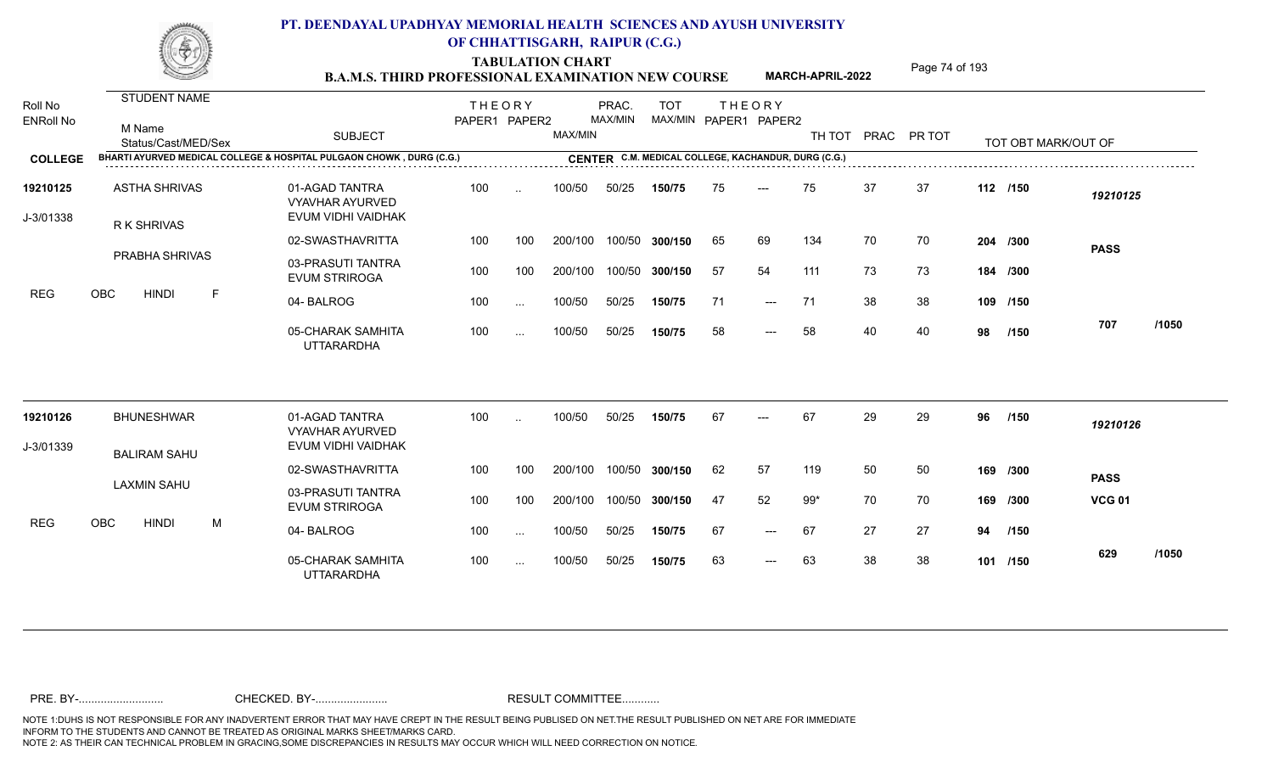TABULATION CHART<br>**B.A.M.S. THIRD PROFESSIONAL EXAMINATION NEW COURSE** MARCH-APRIL-2022 Page 74 of 193

**MARCH-APRIL-2022**

| Roll No<br><b>ENRoll No</b> | <b>STUDENT NAME</b><br>M Name<br>Status/Cast/MED/Sex | <b>SUBJECT</b>                                                       | <b>THEORY</b><br>PAPER1 PAPER2 |           | MAX/MIN | PRAC.<br>MAX/MIN | <b>TOT</b><br>MAX/MIN PAPER1 PAPER2                 |    | <b>THEORY</b> | TH TOT |    | PRAC PR TOT |    | TOT OBT MARK/OUT OF |               |       |
|-----------------------------|------------------------------------------------------|----------------------------------------------------------------------|--------------------------------|-----------|---------|------------------|-----------------------------------------------------|----|---------------|--------|----|-------------|----|---------------------|---------------|-------|
| <b>COLLEGE</b>              |                                                      | BHARTI AYURVED MEDICAL COLLEGE & HOSPITAL PULGAON CHOWK, DURG (C.G.) |                                |           |         |                  | CENTER C.M. MEDICAL COLLEGE, KACHANDUR, DURG (C.G.) |    |               |        |    |             |    |                     |               |       |
| 19210125<br>J-3/01338       | <b>ASTHA SHRIVAS</b><br>R K SHRIVAS                  | 01-AGAD TANTRA<br><b>VYAVHAR AYURVED</b><br>EVUM VIDHI VAIDHAK       | 100                            | $\ddotsc$ | 100/50  | 50/25            | 150/75                                              | 75 | ---           | 75     | 37 | 37          |    | 112 /150            | 19210125      |       |
|                             |                                                      | 02-SWASTHAVRITTA                                                     | 100                            | 100       | 200/100 |                  | 100/50 300/150                                      | 65 | 69            | 134    | 70 | 70          |    | 204 /300            | <b>PASS</b>   |       |
|                             | <b>PRABHA SHRIVAS</b>                                | 03-PRASUTI TANTRA<br><b>EVUM STRIROGA</b>                            | 100                            | 100       | 200/100 |                  | 100/50 300/150                                      | 57 | 54            | 111    | 73 | 73          |    | 184 /300            |               |       |
| <b>REG</b>                  | OBC<br><b>HINDI</b><br>$\mathsf{F}$                  | 04-BALROG                                                            | 100                            | $\cdots$  | 100/50  | 50/25            | 150/75                                              | 71 | $---$         | 71     | 38 | 38          |    | 109 /150            |               |       |
|                             |                                                      | 05-CHARAK SAMHITA<br><b>UTTARARDHA</b>                               | 100                            | $\cdots$  | 100/50  | 50/25            | 150/75                                              | 58 | $---$         | 58     | 40 | 40          | 98 | /150                | 707           | /1050 |
| 19210126                    | <b>BHUNESHWAR</b>                                    | 01-AGAD TANTRA<br><b>VYAVHAR AYURVED</b>                             | 100                            | $\ddotsc$ | 100/50  | 50/25            | 150/75                                              | 67 |               | 67     | 29 | 29          | 96 | /150                | 19210126      |       |
| J-3/01339                   | <b>BALIRAM SAHU</b>                                  | EVUM VIDHI VAIDHAK                                                   |                                |           |         |                  |                                                     |    |               |        |    |             |    |                     |               |       |
|                             |                                                      | 02-SWASTHAVRITTA                                                     | 100                            | 100       | 200/100 | 100/50           | 300/150                                             | 62 | 57            | 119    | 50 | 50          |    | 169 /300            | <b>PASS</b>   |       |
|                             | <b>LAXMIN SAHU</b>                                   | 03-PRASUTI TANTRA<br><b>EVUM STRIROGA</b>                            | 100                            | 100       | 200/100 |                  | 100/50 300/150                                      | 47 | 52            | $99*$  | 70 | 70          |    | 169 /300            | <b>VCG 01</b> |       |
| <b>REG</b>                  | OBC<br><b>HINDI</b><br>M                             | 04-BALROG                                                            | 100                            | $\sim$    | 100/50  | 50/25            | 150/75                                              | 67 | $---$         | 67     | 27 | 27          | 94 | /150                |               |       |
|                             |                                                      | 05-CHARAK SAMHITA<br><b>UTTARARDHA</b>                               | 100                            | $\cdots$  | 100/50  | 50/25            | 150/75                                              | 63 | $---$         | 63     | 38 | 38          |    | 101 /150            | 629           | /1050 |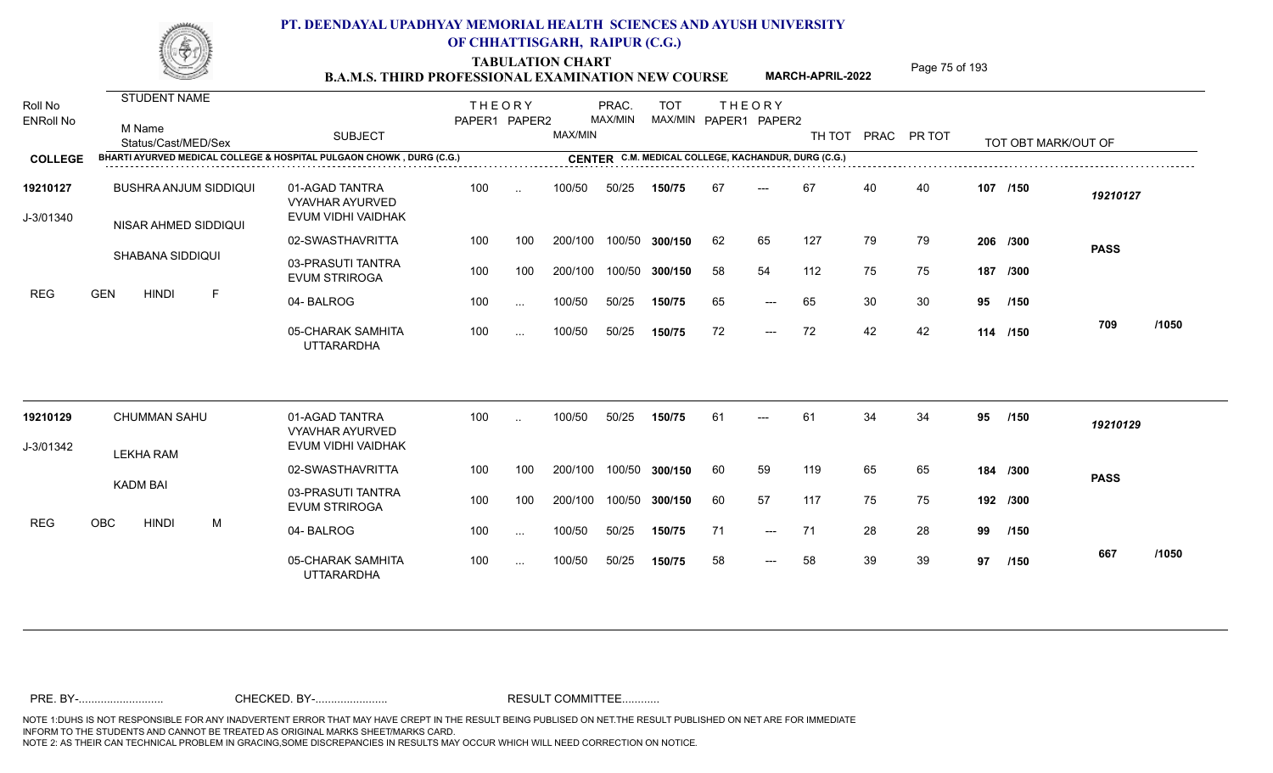**TABULATION CHART<br>B.A.M.S. THIRD PROFESSIONAL EXAMINATION NEW COURSE** MARCH-APRIL-2022 Page 75 of 193

**MARCH-APRIL-2022**

| Roll No<br><b>ENRoll No</b> |                            |                              |                                                                      |               |               |         |         |                                                     |    |                       |     |    |                    |     |                     |             |       |
|-----------------------------|----------------------------|------------------------------|----------------------------------------------------------------------|---------------|---------------|---------|---------|-----------------------------------------------------|----|-----------------------|-----|----|--------------------|-----|---------------------|-------------|-------|
|                             | <b>STUDENT NAME</b>        |                              |                                                                      | <b>THEORY</b> |               |         | PRAC.   | <b>TOT</b>                                          |    | <b>THEORY</b>         |     |    |                    |     |                     |             |       |
|                             | M Name                     | Status/Cast/MED/Sex          | <b>SUBJECT</b>                                                       | PAPER1 PAPER2 |               | MAX/MIN | MAX/MIN |                                                     |    | MAX/MIN PAPER1 PAPER2 |     |    | TH TOT PRAC PR TOT |     | TOT OBT MARK/OUT OF |             |       |
| <b>COLLEGE</b>              |                            |                              | BHARTI AYURVED MEDICAL COLLEGE & HOSPITAL PULGAON CHOWK, DURG (C.G.) |               |               |         |         | CENTER C.M. MEDICAL COLLEGE, KACHANDUR, DURG (C.G.) |    |                       |     |    |                    |     |                     |             |       |
| 19210127<br>J-3/01340       |                            | <b>BUSHRA ANJUM SIDDIQUI</b> | 01-AGAD TANTRA<br><b>VYAVHAR AYURVED</b><br>EVUM VIDHI VAIDHAK       | 100           | $\sim$        | 100/50  | 50/25   | 150/75                                              | 67 | ---                   | 67  | 40 | 40                 |     | 107 /150            | 19210127    |       |
|                             |                            | NISAR AHMED SIDDIQUI         | 02-SWASTHAVRITTA                                                     | 100           | 100           | 200/100 |         | 100/50 300/150                                      | 62 | 65                    | 127 | 79 | 79                 |     | 206 /300            | <b>PASS</b> |       |
|                             | SHABANA SIDDIQUI           |                              | 03-PRASUTI TANTRA<br><b>EVUM STRIROGA</b>                            | 100           | 100           | 200/100 | 100/50  | 300/150                                             | 58 | 54                    | 112 | 75 | 75                 | 187 | /300                |             |       |
| <b>REG</b>                  | <b>GEN</b><br><b>HINDI</b> | F                            | 04-BALROG                                                            | 100           | $\ddotsc$     | 100/50  | 50/25   | 150/75                                              | 65 | $---$                 | 65  | 30 | 30                 | 95  | /150                |             |       |
|                             |                            |                              | 05-CHARAK SAMHITA<br><b>UTTARARDHA</b>                               | 100           | $\sim$ $\sim$ | 100/50  | 50/25   | 150/75                                              | 72 | $---$                 | 72  | 42 | 42                 |     | 114 /150            | 709         | /1050 |
| 19210129                    | <b>CHUMMAN SAHU</b>        |                              | 01-AGAD TANTRA                                                       | 100           |               | 100/50  | 50/25   | 150/75                                              | 61 | ---                   | 61  | 34 | 34                 | 95  | /150                | 19210129    |       |
| J-3/01342                   |                            |                              | <b>VYAVHAR AYURVED</b><br>EVUM VIDHI VAIDHAK                         |               |               |         |         |                                                     |    |                       |     |    |                    |     |                     |             |       |
|                             | <b>LEKHA RAM</b>           |                              | 02-SWASTHAVRITTA                                                     | 100           | 100           | 200/100 | 100/50  | 300/150                                             | 60 | 59                    | 119 | 65 | 65                 |     | 184 /300            | <b>PASS</b> |       |
|                             | <b>KADM BAI</b>            |                              | 03-PRASUTI TANTRA<br><b>EVUM STRIROGA</b>                            | 100           | 100           | 200/100 |         | 100/50 300/150                                      | 60 | 57                    | 117 | 75 | 75                 |     | 192 /300            |             |       |
| <b>REG</b>                  | OBC<br><b>HINDI</b>        | М                            | 04-BALROG                                                            | 100           | $\cdots$      | 100/50  | 50/25   | 150/75                                              | 71 | $---$                 | -71 | 28 | 28                 | 99  | /150                |             |       |
|                             |                            |                              | 05-CHARAK SAMHITA<br><b>UTTARARDHA</b>                               | 100           | $\sim$ $\sim$ | 100/50  | 50/25   | 150/75                                              | 58 | $---$                 | 58  | 39 | 39                 | 97  | /150                | 667         | /1050 |
|                             |                            |                              |                                                                      |               |               |         |         |                                                     |    |                       |     |    |                    |     |                     |             |       |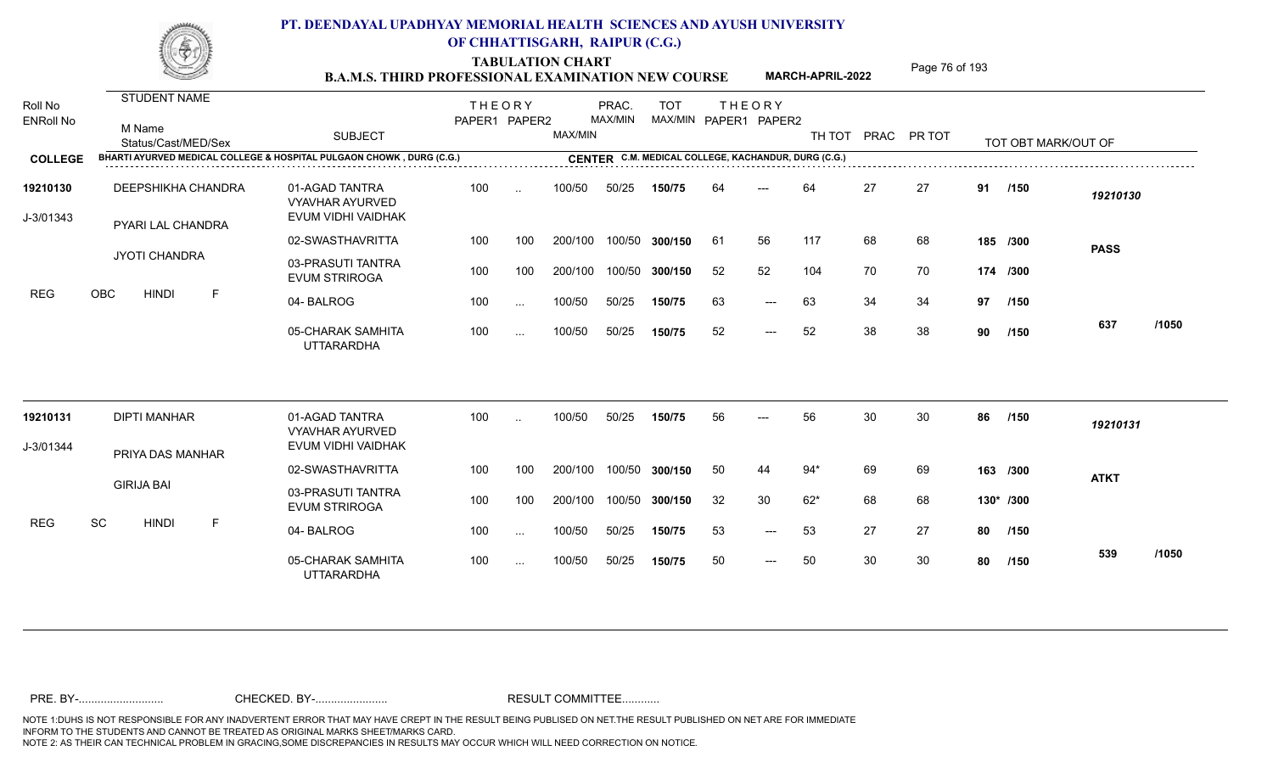**TABULATION CHART<br>B.A.M.S. THIRD PROFESSIONAL EXAMINATION NEW COURSE** MARCH-APRIL-2022 Page 76 of 193

| STUDENT NAME<br><b>THEORY</b><br>PRAC.<br><b>TOT</b><br><b>THEORY</b><br><b>MAX/MIN</b><br>MAX/MIN PAPER1 PAPER2<br>PAPER1 PAPER2<br>M Name<br>MAX/MIN<br><b>SUBJECT</b><br>TH TOT PRAC PR TOT<br>Status/Cast/MED/Sex<br>TOT OBT MARK/OUT OF<br>BHARTI AYURVED MEDICAL COLLEGE & HOSPITAL PULGAON CHOWK, DURG (C.G.)<br>CENTER C.M. MEDICAL COLLEGE, KACHANDUR, DURG (C.G.)<br>27<br>27<br>DEEPSHIKHA CHANDRA<br>01-AGAD TANTRA<br>100<br>100/50<br>64<br>64<br>91<br>50/25<br>150/75<br>/150<br>$\sim$<br>19210130<br><b>VYAVHAR AYURVED</b><br>EVUM VIDHI VAIDHAK<br><b>PYARI LAL CHANDRA</b><br>02-SWASTHAVRITTA<br>100/50 300/150<br>117<br>68<br>68<br>100<br>200/100<br>61<br>56<br>100<br>185 /300<br><b>PASS</b><br>JYOTI CHANDRA<br>03-PRASUTI TANTRA<br>52<br>52<br>104<br>70<br>100<br>100<br>100/50 300/150<br>70<br>200/100<br>174 /300<br><b>EVUM STRIROGA</b><br><b>OBC</b><br><b>HINDI</b><br>-F<br>63<br>34<br>04-BALROG<br>100<br>100/50<br>50/25<br>63<br>34<br>97 /150<br>150/75<br>$\qquad \qquad - -$<br>$\ddots$<br>/1050<br>637<br>100/50<br>52<br>38<br>05-CHARAK SAMHITA<br>100<br>50/25<br>52<br>38<br>150/75<br>90<br>/150<br>$---$<br>$\cdots$<br><b>UTTARARDHA</b><br>01-AGAD TANTRA<br>30<br>30<br><b>DIPTI MANHAR</b><br>100<br>100/50<br>50/25<br>56<br>56<br>86<br>150/75<br>/150<br>$\sim$<br>19210131<br><b>VYAVHAR AYURVED</b><br>EVUM VIDHI VAIDHAK<br>PRIYA DAS MANHAR<br>69<br>02-SWASTHAVRITTA<br>100<br>200/100<br>100/50 300/150<br>50<br>$94*$<br>69<br>100<br>44<br>163 /300<br><b>ATKT</b><br><b>GIRIJA BAI</b><br>03-PRASUTI TANTRA<br>200/100<br>100/50 300/150<br>32<br>30<br>$62*$<br>68<br>100<br>100<br>68<br>130* /300<br><b>EVUM STRIROGA</b><br>SC<br><b>HINDI</b><br>-F<br>04-BALROG<br>100/50<br>50/25<br>53<br>27<br>100<br>150/75<br>53<br>27<br>80<br>/150<br>$\qquad \qquad - -$<br>$\cdots$<br>/1050<br>539<br>30<br>50<br>50<br>30<br>05-CHARAK SAMHITA<br>100<br>100/50<br>50/25<br>80<br>150/75<br>/150<br>$---$<br>$\sim$ $\sim$<br><b>UTTARARDHA</b> |                             | <b>B.A.M.S. THIRD PROFESSIONAL EXAMINATION NEW COURSE</b> |  |  |  | <b>MARCH-APRIL-2022</b> | 1 agu 10 01 130 |  |  |
|-------------------------------------------------------------------------------------------------------------------------------------------------------------------------------------------------------------------------------------------------------------------------------------------------------------------------------------------------------------------------------------------------------------------------------------------------------------------------------------------------------------------------------------------------------------------------------------------------------------------------------------------------------------------------------------------------------------------------------------------------------------------------------------------------------------------------------------------------------------------------------------------------------------------------------------------------------------------------------------------------------------------------------------------------------------------------------------------------------------------------------------------------------------------------------------------------------------------------------------------------------------------------------------------------------------------------------------------------------------------------------------------------------------------------------------------------------------------------------------------------------------------------------------------------------------------------------------------------------------------------------------------------------------------------------------------------------------------------------------------------------------------------------------------------------------------------------------------------------------------------------------------------------------------------------------------------------------------------------------------------------------------------|-----------------------------|-----------------------------------------------------------|--|--|--|-------------------------|-----------------|--|--|
|                                                                                                                                                                                                                                                                                                                                                                                                                                                                                                                                                                                                                                                                                                                                                                                                                                                                                                                                                                                                                                                                                                                                                                                                                                                                                                                                                                                                                                                                                                                                                                                                                                                                                                                                                                                                                                                                                                                                                                                                                         | Roll No<br><b>ENRoll No</b> |                                                           |  |  |  |                         |                 |  |  |
|                                                                                                                                                                                                                                                                                                                                                                                                                                                                                                                                                                                                                                                                                                                                                                                                                                                                                                                                                                                                                                                                                                                                                                                                                                                                                                                                                                                                                                                                                                                                                                                                                                                                                                                                                                                                                                                                                                                                                                                                                         | <b>COLLEGE</b>              |                                                           |  |  |  |                         |                 |  |  |
|                                                                                                                                                                                                                                                                                                                                                                                                                                                                                                                                                                                                                                                                                                                                                                                                                                                                                                                                                                                                                                                                                                                                                                                                                                                                                                                                                                                                                                                                                                                                                                                                                                                                                                                                                                                                                                                                                                                                                                                                                         | 19210130                    |                                                           |  |  |  |                         |                 |  |  |
|                                                                                                                                                                                                                                                                                                                                                                                                                                                                                                                                                                                                                                                                                                                                                                                                                                                                                                                                                                                                                                                                                                                                                                                                                                                                                                                                                                                                                                                                                                                                                                                                                                                                                                                                                                                                                                                                                                                                                                                                                         | J-3/01343                   |                                                           |  |  |  |                         |                 |  |  |
|                                                                                                                                                                                                                                                                                                                                                                                                                                                                                                                                                                                                                                                                                                                                                                                                                                                                                                                                                                                                                                                                                                                                                                                                                                                                                                                                                                                                                                                                                                                                                                                                                                                                                                                                                                                                                                                                                                                                                                                                                         |                             |                                                           |  |  |  |                         |                 |  |  |
|                                                                                                                                                                                                                                                                                                                                                                                                                                                                                                                                                                                                                                                                                                                                                                                                                                                                                                                                                                                                                                                                                                                                                                                                                                                                                                                                                                                                                                                                                                                                                                                                                                                                                                                                                                                                                                                                                                                                                                                                                         | REG                         |                                                           |  |  |  |                         |                 |  |  |
|                                                                                                                                                                                                                                                                                                                                                                                                                                                                                                                                                                                                                                                                                                                                                                                                                                                                                                                                                                                                                                                                                                                                                                                                                                                                                                                                                                                                                                                                                                                                                                                                                                                                                                                                                                                                                                                                                                                                                                                                                         |                             |                                                           |  |  |  |                         |                 |  |  |
|                                                                                                                                                                                                                                                                                                                                                                                                                                                                                                                                                                                                                                                                                                                                                                                                                                                                                                                                                                                                                                                                                                                                                                                                                                                                                                                                                                                                                                                                                                                                                                                                                                                                                                                                                                                                                                                                                                                                                                                                                         |                             |                                                           |  |  |  |                         |                 |  |  |
|                                                                                                                                                                                                                                                                                                                                                                                                                                                                                                                                                                                                                                                                                                                                                                                                                                                                                                                                                                                                                                                                                                                                                                                                                                                                                                                                                                                                                                                                                                                                                                                                                                                                                                                                                                                                                                                                                                                                                                                                                         | 19210131                    |                                                           |  |  |  |                         |                 |  |  |
|                                                                                                                                                                                                                                                                                                                                                                                                                                                                                                                                                                                                                                                                                                                                                                                                                                                                                                                                                                                                                                                                                                                                                                                                                                                                                                                                                                                                                                                                                                                                                                                                                                                                                                                                                                                                                                                                                                                                                                                                                         | J-3/01344                   |                                                           |  |  |  |                         |                 |  |  |
|                                                                                                                                                                                                                                                                                                                                                                                                                                                                                                                                                                                                                                                                                                                                                                                                                                                                                                                                                                                                                                                                                                                                                                                                                                                                                                                                                                                                                                                                                                                                                                                                                                                                                                                                                                                                                                                                                                                                                                                                                         |                             |                                                           |  |  |  |                         |                 |  |  |
|                                                                                                                                                                                                                                                                                                                                                                                                                                                                                                                                                                                                                                                                                                                                                                                                                                                                                                                                                                                                                                                                                                                                                                                                                                                                                                                                                                                                                                                                                                                                                                                                                                                                                                                                                                                                                                                                                                                                                                                                                         |                             |                                                           |  |  |  |                         |                 |  |  |
|                                                                                                                                                                                                                                                                                                                                                                                                                                                                                                                                                                                                                                                                                                                                                                                                                                                                                                                                                                                                                                                                                                                                                                                                                                                                                                                                                                                                                                                                                                                                                                                                                                                                                                                                                                                                                                                                                                                                                                                                                         | <b>REG</b>                  |                                                           |  |  |  |                         |                 |  |  |
|                                                                                                                                                                                                                                                                                                                                                                                                                                                                                                                                                                                                                                                                                                                                                                                                                                                                                                                                                                                                                                                                                                                                                                                                                                                                                                                                                                                                                                                                                                                                                                                                                                                                                                                                                                                                                                                                                                                                                                                                                         |                             |                                                           |  |  |  |                         |                 |  |  |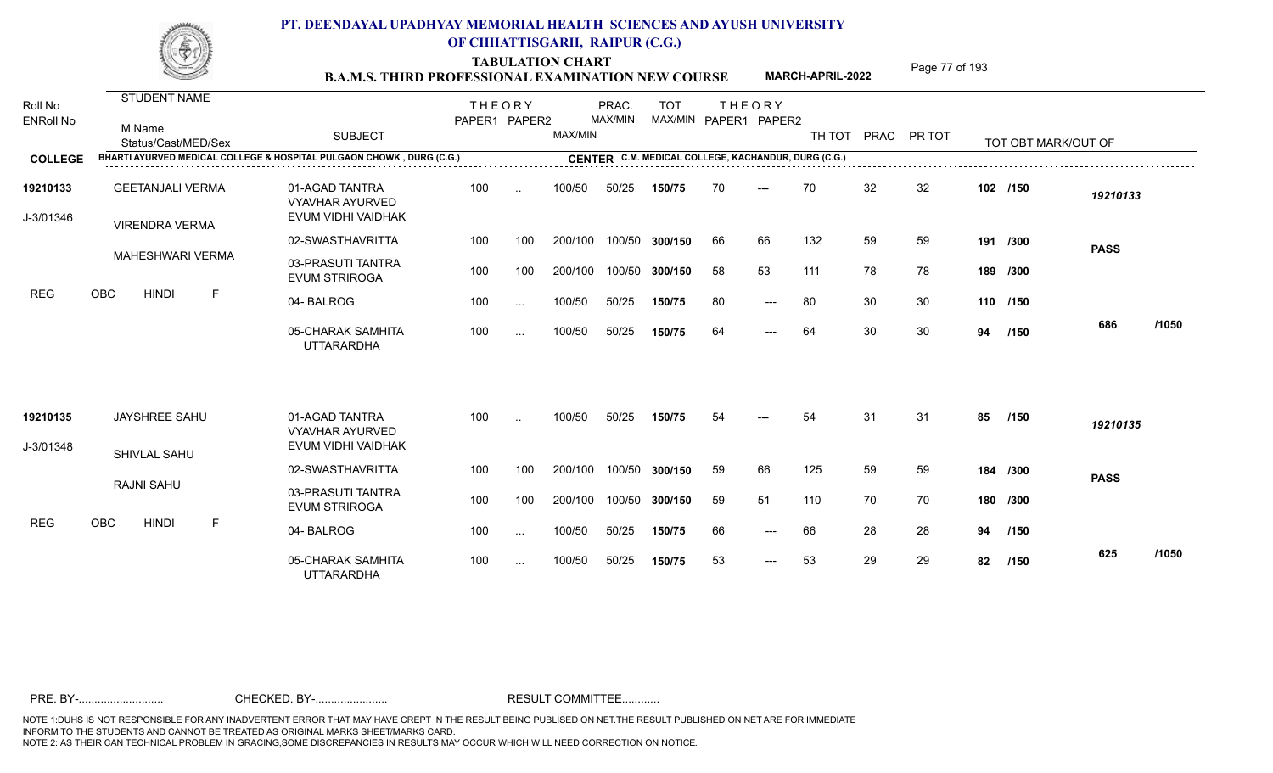**TABULATION CHART<br>B.A.M.S. THIRD PROFESSIONAL EXAMINATION NEW COURSE** MARCH-APRIL-2022 <sup>Page 77</sup> of 193

**MARCH-APRIL-2022**

| Roll No               | <b>STUDENT NAME</b>                                                  |                                                                | <b>THEORY</b> |           |         | PRAC.   | <b>TOT</b>     |    | <b>THEORY</b>                                       |        |    |             |     |                     |             |       |
|-----------------------|----------------------------------------------------------------------|----------------------------------------------------------------|---------------|-----------|---------|---------|----------------|----|-----------------------------------------------------|--------|----|-------------|-----|---------------------|-------------|-------|
| <b>ENRoll No</b>      | M Name<br>Status/Cast/MED/Sex                                        | <b>SUBJECT</b>                                                 | PAPER1 PAPER2 |           | MAX/MIN | MAX/MIN |                |    | MAX/MIN PAPER1 PAPER2                               | TH TOT |    | PRAC PR TOT |     | TOT OBT MARK/OUT OF |             |       |
| <b>COLLEGE</b>        | BHARTI AYURVED MEDICAL COLLEGE & HOSPITAL PULGAON CHOWK, DURG (C.G.) |                                                                |               |           |         |         |                |    | CENTER C.M. MEDICAL COLLEGE, KACHANDUR, DURG (C.G.) |        |    |             |     |                     |             |       |
| 19210133<br>J-3/01346 | <b>GEETANJALI VERMA</b><br><b>VIRENDRA VERMA</b>                     | 01-AGAD TANTRA<br><b>VYAVHAR AYURVED</b><br>EVUM VIDHI VAIDHAK | 100           | $\ddotsc$ | 100/50  | 50/25   | 150/75         | 70 | $---$                                               | 70     | 32 | 32          |     | 102 /150            | 19210133    |       |
|                       |                                                                      | 02-SWASTHAVRITTA                                               | 100           | 100       | 200/100 |         | 100/50 300/150 | 66 | 66                                                  | 132    | 59 | 59          | 191 | /300                | <b>PASS</b> |       |
| REG                   | MAHESHWARI VERMA                                                     | 03-PRASUTI TANTRA<br><b>EVUM STRIROGA</b>                      | 100           | 100       | 200/100 |         | 100/50 300/150 | 58 | 53                                                  | 111    | 78 | 78          |     | 189 /300            |             |       |
|                       | OBC<br><b>HINDI</b><br>F.                                            | 04-BALROG                                                      | 100           | $\cdots$  | 100/50  | 50/25   | 150/75         | 80 | $---$                                               | 80     | 30 | 30          |     | 110 /150            |             |       |
|                       |                                                                      | 05-CHARAK SAMHITA<br><b>UTTARARDHA</b>                         | 100           | $\cdots$  | 100/50  | 50/25   | 150/75         | 64 | $---$                                               | 64     | 30 | 30          | 94  | /150                | 686         | /1050 |
| 19210135              | JAYSHREE SAHU                                                        | 01-AGAD TANTRA<br><b>VYAVHAR AYURVED</b>                       | 100           | $\sim$    | 100/50  | 50/25   | 150/75         | 54 |                                                     | 54     | 31 | 31          | 85  | /150                | 19210135    |       |
| J-3/01348             | <b>SHIVLAL SAHU</b>                                                  | EVUM VIDHI VAIDHAK                                             |               |           |         |         |                |    |                                                     |        |    |             |     |                     |             |       |
|                       |                                                                      | 02-SWASTHAVRITTA                                               | 100           | 100       | 200/100 |         | 100/50 300/150 | 59 | 66                                                  | 125    | 59 | 59          |     | 184 /300            | <b>PASS</b> |       |
|                       | <b>RAJNI SAHU</b>                                                    | 03-PRASUTI TANTRA<br><b>EVUM STRIROGA</b>                      | 100           | 100       | 200/100 |         | 100/50 300/150 | 59 | 51                                                  | 110    | 70 | 70          |     | 180 /300            |             |       |
| REG                   | OBC<br><b>HINDI</b><br>F                                             | 04-BALROG                                                      | 100           | $\cdots$  | 100/50  | 50/25   | 150/75         | 66 | $---$                                               | 66     | 28 | 28          | 94  | /150                |             |       |
|                       |                                                                      | 05-CHARAK SAMHITA<br><b>UTTARARDHA</b>                         | 100           | $\cdots$  | 100/50  | 50/25   | 150/75         | 53 | $---$                                               | 53     | 29 | 29          | 82  | /150                | 625         | /1050 |
|                       |                                                                      |                                                                |               |           |         |         |                |    |                                                     |        |    |             |     |                     |             |       |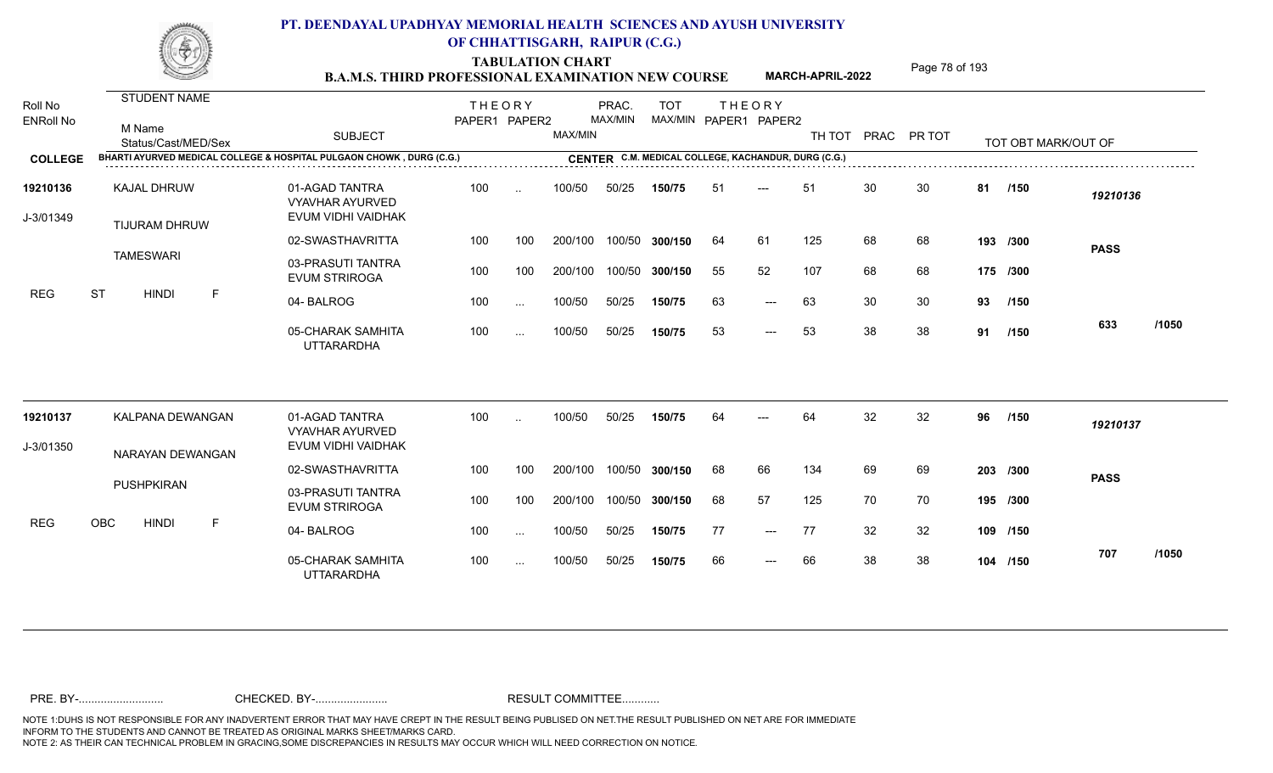TABULATION CHART<br> **TABULATION CHART** PAGE MARCH-APRIL-2022 Page 78 of 193

**MARCH-APRIL-2022**

| Roll No<br><b>ENRoll No</b> | <b>STUDENT NAME</b><br>M Name<br>Status/Cast/MED/Sex                 | <b>SUBJECT</b>                                                 | <b>THEORY</b><br>PAPER1 PAPER2 |           | MAX/MIN | PRAC.<br>MAX/MIN | <b>TOT</b>     |    | <b>THEORY</b><br>MAX/MIN PAPER1 PAPER2              | TH TOT |    | PRAC PR TOT |    | TOT OBT MARK/OUT OF |             |       |
|-----------------------------|----------------------------------------------------------------------|----------------------------------------------------------------|--------------------------------|-----------|---------|------------------|----------------|----|-----------------------------------------------------|--------|----|-------------|----|---------------------|-------------|-------|
| <b>COLLEGE</b>              | BHARTI AYURVED MEDICAL COLLEGE & HOSPITAL PULGAON CHOWK, DURG (C.G.) |                                                                |                                |           |         |                  |                |    | CENTER C.M. MEDICAL COLLEGE, KACHANDUR, DURG (C.G.) |        |    |             |    |                     |             |       |
| 19210136<br>J-3/01349       | <b>KAJAL DHRUW</b><br><b>TIJURAM DHRUW</b>                           | 01-AGAD TANTRA<br><b>VYAVHAR AYURVED</b><br>EVUM VIDHI VAIDHAK | 100                            | $\cdot$ . | 100/50  | 50/25            | 150/75         | 51 | $---$                                               | 51     | 30 | 30          | 81 | /150                | 19210136    |       |
|                             |                                                                      | 02-SWASTHAVRITTA                                               | 100                            | 100       | 200/100 |                  | 100/50 300/150 | 64 | 61                                                  | 125    | 68 | 68          |    | 193 /300            | <b>PASS</b> |       |
|                             | <b>TAMESWARI</b>                                                     | 03-PRASUTI TANTRA<br><b>EVUM STRIROGA</b>                      | 100                            | 100       | 200/100 |                  | 100/50 300/150 | 55 | 52                                                  | 107    | 68 | 68          |    | 175 /300            |             |       |
| <b>REG</b>                  | <b>ST</b><br><b>HINDI</b><br>F                                       | 04-BALROG                                                      | 100                            | $\cdots$  | 100/50  | 50/25            | 150/75         | 63 | $---$                                               | 63     | 30 | 30          | 93 | /150                |             |       |
|                             |                                                                      | 05-CHARAK SAMHITA<br><b>UTTARARDHA</b>                         | 100                            | $\cdots$  | 100/50  | 50/25            | 150/75         | 53 | $---$                                               | 53     | 38 | 38          | 91 | /150                | 633         | /1050 |
| 19210137                    | KALPANA DEWANGAN                                                     | 01-AGAD TANTRA<br><b>VYAVHAR AYURVED</b>                       | 100                            |           | 100/50  | 50/25            | 150/75         | 64 |                                                     | 64     | 32 | 32          | 96 | /150                | 19210137    |       |
| J-3/01350                   | NARAYAN DEWANGAN                                                     | EVUM VIDHI VAIDHAK                                             |                                |           |         |                  |                |    |                                                     |        |    |             |    |                     |             |       |
|                             |                                                                      | 02-SWASTHAVRITTA                                               | 100                            | 100       | 200/100 |                  | 100/50 300/150 | 68 | 66                                                  | 134    | 69 | 69          |    | 203 /300            | <b>PASS</b> |       |
|                             | PUSHPKIRAN                                                           | 03-PRASUTI TANTRA<br><b>EVUM STRIROGA</b>                      | 100                            | 100       | 200/100 |                  | 100/50 300/150 | 68 | 57                                                  | 125    | 70 | 70          |    | 195 /300            |             |       |
| <b>REG</b>                  | OBC<br><b>HINDI</b><br>F                                             | 04-BALROG                                                      | 100                            | $\cdots$  | 100/50  | 50/25            | 150/75         | 77 | $---$                                               | 77     | 32 | 32          |    | 109 /150            |             |       |
|                             |                                                                      | 05-CHARAK SAMHITA<br><b>UTTARARDHA</b>                         | 100                            | $\cdots$  | 100/50  | 50/25            | 150/75         | 66 | $---$                                               | 66     | 38 | 38          |    | 104 /150            | 707         | /1050 |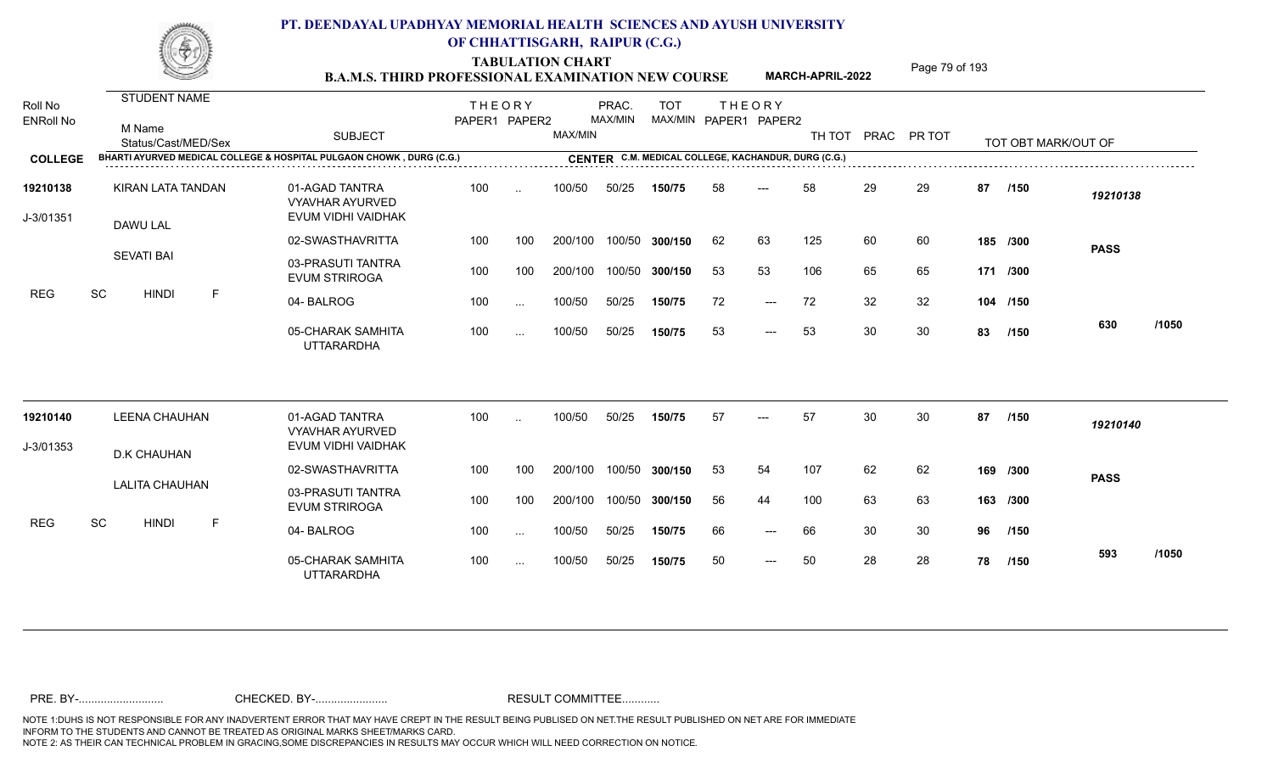TABULATION CHART<br>**B.A.M.S. THIRD PROFESSIONAL EXAMINATION NEW COURSE** MARCH-APRIL-2022 Page 79 of 193

**MARCH-APRIL-2022**

| Roll No<br><b>ENRoll No</b> | <b>STUDENT NAME</b><br>M Name<br>Status/Cast/MED/Sex                 | <b>SUBJECT</b>                                                 | <b>THEORY</b><br>PAPER1 PAPER2 |           | MAX/MIN | PRAC.<br>MAX/MIN | <b>TOT</b><br>MAX/MIN PAPER1 PAPER2                 |    | <b>THEORY</b> | TH TOT |    | PRAC PR TOT |    | TOT OBT MARK/OUT OF |             |       |
|-----------------------------|----------------------------------------------------------------------|----------------------------------------------------------------|--------------------------------|-----------|---------|------------------|-----------------------------------------------------|----|---------------|--------|----|-------------|----|---------------------|-------------|-------|
| <b>COLLEGE</b>              | BHARTI AYURVED MEDICAL COLLEGE & HOSPITAL PULGAON CHOWK, DURG (C.G.) |                                                                |                                |           |         |                  | CENTER C.M. MEDICAL COLLEGE, KACHANDUR, DURG (C.G.) |    |               |        |    |             |    |                     |             |       |
| 19210138<br>J-3/01351       | KIRAN LATA TANDAN<br>DAWU LAL                                        | 01-AGAD TANTRA<br><b>VYAVHAR AYURVED</b><br>EVUM VIDHI VAIDHAK | 100                            | $\sim$    | 100/50  | 50/25            | 150/75                                              | 58 | $---$         | 58     | 29 | 29          | 87 | /150                | 19210138    |       |
|                             |                                                                      | 02-SWASTHAVRITTA                                               | 100                            | 100       | 200/100 |                  | 100/50 300/150                                      | 62 | 63            | 125    | 60 | 60          |    | 185 /300            | <b>PASS</b> |       |
|                             | <b>SEVATI BAI</b>                                                    | 03-PRASUTI TANTRA<br><b>EVUM STRIROGA</b>                      | 100                            | 100       | 200/100 |                  | 100/50 300/150                                      | 53 | 53            | 106    | 65 | 65          |    | 171 /300            |             |       |
| <b>REG</b>                  | SC<br>$\mathsf F$<br><b>HINDI</b>                                    | 04-BALROG                                                      | 100                            | $\cdots$  | 100/50  | 50/25            | 150/75                                              | 72 | $---$         | 72     | 32 | 32          |    | 104 /150            |             |       |
|                             |                                                                      | 05-CHARAK SAMHITA<br><b>UTTARARDHA</b>                         | 100                            | $\cdots$  | 100/50  | 50/25            | 150/75                                              | 53 | $---$         | 53     | 30 | 30          | 83 | /150                | 630         | /1050 |
| 19210140                    | <b>LEENA CHAUHAN</b>                                                 | 01-AGAD TANTRA<br><b>VYAVHAR AYURVED</b>                       | 100                            | $\ddotsc$ | 100/50  | 50/25            | 150/75                                              | 57 | $---$         | 57     | 30 | 30          | 87 | /150                | 19210140    |       |
| J-3/01353                   | <b>D.K CHAUHAN</b>                                                   | EVUM VIDHI VAIDHAK                                             |                                |           |         |                  |                                                     |    |               |        |    |             |    |                     |             |       |
|                             |                                                                      | 02-SWASTHAVRITTA                                               | 100                            | 100       | 200/100 | 100/50           | 300/150                                             | 53 | 54            | 107    | 62 | 62          |    | 169 /300            | <b>PASS</b> |       |
|                             | <b>LALITA CHAUHAN</b>                                                | 03-PRASUTI TANTRA<br><b>EVUM STRIROGA</b>                      | 100                            | 100       | 200/100 |                  | 100/50 300/150                                      | 56 | 44            | 100    | 63 | 63          |    | 163 /300            |             |       |
| <b>REG</b>                  | SC<br><b>HINDI</b><br>F                                              | 04-BALROG                                                      | 100                            | $\cdots$  | 100/50  | 50/25            | 150/75                                              | 66 | $---$         | 66     | 30 | 30          | 96 | /150                |             |       |
|                             |                                                                      | 05-CHARAK SAMHITA<br><b>UTTARARDHA</b>                         | 100                            | $\cdots$  | 100/50  | 50/25            | 150/75                                              | 50 | $---$         | 50     | 28 | 28          | 78 | /150                | 593         | /1050 |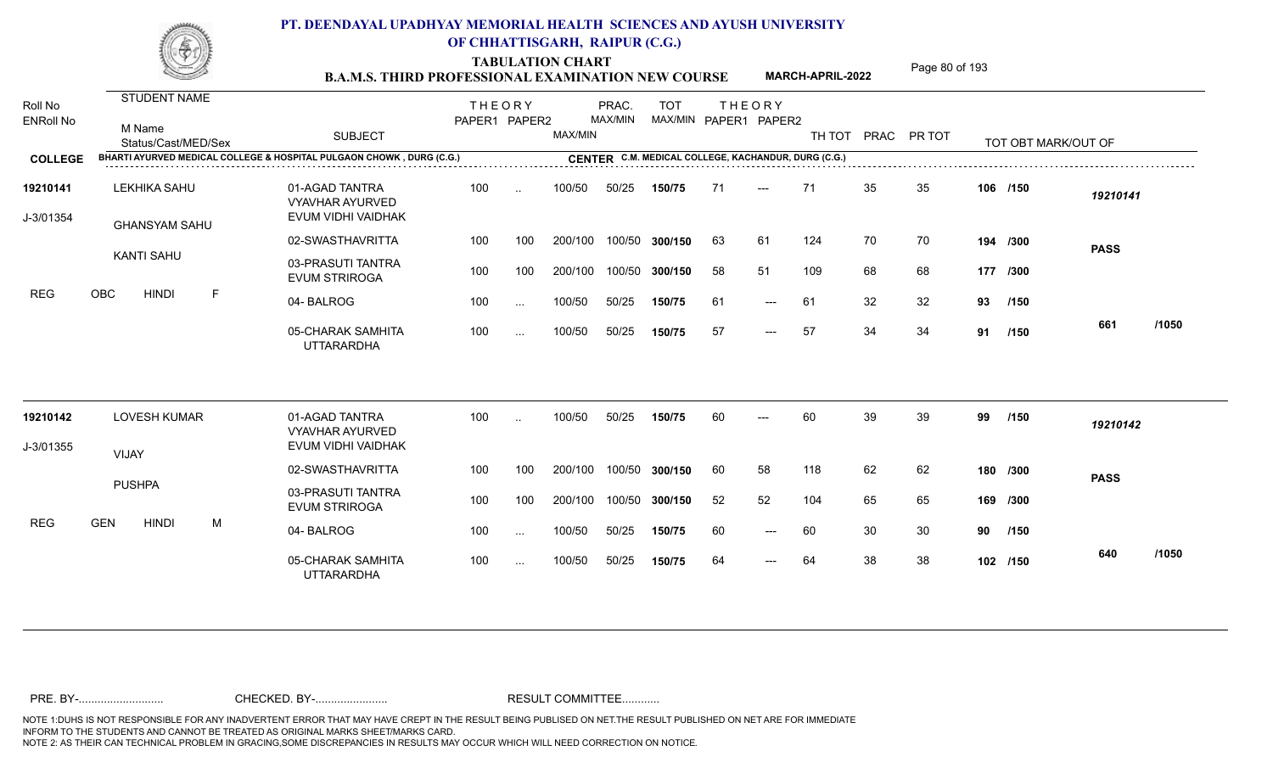TABULATION CHART<br> **TABULATION CHART B.A.M.S. THIRD PROFESSIONAL EXAMINATION NEW COURSE** MARCH-APRIL-2022

**MARCH-APRIL-2022**

| Roll No<br><b>ENRoll No</b> | <b>STUDENT NAME</b><br>M Name<br>Status/Cast/MED/Sex | <b>SUBJECT</b>                                                       | <b>THEORY</b><br>PAPER1 PAPER2 |           | MAX/MIN | PRAC.<br>MAX/MIN | <b>TOT</b>     |    | <b>THEORY</b><br>MAX/MIN PAPER1 PAPER2              | TH TOT |    | PRAC PR TOT |    | TOT OBT MARK/OUT OF |             |       |
|-----------------------------|------------------------------------------------------|----------------------------------------------------------------------|--------------------------------|-----------|---------|------------------|----------------|----|-----------------------------------------------------|--------|----|-------------|----|---------------------|-------------|-------|
| <b>COLLEGE</b>              |                                                      | BHARTI AYURVED MEDICAL COLLEGE & HOSPITAL PULGAON CHOWK, DURG (C.G.) |                                |           |         |                  |                |    | CENTER C.M. MEDICAL COLLEGE, KACHANDUR, DURG (C.G.) |        |    |             |    |                     |             |       |
| 19210141<br>J-3/01354       | <b>LEKHIKA SAHU</b><br><b>GHANSYAM SAHU</b>          | 01-AGAD TANTRA<br><b>VYAVHAR AYURVED</b><br>EVUM VIDHI VAIDHAK       | 100                            | $\cdot$ . | 100/50  | 50/25            | 150/75         | 71 | $---$                                               | 71     | 35 | 35          |    | 106 /150            | 19210141    |       |
|                             |                                                      | 02-SWASTHAVRITTA                                                     | 100                            | 100       | 200/100 |                  | 100/50 300/150 | 63 | 61                                                  | 124    | 70 | 70          |    | 194 /300            | <b>PASS</b> |       |
|                             | <b>KANTI SAHU</b>                                    | 03-PRASUTI TANTRA<br><b>EVUM STRIROGA</b>                            | 100                            | 100       | 200/100 |                  | 100/50 300/150 | 58 | 51                                                  | 109    | 68 | 68          |    | 177 /300            |             |       |
| <b>REG</b>                  | <b>OBC</b><br><b>HINDI</b><br>F                      | 04-BALROG                                                            | 100                            | $\cdots$  | 100/50  | 50/25            | 150/75         | 61 | $---$                                               | 61     | 32 | 32          | 93 | /150                |             |       |
|                             |                                                      | 05-CHARAK SAMHITA<br><b>UTTARARDHA</b>                               | 100                            | $\cdots$  | 100/50  | 50/25            | 150/75         | 57 | $---$                                               | 57     | 34 | 34          | 91 | /150                | 661         | /1050 |
| 19210142                    | <b>LOVESH KUMAR</b>                                  | 01-AGAD TANTRA<br><b>VYAVHAR AYURVED</b>                             | 100                            | $\cdot$ . | 100/50  | 50/25            | 150/75         | 60 | $---$                                               | 60     | 39 | 39          | 99 | /150                | 19210142    |       |
| J-3/01355                   | <b>VIJAY</b>                                         | EVUM VIDHI VAIDHAK                                                   |                                |           |         |                  |                |    |                                                     |        |    |             |    |                     |             |       |
|                             |                                                      | 02-SWASTHAVRITTA                                                     | 100                            | 100       | 200/100 |                  | 100/50 300/150 | 60 | 58                                                  | 118    | 62 | 62          |    | 180 /300            | <b>PASS</b> |       |
|                             | <b>PUSHPA</b>                                        | 03-PRASUTI TANTRA<br><b>EVUM STRIROGA</b>                            | 100                            | 100       | 200/100 |                  | 100/50 300/150 | 52 | 52                                                  | 104    | 65 | 65          |    | 169 /300            |             |       |
| <b>REG</b>                  | <b>GEN</b><br><b>HINDI</b><br>M                      | 04-BALROG                                                            | 100                            | $\cdots$  | 100/50  | 50/25            | 150/75         | 60 | $---$                                               | 60     | 30 | 30          | 90 | /150                |             |       |
|                             |                                                      | 05-CHARAK SAMHITA<br><b>UTTARARDHA</b>                               | 100                            | $\cdots$  | 100/50  | 50/25            | 150/75         | 64 | ---                                                 | 64     | 38 | 38          |    | 102 /150            | 640         | /1050 |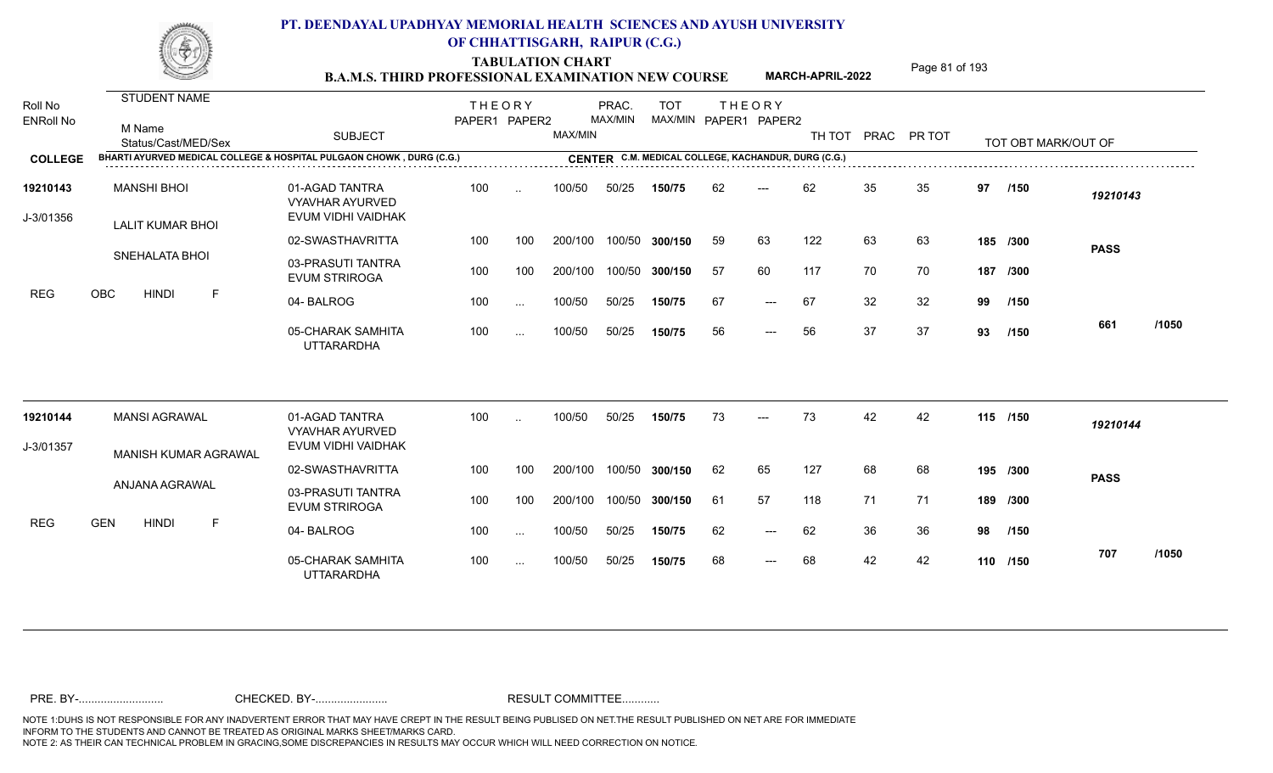TABULATION CHART<br> **TABULATION CHART** PAGE MARCH-APRIL-2022 Page 81 of 193

**MARCH-APRIL-2022**

| Roll No<br><b>ENRoll No</b><br><b>COLLEGE</b> | <b>STUDENT NAME</b><br>M Name<br>Status/Cast/MED/Sex<br>BHARTI AYURVED MEDICAL COLLEGE & HOSPITAL PULGAON CHOWK, DURG (C.G.) | <b>SUBJECT</b>                                                 | <b>THEORY</b><br>PAPER1 PAPER2 |           | MAX/MIN | PRAC.<br><b>MAX/MIN</b> | <b>TOT</b>     |     | <b>THEORY</b><br>MAX/MIN PAPER1 PAPER2 | TH TOT<br>CENTER C.M. MEDICAL COLLEGE, KACHANDUR, DURG (C.G.) |    | PRAC PR TOT |    | TOT OBT MARK/OUT OF |             |       |
|-----------------------------------------------|------------------------------------------------------------------------------------------------------------------------------|----------------------------------------------------------------|--------------------------------|-----------|---------|-------------------------|----------------|-----|----------------------------------------|---------------------------------------------------------------|----|-------------|----|---------------------|-------------|-------|
| 19210143<br>J-3/01356                         | <b>MANSHI BHOI</b>                                                                                                           | 01-AGAD TANTRA<br><b>VYAVHAR AYURVED</b><br>EVUM VIDHI VAIDHAK | 100                            | $\sim$    | 100/50  | 50/25                   | 150/75         | 62  | $---$                                  | 62                                                            | 35 | 35          | 97 | /150                | 19210143    |       |
|                                               | <b>LALIT KUMAR BHOI</b>                                                                                                      | 02-SWASTHAVRITTA                                               | 100                            | 100       | 200/100 |                         | 100/50 300/150 | 59  | 63                                     | 122                                                           | 63 | 63          |    | 185 /300            | <b>PASS</b> |       |
|                                               | <b>SNEHALATA BHOI</b>                                                                                                        | 03-PRASUTI TANTRA<br><b>EVUM STRIROGA</b>                      | 100                            | 100       | 200/100 | 100/50                  | 300/150        | -57 | 60                                     | 117                                                           | 70 | 70          |    | 187 /300            |             |       |
| <b>REG</b>                                    | OBC<br>F<br><b>HINDI</b>                                                                                                     | 04-BALROG                                                      | 100                            | $\sim$ .  | 100/50  | 50/25                   | 150/75         | 67  | $---$                                  | 67                                                            | 32 | 32          | 99 | /150                |             |       |
|                                               |                                                                                                                              | 05-CHARAK SAMHITA<br><b>UTTARARDHA</b>                         | 100                            | $\sim$ .  | 100/50  | 50/25                   | 150/75         | 56  | $---$                                  | 56                                                            | 37 | 37          | 93 | /150                | 661         | /1050 |
| 19210144                                      | <b>MANSI AGRAWAL</b>                                                                                                         | 01-AGAD TANTRA<br><b>VYAVHAR AYURVED</b>                       | 100                            | $\cdot$ . | 100/50  | 50/25                   | 150/75         | 73  | ---                                    | 73                                                            | 42 | 42          |    | 115 /150            | 19210144    |       |
| J-3/01357                                     | <b>MANISH KUMAR AGRAWAL</b>                                                                                                  | EVUM VIDHI VAIDHAK                                             |                                |           |         |                         |                |     |                                        |                                                               |    |             |    |                     |             |       |
|                                               |                                                                                                                              | 02-SWASTHAVRITTA                                               | 100                            | 100       | 200/100 | 100/50                  | 300/150        | 62  | 65                                     | 127                                                           | 68 | 68          |    | 195 /300            | <b>PASS</b> |       |
|                                               | ANJANA AGRAWAL                                                                                                               | 03-PRASUTI TANTRA<br><b>EVUM STRIROGA</b>                      | 100                            | 100       | 200/100 | 100/50                  | 300/150        | 61  | 57                                     | 118                                                           | 71 | 71          |    | 189 /300            |             |       |
| <b>REG</b>                                    | <b>GEN</b><br><b>HINDI</b><br>F.                                                                                             | 04-BALROG                                                      | 100                            | $\sim$    | 100/50  | 50/25                   | 150/75         | 62  | $\qquad \qquad - -$                    | 62                                                            | 36 | 36          | 98 | /150                |             |       |
|                                               |                                                                                                                              | 05-CHARAK SAMHITA<br><b>UTTARARDHA</b>                         | 100                            | $\ddotsc$ | 100/50  | 50/25                   | 150/75         | 68  | $---$                                  | 68                                                            | 42 | 42          |    | 110 /150            | 707         | /1050 |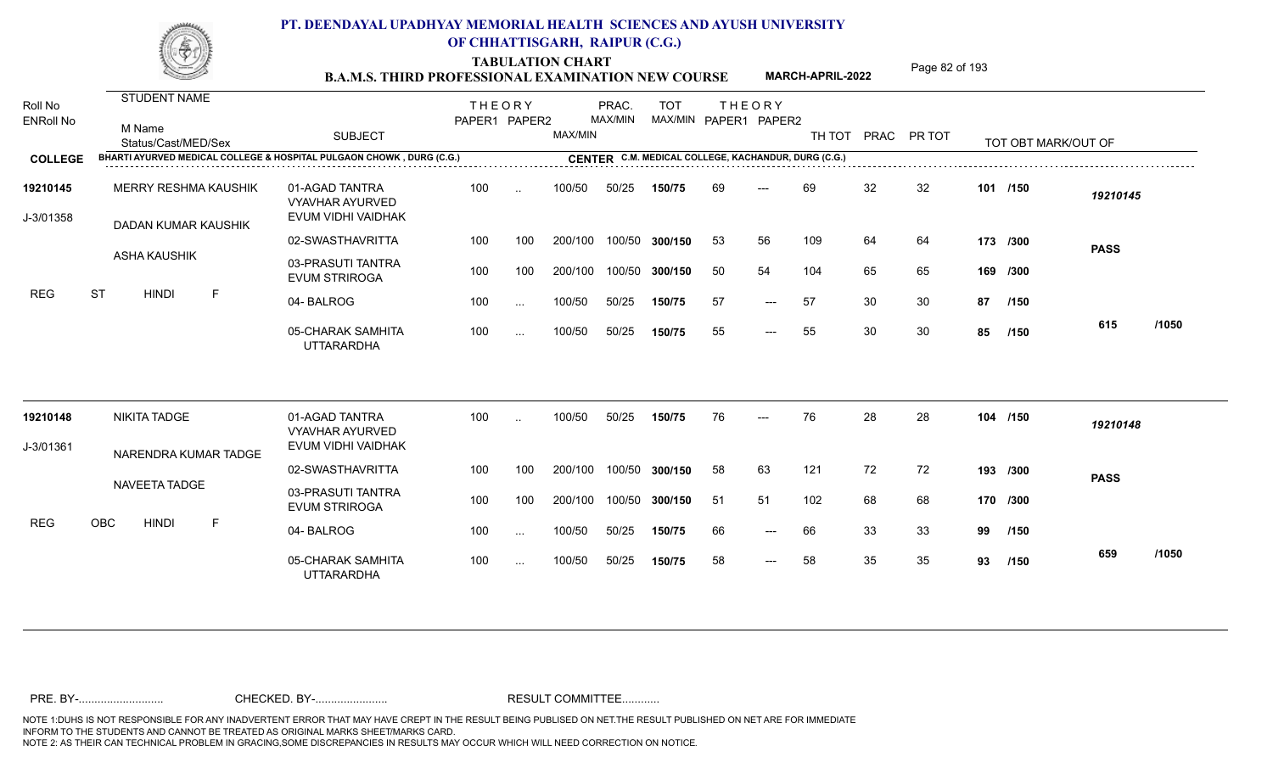TABULATION CHART<br> **TABULATION CHART** PAGE MARCH-APRIL-2022 Page 82 of 193

**MARCH-APRIL-2022**

| Roll No<br><b>ENRoll No</b> | STUDENT NAME<br>M Name<br>Status/Cast/MED/Sex                        | <b>SUBJECT</b>                                                 | <b>THEORY</b><br>PAPER1 PAPER2 |          | MAX/MIN | PRAC.<br>MAX/MIN | <b>TOT</b>                                          |     | <b>THEORY</b><br>MAX/MIN PAPER1 PAPER2 | TH TOT PRAC PR TOT |    |    |    | TOT OBT MARK/OUT OF |             |       |
|-----------------------------|----------------------------------------------------------------------|----------------------------------------------------------------|--------------------------------|----------|---------|------------------|-----------------------------------------------------|-----|----------------------------------------|--------------------|----|----|----|---------------------|-------------|-------|
| <b>COLLEGE</b>              | BHARTI AYURVED MEDICAL COLLEGE & HOSPITAL PULGAON CHOWK, DURG (C.G.) |                                                                |                                |          |         |                  | CENTER C.M. MEDICAL COLLEGE, KACHANDUR, DURG (C.G.) |     |                                        |                    |    |    |    |                     |             |       |
| 19210145<br>J-3/01358       | <b>MERRY RESHMA KAUSHIK</b><br>DADAN KUMAR KAUSHIK                   | 01-AGAD TANTRA<br><b>VYAVHAR AYURVED</b><br>EVUM VIDHI VAIDHAK | 100                            | $\sim$   | 100/50  | 50/25            | 150/75                                              | 69  | $---$                                  | 69                 | 32 | 32 |    | 101 /150            | 19210145    |       |
|                             |                                                                      | 02-SWASTHAVRITTA                                               | 100                            | 100      | 200/100 |                  | 100/50 300/150                                      | 53  | 56                                     | 109                | 64 | 64 |    | 173 /300            | <b>PASS</b> |       |
| <b>REG</b>                  | <b>ASHA KAUSHIK</b>                                                  | 03-PRASUTI TANTRA<br><b>EVUM STRIROGA</b>                      | 100                            | 100      | 200/100 |                  | 100/50 300/150                                      | 50  | 54                                     | 104                | 65 | 65 |    | 169 /300            |             |       |
|                             | <b>ST</b><br><b>HINDI</b><br>F                                       | 04-BALROG                                                      | 100                            | $\cdots$ | 100/50  | 50/25            | 150/75                                              | 57  | $---$                                  | 57                 | 30 | 30 | 87 | /150                |             |       |
|                             |                                                                      | 05-CHARAK SAMHITA<br><b>UTTARARDHA</b>                         | 100                            | $\cdots$ | 100/50  | 50/25            | 150/75                                              | 55  | $---$                                  | 55                 | 30 | 30 | 85 | /150                | 615         | /1050 |
| 19210148                    | <b>NIKITA TADGE</b>                                                  | 01-AGAD TANTRA<br><b>VYAVHAR AYURVED</b>                       | 100                            |          | 100/50  | 50/25            | 150/75                                              | 76  |                                        | 76                 | 28 | 28 |    | 104 /150            | 19210148    |       |
| J-3/01361                   | NARENDRA KUMAR TADGE                                                 | EVUM VIDHI VAIDHAK                                             |                                |          |         |                  |                                                     |     |                                        |                    |    |    |    |                     |             |       |
|                             |                                                                      | 02-SWASTHAVRITTA                                               | 100                            | 100      | 200/100 |                  | 100/50 300/150                                      | 58  | 63                                     | 121                | 72 | 72 |    | 193 /300            | <b>PASS</b> |       |
|                             | NAVEETA TADGE                                                        | 03-PRASUTI TANTRA<br><b>EVUM STRIROGA</b>                      | 100                            | 100      | 200/100 |                  | 100/50 300/150                                      | -51 | 51                                     | 102                | 68 | 68 |    | 170 /300            |             |       |
| <b>REG</b>                  | OBC<br><b>HINDI</b><br>F                                             | 04-BALROG                                                      | 100                            | $\cdots$ | 100/50  | 50/25            | 150/75                                              | 66  | $---$                                  | 66                 | 33 | 33 | 99 | /150                |             |       |
|                             |                                                                      | 05-CHARAK SAMHITA<br><b>UTTARARDHA</b>                         | 100                            | $\sim$   | 100/50  | 50/25            | 150/75                                              | 58  | $---$                                  | 58                 | 35 | 35 | 93 | /150                | 659         | /1050 |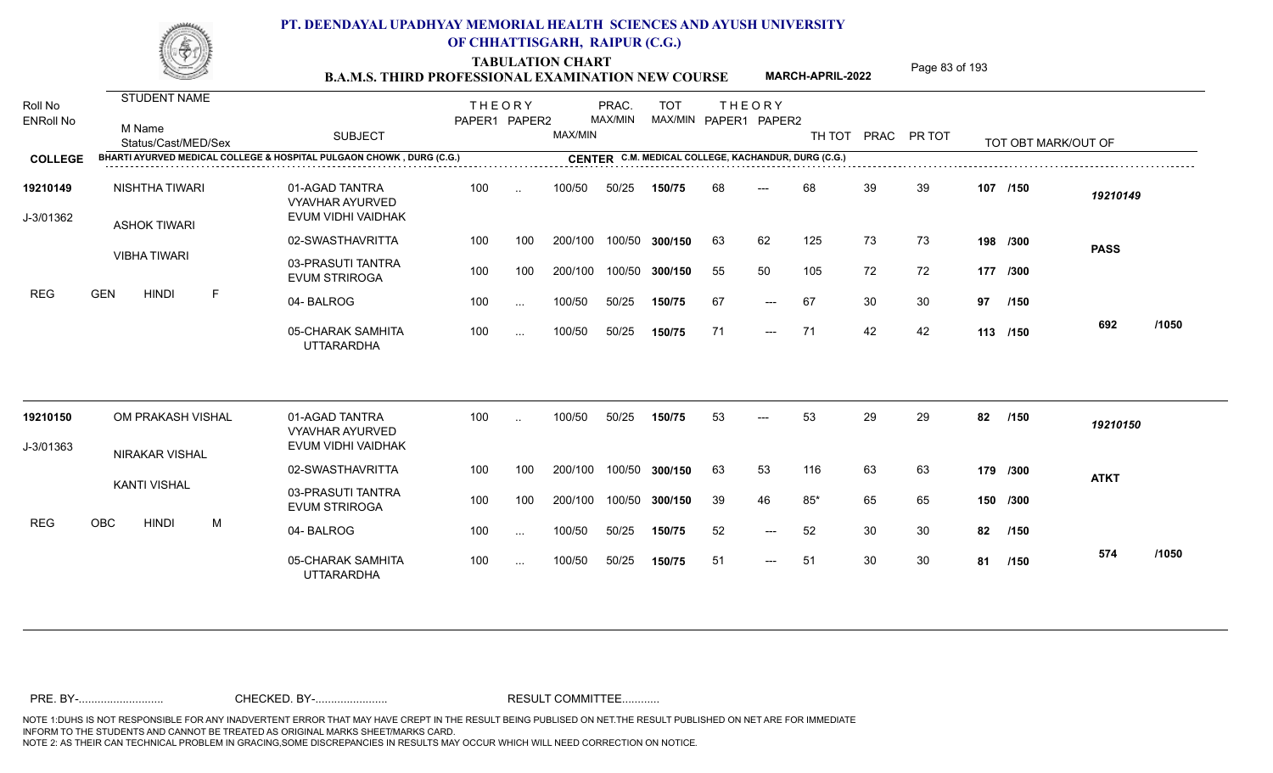TABULATION CHART<br> **TABULATION CHART** PAGE MARCH-APRIL-2022 Page 83 of 193

**MARCH-APRIL-2022**

| Roll No<br><b>ENRoll No</b> | <b>STUDENT NAME</b><br>M Name<br>Status/Cast/MED/Sex                 | <b>SUBJECT</b>                                                 | <b>THEORY</b><br>PAPER1 PAPER2 |                      | MAX/MIN | PRAC.<br>MAX/MIN | <b>TOT</b><br>MAX/MIN PAPER1 PAPER2                 |    | <b>THEORY</b> | TH TOT |    | PRAC PR TOT |    | TOT OBT MARK/OUT OF |             |       |
|-----------------------------|----------------------------------------------------------------------|----------------------------------------------------------------|--------------------------------|----------------------|---------|------------------|-----------------------------------------------------|----|---------------|--------|----|-------------|----|---------------------|-------------|-------|
| <b>COLLEGE</b>              | BHARTI AYURVED MEDICAL COLLEGE & HOSPITAL PULGAON CHOWK, DURG (C.G.) |                                                                |                                |                      |         |                  | CENTER C.M. MEDICAL COLLEGE, KACHANDUR, DURG (C.G.) |    |               |        |    |             |    |                     |             |       |
| 19210149<br>J-3/01362       | NISHTHA TIWARI<br><b>ASHOK TIWARI</b>                                | 01-AGAD TANTRA<br><b>VYAVHAR AYURVED</b><br>EVUM VIDHI VAIDHAK | 100                            | $\ddot{\phantom{a}}$ | 100/50  | 50/25            | 150/75                                              | 68 | $---$         | 68     | 39 | 39          |    | 107 /150            | 19210149    |       |
|                             |                                                                      | 02-SWASTHAVRITTA                                               | 100                            | 100                  | 200/100 |                  | 100/50 300/150                                      | 63 | 62            | 125    | 73 | 73          |    | 198 /300            | <b>PASS</b> |       |
|                             | <b>VIBHA TIWARI</b>                                                  | 03-PRASUTI TANTRA<br><b>EVUM STRIROGA</b>                      | 100                            | 100                  | 200/100 |                  | 100/50 300/150                                      | 55 | 50            | 105    | 72 | 72          |    | 177 /300            |             |       |
| <b>REG</b>                  | <b>GEN</b><br><b>HINDI</b><br>F                                      | 04-BALROG                                                      | 100                            | $\cdots$             | 100/50  | 50/25            | 150/75                                              | 67 | $---$         | 67     | 30 | 30          | 97 | /150                |             |       |
|                             |                                                                      | 05-CHARAK SAMHITA<br><b>UTTARARDHA</b>                         | 100                            | $\cdots$             | 100/50  | 50/25            | 150/75                                              | 71 | $---$         | -71    | 42 | 42          |    | 113 /150            | 692         | /1050 |
| 19210150                    | OM PRAKASH VISHAL                                                    | 01-AGAD TANTRA<br><b>VYAVHAR AYURVED</b>                       | 100                            |                      | 100/50  | 50/25            | 150/75                                              | 53 |               | 53     | 29 | 29          | 82 | /150                | 19210150    |       |
| J-3/01363                   | <b>NIRAKAR VISHAL</b>                                                | EVUM VIDHI VAIDHAK                                             |                                |                      |         |                  |                                                     |    |               |        |    |             |    |                     |             |       |
|                             |                                                                      | 02-SWASTHAVRITTA                                               | 100                            | 100                  | 200/100 |                  | 100/50 300/150                                      | 63 | 53            | 116    | 63 | 63          |    | 179 /300            | <b>ATKT</b> |       |
|                             | <b>KANTI VISHAL</b>                                                  | 03-PRASUTI TANTRA<br><b>EVUM STRIROGA</b>                      | 100                            | 100                  | 200/100 |                  | 100/50 300/150                                      | 39 | 46            | $85*$  | 65 | 65          |    | 150 /300            |             |       |
| <b>REG</b>                  | <b>OBC</b><br><b>HINDI</b><br>M                                      | 04-BALROG                                                      | 100                            | $\sim$               | 100/50  | 50/25            | 150/75                                              | 52 | $---$         | 52     | 30 | 30          | 82 | /150                |             |       |
|                             |                                                                      | 05-CHARAK SAMHITA<br><b>UTTARARDHA</b>                         | 100                            | $\cdots$             | 100/50  | 50/25            | 150/75                                              | 51 | ---           | 51     | 30 | 30          | 81 | /150                | 574         | /1050 |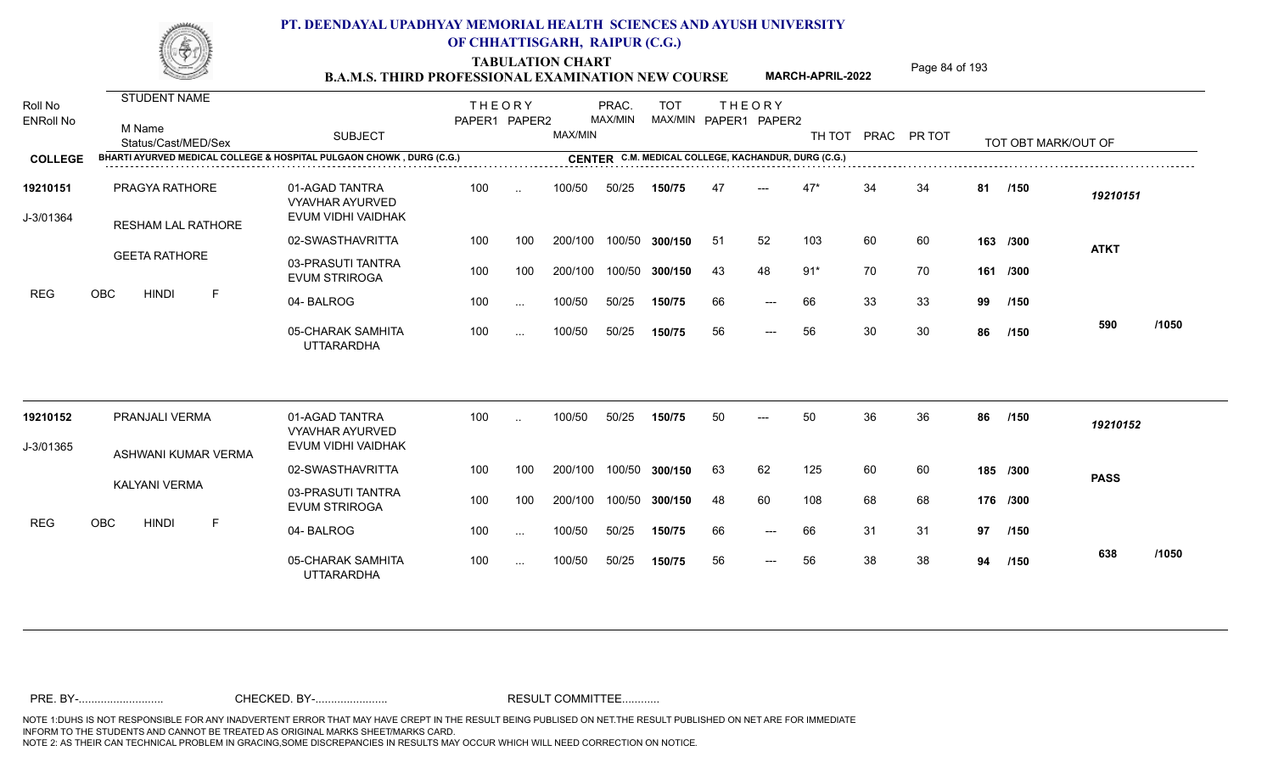TABULATION CHART<br> **TABULATION CHART** PAGE **Page 84 of 193 B.A.M.S. THIRD PROFESSIONAL EXAMINATION NEW COURSE MARCH-APRIL-2022** 

**MARCH-APRIL-2022**

| Roll No               | <b>STUDENT NAME</b>                                                  |                                                                | <b>THEORY</b> |               |                | PRAC.   | <b>TOT</b>     |     | <b>THEORY</b>                                       |        |    |             |    |                     |             |       |
|-----------------------|----------------------------------------------------------------------|----------------------------------------------------------------|---------------|---------------|----------------|---------|----------------|-----|-----------------------------------------------------|--------|----|-------------|----|---------------------|-------------|-------|
| <b>ENRoll No</b>      | M Name<br>Status/Cast/MED/Sex                                        | <b>SUBJECT</b>                                                 | PAPER1 PAPER2 |               | <b>MAX/MIN</b> | MAX/MIN |                |     | MAX/MIN PAPER1 PAPER2                               | TH TOT |    | PRAC PR TOT |    | TOT OBT MARK/OUT OF |             |       |
| <b>COLLEGE</b>        | BHARTI AYURVED MEDICAL COLLEGE & HOSPITAL PULGAON CHOWK, DURG (C.G.) |                                                                |               |               |                |         |                |     | CENTER C.M. MEDICAL COLLEGE, KACHANDUR, DURG (C.G.) |        |    |             |    |                     |             |       |
| 19210151<br>J-3/01364 | PRAGYA RATHORE<br>RESHAM LAL RATHORE                                 | 01-AGAD TANTRA<br><b>VYAVHAR AYURVED</b><br>EVUM VIDHI VAIDHAK | 100           | $\ddotsc$     | 100/50         | 50/25   | 150/75         | -47 |                                                     | $47*$  | 34 | 34          | 81 | /150                | 19210151    |       |
|                       |                                                                      | 02-SWASTHAVRITTA                                               | 100           | 100           | 200/100        |         | 100/50 300/150 | -51 | 52                                                  | 103    | 60 | 60          |    | 163 /300            | <b>ATKT</b> |       |
| <b>REG</b>            | <b>GEETA RATHORE</b>                                                 | 03-PRASUTI TANTRA<br><b>EVUM STRIROGA</b>                      | 100           | 100           | 200/100        |         | 100/50 300/150 | 43  | 48                                                  | $91*$  | 70 | 70          |    | 161 /300            |             |       |
|                       | <b>OBC</b><br><b>HINDI</b><br>$\mathsf{F}$                           | 04-BALROG                                                      | 100           | $\ldots$      | 100/50         | 50/25   | 150/75         | 66  | $---$                                               | 66     | 33 | 33          | 99 | /150                |             |       |
|                       |                                                                      | 05-CHARAK SAMHITA<br><b>UTTARARDHA</b>                         | 100           | $\sim$ $\sim$ | 100/50         | 50/25   | 150/75         | 56  | $\qquad \qquad - -$                                 | 56     | 30 | 30          | 86 | /150                | 590         | /1050 |
| 19210152              | PRANJALI VERMA                                                       | 01-AGAD TANTRA                                                 | 100           | $\ddotsc$     | 100/50         | 50/25   | 150/75         | 50  | $---$                                               | 50     | 36 | 36          | 86 | /150                | 19210152    |       |
| J-3/01365             |                                                                      | <b>VYAVHAR AYURVED</b><br>EVUM VIDHI VAIDHAK                   |               |               |                |         |                |     |                                                     |        |    |             |    |                     |             |       |
|                       | ASHWANI KUMAR VERMA                                                  | 02-SWASTHAVRITTA                                               | 100           | 100           | 200/100        |         | 100/50 300/150 | 63  | 62                                                  | 125    | 60 | 60          |    | 185 /300            | <b>PASS</b> |       |
|                       | KALYANI VERMA                                                        | 03-PRASUTI TANTRA<br><b>EVUM STRIROGA</b>                      | 100           | 100           | 200/100        |         | 100/50 300/150 | 48  | 60                                                  | 108    | 68 | 68          |    | 176 /300            |             |       |
| <b>REG</b>            | OBC<br><b>HINDI</b><br>F                                             | 04-BALROG                                                      | 100           | $\sim$ $\sim$ | 100/50         | 50/25   | 150/75         | 66  | $---$                                               | 66     | 31 | 31          | 97 | /150                |             |       |
|                       |                                                                      | 05-CHARAK SAMHITA<br><b>UTTARARDHA</b>                         | 100           | $\sim$ $\sim$ | 100/50         | 50/25   | 150/75         | 56  | $\qquad \qquad - -$                                 | 56     | 38 | 38          | 94 | /150                | 638         | /1050 |
|                       |                                                                      |                                                                |               |               |                |         |                |     |                                                     |        |    |             |    |                     |             |       |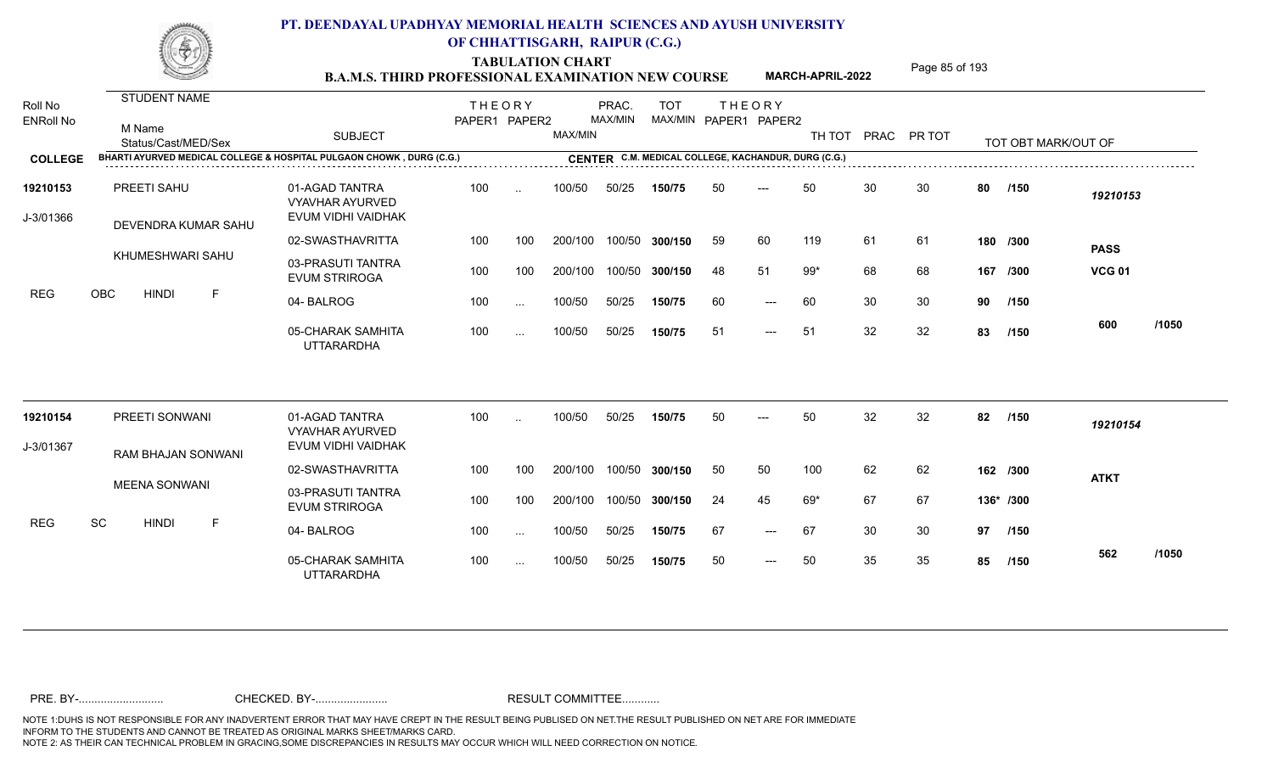TABULATION CHART<br> **TABULATION CHART** PAGE MARCH-APRIL-2022 Page 85 of 193

**MARCH-APRIL-2022**

| Roll No<br><b>ENRoll No</b> | STUDENT NAME<br>M Name<br>Status/Cast/MED/Sex<br>BHARTI AYURVED MEDICAL COLLEGE & HOSPITAL PULGAON CHOWK, DURG (C.G.) | <b>SUBJECT</b>                                                 | <b>THEORY</b><br>PAPER1 PAPER2 |           | MAX/MIN | PRAC.<br>MAX/MIN | <b>TOT</b><br>CENTER C.M. MEDICAL COLLEGE, KACHANDUR, DURG (C.G.) |    | <b>THEORY</b><br>MAX/MIN PAPER1 PAPER2 | TH TOT PRAC PR TOT |    |    |    | TOT OBT MARK/OUT OF |               |       |
|-----------------------------|-----------------------------------------------------------------------------------------------------------------------|----------------------------------------------------------------|--------------------------------|-----------|---------|------------------|-------------------------------------------------------------------|----|----------------------------------------|--------------------|----|----|----|---------------------|---------------|-------|
| <b>COLLEGE</b>              |                                                                                                                       |                                                                |                                |           |         |                  |                                                                   |    |                                        |                    |    |    |    |                     |               |       |
| 19210153<br>J-3/01366       | PREETI SAHU<br>DEVENDRA KUMAR SAHU                                                                                    | 01-AGAD TANTRA<br><b>VYAVHAR AYURVED</b><br>EVUM VIDHI VAIDHAK | 100                            | $\ddotsc$ | 100/50  | 50/25            | 150/75                                                            | 50 | $---$                                  | 50                 | 30 | 30 | 80 | /150                | 19210153      |       |
|                             |                                                                                                                       | 02-SWASTHAVRITTA                                               | 100                            | 100       | 200/100 |                  | 100/50 300/150                                                    | 59 | 60                                     | 119                | 61 | 61 |    | 180 /300            | <b>PASS</b>   |       |
| <b>REG</b>                  | KHUMESHWARI SAHU                                                                                                      | 03-PRASUTI TANTRA<br><b>EVUM STRIROGA</b>                      | 100                            | 100       | 200/100 |                  | 100/50 300/150                                                    | 48 | 51                                     | $99*$              | 68 | 68 |    | 167 /300            | <b>VCG 01</b> |       |
|                             | OBC<br><b>HINDI</b><br>F                                                                                              | 04-BALROG                                                      | 100                            | $\sim$ .  | 100/50  | 50/25            | 150/75                                                            | 60 | $\qquad \qquad - -$                    | 60                 | 30 | 30 | 90 | /150                |               |       |
|                             |                                                                                                                       | 05-CHARAK SAMHITA<br><b>UTTARARDHA</b>                         | 100                            | $\cdots$  | 100/50  | 50/25            | 150/75                                                            | 51 | $---$                                  | -51                | 32 | 32 | 83 | /150                | 600           | /1050 |
| 19210154                    | PREETI SONWANI                                                                                                        | 01-AGAD TANTRA<br><b>VYAVHAR AYURVED</b>                       | 100                            |           | 100/50  | 50/25            | 150/75                                                            | 50 | $---$                                  | 50                 | 32 | 32 | 82 | /150                | 19210154      |       |
| J-3/01367                   | RAM BHAJAN SONWANI                                                                                                    | EVUM VIDHI VAIDHAK                                             |                                |           |         |                  |                                                                   |    |                                        |                    |    |    |    |                     |               |       |
|                             |                                                                                                                       | 02-SWASTHAVRITTA                                               | 100                            | 100       | 200/100 |                  | 100/50 300/150                                                    | 50 | 50                                     | 100                | 62 | 62 |    | 162 /300            | <b>ATKT</b>   |       |
|                             | <b>MEENA SONWANI</b>                                                                                                  | 03-PRASUTI TANTRA<br><b>EVUM STRIROGA</b>                      | 100                            | 100       | 200/100 |                  | 100/50 300/150                                                    | 24 | 45                                     | 69*                | 67 | 67 |    | 136* /300           |               |       |
| <b>REG</b>                  | SC<br><b>HINDI</b><br>F                                                                                               | 04-BALROG                                                      | 100                            | $\cdots$  | 100/50  | 50/25            | 150/75                                                            | 67 | $---$                                  | 67                 | 30 | 30 | 97 | /150                |               |       |
|                             |                                                                                                                       | 05-CHARAK SAMHITA<br><b>UTTARARDHA</b>                         | 100                            | $\cdots$  | 100/50  | 50/25            | 150/75                                                            | 50 | $\qquad \qquad - -$                    | 50                 | 35 | 35 | 85 | /150                | 562           | /1050 |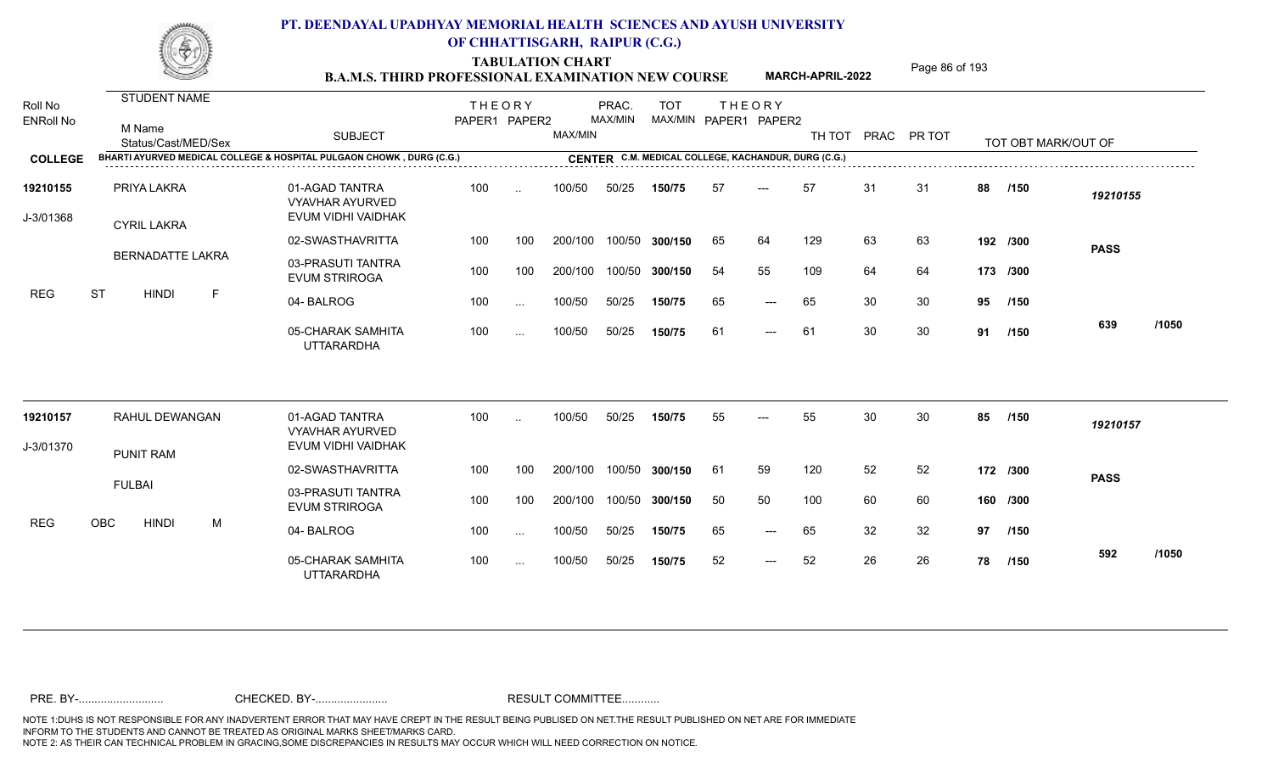**TABULATION CHART<br>B.A.M.S. THIRD PROFESSIONAL EXAMINATION NEW COURSE** MARCH-APRIL-2022 Page 86 of 193

**MARCH-APRIL-2022**

| Roll No<br><b>ENRoll No</b> |                                                                      |                                                                |               |           |         |         |                |     |                                                     |        |    |             |    |                     |             |       |
|-----------------------------|----------------------------------------------------------------------|----------------------------------------------------------------|---------------|-----------|---------|---------|----------------|-----|-----------------------------------------------------|--------|----|-------------|----|---------------------|-------------|-------|
|                             | <b>STUDENT NAME</b>                                                  |                                                                | <b>THEORY</b> |           |         | PRAC.   | <b>TOT</b>     |     | <b>THEORY</b>                                       |        |    |             |    |                     |             |       |
|                             | M Name<br>Status/Cast/MED/Sex                                        | <b>SUBJECT</b>                                                 | PAPER1 PAPER2 |           | MAX/MIN | MAX/MIN | MAX/MIN        |     | PAPER1 PAPER2                                       | TH TOT |    | PRAC PR TOT |    | TOT OBT MARK/OUT OF |             |       |
| <b>COLLEGE</b>              | BHARTI AYURVED MEDICAL COLLEGE & HOSPITAL PULGAON CHOWK, DURG (C.G.) |                                                                |               |           |         |         |                |     | CENTER C.M. MEDICAL COLLEGE, KACHANDUR, DURG (C.G.) |        |    |             |    |                     |             |       |
| 19210155<br>J-3/01368       | PRIYA LAKRA                                                          | 01-AGAD TANTRA<br><b>VYAVHAR AYURVED</b><br>EVUM VIDHI VAIDHAK | 100           | $\ddotsc$ | 100/50  | 50/25   | 150/75         | -57 | $---$                                               | 57     | 31 | -31         | 88 | /150                | 19210155    |       |
|                             | <b>CYRIL LAKRA</b>                                                   | 02-SWASTHAVRITTA                                               | 100           | 100       | 200/100 |         | 100/50 300/150 | 65  | 64                                                  | 129    | 63 | 63          |    | 192 /300            | <b>PASS</b> |       |
| <b>REG</b>                  | <b>BERNADATTE LAKRA</b>                                              | 03-PRASUTI TANTRA<br><b>EVUM STRIROGA</b>                      | 100           | 100       | 200/100 | 100/50  | 300/150        | 54  | 55                                                  | 109    | 64 | 64          |    | 173 /300            |             |       |
|                             | <b>ST</b><br><b>HINDI</b><br>F                                       | 04-BALROG                                                      | 100           | $\sim$    | 100/50  | 50/25   | 150/75         | 65  | $---$                                               | 65     | 30 | 30          | 95 | /150                |             |       |
|                             |                                                                      | 05-CHARAK SAMHITA<br><b>UTTARARDHA</b>                         | 100           | $\cdots$  | 100/50  | 50/25   | 150/75         | 61  | $---$                                               | 61     | 30 | 30          | 91 | /150                | 639         | /1050 |
| 19210157                    | RAHUL DEWANGAN                                                       | 01-AGAD TANTRA                                                 | 100           | $\cdot$ . | 100/50  | 50/25   | 150/75         | 55  |                                                     | 55     | 30 | 30          | 85 | /150                | 19210157    |       |
| J-3/01370                   |                                                                      | <b>VYAVHAR AYURVED</b><br>EVUM VIDHI VAIDHAK                   |               |           |         |         |                |     |                                                     |        |    |             |    |                     |             |       |
|                             | <b>PUNIT RAM</b>                                                     | 02-SWASTHAVRITTA                                               | 100           | 100       | 200/100 | 100/50  | 300/150        | -61 | 59                                                  | 120    | 52 | 52          |    | 172 /300            | <b>PASS</b> |       |
|                             | <b>FULBAI</b>                                                        | 03-PRASUTI TANTRA<br><b>EVUM STRIROGA</b>                      | 100           | 100       | 200/100 |         | 100/50 300/150 | 50  | 50                                                  | 100    | 60 | 60          |    | 160 /300            |             |       |
| REG                         | OBC<br><b>HINDI</b><br>M                                             | 04-BALROG                                                      | 100           | $\cdots$  | 100/50  | 50/25   | 150/75         | 65  | $---$                                               | 65     | 32 | 32          | 97 | /150                |             |       |
|                             |                                                                      | 05-CHARAK SAMHITA<br><b>UTTARARDHA</b>                         | 100           | $\sim$    | 100/50  | 50/25   | 150/75         | 52  | $---$                                               | 52     | 26 | 26          | 78 | /150                | 592         | /1050 |
|                             |                                                                      |                                                                |               |           |         |         |                |     |                                                     |        |    |             |    |                     |             |       |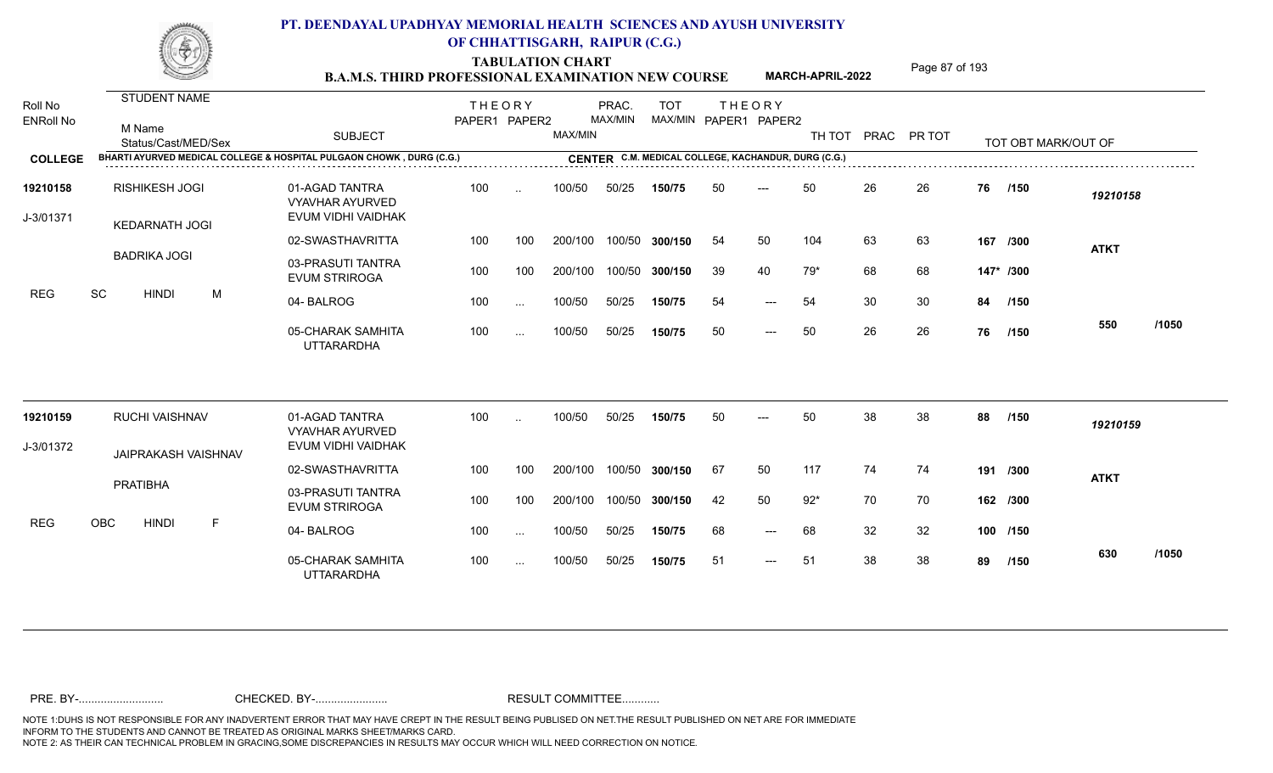**TABULATION CHART<br>B.A.M.S. THIRD PROFESSIONAL EXAMINATION NEW COURSE** MARCH-APRIL-2022 Page 87 of 193

**MARCH-APRIL-2022**

| <b>ENRoll No</b>      |                                                                      |                                                                |               |               |         |         |                |    |                                                     |        |    |             |    |                     |             |       |
|-----------------------|----------------------------------------------------------------------|----------------------------------------------------------------|---------------|---------------|---------|---------|----------------|----|-----------------------------------------------------|--------|----|-------------|----|---------------------|-------------|-------|
| Roll No               | STUDENT NAME                                                         |                                                                | <b>THEORY</b> |               |         | PRAC.   | <b>TOT</b>     |    | <b>THEORY</b>                                       |        |    |             |    |                     |             |       |
|                       | M Name<br>Status/Cast/MED/Sex                                        | <b>SUBJECT</b>                                                 | PAPER1 PAPER2 |               | MAX/MIN | MAX/MIN |                |    | MAX/MIN PAPER1 PAPER2                               | TH TOT |    | PRAC PR TOT |    | TOT OBT MARK/OUT OF |             |       |
| <b>COLLEGE</b>        | BHARTI AYURVED MEDICAL COLLEGE & HOSPITAL PULGAON CHOWK, DURG (C.G.) |                                                                |               |               |         |         |                |    | CENTER C.M. MEDICAL COLLEGE, KACHANDUR, DURG (C.G.) |        |    |             |    |                     |             |       |
| 19210158<br>J-3/01371 | <b>RISHIKESH JOGI</b><br><b>KEDARNATH JOGI</b>                       | 01-AGAD TANTRA<br><b>VYAVHAR AYURVED</b><br>EVUM VIDHI VAIDHAK | 100           | $\ddotsc$     | 100/50  | 50/25   | 150/75         | 50 | $---$                                               | 50     | 26 | 26          | 76 | /150                | 19210158    |       |
|                       |                                                                      | 02-SWASTHAVRITTA                                               | 100           | 100           | 200/100 |         | 100/50 300/150 | 54 | 50                                                  | 104    | 63 | 63          |    | 167 /300            | <b>ATKT</b> |       |
| <b>REG</b>            | <b>BADRIKA JOGI</b>                                                  | 03-PRASUTI TANTRA<br><b>EVUM STRIROGA</b>                      | 100           | 100           | 200/100 |         | 100/50 300/150 | 39 | 40                                                  | 79*    | 68 | 68          |    | 147* /300           |             |       |
|                       | SC<br><b>HINDI</b><br>M                                              | 04-BALROG                                                      | 100           | $\sim$ $\sim$ | 100/50  | 50/25   | 150/75         | 54 | $---$                                               | 54     | 30 | 30          | 84 | /150                |             |       |
|                       |                                                                      | 05-CHARAK SAMHITA<br><b>UTTARARDHA</b>                         | 100           | $\sim$ $\sim$ | 100/50  | 50/25   | 150/75         | 50 | $---$                                               | 50     | 26 | 26          | 76 | /150                | 550         | /1050 |
| 19210159              | <b>RUCHI VAISHNAV</b>                                                | 01-AGAD TANTRA<br><b>VYAVHAR AYURVED</b>                       | 100           | $\cdot$ .     | 100/50  | 50/25   | 150/75         | 50 |                                                     | 50     | 38 | 38          | 88 | /150                | 19210159    |       |
| J-3/01372             | JAIPRAKASH VAISHNAV                                                  | EVUM VIDHI VAIDHAK                                             |               |               |         |         |                |    |                                                     |        |    |             |    |                     |             |       |
|                       |                                                                      | 02-SWASTHAVRITTA                                               | 100           | 100           | 200/100 |         | 100/50 300/150 | 67 | 50                                                  | 117    | 74 | 74          |    | 191 /300            | <b>ATKT</b> |       |
|                       | PRATIBHA                                                             | 03-PRASUTI TANTRA<br><b>EVUM STRIROGA</b>                      | 100           | 100           | 200/100 |         | 100/50 300/150 | 42 | 50                                                  | $92*$  | 70 | 70          |    | 162 /300            |             |       |
| <b>REG</b>            | OBC<br><b>HINDI</b><br>F                                             | 04-BALROG                                                      | 100           | $\ldots$      | 100/50  | 50/25   | 150/75         | 68 | $\qquad \qquad - -$                                 | 68     | 32 | 32          |    | 100 /150            |             |       |
|                       |                                                                      | 05-CHARAK SAMHITA<br><b>UTTARARDHA</b>                         | 100           | $\sim$ $\sim$ | 100/50  | 50/25   | 150/75         | 51 | $\qquad \qquad - -$                                 | 51     | 38 | 38          | 89 | /150                | 630         | /1050 |
|                       |                                                                      |                                                                |               |               |         |         |                |    |                                                     |        |    |             |    |                     |             |       |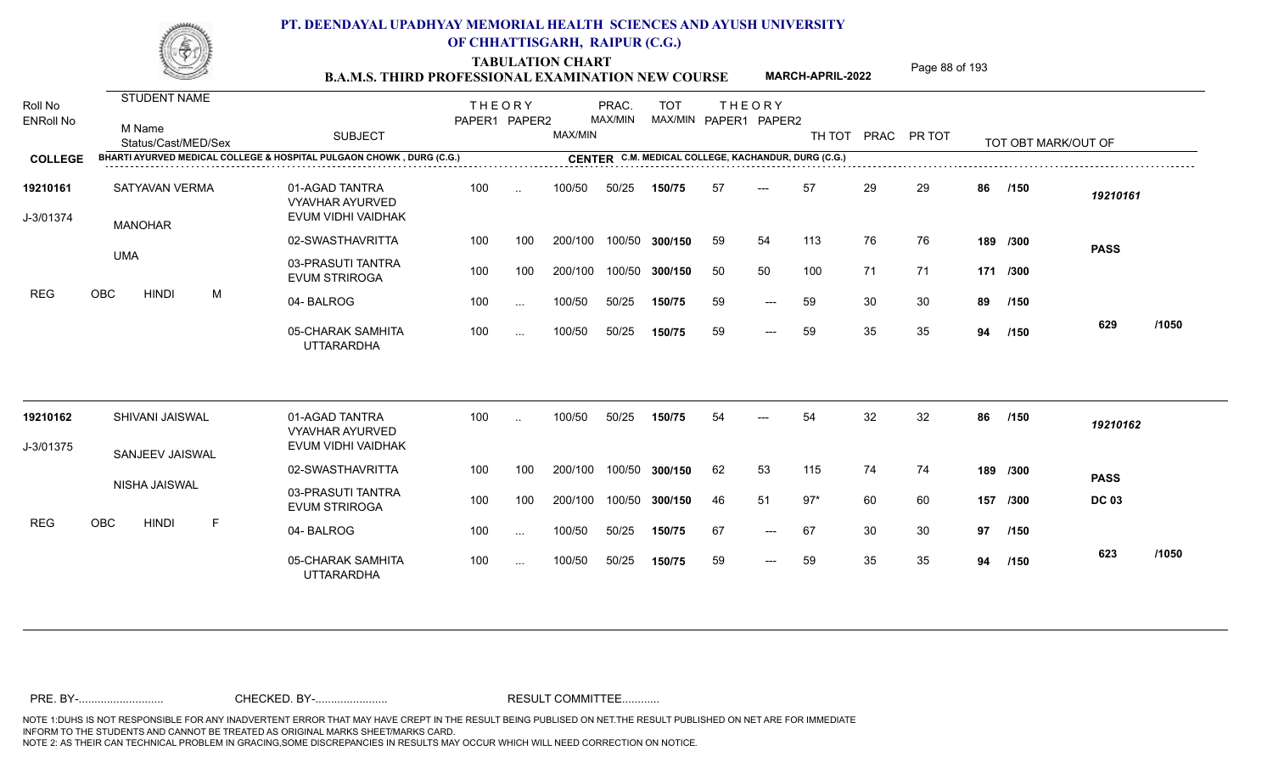TABULATION CHART<br> **TABULATION CHART** PAGE **Page 88 of 193 Page 88 of 193 B.A.M.S. THIRD PROFESSIONAL EXAMINATION NEW COURSE MARCH-APRIL-2022** 

**MARCH-APRIL-2022**

| Roll No<br><b>ENRoll No</b> | <b>STUDENT NAME</b><br>M Name<br>Status/Cast/MED/Sex                 | <b>SUBJECT</b>                                                 | <b>THEORY</b><br>PAPER1 PAPER2 |           | MAX/MIN | PRAC.<br>MAX/MIN | <b>TOT</b>     |     | <b>THEORY</b><br>MAX/MIN PAPER1 PAPER2              | TH TOT |    | PRAC PR TOT |    | TOT OBT MARK/OUT OF |              |       |
|-----------------------------|----------------------------------------------------------------------|----------------------------------------------------------------|--------------------------------|-----------|---------|------------------|----------------|-----|-----------------------------------------------------|--------|----|-------------|----|---------------------|--------------|-------|
| <b>COLLEGE</b>              | BHARTI AYURVED MEDICAL COLLEGE & HOSPITAL PULGAON CHOWK, DURG (C.G.) |                                                                |                                |           |         |                  |                |     | CENTER C.M. MEDICAL COLLEGE, KACHANDUR, DURG (C.G.) |        |    |             |    |                     |              |       |
| 19210161<br>J-3/01374       | SATYAVAN VERMA<br><b>MANOHAR</b>                                     | 01-AGAD TANTRA<br><b>VYAVHAR AYURVED</b><br>EVUM VIDHI VAIDHAK | 100                            | $\cdot$ . | 100/50  | 50/25            | 150/75         | -57 | $---$                                               | 57     | 29 | 29          | 86 | /150                | 19210161     |       |
|                             |                                                                      | 02-SWASTHAVRITTA                                               | 100                            | 100       | 200/100 |                  | 100/50 300/150 | 59  | 54                                                  | 113    | 76 | 76          |    | 189 /300            | <b>PASS</b>  |       |
| <b>REG</b>                  | <b>UMA</b>                                                           | 03-PRASUTI TANTRA<br><b>EVUM STRIROGA</b>                      | 100                            | 100       | 200/100 |                  | 100/50 300/150 | 50  | 50                                                  | 100    | 71 | 71          |    | 171 /300            |              |       |
|                             | <b>OBC</b><br><b>HINDI</b><br>M                                      | 04-BALROG                                                      | 100                            | $\cdots$  | 100/50  | 50/25            | 150/75         | 59  | $---$                                               | 59     | 30 | 30          | 89 | /150                |              |       |
|                             |                                                                      | 05-CHARAK SAMHITA<br><b>UTTARARDHA</b>                         | 100                            | $\cdots$  | 100/50  | 50/25            | 150/75         | 59  | $---$                                               | 59     | 35 | 35          | 94 | /150                | 629          | /1050 |
| 19210162                    | SHIVANI JAISWAL                                                      | 01-AGAD TANTRA<br><b>VYAVHAR AYURVED</b>                       | 100                            | $\cdot$ . | 100/50  | 50/25            | 150/75         | 54  |                                                     | 54     | 32 | 32          | 86 | /150                | 19210162     |       |
| J-3/01375                   | SANJEEV JAISWAL                                                      | EVUM VIDHI VAIDHAK                                             |                                |           |         |                  |                |     |                                                     |        |    |             |    |                     |              |       |
|                             |                                                                      | 02-SWASTHAVRITTA                                               | 100                            | 100       | 200/100 |                  | 100/50 300/150 | 62  | 53                                                  | 115    | 74 | 74          |    | 189 /300            | <b>PASS</b>  |       |
|                             | NISHA JAISWAL                                                        | 03-PRASUTI TANTRA<br><b>EVUM STRIROGA</b>                      | 100                            | 100       | 200/100 |                  | 100/50 300/150 | 46  | 51                                                  | $97*$  | 60 | 60          |    | 157 /300            | <b>DC 03</b> |       |
| <b>REG</b>                  | OBC<br><b>HINDI</b><br>F                                             | 04-BALROG                                                      | 100                            | $\cdots$  | 100/50  | 50/25            | 150/75         | 67  | $---$                                               | 67     | 30 | 30          | 97 | /150                |              |       |
|                             |                                                                      | 05-CHARAK SAMHITA<br><b>UTTARARDHA</b>                         | 100                            | $\cdots$  | 100/50  | 50/25            | 150/75         | 59  | $\qquad \qquad - -$                                 | 59     | 35 | 35          | 94 | /150                | 623          | /1050 |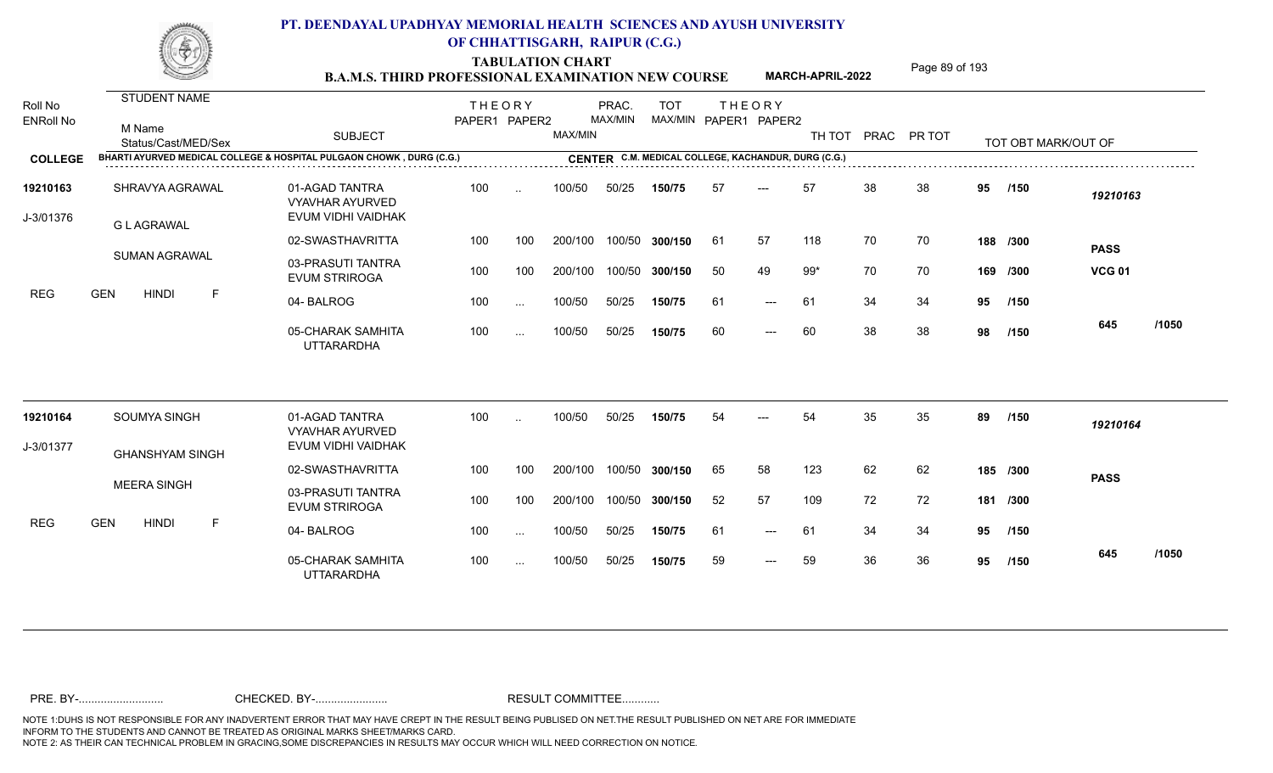**TABULATION CHART<br>B.A.M.S. THIRD PROFESSIONAL EXAMINATION NEW COURSE** MARCH-APRIL-2022 Page 89 of 193

**MARCH-APRIL-2022**

| Roll No<br><b>ENRoll No</b> |                                                                      |                                                                |               |               |         |         |                                                     |    |                     |       |    |                    |     |                     |               |       |
|-----------------------------|----------------------------------------------------------------------|----------------------------------------------------------------|---------------|---------------|---------|---------|-----------------------------------------------------|----|---------------------|-------|----|--------------------|-----|---------------------|---------------|-------|
|                             | <b>STUDENT NAME</b>                                                  |                                                                | <b>THEORY</b> |               |         | PRAC.   | <b>TOT</b>                                          |    | <b>THEORY</b>       |       |    |                    |     |                     |               |       |
|                             | M Name<br>Status/Cast/MED/Sex                                        | <b>SUBJECT</b>                                                 | PAPER1 PAPER2 |               | MAX/MIN | MAX/MIN | MAX/MIN PAPER1 PAPER2                               |    |                     |       |    | TH TOT PRAC PR TOT |     | TOT OBT MARK/OUT OF |               |       |
| <b>COLLEGE</b>              | BHARTI AYURVED MEDICAL COLLEGE & HOSPITAL PULGAON CHOWK, DURG (C.G.) |                                                                |               |               |         |         | CENTER C.M. MEDICAL COLLEGE, KACHANDUR, DURG (C.G.) |    |                     |       |    |                    |     |                     |               |       |
| 19210163<br>J-3/01376       | SHRAVYA AGRAWAL<br><b>G L AGRAWAL</b>                                | 01-AGAD TANTRA<br><b>VYAVHAR AYURVED</b><br>EVUM VIDHI VAIDHAK | 100           | $\sim$        | 100/50  | 50/25   | 150/75                                              | 57 | ---                 | 57    | 38 | 38                 | 95  | /150                | 19210163      |       |
|                             |                                                                      | 02-SWASTHAVRITTA                                               | 100           | 100           | 200/100 |         | 100/50 300/150                                      | 61 | 57                  | 118   | 70 | 70                 |     | 188 /300            | <b>PASS</b>   |       |
|                             | <b>SUMAN AGRAWAL</b>                                                 | 03-PRASUTI TANTRA<br><b>EVUM STRIROGA</b>                      | 100           | 100           | 200/100 | 100/50  | 300/150                                             | 50 | 49                  | $99*$ | 70 | 70                 |     | 169 /300            | <b>VCG 01</b> |       |
| <b>REG</b>                  | <b>GEN</b><br><b>HINDI</b><br>F                                      | 04-BALROG                                                      | 100           | $\ddotsc$     | 100/50  | 50/25   | 150/75                                              | 61 | $---$               | 61    | 34 | 34                 | 95  | /150                |               |       |
|                             |                                                                      | 05-CHARAK SAMHITA<br><b>UTTARARDHA</b>                         | 100           | $\sim$ $\sim$ | 100/50  | 50/25   | 150/75                                              | 60 | $\qquad \qquad - -$ | 60    | 38 | 38                 | 98  | /150                | 645           | /1050 |
| 19210164                    | SOUMYA SINGH                                                         | 01-AGAD TANTRA                                                 | 100           |               | 100/50  | 50/25   | 150/75                                              | 54 |                     | 54    | 35 | 35                 | 89  | /150                | 19210164      |       |
| J-3/01377                   |                                                                      | <b>VYAVHAR AYURVED</b><br>EVUM VIDHI VAIDHAK                   |               |               |         |         |                                                     |    |                     |       |    |                    |     |                     |               |       |
|                             | <b>GHANSHYAM SINGH</b>                                               | 02-SWASTHAVRITTA                                               | 100           | 100           | 200/100 | 100/50  | 300/150                                             | 65 | 58                  | 123   | 62 | 62                 |     | 185 /300            | <b>PASS</b>   |       |
|                             | <b>MEERA SINGH</b>                                                   | 03-PRASUTI TANTRA<br><b>EVUM STRIROGA</b>                      | 100           | 100           | 200/100 |         | 100/50 300/150                                      | 52 | 57                  | 109   | 72 | 72                 | 181 | /300                |               |       |
| <b>REG</b>                  | <b>GEN</b><br><b>HINDI</b><br>F                                      | 04-BALROG                                                      | 100           | $\cdots$      | 100/50  | 50/25   | 150/75                                              | 61 | $---$               | 61    | 34 | 34                 | 95  | /150                |               |       |
|                             |                                                                      | 05-CHARAK SAMHITA<br><b>UTTARARDHA</b>                         | 100           | $\sim$ $\sim$ | 100/50  | 50/25   | 150/75                                              | 59 | $---$               | 59    | 36 | 36                 | 95  | /150                | 645           | /1050 |
|                             |                                                                      |                                                                |               |               |         |         |                                                     |    |                     |       |    |                    |     |                     |               |       |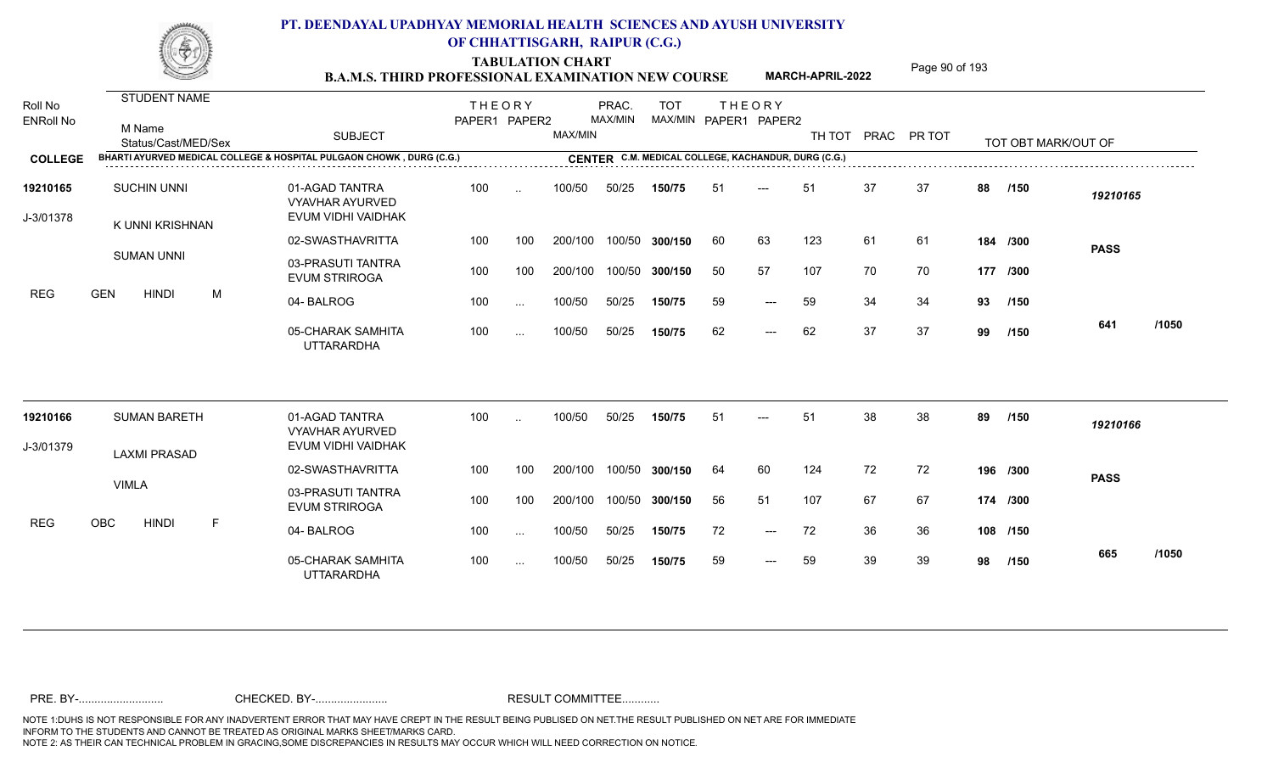TABULATION CHART<br> **TABULATION CHART** PAGE MARCH-APRIL-2022 Page 90 of 193

**MARCH-APRIL-2022**

| Roll No<br><b>ENRoll No</b> | <b>STUDENT NAME</b><br>M Name<br>Status/Cast/MED/Sex | <b>SUBJECT</b>                                                       | <b>THEORY</b><br>PAPER1 PAPER2 |                      | MAX/MIN | PRAC.<br>MAX/MIN | <b>TOT</b>                                          |     | <b>THEORY</b><br>MAX/MIN PAPER1 PAPER2 | TH TOT |    | PRAC PR TOT |    | TOT OBT MARK/OUT OF |             |       |
|-----------------------------|------------------------------------------------------|----------------------------------------------------------------------|--------------------------------|----------------------|---------|------------------|-----------------------------------------------------|-----|----------------------------------------|--------|----|-------------|----|---------------------|-------------|-------|
| <b>COLLEGE</b>              |                                                      | BHARTI AYURVED MEDICAL COLLEGE & HOSPITAL PULGAON CHOWK, DURG (C.G.) |                                |                      |         |                  | CENTER C.M. MEDICAL COLLEGE, KACHANDUR, DURG (C.G.) |     |                                        |        |    |             |    |                     |             |       |
| 19210165<br>J-3/01378       | <b>SUCHIN UNNI</b><br>K UNNI KRISHNAN                | 01-AGAD TANTRA<br><b>VYAVHAR AYURVED</b><br>EVUM VIDHI VAIDHAK       | 100                            | $\sim$               | 100/50  | 50/25            | 150/75                                              | 51  | $---$                                  | 51     | 37 | 37          | 88 | /150                | 19210165    |       |
|                             |                                                      | 02-SWASTHAVRITTA                                                     | 100                            | 100                  | 200/100 |                  | 100/50 300/150                                      | -60 | 63                                     | 123    | 61 | 61          |    | 184 /300            | <b>PASS</b> |       |
|                             | <b>SUMAN UNNI</b>                                    | 03-PRASUTI TANTRA<br><b>EVUM STRIROGA</b>                            | 100                            | 100                  | 200/100 |                  | 100/50 300/150                                      | 50  | 57                                     | 107    | 70 | 70          |    | 177 /300            |             |       |
| <b>REG</b>                  | <b>GEN</b><br>M<br><b>HINDI</b>                      | 04-BALROG                                                            | 100                            | $\cdots$             | 100/50  | 50/25            | 150/75                                              | 59  | $---$                                  | 59     | 34 | 34          | 93 | /150                |             |       |
|                             |                                                      | 05-CHARAK SAMHITA<br><b>UTTARARDHA</b>                               | 100                            | $\ddotsc$            | 100/50  | 50/25            | 150/75                                              | 62  | $---$                                  | 62     | 37 | 37          | 99 | /150                | 641         | /1050 |
| 19210166                    | <b>SUMAN BARETH</b>                                  | 01-AGAD TANTRA<br><b>VYAVHAR AYURVED</b>                             | 100                            | $\ddot{\phantom{a}}$ | 100/50  | 50/25            | 150/75                                              | 51  | $---$                                  | 51     | 38 | 38          | 89 | /150                | 19210166    |       |
| J-3/01379                   | <b>LAXMI PRASAD</b>                                  | EVUM VIDHI VAIDHAK                                                   |                                |                      |         |                  |                                                     |     |                                        |        |    |             |    |                     |             |       |
|                             |                                                      | 02-SWASTHAVRITTA                                                     | 100                            | 100                  | 200/100 | 100/50           | 300/150                                             | 64  | 60                                     | 124    | 72 | 72          |    | 196 /300            | <b>PASS</b> |       |
|                             | <b>VIMLA</b>                                         | 03-PRASUTI TANTRA<br><b>EVUM STRIROGA</b>                            | 100                            | 100                  | 200/100 |                  | 100/50 300/150                                      | 56  | 51                                     | 107    | 67 | 67          |    | 174 /300            |             |       |
| REG                         | OBC<br><b>HINDI</b><br>F                             | 04-BALROG                                                            | 100                            | $\ddotsc$            | 100/50  | 50/25            | 150/75                                              | 72  | $\qquad \qquad - -$                    | 72     | 36 | 36          |    | 108 /150            |             |       |
|                             |                                                      | 05-CHARAK SAMHITA<br><b>UTTARARDHA</b>                               | 100                            | $\ldots$             | 100/50  | 50/25            | 150/75                                              | 59  | $---$                                  | 59     | 39 | 39          | 98 | /150                | 665         | /1050 |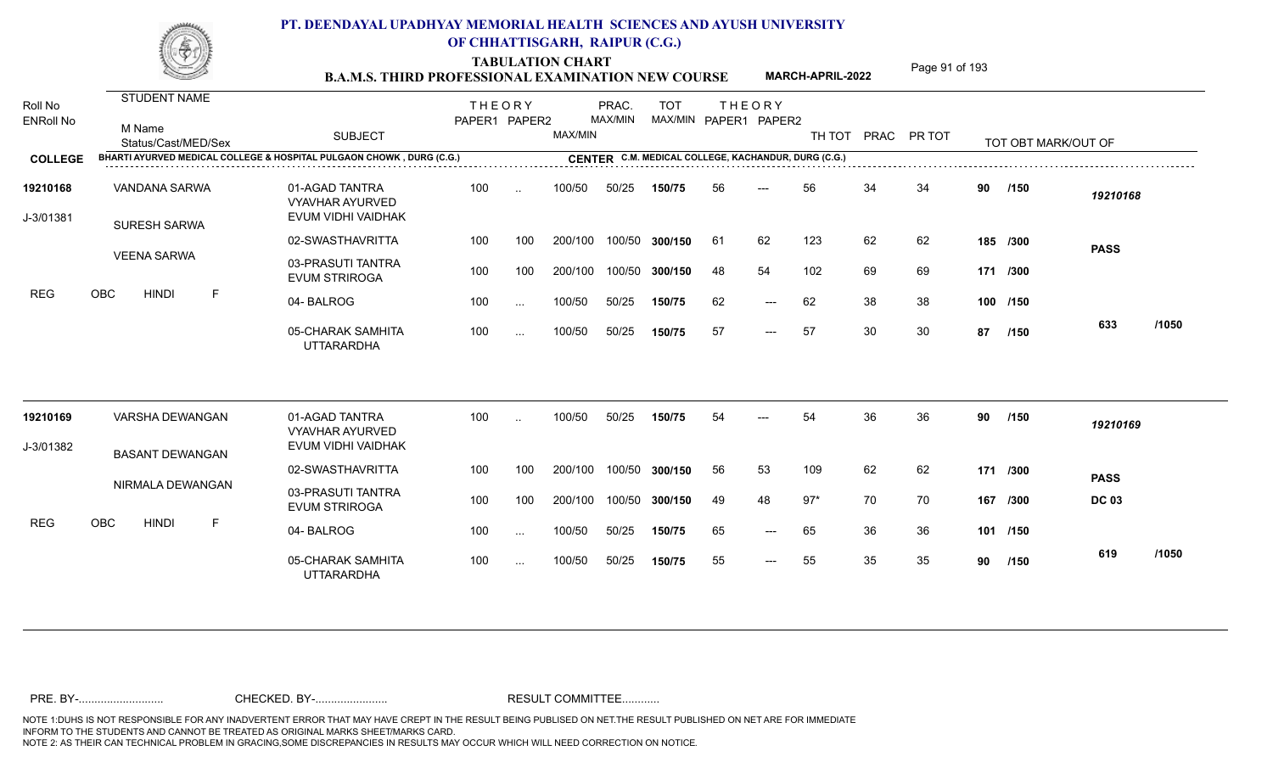TABULATION CHART<br> **TABULATION CHART B.A.M.S. THIRD PROFESSIONAL EXAMINATION NEW COURSE** MARCH-APRIL-2022

**MARCH-APRIL-2022**

| Roll No<br><b>ENRoll No</b> | <b>STUDENT NAME</b><br>M Name<br>Status/Cast/MED/Sex                 | <b>SUBJECT</b>                                                 | <b>THEORY</b><br>PAPER1 PAPER2 |               | MAX/MIN | PRAC.<br>MAX/MIN | <b>TOT</b>                                          |     | <b>THEORY</b><br>MAX/MIN PAPER1 PAPER2 | TH TOT |    | PRAC PR TOT |    | TOT OBT MARK/OUT OF |              |       |
|-----------------------------|----------------------------------------------------------------------|----------------------------------------------------------------|--------------------------------|---------------|---------|------------------|-----------------------------------------------------|-----|----------------------------------------|--------|----|-------------|----|---------------------|--------------|-------|
| <b>COLLEGE</b>              | BHARTI AYURVED MEDICAL COLLEGE & HOSPITAL PULGAON CHOWK, DURG (C.G.) |                                                                |                                |               |         |                  | CENTER C.M. MEDICAL COLLEGE, KACHANDUR, DURG (C.G.) |     |                                        |        |    |             |    |                     |              |       |
| 19210168<br>J-3/01381       | VANDANA SARWA<br><b>SURESH SARWA</b>                                 | 01-AGAD TANTRA<br><b>VYAVHAR AYURVED</b><br>EVUM VIDHI VAIDHAK | 100                            | $\ddotsc$     | 100/50  | 50/25            | 150/75                                              | 56  | $---$                                  | 56     | 34 | 34          | 90 | /150                | 19210168     |       |
|                             |                                                                      | 02-SWASTHAVRITTA                                               | 100                            | 100           | 200/100 |                  | 100/50 300/150                                      | -61 | 62                                     | 123    | 62 | 62          |    | 185 /300            | <b>PASS</b>  |       |
| <b>REG</b>                  | <b>VEENA SARWA</b>                                                   | 03-PRASUTI TANTRA<br><b>EVUM STRIROGA</b>                      | 100                            | 100           | 200/100 |                  | 100/50 300/150                                      | 48  | 54                                     | 102    | 69 | 69          |    | 171 /300            |              |       |
|                             | <b>OBC</b><br><b>HINDI</b><br>F                                      | 04-BALROG                                                      | 100                            | $\sim$ $\sim$ | 100/50  | 50/25            | 150/75                                              | 62  | $---$                                  | 62     | 38 | 38          |    | 100 /150            |              |       |
|                             |                                                                      | 05-CHARAK SAMHITA<br><b>UTTARARDHA</b>                         | 100                            | $\sim$ .      | 100/50  | 50/25            | 150/75                                              | 57  | $\qquad \qquad - -$                    | 57     | 30 | 30          | 87 | /150                | 633          | /1050 |
| 19210169                    | VARSHA DEWANGAN                                                      | 01-AGAD TANTRA<br><b>VYAVHAR AYURVED</b>                       | 100                            | $\ddotsc$     | 100/50  | 50/25            | 150/75                                              | 54  |                                        | 54     | 36 | 36          | 90 | /150                | 19210169     |       |
| J-3/01382                   | <b>BASANT DEWANGAN</b>                                               | EVUM VIDHI VAIDHAK                                             |                                |               |         |                  |                                                     |     |                                        |        |    |             |    |                     |              |       |
|                             |                                                                      | 02-SWASTHAVRITTA                                               | 100                            | 100           | 200/100 |                  | 100/50 300/150                                      | 56  | 53                                     | 109    | 62 | 62          |    | 171 /300            | <b>PASS</b>  |       |
|                             | NIRMALA DEWANGAN                                                     | 03-PRASUTI TANTRA<br><b>EVUM STRIROGA</b>                      | 100                            | 100           | 200/100 |                  | 100/50 300/150                                      | 49  | 48                                     | $97*$  | 70 | 70          |    | 167 /300            | <b>DC 03</b> |       |
| <b>REG</b>                  | <b>OBC</b><br><b>HINDI</b><br>F                                      | 04-BALROG                                                      | 100                            | $\sim$ $\sim$ | 100/50  | 50/25            | 150/75                                              | 65  | $---$                                  | 65     | 36 | 36          |    | 101 /150            |              |       |
|                             |                                                                      | 05-CHARAK SAMHITA<br><b>UTTARARDHA</b>                         | 100                            | $\sim$ $\sim$ | 100/50  | 50/25            | 150/75                                              | 55  | $\qquad \qquad - -$                    | 55     | 35 | 35          | 90 | /150                | 619          | /1050 |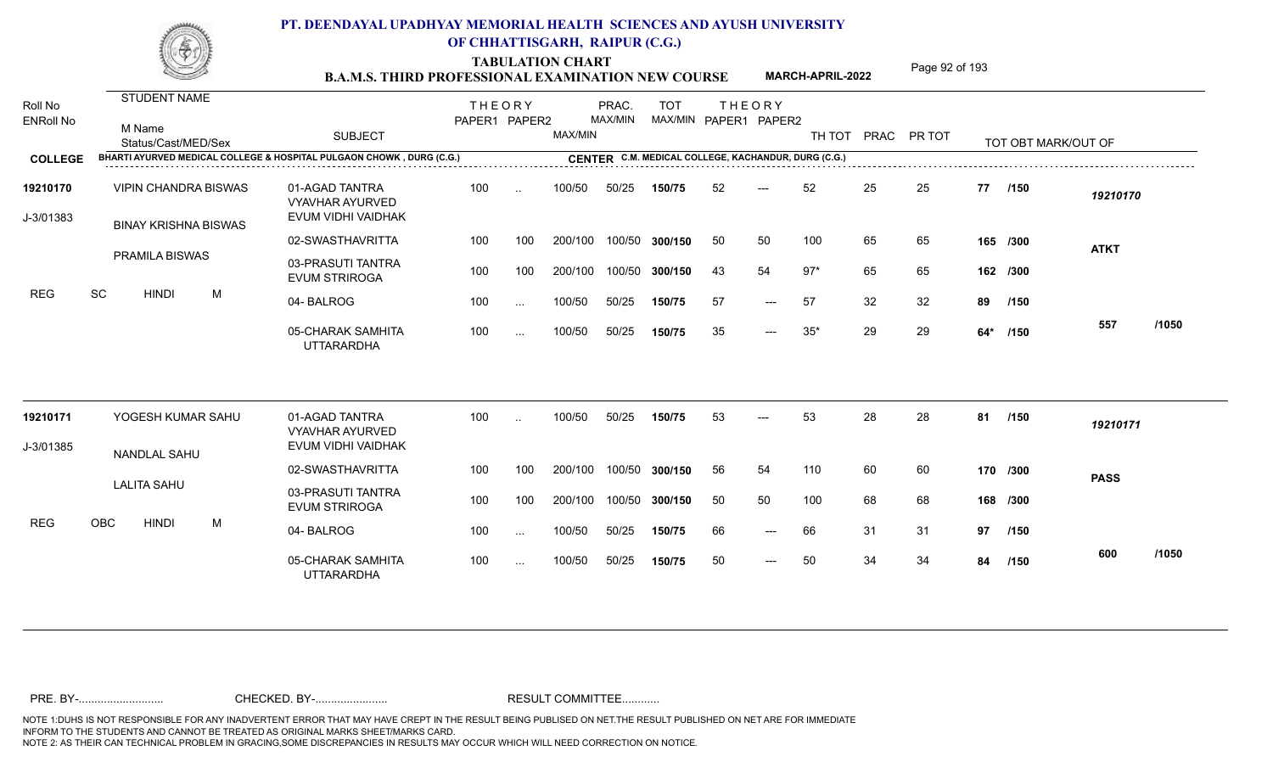TABULATION CHART<br> **TABULATION CHART** PAGE MARCH-APRIL-2022 Page 92 of 193

**MARCH-APRIL-2022**

| Roll No<br><b>ENRoll No</b> |     | <b>STUDENT NAME</b><br>M Name<br>Status/Cast/MED/Sex       |   | <b>SUBJECT</b>                                                       | <b>THEORY</b><br>PAPER1 PAPER2 |           | MAX/MIN | PRAC.<br>MAX/MIN | <b>TOT</b>     |    | <b>THEORY</b><br>MAX/MIN PAPER1 PAPER2              | TH TOT |    | PRAC PR TOT |     | TOT OBT MARK/OUT OF |             |       |
|-----------------------------|-----|------------------------------------------------------------|---|----------------------------------------------------------------------|--------------------------------|-----------|---------|------------------|----------------|----|-----------------------------------------------------|--------|----|-------------|-----|---------------------|-------------|-------|
| <b>COLLEGE</b>              |     |                                                            |   | BHARTI AYURVED MEDICAL COLLEGE & HOSPITAL PULGAON CHOWK, DURG (C.G.) |                                |           |         |                  |                |    | CENTER C.M. MEDICAL COLLEGE, KACHANDUR, DURG (C.G.) |        |    |             |     |                     |             |       |
| 19210170<br>J-3/01383       |     | <b>VIPIN CHANDRA BISWAS</b><br><b>BINAY KRISHNA BISWAS</b> |   | 01-AGAD TANTRA<br><b>VYAVHAR AYURVED</b><br>EVUM VIDHI VAIDHAK       | 100                            | $\ddotsc$ | 100/50  | 50/25            | 150/75         | 52 | ---                                                 | 52     | 25 | 25          | 77  | /150                | 19210170    |       |
|                             |     |                                                            |   | 02-SWASTHAVRITTA                                                     | 100                            | 100       | 200/100 |                  | 100/50 300/150 | 50 | 50                                                  | 100    | 65 | 65          |     | 165 /300            |             |       |
|                             |     | <b>PRAMILA BISWAS</b>                                      |   | 03-PRASUTI TANTRA<br><b>EVUM STRIROGA</b>                            | 100                            | 100       | 200/100 |                  | 100/50 300/150 | 43 | 54                                                  | $97*$  | 65 | 65          |     | 162 /300            | <b>ATKT</b> |       |
| <b>REG</b>                  | SC  | <b>HINDI</b>                                               | M | 04-BALROG                                                            | 100                            | $\cdots$  | 100/50  | 50/25            | 150/75         | 57 | $---$                                               | 57     | 32 | 32          | 89  | /150                |             |       |
|                             |     |                                                            |   | 05-CHARAK SAMHITA<br><b>UTTARARDHA</b>                               | 100                            | $\cdots$  | 100/50  | 50/25            | 150/75         | 35 | $---$                                               | $35*$  | 29 | 29          | 64* | /150                | 557         | /1050 |
| 19210171                    |     | YOGESH KUMAR SAHU                                          |   | 01-AGAD TANTRA<br><b>VYAVHAR AYURVED</b>                             | 100                            | $\cdot$ . | 100/50  | 50/25            | 150/75         | 53 | $---$                                               | 53     | 28 | 28          | 81  | /150                | 19210171    |       |
| J-3/01385                   |     | NANDLAL SAHU                                               |   | EVUM VIDHI VAIDHAK                                                   |                                |           |         |                  |                |    |                                                     |        |    |             |     |                     |             |       |
|                             |     |                                                            |   | 02-SWASTHAVRITTA                                                     | 100                            | 100       | 200/100 |                  | 100/50 300/150 | 56 | 54                                                  | 110    | 60 | 60          |     | 170 /300            | <b>PASS</b> |       |
|                             |     | <b>LALITA SAHU</b>                                         |   | 03-PRASUTI TANTRA<br><b>EVUM STRIROGA</b>                            | 100                            | 100       | 200/100 |                  | 100/50 300/150 | 50 | 50                                                  | 100    | 68 | 68          |     | 168 /300            |             |       |
| <b>REG</b>                  | OBC | <b>HINDI</b>                                               | M | 04-BALROG                                                            | 100                            | $\cdots$  | 100/50  | 50/25            | 150/75         | 66 | $---$                                               | 66     | 31 | 31          | 97  | /150                |             |       |
|                             |     |                                                            |   | 05-CHARAK SAMHITA<br><b>UTTARARDHA</b>                               | 100                            | $\cdots$  | 100/50  | 50/25            | 150/75         | 50 | $---$                                               | 50     | 34 | 34          | 84  | /150                | 600         | /1050 |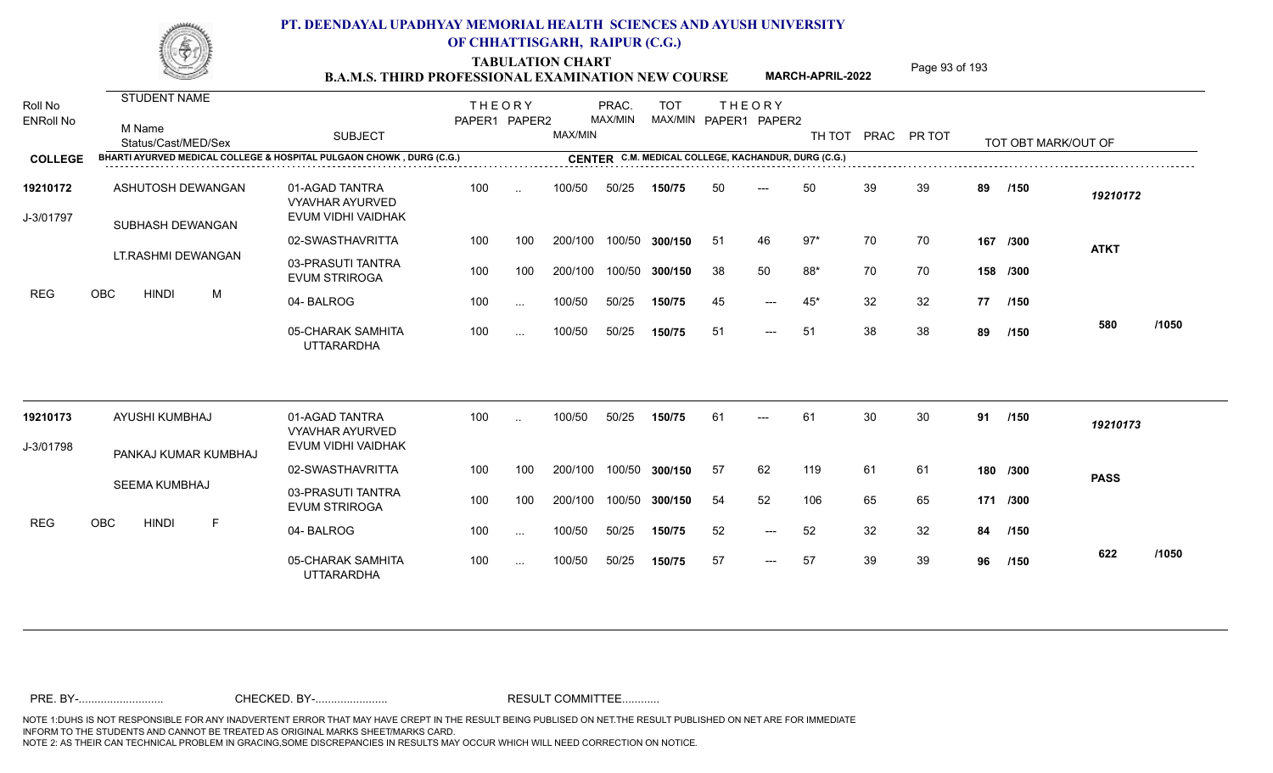TABULATION CHART<br> **TABULATION CHART B.A.M.S. THIRD PROFESSIONAL EXAMINATION NEW COURSE MARCH-APRIL-2022** Page 93 of 193

**MARCH-APRIL-2022**

| Roll No<br><b>ENRoll No</b> | <b>STUDENT NAME</b><br>M Name<br>Status/Cast/MED/Sex                 | <b>SUBJECT</b>                                                 | <b>THEORY</b><br>PAPER1 PAPER2 |           | MAX/MIN | PRAC.<br>MAX/MIN | <b>TOT</b> |    | <b>THEORY</b><br>MAX/MIN PAPER1 PAPER2              |       |    | TH TOT PRAC PR TOT |    | TOT OBT MARK/OUT OF |             |       |
|-----------------------------|----------------------------------------------------------------------|----------------------------------------------------------------|--------------------------------|-----------|---------|------------------|------------|----|-----------------------------------------------------|-------|----|--------------------|----|---------------------|-------------|-------|
| <b>COLLEGE</b>              | BHARTI AYURVED MEDICAL COLLEGE & HOSPITAL PULGAON CHOWK, DURG (C.G.) |                                                                |                                |           |         |                  |            |    | CENTER C.M. MEDICAL COLLEGE, KACHANDUR, DURG (C.G.) |       |    |                    |    |                     |             |       |
| 19210172<br>J-3/01797       | ASHUTOSH DEWANGAN<br>SUBHASH DEWANGAN                                | 01-AGAD TANTRA<br><b>VYAVHAR AYURVED</b><br>EVUM VIDHI VAIDHAK | 100                            |           | 100/50  | 50/25            | 150/75     | 50 | ---                                                 | 50    | 39 | 39                 | 89 | /150                | 19210172    |       |
|                             |                                                                      | 02-SWASTHAVRITTA                                               | 100                            | 100       | 200/100 | 100/50           | 300/150    | 51 | 46                                                  | $97*$ | 70 | 70                 |    | 167 /300            | <b>ATKT</b> |       |
| <b>REG</b>                  | LT.RASHMI DEWANGAN                                                   | 03-PRASUTI TANTRA<br><b>EVUM STRIROGA</b>                      | 100                            | 100       | 200/100 | 100/50           | 300/150    | 38 | 50                                                  | 88*   | 70 | 70                 |    | 158 /300            |             |       |
|                             | OBC<br><b>HINDI</b><br>M                                             | 04-BALROG                                                      | 100                            | $\ddotsc$ | 100/50  | 50/25            | 150/75     | 45 | $---$                                               | $45*$ | 32 | 32                 | 77 | /150                |             |       |
|                             |                                                                      | 05-CHARAK SAMHITA<br><b>UTTARARDHA</b>                         | 100                            | $\ddotsc$ | 100/50  | 50/25            | 150/75     | 51 | ---                                                 | 51    | 38 | 38                 | 89 | /150                | 580         | /1050 |
| 19210173                    | AYUSHI KUMBHAJ                                                       | 01-AGAD TANTRA<br><b>VYAVHAR AYURVED</b>                       | 100                            |           | 100/50  | 50/25            | 150/75     | 61 | $---$                                               | 61    | 30 | 30                 | 91 | /150                | 19210173    |       |
| J-3/01798                   | PANKAJ KUMAR KUMBHAJ                                                 | EVUM VIDHI VAIDHAK                                             |                                |           |         |                  |            |    |                                                     |       |    |                    |    |                     |             |       |
|                             |                                                                      | 02-SWASTHAVRITTA                                               | 100                            | 100       | 200/100 | 100/50           | 300/150    | 57 | 62                                                  | 119   | 61 | 61                 |    | 180 /300            | <b>PASS</b> |       |
|                             | SEEMA KUMBHAJ                                                        | 03-PRASUTI TANTRA<br><b>EVUM STRIROGA</b>                      | 100                            | 100       | 200/100 | 100/50           | 300/150    | 54 | 52                                                  | 106   | 65 | 65                 |    | 171 /300            |             |       |
| <b>REG</b>                  | OBC<br><b>HINDI</b><br>F                                             | 04-BALROG                                                      | 100                            | $\cdots$  | 100/50  | 50/25            | 150/75     | 52 | $---$                                               | 52    | 32 | 32                 | 84 | /150                |             |       |
|                             |                                                                      | 05-CHARAK SAMHITA<br>UTTARARDHA                                | 100                            | $\ddotsc$ | 100/50  | 50/25            | 150/75     | 57 | $---$                                               | 57    | 39 | 39                 | 96 | /150                | 622         | /1050 |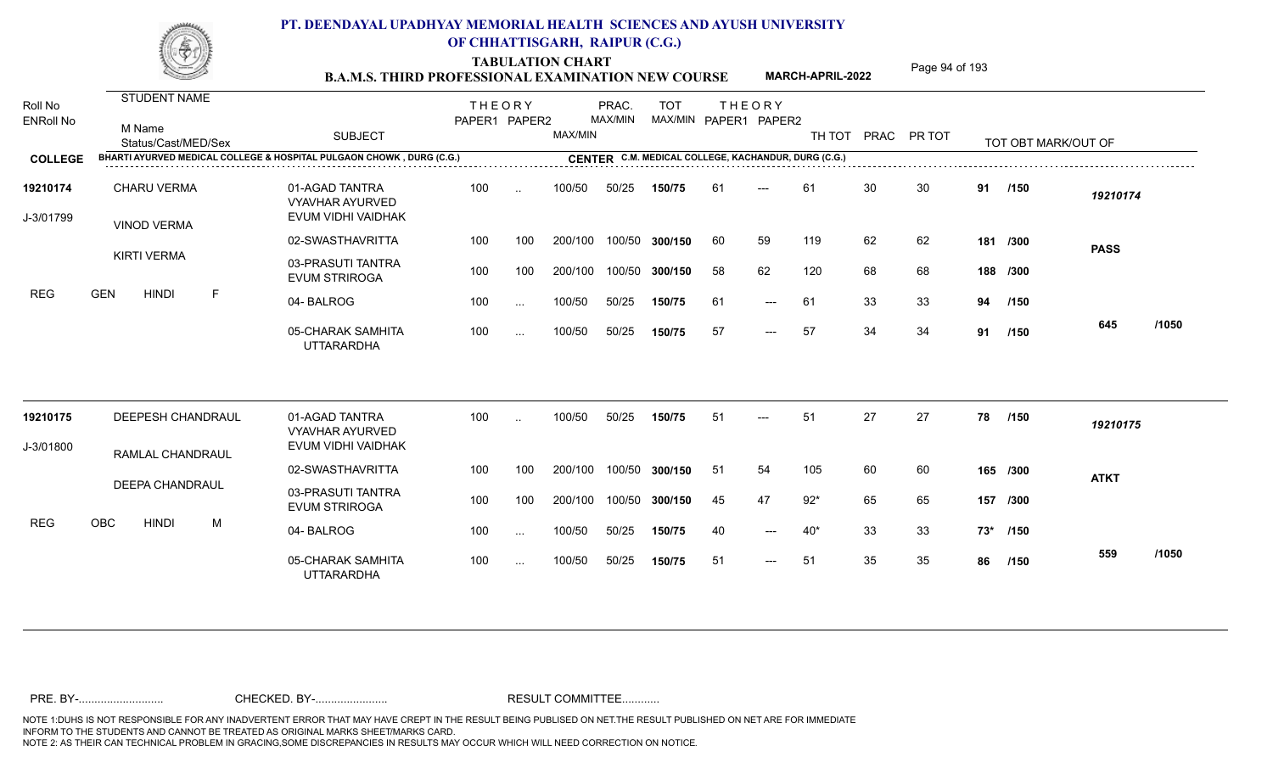TABULATION CHART<br> **TABULATION CHART** PAGE **Page 94 of 193 B.A.M.S. THIRD PROFESSIONAL EXAMINATION NEW COURSE MARCH-APRIL-2022** 

**MARCH-APRIL-2022**

| Roll No<br><b>ENRoll No</b> | STUDENT NAME<br>M Name<br>Status/Cast/MED/Sex                        | <b>SUBJECT</b>                                                 | <b>THEORY</b><br>PAPER1 PAPER2 |               | MAX/MIN | PRAC.<br><b>MAX/MIN</b> | <b>TOT</b><br>MAX/MIN PAPER1 PAPER2                 |     | <b>THEORY</b>       | TH TOT PRAC PR TOT |    |    |    | TOT OBT MARK/OUT OF |             |       |
|-----------------------------|----------------------------------------------------------------------|----------------------------------------------------------------|--------------------------------|---------------|---------|-------------------------|-----------------------------------------------------|-----|---------------------|--------------------|----|----|----|---------------------|-------------|-------|
| <b>COLLEGE</b>              | BHARTI AYURVED MEDICAL COLLEGE & HOSPITAL PULGAON CHOWK, DURG (C.G.) |                                                                |                                |               |         |                         | CENTER C.M. MEDICAL COLLEGE, KACHANDUR, DURG (C.G.) |     |                     |                    |    |    |    |                     |             |       |
| 19210174<br>J-3/01799       | <b>CHARU VERMA</b><br><b>VINOD VERMA</b>                             | 01-AGAD TANTRA<br><b>VYAVHAR AYURVED</b><br>EVUM VIDHI VAIDHAK | 100                            | $\sim$        | 100/50  | 50/25                   | 150/75                                              | 61  | ---                 | 61                 | 30 | 30 | 91 | /150                | 19210174    |       |
|                             |                                                                      | 02-SWASTHAVRITTA                                               | 100                            | 100           | 200/100 | 100/50                  | 300/150                                             | 60  | 59                  | 119                | 62 | 62 |    | 181 /300            | <b>PASS</b> |       |
| <b>REG</b>                  | <b>KIRTI VERMA</b>                                                   | 03-PRASUTI TANTRA<br><b>EVUM STRIROGA</b>                      | 100                            | 100           | 200/100 | 100/50                  | 300/150                                             | 58  | 62                  | 120                | 68 | 68 |    | 188 /300            |             |       |
|                             | <b>GEN</b><br><b>HINDI</b><br>$\mathsf F$                            | 04-BALROG                                                      | 100                            | $\sim$ .      | 100/50  | 50/25                   | 150/75                                              | 61  | $\qquad \qquad - -$ | 61                 | 33 | 33 | 94 | /150                |             |       |
|                             |                                                                      | 05-CHARAK SAMHITA<br><b>UTTARARDHA</b>                         | 100                            | $\cdots$      | 100/50  | 50/25                   | 150/75                                              | 57  | $---$               | 57                 | 34 | 34 | 91 | /150                | 645         | /1050 |
| 19210175                    | DEEPESH CHANDRAUL                                                    | 01-AGAD TANTRA<br><b>VYAVHAR AYURVED</b>                       | 100                            | $\sim$        | 100/50  | 50/25                   | 150/75                                              | 51  | ---                 | 51                 | 27 | 27 | 78 | /150                | 19210175    |       |
| J-3/01800                   | RAMLAL CHANDRAUL                                                     | EVUM VIDHI VAIDHAK                                             |                                |               |         |                         |                                                     |     |                     |                    |    |    |    |                     |             |       |
|                             |                                                                      | 02-SWASTHAVRITTA                                               | 100                            | 100           | 200/100 | 100/50                  | 300/150                                             | -51 | 54                  | 105                | 60 | 60 |    | 165 /300            | <b>ATKT</b> |       |
|                             | <b>DEEPA CHANDRAUL</b>                                               | 03-PRASUTI TANTRA<br><b>EVUM STRIROGA</b>                      | 100                            | 100           | 200/100 | 100/50                  | 300/150                                             | 45  | 47                  | $92*$              | 65 | 65 |    | 157 /300            |             |       |
| <b>REG</b>                  | <b>OBC</b><br><b>HINDI</b><br>M                                      | 04-BALROG                                                      | 100                            | $\sim$ .      | 100/50  | 50/25                   | 150/75                                              | 40  | $---$               | $40*$              | 33 | 33 |    | 73* /150            |             |       |
|                             |                                                                      | 05-CHARAK SAMHITA<br><b>UTTARARDHA</b>                         | 100                            | $\sim$ $\sim$ | 100/50  | 50/25                   | 150/75                                              | 51  | $\qquad \qquad - -$ | 51                 | 35 | 35 | 86 | /150                | 559         | /1050 |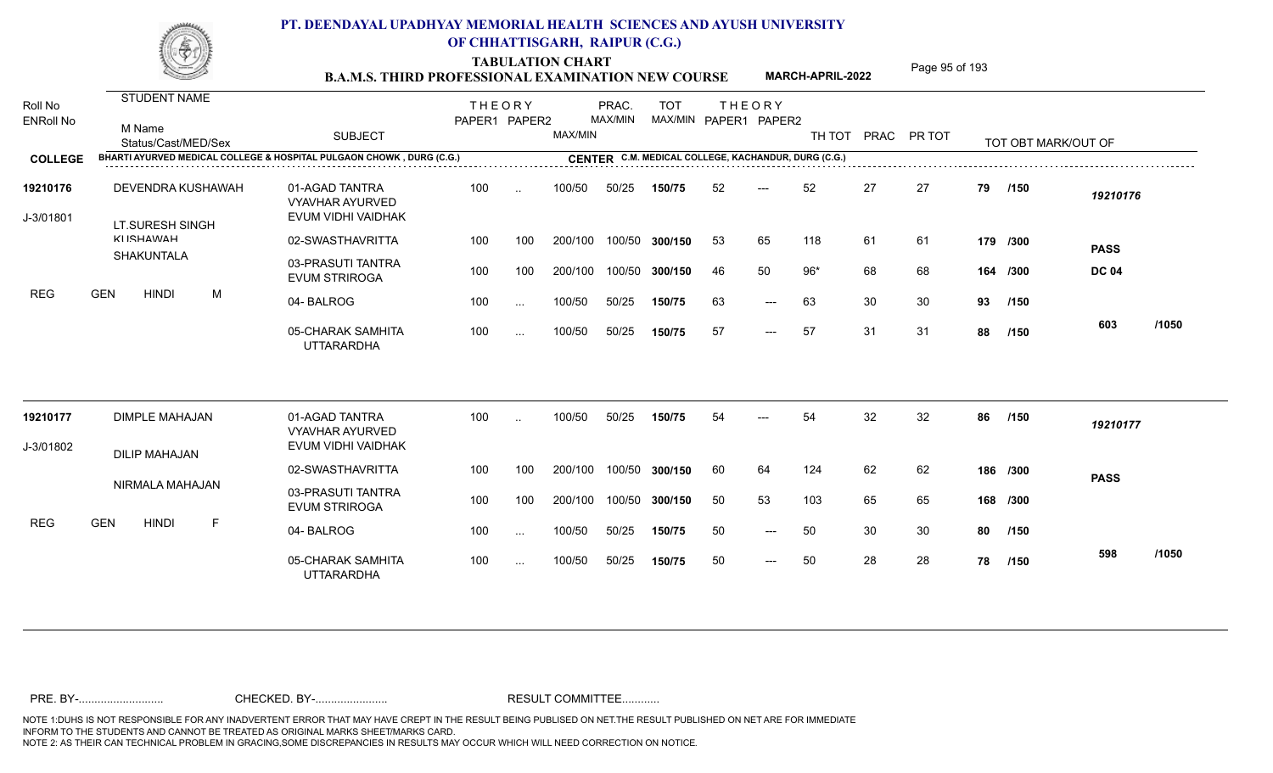**TABULATION CHART<br>B.A.M.S. THIRD PROFESSIONAL EXAMINATION NEW COURSE** MARCH-APRIL-2022 Page 95 of 193

**MARCH-APRIL-2022**

| Roll No               | <b>STUDENT NAME</b>                                                  |                                                                | <b>THEORY</b> |           |         | PRAC.   | <b>TOT</b>                                          |    | <b>THEORY</b>         |        |    |             |    |                     |              |       |
|-----------------------|----------------------------------------------------------------------|----------------------------------------------------------------|---------------|-----------|---------|---------|-----------------------------------------------------|----|-----------------------|--------|----|-------------|----|---------------------|--------------|-------|
| <b>ENRoll No</b>      | M Name<br>Status/Cast/MED/Sex                                        | <b>SUBJECT</b>                                                 | PAPER1 PAPER2 |           | MAX/MIN | MAX/MIN |                                                     |    | MAX/MIN PAPER1 PAPER2 | TH TOT |    | PRAC PR TOT |    | TOT OBT MARK/OUT OF |              |       |
| <b>COLLEGE</b>        | BHARTI AYURVED MEDICAL COLLEGE & HOSPITAL PULGAON CHOWK, DURG (C.G.) |                                                                |               |           |         |         | CENTER C.M. MEDICAL COLLEGE, KACHANDUR, DURG (C.G.) |    |                       |        |    |             |    |                     |              |       |
| 19210176<br>J-3/01801 | DEVENDRA KUSHAWAH<br>LT.SURESH SINGH                                 | 01-AGAD TANTRA<br><b>VYAVHAR AYURVED</b><br>EVUM VIDHI VAIDHAK | 100           | $\ddotsc$ | 100/50  | 50/25   | 150/75                                              | 52 | $---$                 | 52     | 27 | 27          | 79 | /150                | 19210176     |       |
|                       | <b>KIICHAMAH</b>                                                     | 02-SWASTHAVRITTA                                               | 100           | 100       | 200/100 |         | 100/50 300/150                                      | 53 | 65                    | 118    | 61 | 61          |    | 179 /300            | <b>PASS</b>  |       |
| <b>REG</b>            | SHAKUNTALA                                                           | 03-PRASUTI TANTRA<br><b>EVUM STRIROGA</b>                      | 100           | 100       | 200/100 |         | 100/50 300/150                                      | 46 | 50                    | $96*$  | 68 | 68          |    | 164 /300            | <b>DC 04</b> |       |
|                       | <b>GEN</b><br><b>HINDI</b><br>M                                      | 04-BALROG                                                      | 100           | $\cdots$  | 100/50  | 50/25   | 150/75                                              | 63 | $---$                 | 63     | 30 | 30          | 93 | /150                |              |       |
|                       |                                                                      | 05-CHARAK SAMHITA<br><b>UTTARARDHA</b>                         | 100           | $\cdots$  | 100/50  | 50/25   | 150/75                                              | 57 | $---$                 | 57     | 31 | 31          | 88 | /150                | 603          | /1050 |
| 19210177              | <b>DIMPLE MAHAJAN</b>                                                | 01-AGAD TANTRA<br><b>VYAVHAR AYURVED</b>                       | 100           |           | 100/50  | 50/25   | 150/75                                              | 54 |                       | 54     | 32 | 32          | 86 | /150                | 19210177     |       |
| J-3/01802             | <b>DILIP MAHAJAN</b>                                                 | EVUM VIDHI VAIDHAK                                             |               |           |         |         |                                                     |    |                       |        |    |             |    |                     |              |       |
|                       |                                                                      | 02-SWASTHAVRITTA                                               | 100           | 100       | 200/100 |         | 100/50 300/150                                      | 60 | 64                    | 124    | 62 | 62          |    | 186 /300            | <b>PASS</b>  |       |
|                       | NIRMALA MAHAJAN                                                      | 03-PRASUTI TANTRA<br><b>EVUM STRIROGA</b>                      | 100           | 100       | 200/100 |         | 100/50 300/150                                      | 50 | 53                    | 103    | 65 | 65          |    | 168 /300            |              |       |
| <b>REG</b>            | <b>GEN</b><br><b>HINDI</b><br>F                                      | 04-BALROG                                                      | 100           | $\cdots$  | 100/50  | 50/25   | 150/75                                              | 50 | $---$                 | 50     | 30 | 30          | 80 | /150                |              |       |
|                       |                                                                      | 05-CHARAK SAMHITA<br><b>UTTARARDHA</b>                         | 100           | $\cdots$  | 100/50  | 50/25   | 150/75                                              | 50 | $---$                 | 50     | 28 | 28          | 78 | /150                | 598          | /1050 |
|                       |                                                                      |                                                                |               |           |         |         |                                                     |    |                       |        |    |             |    |                     |              |       |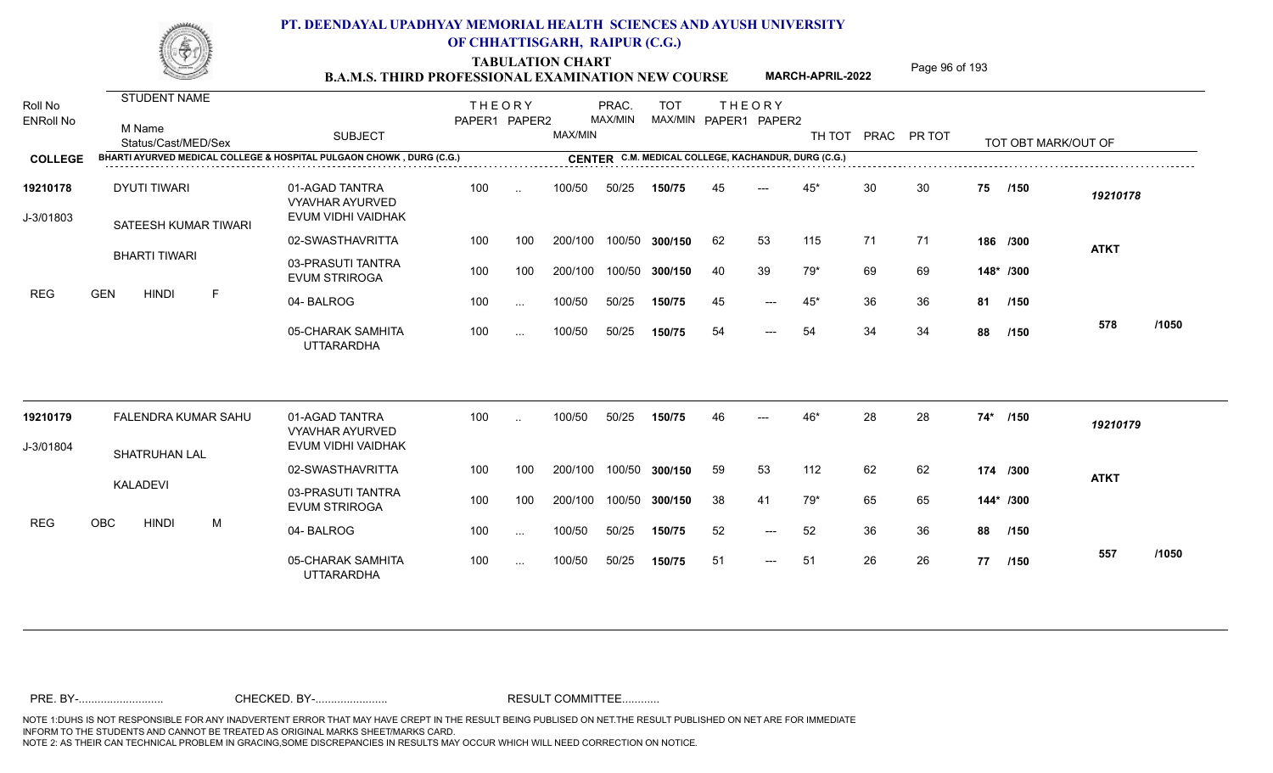TABULATION CHART<br> **TABULATION CHART** PAGE Page 96 of 193<br> **B.A.M.S. THIRD PROFESSIONAL EXAMINATION NEW COURSE** MARCH-APRIL-2022

**MARCH-APRIL-2022**

| Roll No               | <b>STUDENT NAME</b>                                                  |                                                                | <b>THEORY</b> |          |         | PRAC.   | <b>TOT</b>     |    | <b>THEORY</b>                                       |       |    |                    |     |                     |             |       |
|-----------------------|----------------------------------------------------------------------|----------------------------------------------------------------|---------------|----------|---------|---------|----------------|----|-----------------------------------------------------|-------|----|--------------------|-----|---------------------|-------------|-------|
| <b>ENRoll No</b>      | M Name<br>Status/Cast/MED/Sex                                        | <b>SUBJECT</b>                                                 | PAPER1 PAPER2 |          | MAX/MIN | MAX/MIN |                |    | MAX/MIN PAPER1 PAPER2                               |       |    | TH TOT PRAC PR TOT |     | TOT OBT MARK/OUT OF |             |       |
| <b>COLLEGE</b>        | BHARTI AYURVED MEDICAL COLLEGE & HOSPITAL PULGAON CHOWK, DURG (C.G.) |                                                                |               |          |         |         |                |    | CENTER C.M. MEDICAL COLLEGE, KACHANDUR, DURG (C.G.) |       |    |                    |     |                     |             |       |
| 19210178<br>J-3/01803 | <b>DYUTI TIWARI</b><br>SATEESH KUMAR TIWARI                          | 01-AGAD TANTRA<br><b>VYAVHAR AYURVED</b><br>EVUM VIDHI VAIDHAK | 100           | $\sim$   | 100/50  | 50/25   | 150/75         | 45 | $---$                                               | $45*$ | 30 | 30                 | 75  | /150                | 19210178    |       |
|                       |                                                                      | 02-SWASTHAVRITTA                                               | 100           | 100      | 200/100 |         | 100/50 300/150 | 62 | 53                                                  | 115   | 71 | 71                 |     | 186 /300            | <b>ATKT</b> |       |
|                       | <b>BHARTI TIWARI</b>                                                 | 03-PRASUTI TANTRA<br><b>EVUM STRIROGA</b>                      | 100           | 100      | 200/100 |         | 100/50 300/150 | 40 | 39                                                  | 79*   | 69 | 69                 |     | 148* /300           |             |       |
| <b>REG</b>            | <b>GEN</b><br><b>HINDI</b><br>F.                                     | 04-BALROG                                                      | 100           | $\cdots$ | 100/50  | 50/25   | 150/75         | 45 | $\qquad \qquad - -$                                 | $45*$ | 36 | -36                |     | 81 /150             |             |       |
|                       |                                                                      | 05-CHARAK SAMHITA<br><b>UTTARARDHA</b>                         | 100           | $\cdots$ | 100/50  | 50/25   | 150/75         | 54 | $---$                                               | 54    | 34 | 34                 | 88  | /150                | 578         | /1050 |
| 19210179              | FALENDRA KUMAR SAHU                                                  | 01-AGAD TANTRA<br><b>VYAVHAR AYURVED</b>                       | 100           |          | 100/50  | 50/25   | 150/75         | 46 |                                                     | 46*   | 28 | 28                 | 74* | /150                | 19210179    |       |
| J-3/01804             | <b>SHATRUHAN LAL</b>                                                 | EVUM VIDHI VAIDHAK                                             |               |          |         |         |                |    |                                                     |       |    |                    |     |                     |             |       |
|                       |                                                                      | 02-SWASTHAVRITTA                                               | 100           | 100      | 200/100 |         | 100/50 300/150 | 59 | 53                                                  | 112   | 62 | 62                 |     | 174 /300            | <b>ATKT</b> |       |
|                       | <b>KALADEVI</b>                                                      | 03-PRASUTI TANTRA<br><b>EVUM STRIROGA</b>                      | 100           | 100      | 200/100 |         | 100/50 300/150 | 38 | 41                                                  | 79*   | 65 | 65                 |     | 144* /300           |             |       |
| <b>REG</b>            | OBC<br><b>HINDI</b><br>M                                             | 04-BALROG                                                      | 100           | $\cdots$ | 100/50  | 50/25   | 150/75         | 52 | $---$                                               | 52    | 36 | 36                 | 88  | /150                |             |       |
|                       |                                                                      | 05-CHARAK SAMHITA<br><b>UTTARARDHA</b>                         | 100           | $\cdots$ | 100/50  | 50/25   | 150/75         | 51 | $---$                                               | 51    | 26 | 26                 | 77  | /150                | 557         | /1050 |
|                       |                                                                      |                                                                |               |          |         |         |                |    |                                                     |       |    |                    |     |                     |             |       |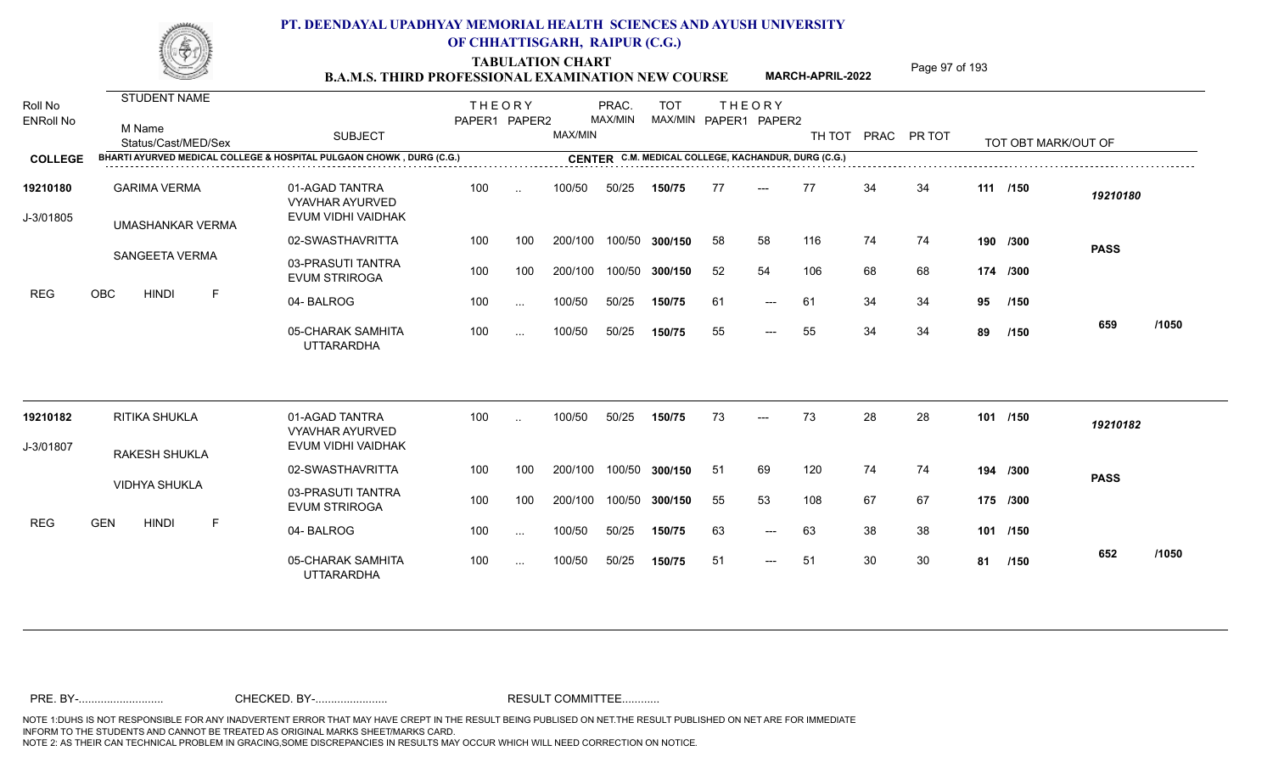TABULATION CHART<br>**B.A.M.S. THIRD PROFESSIONAL EXAMINATION NEW COURSE** MARCH-APRIL-2022 Page 97 of 193

**MARCH-APRIL-2022**

| Roll No<br><b>ENRoll No</b> | <b>STUDENT NAME</b><br>M Name<br>Status/Cast/MED/Sex | <b>SUBJECT</b>                                                       | <b>THEORY</b><br>PAPER1 PAPER2 |               | MAX/MIN | PRAC.<br>MAX/MIN | <b>TOT</b>                                          | MAX/MIN PAPER1 PAPER2 | <b>THEORY</b>       | TH TOT |    | PRAC PR TOT |    | TOT OBT MARK/OUT OF |             |       |
|-----------------------------|------------------------------------------------------|----------------------------------------------------------------------|--------------------------------|---------------|---------|------------------|-----------------------------------------------------|-----------------------|---------------------|--------|----|-------------|----|---------------------|-------------|-------|
| <b>COLLEGE</b>              |                                                      | BHARTI AYURVED MEDICAL COLLEGE & HOSPITAL PULGAON CHOWK, DURG (C.G.) |                                |               |         |                  | CENTER C.M. MEDICAL COLLEGE, KACHANDUR, DURG (C.G.) |                       |                     |        |    |             |    |                     |             |       |
| 19210180<br>J-3/01805       | <b>GARIMA VERMA</b>                                  | 01-AGAD TANTRA<br><b>VYAVHAR AYURVED</b><br>EVUM VIDHI VAIDHAK       | 100                            | $\ddotsc$     | 100/50  | 50/25            | 150/75                                              | 77                    | $---$               | 77     | 34 | 34          |    | 111 /150            | 19210180    |       |
|                             | UMASHANKAR VERMA                                     | 02-SWASTHAVRITTA                                                     | 100                            | 100           | 200/100 |                  | 100/50 300/150                                      | 58                    | 58                  | 116    | 74 | 74          |    | 190 /300            |             |       |
|                             | SANGEETA VERMA                                       | 03-PRASUTI TANTRA<br><b>EVUM STRIROGA</b>                            | 100                            | 100           | 200/100 |                  | 100/50 300/150                                      | 52                    | 54                  | 106    | 68 | 68          |    | 174 /300            | <b>PASS</b> |       |
| REG                         | OBC<br><b>HINDI</b><br>F                             | 04-BALROG                                                            | 100                            | $\ddotsc$     | 100/50  | 50/25            | 150/75                                              | 61                    | $---$               | 61     | 34 | 34          | 95 | /150                |             |       |
|                             |                                                      | 05-CHARAK SAMHITA<br><b>UTTARARDHA</b>                               | 100                            | $\cdots$      | 100/50  | 50/25            | 150/75                                              | 55                    | $---$               | 55     | 34 | 34          | 89 | /150                | 659         | /1050 |
| 19210182                    | RITIKA SHUKLA                                        | 01-AGAD TANTRA                                                       | 100                            | $\ddotsc$     | 100/50  | 50/25            | 150/75                                              | 73                    |                     | 73     | 28 | 28          |    | 101 /150            | 19210182    |       |
| J-3/01807                   |                                                      | <b>VYAVHAR AYURVED</b><br>EVUM VIDHI VAIDHAK                         |                                |               |         |                  |                                                     |                       |                     |        |    |             |    |                     |             |       |
|                             | RAKESH SHUKLA                                        | 02-SWASTHAVRITTA                                                     | 100                            | 100           | 200/100 |                  | 100/50 300/150                                      | 51                    | 69                  | 120    | 74 | 74          |    | 194 /300            | <b>PASS</b> |       |
|                             | <b>VIDHYA SHUKLA</b>                                 | 03-PRASUTI TANTRA<br><b>EVUM STRIROGA</b>                            | 100                            | 100           | 200/100 |                  | 100/50 300/150                                      | 55                    | 53                  | 108    | 67 | 67          |    | 175 /300            |             |       |
| <b>REG</b>                  | <b>GEN</b><br><b>HINDI</b><br>$\mathsf{F}$           | 04-BALROG                                                            | 100                            | $\cdots$      | 100/50  | 50/25            | 150/75                                              | 63                    | $---$               | 63     | 38 | 38          |    | 101 /150            |             |       |
|                             |                                                      | 05-CHARAK SAMHITA<br><b>UTTARARDHA</b>                               | 100                            | $\sim$ $\sim$ | 100/50  | 50/25            | 150/75                                              | 51                    | $\qquad \qquad - -$ | 51     | 30 | 30          | 81 | /150                | 652         | /1050 |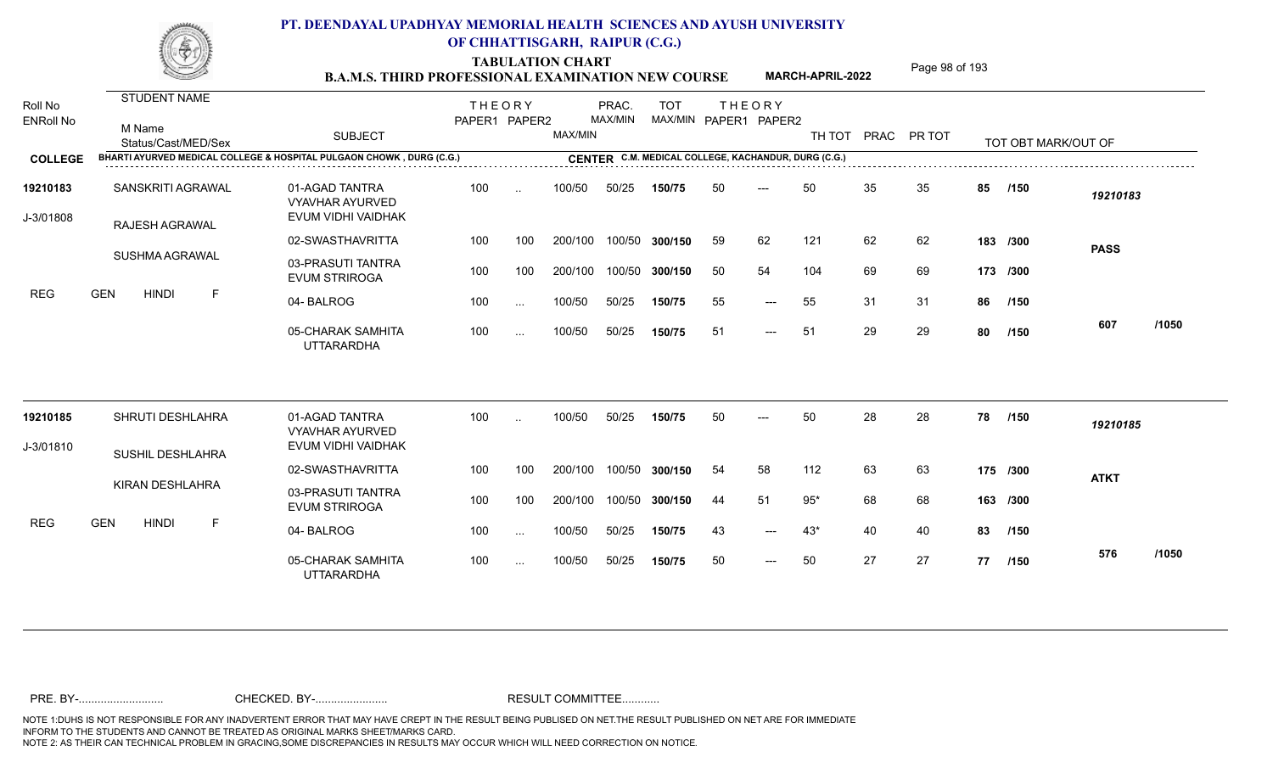TABULATION CHART<br> **TABULATION CHART** PAGE **Page 98 of 193 Page 98 of 193 B.A.M.S. THIRD PROFESSIONAL EXAMINATION NEW COURSE MARCH-APRIL-2022** 

**MARCH-APRIL-2022**

| Roll No<br><b>ENRoll No</b> | <b>STUDENT NAME</b><br>M Name<br>Status/Cast/MED/Sex                 | <b>SUBJECT</b>                                                 | <b>THEORY</b><br>PAPER1 PAPER2 |           | MAX/MIN | PRAC.<br>MAX/MIN | <b>TOT</b> |    | <b>THEORY</b><br>MAX/MIN PAPER1 PAPER2              |       |    | TH TOT PRAC PR TOT |    | TOT OBT MARK/OUT OF |             |       |
|-----------------------------|----------------------------------------------------------------------|----------------------------------------------------------------|--------------------------------|-----------|---------|------------------|------------|----|-----------------------------------------------------|-------|----|--------------------|----|---------------------|-------------|-------|
| <b>COLLEGE</b>              | BHARTI AYURVED MEDICAL COLLEGE & HOSPITAL PULGAON CHOWK, DURG (C.G.) |                                                                |                                |           |         |                  |            |    | CENTER C.M. MEDICAL COLLEGE, KACHANDUR, DURG (C.G.) |       |    |                    |    |                     |             |       |
| 19210183<br>J-3/01808       | SANSKRITI AGRAWAL<br>RAJESH AGRAWAL                                  | 01-AGAD TANTRA<br><b>VYAVHAR AYURVED</b><br>EVUM VIDHI VAIDHAK | 100                            | $\sim$    | 100/50  | 50/25            | 150/75     | 50 | $---$                                               | 50    | 35 | 35                 | 85 | /150                | 19210183    |       |
|                             |                                                                      | 02-SWASTHAVRITTA                                               | 100                            | 100       | 200/100 | 100/50           | 300/150    | 59 | 62                                                  | 121   | 62 | 62                 |    | 183 /300            | <b>PASS</b> |       |
|                             | SUSHMA AGRAWAL                                                       | 03-PRASUTI TANTRA<br><b>EVUM STRIROGA</b>                      | 100                            | 100       | 200/100 | 100/50           | 300/150    | 50 | 54                                                  | 104   | 69 | 69                 |    | 173 /300            |             |       |
| <b>REG</b>                  | <b>GEN</b><br><b>HINDI</b><br>F.                                     | 04-BALROG                                                      | 100                            | $\ddots$  | 100/50  | 50/25            | 150/75     | 55 | $---$                                               | 55    | 31 | 31                 | 86 | /150                |             |       |
|                             |                                                                      | 05-CHARAK SAMHITA<br><b>UTTARARDHA</b>                         | 100                            | $\ddotsc$ | 100/50  | 50/25            | 150/75     | 51 | $\qquad \qquad - -$                                 | 51    | 29 | 29                 | 80 | /150                | 607         | /1050 |
| 19210185                    | SHRUTI DESHLAHRA                                                     | 01-AGAD TANTRA                                                 | 100                            |           | 100/50  | 50/25            | 150/75     | 50 |                                                     | 50    | 28 | 28                 | 78 | /150                | 19210185    |       |
| J-3/01810                   |                                                                      | <b>VYAVHAR AYURVED</b><br>EVUM VIDHI VAIDHAK                   |                                |           |         |                  |            |    |                                                     |       |    |                    |    |                     |             |       |
|                             | <b>SUSHIL DESHLAHRA</b>                                              | 02-SWASTHAVRITTA                                               | 100                            | 100       | 200/100 | 100/50           | 300/150    | 54 | 58                                                  | 112   | 63 | 63                 |    | 175 /300            | <b>ATKT</b> |       |
|                             | KIRAN DESHLAHRA                                                      | 03-PRASUTI TANTRA<br><b>EVUM STRIROGA</b>                      | 100                            | 100       | 200/100 | 100/50           | 300/150    | 44 | 51                                                  | $95*$ | 68 | 68                 |    | 163 /300            |             |       |
| <b>REG</b>                  | <b>GEN</b><br><b>HINDI</b><br>-F                                     | 04-BALROG                                                      | 100                            | $\cdots$  | 100/50  | 50/25            | 150/75     | 43 | $---$                                               | $43*$ | 40 | 40                 | 83 | /150                |             |       |
|                             |                                                                      | 05-CHARAK SAMHITA<br>UTTARARDHA                                | 100                            | $\ddotsc$ | 100/50  | 50/25            | 150/75     | 50 | $---$                                               | 50    | 27 | 27                 | 77 | /150                | 576         | /1050 |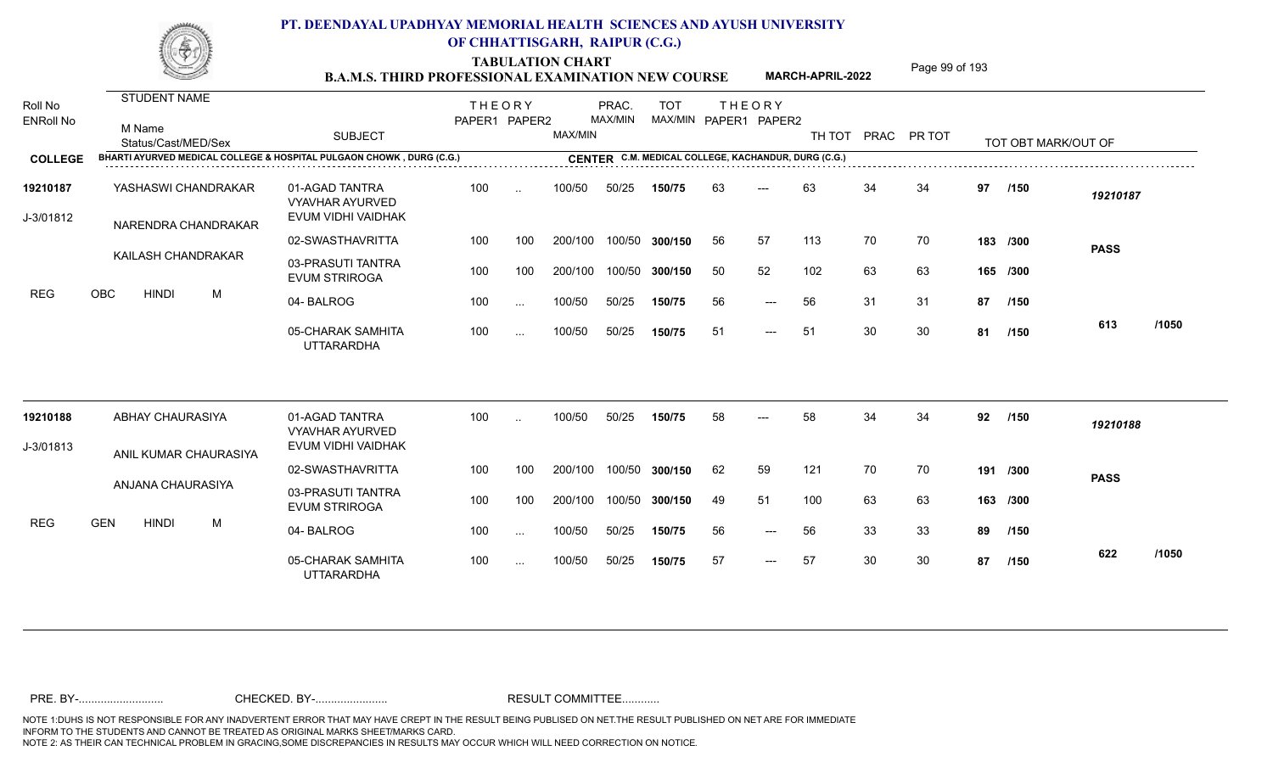TABULATION CHART<br> **TABULATION CHART** PAGE **Page 99 of 193 B.A.M.S. THIRD PROFESSIONAL EXAMINATION NEW COURSE MARCH-APRIL-2022** 

**MARCH-APRIL-2022**

| Roll No<br><b>ENRoll No</b> |            | <b>STUDENT NAME</b><br>M Name<br>Status/Cast/MED/Sex |   | <b>SUBJECT</b>                                                       | <b>THEORY</b><br>PAPER1 PAPER2 |           | MAX/MIN | PRAC.<br>MAX/MIN | <b>TOT</b><br>MAX/MIN PAPER1 PAPER2                 |    | <b>THEORY</b>       | TH TOT | PRAC | PR TOT |    | TOT OBT MARK/OUT OF |             |       |
|-----------------------------|------------|------------------------------------------------------|---|----------------------------------------------------------------------|--------------------------------|-----------|---------|------------------|-----------------------------------------------------|----|---------------------|--------|------|--------|----|---------------------|-------------|-------|
| <b>COLLEGE</b>              |            |                                                      |   | BHARTI AYURVED MEDICAL COLLEGE & HOSPITAL PULGAON CHOWK, DURG (C.G.) |                                |           |         |                  | CENTER C.M. MEDICAL COLLEGE, KACHANDUR, DURG (C.G.) |    |                     |        |      |        |    |                     |             |       |
| 19210187<br>J-3/01812       |            | YASHASWI CHANDRAKAR<br>NARENDRA CHANDRAKAR           |   | 01-AGAD TANTRA<br><b>VYAVHAR AYURVED</b><br>EVUM VIDHI VAIDHAK       | 100                            |           | 100/50  | 50/25            | 150/75                                              | 63 | $---$               | 63     | 34   | 34     | 97 | /150                | 19210187    |       |
|                             |            |                                                      |   | 02-SWASTHAVRITTA                                                     | 100                            | 100       | 200/100 | 100/50           | 300/150                                             | 56 | 57                  | 113    | 70   | 70     |    | 183 /300            | <b>PASS</b> |       |
|                             |            | KAILASH CHANDRAKAR                                   |   | 03-PRASUTI TANTRA<br><b>EVUM STRIROGA</b>                            | 100                            | 100       | 200/100 | 100/50           | 300/150                                             | 50 | 52                  | 102    | 63   | 63     |    | 165 /300            |             |       |
| <b>REG</b>                  | OBC        | <b>HINDI</b>                                         | M | 04-BALROG                                                            | 100                            | $\ddotsc$ | 100/50  | 50/25            | 150/75                                              | 56 | $\qquad \qquad - -$ | 56     | 31   | 31     | 87 | /150                |             |       |
|                             |            |                                                      |   | 05-CHARAK SAMHITA<br><b>UTTARARDHA</b>                               | 100                            | $\ddotsc$ | 100/50  | 50/25            | 150/75                                              | 51 | ---                 | 51     | 30   | 30     | 81 | /150                | 613         | /1050 |
| 19210188                    |            | ABHAY CHAURASIYA                                     |   | 01-AGAD TANTRA<br><b>VYAVHAR AYURVED</b>                             | 100                            |           | 100/50  | 50/25            | 150/75                                              | 58 |                     | 58     | 34   | 34     | 92 | /150                | 19210188    |       |
| J-3/01813                   |            | ANIL KUMAR CHAURASIYA                                |   | EVUM VIDHI VAIDHAK                                                   |                                |           |         |                  |                                                     |    |                     |        |      |        |    |                     |             |       |
|                             |            |                                                      |   | 02-SWASTHAVRITTA                                                     | 100                            | 100       | 200/100 | 100/50           | 300/150                                             | 62 | 59                  | 121    | 70   | 70     |    | 191 /300            | <b>PASS</b> |       |
|                             |            | ANJANA CHAURASIYA                                    |   | 03-PRASUTI TANTRA<br><b>EVUM STRIROGA</b>                            | 100                            | 100       | 200/100 | 100/50           | 300/150                                             | 49 | 51                  | 100    | 63   | 63     |    | 163 /300            |             |       |
| <b>REG</b>                  | <b>GEN</b> | <b>HINDI</b>                                         | M | 04-BALROG                                                            | 100                            | $\ddotsc$ | 100/50  | 50/25            | 150/75                                              | 56 | $\qquad \qquad - -$ | 56     | 33   | 33     | 89 | /150                |             |       |
|                             |            |                                                      |   | 05-CHARAK SAMHITA<br>UTTARARDHA                                      | 100                            | $\ddotsc$ | 100/50  | 50/25            | 150/75                                              | 57 | $---$               | 57     | 30   | 30     | 87 | /150                | 622         | /1050 |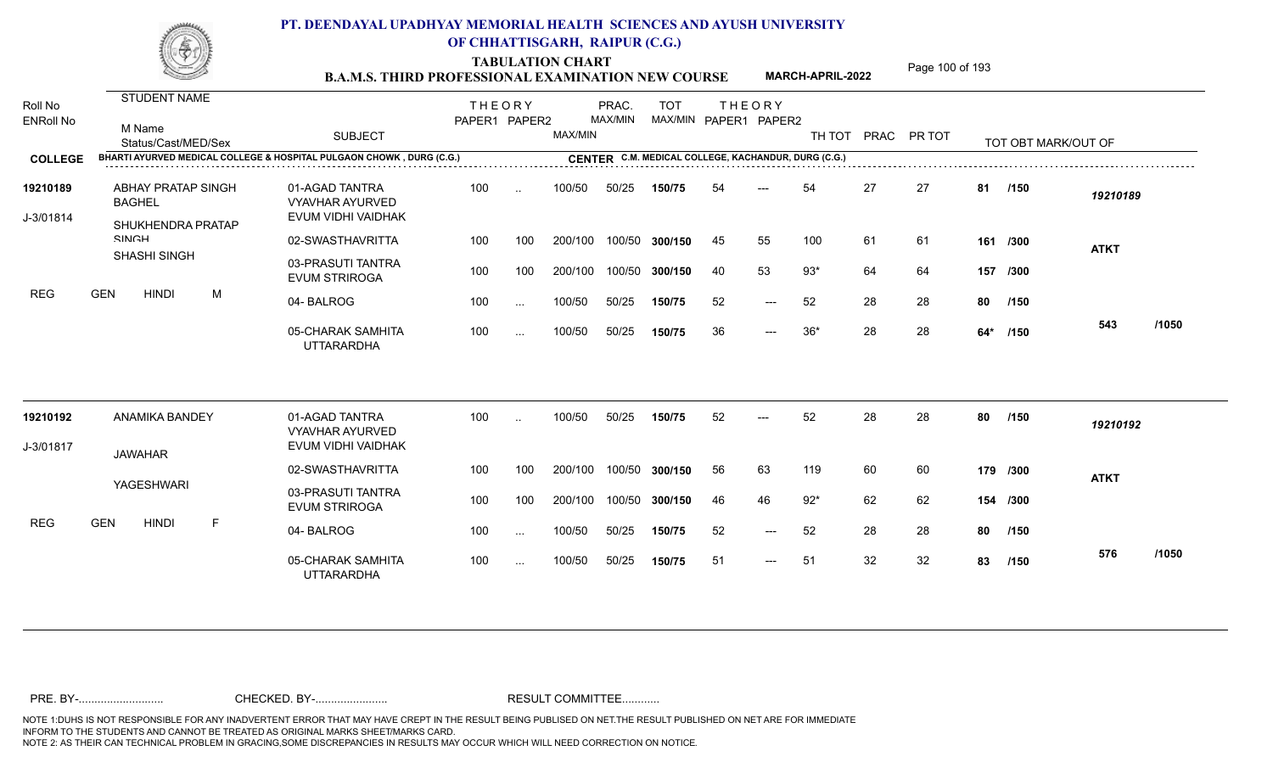TABULATION CHART<br> **TABULATION CHART EXAMINATION NEW COURSE MARCH-APRIL-2022** <sup>Page 100 of 193</sup>

**MARCH-APRIL-2022**

| Roll No<br><b>ENRoll No</b> | <b>STUDENT NAME</b><br>M Name<br>Status/Cast/MED/Sex<br>BHARTI AYURVED MEDICAL COLLEGE & HOSPITAL PULGAON CHOWK, DURG (C.G.) | <b>SUBJECT</b>                                                 | <b>THEORY</b><br>PAPER1 PAPER2 |               | MAX/MIN | PRAC.<br>MAX/MIN | <b>TOT</b>                                          |    | <b>THEORY</b><br>MAX/MIN PAPER1 PAPER2 |       |    | TH TOT PRAC PR TOT |     | TOT OBT MARK/OUT OF |             |       |
|-----------------------------|------------------------------------------------------------------------------------------------------------------------------|----------------------------------------------------------------|--------------------------------|---------------|---------|------------------|-----------------------------------------------------|----|----------------------------------------|-------|----|--------------------|-----|---------------------|-------------|-------|
| <b>COLLEGE</b>              |                                                                                                                              |                                                                |                                |               |         |                  | CENTER C.M. MEDICAL COLLEGE, KACHANDUR, DURG (C.G.) |    |                                        |       |    |                    |     |                     |             |       |
| 19210189<br>J-3/01814       | <b>ABHAY PRATAP SINGH</b><br><b>BAGHEL</b>                                                                                   | 01-AGAD TANTRA<br><b>VYAVHAR AYURVED</b><br>EVUM VIDHI VAIDHAK | 100                            | $\ddotsc$     | 100/50  | 50/25            | 150/75                                              | 54 |                                        | 54    | 27 | 27                 | 81  | /150                | 19210189    |       |
|                             | SHUKHENDRA PRATAP                                                                                                            |                                                                |                                |               |         |                  |                                                     |    |                                        |       |    |                    |     |                     |             |       |
|                             | <b>SINICH</b><br><b>SHASHI SINGH</b>                                                                                         | 02-SWASTHAVRITTA                                               | 100                            | 100           | 200/100 | 100/50           | 300/150                                             | 45 | 55                                     | 100   | 61 | 61                 | 161 | /300                | <b>ATKT</b> |       |
|                             |                                                                                                                              | 03-PRASUTI TANTRA<br><b>EVUM STRIROGA</b>                      | 100                            | 100           | 200/100 | 100/50           | 300/150                                             | 40 | 53                                     | $93*$ | 64 | 64                 |     | 157 /300            |             |       |
| <b>REG</b>                  | <b>GEN</b><br><b>HINDI</b><br>M                                                                                              | 04-BALROG                                                      | 100                            | $\ddotsc$     | 100/50  | 50/25            | 150/75                                              | 52 | $---$                                  | 52    | 28 | 28                 | 80  | /150                |             |       |
|                             |                                                                                                                              | 05-CHARAK SAMHITA<br><b>UTTARARDHA</b>                         | 100                            | $\cdots$      | 100/50  | 50/25            | 150/75                                              | 36 | $---$                                  | $36*$ | 28 | 28                 | 64* | /150                | 543         | /1050 |
| 19210192                    | ANAMIKA BANDEY                                                                                                               | 01-AGAD TANTRA                                                 | 100                            |               | 100/50  | 50/25            | 150/75                                              | 52 |                                        | 52    | 28 | 28                 | 80  | /150                | 19210192    |       |
| J-3/01817                   |                                                                                                                              | VYAVHAR AYURVED<br>EVUM VIDHI VAIDHAK                          |                                |               |         |                  |                                                     |    |                                        |       |    |                    |     |                     |             |       |
|                             | <b>JAWAHAR</b>                                                                                                               | 02-SWASTHAVRITTA                                               | 100                            | 100           | 200/100 | 100/50           | 300/150                                             | 56 | 63                                     | 119   | 60 | 60                 |     | 179 /300            | <b>ATKT</b> |       |
|                             | YAGESHWARI                                                                                                                   | 03-PRASUTI TANTRA<br><b>EVUM STRIROGA</b>                      | 100                            | 100           | 200/100 | 100/50           | 300/150                                             | 46 | 46                                     | $92*$ | 62 | 62                 |     | 154 /300            |             |       |
| <b>REG</b>                  | <b>GEN</b><br><b>HINDI</b><br>F                                                                                              | 04-BALROG                                                      | 100                            | $\sim$ $\sim$ | 100/50  | 50/25            | 150/75                                              | 52 | $---$                                  | 52    | 28 | 28                 | 80  | /150                |             |       |
|                             |                                                                                                                              | 05-CHARAK SAMHITA<br><b>UTTARARDHA</b>                         | 100                            | $\ddotsc$     | 100/50  | 50/25            | 150/75                                              | 51 | $---$                                  | 51    | 32 | 32                 | 83  | /150                | 576         | /1050 |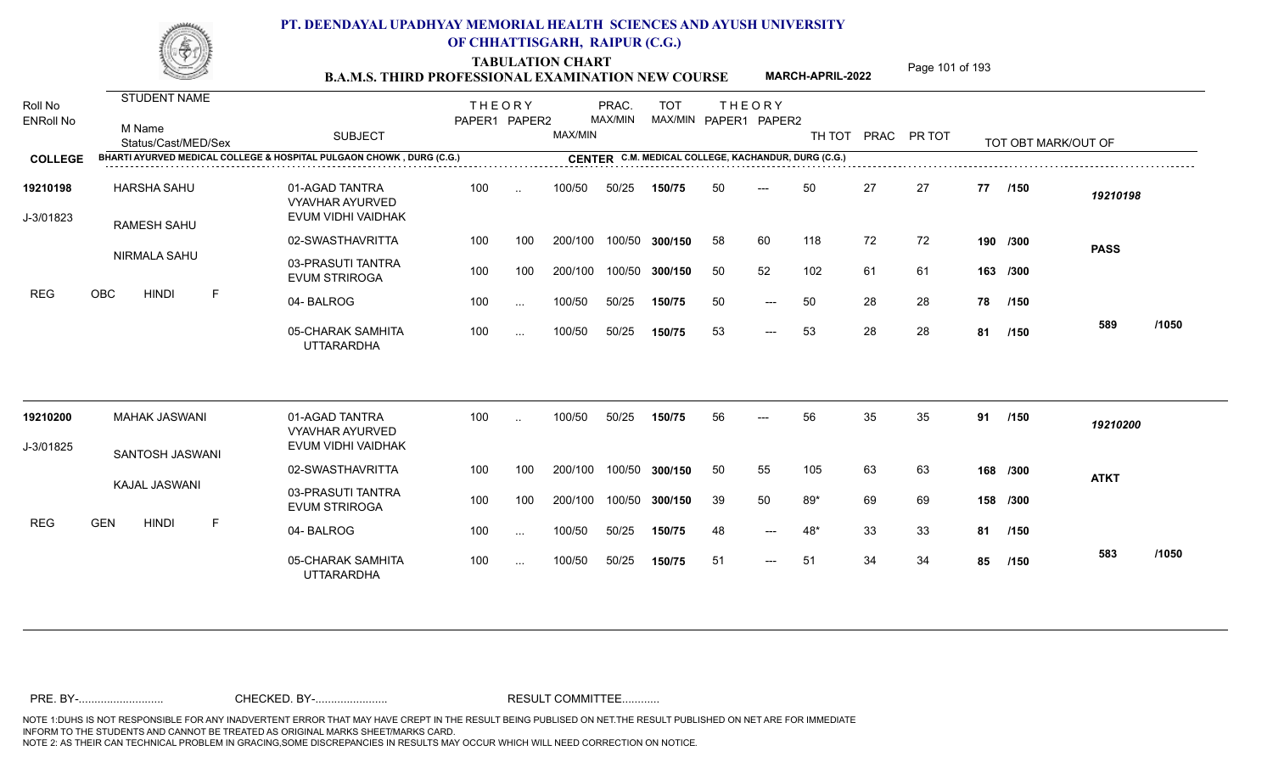TABULATION CHART<br> **TABULATION CHART EXAMINATION NEW COURSE MARCH-APRIL-2022** <sup>Page 101 of 193</sup>

**MARCH-APRIL-2022**

| Roll No<br><b>ENRoll No</b> | <b>STUDENT NAME</b><br>M Name<br>Status/Cast/MED/Sex                 | <b>SUBJECT</b>                                                 | <b>THEORY</b><br>PAPER1 PAPER2 |           | MAX/MIN | PRAC.<br>MAX/MIN | <b>TOT</b><br>MAX/MIN PAPER1 PAPER2                 |    | <b>THEORY</b>       | TH TOT |    | PRAC PR TOT |    | TOT OBT MARK/OUT OF |             |       |
|-----------------------------|----------------------------------------------------------------------|----------------------------------------------------------------|--------------------------------|-----------|---------|------------------|-----------------------------------------------------|----|---------------------|--------|----|-------------|----|---------------------|-------------|-------|
| <b>COLLEGE</b>              | BHARTI AYURVED MEDICAL COLLEGE & HOSPITAL PULGAON CHOWK, DURG (C.G.) |                                                                |                                |           |         |                  | CENTER C.M. MEDICAL COLLEGE, KACHANDUR, DURG (C.G.) |    |                     |        |    |             |    |                     |             |       |
| 19210198<br>J-3/01823       | <b>HARSHA SAHU</b><br><b>RAMESH SAHU</b>                             | 01-AGAD TANTRA<br><b>VYAVHAR AYURVED</b><br>EVUM VIDHI VAIDHAK | 100                            | $\sim$    | 100/50  | 50/25            | 150/75                                              | 50 | ---                 | 50     | 27 | 27          | 77 | /150                | 19210198    |       |
|                             |                                                                      | 02-SWASTHAVRITTA                                               | 100                            | 100       | 200/100 |                  | 100/50 300/150                                      | 58 | 60                  | 118    | 72 | 72          |    | 190 /300            | <b>PASS</b> |       |
|                             | NIRMALA SAHU                                                         | 03-PRASUTI TANTRA<br><b>EVUM STRIROGA</b>                      | 100                            | 100       | 200/100 |                  | 100/50 300/150                                      | 50 | 52                  | 102    | 61 | 61          |    | 163 /300            |             |       |
| <b>REG</b>                  | OBC<br>F<br><b>HINDI</b>                                             | 04-BALROG                                                      | 100                            | $\cdots$  | 100/50  | 50/25            | 150/75                                              | 50 | $---$               | 50     | 28 | 28          | 78 | /150                |             |       |
|                             |                                                                      | 05-CHARAK SAMHITA<br><b>UTTARARDHA</b>                         | 100                            | $\sim$    | 100/50  | 50/25            | 150/75                                              | 53 | $\qquad \qquad - -$ | 53     | 28 | 28          | 81 | /150                | 589         | /1050 |
| 19210200                    | MAHAK JASWANI                                                        | 01-AGAD TANTRA<br><b>VYAVHAR AYURVED</b>                       | 100                            | $\sim$    | 100/50  | 50/25            | 150/75                                              | 56 | $---$               | 56     | 35 | 35          | 91 | /150                | 19210200    |       |
| J-3/01825                   | SANTOSH JASWANI                                                      | EVUM VIDHI VAIDHAK                                             |                                |           |         |                  |                                                     |    |                     |        |    |             |    |                     |             |       |
|                             |                                                                      | 02-SWASTHAVRITTA                                               | 100                            | 100       | 200/100 |                  | 100/50 300/150                                      | 50 | 55                  | 105    | 63 | 63          |    | 168 /300            | <b>ATKT</b> |       |
|                             | KAJAL JASWANI                                                        | 03-PRASUTI TANTRA<br><b>EVUM STRIROGA</b>                      | 100                            | 100       | 200/100 |                  | 100/50 300/150                                      | 39 | 50                  | $89*$  | 69 | 69          |    | 158 /300            |             |       |
| <b>REG</b>                  | <b>GEN</b><br><b>HINDI</b><br>$\mathsf{F}$                           | 04-BALROG                                                      | 100                            | $\ddotsc$ | 100/50  | 50/25            | 150/75                                              | 48 | $---$               | 48*    | 33 | 33          | 81 | /150                |             |       |
|                             |                                                                      | 05-CHARAK SAMHITA<br><b>UTTARARDHA</b>                         | 100                            | $\cdots$  | 100/50  | 50/25            | 150/75                                              | 51 | $---$               | 51     | 34 | 34          | 85 | /150                | 583         | /1050 |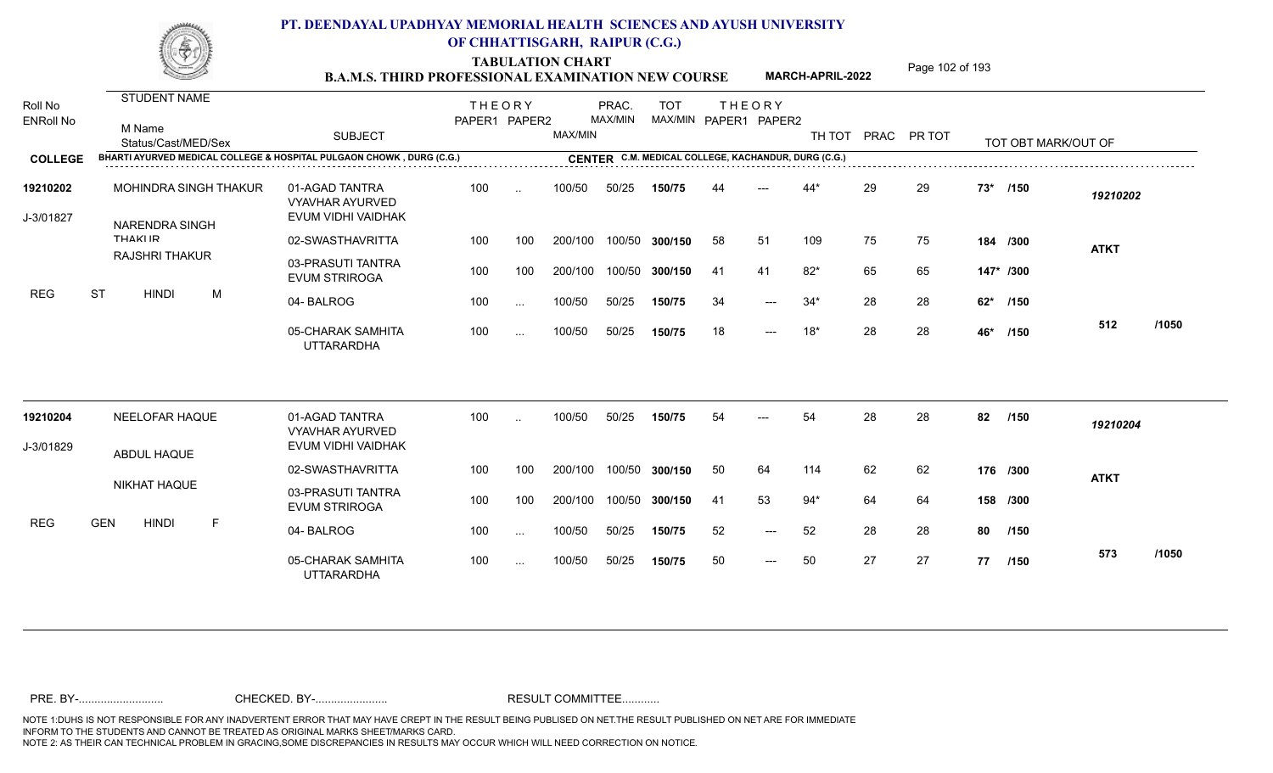TABULATION CHART<br> **TABULATION CHART EXAMINATION NEW COURSE MARCH-APRIL-2022** <sup>Page 102 of 193</sup>

**MARCH-APRIL-2022**

| Roll No<br><b>ENRoll No</b> | STUDENT NAME<br>M Name<br>Status/Cast/MED/Sex                        | <b>SUBJECT</b>                                                 | <b>THEORY</b><br>PAPER1 PAPER2 |               | MAX/MIN | PRAC.<br>MAX/MIN | <b>TOT</b>     |     | <b>THEORY</b><br>MAX/MIN PAPER1 PAPER2              | TH TOT |    | PRAC PR TOT |           | TOT OBT MARK/OUT OF |             |       |
|-----------------------------|----------------------------------------------------------------------|----------------------------------------------------------------|--------------------------------|---------------|---------|------------------|----------------|-----|-----------------------------------------------------|--------|----|-------------|-----------|---------------------|-------------|-------|
| <b>COLLEGE</b>              | BHARTI AYURVED MEDICAL COLLEGE & HOSPITAL PULGAON CHOWK, DURG (C.G.) |                                                                |                                |               |         |                  |                |     | CENTER C.M. MEDICAL COLLEGE, KACHANDUR, DURG (C.G.) |        |    |             |           |                     |             |       |
| 19210202<br>J-3/01827       | MOHINDRA SINGH THAKUR<br><b>NARENDRA SINGH</b>                       | 01-AGAD TANTRA<br><b>VYAVHAR AYURVED</b><br>EVUM VIDHI VAIDHAK | 100                            | $\sim$        | 100/50  | 50/25            | 150/75         |     |                                                     | $44*$  | 29 | 29          | $73*$     | /150                | 19210202    |       |
|                             | <b>THAKIIR</b>                                                       | 02-SWASTHAVRITTA                                               | 100                            | 100           | 200/100 |                  | 100/50 300/150 | 58  | 51                                                  | 109    | 75 | 75          |           | 184 /300            | <b>ATKT</b> |       |
|                             | <b>RAJSHRI THAKUR</b>                                                | 03-PRASUTI TANTRA<br><b>EVUM STRIROGA</b>                      | 100                            | 100           | 200/100 |                  | 100/50 300/150 | -41 | 41                                                  | $82*$  | 65 | 65          | 147* /300 |                     |             |       |
| <b>REG</b>                  | <b>ST</b><br><b>HINDI</b><br>M                                       | 04-BALROG                                                      | 100                            | $\ldots$      | 100/50  | 50/25            | 150/75         | 34  | $---$                                               | $34*$  | 28 | 28          | 62*       | /150                |             |       |
|                             |                                                                      | 05-CHARAK SAMHITA<br><b>UTTARARDHA</b>                         | 100                            | $\sim$ $\sim$ | 100/50  | 50/25            | 150/75         | 18  | $---$                                               | $18*$  | 28 | 28          | 46*       | /150                | 512         | /1050 |
| 19210204                    | NEELOFAR HAQUE                                                       | 01-AGAD TANTRA<br><b>VYAVHAR AYURVED</b>                       | 100                            | $\ddotsc$     | 100/50  | 50/25            | 150/75         | 54  |                                                     | 54     | 28 | 28          | 82        | /150                | 19210204    |       |
| J-3/01829                   | ABDUL HAQUE                                                          | EVUM VIDHI VAIDHAK                                             |                                |               |         |                  |                |     |                                                     |        |    |             |           |                     |             |       |
|                             |                                                                      | 02-SWASTHAVRITTA                                               | 100                            | 100           | 200/100 |                  | 100/50 300/150 | 50  | 64                                                  | 114    | 62 | 62          |           | 176 /300            | <b>ATKT</b> |       |
|                             | <b>NIKHAT HAQUE</b>                                                  | 03-PRASUTI TANTRA<br><b>EVUM STRIROGA</b>                      | 100                            | 100           | 200/100 |                  | 100/50 300/150 | -41 | 53                                                  | $94*$  | 64 | 64          |           | 158 /300            |             |       |
| <b>REG</b>                  | <b>GEN</b><br><b>HINDI</b><br>F                                      | 04-BALROG                                                      | 100                            | $\sim$ .      | 100/50  | 50/25            | 150/75         | 52  | $---$                                               | 52     | 28 | 28          | 80        | /150                |             |       |
|                             |                                                                      | 05-CHARAK SAMHITA<br><b>UTTARARDHA</b>                         | 100                            | $\ldots$      | 100/50  | 50/25            | 150/75         | 50  | $\qquad \qquad - -$                                 | 50     | 27 | 27          |           | 77 /150             | 573         | /1050 |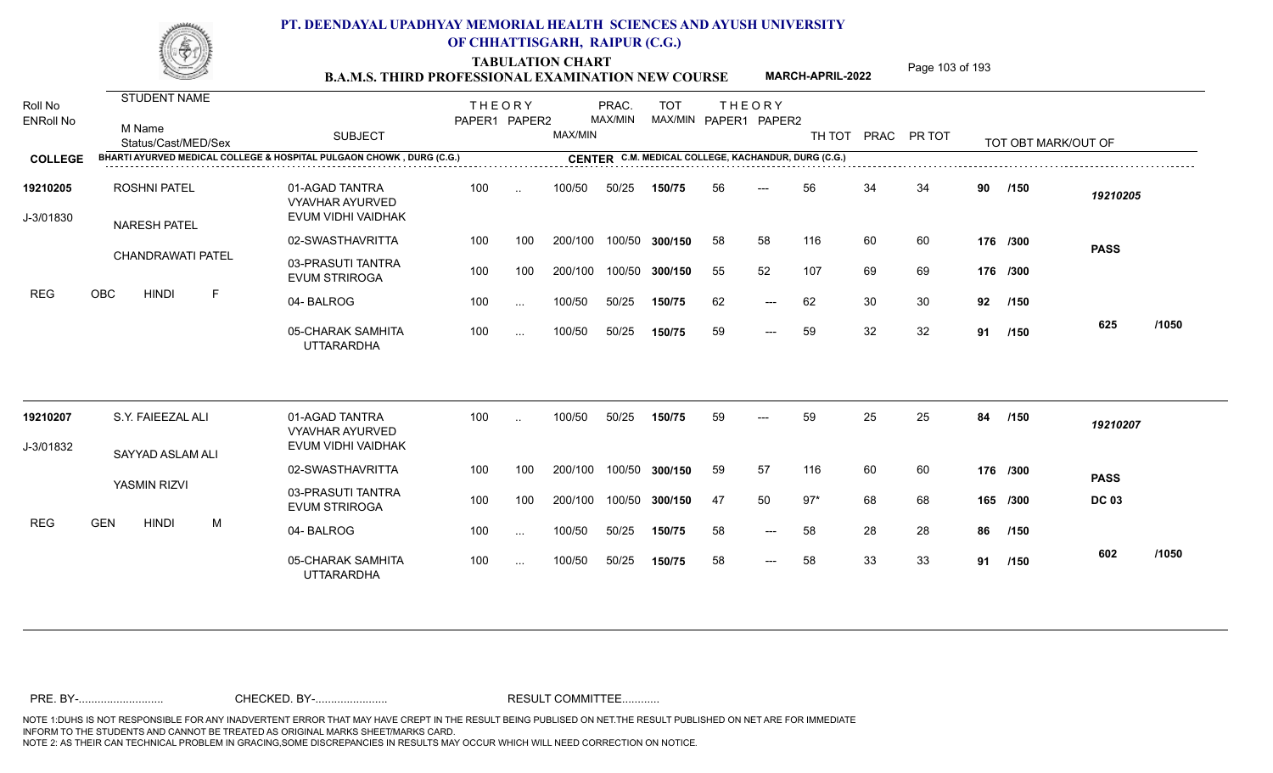TABULATION CHART<br> **TABULATION CHART EXAMINATION NEW COURSE MARCH-APRIL-2022** <sup>Page 103 of 193</sup>

**MARCH-APRIL-2022**

| Roll No<br><b>ENRoll No</b> | STUDENT NAME<br>M Name<br>Status/Cast/MED/Sex | <b>SUBJECT</b>                                                       | <b>THEORY</b><br>PAPER1 PAPER2 |               | <b>MAX/MIN</b> | PRAC.<br>MAX/MIN | <b>TOT</b><br>MAX/MIN PAPER1 PAPER2                 |     | <b>THEORY</b>       | TH TOT |    | PRAC PR TOT |    | TOT OBT MARK/OUT OF |              |       |
|-----------------------------|-----------------------------------------------|----------------------------------------------------------------------|--------------------------------|---------------|----------------|------------------|-----------------------------------------------------|-----|---------------------|--------|----|-------------|----|---------------------|--------------|-------|
| <b>COLLEGE</b>              |                                               | BHARTI AYURVED MEDICAL COLLEGE & HOSPITAL PULGAON CHOWK, DURG (C.G.) |                                |               |                |                  | CENTER C.M. MEDICAL COLLEGE, KACHANDUR, DURG (C.G.) |     |                     |        |    |             |    |                     |              |       |
| 19210205<br>J-3/01830       | <b>ROSHNI PATEL</b><br><b>NARESH PATEL</b>    | 01-AGAD TANTRA<br><b>VYAVHAR AYURVED</b><br>EVUM VIDHI VAIDHAK       | 100                            | $\ddotsc$     | 100/50         | 50/25            | 150/75                                              | 56  | $---$               | 56     | 34 | 34          | 90 | /150                | 19210205     |       |
|                             |                                               | 02-SWASTHAVRITTA                                                     | 100                            | 100           | 200/100        |                  | 100/50 300/150                                      | 58  | 58                  | 116    | 60 | 60          |    | 176 /300            | <b>PASS</b>  |       |
|                             | CHANDRAWATI PATEL                             | 03-PRASUTI TANTRA<br><b>EVUM STRIROGA</b>                            | 100                            | 100           | 200/100        |                  | 100/50 300/150                                      | 55  | 52                  | 107    | 69 | 69          |    | 176 /300            |              |       |
| <b>REG</b>                  | OBC<br><b>HINDI</b><br>F                      | 04-BALROG                                                            | 100                            | $\sim$ $\sim$ | 100/50         | 50/25            | 150/75                                              | 62  | $---$               | 62     | 30 | 30          | 92 | /150                |              |       |
|                             |                                               | 05-CHARAK SAMHITA<br><b>UTTARARDHA</b>                               | 100                            | $\sim$ .      | 100/50         | 50/25            | 150/75                                              | 59  | $\qquad \qquad - -$ | 59     | 32 | 32          | 91 | /150                | 625          | /1050 |
| 19210207                    | S.Y. FAIEEZAL ALI                             | 01-AGAD TANTRA<br><b>VYAVHAR AYURVED</b>                             | 100                            | $\ddotsc$     | 100/50         | 50/25            | 150/75                                              | 59  |                     | 59     | 25 | 25          | 84 | /150                | 19210207     |       |
| J-3/01832                   | SAYYAD ASLAM ALI                              | EVUM VIDHI VAIDHAK                                                   |                                |               |                |                  |                                                     |     |                     |        |    |             |    |                     |              |       |
|                             |                                               | 02-SWASTHAVRITTA                                                     | 100                            | 100           | 200/100        |                  | 100/50 300/150                                      | 59  | 57                  | 116    | 60 | 60          |    | 176 /300            | <b>PASS</b>  |       |
|                             | YASMIN RIZVI                                  | 03-PRASUTI TANTRA<br><b>EVUM STRIROGA</b>                            | 100                            | 100           | 200/100        |                  | 100/50 300/150                                      | -47 | 50                  | $97*$  | 68 | 68          |    | 165 /300            | <b>DC 03</b> |       |
| <b>REG</b>                  | <b>GEN</b><br><b>HINDI</b><br>M               | 04-BALROG                                                            | 100                            | $\ldots$      | 100/50         | 50/25            | 150/75                                              | 58  | $\qquad \qquad - -$ | 58     | 28 | 28          | 86 | /150                |              |       |
|                             |                                               | 05-CHARAK SAMHITA<br><b>UTTARARDHA</b>                               | 100                            | $\sim$        | 100/50         | 50/25            | 150/75                                              | 58  | $---$               | 58     | 33 | 33          | 91 | /150                | 602          | /1050 |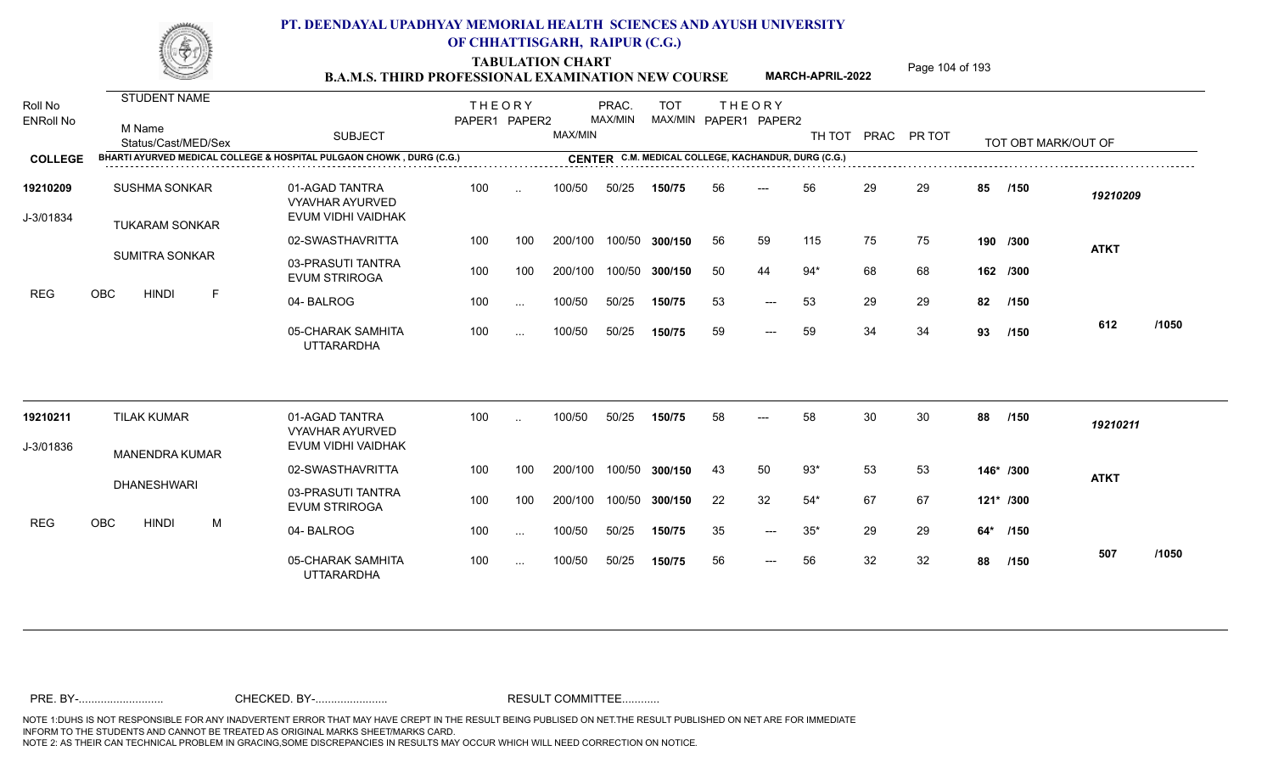TABULATION CHART<br> **TABULATION CHART EXAMINATION NEW COURSE MARCH-APRIL-2022** <sup>Page 104 of 193</sup>

**MARCH-APRIL-2022**

| Roll No<br><b>ENRoll No</b> | <b>STUDENT NAME</b><br>M Name<br>Status/Cast/MED/Sex | <b>SUBJECT</b>                                                       | <b>THEORY</b><br>PAPER1 PAPER2 |                      | MAX/MIN | PRAC.<br>MAX/MIN | <b>TOT</b><br>MAX/MIN PAPER1 PAPER2                 |    | <b>THEORY</b> | TH TOT      |    | PRAC PR TOT |     | TOT OBT MARK/OUT OF |             |       |
|-----------------------------|------------------------------------------------------|----------------------------------------------------------------------|--------------------------------|----------------------|---------|------------------|-----------------------------------------------------|----|---------------|-------------|----|-------------|-----|---------------------|-------------|-------|
| <b>COLLEGE</b>              |                                                      | BHARTI AYURVED MEDICAL COLLEGE & HOSPITAL PULGAON CHOWK, DURG (C.G.) |                                |                      |         |                  | CENTER C.M. MEDICAL COLLEGE, KACHANDUR, DURG (C.G.) |    |               |             |    |             |     |                     |             |       |
| 19210209<br>J-3/01834       | <b>SUSHMA SONKAR</b><br><b>TUKARAM SONKAR</b>        | 01-AGAD TANTRA<br><b>VYAVHAR AYURVED</b><br>EVUM VIDHI VAIDHAK       | 100                            | $\ddotsc$            | 100/50  | 50/25            | 150/75                                              | 56 |               | 56          | 29 | 29          | 85  | /150                | 19210209    |       |
|                             |                                                      | 02-SWASTHAVRITTA                                                     | 100                            | 100                  | 200/100 |                  | 100/50 300/150                                      | 56 | 59            | 115         | 75 | 75          |     | 190 /300            | <b>ATKT</b> |       |
|                             | <b>SUMITRA SONKAR</b>                                | 03-PRASUTI TANTRA<br><b>EVUM STRIROGA</b>                            | 100                            | 100                  | 200/100 |                  | 100/50 300/150                                      | 50 | 44            | $94*$       | 68 | 68          |     | 162 /300            |             |       |
| <b>REG</b>                  | OBC<br><b>HINDI</b><br>F                             | 04-BALROG                                                            | 100                            | $\ddotsc$            | 100/50  | 50/25            | 150/75                                              | 53 | $---$         | 53          | 29 | 29          | 82  | /150                |             |       |
|                             |                                                      | 05-CHARAK SAMHITA<br><b>UTTARARDHA</b>                               | 100                            | $\sim$               | 100/50  | 50/25            | 150/75                                              | 59 | $---$         | 59          | 34 | 34          | 93  | /150                | 612         | /1050 |
| 19210211                    | <b>TILAK KUMAR</b>                                   | 01-AGAD TANTRA<br><b>VYAVHAR AYURVED</b>                             | 100                            | $\ddot{\phantom{a}}$ | 100/50  | 50/25            | 150/75                                              | 58 | ---           | 58          | 30 | 30          | 88  | /150                | 19210211    |       |
| J-3/01836                   | <b>MANENDRA KUMAR</b>                                | EVUM VIDHI VAIDHAK                                                   |                                |                      |         |                  |                                                     |    |               |             |    |             |     |                     |             |       |
|                             |                                                      | 02-SWASTHAVRITTA                                                     | 100                            | 100                  | 200/100 | 100/50           | 300/150                                             | 43 | 50            | $93*$       | 53 | 53          |     | 146* /300           | <b>ATKT</b> |       |
|                             | <b>DHANESHWARI</b>                                   | 03-PRASUTI TANTRA<br><b>EVUM STRIROGA</b>                            | 100                            | 100                  | 200/100 |                  | 100/50 300/150                                      | 22 | 32            | $54*$       | 67 | 67          |     | $121*$ /300         |             |       |
| <b>REG</b>                  | OBC<br><b>HINDI</b><br>M                             | 04-BALROG                                                            | 100                            | $\ddotsc$            | 100/50  | 50/25            | 150/75                                              | 35 | $---$         | $35^{\ast}$ | 29 | 29          | 64* | /150                |             |       |
|                             |                                                      | 05-CHARAK SAMHITA<br><b>UTTARARDHA</b>                               | 100                            | $\sim$ .             | 100/50  | 50/25            | 150/75                                              | 56 | $---$         | 56          | 32 | 32          | 88  | /150                | 507         | /1050 |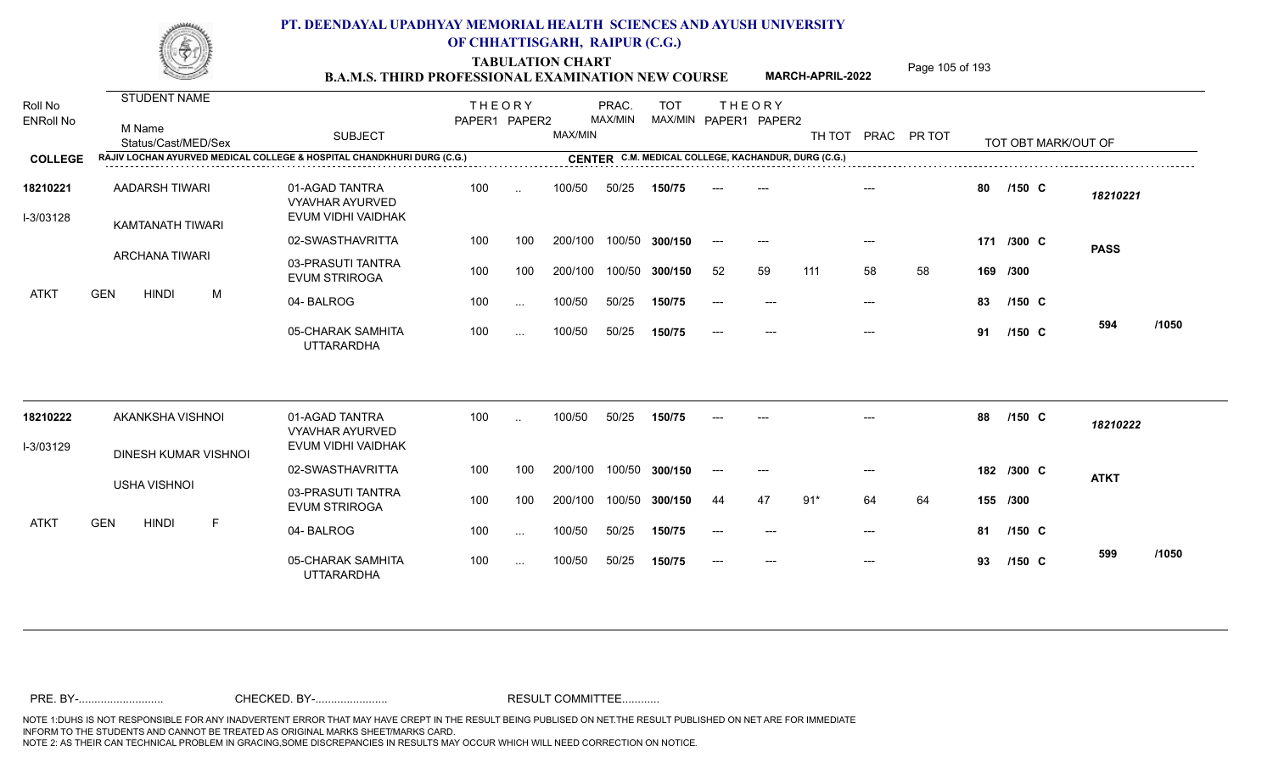TABULATION CHART<br> **TABULATION CHART EXAMINATION NEW COURSE MARCH-APRIL-2022** <sup>Page 105 of 193</sup>

**MARCH-APRIL-2022**

| Roll No<br><b>ENRoll No</b> | <b>STUDENT NAME</b><br>M Name<br>Status/Cast/MED/Sex                   | <b>SUBJECT</b>                                                 | <b>THEORY</b><br>PAPER1 PAPER2 |               | <b>MAX/MIN</b> | PRAC.<br>MAX/MIN | <b>TOT</b>     |       | <b>THEORY</b><br>MAX/MIN PAPER1 PAPER2              |       |       | TH TOT PRAC PR TOT |    |            | TOT OBT MARK/OUT OF |          |  |
|-----------------------------|------------------------------------------------------------------------|----------------------------------------------------------------|--------------------------------|---------------|----------------|------------------|----------------|-------|-----------------------------------------------------|-------|-------|--------------------|----|------------|---------------------|----------|--|
| <b>COLLEGE</b>              | RAJIV LOCHAN AYURVED MEDICAL COLLEGE & HOSPITAL CHANDKHURI DURG (C.G.) |                                                                |                                |               |                |                  |                |       | CENTER C.M. MEDICAL COLLEGE, KACHANDUR, DURG (C.G.) |       |       |                    |    |            |                     |          |  |
| 18210221<br>I-3/03128       | AADARSH TIWARI<br><b>KAMTANATH TIWARI</b>                              | 01-AGAD TANTRA<br><b>VYAVHAR AYURVED</b><br>EVUM VIDHI VAIDHAK | 100                            | $\sim$        | 100/50         | 50/25            | 150/75         |       |                                                     |       |       |                    | 80 | $/150$ C   |                     | 18210221 |  |
|                             |                                                                        | 02-SWASTHAVRITTA                                               | 100                            | 100           | 200/100        |                  | 100/50 300/150 | $---$ | $---$                                               |       | $---$ |                    |    | 171 /300 C | <b>PASS</b>         |          |  |
|                             | <b>ARCHANA TIWARI</b>                                                  | 03-PRASUTI TANTRA<br><b>EVUM STRIROGA</b>                      | 100                            | 100           | 200/100        |                  | 100/50 300/150 | 52    | 59                                                  | 111   | 58    | 58                 |    | 169 /300   |                     |          |  |
| ATKT                        | <b>GEN</b><br><b>HINDI</b><br>M                                        | 04-BALROG                                                      | 100                            | $\ldots$      | 100/50         | 50/25            | 150/75         | $---$ |                                                     |       | $---$ |                    | 83 | /150 C     |                     |          |  |
|                             |                                                                        | 05-CHARAK SAMHITA<br><b>UTTARARDHA</b>                         | 100                            | $\ldots$      | 100/50         | 50/25            | 150/75         | $---$ | $---$                                               |       | $---$ |                    | 91 | $/150$ C   | 594                 | /1050    |  |
| 18210222                    | AKANKSHA VISHNOI                                                       | 01-AGAD TANTRA<br><b>VYAVHAR AYURVED</b>                       | 100                            | $\ddotsc$     | 100/50         | 50/25            | 150/75         |       | $---$                                               |       |       |                    | 88 | $/150$ C   |                     | 18210222 |  |
| I-3/03129                   | DINESH KUMAR VISHNOI                                                   | EVUM VIDHI VAIDHAK                                             |                                |               |                |                  |                |       |                                                     |       |       |                    |    |            |                     |          |  |
|                             |                                                                        | 02-SWASTHAVRITTA                                               | 100                            | 100           | 200/100        |                  | 100/50 300/150 | $---$ | $---$                                               |       | $---$ |                    |    | 182 /300 C | <b>ATKT</b>         |          |  |
|                             | <b>USHA VISHNOI</b>                                                    | 03-PRASUTI TANTRA<br><b>EVUM STRIROGA</b>                      | 100                            | 100           | 200/100        |                  | 100/50 300/150 | 44    | 47                                                  | $91*$ | 64    | 64                 |    | 155 /300   |                     |          |  |
| ATKT                        | <b>GEN</b><br><b>HINDI</b><br>-F                                       | 04-BALROG                                                      | 100                            | $\sim$ $\sim$ | 100/50         | 50/25            | 150/75         | $--$  | $---$                                               |       | $---$ |                    | 81 | $/150$ C   |                     |          |  |
|                             |                                                                        | 05-CHARAK SAMHITA<br><b>UTTARARDHA</b>                         | 100                            | $\sim$ $\sim$ | 100/50         | 50/25            | 150/75         |       | $---$                                               |       | $---$ |                    | 93 | $/150$ C   | 599                 | /1050    |  |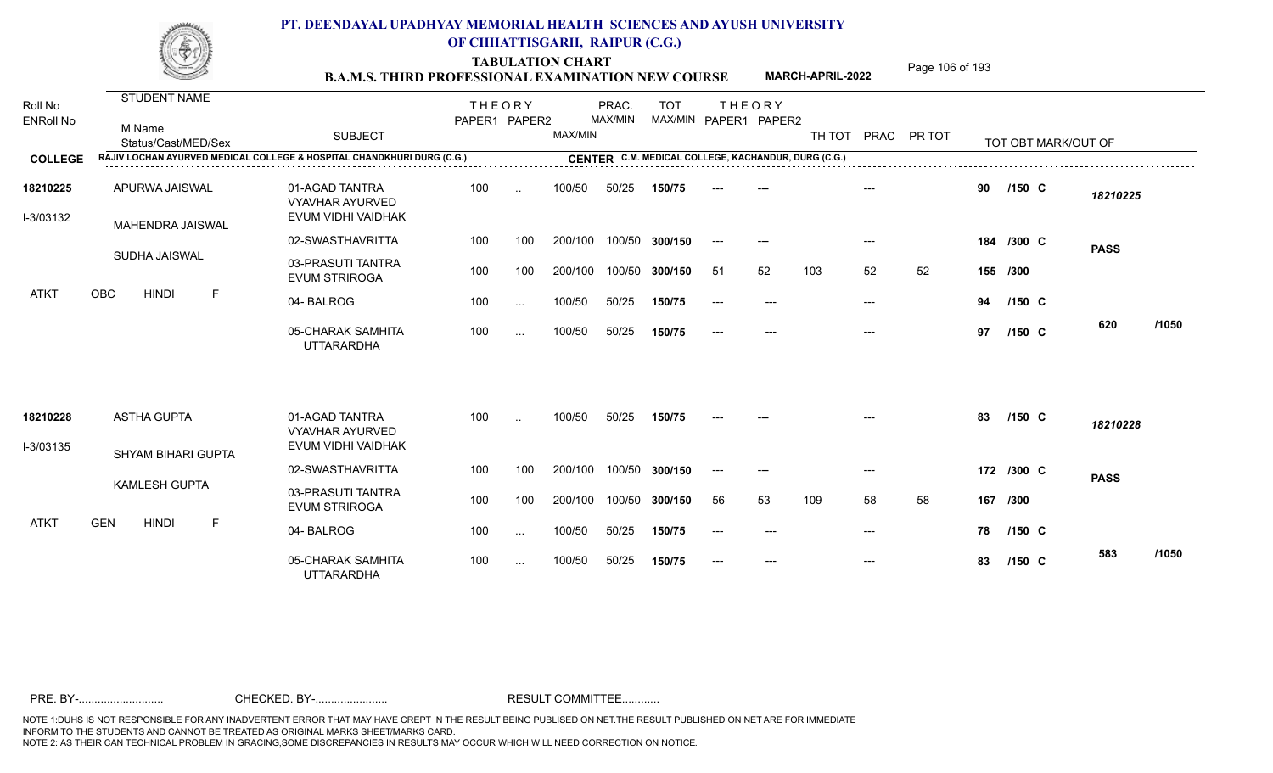TABULATION CHART<br> **TABULATION CHART EXAMINATION NEW COURSE MARCH-APRIL-2022** <sup>Page 106 of 193</sup>

**MARCH-APRIL-2022**

| Roll No<br><b>ENRoll No</b> | <b>STUDENT NAME</b><br>M Name<br>Status/Cast/MED/Sex                   | <b>SUBJECT</b>                                                 | <b>THEORY</b><br>PAPER1 PAPER2 |                      | MAX/MIN | PRAC.<br>MAX/MIN | <b>TOT</b>                                          |       | <b>THEORY</b><br>MAX/MIN PAPER1 PAPER2 | TH TOT |                           | PRAC PR TOT |     |            | TOT OBT MARK/OUT OF |       |
|-----------------------------|------------------------------------------------------------------------|----------------------------------------------------------------|--------------------------------|----------------------|---------|------------------|-----------------------------------------------------|-------|----------------------------------------|--------|---------------------------|-------------|-----|------------|---------------------|-------|
| <b>COLLEGE</b>              | RAJIV LOCHAN AYURVED MEDICAL COLLEGE & HOSPITAL CHANDKHURI DURG (C.G.) |                                                                |                                |                      |         |                  | CENTER C.M. MEDICAL COLLEGE, KACHANDUR, DURG (C.G.) |       |                                        |        |                           |             |     |            |                     |       |
| 18210225<br>I-3/03132       | APURWA JAISWAL<br>MAHENDRA JAISWAL                                     | 01-AGAD TANTRA<br><b>VYAVHAR AYURVED</b><br>EVUM VIDHI VAIDHAK | 100                            | $\ddotsc$            | 100/50  | 50/25            | 150/75                                              |       |                                        |        |                           |             | 90  | $/150$ C   | 18210225            |       |
|                             |                                                                        | 02-SWASTHAVRITTA                                               | 100                            | 100                  | 200/100 |                  | 100/50 300/150                                      | $--$  | $---$                                  |        | $---$                     |             |     | 184 /300 C | <b>PASS</b>         |       |
|                             | SUDHA JAISWAL                                                          | 03-PRASUTI TANTRA<br><b>EVUM STRIROGA</b>                      | 100                            | 100                  | 200/100 |                  | 100/50 300/150                                      | -51   | 52                                     | 103    | 52                        | 52          |     | 155 /300   |                     |       |
| <b>ATKT</b>                 | OBC<br><b>HINDI</b><br>F                                               | 04-BALROG                                                      | 100                            | $\ddotsc$            | 100/50  | 50/25            | 150/75                                              | $---$ | $---$                                  |        | $---$                     |             | 94  | $/150$ C   |                     |       |
|                             |                                                                        | 05-CHARAK SAMHITA<br><b>UTTARARDHA</b>                         | 100                            | $\sim$               | 100/50  | 50/25            | 150/75                                              | $---$ | $---$                                  |        | $\qquad \qquad -\qquad -$ |             | 97  | $/150$ C   | 620                 | /1050 |
| 18210228                    | <b>ASTHA GUPTA</b>                                                     | 01-AGAD TANTRA                                                 | 100                            | $\ddot{\phantom{a}}$ | 100/50  | 50/25            | 150/75                                              |       |                                        |        |                           |             | 83  | $/150$ C   | 18210228            |       |
| I-3/03135                   |                                                                        | <b>VYAVHAR AYURVED</b><br>EVUM VIDHI VAIDHAK                   |                                |                      |         |                  |                                                     |       |                                        |        |                           |             |     |            |                     |       |
|                             | <b>SHYAM BIHARI GUPTA</b>                                              | 02-SWASTHAVRITTA                                               | 100                            | 100                  | 200/100 |                  | 100/50 300/150                                      | $---$ | $---$                                  |        |                           |             |     | 172 /300 C | <b>PASS</b>         |       |
|                             | <b>KAMLESH GUPTA</b>                                                   | 03-PRASUTI TANTRA<br><b>EVUM STRIROGA</b>                      | 100                            | 100                  | 200/100 | 100/50           | 300/150                                             | 56    | 53                                     | 109    | 58                        | 58          | 167 | /300       |                     |       |
| <b>ATKT</b>                 | <b>GEN</b><br><b>HINDI</b><br>F                                        | 04-BALROG                                                      | 100                            | $\cdots$             | 100/50  | 50/25            | 150/75                                              | $---$ | $---$                                  |        | $---$                     |             | 78  | $/150$ C   |                     |       |
|                             |                                                                        | 05-CHARAK SAMHITA<br><b>UTTARARDHA</b>                         | 100                            | $\cdots$             | 100/50  | 50/25            | 150/75                                              | $---$ | $---$                                  |        | $---$                     |             | 83  | $/150$ C   | 583                 | /1050 |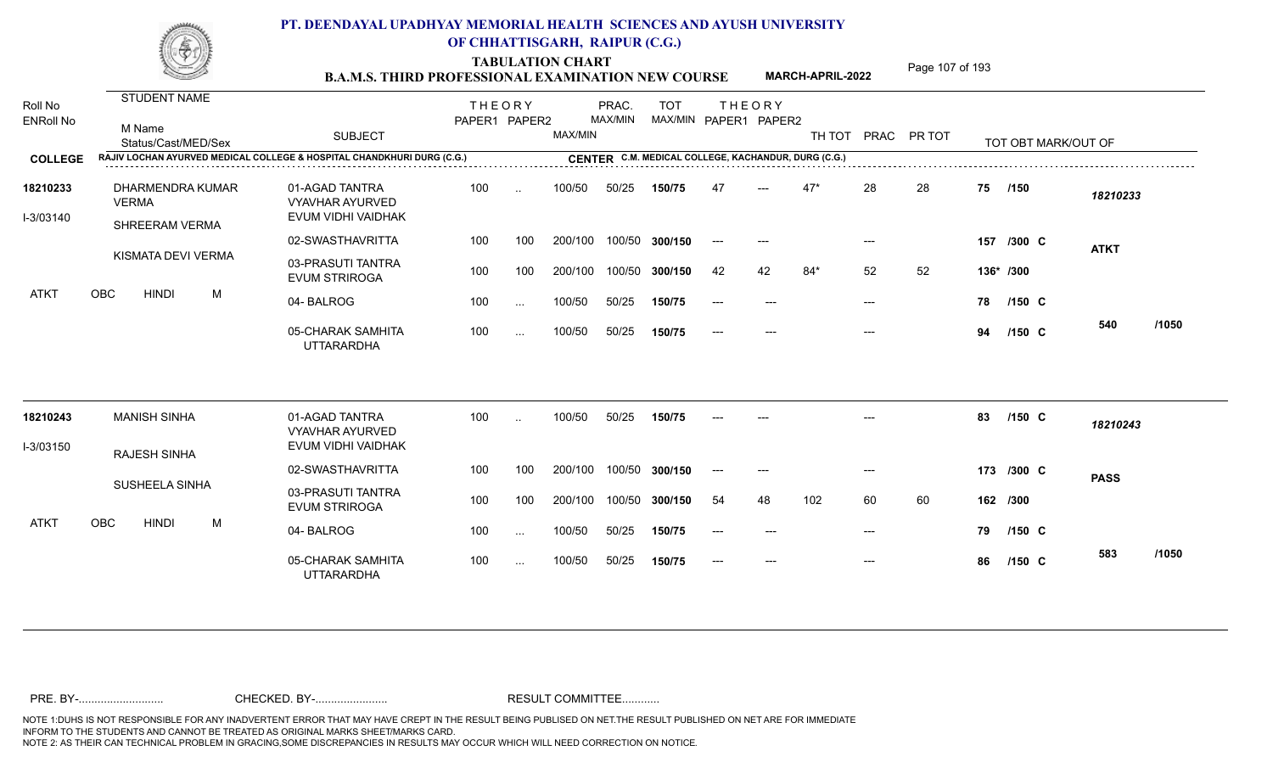TABULATION CHART<br> **TABULATION CHART EXAMINATION NEW COURSE MARCH-APRIL-2022** <sup>Page 107 of 193</sup>

**MARCH-APRIL-2022**

| Roll No<br><b>ENRoll No</b> | STUDENT NAME<br>M Name<br>Status/Cast/MED/Sex | <b>SUBJECT</b>                                                         | <b>THEORY</b><br>PAPER1 PAPER2 |           | MAX/MIN | PRAC.<br>MAX/MIN | <b>TOT</b><br>MAX/MIN PAPER1 PAPER2                 |       | <b>THEORY</b> |       |       | TH TOT PRAC PR TOT |    | TOT OBT MARK/OUT OF |             |       |
|-----------------------------|-----------------------------------------------|------------------------------------------------------------------------|--------------------------------|-----------|---------|------------------|-----------------------------------------------------|-------|---------------|-------|-------|--------------------|----|---------------------|-------------|-------|
| <b>COLLEGE</b>              |                                               | RAJIV LOCHAN AYURVED MEDICAL COLLEGE & HOSPITAL CHANDKHURI DURG (C.G.) |                                |           |         |                  | CENTER C.M. MEDICAL COLLEGE, KACHANDUR, DURG (C.G.) |       |               |       |       |                    |    |                     |             |       |
| 18210233<br>I-3/03140       | DHARMENDRA KUMAR<br><b>VERMA</b>              | 01-AGAD TANTRA<br><b>VYAVHAR AYURVED</b><br>EVUM VIDHI VAIDHAK         | 100                            | $\sim$    | 100/50  | 50/25            | 150/75                                              | 47    |               | $47*$ | 28    | 28                 | 75 | /150                | 18210233    |       |
|                             | SHREERAM VERMA                                | 02-SWASTHAVRITTA                                                       | 100                            | 100       | 200/100 |                  | 100/50 300/150                                      | $---$ | $---$         |       | ---   |                    |    | 157 /300 C          |             |       |
|                             | KISMATA DEVI VERMA                            | 03-PRASUTI TANTRA<br><b>EVUM STRIROGA</b>                              | 100                            | 100       | 200/100 | 100/50           | 300/150                                             | 42    | 42            | $84*$ | 52    | 52                 |    | 136* /300           | <b>ATKT</b> |       |
| ATKT                        | OBC<br><b>HINDI</b><br>М                      | 04-BALROG                                                              | 100                            | $\ldots$  | 100/50  | 50/25            | 150/75                                              | $---$ |               |       | $---$ |                    | 78 | /150 C              |             |       |
|                             |                                               | 05-CHARAK SAMHITA<br><b>UTTARARDHA</b>                                 | 100                            | $\sim$    | 100/50  | 50/25            | 150/75                                              |       |               |       | $---$ |                    | 94 | $/150$ C            | 540         | /1050 |
| 18210243                    | <b>MANISH SINHA</b>                           | 01-AGAD TANTRA<br><b>VYAVHAR AYURVED</b>                               | 100                            | $\ddotsc$ | 100/50  | 50/25            | 150/75                                              |       |               |       |       |                    | 83 | $/150$ C            | 18210243    |       |
| I-3/03150                   | <b>RAJESH SINHA</b>                           | EVUM VIDHI VAIDHAK                                                     |                                |           |         |                  |                                                     |       |               |       |       |                    |    |                     |             |       |
|                             |                                               | 02-SWASTHAVRITTA                                                       | 100                            | 100       | 200/100 |                  | 100/50 300/150                                      | $---$ | $---$         |       | $---$ |                    |    | 173 /300 C          | <b>PASS</b> |       |
|                             | SUSHEELA SINHA                                | 03-PRASUTI TANTRA<br><b>EVUM STRIROGA</b>                              | 100                            | 100       | 200/100 | 100/50           | 300/150                                             | 54    | 48            | 102   | 60    | 60                 |    | 162 /300            |             |       |
| ATKT                        | <b>OBC</b><br><b>HINDI</b><br>М               | 04-BALROG                                                              | 100                            | $\ldots$  | 100/50  | 50/25            | 150/75                                              | $---$ | $---$         |       | $---$ |                    | 79 | $/150$ C            |             |       |
|                             |                                               | 05-CHARAK SAMHITA<br><b>UTTARARDHA</b>                                 | 100                            | $\sim$    | 100/50  | 50/25            | 150/75                                              |       |               |       | $---$ |                    | 86 | $/150$ C            | 583         | /1050 |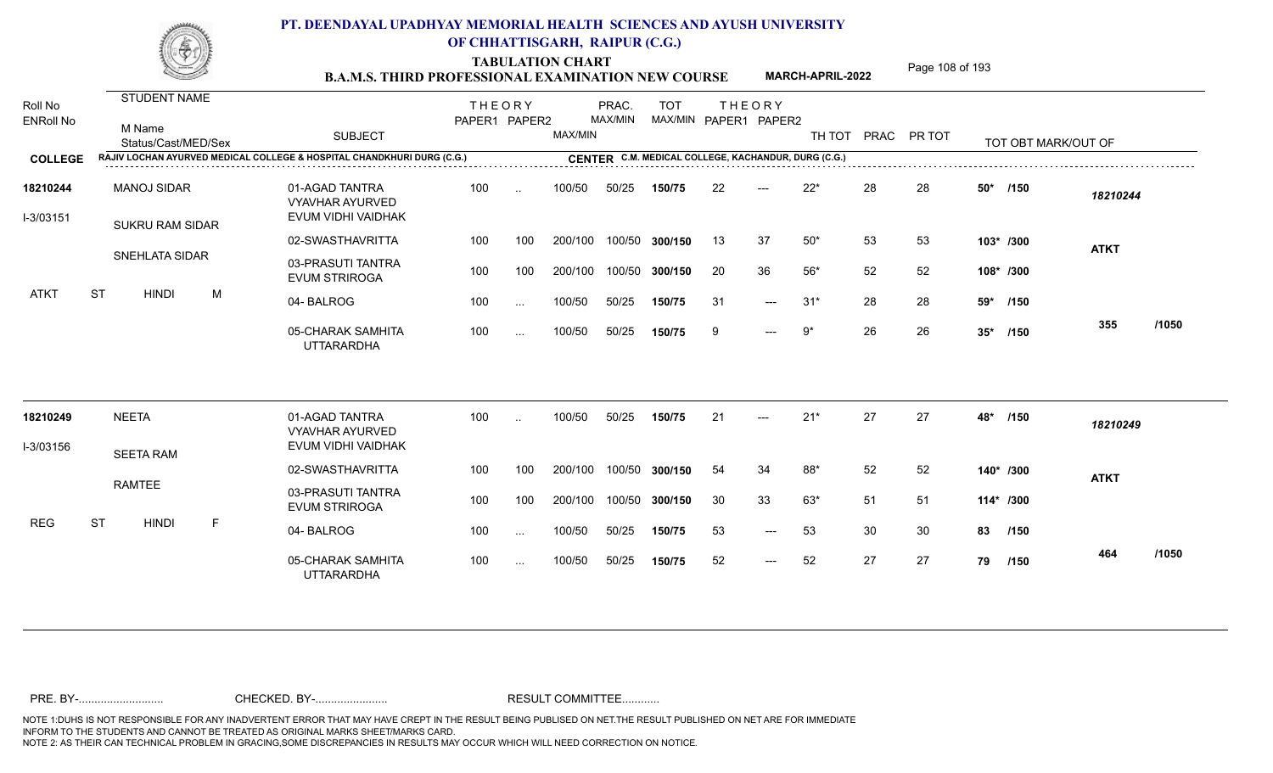TABULATION CHART<br> **TABULATION CHART EXAMINATION NEW COURSE MARCH-APRIL-2022** <sup>Page 108 of 193</sup>

**MARCH-APRIL-2022**

| Roll No<br><b>ENRoll No</b> | STUDENT NAME<br>M Name<br>Status/Cast/MED/Sex | <b>SUBJECT</b>                                                         | <b>THEORY</b><br>PAPER1 PAPER2 |           | MAX/MIN | PRAC.<br>MAX/MIN | <b>TOT</b>     |     | <b>THEORY</b><br>MAX/MIN PAPER1 PAPER2              | TH TOT |    | PRAC PR TOT |           | TOT OBT MARK/OUT OF |             |       |
|-----------------------------|-----------------------------------------------|------------------------------------------------------------------------|--------------------------------|-----------|---------|------------------|----------------|-----|-----------------------------------------------------|--------|----|-------------|-----------|---------------------|-------------|-------|
| <b>COLLEGE</b>              |                                               | RAJIV LOCHAN AYURVED MEDICAL COLLEGE & HOSPITAL CHANDKHURI DURG (C.G.) |                                |           |         |                  |                |     | CENTER C.M. MEDICAL COLLEGE, KACHANDUR, DURG (C.G.) |        |    |             |           |                     |             |       |
| 18210244<br>I-3/03151       | <b>MANOJ SIDAR</b><br><b>SUKRU RAM SIDAR</b>  | 01-AGAD TANTRA<br><b>VYAVHAR AYURVED</b><br>EVUM VIDHI VAIDHAK         | 100                            | $\ddotsc$ | 100/50  | 50/25            | 150/75         | 22  | $---$                                               | $22*$  | 28 | 28          | 50*       | /150                | 18210244    |       |
|                             |                                               | 02-SWASTHAVRITTA                                                       | 100                            | 100       | 200/100 |                  | 100/50 300/150 | 13  | 37                                                  | $50^*$ | 53 | 53          | 103* /300 |                     | <b>ATKT</b> |       |
|                             | <b>SNEHLATA SIDAR</b>                         | 03-PRASUTI TANTRA<br><b>EVUM STRIROGA</b>                              | 100                            | 100       | 200/100 |                  | 100/50 300/150 | 20  | 36                                                  | $56*$  | 52 | 52          | 108* /300 |                     |             |       |
| ATKT                        | <b>ST</b><br><b>HINDI</b><br>M                | 04-BALROG                                                              | 100                            | $\cdots$  | 100/50  | 50/25            | 150/75         | -31 | $---$                                               | $31*$  | 28 | 28          | 59*       | /150                |             |       |
|                             |                                               | 05-CHARAK SAMHITA<br><b>UTTARARDHA</b>                                 | 100                            | $\cdots$  | 100/50  | 50/25            | 150/75         | -9  | $---$                                               | 9*     | 26 | 26          | $35*$     | /150                | 355         | /1050 |
| 18210249                    | <b>NEETA</b>                                  | 01-AGAD TANTRA<br><b>VYAVHAR AYURVED</b>                               | 100                            | $\cdot$ . | 100/50  | 50/25            | 150/75         | 21  | $---$                                               | $21*$  | 27 | 27          | 48*       | /150                | 18210249    |       |
| I-3/03156                   | <b>SEETA RAM</b>                              | EVUM VIDHI VAIDHAK                                                     |                                |           |         |                  |                |     |                                                     |        |    |             |           |                     |             |       |
|                             |                                               | 02-SWASTHAVRITTA                                                       | 100                            | 100       | 200/100 |                  | 100/50 300/150 | 54  | 34                                                  | $88*$  | 52 | 52          | 140* /300 |                     | <b>ATKT</b> |       |
|                             | <b>RAMTEE</b>                                 | 03-PRASUTI TANTRA<br><b>EVUM STRIROGA</b>                              | 100                            | 100       | 200/100 |                  | 100/50 300/150 | 30  | 33                                                  | $63*$  | 51 | 51          | 114* /300 |                     |             |       |
| <b>REG</b>                  | <b>ST</b><br><b>HINDI</b><br>F                | 04-BALROG                                                              | 100                            | $\cdots$  | 100/50  | 50/25            | 150/75         | 53  | $---$                                               | 53     | 30 | 30          | 83        | /150                |             |       |
|                             |                                               | 05-CHARAK SAMHITA<br><b>UTTARARDHA</b>                                 | 100                            | $\cdots$  | 100/50  | 50/25            | 150/75         | 52  | $---$                                               | 52     | 27 | 27          | 79        | /150                | 464         | /1050 |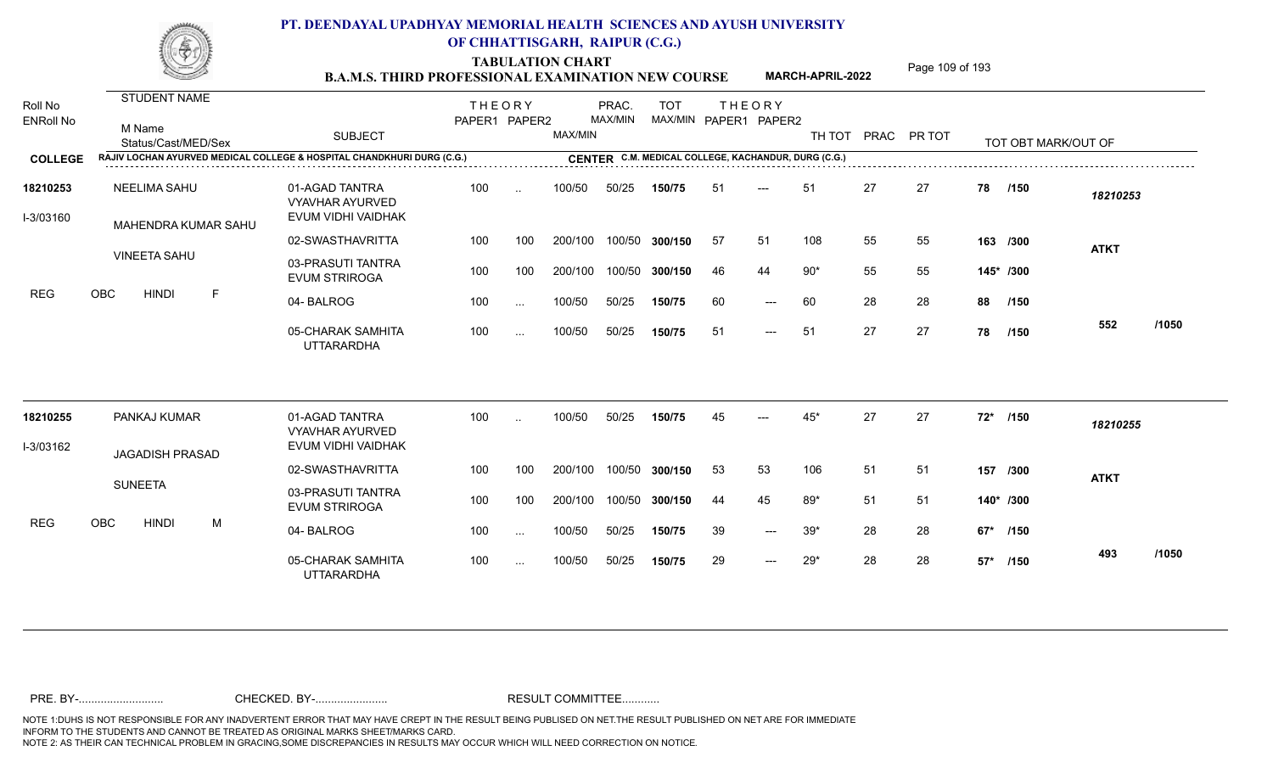TABULATION CHART<br> **TABULATION CHART EXAMINATION NEW COURSE MARCH-APRIL-2022** <sup>Page 109 of 193</sup>

**MARCH-APRIL-2022**

| Roll No<br><b>ENRoll No</b> | STUDENT NAME<br>M Name<br>Status/Cast/MED/Sex                          | <b>SUBJECT</b>                                                 | <b>THEORY</b><br>PAPER1 PAPER2 |               | MAX/MIN | PRAC.<br>MAX/MIN | <b>TOT</b><br>MAX/MIN PAPER1 PAPER2                 |     | <b>THEORY</b>       | TH TOT PRAC PR TOT |    |     |           | TOT OBT MARK/OUT OF |             |       |
|-----------------------------|------------------------------------------------------------------------|----------------------------------------------------------------|--------------------------------|---------------|---------|------------------|-----------------------------------------------------|-----|---------------------|--------------------|----|-----|-----------|---------------------|-------------|-------|
| <b>COLLEGE</b>              | RAJIV LOCHAN AYURVED MEDICAL COLLEGE & HOSPITAL CHANDKHURI DURG (C.G.) |                                                                |                                |               |         |                  | CENTER C.M. MEDICAL COLLEGE, KACHANDUR, DURG (C.G.) |     |                     |                    |    |     |           |                     |             |       |
| 18210253<br>I-3/03160       | NEELIMA SAHU<br>MAHENDRA KUMAR SAHU                                    | 01-AGAD TANTRA<br><b>VYAVHAR AYURVED</b><br>EVUM VIDHI VAIDHAK | 100                            | $\ddotsc$     | 100/50  | 50/25            | 150/75                                              | 51  | ---                 | 51                 | 27 | 27  | 78        | /150                | 18210253    |       |
|                             |                                                                        | 02-SWASTHAVRITTA                                               | 100                            | 100           | 200/100 | 100/50           | 300/150                                             | 57  | 51                  | 108                | 55 | 55  |           | 163 /300            | <b>ATKT</b> |       |
|                             | <b>VINEETA SAHU</b>                                                    | 03-PRASUTI TANTRA<br><b>EVUM STRIROGA</b>                      | 100                            | 100           | 200/100 | 100/50           | 300/150                                             | 46  | 44                  | $90*$              | 55 | 55  | 145* /300 |                     |             |       |
| <b>REG</b>                  | OBC<br>F<br><b>HINDI</b>                                               | 04-BALROG                                                      | 100                            | $\sim$ .      | 100/50  | 50/25            | 150/75                                              | 60  | $\qquad \qquad - -$ | 60                 | 28 | 28  | 88        | /150                |             |       |
|                             |                                                                        | 05-CHARAK SAMHITA<br><b>UTTARARDHA</b>                         | 100                            | $\cdots$      | 100/50  | 50/25            | 150/75                                              | -51 | $---$               | 51                 | 27 | 27  | 78        | /150                | 552         | /1050 |
| 18210255                    | PANKAJ KUMAR                                                           | 01-AGAD TANTRA<br><b>VYAVHAR AYURVED</b>                       | 100                            | $\sim$        | 100/50  | 50/25            | 150/75                                              | 45  |                     | 45*                | 27 | 27  | $72*$     | /150                | 18210255    |       |
| I-3/03162                   | <b>JAGADISH PRASAD</b>                                                 | EVUM VIDHI VAIDHAK                                             |                                |               |         |                  |                                                     |     |                     |                    |    |     |           |                     |             |       |
|                             |                                                                        | 02-SWASTHAVRITTA                                               | 100                            | 100           | 200/100 | 100/50           | 300/150                                             | 53  | 53                  | 106                | 51 | 51  |           | 157 /300            | <b>ATKT</b> |       |
|                             | <b>SUNEETA</b>                                                         | 03-PRASUTI TANTRA<br><b>EVUM STRIROGA</b>                      | 100                            | 100           | 200/100 | 100/50           | 300/150                                             | 44  | 45                  | 89*                | 51 | -51 |           | 140* /300           |             |       |
| <b>REG</b>                  | <b>OBC</b><br><b>HINDI</b><br>M                                        | 04-BALROG                                                      | 100                            | $\sim$ .      | 100/50  | 50/25            | 150/75                                              | 39  | $---$               | $39*$              | 28 | 28  |           | 67* /150            |             |       |
|                             |                                                                        | 05-CHARAK SAMHITA<br><b>UTTARARDHA</b>                         | 100                            | $\sim$ $\sim$ | 100/50  | 50/25            | 150/75                                              | 29  | $---$               | 29*                | 28 | 28  |           | 57* /150            | 493         | /1050 |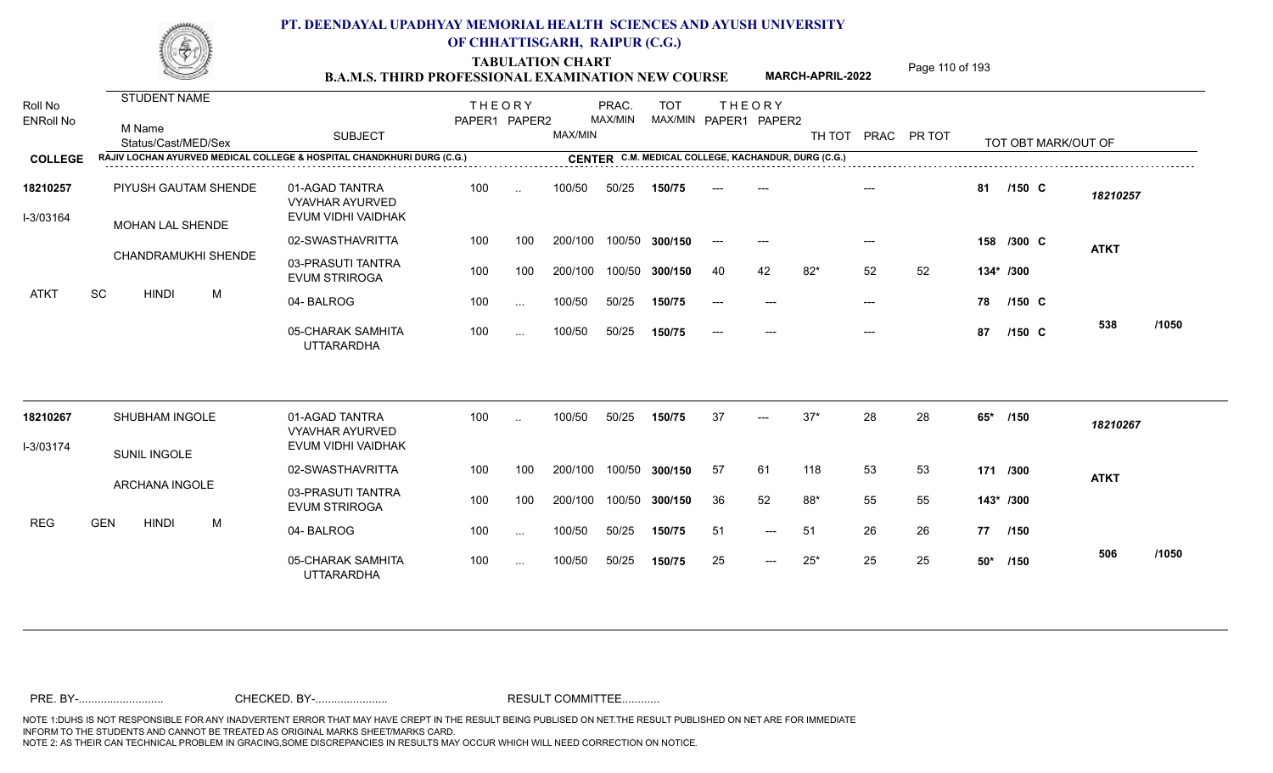TABULATION CHART<br> **Page 110 of 193 B.A.M.S. THIRD PROFESSIONAL EXAMINATION NEW COURSE**

**MARCH-APRIL-2022**

| Roll No<br><b>ENRoll No</b> | <b>STUDENT NAME</b><br>M Name<br>Status/Cast/MED/Sex                              | <b>SUBJECT</b>                                                 | <b>THEORY</b><br>PAPER1 PAPER2 |           | MAX/MIN | PRAC.<br>MAX/MIN | <b>TOT</b><br>MAX/MIN PAPER1 PAPER2                 |       | <b>THEORY</b> | TH TOT |                           | PRAC PR TOT |           | TOT OBT MARK/OUT OF |             |       |
|-----------------------------|-----------------------------------------------------------------------------------|----------------------------------------------------------------|--------------------------------|-----------|---------|------------------|-----------------------------------------------------|-------|---------------|--------|---------------------------|-------------|-----------|---------------------|-------------|-------|
| <b>COLLEGE</b>              | <b>RAJIV LOCHAN AYURVED MEDICAL COLLEGE &amp; HOSPITAL CHANDKHURI DURG (C.G.)</b> |                                                                |                                |           |         |                  | CENTER C.M. MEDICAL COLLEGE, KACHANDUR, DURG (C.G.) |       |               |        |                           |             |           |                     |             |       |
| 18210257<br>I-3/03164       | PIYUSH GAUTAM SHENDE<br><b>MOHAN LAL SHENDE</b>                                   | 01-AGAD TANTRA<br><b>VYAVHAR AYURVED</b><br>EVUM VIDHI VAIDHAK | 100                            | $\ddotsc$ | 100/50  | 50/25            | 150/75                                              |       |               |        |                           |             | 81        | $/150$ C            | 18210257    |       |
|                             |                                                                                   | 02-SWASTHAVRITTA                                               | 100                            | 100       | 200/100 |                  | 100/50 300/150                                      | $---$ | $---$         |        |                           |             |           | 158 /300 C          | <b>ATKT</b> |       |
|                             | CHANDRAMUKHI SHENDE                                                               | 03-PRASUTI TANTRA<br><b>EVUM STRIROGA</b>                      | 100                            | 100       | 200/100 |                  | 100/50 300/150                                      | 40    | 42            | $82*$  | 52                        | 52          | 134* /300 |                     |             |       |
| <b>ATKT</b>                 | SC<br><b>HINDI</b><br>M                                                           | 04-BALROG                                                      | 100                            | $\cdots$  | 100/50  | 50/25            | 150/75                                              |       |               |        | $---$                     |             | 78        | $/150$ C            |             |       |
|                             |                                                                                   | 05-CHARAK SAMHITA<br><b>UTTARARDHA</b>                         | 100                            | $\cdots$  | 100/50  | 50/25            | 150/75                                              | $---$ | $---$         |        | $\qquad \qquad -\qquad -$ |             | 87        | $/150$ C            | 538         | /1050 |
| 18210267                    | SHUBHAM INGOLE                                                                    | 01-AGAD TANTRA                                                 | 100                            | $\ddotsc$ | 100/50  | 50/25            | 150/75                                              | 37    | ---           | $37*$  | 28                        | 28          | $65*$     | /150                | 18210267    |       |
| I-3/03174                   |                                                                                   | <b>VYAVHAR AYURVED</b><br>EVUM VIDHI VAIDHAK                   |                                |           |         |                  |                                                     |       |               |        |                           |             |           |                     |             |       |
|                             | SUNIL INGOLE                                                                      | 02-SWASTHAVRITTA                                               | 100                            | 100       | 200/100 |                  | 100/50 300/150                                      | 57    | 61            | 118    | 53                        | 53          | 171 /300  |                     | <b>ATKT</b> |       |
|                             | <b>ARCHANA INGOLE</b>                                                             | 03-PRASUTI TANTRA<br><b>EVUM STRIROGA</b>                      | 100                            | 100       | 200/100 |                  | 100/50 300/150                                      | 36    | 52            | $88*$  | 55                        | 55          | 143* /300 |                     |             |       |
| <b>REG</b>                  | <b>GEN</b><br><b>HINDI</b><br>M                                                   | 04-BALROG                                                      | 100                            | $\cdots$  | 100/50  | 50/25            | 150/75                                              | 51    | $---$         | 51     | 26                        | 26          | 77 /150   |                     |             |       |
|                             |                                                                                   | 05-CHARAK SAMHITA<br><b>UTTARARDHA</b>                         | 100                            | $\sim$    | 100/50  | 50/25            | 150/75                                              | 25    | $---$         | $25*$  | 25                        | 25          | $50*$     | /150                | 506         | /1050 |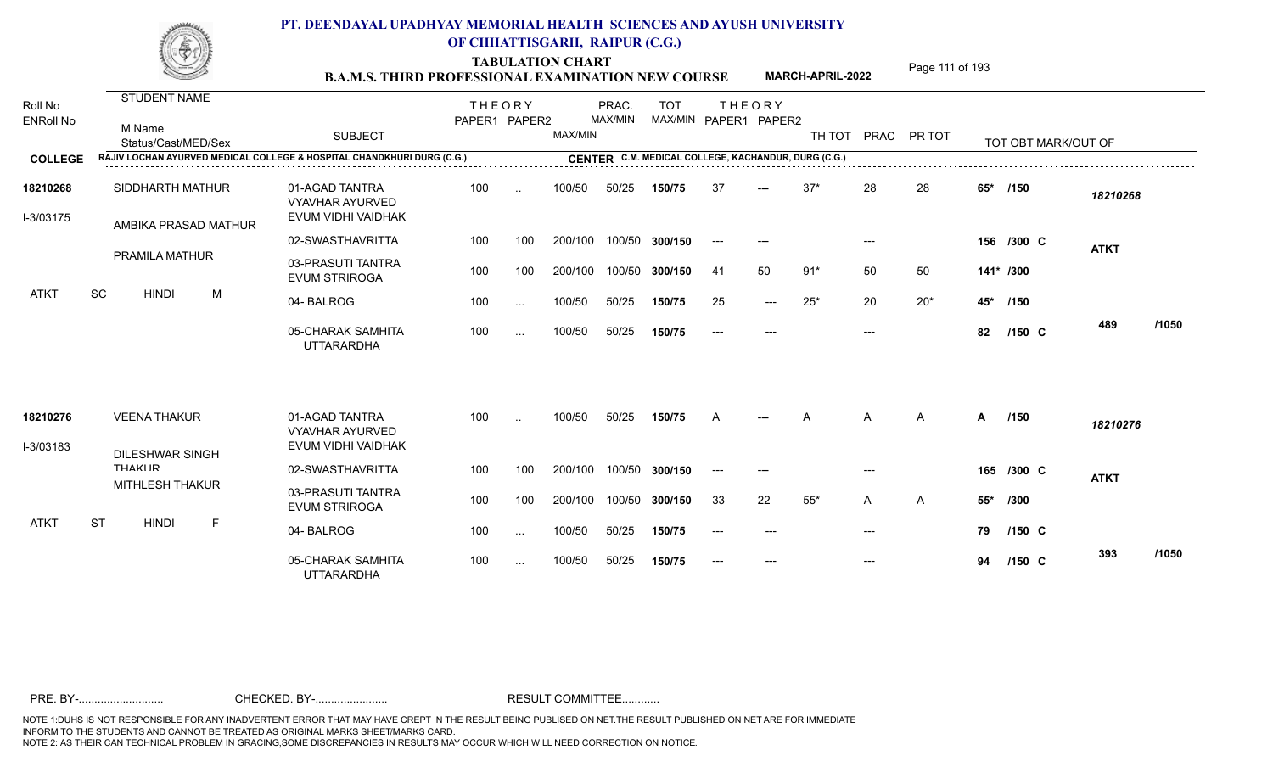**TABULATION CHART**<br> **Page 111 of 193 B.A.M.S. THIRD PROFESSIONAL EXAMINATION NEW COURSE**

**MARCH-APRIL-2022**

| Roll No<br><b>ENRoll No</b> | <b>STUDENT NAME</b><br>M Name<br>Status/Cast/MED/Sex | <b>SUBJECT</b>                                                         | <b>THEORY</b><br>PAPER1 PAPER2 |                      | MAX/MIN | PRAC.<br>MAX/MIN | <b>TOT</b><br>MAX/MIN PAPER1 PAPER2                 | <b>THEORY</b>                            |                     | TH TOT PRAC PR TOT |       |                |              | TOT OBT MARK/OUT OF |             |       |
|-----------------------------|------------------------------------------------------|------------------------------------------------------------------------|--------------------------------|----------------------|---------|------------------|-----------------------------------------------------|------------------------------------------|---------------------|--------------------|-------|----------------|--------------|---------------------|-------------|-------|
| <b>COLLEGE</b>              |                                                      | RAJIV LOCHAN AYURVED MEDICAL COLLEGE & HOSPITAL CHANDKHURI DURG (C.G.) |                                |                      |         |                  | CENTER C.M. MEDICAL COLLEGE, KACHANDUR, DURG (C.G.) |                                          |                     |                    |       |                |              |                     |             |       |
| 18210268<br>I-3/03175       | SIDDHARTH MATHUR<br>AMBIKA PRASAD MATHUR             | 01-AGAD TANTRA<br><b>VYAVHAR AYURVED</b><br>EVUM VIDHI VAIDHAK         | 100                            | $\ddotsc$            | 100/50  | 50/25            | 150/75                                              | 37                                       |                     | $37*$              | 28    | 28             | $65*$        | /150                | 18210268    |       |
|                             |                                                      | 02-SWASTHAVRITTA                                                       | 100                            | 100                  | 200/100 |                  | 100/50 300/150                                      | $\hspace{0.05cm} \ldots \hspace{0.05cm}$ | $---$               |                    | $---$ |                |              | 156 /300 C          | <b>ATKT</b> |       |
|                             | PRAMILA MATHUR                                       | 03-PRASUTI TANTRA<br><b>EVUM STRIROGA</b>                              | 100                            | 100                  | 200/100 |                  | 100/50 300/150                                      | -41                                      | 50                  | $91*$              | 50    | 50             | 141* /300    |                     |             |       |
| <b>ATKT</b>                 | SC<br><b>HINDI</b><br>M                              | 04-BALROG                                                              | 100                            | $\sim$               | 100/50  | 50/25            | 150/75                                              | 25                                       | $\qquad \qquad - -$ | $25*$              | 20    | $20*$          | 45* /150     |                     |             |       |
|                             |                                                      | 05-CHARAK SAMHITA<br><b>UTTARARDHA</b>                                 | 100                            | $\sim$               | 100/50  | 50/25            | 150/75                                              | $---$                                    | $---$               |                    | $---$ |                | 82           | $/150$ C            | 489         | /1050 |
| 18210276                    | <b>VEENA THAKUR</b>                                  | 01-AGAD TANTRA<br><b>VYAVHAR AYURVED</b>                               | 100                            | $\ddot{\phantom{a}}$ | 100/50  | 50/25            | 150/75                                              | A                                        |                     | А                  | A     | $\overline{A}$ | $\mathsf{A}$ | /150                | 18210276    |       |
| I-3/03183                   | <b>DILESHWAR SINGH</b>                               | EVUM VIDHI VAIDHAK                                                     |                                |                      |         |                  |                                                     |                                          |                     |                    |       |                |              |                     |             |       |
|                             | <b>THAKIIR</b>                                       | 02-SWASTHAVRITTA                                                       | 100                            | 100                  | 200/100 |                  | 100/50 300/150                                      | $---$                                    | $---$               |                    |       |                |              | 165 /300 C          | <b>ATKT</b> |       |
|                             | MITHLESH THAKUR                                      | 03-PRASUTI TANTRA<br><b>EVUM STRIROGA</b>                              | 100                            | 100                  | 200/100 |                  | 100/50 300/150                                      | 33                                       | 22                  | $55*$              | A     | A              | $55*$        | /300                |             |       |
| <b>ATKT</b>                 | <b>ST</b><br><b>HINDI</b><br>F                       | 04-BALROG                                                              | 100                            | $\sim$               | 100/50  | 50/25            | 150/75                                              | $---$                                    | $---$               |                    | $---$ |                | 79           | $/150$ C            |             |       |
|                             |                                                      | 05-CHARAK SAMHITA<br><b>UTTARARDHA</b>                                 | 100                            | $\sim$               | 100/50  | 50/25            | 150/75                                              | $---$                                    | $---$               |                    | $---$ |                | 94           | $/150$ C            | 393         | /1050 |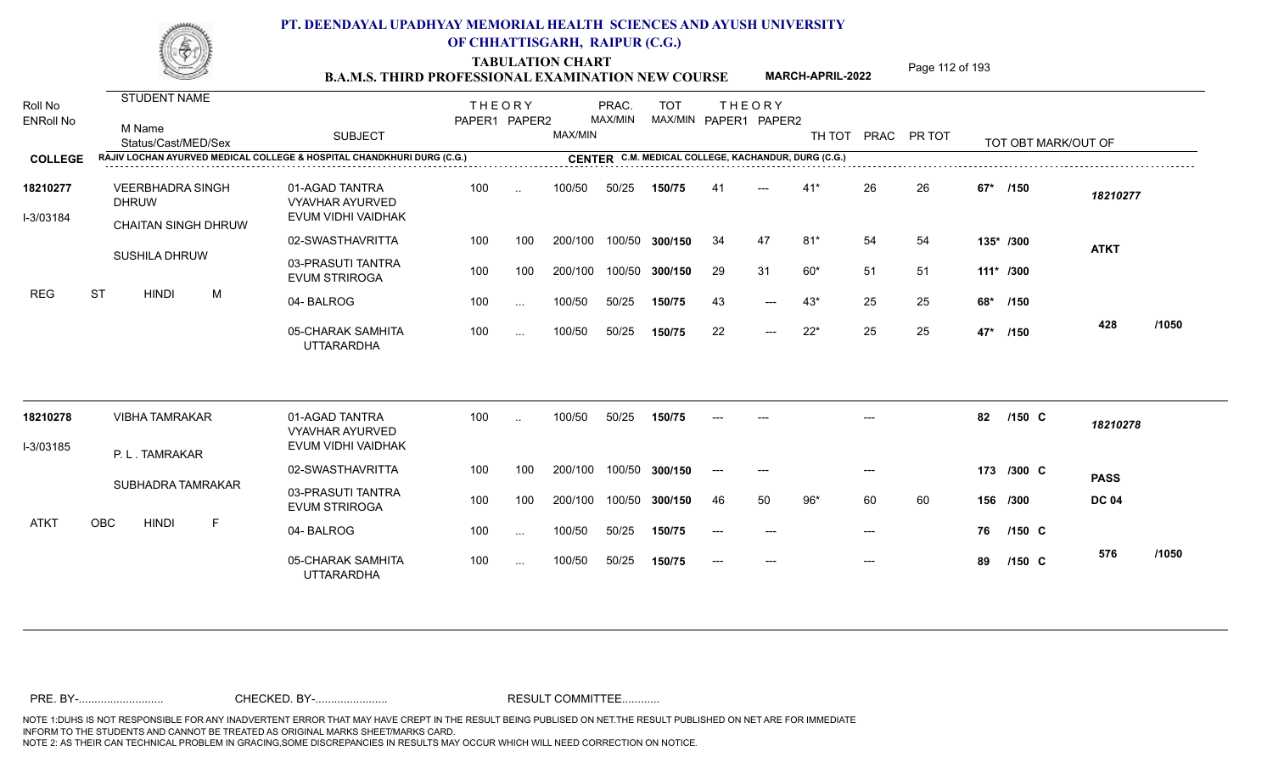**TABULATION CHART**<br> **Page 112 of 193 B.A.M.S. THIRD PROFESSIONAL EXAMINATION NEW COURSE**

**MARCH-APRIL-2022**

| Roll No<br><b>ENRoll No</b> | STUDENT NAME<br>M Name<br>Status/Cast/MED/Sex                          | <b>SUBJECT</b>                                                 | <b>THEORY</b><br>PAPER1 PAPER2 |           | MAX/MIN | PRAC.<br>MAX/MIN | <b>TOT</b><br>MAX/MIN PAPER1 PAPER2                 |                | <b>THEORY</b> |       |     | TH TOT PRAC PR TOT |       | TOT OBT MARK/OUT OF |              |       |
|-----------------------------|------------------------------------------------------------------------|----------------------------------------------------------------|--------------------------------|-----------|---------|------------------|-----------------------------------------------------|----------------|---------------|-------|-----|--------------------|-------|---------------------|--------------|-------|
| <b>COLLEGE</b>              | RAJIV LOCHAN AYURVED MEDICAL COLLEGE & HOSPITAL CHANDKHURI DURG (C.G.) |                                                                |                                |           |         |                  | CENTER C.M. MEDICAL COLLEGE, KACHANDUR, DURG (C.G.) |                |               |       |     |                    |       |                     |              |       |
| 18210277<br>I-3/03184       | <b>VEERBHADRA SINGH</b><br><b>DHRUW</b>                                | 01-AGAD TANTRA<br><b>VYAVHAR AYURVED</b><br>EVUM VIDHI VAIDHAK | 100                            | $\ddotsc$ | 100/50  | 50/25            | 150/75                                              | 4 <sup>1</sup> |               | $41*$ | 26  | 26                 | $67*$ | /150                | 18210277     |       |
|                             | <b>CHAITAN SINGH DHRUW</b>                                             | 02-SWASTHAVRITTA                                               | 100                            | 100       | 200/100 |                  | 100/50 300/150                                      | 34             | 47            | $81*$ | 54  | 54                 |       | 135* /300           |              |       |
|                             | <b>SUSHILA DHRUW</b>                                                   | 03-PRASUTI TANTRA<br><b>EVUM STRIROGA</b>                      | 100                            | 100       | 200/100 |                  | 100/50 300/150                                      | 29             | 31            | $60*$ | 51  | 51                 |       | $111*$ /300         | <b>ATKT</b>  |       |
| <b>REG</b>                  | <b>ST</b><br>M<br><b>HINDI</b>                                         | 04-BALROG                                                      | 100                            | $\cdots$  | 100/50  | 50/25            | 150/75                                              | 43             | $---$         | $43*$ | 25  | 25                 | 68*   | /150                |              |       |
|                             |                                                                        | 05-CHARAK SAMHITA<br><b>UTTARARDHA</b>                         | 100                            | $\cdots$  | 100/50  | 50/25            | 150/75                                              | 22             | $---$         | $22*$ | 25  | 25                 | 47*   | /150                | 428          | /1050 |
| 18210278                    | <b>VIBHA TAMRAKAR</b>                                                  | 01-AGAD TANTRA<br><b>VYAVHAR AYURVED</b>                       | 100                            | $\ddotsc$ | 100/50  | 50/25            | 150/75                                              |                |               |       |     |                    | 82    | /150 C              | 18210278     |       |
| I-3/03185                   | P. L. TAMRAKAR                                                         | EVUM VIDHI VAIDHAK                                             |                                |           |         |                  |                                                     |                |               |       |     |                    |       |                     |              |       |
|                             |                                                                        | 02-SWASTHAVRITTA                                               | 100                            | 100       | 200/100 |                  | 100/50 300/150                                      |                |               |       |     |                    |       | 173 /300 C          | <b>PASS</b>  |       |
|                             | SUBHADRA TAMRAKAR                                                      | 03-PRASUTI TANTRA<br><b>EVUM STRIROGA</b>                      | 100                            | 100       | 200/100 |                  | 100/50 300/150                                      | 46             | 50            | $96*$ | 60  | 60                 |       | 156 /300            | <b>DC 04</b> |       |
| ATKT                        | OBC<br><b>HINDI</b><br>F                                               | 04-BALROG                                                      | 100                            | $\cdots$  | 100/50  | 50/25            | 150/75                                              |                |               |       |     |                    | 76    | $/150$ C            |              |       |
|                             |                                                                        | 05-CHARAK SAMHITA<br><b>UTTARARDHA</b>                         | 100                            | $\ldots$  | 100/50  | 50/25            | 150/75                                              |                | ---           |       | --- |                    | 89    | /150 C              | 576          | /1050 |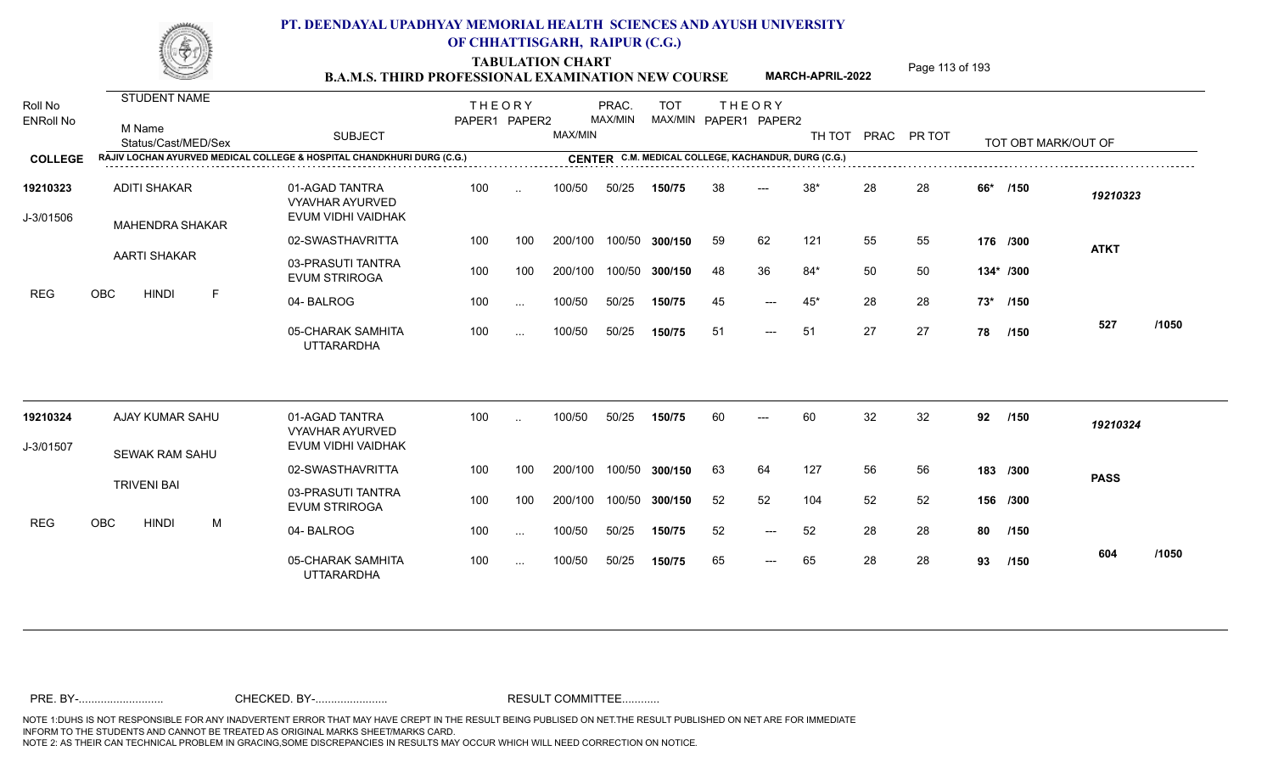**TABULATION CHART**<br> **Page 113 of 193 B.A.M.S. THIRD PROFESSIONAL EXAMINATION NEW COURSE**

**MARCH-APRIL-2022**

| Roll No<br><b>ENRoll No</b> | <b>STUDENT NAME</b><br>M Name<br>Status/Cast/MED/Sex                              | <b>SUBJECT</b>                                                 | <b>THEORY</b><br>PAPER1 PAPER2 |               | MAX/MIN | PRAC.<br>MAX/MIN | <b>TOT</b>                                          |    | <b>THEORY</b><br>MAX/MIN PAPER1 PAPER2 | TH TOT |    | PRAC PR TOT |     | TOT OBT MARK/OUT OF |             |       |
|-----------------------------|-----------------------------------------------------------------------------------|----------------------------------------------------------------|--------------------------------|---------------|---------|------------------|-----------------------------------------------------|----|----------------------------------------|--------|----|-------------|-----|---------------------|-------------|-------|
| <b>COLLEGE</b>              | <b>RAJIV LOCHAN AYURVED MEDICAL COLLEGE &amp; HOSPITAL CHANDKHURI DURG (C.G.)</b> |                                                                |                                |               |         |                  | CENTER C.M. MEDICAL COLLEGE, KACHANDUR, DURG (C.G.) |    |                                        |        |    |             |     |                     |             |       |
| 19210323<br>J-3/01506       | <b>ADITI SHAKAR</b><br><b>MAHENDRA SHAKAR</b>                                     | 01-AGAD TANTRA<br><b>VYAVHAR AYURVED</b><br>EVUM VIDHI VAIDHAK | 100                            | $\ddotsc$     | 100/50  | 50/25            | 150/75                                              | 38 | $---$                                  | $38*$  | 28 | 28          | 66* | /150                | 19210323    |       |
|                             |                                                                                   | 02-SWASTHAVRITTA                                               | 100                            | 100           | 200/100 |                  | 100/50 300/150                                      | 59 | 62                                     | 121    | 55 | 55          |     | 176 /300            | <b>ATKT</b> |       |
|                             | <b>AARTI SHAKAR</b>                                                               | 03-PRASUTI TANTRA<br><b>EVUM STRIROGA</b>                      | 100                            | 100           | 200/100 |                  | 100/50 300/150                                      | 48 | 36                                     | $84*$  | 50 | 50          |     | 134* /300           |             |       |
| <b>REG</b>                  | OBC<br><b>HINDI</b><br>F                                                          | 04-BALROG                                                      | 100                            | $\sim$ .      | 100/50  | 50/25            | 150/75                                              | 45 | $---$                                  | $45*$  | 28 | 28          |     | 73* /150            |             |       |
|                             |                                                                                   | 05-CHARAK SAMHITA<br><b>UTTARARDHA</b>                         | 100                            | $\sim$ .      | 100/50  | 50/25            | 150/75                                              | 51 | $---$                                  | 51     | 27 | 27          | 78  | /150                | 527         | /1050 |
| 19210324                    | AJAY KUMAR SAHU                                                                   | 01-AGAD TANTRA<br><b>VYAVHAR AYURVED</b>                       | 100                            | $\ddotsc$     | 100/50  | 50/25            | 150/75                                              | 60 | $---$                                  | 60     | 32 | 32          | 92  | /150                | 19210324    |       |
| J-3/01507                   | <b>SEWAK RAM SAHU</b>                                                             | EVUM VIDHI VAIDHAK                                             |                                |               |         |                  |                                                     |    |                                        |        |    |             |     |                     |             |       |
|                             |                                                                                   | 02-SWASTHAVRITTA                                               | 100                            | 100           | 200/100 |                  | 100/50 300/150                                      | 63 | 64                                     | 127    | 56 | 56          |     | 183 /300            | <b>PASS</b> |       |
|                             | <b>TRIVENI BAI</b>                                                                | 03-PRASUTI TANTRA<br><b>EVUM STRIROGA</b>                      | 100                            | 100           | 200/100 |                  | 100/50 300/150                                      | 52 | 52                                     | 104    | 52 | 52          |     | 156 /300            |             |       |
| <b>REG</b>                  | OBC<br><b>HINDI</b><br>M                                                          | 04-BALROG                                                      | 100                            | $\sim$ $\sim$ | 100/50  | 50/25            | 150/75                                              | 52 | $\qquad \qquad - -$                    | 52     | 28 | 28          | 80  | /150                |             |       |
|                             |                                                                                   | 05-CHARAK SAMHITA<br><b>UTTARARDHA</b>                         | 100                            | $\sim$ .      | 100/50  | 50/25            | 150/75                                              | 65 | $---$                                  | 65     | 28 | 28          | 93  | /150                | 604         | /1050 |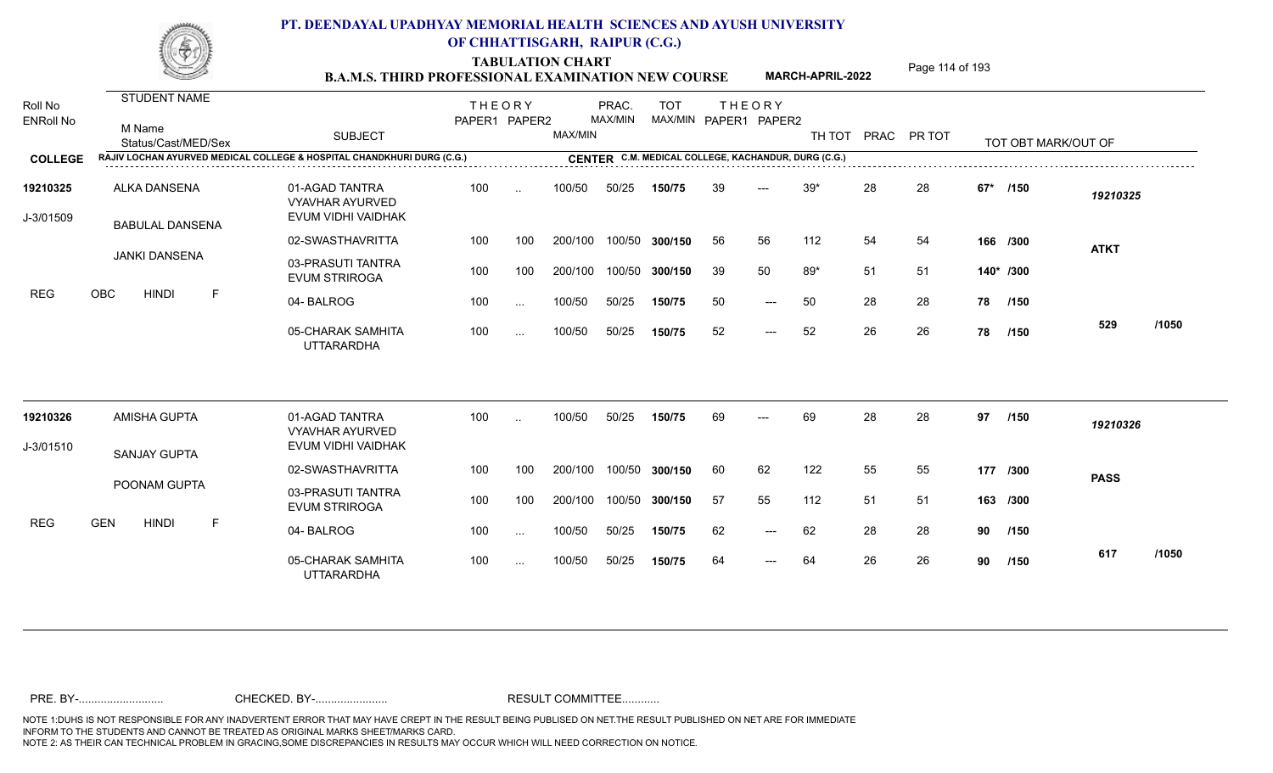TABULATION CHART<br> **Page 114 of 193 B.A.M.S. THIRD PROFESSIONAL EXAMINATION NEW COURSE**

**MARCH-APRIL-2022**

| Roll No<br><b>ENRoll No</b> | <b>STUDENT NAME</b><br>M Name<br>Status/Cast/MED/Sex                   | <b>SUBJECT</b>                                                 | <b>THEORY</b><br>PAPER1 PAPER2 |           | MAX/MIN | PRAC.<br>MAX/MIN | <b>TOT</b>                                          |     | <b>THEORY</b><br>MAX/MIN PAPER1 PAPER2 | TH TOT |    | PRAC PR TOT |          | TOT OBT MARK/OUT OF |             |       |
|-----------------------------|------------------------------------------------------------------------|----------------------------------------------------------------|--------------------------------|-----------|---------|------------------|-----------------------------------------------------|-----|----------------------------------------|--------|----|-------------|----------|---------------------|-------------|-------|
| <b>COLLEGE</b>              | RAJIV LOCHAN AYURVED MEDICAL COLLEGE & HOSPITAL CHANDKHURI DURG (C.G.) |                                                                |                                |           |         |                  | CENTER C.M. MEDICAL COLLEGE, KACHANDUR, DURG (C.G.) |     |                                        |        |    |             |          |                     |             |       |
| 19210325<br>J-3/01509       | ALKA DANSENA<br><b>BABULAL DANSENA</b>                                 | 01-AGAD TANTRA<br><b>VYAVHAR AYURVED</b><br>EVUM VIDHI VAIDHAK | 100                            | $\ddotsc$ | 100/50  | 50/25            | 150/75                                              | 39  | $---$                                  | $39*$  | 28 | 28          | $67*$    | /150                | 19210325    |       |
|                             |                                                                        | 02-SWASTHAVRITTA                                               | 100                            | 100       | 200/100 |                  | 100/50 300/150                                      | 56  | 56                                     | 112    | 54 | 54          |          | 166 /300            | <b>ATKT</b> |       |
|                             | <b>JANKI DANSENA</b>                                                   | 03-PRASUTI TANTRA<br><b>EVUM STRIROGA</b>                      | 100                            | 100       | 200/100 | 100/50           | 300/150                                             | 39  | 50                                     | $89*$  | 51 | 51          |          | 140* /300           |             |       |
| <b>REG</b>                  | <b>OBC</b><br><b>HINDI</b><br>E                                        | 04-BALROG                                                      | 100                            | $\sim$    | 100/50  | 50/25            | 150/75                                              | 50  | $---$                                  | 50     | 28 | -28         | 78       | /150                |             |       |
|                             |                                                                        | 05-CHARAK SAMHITA<br><b>UTTARARDHA</b>                         | 100                            | $\cdots$  | 100/50  | 50/25            | 150/75                                              | 52  | $---$                                  | 52     | 26 | 26          | 78       | /150                | 529         | /1050 |
| 19210326                    | AMISHA GUPTA                                                           | 01-AGAD TANTRA                                                 | 100                            | $\ddotsc$ | 100/50  | 50/25            | 150/75                                              | 69  | $---$                                  | 69     | 28 | 28          | 97       | /150                | 19210326    |       |
| J-3/01510                   |                                                                        | <b>VYAVHAR AYURVED</b><br>EVUM VIDHI VAIDHAK                   |                                |           |         |                  |                                                     |     |                                        |        |    |             |          |                     |             |       |
|                             | <b>SANJAY GUPTA</b>                                                    | 02-SWASTHAVRITTA                                               | 100                            | 100       | 200/100 |                  | 100/50 300/150                                      | 60  | 62                                     | 122    | 55 | 55          | 177 /300 |                     | <b>PASS</b> |       |
|                             | POONAM GUPTA                                                           | 03-PRASUTI TANTRA<br><b>EVUM STRIROGA</b>                      | 100                            | 100       | 200/100 |                  | 100/50 300/150                                      | -57 | 55                                     | 112    | 51 | 51          |          | 163 /300            |             |       |
| <b>REG</b>                  | <b>GEN</b><br><b>HINDI</b><br>F                                        | 04-BALROG                                                      | 100                            | $\sim$    | 100/50  | 50/25            | 150/75                                              | 62  | $---$                                  | 62     | 28 | 28          | 90       | /150                |             |       |
|                             |                                                                        | 05-CHARAK SAMHITA<br><b>UTTARARDHA</b>                         | 100                            | $\cdots$  | 100/50  | 50/25            | 150/75                                              | 64  | $---$                                  | 64     | 26 | 26          | 90       | /150                | 617         | /1050 |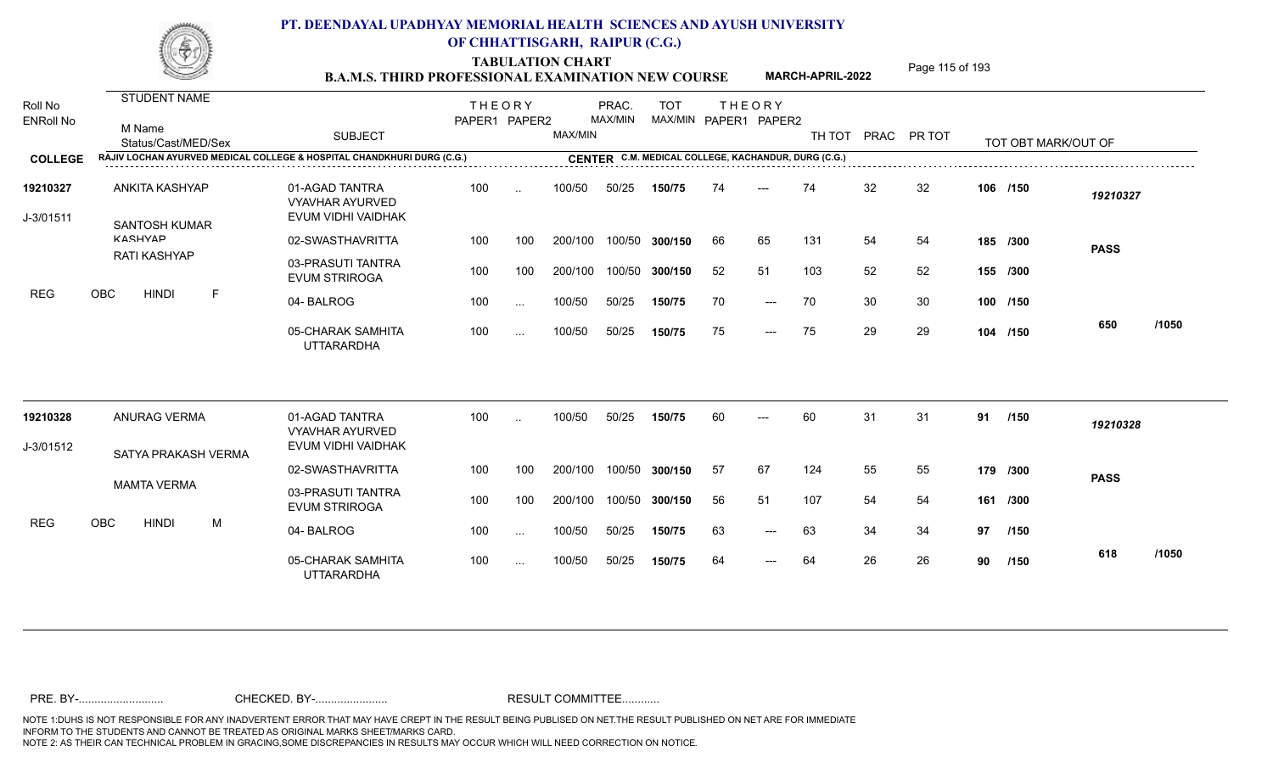TABULATION CHART<br> **Page 115 of 193 B.A.M.S. THIRD PROFESSIONAL EXAMINATION NEW COURSE**

**MARCH-APRIL-2022**

| Roll No<br><b>ENRoll No</b> | <b>STUDENT NAME</b><br>M Name<br>Status/Cast/MED/Sex | <b>SUBJECT</b>                                                         | <b>THEORY</b><br>PAPER1 PAPER2 |               | MAX/MIN | PRAC.<br>MAX/MIN | <b>TOT</b><br>MAX/MIN PAPER1 PAPER2                 | <b>THEORY</b> |       | TH TOT PRAC PR TOT |    |    |    | TOT OBT MARK/OUT OF |             |       |
|-----------------------------|------------------------------------------------------|------------------------------------------------------------------------|--------------------------------|---------------|---------|------------------|-----------------------------------------------------|---------------|-------|--------------------|----|----|----|---------------------|-------------|-------|
| <b>COLLEGE</b>              |                                                      | RAJIV LOCHAN AYURVED MEDICAL COLLEGE & HOSPITAL CHANDKHURI DURG (C.G.) |                                |               |         |                  | CENTER C.M. MEDICAL COLLEGE, KACHANDUR, DURG (C.G.) |               |       |                    |    |    |    |                     |             |       |
| 19210327<br>J-3/01511       | ANKITA KASHYAP<br><b>SANTOSH KUMAR</b>               | 01-AGAD TANTRA<br><b>VYAVHAR AYURVED</b><br>EVUM VIDHI VAIDHAK         | 100                            | $\sim$        | 100/50  | 50/25            | 150/75                                              | 74            | ---   | 74                 | 32 | 32 |    | 106 /150            | 19210327    |       |
|                             | <b>KASHVAD</b>                                       | 02-SWASTHAVRITTA                                                       | 100                            | 100           | 200/100 |                  | 100/50 300/150                                      | 66            | 65    | 131                | 54 | 54 |    | 185 /300            | <b>PASS</b> |       |
|                             | <b>RATI KASHYAP</b>                                  | 03-PRASUTI TANTRA<br><b>EVUM STRIROGA</b>                              | 100                            | 100           | 200/100 |                  | 100/50 300/150                                      | 52            | 51    | 103                | 52 | 52 |    | 155 /300            |             |       |
| <b>REG</b>                  | $\mathsf{F}$<br>OBC<br><b>HINDI</b>                  | 04-BALROG                                                              | 100                            | $\ddotsc$     | 100/50  | 50/25            | 150/75                                              | 70            | $---$ | 70                 | 30 | 30 |    | 100 /150            |             |       |
|                             |                                                      | 05-CHARAK SAMHITA<br><b>UTTARARDHA</b>                                 | 100                            | $\sim$        | 100/50  | 50/25            | 150/75                                              | 75            | $---$ | 75                 | 29 | 29 |    | 104 /150            | 650         | /1050 |
| 19210328                    | <b>ANURAG VERMA</b>                                  | 01-AGAD TANTRA<br><b>VYAVHAR AYURVED</b>                               | 100                            | $\ddotsc$     | 100/50  | 50/25            | 150/75                                              | 60            | ---   | 60                 | 31 | 31 | 91 | /150                | 19210328    |       |
| J-3/01512                   | SATYA PRAKASH VERMA                                  | EVUM VIDHI VAIDHAK                                                     |                                |               |         |                  |                                                     |               |       |                    |    |    |    |                     |             |       |
|                             |                                                      | 02-SWASTHAVRITTA                                                       | 100                            | 100           | 200/100 |                  | 100/50 300/150                                      | -57           | 67    | 124                | 55 | 55 |    | 179 /300            | <b>PASS</b> |       |
|                             | <b>MAMTA VERMA</b>                                   | 03-PRASUTI TANTRA<br><b>EVUM STRIROGA</b>                              | 100                            | 100           | 200/100 |                  | 100/50 300/150                                      | 56            | 51    | 107                | 54 | 54 |    | 161 /300            |             |       |
| <b>REG</b>                  | OBC<br><b>HINDI</b><br>M                             | 04-BALROG                                                              | 100                            | $\sim$        | 100/50  | 50/25            | 150/75                                              | 63            | $---$ | 63                 | 34 | 34 | 97 | 1150                |             |       |
|                             |                                                      | 05-CHARAK SAMHITA<br><b>UTTARARDHA</b>                                 | 100                            | $\sim$ $\sim$ | 100/50  | 50/25            | 150/75                                              | 64            | $---$ | 64                 | 26 | 26 | 90 | /150                | 618         | /1050 |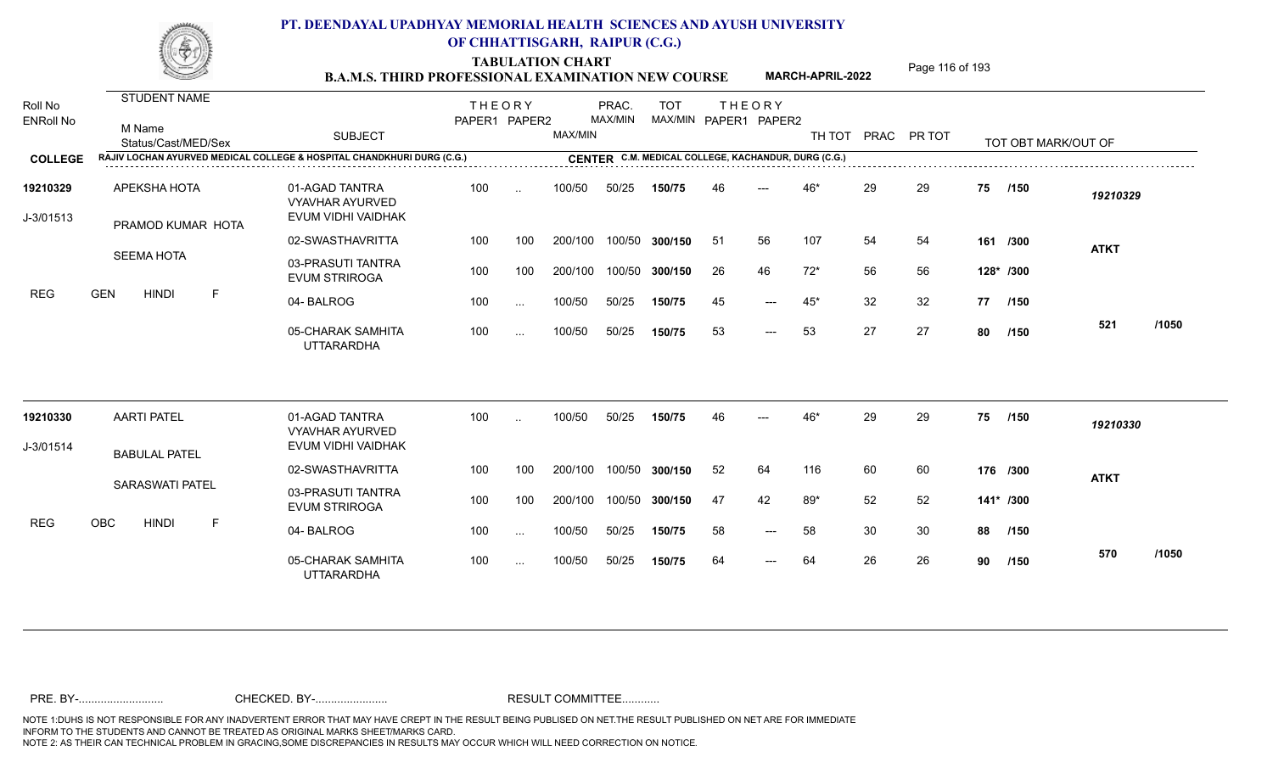**TABULATION CHART**<br> **Page 116 of 193** 

|                             |                                                      | <b>B.A.M.S. THIRD PROFESSIONAL EXAMINATION NEW COURSE</b>              |                                |                      |         |                  |                |                                                     |                     | <b>MARCH-APRIL-2022</b> |    | , agu 110 01 133   |    |                     |             |       |
|-----------------------------|------------------------------------------------------|------------------------------------------------------------------------|--------------------------------|----------------------|---------|------------------|----------------|-----------------------------------------------------|---------------------|-------------------------|----|--------------------|----|---------------------|-------------|-------|
| Roll No<br><b>ENRoll No</b> | <b>STUDENT NAME</b><br>M Name<br>Status/Cast/MED/Sex | <b>SUBJECT</b>                                                         | <b>THEORY</b><br>PAPER1 PAPER2 |                      | MAX/MIN | PRAC.<br>MAX/MIN | <b>TOT</b>     | <b>THEORY</b><br>MAX/MIN PAPER1 PAPER2              |                     |                         |    | TH TOT PRAC PR TOT |    | TOT OBT MARK/OUT OF |             |       |
| <b>COLLEGE</b>              |                                                      | RAJIV LOCHAN AYURVED MEDICAL COLLEGE & HOSPITAL CHANDKHURI DURG (C.G.) |                                |                      |         |                  |                | CENTER C.M. MEDICAL COLLEGE, KACHANDUR, DURG (C.G.) |                     |                         |    |                    |    |                     |             |       |
| 19210329                    | APEKSHA HOTA                                         | 01-AGAD TANTRA<br><b>VYAVHAR AYURVED</b>                               | 100                            | $\ddot{\phantom{a}}$ | 100/50  | 50/25            | 150/75         | 46                                                  | $---$               | 46*                     | 29 | 29                 | 75 | /150                | 19210329    |       |
| J-3/01513                   | PRAMOD KUMAR HOTA                                    | EVUM VIDHI VAIDHAK                                                     |                                |                      |         |                  |                |                                                     |                     |                         |    |                    |    |                     |             |       |
|                             |                                                      | 02-SWASTHAVRITTA                                                       | 100                            | 100                  | 200/100 |                  | 100/50 300/150 | -51                                                 | 56                  | 107                     | 54 | 54                 |    | 161 /300            | <b>ATKT</b> |       |
|                             | SEEMA HOTA                                           | 03-PRASUTI TANTRA<br><b>EVUM STRIROGA</b>                              | 100                            | 100                  | 200/100 |                  | 100/50 300/150 | 26                                                  | 46                  | $72*$                   | 56 | 56                 |    | 128* /300           |             |       |
| REG                         | F<br><b>HINDI</b><br><b>GEN</b>                      | 04-BALROG                                                              | 100                            | $\ddotsc$            | 100/50  | 50/25            | 150/75         | 45                                                  | $---$               | 45*                     | 32 | 32                 |    | 77 /150             |             |       |
|                             |                                                      | 05-CHARAK SAMHITA<br><b>UTTARARDHA</b>                                 | 100                            | $\ddotsc$            | 100/50  | 50/25            | 150/75         | 53                                                  | $\qquad \qquad - -$ | 53                      | 27 | 27                 | 80 | /150                | 521         | /1050 |
| 19210330                    | <b>AARTI PATEL</b>                                   | 01-AGAD TANTRA                                                         | 100                            | $\sim$               | 100/50  | 50/25            | 150/75         | 46                                                  | ---                 | 46*                     | 29 | 29                 | 75 | /150                | 19210330    |       |
| J-3/01514                   |                                                      | <b>VYAVHAR AYURVED</b><br>EVUM VIDHI VAIDHAK                           |                                |                      |         |                  |                |                                                     |                     |                         |    |                    |    |                     |             |       |
|                             | <b>BABULAL PATEL</b>                                 | 02-SWASTHAVRITTA                                                       | 100                            | 100                  | 200/100 |                  | 100/50 300/150 | 52                                                  | 64                  | 116                     | 60 | 60                 |    | 176 /300            | <b>ATKT</b> |       |
|                             | <b>SARASWATI PATEL</b>                               | 03-PRASUTI TANTRA<br><b>EVUM STRIROGA</b>                              | 100                            | 100                  | 200/100 |                  | 100/50 300/150 | 47                                                  | 42                  | 89*                     | 52 | 52                 |    | 141* /300           |             |       |
| <b>REG</b>                  | OBC<br><b>HINDI</b><br>F                             | 04-BALROG                                                              | 100                            | $\ddotsc$            | 100/50  | 50/25            | 150/75         | 58                                                  | $---$               | 58                      | 30 | 30                 | 88 | /150                |             |       |
|                             |                                                      | 05-CHARAK SAMHITA<br><b>UTTARARDHA</b>                                 | 100                            | $\sim$ $\sim$        | 100/50  | 50/25            | 150/75         | 64                                                  | $---$               | 64                      | 26 | 26                 | 90 | /150                | 570         | /1050 |
|                             |                                                      |                                                                        |                                |                      |         |                  |                |                                                     |                     |                         |    |                    |    |                     |             |       |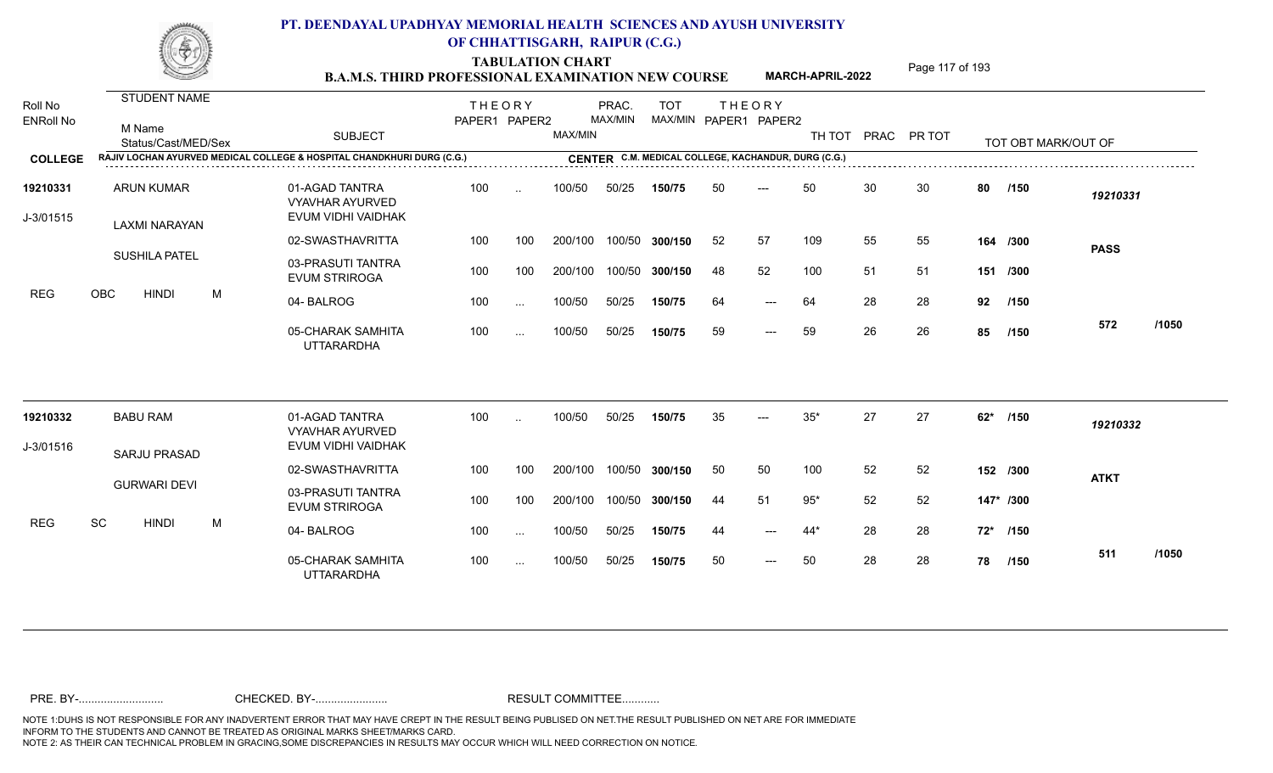**TABULATION CHART**<br> **Page 117 of 193 B.A.M.S. THIRD PROFESSIONAL EXAMINATION NEW COURSE**

**MARCH-APRIL-2022**

| Roll No<br><b>ENRoll No</b> | <b>STUDENT NAME</b><br>M Name<br>Status/Cast/MED/Sex |   | <b>SUBJECT</b>                                                         | <b>THEORY</b><br>PAPER1 PAPER2 |               | MAX/MIN | PRAC.<br>MAX/MIN | <b>TOT</b><br>MAX/MIN PAPER1 PAPER2                 |    | <b>THEORY</b>       |       |    | TH TOT PRAC PR TOT |       | TOT OBT MARK/OUT OF |             |       |
|-----------------------------|------------------------------------------------------|---|------------------------------------------------------------------------|--------------------------------|---------------|---------|------------------|-----------------------------------------------------|----|---------------------|-------|----|--------------------|-------|---------------------|-------------|-------|
| <b>COLLEGE</b>              |                                                      |   | RAJIV LOCHAN AYURVED MEDICAL COLLEGE & HOSPITAL CHANDKHURI DURG (C.G.) |                                |               |         |                  | CENTER C.M. MEDICAL COLLEGE, KACHANDUR, DURG (C.G.) |    |                     |       |    |                    |       |                     |             |       |
| 19210331<br>J-3/01515       | <b>ARUN KUMAR</b><br>LAXMI NARAYAN                   |   | 01-AGAD TANTRA<br><b>VYAVHAR AYURVED</b><br>EVUM VIDHI VAIDHAK         | 100                            | $\ddotsc$     | 100/50  | 50/25            | 150/75                                              | 50 | ---                 | 50    | 30 | 30                 | 80    | /150                | 19210331    |       |
|                             |                                                      |   | 02-SWASTHAVRITTA                                                       | 100                            | 100           | 200/100 | 100/50           | 300/150                                             | 52 | 57                  | 109   | 55 | 55                 |       | 164 /300            | <b>PASS</b> |       |
|                             | <b>SUSHILA PATEL</b>                                 |   | 03-PRASUTI TANTRA<br><b>EVUM STRIROGA</b>                              | 100                            | 100           | 200/100 | 100/50           | 300/150                                             | 48 | 52                  | 100   | 51 | 51                 |       | 151 /300            |             |       |
| <b>REG</b>                  | OBC<br><b>HINDI</b>                                  | M | 04-BALROG                                                              | 100                            | $\sim$ $\sim$ | 100/50  | 50/25            | 150/75                                              | 64 | $---$               | 64    | 28 | 28                 | 92    | /150                |             |       |
|                             |                                                      |   | 05-CHARAK SAMHITA<br><b>UTTARARDHA</b>                                 | 100                            | $\cdots$      | 100/50  | 50/25            | 150/75                                              | 59 | $\qquad \qquad - -$ | 59    | 26 | 26                 | 85    | /150                | 572         | /1050 |
| 19210332                    | <b>BABU RAM</b>                                      |   | 01-AGAD TANTRA<br><b>VYAVHAR AYURVED</b>                               | 100                            |               | 100/50  | 50/25            | 150/75                                              | 35 |                     | $35*$ | 27 | 27                 | $62*$ | /150                | 19210332    |       |
| J-3/01516                   | <b>SARJU PRASAD</b>                                  |   | EVUM VIDHI VAIDHAK                                                     |                                |               |         |                  |                                                     |    |                     |       |    |                    |       |                     |             |       |
|                             |                                                      |   | 02-SWASTHAVRITTA                                                       | 100                            | 100           | 200/100 | 100/50           | 300/150                                             | 50 | 50                  | 100   | 52 | 52                 |       | 152 /300            | <b>ATKT</b> |       |
|                             | <b>GURWARI DEVI</b>                                  |   | 03-PRASUTI TANTRA<br><b>EVUM STRIROGA</b>                              | 100                            | 100           | 200/100 | 100/50           | 300/150                                             | 44 | 51                  | $95*$ | 52 | 52                 |       | 147* /300           |             |       |
| <b>REG</b>                  | SC<br><b>HINDI</b>                                   | M | 04-BALROG                                                              | 100                            | $\sim$        | 100/50  | 50/25            | 150/75                                              | 44 | $---$               | 44*   | 28 | 28                 |       | 72* /150            |             |       |
|                             |                                                      |   | 05-CHARAK SAMHITA<br><b>UTTARARDHA</b>                                 | 100                            | $\cdots$      | 100/50  | 50/25            | 150/75                                              | 50 | $---$               | 50    | 28 | 28                 | 78    | /150                | 511         | /1050 |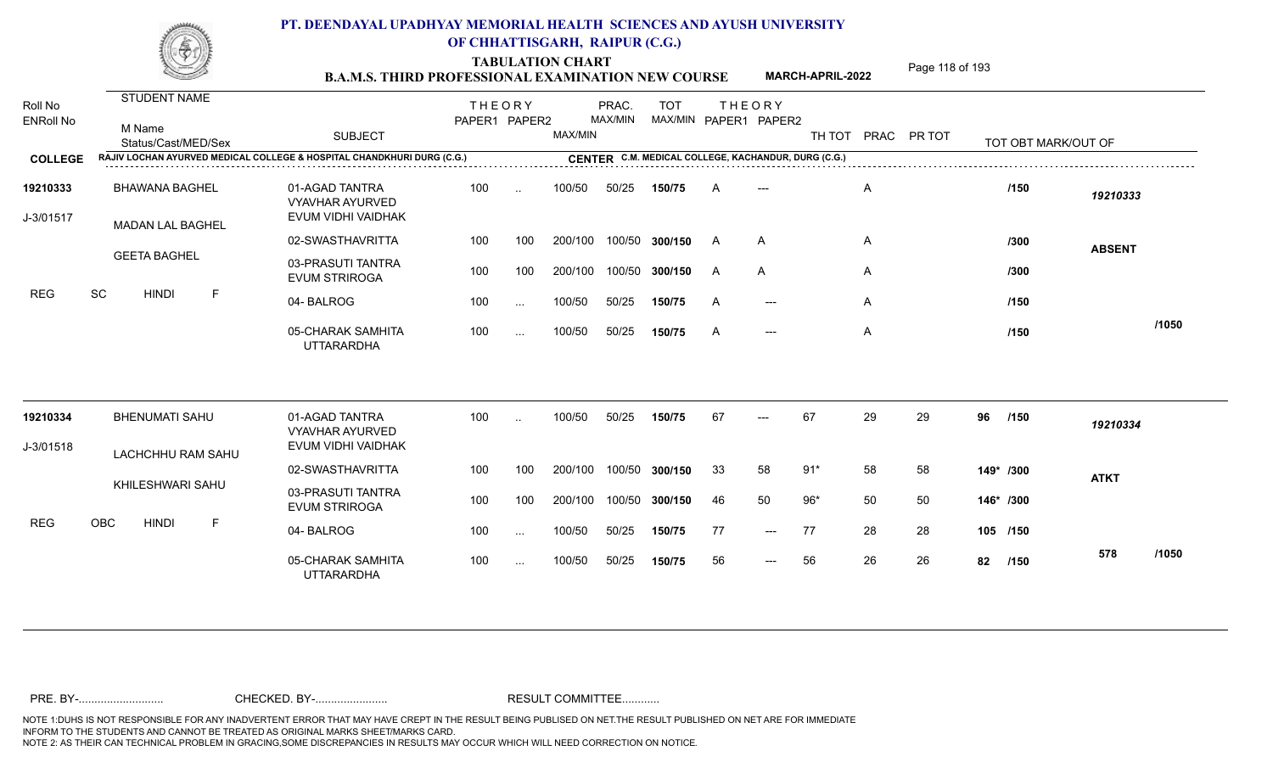TABULATION CHART<br> **Page 118 of 193 B.A.M.S. THIRD PROFESSIONAL EXAMINATION NEW COURSE**

**MARCH-APRIL-2022**

| Roll No<br><b>ENRoll No</b> | <b>STUDENT NAME</b><br>M Name<br>Status/Cast/MED/Sex                   | <b>SUBJECT</b>                                                 | <b>THEORY</b><br>PAPER1 PAPER2 |           | MAX/MIN | PRAC.<br>MAX/MIN | <b>TOT</b>     |          | <b>THEORY</b><br>MAX/MIN PAPER1 PAPER2              |       |    | TH TOT PRAC PR TOT |           | TOT OBT MARK/OUT OF |               |       |
|-----------------------------|------------------------------------------------------------------------|----------------------------------------------------------------|--------------------------------|-----------|---------|------------------|----------------|----------|-----------------------------------------------------|-------|----|--------------------|-----------|---------------------|---------------|-------|
| <b>COLLEGE</b>              | RAJIV LOCHAN AYURVED MEDICAL COLLEGE & HOSPITAL CHANDKHURI DURG (C.G.) |                                                                |                                |           |         |                  |                |          | CENTER C.M. MEDICAL COLLEGE, KACHANDUR, DURG (C.G.) |       |    |                    |           |                     |               |       |
| 19210333<br>J-3/01517       | <b>BHAWANA BAGHEL</b><br><b>MADAN LAL BAGHEL</b>                       | 01-AGAD TANTRA<br><b>VYAVHAR AYURVED</b><br>EVUM VIDHI VAIDHAK | 100                            | $\ddotsc$ | 100/50  | 50/25            | 150/75         | A        |                                                     |       | Α  |                    |           | /150                | 19210333      |       |
|                             |                                                                        | 02-SWASTHAVRITTA                                               | 100                            | 100       | 200/100 |                  | 100/50 300/150 | <b>A</b> | A                                                   |       | A  |                    |           | /300                | <b>ABSENT</b> |       |
| <b>REG</b>                  | <b>GEETA BAGHEL</b>                                                    | 03-PRASUTI TANTRA<br><b>EVUM STRIROGA</b>                      | 100                            | 100       | 200/100 |                  | 100/50 300/150 | A        | A                                                   |       | A  |                    |           | /300                |               |       |
|                             | SC<br><b>HINDI</b><br>F                                                | 04-BALROG                                                      | 100                            | $\cdots$  | 100/50  | 50/25            | 150/75         | A        | $---$                                               |       | A  |                    |           | /150                |               |       |
|                             |                                                                        | 05-CHARAK SAMHITA<br><b>UTTARARDHA</b>                         | 100                            | $\ldots$  | 100/50  | 50/25            | 150/75         | A        | $---$                                               |       | A  |                    |           | /150                |               | /1050 |
| 19210334                    | <b>BHENUMATI SAHU</b>                                                  | 01-AGAD TANTRA<br><b>VYAVHAR AYURVED</b>                       | 100                            | $\ddotsc$ | 100/50  | 50/25            | 150/75         | 67       |                                                     | 67    | 29 | 29                 | 96        | /150                | 19210334      |       |
| J-3/01518                   | LACHCHHU RAM SAHU                                                      | EVUM VIDHI VAIDHAK                                             |                                |           |         |                  |                |          |                                                     |       |    |                    |           |                     |               |       |
|                             |                                                                        | 02-SWASTHAVRITTA                                               | 100                            | 100       | 200/100 |                  | 100/50 300/150 | 33       | 58                                                  | $91*$ | 58 | 58                 | 149* /300 |                     | <b>ATKT</b>   |       |
|                             | KHILESHWARI SAHU                                                       | 03-PRASUTI TANTRA<br><b>EVUM STRIROGA</b>                      | 100                            | 100       | 200/100 |                  | 100/50 300/150 | 46       | 50                                                  | $96*$ | 50 | 50                 | 146* /300 |                     |               |       |
| <b>REG</b>                  | OBC<br><b>HINDI</b><br>F                                               | 04-BALROG                                                      | 100                            | $\ldots$  | 100/50  | 50/25            | 150/75         | 77       | $---$                                               | 77    | 28 | 28                 | 105 /150  |                     |               |       |
|                             |                                                                        | 05-CHARAK SAMHITA<br><b>UTTARARDHA</b>                         | 100                            | $\sim$    | 100/50  | 50/25            | 150/75         | 56       | $---$                                               | 56    | 26 | 26                 | 82        | /150                | 578           | /1050 |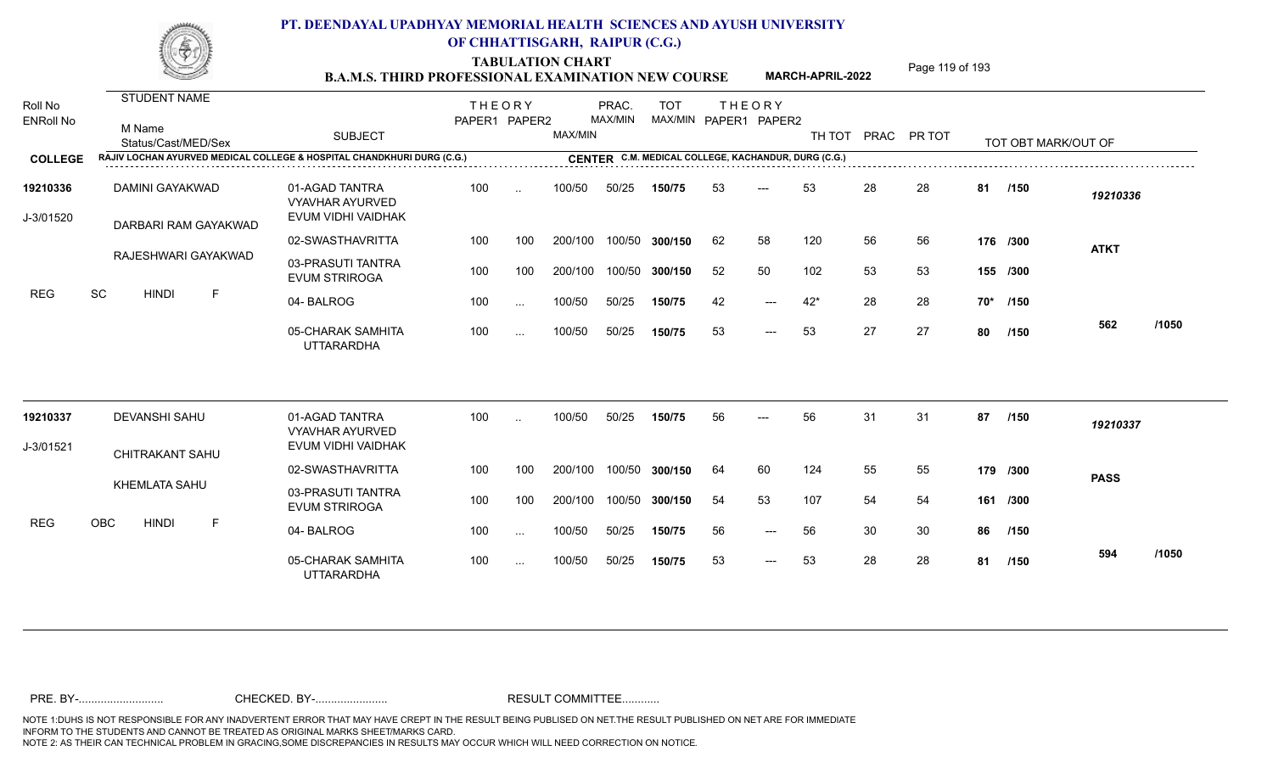TABULATION CHART<br> **Page 119 of 193 B.A.M.S. THIRD PROFESSIONAL EXAMINATION NEW COURSE**

**MARCH-APRIL-2022**

| Roll No<br><b>ENRoll No</b> | STUDENT NAME<br>M Name<br>Status/Cast/MED/Sex                          | <b>SUBJECT</b>                                                 | <b>THEORY</b><br>PAPER1 PAPER2 |           | MAX/MIN | PRAC.<br>MAX/MIN | <b>TOT</b>     |    | <b>THEORY</b><br>MAX/MIN PAPER1 PAPER2              | TH TOT |    | PRAC PR TOT |     | TOT OBT MARK/OUT OF |             |       |
|-----------------------------|------------------------------------------------------------------------|----------------------------------------------------------------|--------------------------------|-----------|---------|------------------|----------------|----|-----------------------------------------------------|--------|----|-------------|-----|---------------------|-------------|-------|
| <b>COLLEGE</b>              | RAJIV LOCHAN AYURVED MEDICAL COLLEGE & HOSPITAL CHANDKHURI DURG (C.G.) |                                                                |                                |           |         |                  |                |    | CENTER C.M. MEDICAL COLLEGE, KACHANDUR, DURG (C.G.) |        |    |             |     |                     |             |       |
|                             |                                                                        |                                                                |                                |           |         |                  |                |    |                                                     |        |    |             |     |                     |             |       |
| 19210336<br>J-3/01520       | DAMINI GAYAKWAD<br>DARBARI RAM GAYAKWAD                                | 01-AGAD TANTRA<br><b>VYAVHAR AYURVED</b><br>EVUM VIDHI VAIDHAK | 100                            | $\cdot$ . | 100/50  | 50/25            | 150/75         | 53 | $---$                                               | 53     | 28 | 28          | 81  | /150                | 19210336    |       |
|                             |                                                                        | 02-SWASTHAVRITTA                                               | 100                            | 100       | 200/100 |                  | 100/50 300/150 | 62 | 58                                                  | 120    | 56 | 56          |     | 176 /300            | <b>ATKT</b> |       |
|                             | RAJESHWARI GAYAKWAD                                                    | 03-PRASUTI TANTRA<br><b>EVUM STRIROGA</b>                      | 100                            | 100       | 200/100 |                  | 100/50 300/150 | 52 | 50                                                  | 102    | 53 | 53          |     | 155 /300            |             |       |
| <b>REG</b>                  | SC<br><b>HINDI</b><br>F                                                | 04-BALROG                                                      | 100                            | $\cdots$  | 100/50  | 50/25            | 150/75         | 42 | $---$                                               | $42*$  | 28 | 28          | 70* | /150                |             |       |
|                             |                                                                        | 05-CHARAK SAMHITA<br><b>UTTARARDHA</b>                         | 100                            | $\cdots$  | 100/50  | 50/25            | 150/75         | 53 | $---$                                               | 53     | 27 | 27          | 80  | /150                | 562         | /1050 |
| 19210337                    | <b>DEVANSHI SAHU</b>                                                   | 01-AGAD TANTRA                                                 | 100                            | $\cdot$ . | 100/50  | 50/25            | 150/75         | 56 | $---$                                               | 56     | 31 | 31          | 87  | /150                | 19210337    |       |
| J-3/01521                   |                                                                        | <b>VYAVHAR AYURVED</b><br>EVUM VIDHI VAIDHAK                   |                                |           |         |                  |                |    |                                                     |        |    |             |     |                     |             |       |
|                             | <b>CHITRAKANT SAHU</b>                                                 | 02-SWASTHAVRITTA                                               | 100                            | 100       | 200/100 |                  | 100/50 300/150 | 64 | 60                                                  | 124    | 55 | 55          |     | 179 /300            |             |       |
|                             | <b>KHEMLATA SAHU</b>                                                   | 03-PRASUTI TANTRA                                              |                                |           |         |                  |                |    |                                                     |        |    |             |     |                     | <b>PASS</b> |       |
|                             |                                                                        | <b>EVUM STRIROGA</b>                                           | 100                            | 100       | 200/100 |                  | 100/50 300/150 | 54 | 53                                                  | 107    | 54 | 54          |     | 161 /300            |             |       |
| <b>REG</b>                  | OBC<br><b>HINDI</b><br>F                                               | 04-BALROG                                                      | 100                            | $\cdots$  | 100/50  | 50/25            | 150/75         | 56 | $---$                                               | 56     | 30 | 30          | 86  | /150                |             |       |
|                             |                                                                        | 05-CHARAK SAMHITA<br><b>UTTARARDHA</b>                         | 100                            | $\cdots$  | 100/50  | 50/25            | 150/75         | 53 | $\qquad \qquad - -$                                 | 53     | 28 | 28          | 81  | /150                | 594         | /1050 |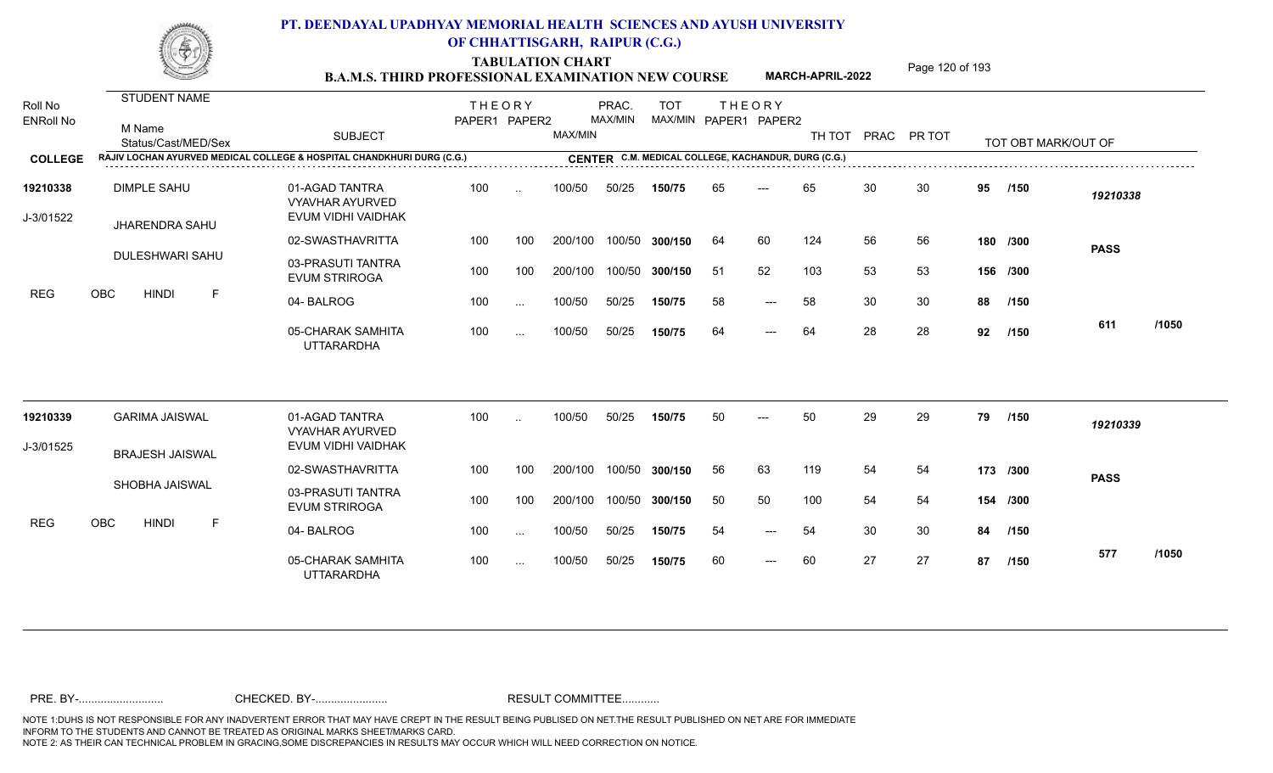TABULATION CHART<br> **TABULATION CHART EXAMINATION NEW COURSE MARCH-APRIL-2022** <sup>Page 120 of 193</sup>

**MARCH-APRIL-2022**

| Roll No<br><b>ENRoll No</b> | <b>STUDENT NAME</b><br>M Name<br>Status/Cast/MED/Sex                   | <b>SUBJECT</b>                                                 | <b>THEORY</b><br>PAPER1 PAPER2 |                      | MAX/MIN | PRAC.<br>MAX/MIN | <b>TOT</b><br>MAX/MIN PAPER1 PAPER2                 |    | <b>THEORY</b>       | TH TOT |    | PRAC PR TOT |    | TOT OBT MARK/OUT OF |             |       |
|-----------------------------|------------------------------------------------------------------------|----------------------------------------------------------------|--------------------------------|----------------------|---------|------------------|-----------------------------------------------------|----|---------------------|--------|----|-------------|----|---------------------|-------------|-------|
| <b>COLLEGE</b>              | RAJIV LOCHAN AYURVED MEDICAL COLLEGE & HOSPITAL CHANDKHURI DURG (C.G.) |                                                                |                                |                      |         |                  | CENTER C.M. MEDICAL COLLEGE, KACHANDUR, DURG (C.G.) |    |                     |        |    |             |    |                     |             |       |
| 19210338<br>J-3/01522       | <b>DIMPLE SAHU</b><br><b>JHARENDRA SAHU</b>                            | 01-AGAD TANTRA<br><b>VYAVHAR AYURVED</b><br>EVUM VIDHI VAIDHAK | 100                            | $\ddot{\phantom{a}}$ | 100/50  | 50/25            | 150/75                                              | 65 | $---$               | 65     | 30 | 30          | 95 | /150                | 19210338    |       |
|                             |                                                                        | 02-SWASTHAVRITTA                                               | 100                            | 100                  | 200/100 |                  | 100/50 300/150                                      | 64 | 60                  | 124    | 56 | 56          |    | 180 /300            | <b>PASS</b> |       |
|                             | <b>DULESHWARI SAHU</b>                                                 | 03-PRASUTI TANTRA<br><b>EVUM STRIROGA</b>                      | 100                            | 100                  | 200/100 |                  | 100/50 300/150                                      | 51 | 52                  | 103    | 53 | 53          |    | 156 /300            |             |       |
| REG                         | OBC<br><b>HINDI</b><br>F                                               | 04-BALROG                                                      | 100                            | $\ddotsc$            | 100/50  | 50/25            | 150/75                                              | 58 | $---$               | 58     | 30 | 30          | 88 | /150                |             |       |
|                             |                                                                        | 05-CHARAK SAMHITA<br><b>UTTARARDHA</b>                         | 100                            | $\sim$               | 100/50  | 50/25            | 150/75                                              | 64 | $\qquad \qquad - -$ | 64     | 28 | 28          | 92 | /150                | 611         | /1050 |
| 19210339                    | <b>GARIMA JAISWAL</b>                                                  | 01-AGAD TANTRA                                                 | 100                            | $\ddot{\phantom{a}}$ | 100/50  | 50/25            | 150/75                                              | 50 | $---$               | 50     | 29 | 29          | 79 | /150                | 19210339    |       |
| J-3/01525                   |                                                                        | <b>VYAVHAR AYURVED</b><br>EVUM VIDHI VAIDHAK                   |                                |                      |         |                  |                                                     |    |                     |        |    |             |    |                     |             |       |
|                             | <b>BRAJESH JAISWAL</b>                                                 | 02-SWASTHAVRITTA                                               | 100                            | 100                  | 200/100 |                  | 100/50 300/150                                      | 56 | 63                  | 119    | 54 | 54          |    | 173 /300            | <b>PASS</b> |       |
|                             | SHOBHA JAISWAL                                                         | 03-PRASUTI TANTRA<br><b>EVUM STRIROGA</b>                      | 100                            | 100                  | 200/100 |                  | 100/50 300/150                                      | 50 | 50                  | 100    | 54 | 54          |    | 154 /300            |             |       |
| <b>REG</b>                  | OBC<br><b>HINDI</b><br>F                                               | 04-BALROG                                                      | 100                            | $\cdots$             | 100/50  | 50/25            | 150/75                                              | 54 | $---$               | 54     | 30 | 30          | 84 | /150                |             |       |
|                             |                                                                        | 05-CHARAK SAMHITA<br><b>UTTARARDHA</b>                         | 100                            | $\cdots$             | 100/50  | 50/25            | 150/75                                              | 60 | $---$               | 60     | 27 | 27          | 87 | /150                | 577         | /1050 |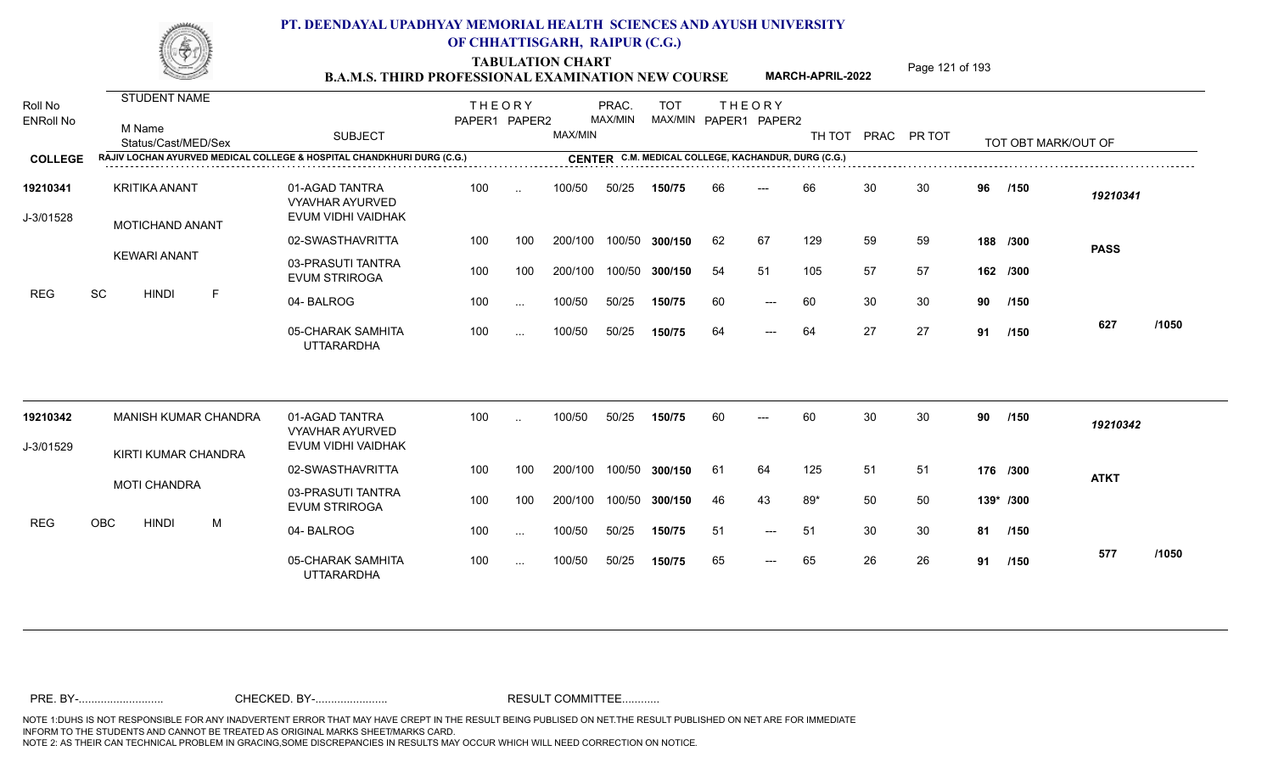TABULATION CHART<br> **TABULATION CHART EXAMINATION NEW COURSE MARCH-APRIL-2022** <sup>Page 121 of 193</sup>

**MARCH-APRIL-2022**

| Roll No<br><b>ENRoll No</b> | <b>STUDENT NAME</b><br>M Name<br>Status/Cast/MED/Sex                   | <b>SUBJECT</b>                                                 | <b>THEORY</b><br>PAPER1 PAPER2 |                      | MAX/MIN | PRAC.<br>MAX/MIN | <b>TOT</b><br>MAX/MIN PAPER1 PAPER2                 |     | <b>THEORY</b>       | TH TOT |    | PRAC PR TOT |         | TOT OBT MARK/OUT OF |             |       |
|-----------------------------|------------------------------------------------------------------------|----------------------------------------------------------------|--------------------------------|----------------------|---------|------------------|-----------------------------------------------------|-----|---------------------|--------|----|-------------|---------|---------------------|-------------|-------|
| <b>COLLEGE</b>              | RAJIV LOCHAN AYURVED MEDICAL COLLEGE & HOSPITAL CHANDKHURI DURG (C.G.) |                                                                |                                |                      |         |                  | CENTER C.M. MEDICAL COLLEGE, KACHANDUR, DURG (C.G.) |     |                     |        |    |             |         |                     |             |       |
| 19210341<br>J-3/01528       | <b>KRITIKA ANANT</b><br><b>MOTICHAND ANANT</b>                         | 01-AGAD TANTRA<br><b>VYAVHAR AYURVED</b><br>EVUM VIDHI VAIDHAK | 100                            | $\ddot{\phantom{a}}$ | 100/50  | 50/25            | 150/75                                              | 66  |                     | 66     | 30 | 30          | 96      | /150                | 19210341    |       |
|                             |                                                                        | 02-SWASTHAVRITTA                                               | 100                            | 100                  | 200/100 |                  | 100/50 300/150                                      | 62  | 67                  | 129    | 59 | 59          |         | 188 /300            | <b>PASS</b> |       |
|                             | <b>KEWARI ANANT</b>                                                    | 03-PRASUTI TANTRA<br><b>EVUM STRIROGA</b>                      | 100                            | 100                  | 200/100 |                  | 100/50 300/150                                      | 54  | 51                  | 105    | 57 | 57          |         | 162 /300            |             |       |
| <b>REG</b>                  | SC<br><b>HINDI</b><br>$\mathsf{F}$                                     | 04-BALROG                                                      | 100                            | $\cdots$             | 100/50  | 50/25            | 150/75                                              | 60  | $---$               | 60     | 30 | 30          | 90      | /150                |             |       |
|                             |                                                                        | 05-CHARAK SAMHITA<br><b>UTTARARDHA</b>                         | 100                            | $\ddotsc$            | 100/50  | 50/25            | 150/75                                              | 64  | $\qquad \qquad - -$ | 64     | 27 | 27          | 91      | 1150                | 627         | /1050 |
| 19210342                    | MANISH KUMAR CHANDRA                                                   | 01-AGAD TANTRA<br><b>VYAVHAR AYURVED</b>                       | 100                            | $\sim$               | 100/50  | 50/25            | 150/75                                              | 60  | $---$               | 60     | 30 | 30          | 90      | /150                | 19210342    |       |
| J-3/01529                   | KIRTI KUMAR CHANDRA                                                    | EVUM VIDHI VAIDHAK                                             |                                |                      |         |                  |                                                     |     |                     |        |    |             |         |                     |             |       |
|                             |                                                                        | 02-SWASTHAVRITTA                                               | 100                            | 100                  | 200/100 |                  | 100/50 300/150                                      | -61 | 64                  | 125    | 51 | 51          |         | 176 /300            | <b>ATKT</b> |       |
|                             | <b>MOTI CHANDRA</b>                                                    | 03-PRASUTI TANTRA<br><b>EVUM STRIROGA</b>                      | 100                            | 100                  | 200/100 |                  | 100/50 300/150                                      | -46 | 43                  | 89*    | 50 | 50          |         | 139* /300           |             |       |
| <b>REG</b>                  | OBC<br><b>HINDI</b><br>M                                               | 04-BALROG                                                      | 100                            | $\cdots$             | 100/50  | 50/25            | 150/75                                              | 51  | $---$               | 51     | 30 | 30          | 81      | /150                |             |       |
|                             |                                                                        | 05-CHARAK SAMHITA<br><b>UTTARARDHA</b>                         | 100                            | $\sim$               | 100/50  | 50/25            | 150/75                                              | 65  | $---$               | 65     | 26 | 26          | 91 /150 |                     | 577         | /1050 |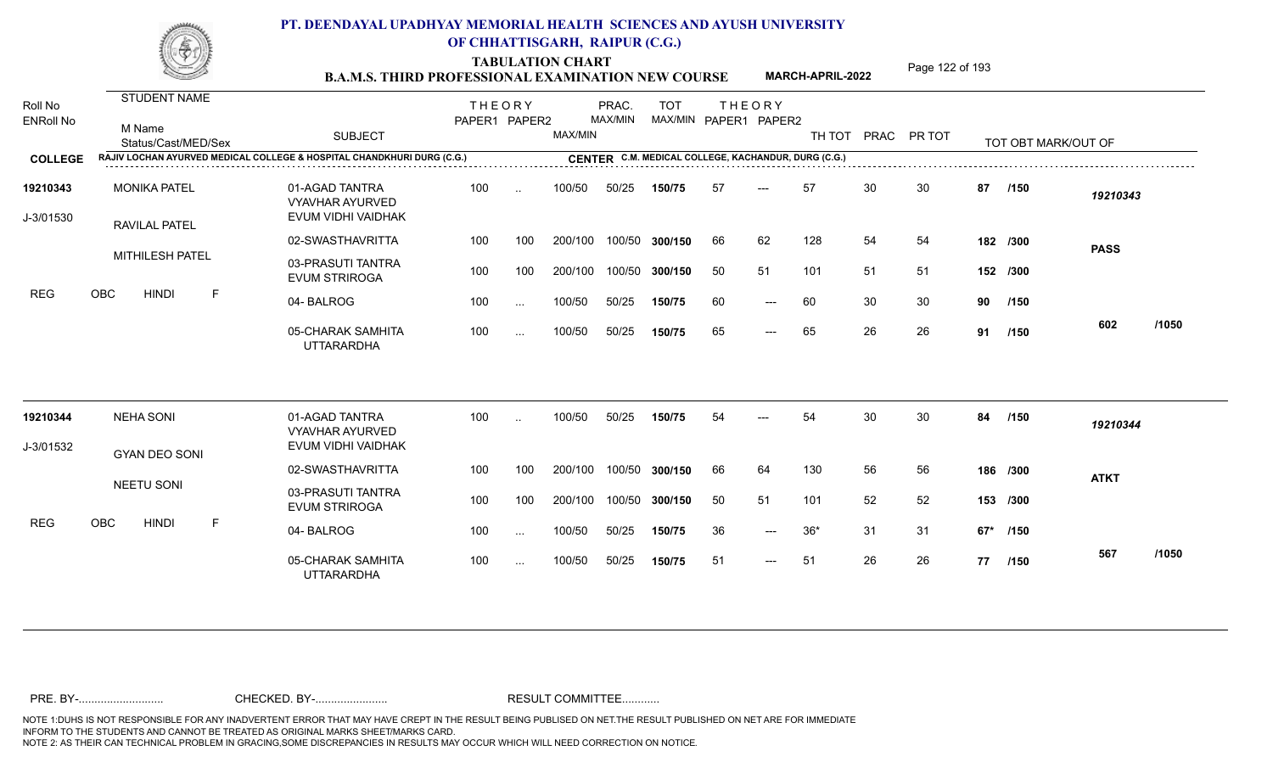TABULATION CHART<br> **TABULATION CHART EXAMINATION NEW COURSE MARCH-APRIL-2022** <sup>Page 122 of 193</sup>

**MARCH-APRIL-2022**

| Roll No<br><b>ENRoll No</b> | STUDENT NAME<br>M Name<br>Status/Cast/MED/Sex                          | <b>SUBJECT</b>                                                 | <b>THEORY</b><br>PAPER1 PAPER2 |           | MAX/MIN | PRAC.<br>MAX/MIN | <b>TOT</b><br>MAX/MIN PAPER1 PAPER2                 |    | <b>THEORY</b>       | TH TOT PRAC PR TOT |    |    |    | TOT OBT MARK/OUT OF |             |       |
|-----------------------------|------------------------------------------------------------------------|----------------------------------------------------------------|--------------------------------|-----------|---------|------------------|-----------------------------------------------------|----|---------------------|--------------------|----|----|----|---------------------|-------------|-------|
| <b>COLLEGE</b>              | RAJIV LOCHAN AYURVED MEDICAL COLLEGE & HOSPITAL CHANDKHURI DURG (C.G.) |                                                                |                                |           |         |                  | CENTER C.M. MEDICAL COLLEGE, KACHANDUR, DURG (C.G.) |    |                     |                    |    |    |    |                     |             |       |
| 19210343<br>J-3/01530       | <b>MONIKA PATEL</b><br><b>RAVILAL PATEL</b>                            | 01-AGAD TANTRA<br><b>VYAVHAR AYURVED</b><br>EVUM VIDHI VAIDHAK | 100                            | $\ddotsc$ | 100/50  | 50/25            | 150/75                                              | 57 | $---$               | 57                 | 30 | 30 | 87 | /150                | 19210343    |       |
|                             |                                                                        | 02-SWASTHAVRITTA                                               | 100                            | 100       | 200/100 |                  | 100/50 300/150                                      | 66 | 62                  | 128                | 54 | 54 |    | 182 /300            | <b>PASS</b> |       |
|                             | MITHILESH PATEL                                                        | 03-PRASUTI TANTRA<br><b>EVUM STRIROGA</b>                      | 100                            | 100       | 200/100 |                  | 100/50 300/150                                      | 50 | 51                  | 101                | 51 | 51 |    | 152 /300            |             |       |
| <b>REG</b>                  | OBC<br><b>HINDI</b><br>F                                               | 04-BALROG                                                      | 100                            | $\cdots$  | 100/50  | 50/25            | 150/75                                              | 60 | $\qquad \qquad - -$ | 60                 | 30 | 30 | 90 | /150                |             |       |
|                             |                                                                        | 05-CHARAK SAMHITA<br><b>UTTARARDHA</b>                         | 100                            | $\cdots$  | 100/50  | 50/25            | 150/75                                              | 65 | $---$               | 65                 | 26 | 26 | 91 | /150                | 602         | /1050 |
| 19210344                    | <b>NEHA SONI</b>                                                       | 01-AGAD TANTRA<br><b>VYAVHAR AYURVED</b>                       | 100                            | $\ddotsc$ | 100/50  | 50/25            | 150/75                                              | 54 |                     | 54                 | 30 | 30 | 84 | /150                | 19210344    |       |
| J-3/01532                   | <b>GYAN DEO SONI</b>                                                   | EVUM VIDHI VAIDHAK                                             |                                |           |         |                  |                                                     |    |                     |                    |    |    |    |                     |             |       |
|                             |                                                                        | 02-SWASTHAVRITTA                                               | 100                            | 100       | 200/100 |                  | 100/50 300/150                                      | 66 | 64                  | 130                | 56 | 56 |    | 186 /300            | <b>ATKT</b> |       |
|                             | <b>NEETU SONI</b>                                                      | 03-PRASUTI TANTRA<br><b>EVUM STRIROGA</b>                      | 100                            | 100       | 200/100 |                  | 100/50 300/150                                      | 50 | 51                  | 101                | 52 | 52 |    | 153 /300            |             |       |
| <b>REG</b>                  | OBC<br><b>HINDI</b><br>F                                               | 04-BALROG                                                      | 100                            | $\cdots$  | 100/50  | 50/25            | 150/75                                              | 36 | $---$               | $36*$              | 31 | 31 |    | 67* /150            |             |       |
|                             |                                                                        | 05-CHARAK SAMHITA<br><b>UTTARARDHA</b>                         | 100                            | $\cdots$  | 100/50  | 50/25            | 150/75                                              | 51 | $---$               | 51                 | 26 | 26 | 77 | /150                | 567         | /1050 |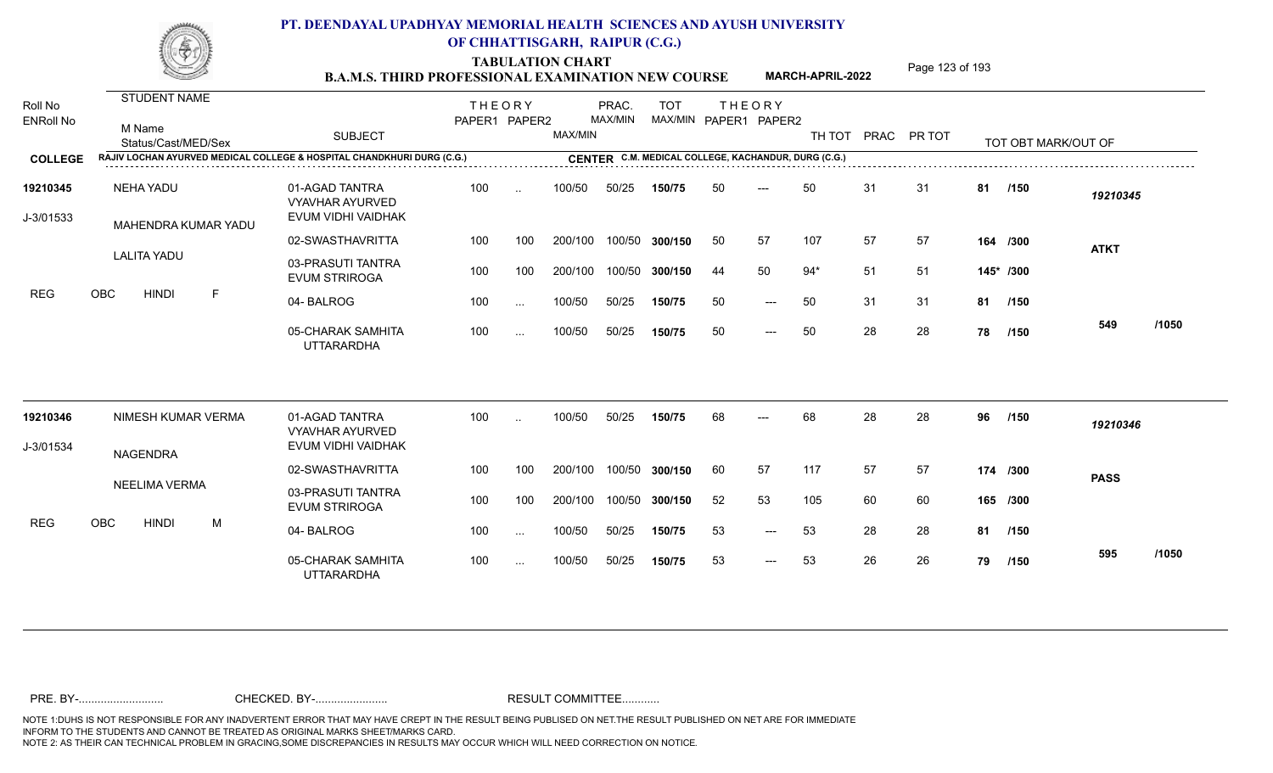TABULATION CHART<br> **TABULATION CHART EXAMINATION NEW COURSE MARCH-APRIL-2022** <sup>Page 123 of 193</sup>

**MARCH-APRIL-2022**

| Roll No<br><b>ENRoll No</b> | STUDENT NAME<br>M Name<br>Status/Cast/MED/Sex                          | <b>SUBJECT</b>                                                 | <b>THEORY</b><br>PAPER1 PAPER2 |                 | MAX/MIN | PRAC.<br>MAX/MIN | <b>TOT</b><br>MAX/MIN PAPER1 PAPER2 |    | <b>THEORY</b> |       |    | TH TOT PRAC PR TOT |    | TOT OBT MARK/OUT OF |             |       |
|-----------------------------|------------------------------------------------------------------------|----------------------------------------------------------------|--------------------------------|-----------------|---------|------------------|-------------------------------------|----|---------------|-------|----|--------------------|----|---------------------|-------------|-------|
| <b>COLLEGE</b>              | RAJIV LOCHAN AYURVED MEDICAL COLLEGE & HOSPITAL CHANDKHURI DURG (C.G.) |                                                                |                                |                 |         |                  |                                     |    |               |       |    |                    |    |                     |             |       |
| 19210345<br>J-3/01533       | NEHA YADU<br>MAHENDRA KUMAR YADU                                       | 01-AGAD TANTRA<br><b>VYAVHAR AYURVED</b><br>EVUM VIDHI VAIDHAK | 100                            | $\sim$          | 100/50  | 50/25            | 150/75                              | 50 | ---           | 50    | 31 | 31                 | 81 | /150                | 19210345    |       |
|                             |                                                                        | 02-SWASTHAVRITTA                                               | 100                            | 100             | 200/100 | 100/50           | 300/150                             | 50 | 57            | 107   | 57 | 57                 |    | 164 /300            | <b>ATKT</b> |       |
|                             | <b>LALITA YADU</b>                                                     | 03-PRASUTI TANTRA<br><b>EVUM STRIROGA</b>                      | 100                            | 100             | 200/100 | 100/50           | 300/150                             | 44 | 50            | $94*$ | 51 | 51                 |    | 145* /300           |             |       |
| <b>REG</b>                  | <b>OBC</b><br><b>HINDI</b><br>F                                        | 04-BALROG                                                      | 100                            | $\cdots$        | 100/50  | 50/25            | 150/75                              | 50 | $---$         | 50    | 31 | 31                 |    | 81 /150             |             |       |
|                             |                                                                        | 05-CHARAK SAMHITA<br><b>UTTARARDHA</b>                         | 100                            | $\cdots$        | 100/50  | 50/25            | 150/75                              | 50 | $---$         | 50    | 28 | 28                 | 78 | /150                | 549         | /1050 |
| 19210346                    | NIMESH KUMAR VERMA                                                     | 01-AGAD TANTRA<br><b>VYAVHAR AYURVED</b>                       | 100                            | $\ddotsc$       | 100/50  | 50/25            | 150/75                              | 68 |               | 68    | 28 | 28                 | 96 | /150                | 19210346    |       |
| J-3/01534                   | <b>NAGENDRA</b>                                                        | EVUM VIDHI VAIDHAK                                             |                                |                 |         |                  |                                     |    |               |       |    |                    |    |                     |             |       |
|                             |                                                                        | 02-SWASTHAVRITTA                                               | 100                            | 100             | 200/100 | 100/50           | 300/150                             | 60 | 57            | 117   | 57 | 57                 |    | 174 /300            | <b>PASS</b> |       |
|                             | <b>NEELIMA VERMA</b>                                                   | 03-PRASUTI TANTRA<br><b>EVUM STRIROGA</b>                      | 100                            | 100             | 200/100 | 100/50           | 300/150                             | 52 | 53            | 105   | 60 | 60                 |    | 165 /300            |             |       |
| <b>REG</b>                  | <b>OBC</b><br><b>HINDI</b><br>M                                        | 04-BALROG                                                      | 100                            | $\sim$ . $\sim$ | 100/50  | 50/25            | 150/75                              | 53 | $---$         | 53    | 28 | 28                 | 81 | /150                |             |       |
|                             |                                                                        | 05-CHARAK SAMHITA<br><b>UTTARARDHA</b>                         | 100                            | $\sim$ $\sim$   | 100/50  | 50/25            | 150/75                              | 53 | $---$         | 53    | 26 | 26                 | 79 | /150                | 595         | /1050 |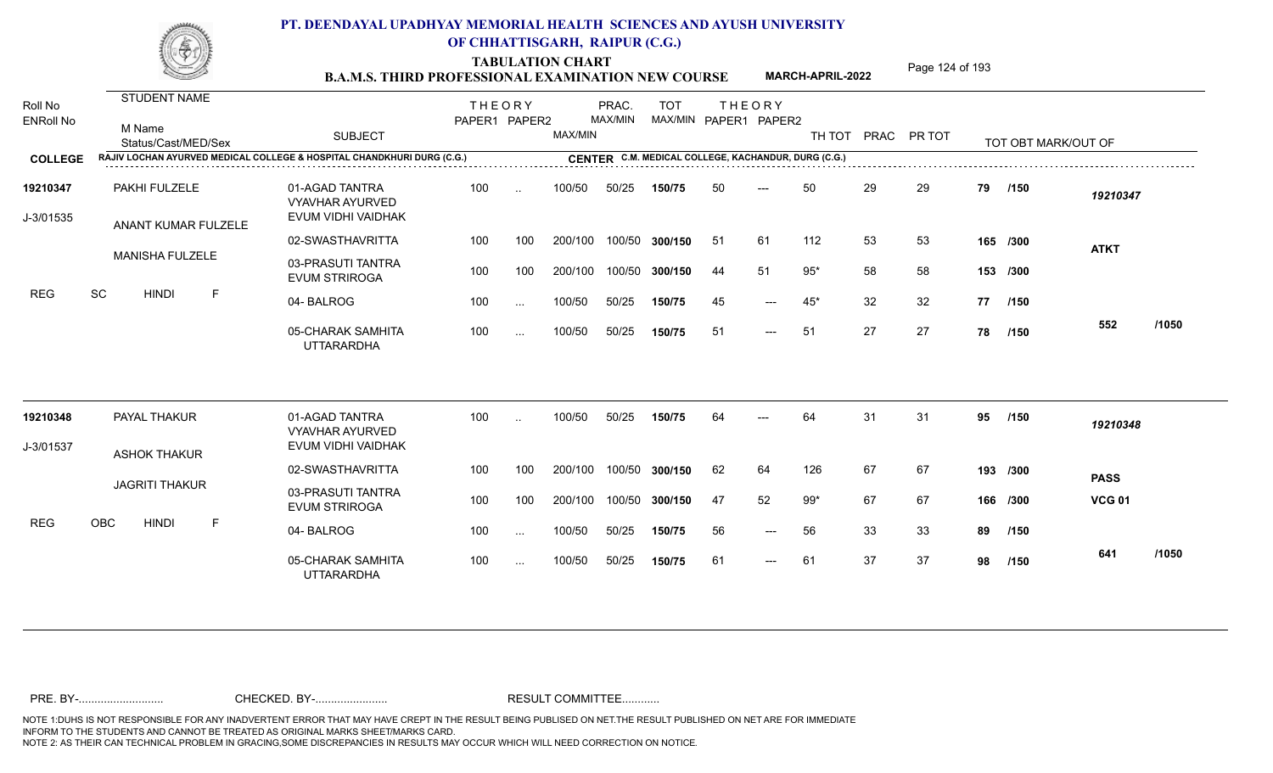TABULATION CHART<br> **TABULATION CHART EXAMINATION NEW COURSE MARCH-APRIL-2022** <sup>Page 124 of 193</sup>

**MARCH-APRIL-2022**

| Roll No<br><b>ENRoll No</b> | STUDENT NAME<br>M Name<br>Status/Cast/MED/Sex<br>RAJIV LOCHAN AYURVED MEDICAL COLLEGE & HOSPITAL CHANDKHURI DURG (C.G.) | <b>SUBJECT</b>                                                 | <b>THEORY</b><br>PAPER1 PAPER2 |           | MAX/MIN | PRAC.<br>MAX/MIN | <b>TOT</b><br>MAX/MIN PAPER1 PAPER2<br>CENTER C.M. MEDICAL COLLEGE, KACHANDUR, DURG (C.G.) |     | <b>THEORY</b>       | TH TOT PRAC PR TOT |    |    |    | TOT OBT MARK/OUT OF |               |       |
|-----------------------------|-------------------------------------------------------------------------------------------------------------------------|----------------------------------------------------------------|--------------------------------|-----------|---------|------------------|--------------------------------------------------------------------------------------------|-----|---------------------|--------------------|----|----|----|---------------------|---------------|-------|
| <b>COLLEGE</b>              |                                                                                                                         |                                                                |                                |           |         |                  |                                                                                            |     |                     |                    |    |    |    |                     |               |       |
| 19210347<br>J-3/01535       | PAKHI FULZELE<br>ANANT KUMAR FULZELE                                                                                    | 01-AGAD TANTRA<br><b>VYAVHAR AYURVED</b><br>EVUM VIDHI VAIDHAK | 100                            | $\cdot$ . | 100/50  | 50/25            | 150/75                                                                                     | 50  | $---$               | 50                 | 29 | 29 | 79 | /150                | 19210347      |       |
|                             |                                                                                                                         | 02-SWASTHAVRITTA                                               | 100                            | 100       | 200/100 |                  | 100/50 300/150                                                                             | -51 | 61                  | 112                | 53 | 53 |    | 165 /300            | <b>ATKT</b>   |       |
|                             | <b>MANISHA FULZELE</b>                                                                                                  | 03-PRASUTI TANTRA<br><b>EVUM STRIROGA</b>                      | 100                            | 100       | 200/100 |                  | 100/50 300/150                                                                             | 44  | 51                  | $95*$              | 58 | 58 |    | 153 /300            |               |       |
| <b>REG</b>                  | SC<br><b>HINDI</b><br>E                                                                                                 | 04-BALROG                                                      | 100                            | $\cdots$  | 100/50  | 50/25            | 150/75                                                                                     | 45  | $\qquad \qquad - -$ | $45*$              | 32 | 32 |    | 77 /150             |               |       |
|                             |                                                                                                                         | 05-CHARAK SAMHITA<br><b>UTTARARDHA</b>                         | 100                            | $\cdots$  | 100/50  | 50/25            | 150/75                                                                                     | 51  | $---$               | 51                 | 27 | 27 | 78 | /150                | 552           | /1050 |
| 19210348                    | PAYAL THAKUR                                                                                                            | 01-AGAD TANTRA                                                 | 100                            |           | 100/50  | 50/25            | 150/75                                                                                     | 64  |                     | 64                 | 31 | 31 | 95 | /150                | 19210348      |       |
| J-3/01537                   |                                                                                                                         | <b>VYAVHAR AYURVED</b><br>EVUM VIDHI VAIDHAK                   |                                |           |         |                  |                                                                                            |     |                     |                    |    |    |    |                     |               |       |
|                             | <b>ASHOK THAKUR</b>                                                                                                     | 02-SWASTHAVRITTA                                               | 100                            | 100       | 200/100 |                  | 100/50 300/150                                                                             | 62  | 64                  | 126                | 67 | 67 |    | 193 /300            | <b>PASS</b>   |       |
|                             | <b>JAGRITI THAKUR</b>                                                                                                   | 03-PRASUTI TANTRA<br><b>EVUM STRIROGA</b>                      | 100                            | 100       | 200/100 |                  | 100/50 300/150                                                                             | 47  | 52                  | $99*$              | 67 | 67 |    | 166 /300            | <b>VCG 01</b> |       |
| <b>REG</b>                  | OBC<br><b>HINDI</b><br>F                                                                                                | 04-BALROG                                                      | 100                            | $\cdots$  | 100/50  | 50/25            | 150/75                                                                                     | 56  | $---$               | 56                 | 33 | 33 | 89 | /150                |               |       |
|                             |                                                                                                                         | 05-CHARAK SAMHITA<br><b>UTTARARDHA</b>                         | 100                            | $\cdots$  | 100/50  | 50/25            | 150/75                                                                                     | 61  | $---$               | 61                 | 37 | 37 | 98 | /150                | 641           | /1050 |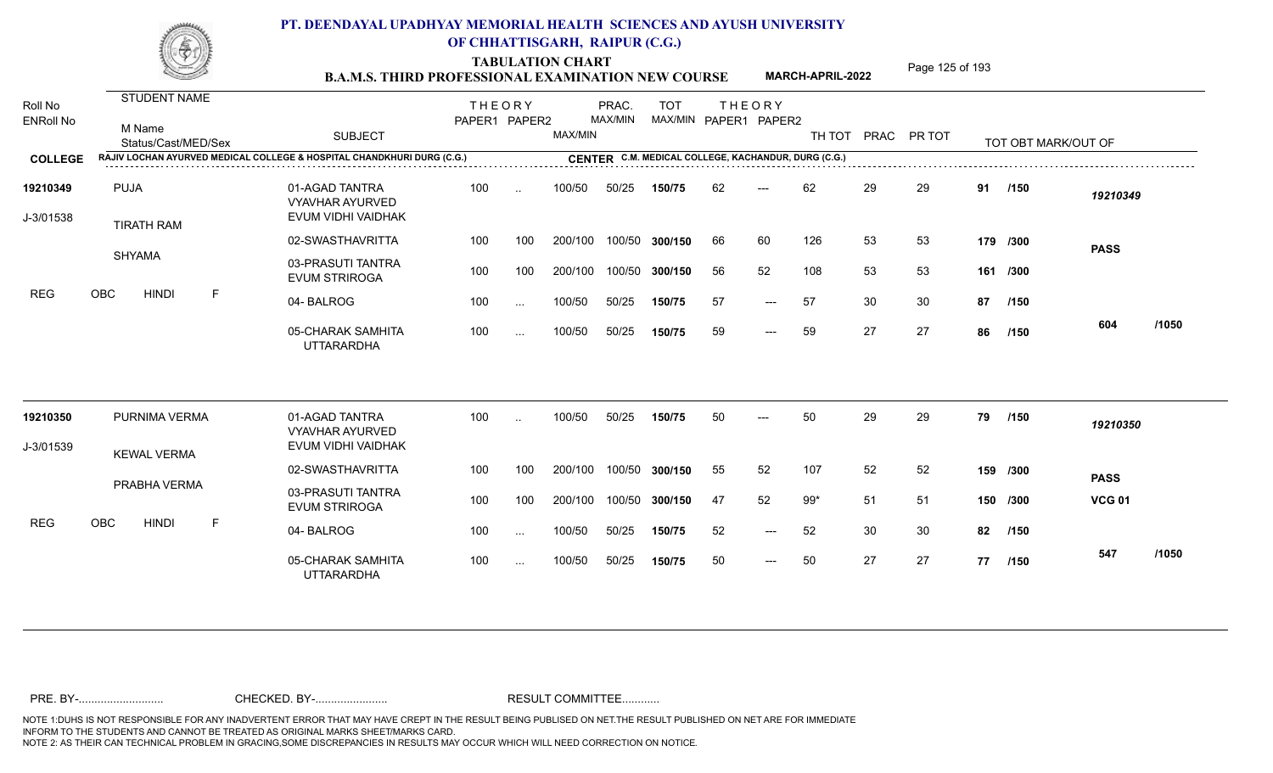TABULATION CHART<br> **TABULATION CHART EXAMINATION NEW COURSE MARCH-APRIL-2022** <sup>Page 125 of 193</sup>

**MARCH-APRIL-2022**

| Roll No<br><b>ENRoll No</b> | STUDENT NAME<br>M Name<br>Status/Cast/MED/Sex | <b>SUBJECT</b>                                                         | <b>THEORY</b><br>PAPER1 PAPER2 |               | MAX/MIN | PRAC.<br>MAX/MIN | <b>TOT</b>                                          |    | <b>THEORY</b><br>MAX/MIN PAPER1 PAPER2 |       |    | TH TOT PRAC PR TOT |    | TOT OBT MARK/OUT OF |               |       |
|-----------------------------|-----------------------------------------------|------------------------------------------------------------------------|--------------------------------|---------------|---------|------------------|-----------------------------------------------------|----|----------------------------------------|-------|----|--------------------|----|---------------------|---------------|-------|
| <b>COLLEGE</b>              |                                               | RAJIV LOCHAN AYURVED MEDICAL COLLEGE & HOSPITAL CHANDKHURI DURG (C.G.) |                                |               |         |                  | CENTER C.M. MEDICAL COLLEGE, KACHANDUR, DURG (C.G.) |    |                                        |       |    |                    |    |                     |               |       |
| 19210349<br>J-3/01538       | <b>PUJA</b><br><b>TIRATH RAM</b>              | 01-AGAD TANTRA<br>VYAVHAR AYURVED<br>EVUM VIDHI VAIDHAK                | 100                            | $\ddotsc$     | 100/50  | 50/25            | 150/75                                              | 62 | $---$                                  | 62    | 29 | 29                 |    | 91 /150             | 19210349      |       |
|                             |                                               | 02-SWASTHAVRITTA                                                       | 100                            | 100           | 200/100 | 100/50           | 300/150                                             | 66 | 60                                     | 126   | 53 | 53                 |    | 179 /300            | <b>PASS</b>   |       |
|                             | <b>SHYAMA</b>                                 | 03-PRASUTI TANTRA<br><b>EVUM STRIROGA</b>                              | 100                            | 100           | 200/100 | 100/50           | 300/150                                             | 56 | 52                                     | 108   | 53 | 53                 |    | 161 /300            |               |       |
| <b>REG</b>                  | <b>OBC</b><br><b>HINDI</b><br>F               | 04-BALROG                                                              | 100                            | $\sim$ $\sim$ | 100/50  | 50/25            | 150/75                                              | 57 | $---$                                  | 57    | 30 | 30                 |    | 87 /150             |               |       |
|                             |                                               | 05-CHARAK SAMHITA<br><b>UTTARARDHA</b>                                 | 100                            | $\cdots$      | 100/50  | 50/25            | 150/75                                              | 59 | $---$                                  | 59    | 27 | 27                 | 86 | /150                | 604           | /1050 |
| 19210350                    | PURNIMA VERMA                                 | 01-AGAD TANTRA                                                         | 100                            | $\sim$        | 100/50  | 50/25            | 150/75                                              | 50 | $---$                                  | 50    | 29 | 29                 | 79 | /150                | 19210350      |       |
| J-3/01539                   |                                               | <b>VYAVHAR AYURVED</b><br>EVUM VIDHI VAIDHAK                           |                                |               |         |                  |                                                     |    |                                        |       |    |                    |    |                     |               |       |
|                             | <b>KEWAL VERMA</b>                            | 02-SWASTHAVRITTA                                                       | 100                            | 100           | 200/100 | 100/50           | 300/150                                             | 55 | 52                                     | 107   | 52 | 52                 |    | 159 /300            | <b>PASS</b>   |       |
|                             | PRABHA VERMA                                  | 03-PRASUTI TANTRA<br><b>EVUM STRIROGA</b>                              | 100                            | 100           | 200/100 | 100/50           | 300/150                                             | 47 | 52                                     | $99*$ | 51 | 51                 |    | 150 /300            | <b>VCG 01</b> |       |
| <b>REG</b>                  | $\mathsf F$<br>OBC<br><b>HINDI</b>            | 04-BALROG                                                              | 100                            | $\sim$ $\sim$ | 100/50  | 50/25            | 150/75                                              | 52 | $---$                                  | 52    | 30 | 30                 | 82 | /150                |               |       |
|                             |                                               | 05-CHARAK SAMHITA<br><b>UTTARARDHA</b>                                 | 100                            | $\ldots$      | 100/50  | 50/25            | 150/75                                              | 50 | $---$                                  | 50    | 27 | 27                 | 77 | 1150                | 547           | /1050 |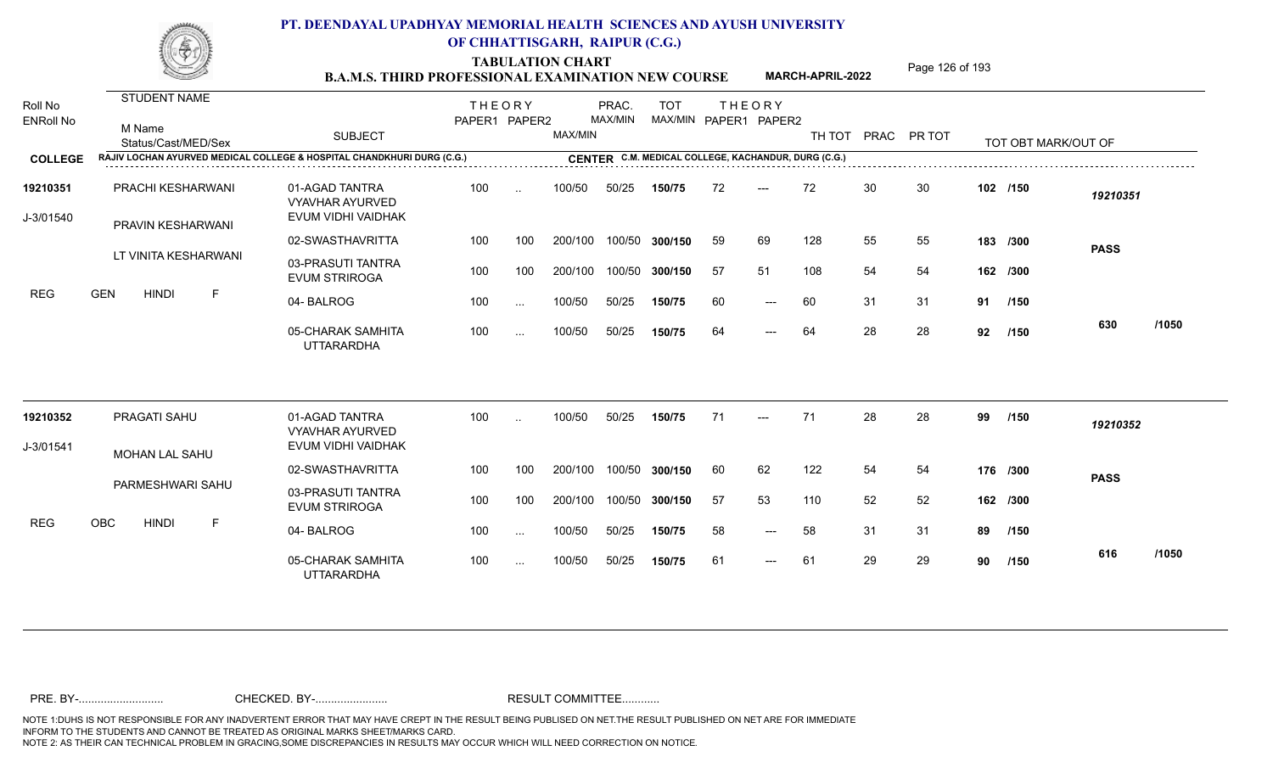TABULATION CHART<br> **TABULATION CHART EXAMINATION NEW COURSE MARCH-APRIL-2022** <sup>Page 126 of 193</sup>

**MARCH-APRIL-2022**

| Roll No<br><b>ENRoll No</b> | <b>STUDENT NAME</b><br>M Name<br>Status/Cast/MED/Sex                   | <b>SUBJECT</b>                                                 | <b>THEORY</b><br>PAPER1 PAPER2 |                      | MAX/MIN | PRAC.<br>MAX/MIN | <b>TOT</b><br>MAX/MIN PAPER1 PAPER2 |     | <b>THEORY</b> | TH TOT |    | PRAC PR TOT |          | TOT OBT MARK/OUT OF |             |       |
|-----------------------------|------------------------------------------------------------------------|----------------------------------------------------------------|--------------------------------|----------------------|---------|------------------|-------------------------------------|-----|---------------|--------|----|-------------|----------|---------------------|-------------|-------|
| <b>COLLEGE</b>              | RAJIV LOCHAN AYURVED MEDICAL COLLEGE & HOSPITAL CHANDKHURI DURG (C.G.) |                                                                |                                |                      |         |                  |                                     |     |               |        |    |             |          |                     |             |       |
| 19210351<br>J-3/01540       | PRACHI KESHARWANI<br>PRAVIN KESHARWANI                                 | 01-AGAD TANTRA<br><b>VYAVHAR AYURVED</b><br>EVUM VIDHI VAIDHAK | 100                            | $\ddotsc$            | 100/50  | 50/25            | 150/75                              | 72  | $---$         | 72     | 30 | 30          | 102 /150 |                     | 19210351    |       |
|                             |                                                                        | 02-SWASTHAVRITTA                                               | 100                            | 100                  | 200/100 |                  | 100/50 300/150                      | 59  | 69            | 128    | 55 | 55          |          | 183 /300            | <b>PASS</b> |       |
|                             | LT VINITA KESHARWANI                                                   | 03-PRASUTI TANTRA<br><b>EVUM STRIROGA</b>                      | 100                            | 100                  | 200/100 |                  | 100/50 300/150                      | -57 | 51            | 108    | 54 | 54          |          | 162 /300            |             |       |
| <b>REG</b>                  | <b>GEN</b><br><b>HINDI</b><br>F                                        | 04-BALROG                                                      | 100                            | $\sim$               | 100/50  | 50/25            | 150/75                              | 60  | $---$         | 60     | 31 | 31          |          | 91 /150             |             |       |
|                             |                                                                        | 05-CHARAK SAMHITA<br><b>UTTARARDHA</b>                         | 100                            | $\cdots$             | 100/50  | 50/25            | 150/75                              | 64  | $---$         | 64     | 28 | 28          | 92       | 1150                | 630         | /1050 |
| 19210352                    | PRAGATI SAHU                                                           | 01-AGAD TANTRA<br><b>VYAVHAR AYURVED</b>                       | 100                            | $\ddot{\phantom{a}}$ | 100/50  | 50/25            | 150/75                              | 71  | $---$         | 71     | 28 | 28          | 99       | /150                | 19210352    |       |
| J-3/01541                   | MOHAN LAL SAHU                                                         | EVUM VIDHI VAIDHAK                                             |                                |                      |         |                  |                                     |     |               |        |    |             |          |                     |             |       |
|                             |                                                                        | 02-SWASTHAVRITTA                                               | 100                            | 100                  | 200/100 |                  | 100/50 300/150                      | 60  | 62            | 122    | 54 | 54          |          | 176 /300            | <b>PASS</b> |       |
|                             | PARMESHWARI SAHU                                                       | 03-PRASUTI TANTRA<br><b>EVUM STRIROGA</b>                      | 100                            | 100                  | 200/100 |                  | 100/50 300/150                      | 57  | 53            | 110    | 52 | 52          |          | 162 /300            |             |       |
| <b>REG</b>                  | OBC<br><b>HINDI</b><br>$\mathsf{F}$                                    | 04-BALROG                                                      | 100                            | $\ddotsc$            | 100/50  | 50/25            | 150/75                              | 58  | $---$         | 58     | 31 | 31          | 89       | /150                |             |       |
|                             |                                                                        | 05-CHARAK SAMHITA<br><b>UTTARARDHA</b>                         | 100                            | $\sim$ $\sim$        | 100/50  | 50/25            | 150/75                              | 61  | $---$         | 61     | 29 | 29          | 90       | /150                | 616         | /1050 |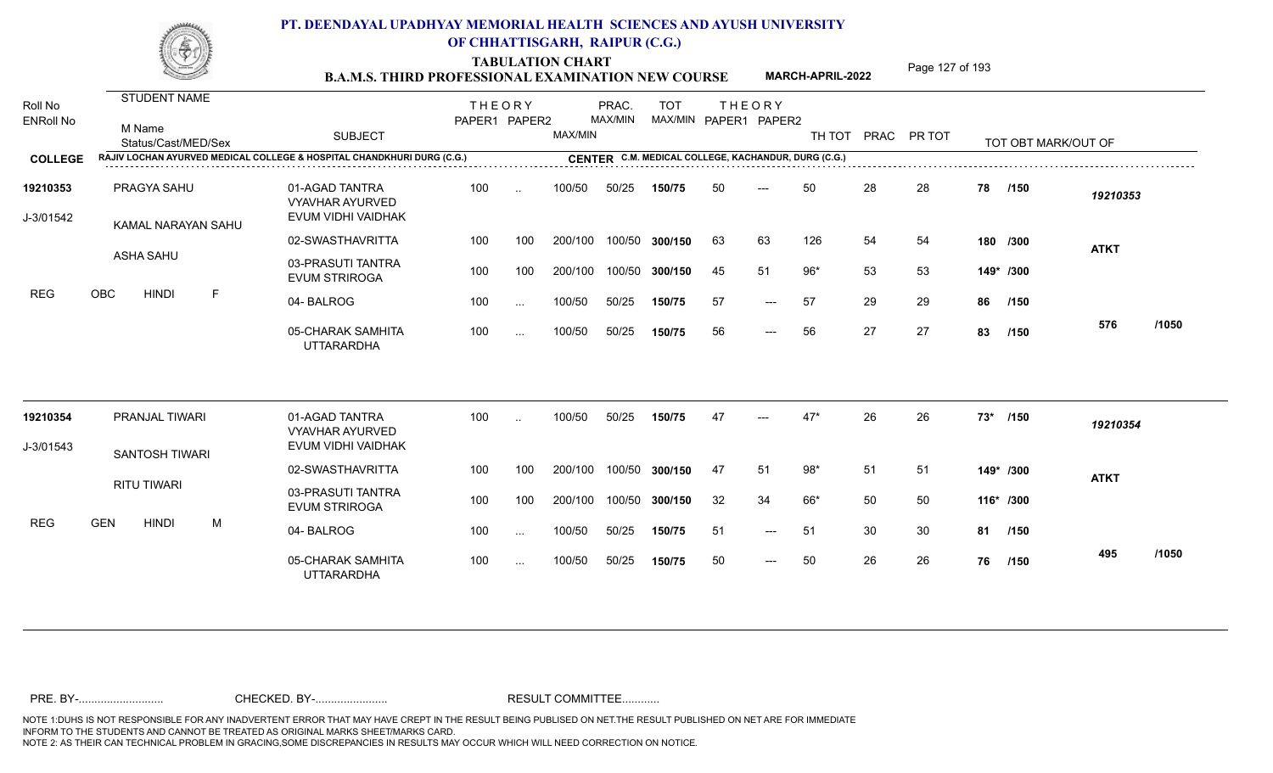TABULATION CHART<br> **TABULATION CHART EXAMINATION NEW COURSE MARCH-APRIL-2022** <sup>Page 127 of 193</sup>

**MARCH-APRIL-2022**

| Roll No<br><b>ENRoll No</b> | <b>STUDENT NAME</b><br>M Name<br>Status/Cast/MED/Sex | <b>SUBJECT</b>                                                         | <b>THEORY</b><br>PAPER1 PAPER2 |               | MAX/MIN | PRAC.<br>MAX/MIN | <b>TOT</b><br>MAX/MIN PAPER1 PAPER2                 |    | <b>THEORY</b>       | TH TOT |    | PRAC PR TOT |           | TOT OBT MARK/OUT OF |             |       |
|-----------------------------|------------------------------------------------------|------------------------------------------------------------------------|--------------------------------|---------------|---------|------------------|-----------------------------------------------------|----|---------------------|--------|----|-------------|-----------|---------------------|-------------|-------|
| <b>COLLEGE</b>              |                                                      | RAJIV LOCHAN AYURVED MEDICAL COLLEGE & HOSPITAL CHANDKHURI DURG (C.G.) |                                |               |         |                  | CENTER C.M. MEDICAL COLLEGE, KACHANDUR, DURG (C.G.) |    |                     |        |    |             |           |                     |             |       |
| 19210353<br>J-3/01542       | PRAGYA SAHU<br>KAMAL NARAYAN SAHU                    | 01-AGAD TANTRA<br><b>VYAVHAR AYURVED</b><br>EVUM VIDHI VAIDHAK         | 100                            | $\ddotsc$     | 100/50  | 50/25            | 150/75                                              | 50 | $---$               | 50     | 28 | 28          | 78        | /150                | 19210353    |       |
|                             |                                                      | 02-SWASTHAVRITTA                                                       | 100                            | 100           | 200/100 |                  | 100/50 300/150                                      | 63 | 63                  | 126    | 54 | 54          |           | 180 /300            | <b>ATKT</b> |       |
|                             | ASHA SAHU                                            | 03-PRASUTI TANTRA<br><b>EVUM STRIROGA</b>                              | 100                            | 100           | 200/100 | 100/50           | 300/150                                             | 45 | 51                  | $96*$  | 53 | 53          |           | 149* /300           |             |       |
| <b>REG</b>                  | <b>OBC</b><br><b>HINDI</b><br>F                      | 04-BALROG                                                              | 100                            | $\sim$        | 100/50  | 50/25            | 150/75                                              | 57 | $\qquad \qquad - -$ | 57     | 29 | 29          | 86        | /150                |             |       |
|                             |                                                      | 05-CHARAK SAMHITA<br><b>UTTARARDHA</b>                                 | 100                            | $\sim$ .      | 100/50  | 50/25            | 150/75                                              | 56 | $---$               | 56     | 27 | 27          | 83        | /150                | 576         | /1050 |
| 19210354                    | PRANJAL TIWARI                                       | 01-AGAD TANTRA                                                         | 100                            | $\ddotsc$     | 100/50  | 50/25            | 150/75                                              | 47 |                     | $47*$  | 26 | 26          | $73*$     | /150                | 19210354    |       |
| J-3/01543                   |                                                      | <b>VYAVHAR AYURVED</b><br>EVUM VIDHI VAIDHAK                           |                                |               |         |                  |                                                     |    |                     |        |    |             |           |                     |             |       |
|                             | SANTOSH TIWARI                                       | 02-SWASTHAVRITTA                                                       | 100                            | 100           | 200/100 | 100/50           | 300/150                                             | 47 | 51                  | $98*$  | 51 | 51          |           | 149* /300           | <b>ATKT</b> |       |
|                             | <b>RITU TIWARI</b>                                   | 03-PRASUTI TANTRA<br><b>EVUM STRIROGA</b>                              | 100                            | 100           | 200/100 |                  | 100/50 300/150                                      | 32 | 34                  | 66*    | 50 | 50          | 116* /300 |                     |             |       |
| <b>REG</b>                  | <b>GEN</b><br><b>HINDI</b><br>M                      | 04-BALROG                                                              | 100                            | $\sim$        | 100/50  | 50/25            | 150/75                                              | 51 | $---$               | 51     | 30 | 30          | 81        | /150                |             |       |
|                             |                                                      | 05-CHARAK SAMHITA<br><b>UTTARARDHA</b>                                 | 100                            | $\sim$ $\sim$ | 100/50  | 50/25            | 150/75                                              | 50 | $---$               | 50     | 26 | 26          | 76        | /150                | 495         | /1050 |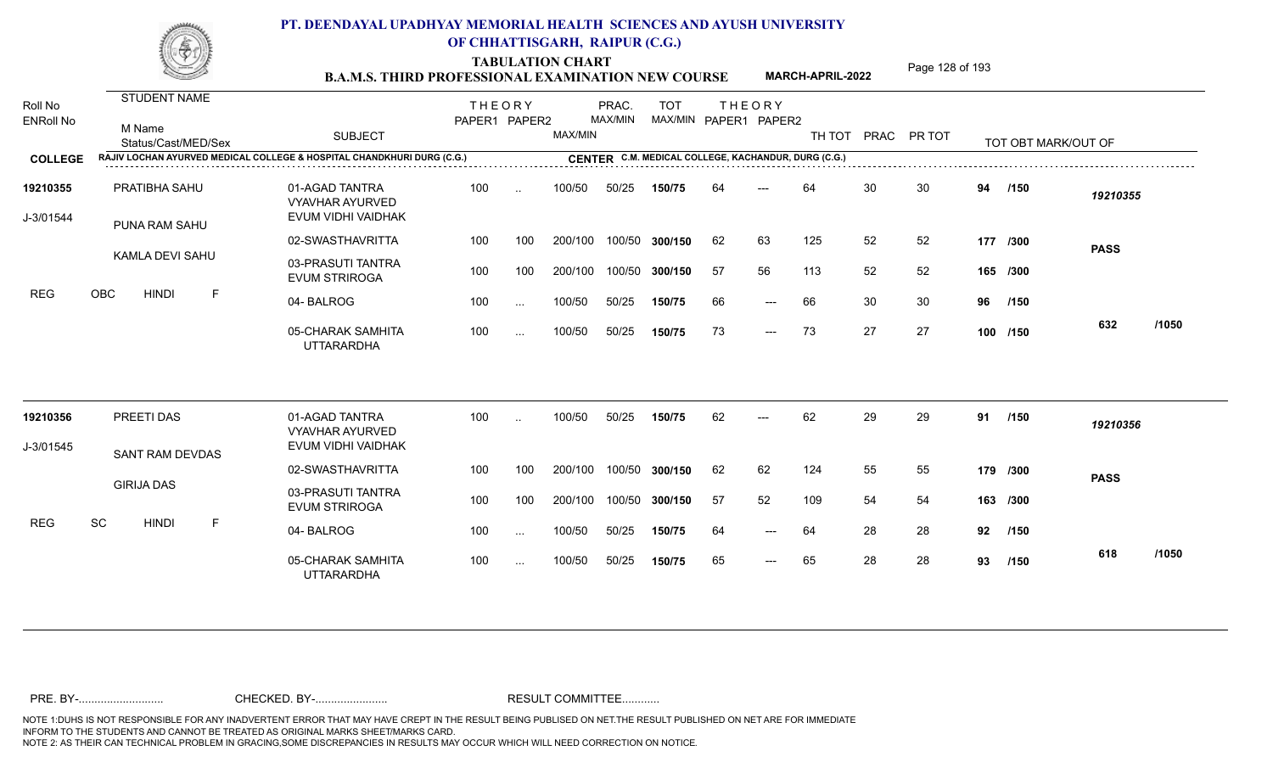TABULATION CHART<br> **TABULATION CHART EXAMINATION NEW COURSE MARCH-APRIL-2022** <sup>Page 128 of 193</sup>

**MARCH-APRIL-2022**

| Roll No<br><b>ENRoll No</b> | <b>STUDENT NAME</b><br>M Name<br>Status/Cast/MED/Sex                   | <b>SUBJECT</b>                                                 | <b>THEORY</b><br>PAPER1 PAPER2 |               | MAX/MIN | PRAC.<br>MAX/MIN | <b>TOT</b>     |     | <b>THEORY</b><br>MAX/MIN PAPER1 PAPER2              | TH TOT |    | PRAC PR TOT |    | TOT OBT MARK/OUT OF |             |       |
|-----------------------------|------------------------------------------------------------------------|----------------------------------------------------------------|--------------------------------|---------------|---------|------------------|----------------|-----|-----------------------------------------------------|--------|----|-------------|----|---------------------|-------------|-------|
| <b>COLLEGE</b>              | RAJIV LOCHAN AYURVED MEDICAL COLLEGE & HOSPITAL CHANDKHURI DURG (C.G.) |                                                                |                                |               |         |                  |                |     | CENTER C.M. MEDICAL COLLEGE, KACHANDUR, DURG (C.G.) |        |    |             |    |                     |             |       |
| 19210355<br>J-3/01544       | PRATIBHA SAHU<br>PUNA RAM SAHU                                         | 01-AGAD TANTRA<br><b>VYAVHAR AYURVED</b><br>EVUM VIDHI VAIDHAK | 100                            | $\ddotsc$     | 100/50  | 50/25            | 150/75         | 64  | ---                                                 | 64     | 30 | 30          | 94 | /150                | 19210355    |       |
|                             |                                                                        | 02-SWASTHAVRITTA                                               | 100                            | 100           | 200/100 |                  | 100/50 300/150 | 62  | 63                                                  | 125    | 52 | 52          |    | 177 /300            | <b>PASS</b> |       |
|                             | KAMLA DEVI SAHU                                                        | 03-PRASUTI TANTRA<br><b>EVUM STRIROGA</b>                      | 100                            | 100           | 200/100 |                  | 100/50 300/150 | -57 | 56                                                  | 113    | 52 | 52          |    | 165 /300            |             |       |
| <b>REG</b>                  | <b>OBC</b><br><b>HINDI</b><br>F                                        | 04-BALROG                                                      | 100                            | $\sim$ $\sim$ | 100/50  | 50/25            | 150/75         | 66  | $---$                                               | 66     | 30 | 30          | 96 | /150                |             |       |
|                             |                                                                        | 05-CHARAK SAMHITA<br><b>UTTARARDHA</b>                         | 100                            | $\sim$ .      | 100/50  | 50/25            | 150/75         | 73  | $\qquad \qquad - -$                                 | 73     | 27 | 27          |    | 100 /150            | 632         | /1050 |
| 19210356                    | PREETI DAS                                                             | 01-AGAD TANTRA<br><b>VYAVHAR AYURVED</b>                       | 100                            | $\ddotsc$     | 100/50  | 50/25            | 150/75         | 62  | $---$                                               | 62     | 29 | 29          | 91 | /150                | 19210356    |       |
| J-3/01545                   | SANT RAM DEVDAS                                                        | EVUM VIDHI VAIDHAK                                             |                                |               |         |                  |                |     |                                                     |        |    |             |    |                     |             |       |
|                             |                                                                        | 02-SWASTHAVRITTA                                               | 100                            | 100           | 200/100 |                  | 100/50 300/150 | 62  | 62                                                  | 124    | 55 | 55          |    | 179 /300            | <b>PASS</b> |       |
|                             | <b>GIRIJA DAS</b>                                                      | 03-PRASUTI TANTRA<br><b>EVUM STRIROGA</b>                      | 100                            | 100           | 200/100 |                  | 100/50 300/150 | 57  | 52                                                  | 109    | 54 | 54          |    | 163 /300            |             |       |
| <b>REG</b>                  | SC<br><b>HINDI</b><br>F                                                | 04-BALROG                                                      | 100                            | $\sim$ $\sim$ | 100/50  | 50/25            | 150/75         | 64  | $---$                                               | 64     | 28 | 28          | 92 | /150                |             |       |
|                             |                                                                        | 05-CHARAK SAMHITA<br><b>UTTARARDHA</b>                         | 100                            | $\sim$ $\sim$ | 100/50  | 50/25            | 150/75         | 65  | $---$                                               | 65     | 28 | 28          | 93 | /150                | 618         | /1050 |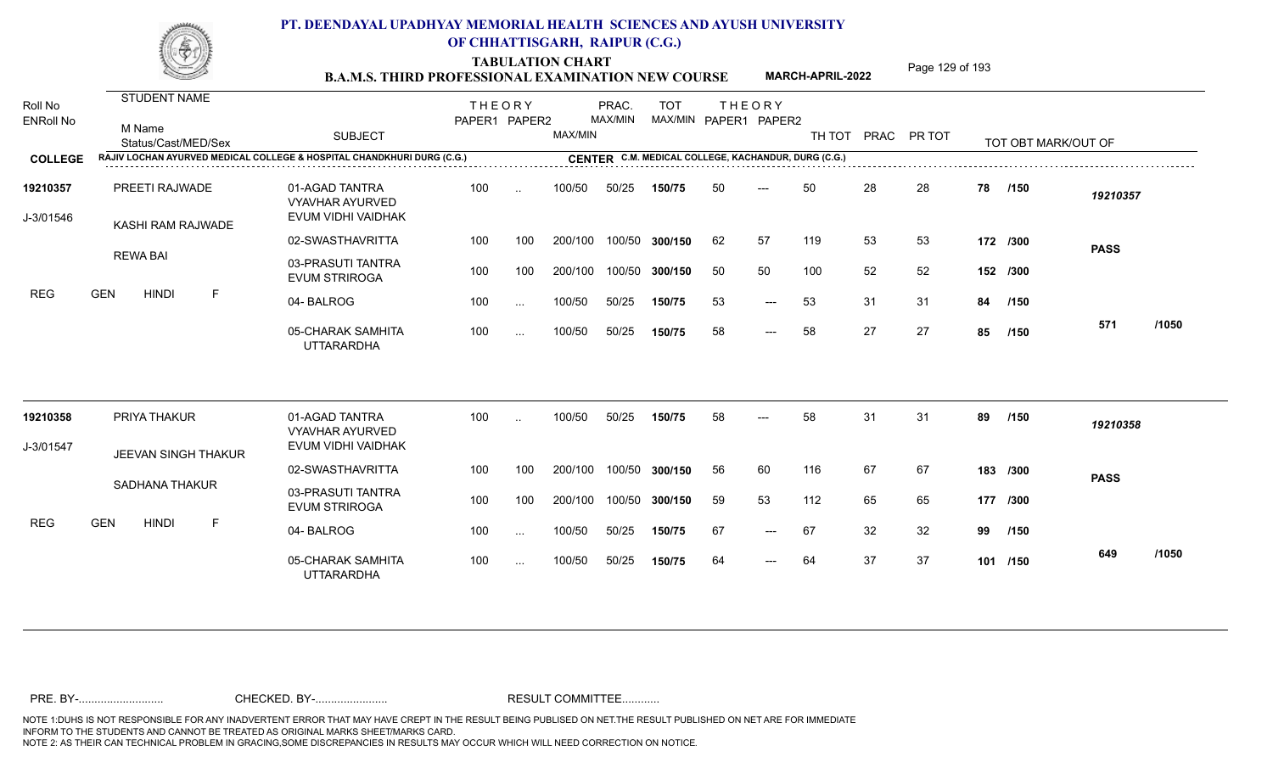TABULATION CHART<br> **TABULATION CHART EXAMINATION NEW COURSE MARCH-APRIL-2022** <sup>Page 129 of 193</sup>

**MARCH-APRIL-2022**

| Roll No<br><b>ENRoll No</b> | <b>STUDENT NAME</b><br>M Name<br>Status/Cast/MED/Sex                   | <b>SUBJECT</b>                                                 | <b>THEORY</b><br>PAPER1 PAPER2 |               | MAX/MIN | PRAC.<br>MAX/MIN | <b>TOT</b><br>MAX/MIN PAPER1 PAPER2                 |    | <b>THEORY</b>       | TH TOT |    | PRAC PR TOT |    | TOT OBT MARK/OUT OF |             |       |
|-----------------------------|------------------------------------------------------------------------|----------------------------------------------------------------|--------------------------------|---------------|---------|------------------|-----------------------------------------------------|----|---------------------|--------|----|-------------|----|---------------------|-------------|-------|
| <b>COLLEGE</b>              | RAJIV LOCHAN AYURVED MEDICAL COLLEGE & HOSPITAL CHANDKHURI DURG (C.G.) |                                                                |                                |               |         |                  | CENTER C.M. MEDICAL COLLEGE, KACHANDUR, DURG (C.G.) |    |                     |        |    |             |    |                     |             |       |
| 19210357<br>J-3/01546       | PREETI RAJWADE<br>KASHI RAM RAJWADE                                    | 01-AGAD TANTRA<br><b>VYAVHAR AYURVED</b><br>EVUM VIDHI VAIDHAK | 100                            | $\ddotsc$     | 100/50  | 50/25            | 150/75                                              | 50 | $---$               | 50     | 28 | 28          | 78 | /150                | 19210357    |       |
|                             |                                                                        | 02-SWASTHAVRITTA                                               | 100                            | 100           | 200/100 |                  | 100/50 300/150                                      | 62 | 57                  | 119    | 53 | 53          |    | 172 /300            | <b>PASS</b> |       |
| <b>REG</b>                  | <b>REWA BAI</b>                                                        | 03-PRASUTI TANTRA<br><b>EVUM STRIROGA</b>                      | 100                            | 100           | 200/100 |                  | 100/50 300/150                                      | 50 | 50                  | 100    | 52 | 52          |    | 152 /300            |             |       |
|                             | <b>GEN</b><br><b>HINDI</b><br>F                                        | 04-BALROG                                                      | 100                            | $\ldots$      | 100/50  | 50/25            | 150/75                                              | 53 | $\qquad \qquad - -$ | 53     | 31 | 31          | 84 | /150                |             |       |
|                             |                                                                        | 05-CHARAK SAMHITA<br><b>UTTARARDHA</b>                         | 100                            | $\sim$ $\sim$ | 100/50  | 50/25            | 150/75                                              | 58 | $---$               | 58     | 27 | 27          | 85 | /150                | 571         | /1050 |
| 19210358                    | PRIYA THAKUR                                                           | 01-AGAD TANTRA                                                 | 100                            | $\ddotsc$     | 100/50  | 50/25            | 150/75                                              | 58 | $---$               | 58     | 31 | 31          | 89 | /150                | 19210358    |       |
| J-3/01547                   |                                                                        | <b>VYAVHAR AYURVED</b><br>EVUM VIDHI VAIDHAK                   |                                |               |         |                  |                                                     |    |                     |        |    |             |    |                     |             |       |
|                             | JEEVAN SINGH THAKUR                                                    | 02-SWASTHAVRITTA                                               | 100                            | 100           | 200/100 |                  | 100/50 300/150                                      | 56 | 60                  | 116    | 67 | 67          |    | 183 /300            | <b>PASS</b> |       |
|                             | SADHANA THAKUR                                                         | 03-PRASUTI TANTRA<br><b>EVUM STRIROGA</b>                      | 100                            | 100           | 200/100 |                  | 100/50 300/150                                      | 59 | 53                  | 112    | 65 | 65          |    | 177 /300            |             |       |
| <b>REG</b>                  | <b>GEN</b><br><b>HINDI</b><br>F                                        | 04-BALROG                                                      | 100                            | $\cdots$      | 100/50  | 50/25            | 150/75                                              | 67 | $---$               | 67     | 32 | 32          | 99 | /150                |             |       |
|                             |                                                                        | 05-CHARAK SAMHITA<br><b>UTTARARDHA</b>                         | 100                            | $\sim$ .      | 100/50  | 50/25            | 150/75                                              | 64 | $---$               | 64     | 37 | 37          |    | 101 /150            | 649         | /1050 |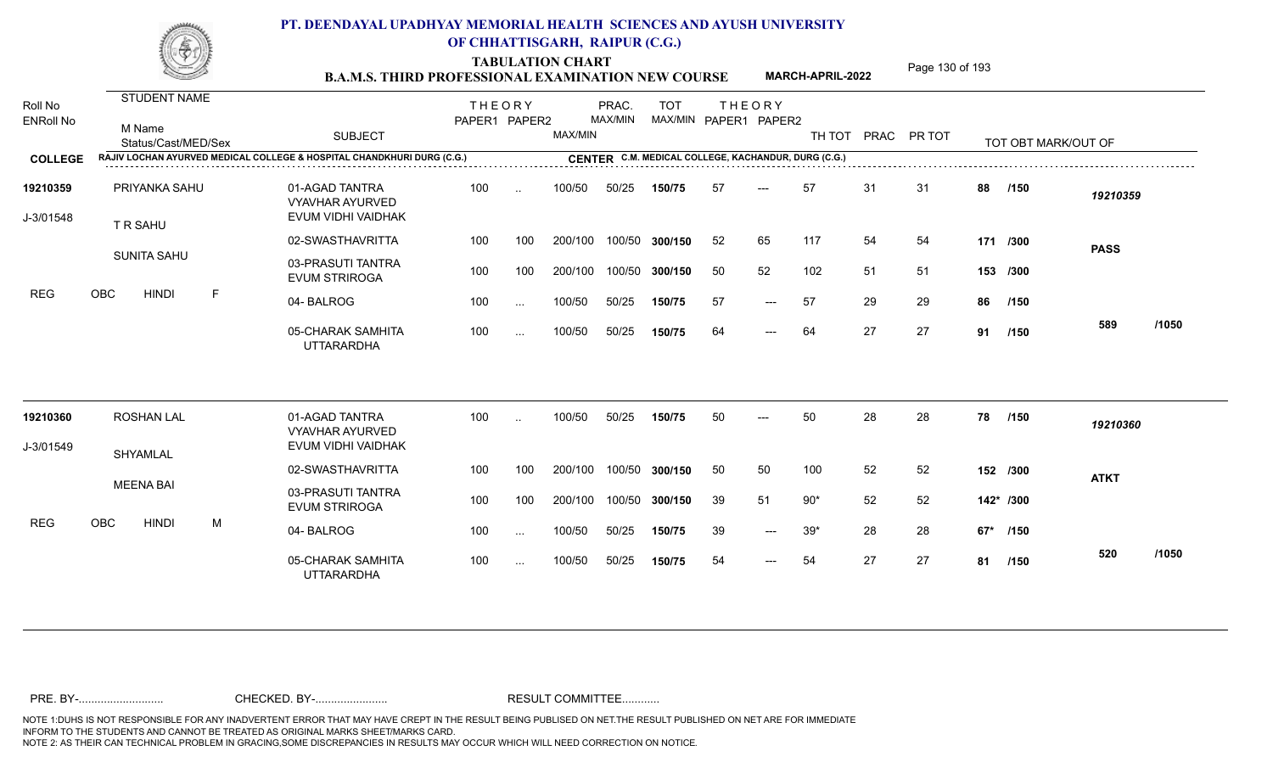TABULATION CHART<br> **TABULATION CHART EXAMINATION NEW COURSE MARCH-APRIL-2022** <sup>Page 130 of 193</sup>

**MARCH-APRIL-2022**

| Roll No<br><b>ENRoll No</b> | STUDENT NAME<br>M Name<br>Status/Cast/MED/Sex |   | <b>SUBJECT</b>                                                         | <b>THEORY</b><br>PAPER1 PAPER2 |           | MAX/MIN | PRAC.<br>MAX/MIN | <b>TOT</b>                                          |    | <b>THEORY</b><br>MAX/MIN PAPER1 PAPER2 | TH TOT |    | PRAC PR TOT |    | TOT OBT MARK/OUT OF |             |       |
|-----------------------------|-----------------------------------------------|---|------------------------------------------------------------------------|--------------------------------|-----------|---------|------------------|-----------------------------------------------------|----|----------------------------------------|--------|----|-------------|----|---------------------|-------------|-------|
| <b>COLLEGE</b>              |                                               |   | RAJIV LOCHAN AYURVED MEDICAL COLLEGE & HOSPITAL CHANDKHURI DURG (C.G.) |                                |           |         |                  | CENTER C.M. MEDICAL COLLEGE, KACHANDUR, DURG (C.G.) |    |                                        |        |    |             |    |                     |             |       |
| 19210359<br>J-3/01548       | PRIYANKA SAHU<br>T R SAHU                     |   | 01-AGAD TANTRA<br><b>VYAVHAR AYURVED</b><br>EVUM VIDHI VAIDHAK         | 100                            | $\ddotsc$ | 100/50  | 50/25            | 150/75                                              | 57 | $---$                                  | 57     | 31 | -31         | 88 | /150                | 19210359    |       |
|                             |                                               |   | 02-SWASTHAVRITTA                                                       | 100                            | 100       | 200/100 |                  | 100/50 300/150                                      | 52 | 65                                     | 117    | 54 | 54          |    | 171 /300            | <b>PASS</b> |       |
|                             | <b>SUNITA SAHU</b>                            |   | 03-PRASUTI TANTRA<br><b>EVUM STRIROGA</b>                              | 100                            | 100       | 200/100 | 100/50           | 300/150                                             | 50 | 52                                     | 102    | 51 | -51         |    | 153 /300            |             |       |
| <b>REG</b>                  | OBC<br><b>HINDI</b>                           | F | 04-BALROG                                                              | 100                            | $\cdots$  | 100/50  | 50/25            | 150/75                                              | 57 | $---$                                  | 57     | 29 | 29          | 86 | /150                |             |       |
|                             |                                               |   | 05-CHARAK SAMHITA<br><b>UTTARARDHA</b>                                 | 100                            | $\cdots$  | 100/50  | 50/25            | 150/75                                              | 64 | $---$                                  | 64     | 27 | 27          | 91 | /150                | 589         | /1050 |
| 19210360                    | <b>ROSHAN LAL</b>                             |   | 01-AGAD TANTRA                                                         | 100                            | $\ddotsc$ | 100/50  | 50/25            | 150/75                                              | 50 | ---                                    | 50     | 28 | 28          | 78 | /150                | 19210360    |       |
| J-3/01549                   |                                               |   | <b>VYAVHAR AYURVED</b><br>EVUM VIDHI VAIDHAK                           |                                |           |         |                  |                                                     |    |                                        |        |    |             |    |                     |             |       |
|                             | SHYAMLAL                                      |   | 02-SWASTHAVRITTA                                                       | 100                            | 100       | 200/100 |                  | 100/50 300/150                                      | 50 | 50                                     | 100    | 52 | 52          |    | 152 /300            | <b>ATKT</b> |       |
|                             | <b>MEENA BAI</b>                              |   | 03-PRASUTI TANTRA<br><b>EVUM STRIROGA</b>                              | 100                            | 100       | 200/100 |                  | 100/50 300/150                                      | 39 | 51                                     | $90*$  | 52 | 52          |    | 142* /300           |             |       |
| <b>REG</b>                  | OBC<br><b>HINDI</b>                           | M | 04-BALROG                                                              | 100                            | $\sim$    | 100/50  | 50/25            | 150/75                                              | 39 | $---$                                  | $39*$  | 28 | 28          |    | 67* /150            |             |       |
|                             |                                               |   | 05-CHARAK SAMHITA<br><b>UTTARARDHA</b>                                 | 100                            | $\cdots$  | 100/50  | 50/25            | 150/75                                              | 54 | $---$                                  | 54     | 27 | 27          | 81 | /150                | 520         | /1050 |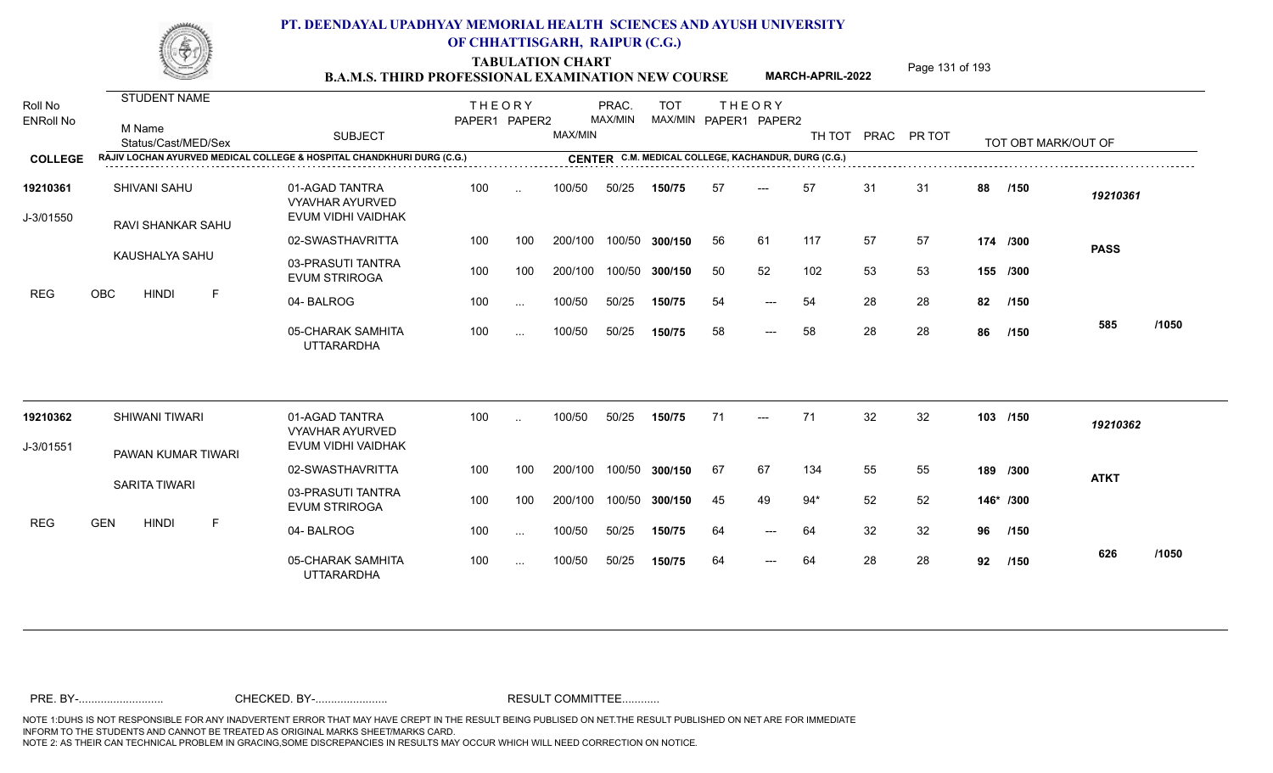TABULATION CHART<br> **TABULATION CHART B.A.M.S. THIRD PROFESSIONAL EXAMINATION NEW COURSE** MARCH-APRIL-2022

**MARCH-APRIL-2022**

| Roll No<br><b>ENRoll No</b> | <b>STUDENT NAME</b><br>M Name<br>Status/Cast/MED/Sex                   | <b>SUBJECT</b>                                                 | <b>THEORY</b><br>PAPER1 PAPER2 |           | MAX/MIN | PRAC.<br>MAX/MIN | <b>TOT</b>     |    | <b>THEORY</b><br>MAX/MIN PAPER1 PAPER2              | TH TOT |    | PRAC PR TOT |    | TOT OBT MARK/OUT OF |             |       |
|-----------------------------|------------------------------------------------------------------------|----------------------------------------------------------------|--------------------------------|-----------|---------|------------------|----------------|----|-----------------------------------------------------|--------|----|-------------|----|---------------------|-------------|-------|
| <b>COLLEGE</b>              | RAJIV LOCHAN AYURVED MEDICAL COLLEGE & HOSPITAL CHANDKHURI DURG (C.G.) |                                                                |                                |           |         |                  |                |    | CENTER C.M. MEDICAL COLLEGE, KACHANDUR, DURG (C.G.) |        |    |             |    |                     |             |       |
| 19210361<br>J-3/01550       | SHIVANI SAHU<br>RAVI SHANKAR SAHU                                      | 01-AGAD TANTRA<br><b>VYAVHAR AYURVED</b><br>EVUM VIDHI VAIDHAK | 100                            | $\sim$    | 100/50  | 50/25            | 150/75         | 57 | $---$                                               | 57     | 31 | 31          | 88 | /150                | 19210361    |       |
|                             |                                                                        | 02-SWASTHAVRITTA                                               | 100                            | 100       | 200/100 |                  | 100/50 300/150 | 56 | 61                                                  | 117    | 57 | 57          |    | 174 /300            | <b>PASS</b> |       |
|                             | KAUSHALYA SAHU                                                         | 03-PRASUTI TANTRA<br><b>EVUM STRIROGA</b>                      | 100                            | 100       | 200/100 | 100/50           | 300/150        | 50 | 52                                                  | 102    | 53 | 53          |    | 155 /300            |             |       |
| REG                         | OBC<br>F<br><b>HINDI</b>                                               | 04-BALROG                                                      | 100                            | $\ddotsc$ | 100/50  | 50/25            | 150/75         | 54 | $---$                                               | 54     | 28 | 28          | 82 | /150                |             |       |
|                             |                                                                        | 05-CHARAK SAMHITA<br><b>UTTARARDHA</b>                         | 100                            | $\cdots$  | 100/50  | 50/25            | 150/75         | 58 | $---$                                               | 58     | 28 | 28          | 86 | /150                | 585         | /1050 |
| 19210362                    | SHIWANI TIWARI                                                         | 01-AGAD TANTRA                                                 | 100                            | $\ddotsc$ | 100/50  | 50/25            | 150/75         | 71 | $---$                                               | 71     | 32 | 32          |    | 103 /150            | 19210362    |       |
| J-3/01551                   |                                                                        | <b>VYAVHAR AYURVED</b><br>EVUM VIDHI VAIDHAK                   |                                |           |         |                  |                |    |                                                     |        |    |             |    |                     |             |       |
|                             | PAWAN KUMAR TIWARI                                                     | 02-SWASTHAVRITTA                                               | 100                            | 100       | 200/100 |                  | 100/50 300/150 | 67 | 67                                                  | 134    | 55 | 55          |    | 189 /300            | <b>ATKT</b> |       |
|                             | SARITA TIWARI                                                          | 03-PRASUTI TANTRA<br><b>EVUM STRIROGA</b>                      | 100                            | 100       | 200/100 |                  | 100/50 300/150 | 45 | 49                                                  | $94*$  | 52 | 52          |    | 146* /300           |             |       |
| <b>REG</b>                  | <b>GEN</b><br>$\mathsf{F}$<br><b>HINDI</b>                             | 04-BALROG                                                      | 100                            | $\sim$    | 100/50  | 50/25            | 150/75         | 64 | $---$                                               | 64     | 32 | 32          | 96 | /150                |             |       |
|                             |                                                                        | 05-CHARAK SAMHITA<br><b>UTTARARDHA</b>                         | 100                            | $\sim$    | 100/50  | 50/25            | 150/75         | 64 | $---$                                               | 64     | 28 | 28          | 92 | /150                | 626         | /1050 |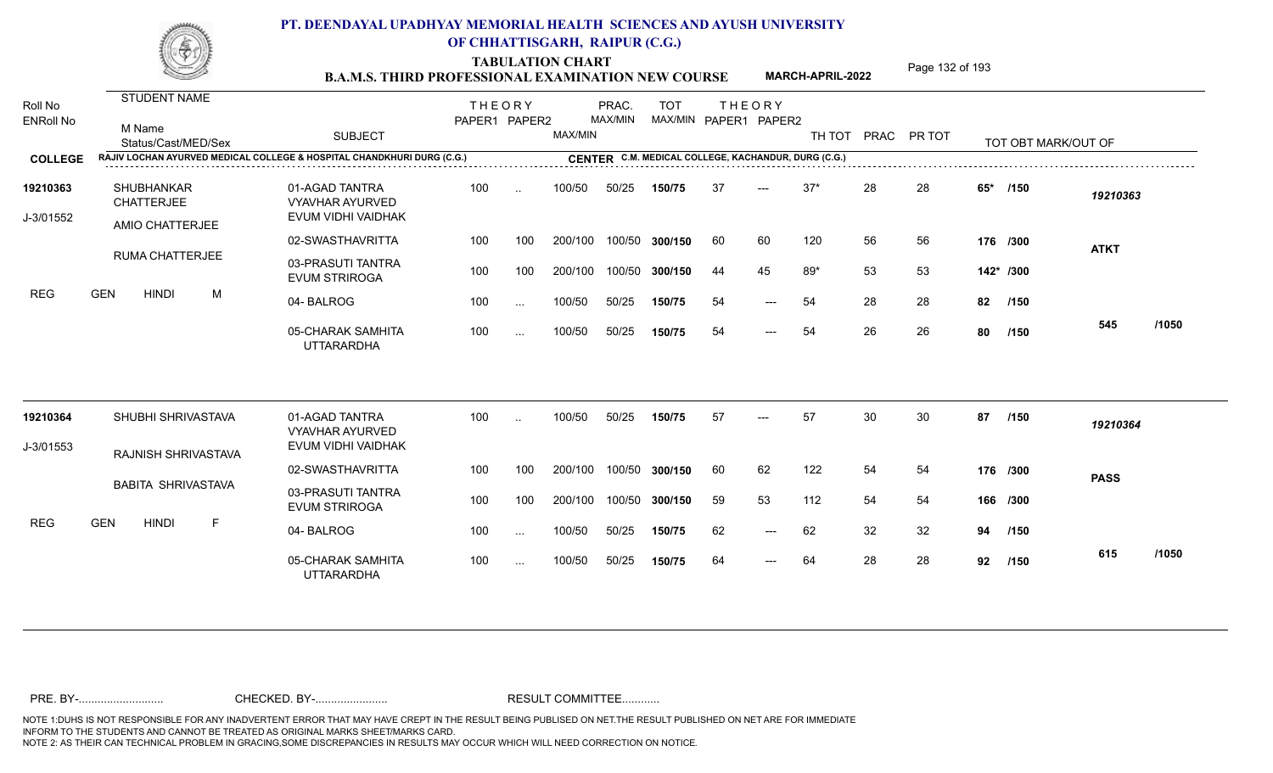TABULATION CHART<br> **TABULATION CHART EXAMINATION NEW COURSE MARCH-APRIL-2022** <sup>Page 132 of 193</sup>

**MARCH-APRIL-2022**

| Roll No<br><b>ENRoll No</b> | STUDENT NAME<br>M Name<br>Status/Cast/MED/Sex<br>RAJIV LOCHAN AYURVED MEDICAL COLLEGE & HOSPITAL CHANDKHURI DURG (C.G.) | <b>SUBJECT</b>                                                 | <b>THEORY</b><br>PAPER1 PAPER2 |           | MAX/MIN | PRAC.<br>MAX/MIN | <b>TOT</b><br>MAX/MIN PAPER1 PAPER2<br>CENTER C.M. MEDICAL COLLEGE, KACHANDUR, DURG (C.G.) |    | <b>THEORY</b> | TH TOT PRAC PR TOT |    |    |           | TOT OBT MARK/OUT OF |             |       |
|-----------------------------|-------------------------------------------------------------------------------------------------------------------------|----------------------------------------------------------------|--------------------------------|-----------|---------|------------------|--------------------------------------------------------------------------------------------|----|---------------|--------------------|----|----|-----------|---------------------|-------------|-------|
| <b>COLLEGE</b>              |                                                                                                                         |                                                                |                                |           |         |                  |                                                                                            |    |               |                    |    |    |           |                     |             |       |
| 19210363<br>J-3/01552       | <b>SHUBHANKAR</b><br><b>CHATTERJEE</b>                                                                                  | 01-AGAD TANTRA<br><b>VYAVHAR AYURVED</b><br>EVUM VIDHI VAIDHAK | 100                            | $\ddotsc$ | 100/50  | 50/25            | 150/75                                                                                     | 37 | $---$         | $37*$              | 28 | 28 | $65*$     | /150                | 19210363    |       |
|                             | AMIO CHATTERJEE                                                                                                         |                                                                |                                |           |         |                  |                                                                                            |    |               |                    |    |    |           |                     |             |       |
|                             | RUMA CHATTERJEE                                                                                                         | 02-SWASTHAVRITTA                                               | 100                            | 100       | 200/100 |                  | 100/50 300/150                                                                             | 60 | 60            | 120                | 56 | 56 |           | 176 /300            | <b>ATKT</b> |       |
|                             |                                                                                                                         | 03-PRASUTI TANTRA<br><b>EVUM STRIROGA</b>                      | 100                            | 100       | 200/100 |                  | 100/50 300/150                                                                             | 44 | 45            | $89*$              | 53 | 53 | 142* /300 |                     |             |       |
| <b>REG</b>                  | <b>GEN</b><br><b>HINDI</b><br>M                                                                                         | 04-BALROG                                                      | 100                            | $\cdots$  | 100/50  | 50/25            | 150/75                                                                                     | 54 | ---           | 54                 | 28 | 28 | 82        | /150                |             |       |
|                             |                                                                                                                         | 05-CHARAK SAMHITA<br><b>UTTARARDHA</b>                         | 100                            | $\cdots$  | 100/50  | 50/25            | 150/75                                                                                     | 54 | $---$         | 54                 | 26 | 26 | 80        | /150                | 545         | /1050 |
| 19210364                    | SHUBHI SHRIVASTAVA                                                                                                      | 01-AGAD TANTRA                                                 | 100                            | $\ddotsc$ | 100/50  | 50/25            | 150/75                                                                                     | 57 | $---$         | 57                 | 30 | 30 | 87        | /150                | 19210364    |       |
|                             |                                                                                                                         | <b>VYAVHAR AYURVED</b><br>EVUM VIDHI VAIDHAK                   |                                |           |         |                  |                                                                                            |    |               |                    |    |    |           |                     |             |       |
| J-3/01553                   | RAJNISH SHRIVASTAVA                                                                                                     |                                                                |                                |           |         |                  |                                                                                            |    |               |                    |    |    |           |                     |             |       |
|                             | <b>BABITA SHRIVASTAVA</b>                                                                                               | 02-SWASTHAVRITTA                                               | 100                            | 100       | 200/100 |                  | 100/50 300/150                                                                             | 60 | 62            | 122                | 54 | 54 | 176 /300  |                     | <b>PASS</b> |       |
|                             |                                                                                                                         | 03-PRASUTI TANTRA<br><b>EVUM STRIROGA</b>                      | 100                            | 100       | 200/100 |                  | 100/50 300/150                                                                             | 59 | 53            | 112                | 54 | 54 |           | 166 /300            |             |       |
| <b>REG</b>                  | <b>GEN</b><br><b>HINDI</b><br>F                                                                                         | 04-BALROG                                                      | 100                            | $\cdots$  | 100/50  | 50/25            | 150/75                                                                                     | 62 | $---$         | 62                 | 32 | 32 | 94        | /150                |             |       |
|                             |                                                                                                                         | 05-CHARAK SAMHITA<br><b>UTTARARDHA</b>                         | 100                            | $\cdots$  | 100/50  | 50/25            | 150/75                                                                                     | 64 | $---$         | 64                 | 28 | 28 | 92        | /150                | 615         | /1050 |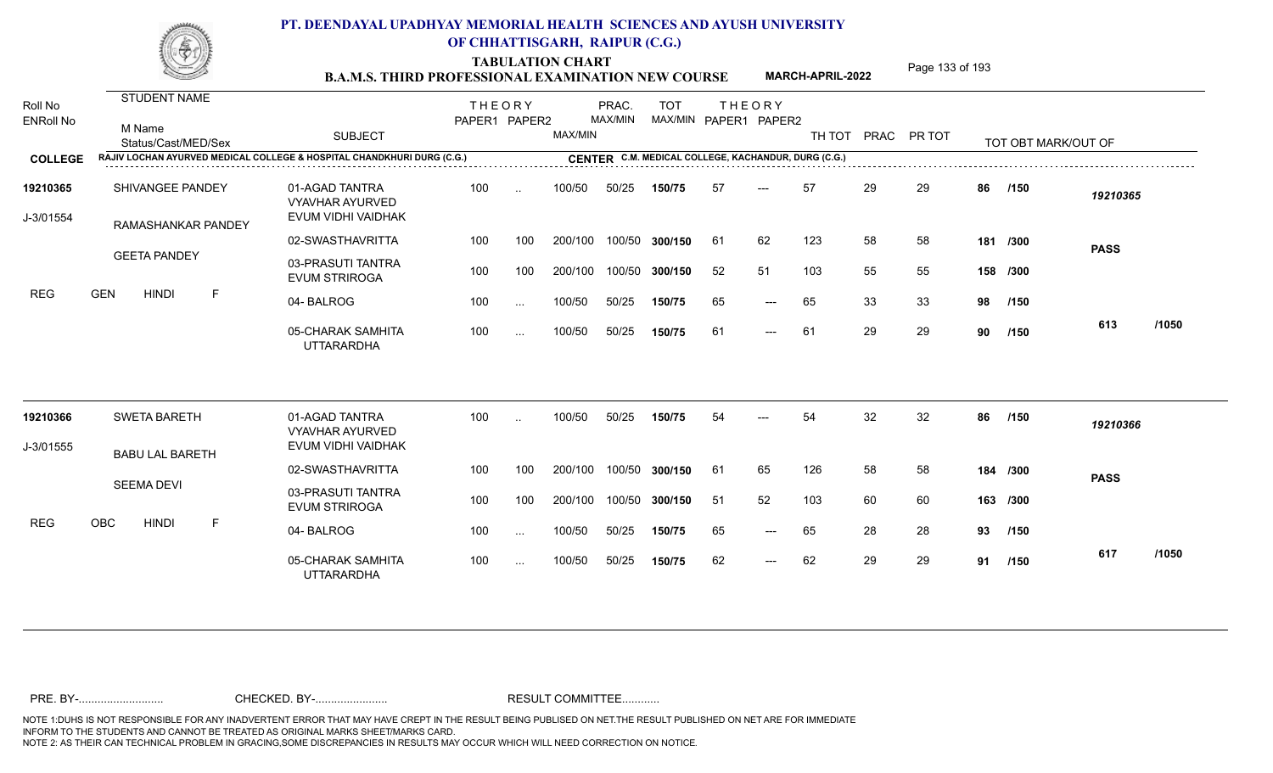TABULATION CHART<br> **TABULATION CHART EXAMINATION NEW COURSE MARCH-APRIL-2022** <sup>Page 133 of 193</sup>

**MARCH-APRIL-2022**

| Roll No<br><b>ENRoll No</b> | <b>STUDENT NAME</b><br>M Name<br>Status/Cast/MED/Sex                   | <b>SUBJECT</b>                                                 | <b>THEORY</b><br>PAPER1 PAPER2 |               | MAX/MIN | PRAC.<br>MAX/MIN | <b>TOT</b><br>MAX/MIN PAPER1 PAPER2                 |     | <b>THEORY</b> | TH TOT | PRAC | PR TOT |     | TOT OBT MARK/OUT OF |             |       |
|-----------------------------|------------------------------------------------------------------------|----------------------------------------------------------------|--------------------------------|---------------|---------|------------------|-----------------------------------------------------|-----|---------------|--------|------|--------|-----|---------------------|-------------|-------|
| <b>COLLEGE</b>              | RAJIV LOCHAN AYURVED MEDICAL COLLEGE & HOSPITAL CHANDKHURI DURG (C.G.) |                                                                |                                |               |         |                  | CENTER C.M. MEDICAL COLLEGE, KACHANDUR, DURG (C.G.) |     |               |        |      |        |     |                     |             |       |
| 19210365<br>J-3/01554       | SHIVANGEE PANDEY<br>RAMASHANKAR PANDEY                                 | 01-AGAD TANTRA<br><b>VYAVHAR AYURVED</b><br>EVUM VIDHI VAIDHAK | 100                            | $\ddotsc$     | 100/50  | 50/25            | 150/75                                              | 57  | $---$         | 57     | 29   | 29     | 86  | /150                | 19210365    |       |
|                             |                                                                        | 02-SWASTHAVRITTA                                               | 100                            | 100           | 200/100 |                  | 100/50 300/150                                      | 61  | 62            | 123    | 58   | 58     | 181 | /300                |             |       |
|                             | <b>GEETA PANDEY</b>                                                    | 03-PRASUTI TANTRA<br><b>EVUM STRIROGA</b>                      | 100                            | 100           | 200/100 |                  | 100/50 300/150                                      | 52  | 51            | 103    | 55   | 55     |     | 158 /300            | <b>PASS</b> |       |
| <b>REG</b>                  | <b>GEN</b><br><b>HINDI</b><br>-F                                       | 04-BALROG                                                      | 100                            | $\sim$ $\sim$ | 100/50  | 50/25            | 150/75                                              | 65  | $---$         | 65     | 33   | 33     | 98  | /150                |             |       |
|                             |                                                                        | 05-CHARAK SAMHITA<br><b>UTTARARDHA</b>                         | 100                            | $\cdots$      | 100/50  | 50/25            | 150/75                                              | 61  | $---$         | -61    | 29   | 29     | 90  | /150                | 613         | /1050 |
| 19210366                    | <b>SWETA BARETH</b>                                                    | 01-AGAD TANTRA<br><b>VYAVHAR AYURVED</b>                       | 100                            | $\ddotsc$     | 100/50  | 50/25            | 150/75                                              | 54  |               | 54     | 32   | 32     | 86  | /150                | 19210366    |       |
| J-3/01555                   | <b>BABU LAL BARETH</b>                                                 | EVUM VIDHI VAIDHAK                                             |                                |               |         |                  |                                                     |     |               |        |      |        |     |                     |             |       |
|                             |                                                                        | 02-SWASTHAVRITTA                                               | 100                            | 100           | 200/100 |                  | 100/50 300/150                                      | 61  | 65            | 126    | 58   | 58     |     | 184 /300            | <b>PASS</b> |       |
|                             | <b>SEEMA DEVI</b>                                                      | 03-PRASUTI TANTRA<br><b>EVUM STRIROGA</b>                      | 100                            | 100           | 200/100 |                  | 100/50 300/150                                      | -51 | 52            | 103    | 60   | 60     |     | 163 /300            |             |       |
| <b>REG</b>                  | OBC<br><b>HINDI</b><br>F                                               | 04-BALROG                                                      | 100                            | $\sim$ $\sim$ | 100/50  | 50/25            | 150/75                                              | 65  | ---           | 65     | 28   | 28     | 93  | /150                |             |       |
|                             |                                                                        | 05-CHARAK SAMHITA<br><b>UTTARARDHA</b>                         | 100                            | $\cdots$      | 100/50  | 50/25            | 150/75                                              | 62  | $---$         | 62     | 29   | 29     | 91  | /150                | 617         | /1050 |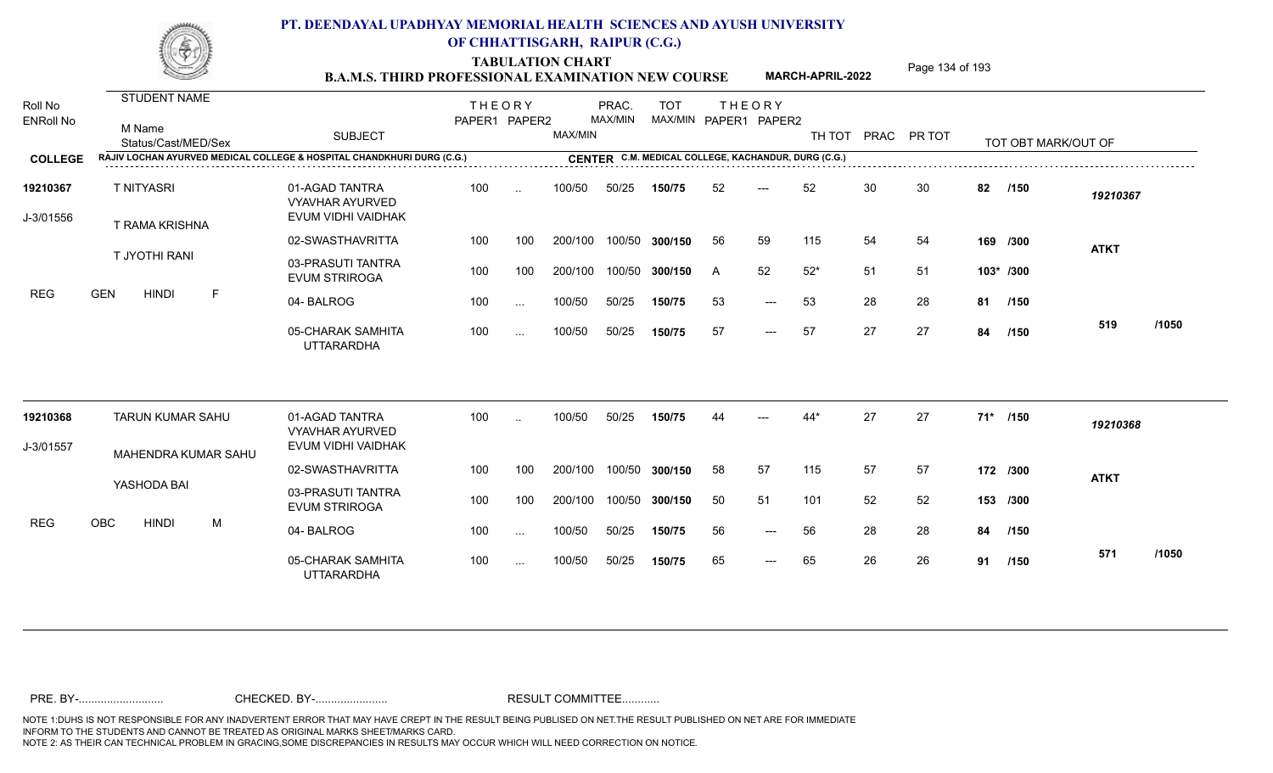TABULATION CHART<br> **TABULATION CHART EXAMINATION NEW COURSE MARCH-APRIL-2022** <sup>Page 134 of 193</sup>

**MARCH-APRIL-2022**

| Roll No<br><b>ENRoll No</b> | <b>STUDENT NAME</b><br>M Name<br>Status/Cast/MED/Sex                   | <b>SUBJECT</b>                                                 | <b>THEORY</b><br>PAPER1 PAPER2 |               | MAX/MIN | PRAC.<br>MAX/MIN | <b>TOT</b><br>MAX/MIN PAPER1 PAPER2                 |    | <b>THEORY</b>       |       |    | TH TOT PRAC PR TOT |    | TOT OBT MARK/OUT OF |             |       |
|-----------------------------|------------------------------------------------------------------------|----------------------------------------------------------------|--------------------------------|---------------|---------|------------------|-----------------------------------------------------|----|---------------------|-------|----|--------------------|----|---------------------|-------------|-------|
| <b>COLLEGE</b>              | RAJIV LOCHAN AYURVED MEDICAL COLLEGE & HOSPITAL CHANDKHURI DURG (C.G.) |                                                                |                                |               |         |                  | CENTER C.M. MEDICAL COLLEGE, KACHANDUR, DURG (C.G.) |    |                     |       |    |                    |    |                     |             |       |
| 19210367<br>J-3/01556       | <b>T NITYASRI</b><br><b>T RAMA KRISHNA</b>                             | 01-AGAD TANTRA<br><b>VYAVHAR AYURVED</b><br>EVUM VIDHI VAIDHAK | 100                            | $\ddotsc$     | 100/50  | 50/25            | 150/75                                              | 52 | $---$               | 52    | 30 | 30                 | 82 | /150                | 19210367    |       |
|                             |                                                                        | 02-SWASTHAVRITTA                                               | 100                            | 100           | 200/100 | 100/50           | 300/150                                             | 56 | 59                  | 115   | 54 | 54                 |    | 169 /300            | <b>ATKT</b> |       |
|                             | T JYOTHI RANI                                                          | 03-PRASUTI TANTRA<br><b>EVUM STRIROGA</b>                      | 100                            | 100           | 200/100 | 100/50           | 300/150                                             | A  | 52                  | $52*$ | 51 | 51                 |    | 103* /300           |             |       |
| <b>REG</b>                  | <b>GEN</b><br><b>HINDI</b><br>E                                        | 04-BALROG                                                      | 100                            | $\sim$ $\sim$ | 100/50  | 50/25            | 150/75                                              | 53 | $\qquad \qquad - -$ | 53    | 28 | 28                 |    | 81 /150             |             |       |
|                             |                                                                        | 05-CHARAK SAMHITA<br><b>UTTARARDHA</b>                         | 100                            | $\cdots$      | 100/50  | 50/25            | 150/75                                              | 57 | $---$               | 57    | 27 | 27                 | 84 | /150                | 519         | /1050 |
| 19210368                    | <b>TARUN KUMAR SAHU</b>                                                | 01-AGAD TANTRA<br><b>VYAVHAR AYURVED</b>                       | 100                            | $\sim$        | 100/50  | 50/25            | 150/75                                              |    |                     | $44*$ | 27 | 27                 |    | 71* /150            | 19210368    |       |
| J-3/01557                   | MAHENDRA KUMAR SAHU                                                    | EVUM VIDHI VAIDHAK                                             |                                |               |         |                  |                                                     |    |                     |       |    |                    |    |                     |             |       |
|                             |                                                                        | 02-SWASTHAVRITTA                                               | 100                            | 100           | 200/100 | 100/50           | 300/150                                             | 58 | 57                  | 115   | 57 | 57                 |    | 172 /300            | <b>ATKT</b> |       |
|                             | YASHODA BAI                                                            | 03-PRASUTI TANTRA<br><b>EVUM STRIROGA</b>                      | 100                            | 100           | 200/100 | 100/50           | 300/150                                             | 50 | 51                  | 101   | 52 | 52                 |    | 153 /300            |             |       |
| <b>REG</b>                  | <b>OBC</b><br><b>HINDI</b><br>M                                        | 04-BALROG                                                      | 100                            | $\cdots$      | 100/50  | 50/25            | 150/75                                              | 56 | $\qquad \qquad - -$ | 56    | 28 | 28                 | 84 | /150                |             |       |
|                             |                                                                        | 05-CHARAK SAMHITA<br><b>UTTARARDHA</b>                         | 100                            | $\sim$ $\sim$ | 100/50  | 50/25            | 150/75                                              | 65 | $---$               | 65    | 26 | 26                 |    | 91 /150             | 571         | /1050 |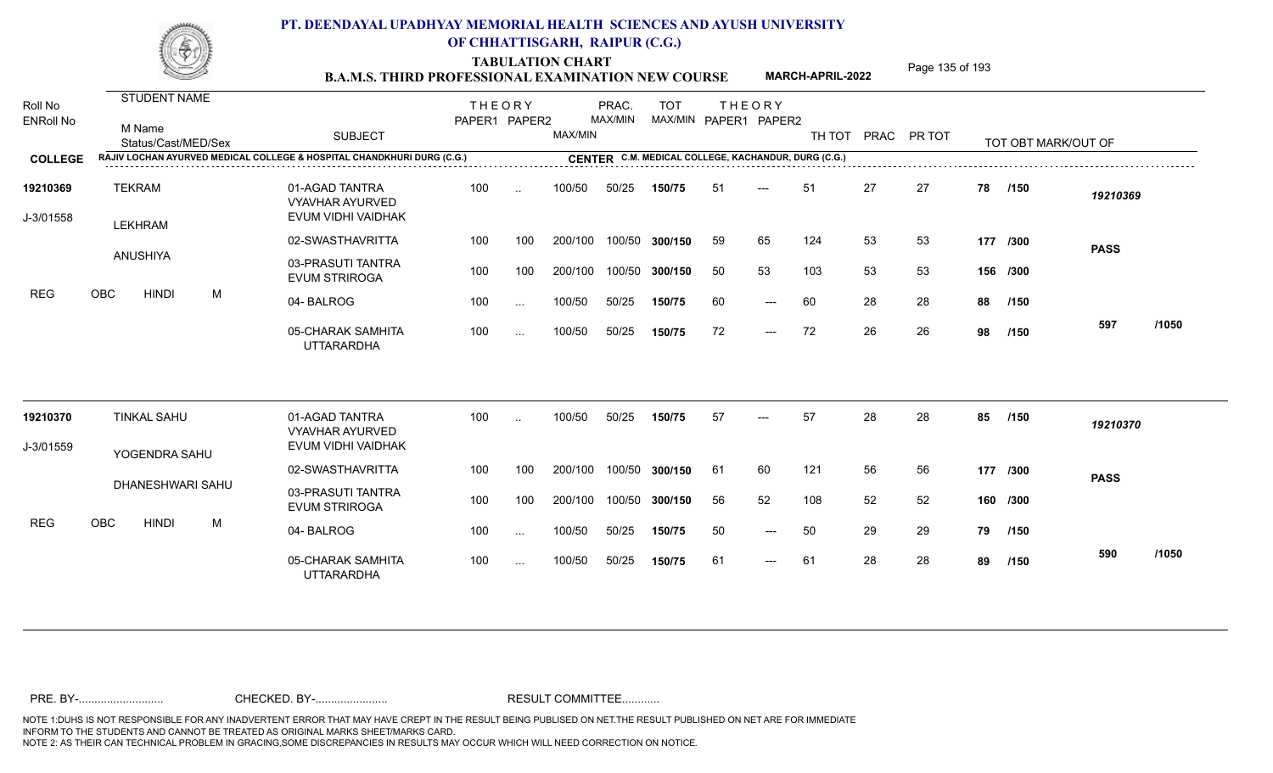TABULATION CHART<br> **TABULATION CHART EXAMINATION NEW COURSE MARCH-APRIL-2022** <sup>Page 135 of 193</sup>

**MARCH-APRIL-2022**

| Roll No               | STUDENT NAME                  |                                                                                                                                                                                      | <b>THEORY</b> |           |         | PRAC.   | <b>TOT</b>            |     | <b>THEORY</b> |     |    |                    |    |                     |             |       |
|-----------------------|-------------------------------|--------------------------------------------------------------------------------------------------------------------------------------------------------------------------------------|---------------|-----------|---------|---------|-----------------------|-----|---------------|-----|----|--------------------|----|---------------------|-------------|-------|
| <b>ENRoll No</b>      | M Name<br>Status/Cast/MED/Sex | <b>SUBJECT</b>                                                                                                                                                                       | PAPER1 PAPER2 |           | MAX/MIN | MAX/MIN | MAX/MIN PAPER1 PAPER2 |     |               |     |    | TH TOT PRAC PR TOT |    | TOT OBT MARK/OUT OF |             |       |
| <b>COLLEGE</b>        |                               | RAJIV LOCHAN AYURVED MEDICAL COLLEGE & HOSPITAL CHANDKHURI DURG (C.G.)<br>CENTER C.M. MEDICAL COLLEGE, KACHANDUR, DURG (C.G.)<br>CENTER C.M. MEDICAL COLLEGE, KACHANDUR, DURG (C.G.) |               |           |         |         |                       |     |               |     |    |                    |    |                     |             |       |
| 19210369<br>J-3/01558 | <b>TEKRAM</b><br>LEKHRAM      | 01-AGAD TANTRA<br><b>VYAVHAR AYURVED</b><br>EVUM VIDHI VAIDHAK                                                                                                                       | 100           | $\sim$    | 100/50  | 50/25   | 150/75                | 51  | $---$         | 51  | 27 | 27                 | 78 | /150                | 19210369    |       |
|                       |                               | 02-SWASTHAVRITTA                                                                                                                                                                     | 100           | 100       | 200/100 | 100/50  | 300/150               | 59  | 65            | 124 | 53 | 53                 |    | 177 /300            | <b>PASS</b> |       |
|                       | ANUSHIYA                      | 03-PRASUTI TANTRA<br><b>EVUM STRIROGA</b>                                                                                                                                            | 100           | 100       | 200/100 | 100/50  | 300/150               | 50  | 53            | 103 | 53 | 53                 |    | 156 /300            |             |       |
| <b>REG</b>            | OBC<br><b>HINDI</b><br>M      | 04-BALROG                                                                                                                                                                            | 100           | $\ddotsc$ | 100/50  | 50/25   | 150/75                | 60  | $---$         | 60  | 28 | 28                 | 88 | /150                |             |       |
|                       |                               | 05-CHARAK SAMHITA<br><b>UTTARARDHA</b>                                                                                                                                               | 100           | $\ldots$  | 100/50  | 50/25   | 150/75                | 72  | $---$         | 72  | 26 | 26                 | 98 | /150                | 597         | /1050 |
| 19210370              | <b>TINKAL SAHU</b>            | 01-AGAD TANTRA<br><b>VYAVHAR AYURVED</b>                                                                                                                                             | 100           |           | 100/50  | 50/25   | 150/75                | 57  |               | 57  | 28 | 28                 | 85 | /150                | 19210370    |       |
| J-3/01559             | YOGENDRA SAHU                 | EVUM VIDHI VAIDHAK                                                                                                                                                                   |               |           |         |         |                       |     |               |     |    |                    |    |                     |             |       |
|                       |                               | 02-SWASTHAVRITTA                                                                                                                                                                     | 100           | 100       | 200/100 | 100/50  | 300/150               | -61 | 60            | 121 | 56 | 56                 |    | 177 /300            | <b>PASS</b> |       |
|                       | DHANESHWARI SAHU              | 03-PRASUTI TANTRA<br><b>EVUM STRIROGA</b>                                                                                                                                            | 100           | 100       | 200/100 | 100/50  | 300/150               | 56  | 52            | 108 | 52 | 52                 |    | 160 /300            |             |       |
| <b>REG</b>            | OBC<br><b>HINDI</b><br>M      | 04-BALROG                                                                                                                                                                            | 100           | $\ddotsc$ | 100/50  | 50/25   | 150/75                | 50  | $---$         | 50  | 29 | 29                 | 79 | 1150                |             |       |
|                       |                               | 05-CHARAK SAMHITA<br><b>UTTARARDHA</b>                                                                                                                                               | 100           | $\cdots$  | 100/50  | 50/25   | 150/75                | 61  | $---$         | 61  | 28 | 28                 | 89 | /150                | 590         | /1050 |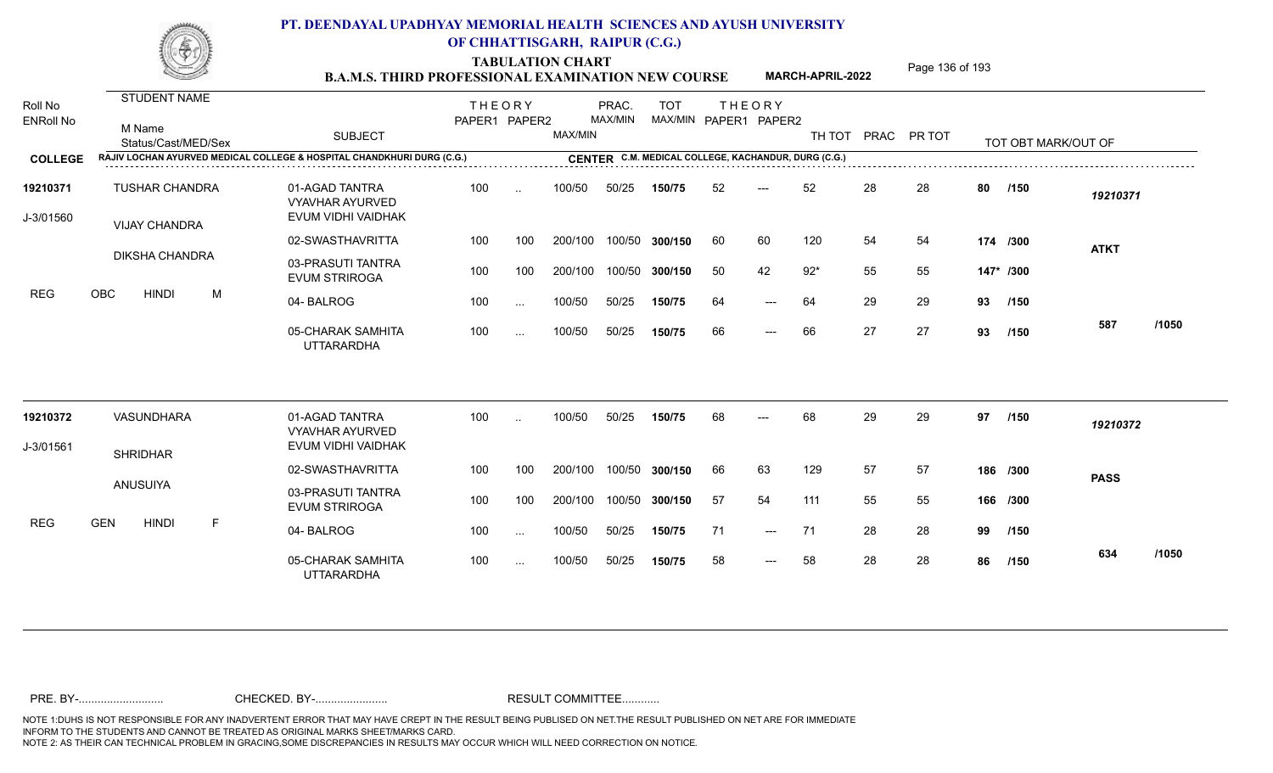TABULATION CHART<br> **TABULATION CHART EXAMINATION NEW COURSE MARCH-APRIL-2022** <sup>Page 136 of 193</sup>

**MARCH-APRIL-2022**

| Roll No<br><b>ENRoll No</b> | <b>STUDENT NAME</b><br>M Name<br>Status/Cast/MED/Sex |              | <b>SUBJECT</b>                                                         | <b>THEORY</b><br>PAPER1 PAPER2 |               | MAX/MIN | PRAC.<br>MAX/MIN | <b>TOT</b><br>MAX/MIN PAPER1 PAPER2                 |    | <b>THEORY</b> | TH TOT PRAC |    | PR TOT |    | TOT OBT MARK/OUT OF |             |       |
|-----------------------------|------------------------------------------------------|--------------|------------------------------------------------------------------------|--------------------------------|---------------|---------|------------------|-----------------------------------------------------|----|---------------|-------------|----|--------|----|---------------------|-------------|-------|
| <b>COLLEGE</b>              |                                                      |              | RAJIV LOCHAN AYURVED MEDICAL COLLEGE & HOSPITAL CHANDKHURI DURG (C.G.) |                                |               |         |                  | CENTER C.M. MEDICAL COLLEGE, KACHANDUR, DURG (C.G.) |    |               |             |    |        |    |                     |             |       |
| 19210371<br>J-3/01560       | <b>TUSHAR CHANDRA</b><br><b>VIJAY CHANDRA</b>        |              | 01-AGAD TANTRA<br><b>VYAVHAR AYURVED</b><br>EVUM VIDHI VAIDHAK         | 100                            | $\ddotsc$     | 100/50  | 50/25            | 150/75                                              | 52 | $---$         | 52          | 28 | 28     | 80 | /150                | 19210371    |       |
|                             |                                                      |              | 02-SWASTHAVRITTA                                                       | 100                            | 100           | 200/100 |                  | 100/50 300/150                                      | 60 | 60            | 120         | 54 | 54     |    | 174 /300            | <b>ATKT</b> |       |
|                             | DIKSHA CHANDRA                                       |              | 03-PRASUTI TANTRA<br><b>EVUM STRIROGA</b>                              | 100                            | 100           | 200/100 |                  | 100/50 300/150                                      | 50 | 42            | $92*$       | 55 | 55     |    | 147* /300           |             |       |
| <b>REG</b>                  | <b>OBC</b><br><b>HINDI</b>                           | M            | 04-BALROG                                                              | 100                            | $\ddotsc$     | 100/50  | 50/25            | 150/75                                              | 64 | $---$         | 64          | 29 | 29     | 93 | /150                |             |       |
|                             |                                                      |              | 05-CHARAK SAMHITA<br><b>UTTARARDHA</b>                                 | 100                            | $\cdots$      | 100/50  | 50/25            | 150/75                                              | 66 | $---$         | 66          | 27 | 27     | 93 | /150                | 587         | /1050 |
| 19210372                    | VASUNDHARA                                           |              | 01-AGAD TANTRA<br><b>VYAVHAR AYURVED</b>                               | 100                            | $\ddotsc$     | 100/50  | 50/25            | 150/75                                              | 68 |               | 68          | 29 | 29     | 97 | /150                | 19210372    |       |
| J-3/01561                   | <b>SHRIDHAR</b>                                      |              | EVUM VIDHI VAIDHAK                                                     |                                |               |         |                  |                                                     |    |               |             |    |        |    |                     |             |       |
|                             |                                                      |              | 02-SWASTHAVRITTA                                                       | 100                            | 100           | 200/100 |                  | 100/50 300/150                                      | 66 | 63            | 129         | 57 | 57     |    | 186 /300            | <b>PASS</b> |       |
|                             | ANUSUIYA                                             |              | 03-PRASUTI TANTRA<br><b>EVUM STRIROGA</b>                              | 100                            | 100           | 200/100 |                  | 100/50 300/150                                      | 57 | 54            | 111         | 55 | 55     |    | 166 /300            |             |       |
| <b>REG</b>                  | <b>GEN</b><br><b>HINDI</b>                           | $\mathsf{F}$ | 04-BALROG                                                              | 100                            | $\sim$ $\sim$ | 100/50  | 50/25            | 150/75                                              | 71 | $---$         | -71         | 28 | 28     | 99 | /150                |             |       |
|                             |                                                      |              | 05-CHARAK SAMHITA<br><b>UTTARARDHA</b>                                 | 100                            | $\cdots$      | 100/50  | 50/25            | 150/75                                              | 58 | ---           | 58          | 28 | 28     | 86 | /150                | 634         | /1050 |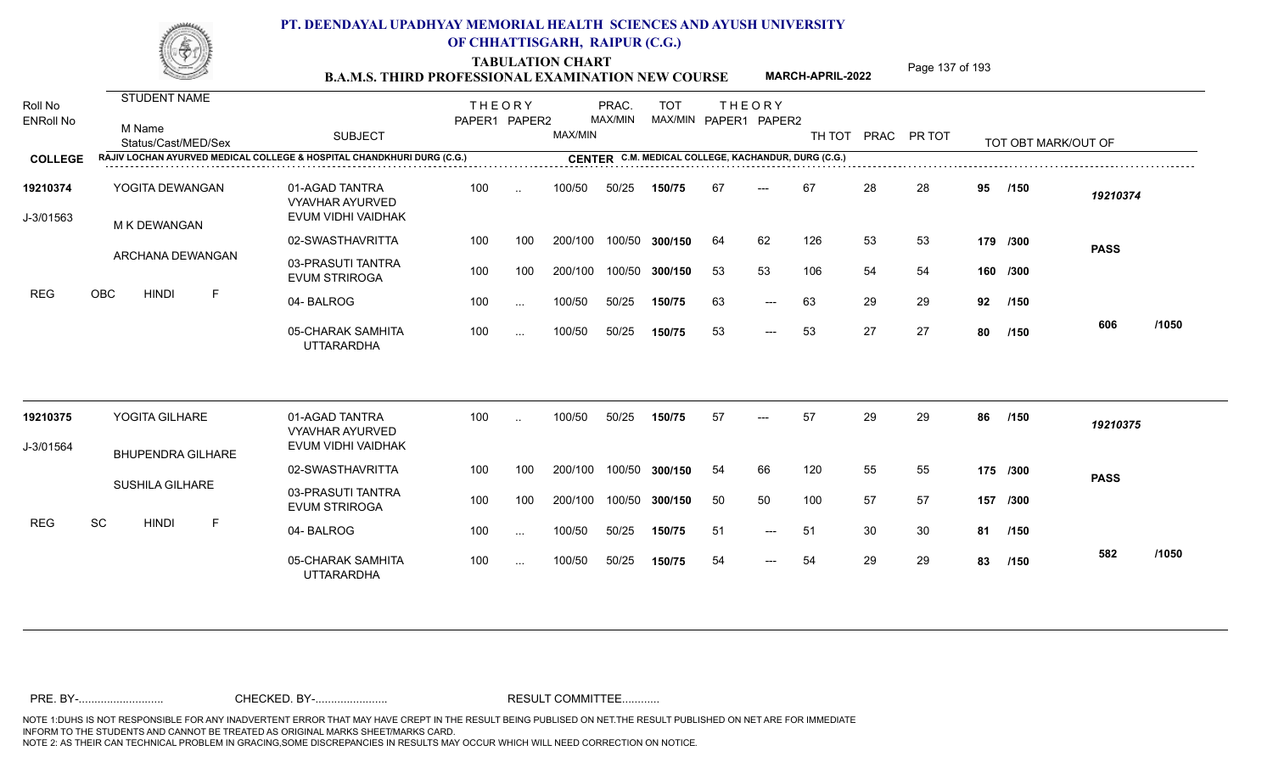TABULATION CHART<br> **TABULATION CHART EXAMINATION NEW COURSE MARCH-APRIL-2022** <sup>Page 137 of 193</sup>

**MARCH-APRIL-2022**

| Roll No<br><b>ENRoll No</b> | <b>STUDENT NAME</b><br>M Name                                          | <b>SUBJECT</b>                                                 | <b>THEORY</b><br>PAPER1 PAPER2 |               | MAX/MIN | PRAC.<br>MAX/MIN | <b>TOT</b><br>MAX/MIN PAPER1 PAPER2                 |    | <b>THEORY</b> | TH TOT |    | PRAC PR TOT |    |                     |             |       |
|-----------------------------|------------------------------------------------------------------------|----------------------------------------------------------------|--------------------------------|---------------|---------|------------------|-----------------------------------------------------|----|---------------|--------|----|-------------|----|---------------------|-------------|-------|
|                             | Status/Cast/MED/Sex                                                    |                                                                |                                |               |         |                  |                                                     |    |               |        |    |             |    | TOT OBT MARK/OUT OF |             |       |
| <b>COLLEGE</b>              | RAJIV LOCHAN AYURVED MEDICAL COLLEGE & HOSPITAL CHANDKHURI DURG (C.G.) |                                                                |                                |               |         |                  | CENTER C.M. MEDICAL COLLEGE, KACHANDUR, DURG (C.G.) |    |               |        |    |             |    |                     |             |       |
| 19210374<br>J-3/01563       | YOGITA DEWANGAN<br>M K DEWANGAN                                        | 01-AGAD TANTRA<br><b>VYAVHAR AYURVED</b><br>EVUM VIDHI VAIDHAK | 100                            | $\sim$        | 100/50  | 50/25            | 150/75                                              | 67 | $---$         | 67     | 28 | 28          | 95 | /150                | 19210374    |       |
|                             |                                                                        | 02-SWASTHAVRITTA                                               | 100                            | 100           | 200/100 |                  | 100/50 300/150                                      | 64 | 62            | 126    | 53 | 53          |    | 179 /300            |             |       |
|                             | ARCHANA DEWANGAN                                                       | 03-PRASUTI TANTRA<br><b>EVUM STRIROGA</b>                      | 100                            | 100           | 200/100 |                  | 100/50 300/150                                      | 53 | 53            | 106    | 54 | 54          |    | 160 /300            | <b>PASS</b> |       |
| <b>REG</b>                  | <b>OBC</b><br><b>HINDI</b><br>-F                                       | 04-BALROG                                                      | 100                            | $\sim$ $\sim$ | 100/50  | 50/25            | 150/75                                              | 63 | $---$         | 63     | 29 | 29          | 92 | /150                |             |       |
|                             |                                                                        | 05-CHARAK SAMHITA<br><b>UTTARARDHA</b>                         | 100                            | $\sim$ $\sim$ | 100/50  | 50/25            | 150/75                                              | 53 | $---$         | 53     | 27 | 27          | 80 | /150                | 606         | /1050 |
| 19210375                    | YOGITA GILHARE                                                         | 01-AGAD TANTRA<br><b>VYAVHAR AYURVED</b>                       | 100                            |               | 100/50  | 50/25            | 150/75                                              | 57 | $---$         | 57     | 29 | 29          | 86 | /150                | 19210375    |       |
| J-3/01564                   | <b>BHUPENDRA GILHARE</b>                                               | EVUM VIDHI VAIDHAK                                             |                                |               |         |                  |                                                     |    |               |        |    |             |    |                     |             |       |
|                             |                                                                        | 02-SWASTHAVRITTA                                               | 100                            | 100           | 200/100 |                  | 100/50 300/150                                      | 54 | 66            | 120    | 55 | 55          |    | 175 /300            | <b>PASS</b> |       |
|                             | <b>SUSHILA GILHARE</b>                                                 | 03-PRASUTI TANTRA<br><b>EVUM STRIROGA</b>                      | 100                            | 100           | 200/100 |                  | 100/50 300/150                                      | 50 | 50            | 100    | 57 | 57          |    | 157 /300            |             |       |
| <b>REG</b>                  | SC<br><b>HINDI</b><br>F                                                | 04-BALROG                                                      | 100                            | $\sim$ $\sim$ | 100/50  | 50/25            | 150/75                                              | 51 | $---$         | -51    | 30 | 30          | 81 | /150                |             |       |
|                             |                                                                        | 05-CHARAK SAMHITA<br><b>UTTARARDHA</b>                         | 100                            | $\cdots$      | 100/50  | 50/25            | 150/75                                              | 54 | $---$         | 54     | 29 | 29          | 83 | /150                | 582         | /1050 |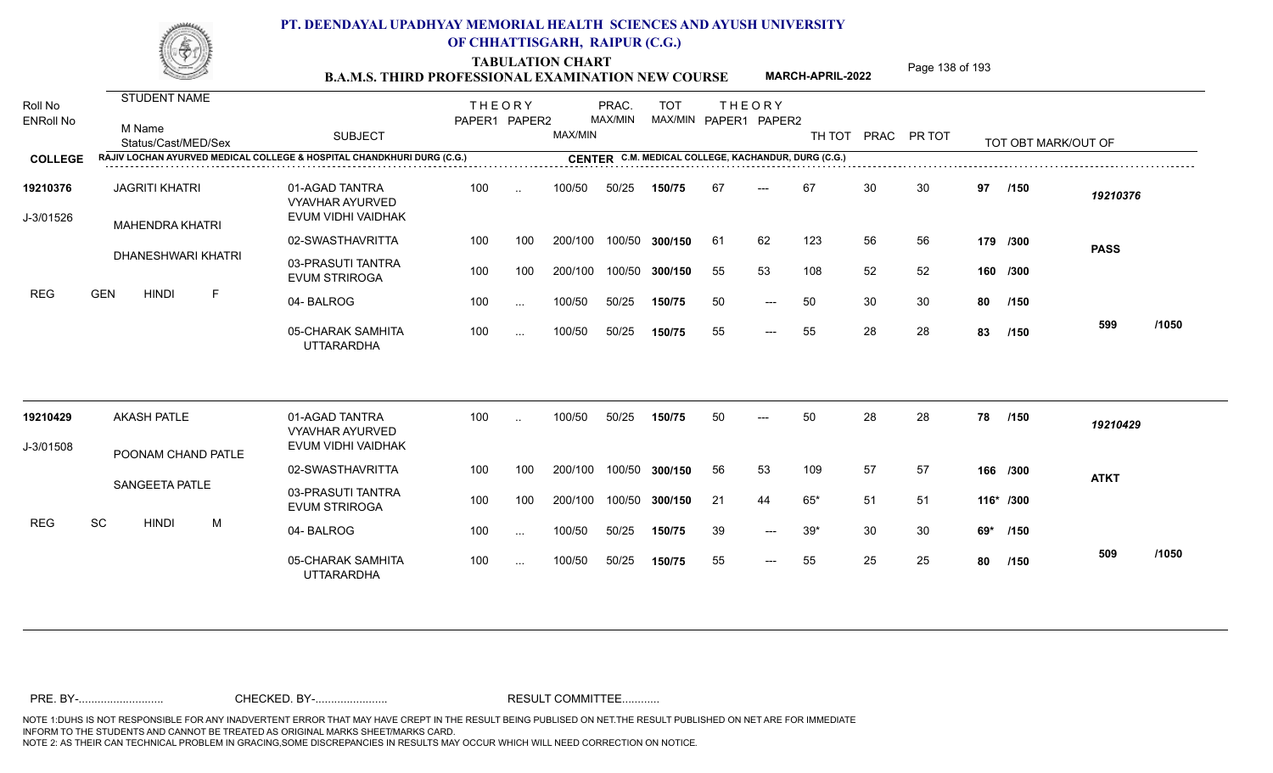TABULATION CHART<br> **TABULATION CHART EXAMINATION NEW COURSE MARCH-APRIL-2022** <sup>Page 138 of 193</sup>

**MARCH-APRIL-2022**

| Roll No<br><b>ENRoll No</b> | STUDENT NAME<br>M Name                          | <b>SUBJECT</b>                                                         | <b>THEORY</b><br>PAPER1 PAPER2 |                      | MAX/MIN | PRAC.<br>MAX/MIN | <b>TOT</b>     |     | <b>THEORY</b><br>MAX/MIN PAPER1 PAPER2              | TH TOT PRAC PR TOT |    |    |     |                     |             |       |
|-----------------------------|-------------------------------------------------|------------------------------------------------------------------------|--------------------------------|----------------------|---------|------------------|----------------|-----|-----------------------------------------------------|--------------------|----|----|-----|---------------------|-------------|-------|
| <b>COLLEGE</b>              | Status/Cast/MED/Sex                             | RAJIV LOCHAN AYURVED MEDICAL COLLEGE & HOSPITAL CHANDKHURI DURG (C.G.) |                                |                      |         |                  |                |     | CENTER C.M. MEDICAL COLLEGE, KACHANDUR, DURG (C.G.) |                    |    |    |     | TOT OBT MARK/OUT OF |             |       |
|                             |                                                 |                                                                        |                                |                      |         |                  |                |     |                                                     |                    |    |    |     |                     |             |       |
| 19210376<br>J-3/01526       | <b>JAGRITI KHATRI</b><br><b>MAHENDRA KHATRI</b> | 01-AGAD TANTRA<br><b>VYAVHAR AYURVED</b><br>EVUM VIDHI VAIDHAK         | 100                            | $\cdot$ .            | 100/50  | 50/25            | 150/75         | 67  | $---$                                               | 67                 | 30 | 30 | 97  | /150                | 19210376    |       |
|                             |                                                 | 02-SWASTHAVRITTA                                                       | 100                            | 100                  | 200/100 |                  | 100/50 300/150 | -61 | 62                                                  | 123                | 56 | 56 |     | 179 /300            | <b>PASS</b> |       |
|                             | DHANESHWARI KHATRI                              | 03-PRASUTI TANTRA<br><b>EVUM STRIROGA</b>                              | 100                            | 100                  | 200/100 |                  | 100/50 300/150 | 55  | 53                                                  | 108                | 52 | 52 |     | 160 /300            |             |       |
| <b>REG</b>                  | <b>GEN</b><br><b>HINDI</b><br>F                 | 04-BALROG                                                              | 100                            | $\sim$ .             | 100/50  | 50/25            | 150/75         | 50  | $---$                                               | 50                 | 30 | 30 | 80  | /150                |             |       |
|                             |                                                 | 05-CHARAK SAMHITA<br><b>UTTARARDHA</b>                                 | 100                            | $\sim$ $\sim$ $\sim$ | 100/50  | 50/25            | 150/75         | 55  | $---$                                               | 55                 | 28 | 28 | 83  | /150                | 599         | /1050 |
| 19210429                    | <b>AKASH PATLE</b>                              | 01-AGAD TANTRA                                                         | 100                            | $\sim$               | 100/50  | 50/25            | 150/75         | 50  |                                                     | 50                 | 28 | 28 | 78  | /150                | 19210429    |       |
| J-3/01508                   |                                                 | <b>VYAVHAR AYURVED</b><br>EVUM VIDHI VAIDHAK                           |                                |                      |         |                  |                |     |                                                     |                    |    |    |     |                     |             |       |
|                             | POONAM CHAND PATLE                              | 02-SWASTHAVRITTA                                                       | 100                            | 100                  | 200/100 |                  | 100/50 300/150 | 56  | 53                                                  | 109                | 57 | 57 |     | 166 /300            | <b>ATKT</b> |       |
|                             | <b>SANGEETA PATLE</b>                           | 03-PRASUTI TANTRA<br><b>EVUM STRIROGA</b>                              | 100                            | 100                  | 200/100 |                  | 100/50 300/150 | 21  | 44                                                  | $65*$              | 51 | 51 |     | 116* /300           |             |       |
| <b>REG</b>                  | SC<br><b>HINDI</b><br>M                         | 04-BALROG                                                              | 100                            | $\cdots$             | 100/50  | 50/25            | 150/75         | 39  | $---$                                               | $39*$              | 30 | 30 | 69* | /150                |             |       |
|                             |                                                 | 05-CHARAK SAMHITA<br><b>UTTARARDHA</b>                                 | 100                            | $\cdots$             | 100/50  | 50/25            | 150/75         | 55  | $---$                                               | 55                 | 25 | 25 | 80  | /150                | 509         | /1050 |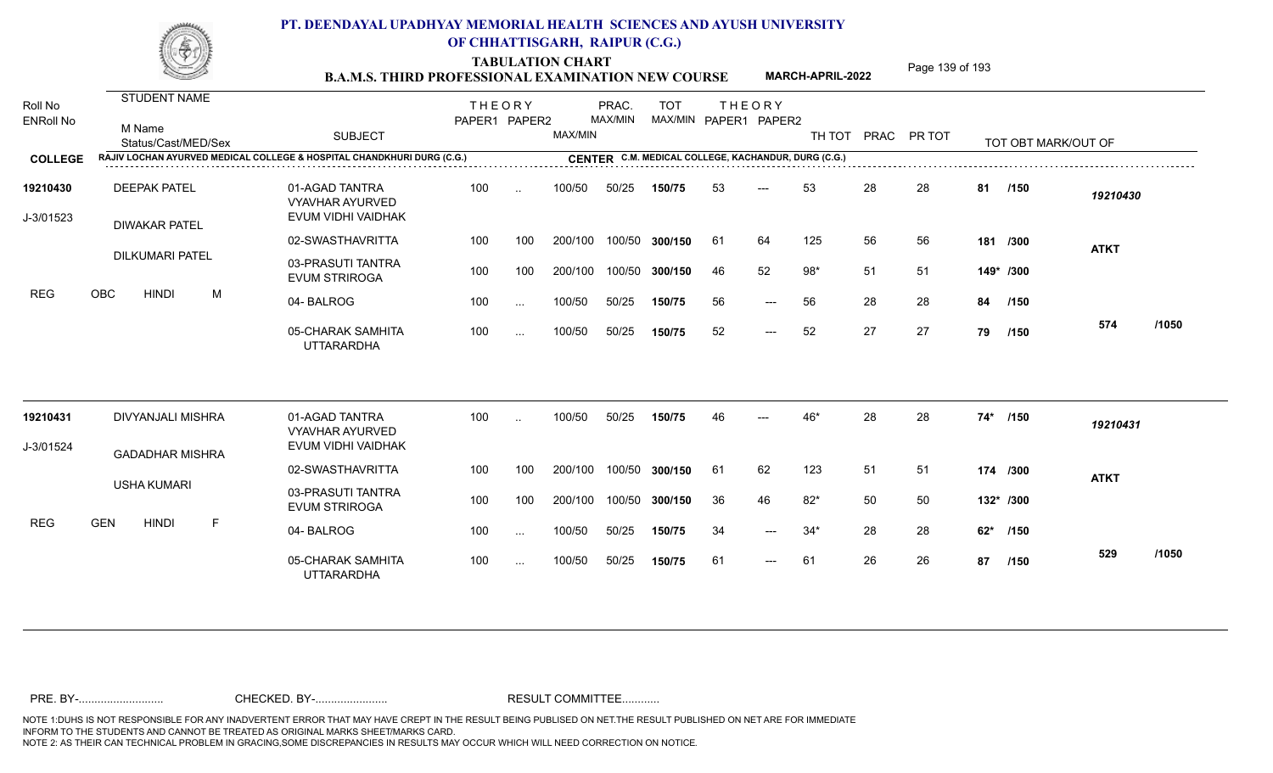TABULATION CHART<br> **TABULATION CHART EXAMINATION NEW COURSE MARCH-APRIL-2022** <sup>Page 139 of 193</sup>

**MARCH-APRIL-2022**

| Roll No<br><b>ENRoll No</b> | <b>STUDENT NAME</b><br>M Name<br>Status/Cast/MED/Sex                   | <b>SUBJECT</b>                                                 | <b>THEORY</b><br>PAPER1 PAPER2 |          | MAX/MIN | PRAC.<br>MAX/MIN | <b>TOT</b><br>MAX/MIN PAPER1 PAPER2                 |     | <b>THEORY</b> | TH TOT |    | PRAC PR TOT |     | TOT OBT MARK/OUT OF |             |       |
|-----------------------------|------------------------------------------------------------------------|----------------------------------------------------------------|--------------------------------|----------|---------|------------------|-----------------------------------------------------|-----|---------------|--------|----|-------------|-----|---------------------|-------------|-------|
| <b>COLLEGE</b>              | RAJIV LOCHAN AYURVED MEDICAL COLLEGE & HOSPITAL CHANDKHURI DURG (C.G.) |                                                                |                                |          |         |                  | CENTER C.M. MEDICAL COLLEGE, KACHANDUR, DURG (C.G.) |     |               |        |    |             |     |                     |             |       |
| 19210430<br>J-3/01523       | <b>DEEPAK PATEL</b><br><b>DIWAKAR PATEL</b>                            | 01-AGAD TANTRA<br><b>VYAVHAR AYURVED</b><br>EVUM VIDHI VAIDHAK | 100                            | $\sim$   | 100/50  | 50/25            | 150/75                                              | 53  | $---$         | 53     | 28 | 28          | 81  | /150                | 19210430    |       |
|                             |                                                                        | 02-SWASTHAVRITTA                                               | 100                            | 100      | 200/100 |                  | 100/50 300/150                                      | 61  | 64            | 125    | 56 | 56          |     | 181 /300            | <b>ATKT</b> |       |
|                             | <b>DILKUMARI PATEL</b>                                                 | 03-PRASUTI TANTRA<br><b>EVUM STRIROGA</b>                      | 100                            | 100      | 200/100 |                  | 100/50 300/150                                      | -46 | 52            | $98*$  | 51 | -51         |     | 149* /300           |             |       |
| <b>REG</b>                  | OBC<br>M<br><b>HINDI</b>                                               | 04-BALROG                                                      | 100                            | $\cdots$ | 100/50  | 50/25            | 150/75                                              | 56  | $---$         | 56     | 28 | 28          | 84  | /150                |             |       |
|                             |                                                                        | 05-CHARAK SAMHITA<br><b>UTTARARDHA</b>                         | 100                            | $\cdots$ | 100/50  | 50/25            | 150/75                                              | 52  | $---$         | 52     | 27 | 27          | 79  | /150                | 574         | /1050 |
| 19210431                    | DIVYANJALI MISHRA                                                      | 01-AGAD TANTRA<br><b>VYAVHAR AYURVED</b>                       | 100                            | $\sim$   | 100/50  | 50/25            | 150/75                                              | 46  |               | 46*    | 28 | 28          | 74* | /150                | 19210431    |       |
| J-3/01524                   | <b>GADADHAR MISHRA</b>                                                 | EVUM VIDHI VAIDHAK                                             |                                |          |         |                  |                                                     |     |               |        |    |             |     |                     |             |       |
|                             |                                                                        | 02-SWASTHAVRITTA                                               | 100                            | 100      | 200/100 |                  | 100/50 300/150                                      | -61 | 62            | 123    | 51 | -51         |     | 174 /300            | <b>ATKT</b> |       |
|                             | <b>USHA KUMARI</b>                                                     | 03-PRASUTI TANTRA<br><b>EVUM STRIROGA</b>                      | 100                            | 100      | 200/100 |                  | 100/50 300/150                                      | 36  | 46            | $82*$  | 50 | 50          |     | 132* /300           |             |       |
| <b>REG</b>                  | <b>GEN</b><br><b>HINDI</b><br>$\mathsf{F}$                             | 04-BALROG                                                      | 100                            | $\cdots$ | 100/50  | 50/25            | 150/75                                              | 34  | $---$         | $34*$  | 28 | 28          | 62* | /150                |             |       |
|                             |                                                                        | 05-CHARAK SAMHITA<br><b>UTTARARDHA</b>                         | 100                            | $\cdots$ | 100/50  | 50/25            | 150/75                                              | 61  | $---$         | 61     | 26 | 26          | 87  | /150                | 529         | /1050 |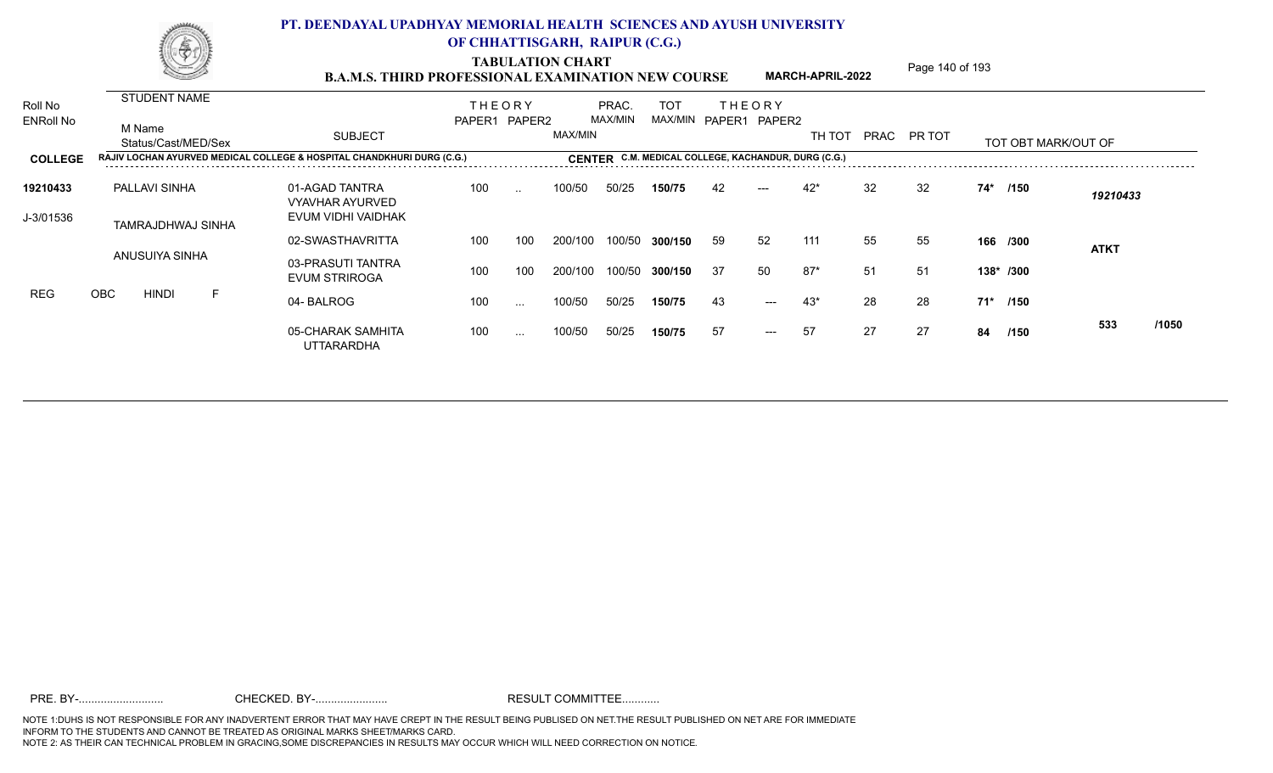TABULATION CHART<br> **TABULATION CHART EXAMINATION NEW COURSE MARCH-APRIL-2022** <sup>Page 140 of 193</sup>

**MARCH-APRIL-2022**

| Roll No          |     |        | <b>STUDENT NAME</b> |   |                                                                        | <b>THEORY</b> |               |         | PRAC.   | <b>TOT</b>                                          | <b>THEORY</b> |                     |        |    |             |    |                     |             |       |
|------------------|-----|--------|---------------------|---|------------------------------------------------------------------------|---------------|---------------|---------|---------|-----------------------------------------------------|---------------|---------------------|--------|----|-------------|----|---------------------|-------------|-------|
| <b>ENRoll No</b> |     | M Name | Status/Cast/MED/Sex |   | <b>SUBJECT</b>                                                         | PAPER1 PAPER2 |               | MAX/MIN | MAX/MIN | MAX/MIN                                             |               | PAPER1 PAPER2       | TH TOT |    | PRAC PR TOT |    | TOT OBT MARK/OUT OF |             |       |
| <b>COLLEGE</b>   |     |        |                     |   | RAJIV LOCHAN AYURVED MEDICAL COLLEGE & HOSPITAL CHANDKHURI DURG (C.G.) |               |               |         |         | CENTER C.M. MEDICAL COLLEGE, KACHANDUR, DURG (C.G.) |               |                     |        |    |             |    |                     |             |       |
| 19210433         |     |        | PALLAVI SINHA       |   | 01-AGAD TANTRA<br><b>VYAVHAR AYURVED</b>                               | 100           | $\sim$ $\sim$ | 100/50  | 50/25   | 150/75                                              | 42            | $---$               | $42*$  | 32 | 32          |    | 74* /150            | 19210433    |       |
| J-3/01536        |     |        | TAMRAJDHWAJ SINHA   |   | EVUM VIDHI VAIDHAK                                                     |               |               |         |         |                                                     |               |                     |        |    |             |    |                     |             |       |
|                  |     |        | ANUSUIYA SINHA      |   | 02-SWASTHAVRITTA                                                       | 100           | 100           | 200/100 | 100/50  | 300/150                                             | 59            | 52                  | 111    | 55 | 55          |    | 166 /300            | <b>ATKT</b> |       |
|                  |     |        |                     |   | 03-PRASUTI TANTRA<br><b>EVUM STRIROGA</b>                              | 100           | 100           | 200/100 | 100/50  | 300/150                                             | -37           | 50                  | $87*$  | 51 | -51         |    | 138* /300           |             |       |
| <b>REG</b>       | OBC |        | <b>HINDI</b>        | F | 04-BALROG                                                              | 100           | $\sim$ $\sim$ | 100/50  | 50/25   | 150/75                                              | 43            | $\qquad \qquad - -$ | 43*    | 28 | 28          |    | 71* /150            |             |       |
|                  |     |        |                     |   | 05-CHARAK SAMHITA<br><b>UTTARARDHA</b>                                 | 100           | $\cdots$      | 100/50  | 50/25   | 150/75                                              | 57            | $---$               | 57     | 27 | 27          | 84 | /150                | 533         | /1050 |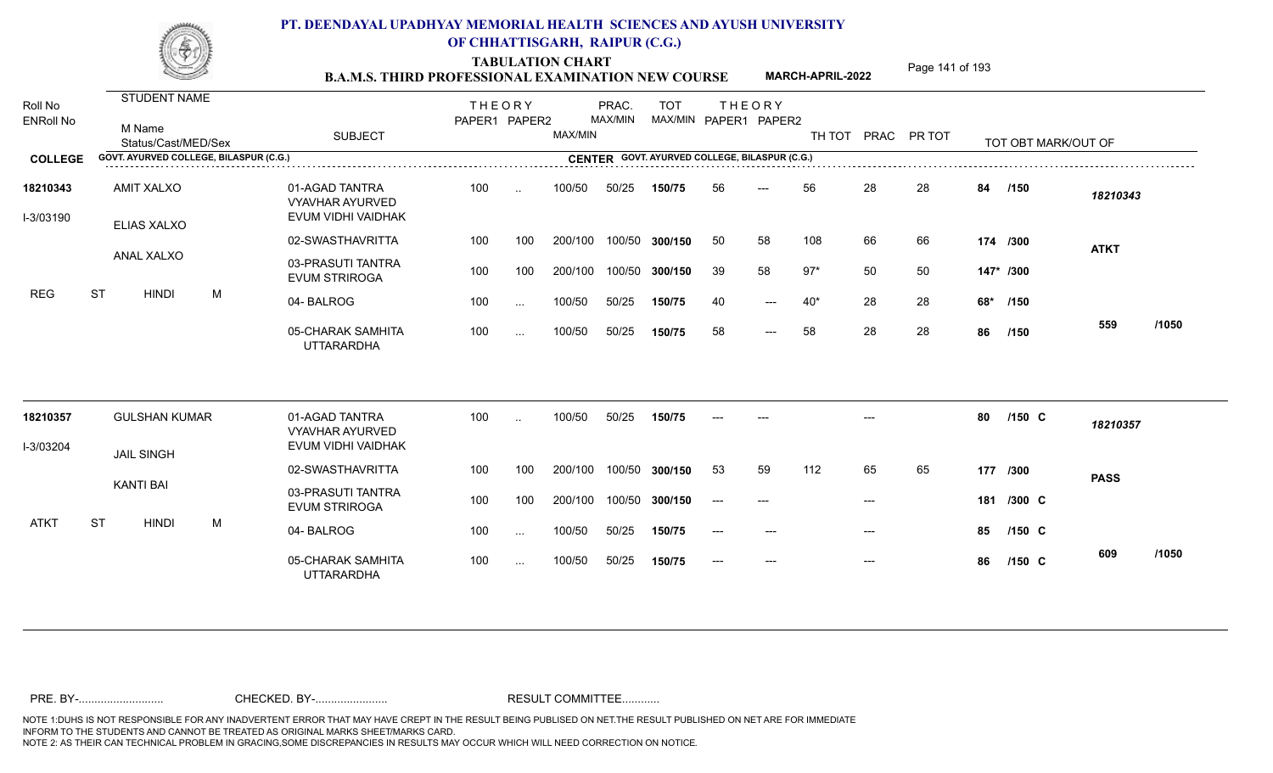TABULATION CHART<br> **TABULATION CHART EXAMINATION NEW COURSE MARCH-APRIL-2022** <sup>Page 141 of 193</sup>

**MARCH-APRIL-2022**

| Roll No<br><b>ENRoll No</b> |           | STUDENT NAME                           |   |                                                                                                       | <b>THEORY</b><br>PAPER1 PAPER2 |              |         | PRAC.<br>MAX/MIN | <b>TOT</b><br>MAX/MIN PAPER1 PAPER2 | <b>THEORY</b> |                     |       |       |                    |     |                     |             |       |
|-----------------------------|-----------|----------------------------------------|---|-------------------------------------------------------------------------------------------------------|--------------------------------|--------------|---------|------------------|-------------------------------------|---------------|---------------------|-------|-------|--------------------|-----|---------------------|-------------|-------|
|                             |           | M Name<br>Status/Cast/MED/Sex          |   | <b>SUBJECT</b>                                                                                        |                                |              | MAX/MIN |                  |                                     |               |                     |       |       | TH TOT PRAC PR TOT |     | TOT OBT MARK/OUT OF |             |       |
| <b>COLLEGE</b>              |           | GOVT. AYURVED COLLEGE, BILASPUR (C.G.) |   | <b>CENTER GOVT. AYURVED COLLEGE, BILASPUR (C.G.)</b><br>CENTER GOVT. AYURVED COLLEGE, BILASPUR (C.G.) |                                |              |         |                  |                                     |               |                     |       |       |                    |     |                     |             |       |
| 18210343<br>I-3/03190       |           | <b>AMIT XALXO</b><br>ELIAS XALXO       |   | 01-AGAD TANTRA<br><b>VYAVHAR AYURVED</b><br>EVUM VIDHI VAIDHAK                                        | 100                            | $\sim$       | 100/50  | 50/25            | 150/75                              | 56            | ---                 | 56    | 28    | 28                 | 84  | /150                | 18210343    |       |
|                             |           |                                        |   | 02-SWASTHAVRITTA                                                                                      | 100                            | 100          | 200/100 | 100/50           | 300/150                             | 50            | 58                  | 108   | 66    | 66                 |     | 174 /300            | <b>ATKT</b> |       |
|                             |           | ANAL XALXO                             |   | 03-PRASUTI TANTRA<br><b>EVUM STRIROGA</b>                                                             | 100                            | 100          | 200/100 | 100/50           | 300/150                             | 39            | 58                  | $97*$ | 50    | 50                 |     | 147* /300           |             |       |
| <b>REG</b>                  | <b>ST</b> | <b>HINDI</b>                           | M | 04-BALROG                                                                                             | 100                            | $\mathbf{r}$ | 100/50  | 50/25            | 150/75                              | 40            | $---$               | $40*$ | 28    | 28                 | 68* | /150                |             |       |
|                             |           |                                        |   | 05-CHARAK SAMHITA<br><b>UTTARARDHA</b>                                                                | 100                            | $\cdots$     | 100/50  | 50/25            | 150/75                              | 58            | $\qquad \qquad - -$ | 58    | 28    | 28                 | 86  | /150                | 559         | /1050 |
| 18210357                    |           | <b>GULSHAN KUMAR</b>                   |   | 01-AGAD TANTRA<br><b>VYAVHAR AYURVED</b>                                                              | 100                            | $\sim$       | 100/50  | 50/25            | 150/75                              |               |                     |       |       |                    | 80  | $/150$ C            | 18210357    |       |
| I-3/03204                   |           | <b>JAIL SINGH</b>                      |   | EVUM VIDHI VAIDHAK                                                                                    |                                |              |         |                  |                                     |               |                     |       |       |                    |     |                     |             |       |
|                             |           |                                        |   | 02-SWASTHAVRITTA                                                                                      | 100                            | 100          | 200/100 | 100/50           | 300/150                             | 53            | 59                  | 112   | 65    | 65                 |     | 177 /300            | <b>PASS</b> |       |
|                             |           | <b>KANTI BAI</b>                       |   | 03-PRASUTI TANTRA<br><b>EVUM STRIROGA</b>                                                             | 100                            | 100          | 200/100 | 100/50           | 300/150                             | $---$         | ---                 |       | $---$ |                    |     | 181 /300 C          |             |       |
| <b>ATKT</b>                 | <b>ST</b> | <b>HINDI</b>                           | M | 04-BALROG                                                                                             | 100                            | $\sim$       | 100/50  | 50/25            | 150/75                              |               |                     |       |       |                    | 85  | $/150$ C            |             |       |
|                             |           |                                        |   | 05-CHARAK SAMHITA<br><b>UTTARARDHA</b>                                                                | 100                            | $\cdots$     | 100/50  | 50/25            | 150/75                              |               | $---$               |       | $---$ |                    | 86  | $/150$ C            | 609         | /1050 |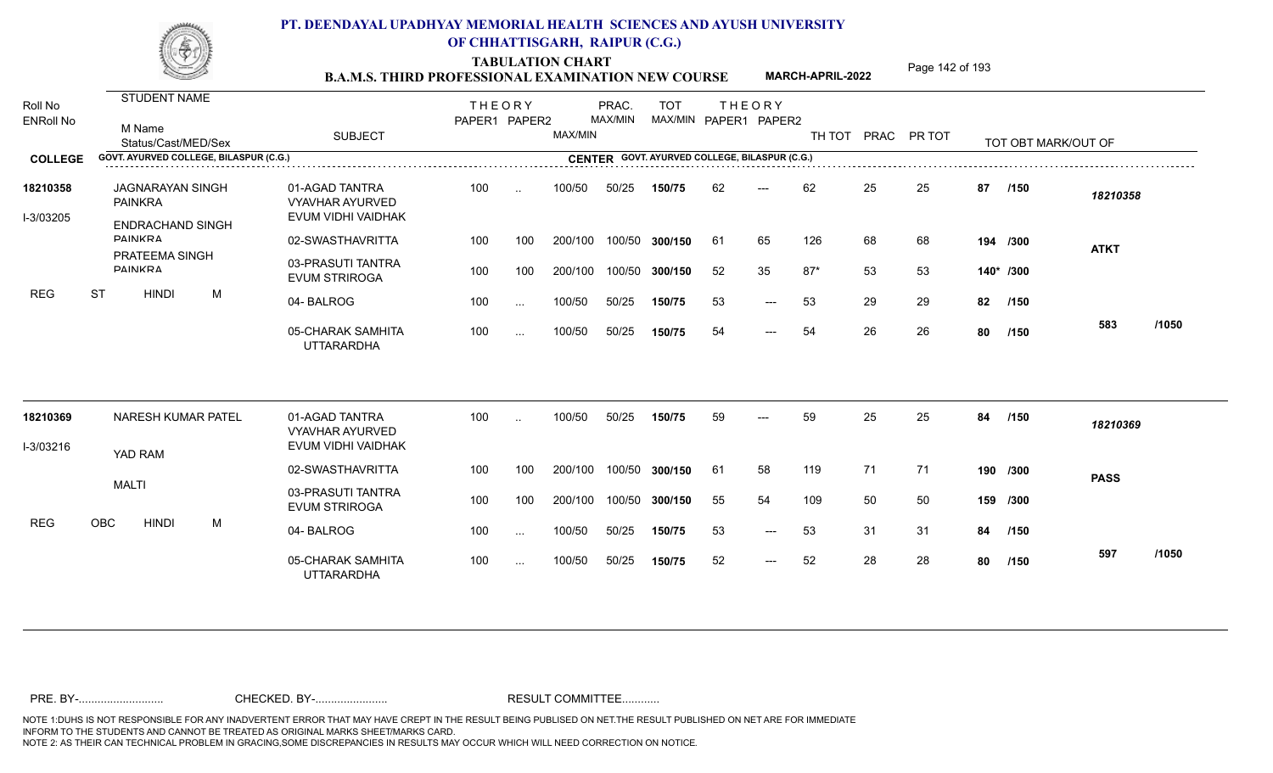TABULATION CHART<br> **TABULATION CHART EXAMINATION NEW COURSE MARCH-APRIL-2022** <sup>Page 142 of 193</sup>

**MARCH-APRIL-2022**

| Roll No<br><b>ENRoll No</b> |           | M Name          | <b>STUDENT NAME</b><br>Status/Cast/MED/Sex         |   |                                        | <b>SUBJECT</b>                                                 | <b>THEORY</b><br>PAPER1 PAPER2 |               | MAX/MIN | PRAC.<br>MAX/MIN | <b>TOT</b><br>MAX/MIN PAPER1 PAPER2           |     | <b>THEORY</b>       |       |    | TH TOT PRAC PR TOT |    | TOT OBT MARK/OUT OF |             |       |
|-----------------------------|-----------|-----------------|----------------------------------------------------|---|----------------------------------------|----------------------------------------------------------------|--------------------------------|---------------|---------|------------------|-----------------------------------------------|-----|---------------------|-------|----|--------------------|----|---------------------|-------------|-------|
| <b>COLLEGE</b>              |           |                 |                                                    |   | GOVT. AYURVED COLLEGE, BILASPUR (C.G.) |                                                                |                                |               |         |                  | CENTER GOVT. AYURVED COLLEGE, BILASPUR (C.G.) |     |                     |       |    |                    |    |                     |             |       |
| 18210358<br>I-3/03205       |           | <b>PAINKRA</b>  | <b>JAGNARAYAN SINGH</b><br><b>ENDRACHAND SINGH</b> |   |                                        | 01-AGAD TANTRA<br><b>VYAVHAR AYURVED</b><br>EVUM VIDHI VAIDHAK | 100                            | $\cdot$ .     | 100/50  | 50/25            | 150/75                                        | 62  | $---$               | 62    | 25 | 25                 | 87 | /150                | 18210358    |       |
|                             |           | <b>DAINIKRA</b> |                                                    |   |                                        | 02-SWASTHAVRITTA                                               | 100                            | 100           | 200/100 |                  | 100/50 300/150                                | -61 | 65                  | 126   | 68 | 68                 |    | 194 /300            | <b>ATKT</b> |       |
|                             |           | <b>DAINKRA</b>  | <b>PRATEEMA SINGH</b>                              |   |                                        | 03-PRASUTI TANTRA<br><b>EVUM STRIROGA</b>                      | 100                            | 100           | 200/100 |                  | 100/50 300/150                                | 52  | 35                  | $87*$ | 53 | 53                 |    | 140* /300           |             |       |
| <b>REG</b>                  | <b>ST</b> |                 | <b>HINDI</b>                                       | М |                                        | 04-BALROG                                                      | 100                            | $\ldots$      | 100/50  | 50/25            | 150/75                                        | 53  | $---$               | 53    | 29 | 29                 | 82 | /150                |             |       |
|                             |           |                 |                                                    |   |                                        | 05-CHARAK SAMHITA<br><b>UTTARARDHA</b>                         | 100                            | $\sim$ $\sim$ | 100/50  | 50/25            | 150/75                                        | 54  | $---$               | 54    | 26 | 26                 | 80 | /150                | 583         | /1050 |
| 18210369                    |           |                 | <b>NARESH KUMAR PATEL</b>                          |   |                                        | 01-AGAD TANTRA<br><b>VYAVHAR AYURVED</b>                       | 100                            | $\sim$        | 100/50  | 50/25            | 150/75                                        | 59  | $---$               | 59    | 25 | 25                 | 84 | /150                | 18210369    |       |
| I-3/03216                   |           | YAD RAM         |                                                    |   |                                        | EVUM VIDHI VAIDHAK                                             |                                |               |         |                  |                                               |     |                     |       |    |                    |    |                     |             |       |
|                             |           |                 |                                                    |   |                                        | 02-SWASTHAVRITTA                                               | 100                            | 100           | 200/100 |                  | 100/50 300/150                                | -61 | 58                  | 119   | 71 | 71                 |    | 190 /300            | <b>PASS</b> |       |
|                             |           | <b>MALTI</b>    |                                                    |   |                                        | 03-PRASUTI TANTRA<br><b>EVUM STRIROGA</b>                      | 100                            | 100           | 200/100 |                  | 100/50 300/150                                | 55  | 54                  | 109   | 50 | 50                 |    | 159 /300            |             |       |
| <b>REG</b>                  | OBC       |                 | <b>HINDI</b>                                       | M |                                        | 04-BALROG                                                      | 100                            | $\ldots$      | 100/50  | 50/25            | 150/75                                        | 53  | $\qquad \qquad - -$ | 53    | 31 | 31                 | 84 | /150                |             |       |
|                             |           |                 |                                                    |   |                                        | 05-CHARAK SAMHITA<br><b>UTTARARDHA</b>                         | 100                            | $\sim$ $\sim$ | 100/50  | 50/25            | 150/75                                        | 52  | $\qquad \qquad - -$ | 52    | 28 | 28                 | 80 | /150                | 597         | /1050 |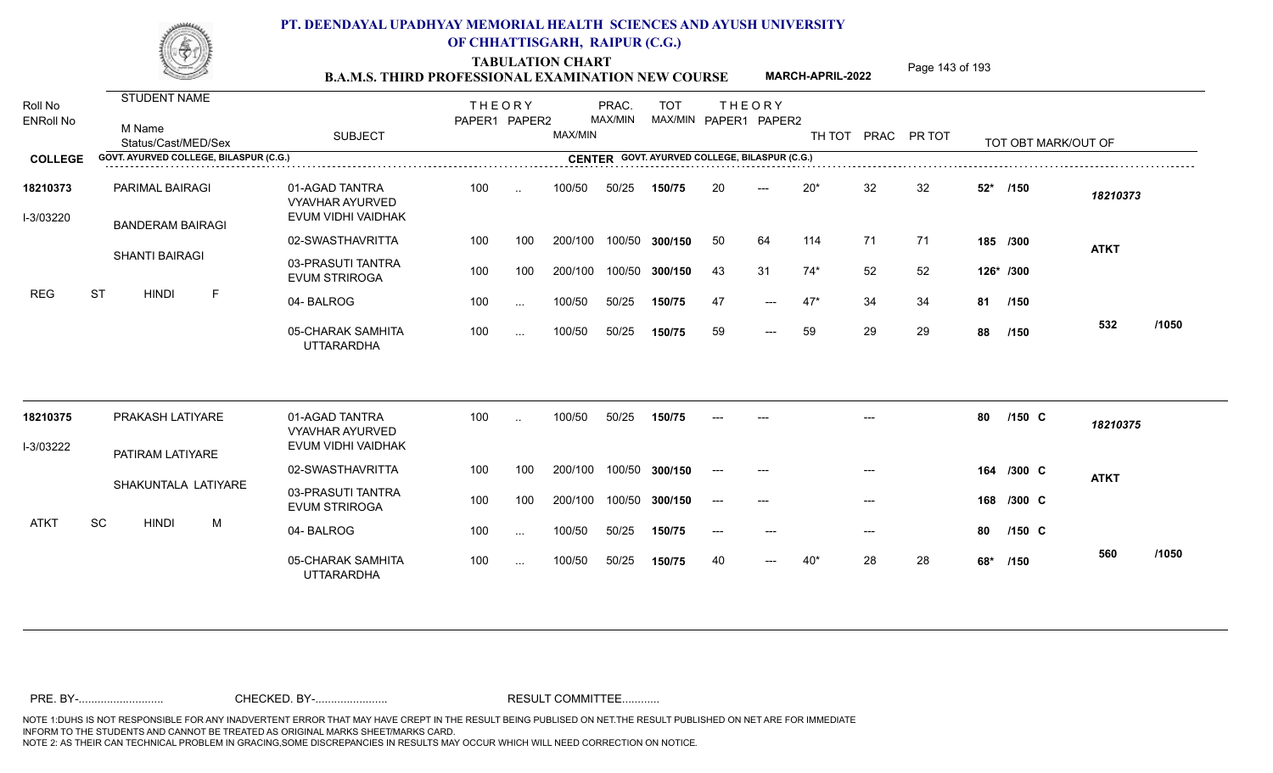TABULATION CHART<br> **TABULATION CHART EXAMINATION NEW COURSE MARCH-APRIL-2022** <sup>Page 143 of 193</sup>

**MARCH-APRIL-2022**

| Roll No<br><b>ENRoll No</b> | STUDENT NAME<br>M Name<br>Status/Cast/MED/Sex | <b>SUBJECT</b>                                                 | <b>THEORY</b><br>PAPER1 PAPER2 |                 | MAX/MIN | PRAC.<br>MAX/MIN | <b>TOT</b><br>MAX/MIN PAPER1 PAPER2           |       | <b>THEORY</b>             |       |       | TH TOT PRAC PR TOT |       | TOT OBT MARK/OUT OF |             |       |
|-----------------------------|-----------------------------------------------|----------------------------------------------------------------|--------------------------------|-----------------|---------|------------------|-----------------------------------------------|-------|---------------------------|-------|-------|--------------------|-------|---------------------|-------------|-------|
| <b>COLLEGE</b>              | GOVT. AYURVED COLLEGE, BILASPUR (C.G.)        |                                                                |                                |                 |         |                  | CENTER GOVT. AYURVED COLLEGE, BILASPUR (C.G.) |       |                           |       |       |                    |       |                     |             |       |
| 18210373<br>I-3/03220       | PARIMAL BAIRAGI<br><b>BANDERAM BAIRAGI</b>    | 01-AGAD TANTRA<br><b>VYAVHAR AYURVED</b><br>EVUM VIDHI VAIDHAK | 100                            | $\sim$          | 100/50  | 50/25            | 150/75                                        | 20    |                           | $20*$ | 32    | 32                 | $52*$ | /150                | 18210373    |       |
|                             |                                               | 02-SWASTHAVRITTA                                               | 100                            | 100             | 200/100 | 100/50           | 300/150                                       | 50    | 64                        | 114   | 71    | 71                 |       | 185 /300            | <b>ATKT</b> |       |
|                             | <b>SHANTI BAIRAGI</b>                         | 03-PRASUTI TANTRA<br><b>EVUM STRIROGA</b>                      | 100                            | 100             | 200/100 | 100/50           | 300/150                                       | 43    | 31                        | $74*$ | 52    | 52                 |       | 126* /300           |             |       |
| <b>REG</b>                  | <b>ST</b><br><b>HINDI</b><br>$\mathsf F$      | 04-BALROG                                                      | 100                            | $\sim$ . $\sim$ | 100/50  | 50/25            | 150/75                                        | -47   | $---$                     | $47*$ | 34    | 34                 |       | 81 /150             |             |       |
|                             |                                               | 05-CHARAK SAMHITA<br><b>UTTARARDHA</b>                         | 100                            | $\cdots$        | 100/50  | 50/25            | 150/75                                        | 59    | $---$                     | 59    | 29    | 29                 | 88    | /150                | 532         | /1050 |
| 18210375                    | PRAKASH LATIYARE                              | 01-AGAD TANTRA<br><b>VYAVHAR AYURVED</b>                       | 100                            |                 | 100/50  | 50/25            | 150/75                                        |       |                           |       |       |                    | 80    | /150 C              | 18210375    |       |
| I-3/03222                   | PATIRAM LATIYARE                              | EVUM VIDHI VAIDHAK                                             |                                |                 |         |                  |                                               |       |                           |       |       |                    |       |                     |             |       |
|                             |                                               | 02-SWASTHAVRITTA                                               | 100                            | 100             | 200/100 | 100/50           | 300/150                                       | $---$ | $---$                     |       | $---$ |                    | 164   | /300 C              | <b>ATKT</b> |       |
|                             | SHAKUNTALA LATIYARE                           | 03-PRASUTI TANTRA<br><b>EVUM STRIROGA</b>                      | 100                            | 100             | 200/100 | 100/50           | 300/150                                       | $---$ | $---$                     |       | $---$ |                    | 168   | /300 C              |             |       |
| <b>ATKT</b>                 | SC<br><b>HINDI</b><br>M                       | 04-BALROG                                                      | 100                            | $\sim$ .        | 100/50  | 50/25            | 150/75                                        | $---$ | $\qquad \qquad - -$       |       | $---$ |                    | 80    | $/150$ C            |             |       |
|                             |                                               | 05-CHARAK SAMHITA<br><b>UTTARARDHA</b>                         | 100                            | $\sim$ $\sim$   | 100/50  | 50/25            | 150/75                                        | 40    | $\qquad \qquad -\qquad -$ | $40*$ | 28    | 28                 | 68*   | /150                | 560         | /1050 |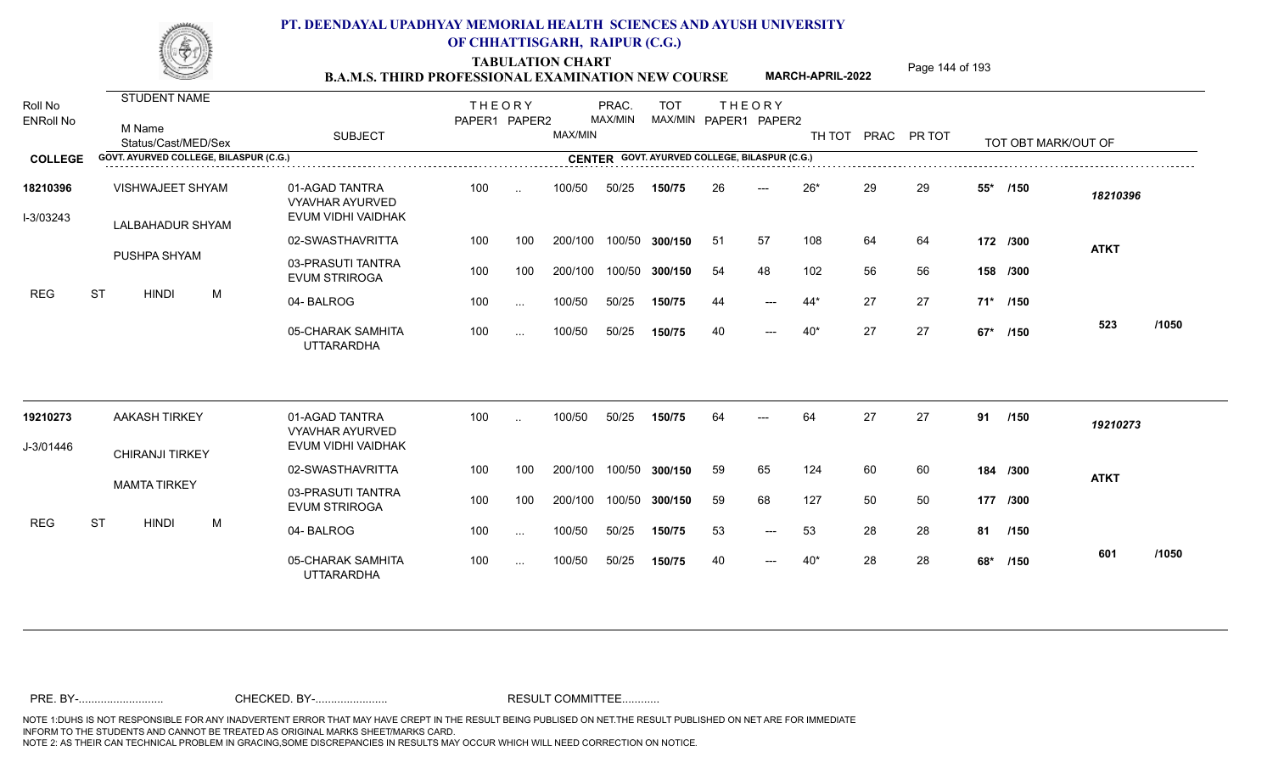TABULATION CHART<br> **TABULATION CHART EXAMINATION NEW COURSE MARCH-APRIL-2022** <sup>Page 144 of 193</sup>

**MARCH-APRIL-2022**

| Roll No<br><b>ENRoll No</b> | <b>STUDENT NAME</b><br>M Name<br>Status/Cast/MED/Sex | <b>SUBJECT</b>                                                 | <b>THEORY</b><br>PAPER1 PAPER2 |           | MAX/MIN | PRAC.<br>MAX/MIN | <b>TOT</b>                                    | MAX/MIN PAPER1 PAPER2 | <b>THEORY</b> | TH TOT |    | PRAC PR TOT |       | TOT OBT MARK/OUT OF |             |       |
|-----------------------------|------------------------------------------------------|----------------------------------------------------------------|--------------------------------|-----------|---------|------------------|-----------------------------------------------|-----------------------|---------------|--------|----|-------------|-------|---------------------|-------------|-------|
| <b>COLLEGE</b>              | GOVT. AYURVED COLLEGE, BILASPUR (C.G.)               |                                                                |                                |           |         |                  | CENTER GOVT. AYURVED COLLEGE, BILASPUR (C.G.) |                       |               |        |    |             |       |                     |             |       |
| 18210396<br>I-3/03243       | VISHWAJEET SHYAM<br>LALBAHADUR SHYAM                 | 01-AGAD TANTRA<br><b>VYAVHAR AYURVED</b><br>EVUM VIDHI VAIDHAK | 100                            | $\sim$    | 100/50  | 50/25            | 150/75                                        | 26                    | $---$         | $26*$  | 29 | 29          | $55*$ | /150                | 18210396    |       |
|                             |                                                      | 02-SWASTHAVRITTA                                               | 100                            | 100       | 200/100 |                  | 100/50 300/150                                | 51                    | 57            | 108    | 64 | 64          |       | 172 /300            |             |       |
|                             | PUSHPA SHYAM                                         | 03-PRASUTI TANTRA<br><b>EVUM STRIROGA</b>                      | 100                            | 100       | 200/100 |                  | 100/50 300/150                                | 54                    | 48            | 102    | 56 | 56          |       | 158 /300            | <b>ATKT</b> |       |
| <b>REG</b>                  | <b>ST</b><br><b>HINDI</b><br>M                       | 04-BALROG                                                      | 100                            | $\cdots$  | 100/50  | 50/25            | 150/75                                        | 44                    | $---$         | 44*    | 27 | 27          |       | 71* /150            |             |       |
|                             |                                                      | 05-CHARAK SAMHITA<br><b>UTTARARDHA</b>                         | 100                            | $\cdots$  | 100/50  | 50/25            | 150/75                                        | 40                    | $---$         | $40*$  | 27 | 27          |       | 67* /150            | 523         | /1050 |
| 19210273                    | <b>AAKASH TIRKEY</b>                                 | 01-AGAD TANTRA<br><b>VYAVHAR AYURVED</b>                       | 100                            | $\ddotsc$ | 100/50  | 50/25            | 150/75                                        | 64                    |               | 64     | 27 | 27          | 91    | /150                | 19210273    |       |
| J-3/01446                   | <b>CHIRANJI TIRKEY</b>                               | EVUM VIDHI VAIDHAK                                             |                                |           |         |                  |                                               |                       |               |        |    |             |       |                     |             |       |
|                             |                                                      | 02-SWASTHAVRITTA                                               | 100                            | 100       | 200/100 |                  | 100/50 300/150                                | 59                    | 65            | 124    | 60 | 60          |       | 184 /300            | <b>ATKT</b> |       |
|                             | <b>MAMTA TIRKEY</b>                                  | 03-PRASUTI TANTRA<br><b>EVUM STRIROGA</b>                      | 100                            | 100       | 200/100 |                  | 100/50 300/150                                | 59                    | 68            | 127    | 50 | 50          |       | 177 /300            |             |       |
| <b>REG</b>                  | <b>ST</b><br><b>HINDI</b><br>M                       | 04-BALROG                                                      | 100                            | $\ddotsc$ | 100/50  | 50/25            | 150/75                                        | 53                    | $---$         | 53     | 28 | 28          | 81    | /150                |             |       |
|                             |                                                      | 05-CHARAK SAMHITA<br><b>UTTARARDHA</b>                         | 100                            | $\cdots$  | 100/50  | 50/25            | 150/75                                        | 40                    | $---$         | $40*$  | 28 | 28          | 68*   | /150                | 601         | /1050 |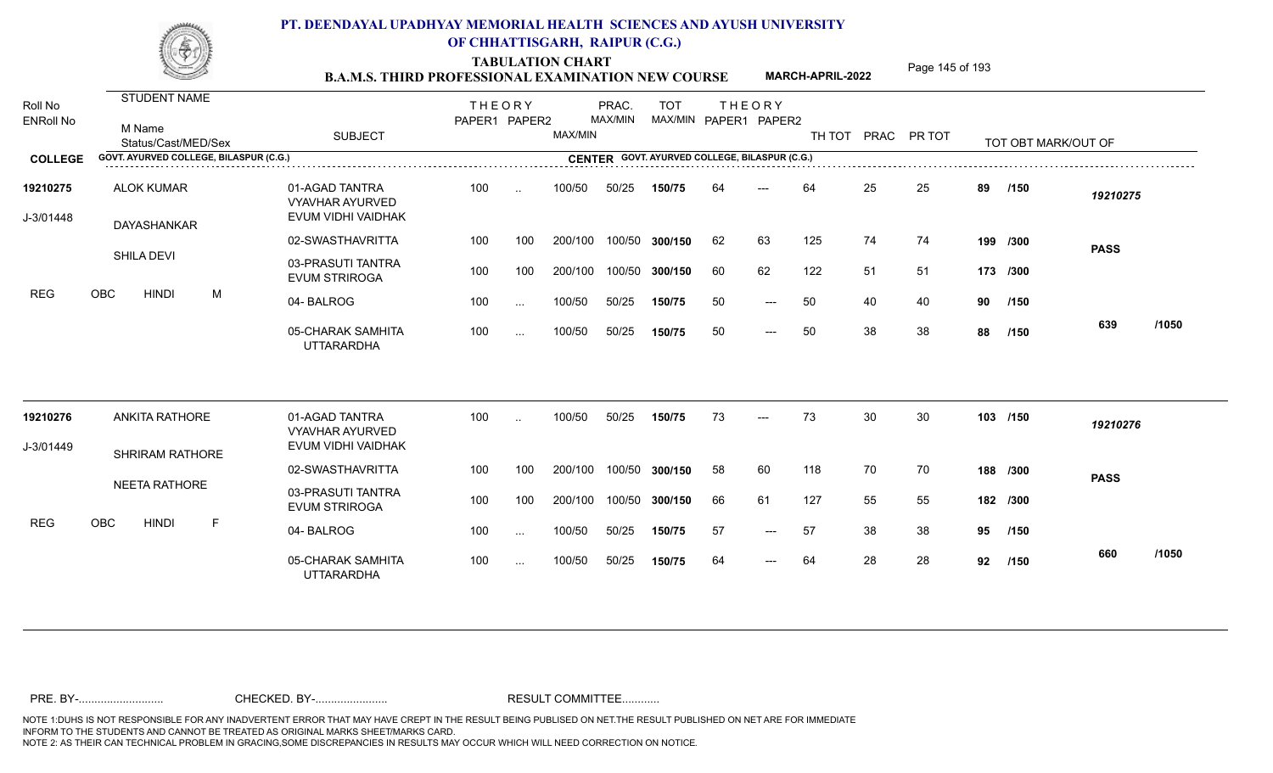TABULATION CHART<br> **TABULATION CHART EXAMINATION NEW COURSE MARCH-APRIL-2022** <sup>Page 145 of 193</sup>

**MARCH-APRIL-2022**

| Roll No<br><b>ENRoll No</b> | <b>STUDENT NAME</b><br>M Name<br>Status/Cast/MED/Sex | <b>SUBJECT</b>                                                 | <b>THEORY</b><br>PAPER1 PAPER2 |               | MAX/MIN | PRAC.<br>MAX/MIN | <b>TOT</b> |    | <b>THEORY</b><br>MAX/MIN PAPER1 PAPER2        |     |    | TH TOT PRAC PR TOT |    | TOT OBT MARK/OUT OF |             |       |
|-----------------------------|------------------------------------------------------|----------------------------------------------------------------|--------------------------------|---------------|---------|------------------|------------|----|-----------------------------------------------|-----|----|--------------------|----|---------------------|-------------|-------|
| <b>COLLEGE</b>              | GOVT. AYURVED COLLEGE, BILASPUR (C.G.)               |                                                                |                                |               |         |                  |            |    | CENTER GOVT. AYURVED COLLEGE, BILASPUR (C.G.) |     |    |                    |    |                     |             |       |
| 19210275<br>J-3/01448       | <b>ALOK KUMAR</b><br>DAYASHANKAR                     | 01-AGAD TANTRA<br><b>VYAVHAR AYURVED</b><br>EVUM VIDHI VAIDHAK | 100                            | $\ddotsc$     | 100/50  | 50/25            | 150/75     | 64 |                                               | 64  | 25 | 25                 | 89 | /150                | 19210275    |       |
|                             |                                                      | 02-SWASTHAVRITTA                                               | 100                            | 100           | 200/100 | 100/50           | 300/150    | 62 | 63                                            | 125 | 74 | 74                 |    | 199 /300            | <b>PASS</b> |       |
|                             | <b>SHILA DEVI</b>                                    | 03-PRASUTI TANTRA<br><b>EVUM STRIROGA</b>                      | 100                            | 100           | 200/100 | 100/50           | 300/150    | 60 | 62                                            | 122 | 51 | 51                 |    | 173 /300            |             |       |
| <b>REG</b>                  | <b>OBC</b><br><b>HINDI</b><br>M                      | 04-BALROG                                                      | 100                            | $\sim$        | 100/50  | 50/25            | 150/75     | 50 | $---$                                         | 50  | 40 | 40                 | 90 | /150                |             |       |
|                             |                                                      | 05-CHARAK SAMHITA<br><b>UTTARARDHA</b>                         | 100                            | $\cdots$      | 100/50  | 50/25            | 150/75     | 50 | $---$                                         | 50  | 38 | 38                 | 88 | /150                | 639         | /1050 |
| 19210276                    | <b>ANKITA RATHORE</b>                                | 01-AGAD TANTRA<br><b>VYAVHAR AYURVED</b>                       | 100                            |               | 100/50  | 50/25            | 150/75     | 73 | $---$                                         | 73  | 30 | 30                 |    | 103 /150            | 19210276    |       |
| J-3/01449                   | <b>SHRIRAM RATHORE</b>                               | EVUM VIDHI VAIDHAK                                             |                                |               |         |                  |            |    |                                               |     |    |                    |    |                     |             |       |
|                             |                                                      | 02-SWASTHAVRITTA                                               | 100                            | 100           | 200/100 | 100/50           | 300/150    | 58 | 60                                            | 118 | 70 | 70                 |    | 188 /300            | <b>PASS</b> |       |
|                             | NEETA RATHORE                                        | 03-PRASUTI TANTRA<br><b>EVUM STRIROGA</b>                      | 100                            | 100           | 200/100 | 100/50           | 300/150    | 66 | 61                                            | 127 | 55 | 55                 |    | 182 /300            |             |       |
| <b>REG</b>                  | OBC<br><b>HINDI</b><br>E                             | 04-BALROG                                                      | 100                            | $\sim$ $\sim$ | 100/50  | 50/25            | 150/75     | 57 | $---$                                         | 57  | 38 | 38                 | 95 | /150                |             |       |
|                             |                                                      | 05-CHARAK SAMHITA<br><b>UTTARARDHA</b>                         | 100                            | $\cdots$      | 100/50  | 50/25            | 150/75     | 64 | $---$                                         | 64  | 28 | 28                 | 92 | /150                | 660         | /1050 |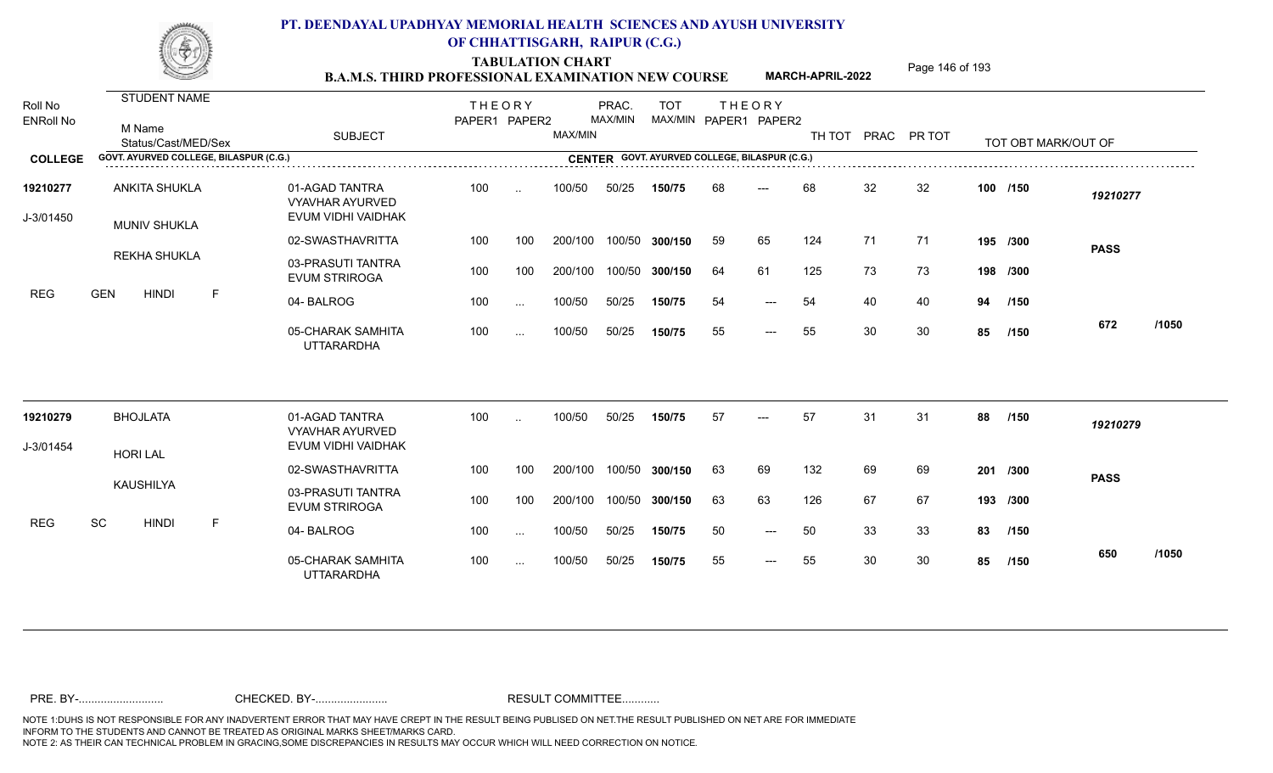TABULATION CHART<br> **TABULATION CHART EXAMINATION NEW COURSE MARCH-APRIL-2022** <sup>Page 146 of 193</sup>

**MARCH-APRIL-2022**

| Roll No<br><b>ENRoll No</b> | STUDENT NAME                                |   |                                                                | <b>THEORY</b><br>PAPER1 PAPER2 |           |         | PRAC.<br>MAX/MIN | <b>TOT</b><br>MAX/MIN PAPER1 PAPER2 |    | <b>THEORY</b> |     |    |                    |    |                     |             |       |
|-----------------------------|---------------------------------------------|---|----------------------------------------------------------------|--------------------------------|-----------|---------|------------------|-------------------------------------|----|---------------|-----|----|--------------------|----|---------------------|-------------|-------|
|                             | M Name<br>Status/Cast/MED/Sex               |   | <b>SUBJECT</b>                                                 |                                |           | MAX/MIN |                  |                                     |    |               |     |    | TH TOT PRAC PR TOT |    | TOT OBT MARK/OUT OF |             |       |
| <b>COLLEGE</b>              | GOVT. AYURVED COLLEGE, BILASPUR (C.G.)      |   |                                                                |                                |           |         |                  |                                     |    |               |     |    |                    |    |                     |             |       |
| 19210277<br>J-3/01450       | <b>ANKITA SHUKLA</b><br><b>MUNIV SHUKLA</b> |   | 01-AGAD TANTRA<br><b>VYAVHAR AYURVED</b><br>EVUM VIDHI VAIDHAK | 100                            | $\sim$    | 100/50  | 50/25            | 150/75                              | 68 | ---           | 68  | 32 | 32                 |    | 100 /150            | 19210277    |       |
|                             |                                             |   | 02-SWASTHAVRITTA                                               | 100                            | 100       | 200/100 | 100/50           | 300/150                             | 59 | 65            | 124 | 71 | 71                 |    | 195 /300            | <b>PASS</b> |       |
|                             | REKHA SHUKLA                                |   | 03-PRASUTI TANTRA<br><b>EVUM STRIROGA</b>                      | 100                            | 100       | 200/100 | 100/50           | 300/150                             | 64 | 61            | 125 | 73 | 73                 |    | 198 /300            |             |       |
| <b>REG</b>                  | <b>GEN</b><br><b>HINDI</b>                  | F | 04-BALROG                                                      | 100                            | $\cdots$  | 100/50  | 50/25            | 150/75                              | 54 | $---$         | 54  | 40 | 40                 | 94 | /150                |             |       |
|                             |                                             |   | 05-CHARAK SAMHITA<br><b>UTTARARDHA</b>                         | 100                            | $\cdots$  | 100/50  | 50/25            | 150/75                              | 55 | $---$         | 55  | 30 | 30                 | 85 | /150                | 672         | /1050 |
| 19210279                    | <b>BHOJLATA</b>                             |   | 01-AGAD TANTRA                                                 | 100                            |           | 100/50  | 50/25            | 150/75                              | 57 | ---           | 57  | 31 | 31                 | 88 | /150                | 19210279    |       |
| J-3/01454                   |                                             |   | <b>VYAVHAR AYURVED</b><br>EVUM VIDHI VAIDHAK                   |                                |           |         |                  |                                     |    |               |     |    |                    |    |                     |             |       |
|                             | <b>HORI LAL</b>                             |   | 02-SWASTHAVRITTA                                               | 100                            | 100       | 200/100 | 100/50           | 300/150                             | 63 | 69            | 132 | 69 | 69                 |    | 201 /300            | <b>PASS</b> |       |
|                             | KAUSHILYA                                   |   | 03-PRASUTI TANTRA<br><b>EVUM STRIROGA</b>                      | 100                            | 100       | 200/100 | 100/50           | 300/150                             | 63 | 63            | 126 | 67 | 67                 |    | 193 /300            |             |       |
| <b>REG</b>                  | <b>SC</b><br><b>HINDI</b>                   | F | 04-BALROG                                                      | 100                            | $\ddotsc$ | 100/50  | 50/25            | 150/75                              | 50 | $---$         | 50  | 33 | 33                 | 83 | /150                |             |       |
|                             |                                             |   | 05-CHARAK SAMHITA<br><b>UTTARARDHA</b>                         | 100                            | $\cdots$  | 100/50  | 50/25            | 150/75                              | 55 | $---$         | 55  | 30 | 30                 | 85 | /150                | 650         | /1050 |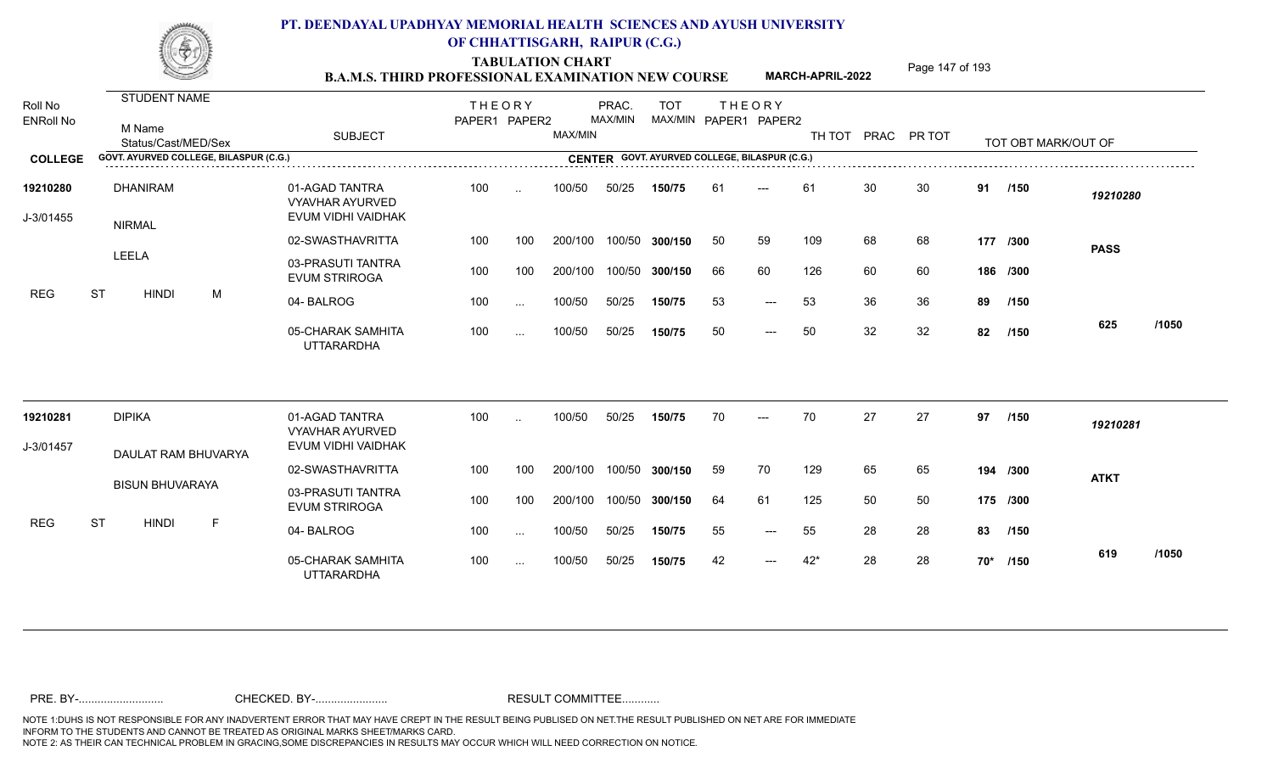TABULATION CHART<br> **TABULATION CHART EXAMINATION NEW COURSE MARCH-APRIL-2022** <sup>Page 147 of 193</sup>

**MARCH-APRIL-2022**

| Roll No<br><b>ENRoll No</b> |           |       | <b>STUDENT NAME</b>              |                                        |                                                                | <b>THEORY</b><br>PAPER1 PAPER2 |                      |         | PRAC.<br>MAX/MIN | <b>TOT</b><br>MAX/MIN PAPER1 PAPER2           | <b>THEORY</b> |       |       |    |                    |    |                     |             |       |
|-----------------------------|-----------|-------|----------------------------------|----------------------------------------|----------------------------------------------------------------|--------------------------------|----------------------|---------|------------------|-----------------------------------------------|---------------|-------|-------|----|--------------------|----|---------------------|-------------|-------|
|                             |           |       | M Name<br>Status/Cast/MED/Sex    |                                        | <b>SUBJECT</b>                                                 |                                |                      | MAX/MIN |                  |                                               |               |       |       |    | TH TOT PRAC PR TOT |    | TOT OBT MARK/OUT OF |             |       |
| <b>COLLEGE</b>              |           |       |                                  | GOVT. AYURVED COLLEGE, BILASPUR (C.G.) |                                                                |                                |                      |         |                  | CENTER GOVT. AYURVED COLLEGE, BILASPUR (C.G.) |               |       |       |    |                    |    |                     |             |       |
| 19210280<br>J-3/01455       |           |       | <b>DHANIRAM</b><br><b>NIRMAL</b> |                                        | 01-AGAD TANTRA<br><b>VYAVHAR AYURVED</b><br>EVUM VIDHI VAIDHAK | 100                            | $\ddot{\phantom{a}}$ | 100/50  | 50/25            | 150/75                                        | 61            | ---   | 61    | 30 | 30                 |    | 91 /150             | 19210280    |       |
|                             |           |       |                                  |                                        | 02-SWASTHAVRITTA                                               | 100                            | 100                  | 200/100 | 100/50           | 300/150                                       | 50            | 59    | 109   | 68 | 68                 |    | 177 /300            | <b>PASS</b> |       |
|                             |           | LEELA |                                  |                                        | 03-PRASUTI TANTRA<br><b>EVUM STRIROGA</b>                      | 100                            | 100                  | 200/100 | 100/50           | 300/150                                       | 66            | 60    | 126   | 60 | 60                 |    | 186 /300            |             |       |
| <b>REG</b>                  | <b>ST</b> |       | <b>HINDI</b>                     | M                                      | 04-BALROG                                                      | 100                            | $\sim$ $\sim$        | 100/50  | 50/25            | 150/75                                        | 53            | $---$ | 53    | 36 | 36                 | 89 | /150                |             |       |
|                             |           |       |                                  |                                        | 05-CHARAK SAMHITA<br><b>UTTARARDHA</b>                         | 100                            | $\sim$ $\sim$        | 100/50  | 50/25            | 150/75                                        | 50            | $---$ | 50    | 32 | 32                 | 82 | /150                | 625         | /1050 |
| 19210281                    |           |       | <b>DIPIKA</b>                    |                                        | 01-AGAD TANTRA<br><b>VYAVHAR AYURVED</b>                       | 100                            | $\sim$               | 100/50  | 50/25            | 150/75                                        | 70            |       | 70    | 27 | 27                 | 97 | /150                | 19210281    |       |
| J-3/01457                   |           |       |                                  | DAULAT RAM BHUVARYA                    | EVUM VIDHI VAIDHAK                                             |                                |                      |         |                  |                                               |               |       |       |    |                    |    |                     |             |       |
|                             |           |       |                                  |                                        | 02-SWASTHAVRITTA                                               | 100                            | 100                  | 200/100 | 100/50           | 300/150                                       | 59            | 70    | 129   | 65 | 65                 |    | 194 /300            | <b>ATKT</b> |       |
|                             |           |       | <b>BISUN BHUVARAYA</b>           |                                        | 03-PRASUTI TANTRA<br><b>EVUM STRIROGA</b>                      | 100                            | 100                  | 200/100 | 100/50           | 300/150                                       | 64            | 61    | 125   | 50 | 50                 |    | 175 /300            |             |       |
| <b>REG</b>                  | <b>ST</b> |       | <b>HINDI</b>                     | F                                      | 04-BALROG                                                      | 100                            | $\sim$               | 100/50  | 50/25            | 150/75                                        | 55            | $---$ | 55    | 28 | 28                 | 83 | /150                |             |       |
|                             |           |       |                                  |                                        | 05-CHARAK SAMHITA<br><b>UTTARARDHA</b>                         | 100                            | $\cdots$             | 100/50  | 50/25            | 150/75                                        | 42            | $---$ | $42*$ | 28 | 28                 |    | 70* /150            | 619         | /1050 |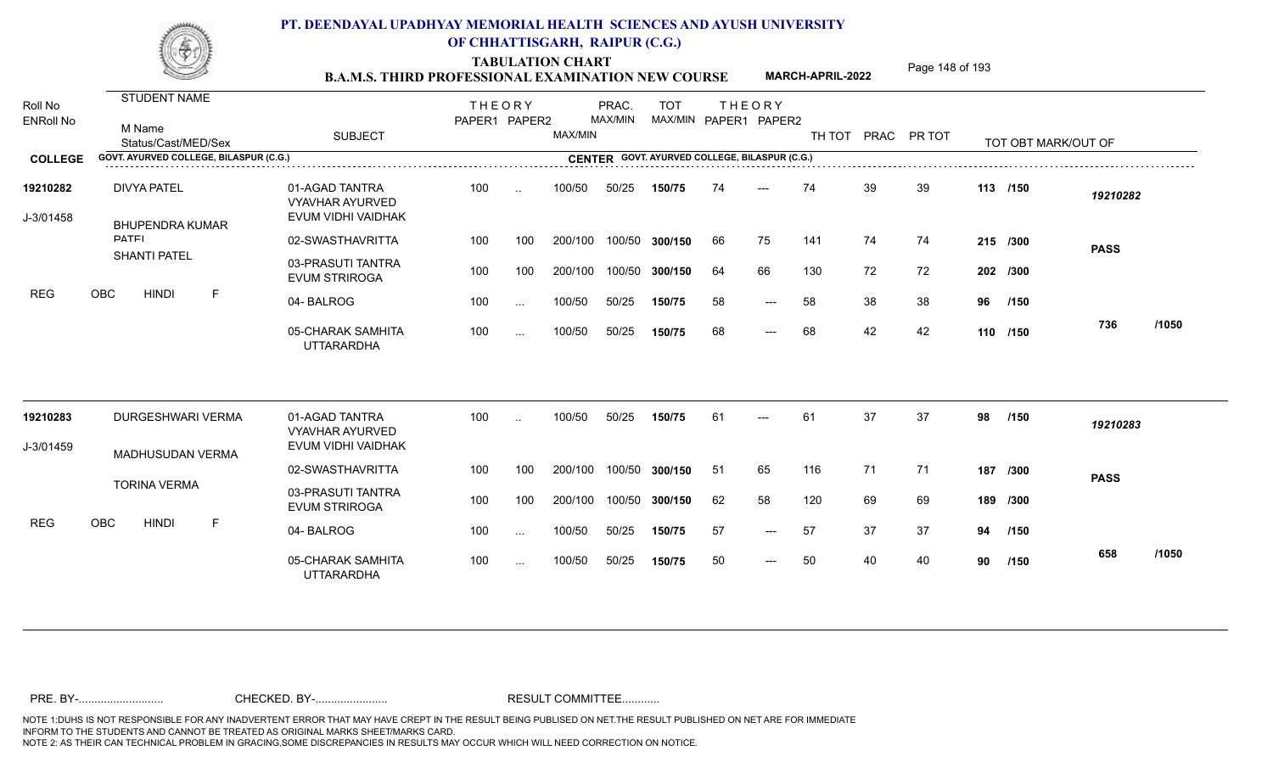TABULATION CHART<br> **TABULATION CHART EXAMINATION NEW COURSE MARCH-APRIL-2022** <sup>Page 148 of 193</sup>

**MARCH-APRIL-2022**

| Roll No<br><b>ENRoll No</b> | <b>STUDENT NAME</b><br>M Name<br>Status/Cast/MED/Sex | <b>SUBJECT</b>                                                 | <b>THEORY</b><br>PAPER1 PAPER2 |               | MAX/MIN | PRAC.<br>MAX/MIN | <b>TOT</b><br>MAX/MIN PAPER1 PAPER2           |     | <b>THEORY</b>       |     |    | TH TOT PRAC PR TOT |    | TOT OBT MARK/OUT OF |             |       |
|-----------------------------|------------------------------------------------------|----------------------------------------------------------------|--------------------------------|---------------|---------|------------------|-----------------------------------------------|-----|---------------------|-----|----|--------------------|----|---------------------|-------------|-------|
| <b>COLLEGE</b>              | GOVT, AYURVED COLLEGE, BILASPUR (C.G.)               |                                                                |                                |               |         |                  | CENTER GOVT. AYURVED COLLEGE, BILASPUR (C.G.) |     |                     |     |    |                    |    |                     |             |       |
| 19210282<br>J-3/01458       | <b>DIVYA PATEL</b><br><b>BHUPENDRA KUMAR</b>         | 01-AGAD TANTRA<br><b>VYAVHAR AYURVED</b><br>EVUM VIDHI VAIDHAK | 100                            | $\cdot$       | 100/50  | 50/25            | 150/75                                        | 74  | ---                 | 74  | 39 | 39                 |    | 113 /150            | 19210282    |       |
|                             | <b>DATEI</b>                                         | 02-SWASTHAVRITTA                                               | 100                            | 100           | 200/100 | 100/50           | 300/150                                       | 66  | 75                  | 141 | 74 | 74                 |    | 215 /300            | <b>PASS</b> |       |
|                             | <b>SHANTI PATEL</b>                                  | 03-PRASUTI TANTRA<br><b>EVUM STRIROGA</b>                      | 100                            | 100           | 200/100 | 100/50           | 300/150                                       | 64  | 66                  | 130 | 72 | 72                 |    | 202 /300            |             |       |
| <b>REG</b>                  | OBC<br><b>HINDI</b><br>E                             | 04-BALROG                                                      | 100                            | $\sim$ $\sim$ | 100/50  | 50/25            | 150/75                                        | 58  | $---$               | 58  | 38 | 38                 |    | 96 /150             |             |       |
|                             |                                                      | 05-CHARAK SAMHITA<br><b>UTTARARDHA</b>                         | 100                            | $\cdots$      | 100/50  | 50/25            | 150/75                                        | 68  | $\qquad \qquad - -$ | 68  | 42 | 42                 |    | 110 /150            | 736         | /1050 |
| 19210283                    | <b>DURGESHWARI VERMA</b>                             | 01-AGAD TANTRA<br><b>VYAVHAR AYURVED</b>                       | 100                            |               | 100/50  | 50/25            | 150/75                                        | 61  |                     | 61  | 37 | 37                 | 98 | /150                | 19210283    |       |
| J-3/01459                   | MADHUSUDAN VERMA                                     | EVUM VIDHI VAIDHAK                                             |                                |               |         |                  |                                               |     |                     |     |    |                    |    |                     |             |       |
|                             |                                                      | 02-SWASTHAVRITTA                                               | 100                            | 100           | 200/100 | 100/50           | 300/150                                       | -51 | 65                  | 116 | 71 | 71                 |    | 187 /300            | <b>PASS</b> |       |
|                             | <b>TORINA VERMA</b>                                  | 03-PRASUTI TANTRA<br><b>EVUM STRIROGA</b>                      | 100                            | 100           | 200/100 | 100/50           | 300/150                                       | 62  | 58                  | 120 | 69 | 69                 |    | 189 /300            |             |       |
| <b>REG</b>                  | <b>OBC</b><br><b>HINDI</b><br>F                      | 04-BALROG                                                      | 100                            | $\sim$        | 100/50  | 50/25            | 150/75                                        | 57  | $---$               | 57  | 37 | 37                 | 94 | /150                |             |       |
|                             |                                                      | 05-CHARAK SAMHITA<br><b>UTTARARDHA</b>                         | 100                            | $\cdots$      | 100/50  | 50/25            | 150/75                                        | 50  | $\qquad \qquad - -$ | 50  | 40 | 40                 | 90 | /150                | 658         | /1050 |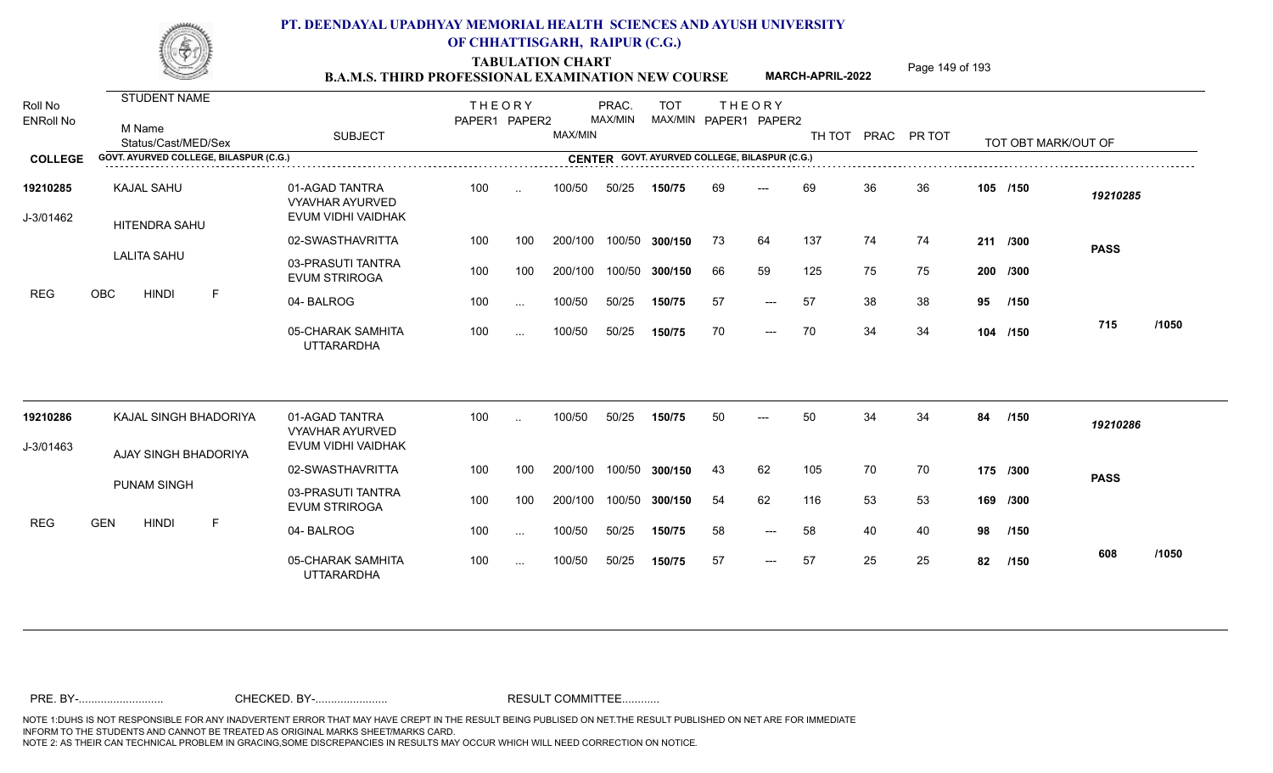TABULATION CHART<br> **TABULATION CHART EXAMINATION NEW COURSE MARCH-APRIL-2022** <sup>Page 149 of 193</sup>

**MARCH-APRIL-2022**

| Roll No<br><b>ENRoll No</b> | <b>STUDENT NAME</b><br>M Name<br>Status/Cast/MED/Sex | <b>SUBJECT</b>                                                 | <b>THEORY</b><br>PAPER1 PAPER2 |           | MAX/MIN | PRAC.<br>MAX/MIN | <b>TOT</b> |     | <b>THEORY</b><br>MAX/MIN PAPER1 PAPER2        |     |    | TH TOT PRAC PR TOT |    | TOT OBT MARK/OUT OF |             |       |
|-----------------------------|------------------------------------------------------|----------------------------------------------------------------|--------------------------------|-----------|---------|------------------|------------|-----|-----------------------------------------------|-----|----|--------------------|----|---------------------|-------------|-------|
| <b>COLLEGE</b>              | GOVT. AYURVED COLLEGE, BILASPUR (C.G.)               |                                                                |                                |           |         |                  |            |     | CENTER GOVT. AYURVED COLLEGE, BILASPUR (C.G.) |     |    |                    |    |                     |             |       |
| 19210285<br>J-3/01462       | <b>KAJAL SAHU</b><br><b>HITENDRA SAHU</b>            | 01-AGAD TANTRA<br><b>VYAVHAR AYURVED</b><br>EVUM VIDHI VAIDHAK | 100                            | $\ddotsc$ | 100/50  | 50/25            | 150/75     | 69  | $---$                                         | 69  | 36 | 36                 |    | 105 /150            | 19210285    |       |
|                             |                                                      | 02-SWASTHAVRITTA                                               | 100                            | 100       | 200/100 | 100/50           | 300/150    | -73 | 64                                            | 137 | 74 | 74                 |    | 211 /300            | <b>PASS</b> |       |
|                             | <b>LALITA SAHU</b>                                   | 03-PRASUTI TANTRA<br><b>EVUM STRIROGA</b>                      | 100                            | 100       | 200/100 | 100/50           | 300/150    | 66  | 59                                            | 125 | 75 | 75                 |    | 200 /300            |             |       |
| <b>REG</b>                  | <b>OBC</b><br><b>HINDI</b><br>F                      | 04-BALROG                                                      | 100                            | $\sim$    | 100/50  | 50/25            | 150/75     | 57  | $---$                                         | 57  | 38 | 38                 | 95 | /150                |             |       |
|                             |                                                      | 05-CHARAK SAMHITA<br><b>UTTARARDHA</b>                         | 100                            | $\cdots$  | 100/50  | 50/25            | 150/75     | 70  | $\qquad \qquad - -$                           | 70  | 34 | 34                 |    | 104 /150            | 715         | /1050 |
| 19210286                    | KAJAL SINGH BHADORIYA                                | 01-AGAD TANTRA<br><b>VYAVHAR AYURVED</b>                       | 100                            |           | 100/50  | 50/25            | 150/75     | 50  |                                               | 50  | 34 | 34                 | 84 | /150                | 19210286    |       |
| J-3/01463                   | AJAY SINGH BHADORIYA                                 | EVUM VIDHI VAIDHAK                                             |                                |           |         |                  |            |     |                                               |     |    |                    |    |                     |             |       |
|                             |                                                      | 02-SWASTHAVRITTA                                               | 100                            | 100       | 200/100 | 100/50           | 300/150    | 43  | 62                                            | 105 | 70 | 70                 |    | 175 /300            | <b>PASS</b> |       |
|                             | <b>PUNAM SINGH</b>                                   | 03-PRASUTI TANTRA<br><b>EVUM STRIROGA</b>                      | 100                            | 100       | 200/100 | 100/50           | 300/150    | 54  | 62                                            | 116 | 53 | 53                 |    | 169 /300            |             |       |
| <b>REG</b>                  | <b>GEN</b><br><b>HINDI</b><br>-F                     | 04-BALROG                                                      | 100                            | $\sim$    | 100/50  | 50/25            | 150/75     | 58  | $---$                                         | 58  | 40 | 40                 | 98 | /150                |             |       |
|                             |                                                      | 05-CHARAK SAMHITA<br><b>UTTARARDHA</b>                         | 100                            | $\cdots$  | 100/50  | 50/25            | 150/75     | 57  | $---$                                         | 57  | 25 | 25                 | 82 | /150                | 608         | /1050 |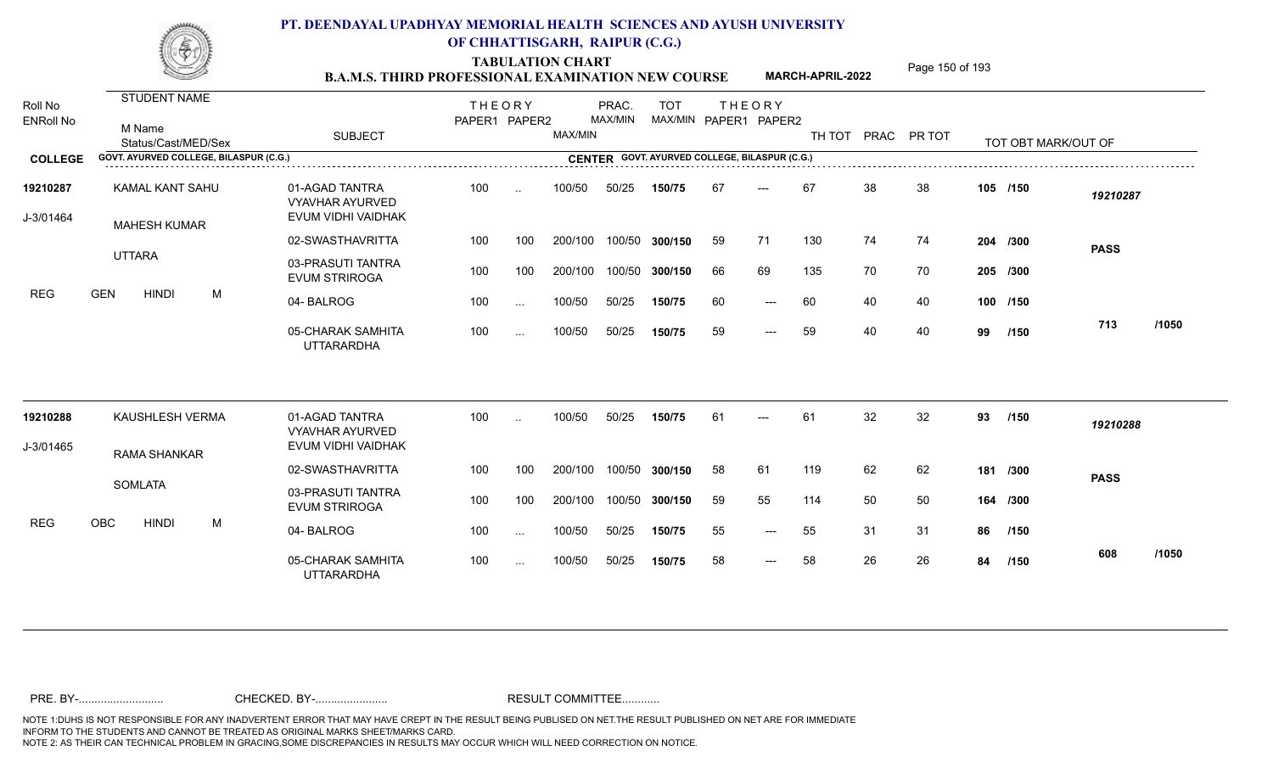TABULATION CHART<br> **TABULATION CHART EXAMINATION NEW COURSE MARCH-APRIL-2022** <sup>Page 150 of 193</sup>

**MARCH-APRIL-2022**

| Roll No<br><b>ENRoll No</b> | <b>STUDENT NAME</b><br>M Name<br>Status/Cast/MED/Sex | <b>SUBJECT</b>                                                 | <b>THEORY</b><br>PAPER1 PAPER2 |                      | MAX/MIN | PRAC.<br>MAX/MIN | <b>TOT</b>                                    |    | <b>THEORY</b><br>MAX/MIN PAPER1 PAPER2 | TH TOT |    | PRAC PR TOT |    | TOT OBT MARK/OUT OF |             |       |
|-----------------------------|------------------------------------------------------|----------------------------------------------------------------|--------------------------------|----------------------|---------|------------------|-----------------------------------------------|----|----------------------------------------|--------|----|-------------|----|---------------------|-------------|-------|
| <b>COLLEGE</b>              | GOVT. AYURVED COLLEGE, BILASPUR (C.G.)               |                                                                |                                |                      |         |                  | CENTER GOVT. AYURVED COLLEGE, BILASPUR (C.G.) |    |                                        |        |    |             |    |                     |             |       |
| 19210287<br>J-3/01464       | KAMAL KANT SAHU<br><b>MAHESH KUMAR</b>               | 01-AGAD TANTRA<br><b>VYAVHAR AYURVED</b><br>EVUM VIDHI VAIDHAK | 100                            | $\ddot{\phantom{a}}$ | 100/50  | 50/25            | 150/75                                        | 67 | $---$                                  | 67     | 38 | 38          |    | 105 /150            | 19210287    |       |
|                             |                                                      | 02-SWASTHAVRITTA                                               | 100                            | 100                  | 200/100 |                  | 100/50 300/150                                | 59 | 71                                     | 130    | 74 | 74          |    | 204 /300            | <b>PASS</b> |       |
|                             | <b>UTTARA</b>                                        | 03-PRASUTI TANTRA<br><b>EVUM STRIROGA</b>                      | 100                            | 100                  | 200/100 |                  | 100/50 300/150                                | 66 | 69                                     | 135    | 70 | 70          |    | 205 /300            |             |       |
| REG                         | <b>GEN</b><br><b>HINDI</b><br>M                      | 04-BALROG                                                      | 100                            | $\ddotsc$            | 100/50  | 50/25            | 150/75                                        | 60 | $---$                                  | 60     | 40 | 40          |    | 100 /150            |             |       |
|                             |                                                      | 05-CHARAK SAMHITA<br><b>UTTARARDHA</b>                         | 100                            | $\sim$               | 100/50  | 50/25            | 150/75                                        | 59 | $---$                                  | 59     | 40 | 40          | 99 | /150                | 713         | /1050 |
| 19210288                    | KAUSHLESH VERMA                                      | 01-AGAD TANTRA                                                 | 100                            | $\ddot{\phantom{a}}$ | 100/50  | 50/25            | 150/75                                        | 61 | $---$                                  | 61     | 32 | 32          | 93 | /150                | 19210288    |       |
| J-3/01465                   |                                                      | <b>VYAVHAR AYURVED</b><br>EVUM VIDHI VAIDHAK                   |                                |                      |         |                  |                                               |    |                                        |        |    |             |    |                     |             |       |
|                             | <b>RAMA SHANKAR</b>                                  | 02-SWASTHAVRITTA                                               | 100                            | 100                  | 200/100 |                  | 100/50 300/150                                | 58 | 61                                     | 119    | 62 | 62          |    | 181 /300            | <b>PASS</b> |       |
|                             | <b>SOMLATA</b>                                       | 03-PRASUTI TANTRA<br><b>EVUM STRIROGA</b>                      | 100                            | 100                  | 200/100 |                  | 100/50 300/150                                | 59 | 55                                     | 114    | 50 | 50          |    | 164 /300            |             |       |
| <b>REG</b>                  | OBC<br><b>HINDI</b><br>M                             | 04-BALROG                                                      | 100                            | $\cdots$             | 100/50  | 50/25            | 150/75                                        | 55 | $---$                                  | 55     | 31 | 31          | 86 | /150                |             |       |
|                             |                                                      | 05-CHARAK SAMHITA<br><b>UTTARARDHA</b>                         | 100                            | $\cdots$             | 100/50  | 50/25            | 150/75                                        | 58 | $\qquad \qquad - -$                    | 58     | 26 | 26          | 84 | /150                | 608         | /1050 |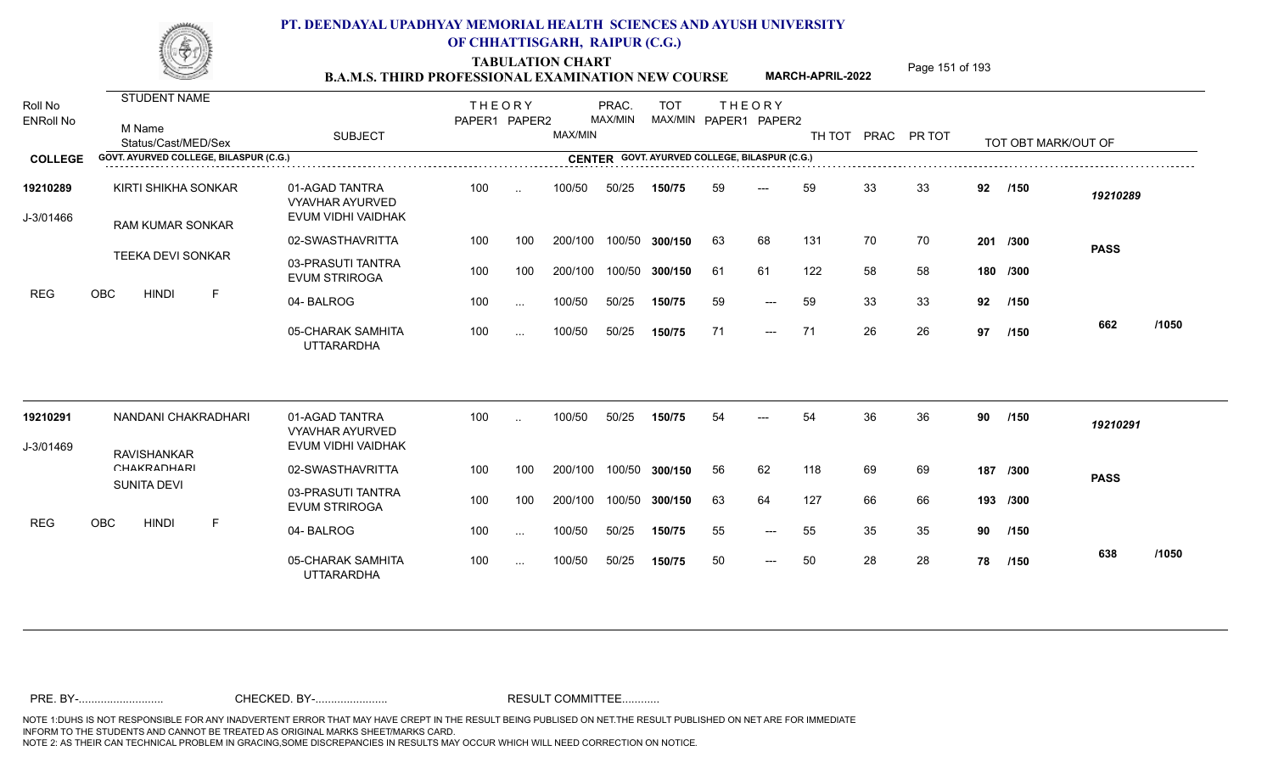TABULATION CHART<br> **TABULATION CHART EXAMINATION NEW COURSE MARCH-APRIL-2022** <sup>Page 151 of 193</sup>

**MARCH-APRIL-2022**

| Roll No<br><b>ENRoll No</b> | <b>STUDENT NAME</b><br>M Name<br>Status/Cast/MED/Sex | <b>SUBJECT</b>                                                 | <b>THEORY</b><br>PAPER1 PAPER2 |           | MAX/MIN | PRAC.<br>MAX/MIN | <b>TOT</b>                                    |    | <b>THEORY</b><br>MAX/MIN PAPER1 PAPER2 | TH TOT |    | PRAC PR TOT |    | TOT OBT MARK/OUT OF |             |       |
|-----------------------------|------------------------------------------------------|----------------------------------------------------------------|--------------------------------|-----------|---------|------------------|-----------------------------------------------|----|----------------------------------------|--------|----|-------------|----|---------------------|-------------|-------|
| <b>COLLEGE</b>              | GOVT. AYURVED COLLEGE, BILASPUR (C.G.)               |                                                                |                                |           |         |                  | CENTER GOVT. AYURVED COLLEGE, BILASPUR (C.G.) |    |                                        |        |    |             |    |                     |             |       |
| 19210289<br>J-3/01466       | KIRTI SHIKHA SONKAR<br><b>RAM KUMAR SONKAR</b>       | 01-AGAD TANTRA<br><b>VYAVHAR AYURVED</b><br>EVUM VIDHI VAIDHAK | 100                            | $\ddotsc$ | 100/50  | 50/25            | 150/75                                        | 59 | $---$                                  | 59     | 33 | 33          | 92 | /150                | 19210289    |       |
|                             |                                                      | 02-SWASTHAVRITTA                                               | 100                            | 100       | 200/100 |                  | 100/50 300/150                                | 63 | 68                                     | 131    | 70 | 70          |    | 201 /300            | <b>PASS</b> |       |
|                             | <b>TEEKA DEVI SONKAR</b>                             | 03-PRASUTI TANTRA<br><b>EVUM STRIROGA</b>                      | 100                            | 100       | 200/100 |                  | 100/50 300/150                                | 61 | 61                                     | 122    | 58 | 58          |    | 180 /300            |             |       |
| REG                         | OBC<br>F<br><b>HINDI</b>                             | 04-BALROG                                                      | 100                            | $\cdots$  | 100/50  | 50/25            | 150/75                                        | 59 | $---$                                  | 59     | 33 | 33          | 92 | /150                |             |       |
|                             |                                                      | 05-CHARAK SAMHITA<br><b>UTTARARDHA</b>                         | 100                            | $\sim$    | 100/50  | 50/25            | 150/75                                        | 71 | $\qquad \qquad - -$                    | 71     | 26 | 26          | 97 | /150                | 662         | /1050 |
| 19210291                    | NANDANI CHAKRADHARI                                  | 01-AGAD TANTRA<br><b>VYAVHAR AYURVED</b>                       | 100                            | $\sim$    | 100/50  | 50/25            | 150/75                                        | 54 | ---                                    | 54     | 36 | 36          | 90 | /150                | 19210291    |       |
| J-3/01469                   | <b>RAVISHANKAR</b>                                   | EVUM VIDHI VAIDHAK                                             |                                |           |         |                  |                                               |    |                                        |        |    |             |    |                     |             |       |
|                             | CHAKRADHARI                                          | 02-SWASTHAVRITTA                                               | 100                            | 100       | 200/100 | 100/50           | 300/150                                       | 56 | 62                                     | 118    | 69 | 69          |    | 187 /300            | <b>PASS</b> |       |
|                             | <b>SUNITA DEVI</b>                                   | 03-PRASUTI TANTRA<br><b>EVUM STRIROGA</b>                      | 100                            | 100       | 200/100 |                  | 100/50 300/150                                | 63 | 64                                     | 127    | 66 | 66          |    | 193 /300            |             |       |
| <b>REG</b>                  | OBC<br>$\mathsf{F}$<br><b>HINDI</b>                  | 04-BALROG                                                      | 100                            | $\sim$    | 100/50  | 50/25            | 150/75                                        | 55 | $---$                                  | 55     | 35 | 35          | 90 | /150                |             |       |
|                             |                                                      | 05-CHARAK SAMHITA<br><b>UTTARARDHA</b>                         | 100                            | $\sim$    | 100/50  | 50/25            | 150/75                                        | 50 | $---$                                  | 50     | 28 | 28          | 78 | /150                | 638         | /1050 |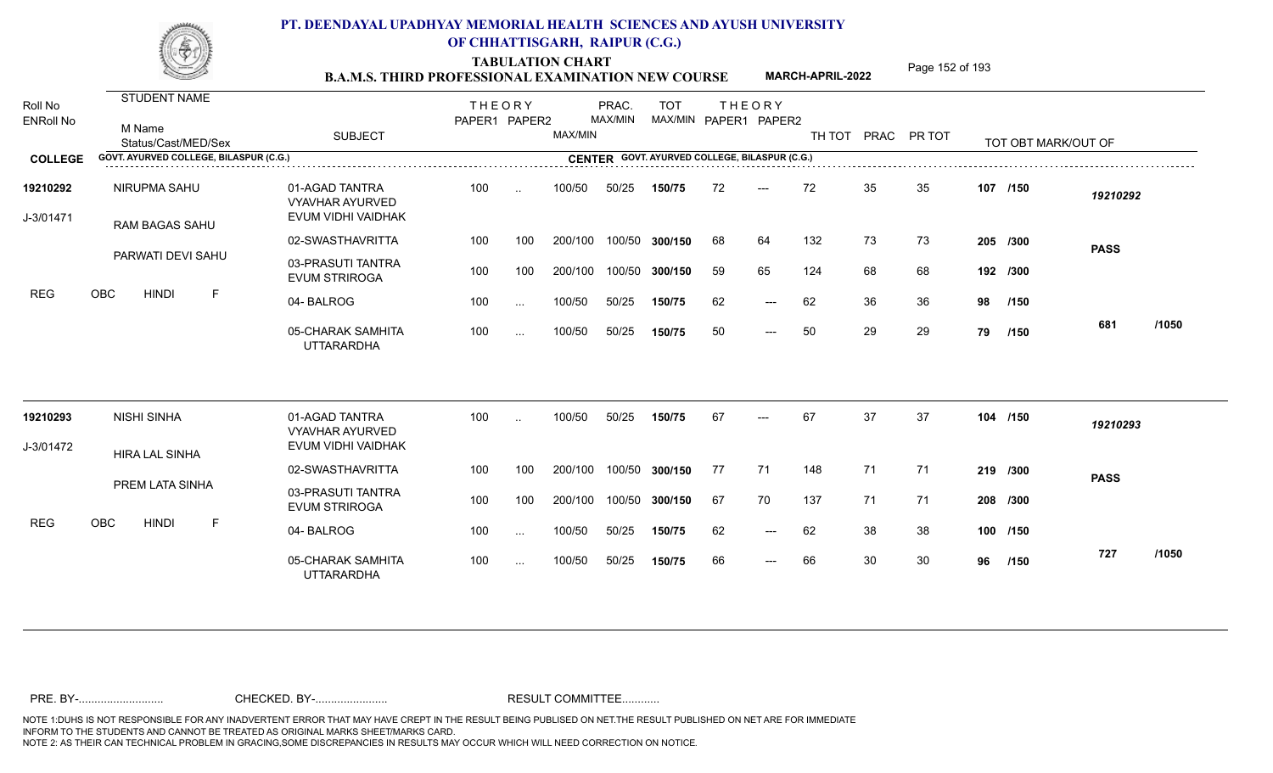TABULATION CHART<br> **TABULATION CHART EXAMINATION NEW COURSE MARCH-APRIL-2022** <sup>Page 152 of 193</sup>

**MARCH-APRIL-2022**

| Roll No<br><b>ENRoll No</b> | STUDENT NAME<br>M Name<br>Status/Cast/MED/Sex | <b>SUBJECT</b>                                                                                        | <b>THEORY</b><br>PAPER1 PAPER2 |               | MAX/MIN | PRAC.<br>MAX/MIN | <b>TOT</b><br>MAX/MIN PAPER1 PAPER2 |    | <b>THEORY</b> |     |    | TH TOT PRAC PR TOT |    | TOT OBT MARK/OUT OF |             |       |
|-----------------------------|-----------------------------------------------|-------------------------------------------------------------------------------------------------------|--------------------------------|---------------|---------|------------------|-------------------------------------|----|---------------|-----|----|--------------------|----|---------------------|-------------|-------|
| <b>COLLEGE</b>              | GOVT. AYURVED COLLEGE, BILASPUR (C.G.)        | <b>CENTER GOVT. AYURVED COLLEGE, BILASPUR (C.G.)</b><br>CENTER GOVT. AYURVED COLLEGE, BILASPUR (C.G.) |                                |               |         |                  |                                     |    |               |     |    |                    |    |                     |             |       |
| 19210292<br>J-3/01471       | NIRUPMA SAHU<br><b>RAM BAGAS SAHU</b>         | 01-AGAD TANTRA<br><b>VYAVHAR AYURVED</b><br>EVUM VIDHI VAIDHAK                                        | 100                            | $\sim$        | 100/50  | 50/25            | 150/75                              | 72 | $---$         | 72  | 35 | 35                 |    | 107 /150            | 19210292    |       |
|                             |                                               | 02-SWASTHAVRITTA                                                                                      | 100                            | 100           | 200/100 | 100/50           | 300/150                             | 68 | 64            | 132 | 73 | 73                 |    | 205 /300            | <b>PASS</b> |       |
|                             | PARWATI DEVI SAHU                             | 03-PRASUTI TANTRA<br><b>EVUM STRIROGA</b>                                                             | 100                            | 100           | 200/100 | 100/50           | 300/150                             | 59 | 65            | 124 | 68 | 68                 |    | 192 /300            |             |       |
| <b>REG</b>                  | <b>OBC</b><br><b>HINDI</b><br>F               | 04-BALROG                                                                                             | 100                            | $\sim$        | 100/50  | 50/25            | 150/75                              | 62 | $---$         | 62  | 36 | 36                 | 98 | /150                |             |       |
|                             |                                               | 05-CHARAK SAMHITA<br><b>UTTARARDHA</b>                                                                | 100                            | $\cdots$      | 100/50  | 50/25            | 150/75                              | 50 | $---$         | 50  | 29 | 29                 | 79 | /150                | 681         | /1050 |
| 19210293                    | <b>NISHI SINHA</b>                            | 01-AGAD TANTRA<br><b>VYAVHAR AYURVED</b>                                                              | 100                            | $\sim$        | 100/50  | 50/25            | 150/75                              | 67 |               | 67  | 37 | 37                 |    | 104 /150            | 19210293    |       |
| J-3/01472                   | <b>HIRA LAL SINHA</b>                         | EVUM VIDHI VAIDHAK                                                                                    |                                |               |         |                  |                                     |    |               |     |    |                    |    |                     |             |       |
|                             |                                               | 02-SWASTHAVRITTA                                                                                      | 100                            | 100           | 200/100 | 100/50           | 300/150                             | 77 | 71            | 148 | 71 | 71                 |    | 219 /300            | <b>PASS</b> |       |
|                             | PREM LATA SINHA                               | 03-PRASUTI TANTRA<br><b>EVUM STRIROGA</b>                                                             | 100                            | 100           | 200/100 | 100/50           | 300/150                             | 67 | 70            | 137 | 71 | 71                 |    | 208 /300            |             |       |
| <b>REG</b>                  | <b>OBC</b><br><b>HINDI</b><br>E               | 04-BALROG                                                                                             | 100                            | $\sim$        | 100/50  | 50/25            | 150/75                              | 62 | $---$         | 62  | 38 | 38                 |    | 100 /150            |             |       |
|                             |                                               | 05-CHARAK SAMHITA<br><b>UTTARARDHA</b>                                                                | 100                            | $\sim$ $\sim$ | 100/50  | 50/25            | 150/75                              | 66 | $---$         | 66  | 30 | 30                 | 96 | /150                | 727         | /1050 |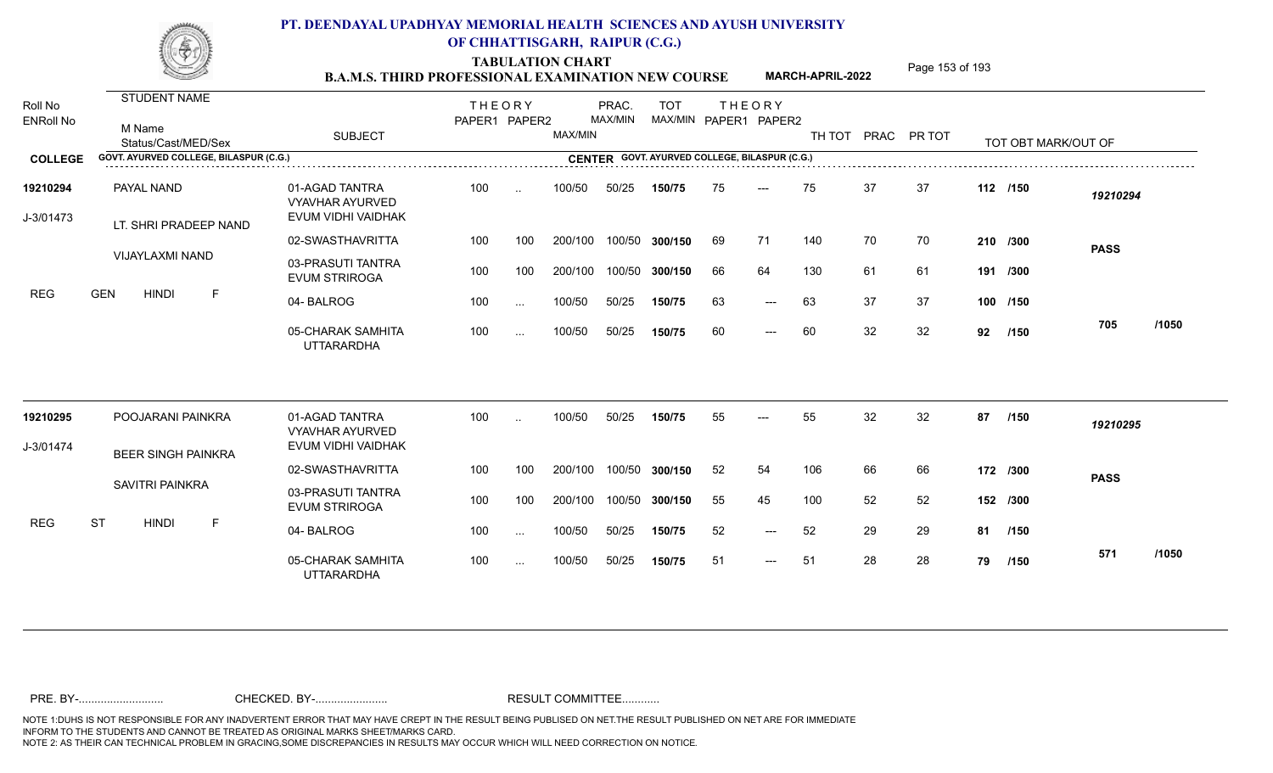TABULATION CHART<br> **TABULATION CHART EXAMINATION NEW COURSE MARCH-APRIL-2022** <sup>Page 153 of 193</sup>

**MARCH-APRIL-2022**

| Roll No<br><b>ENRoll No</b> | STUDENT NAME<br>M Name<br>Status/Cast/MED/Sex                                                                                                   | <b>SUBJECT</b>                                                 | <b>THEORY</b><br>PAPER1 PAPER2 |               | MAX/MIN | PRAC.<br>MAX/MIN | <b>TOT</b><br>MAX/MIN PAPER1 PAPER2 |    | <b>THEORY</b>       |     |    | TH TOT PRAC PR TOT |    | TOT OBT MARK/OUT OF |             |       |
|-----------------------------|-------------------------------------------------------------------------------------------------------------------------------------------------|----------------------------------------------------------------|--------------------------------|---------------|---------|------------------|-------------------------------------|----|---------------------|-----|----|--------------------|----|---------------------|-------------|-------|
| <b>COLLEGE</b>              | GOVT. AYURVED COLLEGE, BILASPUR (C.G.)<br><b>CENTER GOVT. AYURVED COLLEGE, BILASPUR (C.G.)</b><br>CENTER GOVT. AYURVED COLLEGE, BILASPUR (C.G.) |                                                                |                                |               |         |                  |                                     |    |                     |     |    |                    |    |                     |             |       |
| 19210294<br>J-3/01473       | PAYAL NAND<br>LT. SHRI PRADEEP NAND                                                                                                             | 01-AGAD TANTRA<br><b>VYAVHAR AYURVED</b><br>EVUM VIDHI VAIDHAK | 100                            | $\ddotsc$     | 100/50  | 50/25            | 150/75                              | 75 | $---$               | 75  | 37 | 37                 |    | 112 /150            | 19210294    |       |
|                             |                                                                                                                                                 | 02-SWASTHAVRITTA                                               | 100                            | 100           | 200/100 | 100/50           | 300/150                             | 69 | 71                  | 140 | 70 | 70                 |    | 210 /300            | <b>PASS</b> |       |
|                             | VIJAYLAXMI NAND                                                                                                                                 | 03-PRASUTI TANTRA<br><b>EVUM STRIROGA</b>                      | 100                            | 100           | 200/100 | 100/50           | 300/150                             | 66 | 64                  | 130 | 61 | 61                 |    | 191 /300            |             |       |
| <b>REG</b>                  | <b>GEN</b><br><b>HINDI</b><br>E                                                                                                                 | 04-BALROG                                                      | 100                            | $\sim$ $\sim$ | 100/50  | 50/25            | 150/75                              | 63 | $\qquad \qquad - -$ | 63  | 37 | 37                 |    | 100 /150            |             |       |
|                             |                                                                                                                                                 | 05-CHARAK SAMHITA<br><b>UTTARARDHA</b>                         | 100                            | $\cdots$      | 100/50  | 50/25            | 150/75                              | 60 | $\qquad \qquad - -$ | 60  | 32 | 32                 | 92 | 1150                | 705         | /1050 |
| 19210295                    | POOJARANI PAINKRA                                                                                                                               | 01-AGAD TANTRA<br><b>VYAVHAR AYURVED</b>                       | 100                            |               | 100/50  | 50/25            | 150/75                              | 55 |                     | 55  | 32 | 32                 | 87 | /150                | 19210295    |       |
| J-3/01474                   | <b>BEER SINGH PAINKRA</b>                                                                                                                       | EVUM VIDHI VAIDHAK                                             |                                |               |         |                  |                                     |    |                     |     |    |                    |    |                     |             |       |
|                             |                                                                                                                                                 | 02-SWASTHAVRITTA                                               | 100                            | 100           | 200/100 | 100/50           | 300/150                             | 52 | 54                  | 106 | 66 | 66                 |    | 172 /300            | <b>PASS</b> |       |
|                             | <b>SAVITRI PAINKRA</b>                                                                                                                          | 03-PRASUTI TANTRA<br><b>EVUM STRIROGA</b>                      | 100                            | 100           | 200/100 | 100/50           | 300/150                             | 55 | 45                  | 100 | 52 | 52                 |    | 152 /300            |             |       |
| <b>REG</b>                  | <b>ST</b><br><b>HINDI</b><br>E                                                                                                                  | 04-BALROG                                                      | 100                            | $\sim$ $\sim$ | 100/50  | 50/25            | 150/75                              | 52 | $\qquad \qquad - -$ | 52  | 29 | 29                 |    | 81 /150             |             |       |
|                             |                                                                                                                                                 | 05-CHARAK SAMHITA<br><b>UTTARARDHA</b>                         | 100                            | $\cdots$      | 100/50  | 50/25            | 150/75                              | 51 | $---$               | 51  | 28 | 28                 | 79 | /150                | 571         | /1050 |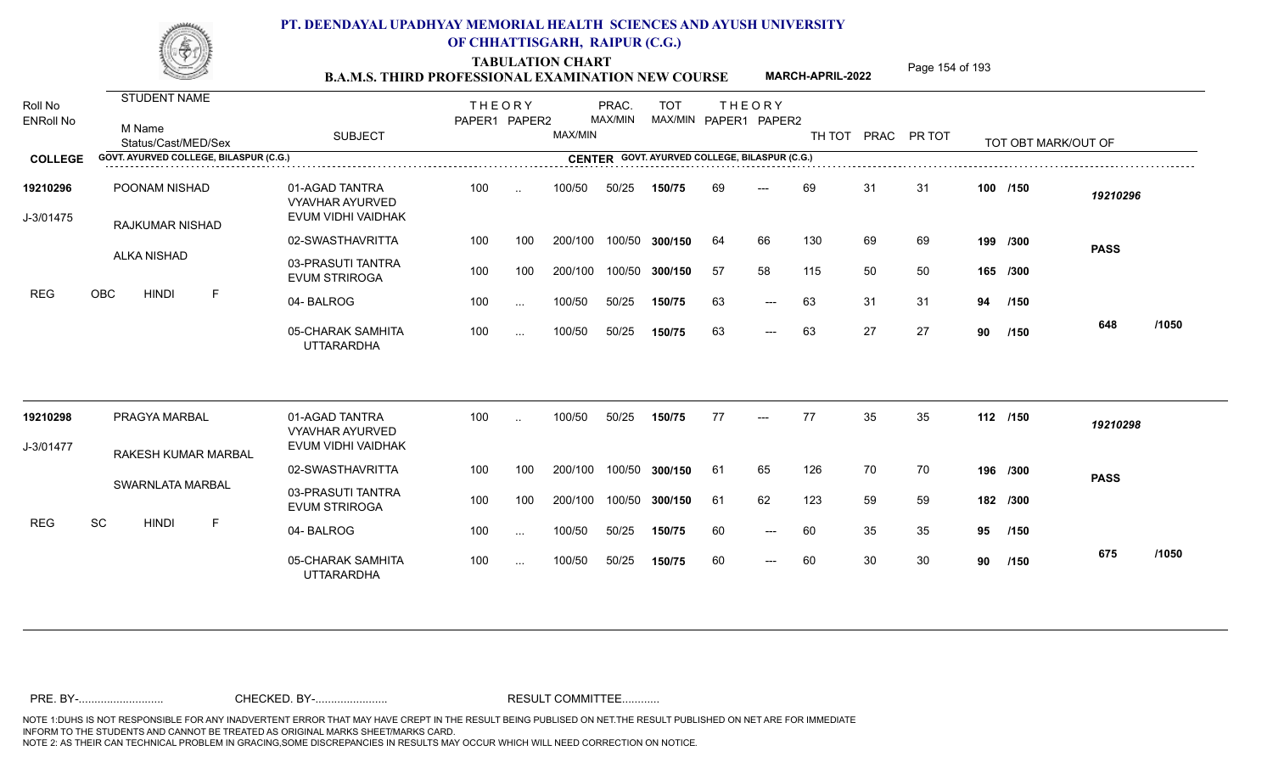TABULATION CHART<br> **TABULATION CHART EXAMINATION NEW COURSE MARCH-APRIL-2022** <sup>Page 154 of 193</sup>

**MARCH-APRIL-2022**

| Roll No<br><b>ENRoll No</b> | STUDENT NAME<br>M Name<br>Status/Cast/MED/Sex | <b>SUBJECT</b>                                                 | <b>THEORY</b><br>PAPER1 PAPER2 |                 | MAX/MIN | PRAC.<br>MAX/MIN | <b>TOT</b><br>MAX/MIN PAPER1 PAPER2           |     | <b>THEORY</b>       | TH TOT PRAC PR TOT |    |    |    | TOT OBT MARK/OUT OF |             |       |
|-----------------------------|-----------------------------------------------|----------------------------------------------------------------|--------------------------------|-----------------|---------|------------------|-----------------------------------------------|-----|---------------------|--------------------|----|----|----|---------------------|-------------|-------|
| <b>COLLEGE</b>              | GOVT. AYURVED COLLEGE, BILASPUR (C.G.)        |                                                                |                                |                 |         |                  | CENTER GOVT. AYURVED COLLEGE, BILASPUR (C.G.) |     |                     |                    |    |    |    |                     |             |       |
| 19210296<br>J-3/01475       | POONAM NISHAD<br>RAJKUMAR NISHAD              | 01-AGAD TANTRA<br><b>VYAVHAR AYURVED</b><br>EVUM VIDHI VAIDHAK | 100                            | $\ddotsc$       | 100/50  | 50/25            | 150/75                                        | 69  | ---                 | 69                 | 31 | 31 |    | 100 /150            | 19210296    |       |
|                             |                                               | 02-SWASTHAVRITTA                                               | 100                            | 100             | 200/100 | 100/50           | 300/150                                       | 64  | 66                  | 130                | 69 | 69 |    | 199 /300            | <b>PASS</b> |       |
|                             | ALKA NISHAD                                   | 03-PRASUTI TANTRA<br><b>EVUM STRIROGA</b>                      | 100                            | 100             | 200/100 | 100/50           | 300/150                                       | -57 | 58                  | 115                | 50 | 50 |    | 165 /300            |             |       |
| <b>REG</b>                  | $\mathsf F$<br>OBC<br><b>HINDI</b>            | 04-BALROG                                                      | 100                            | $\sim$ . $\sim$ | 100/50  | 50/25            | 150/75                                        | 63  | $---$               | 63                 | 31 | 31 | 94 | /150                |             |       |
|                             |                                               | 05-CHARAK SAMHITA<br><b>UTTARARDHA</b>                         | 100                            | $\sim$          | 100/50  | 50/25            | 150/75                                        | 63  | $---$               | 63                 | 27 | 27 | 90 | /150                | 648         | /1050 |
| 19210298                    | PRAGYA MARBAL                                 | 01-AGAD TANTRA<br><b>VYAVHAR AYURVED</b>                       | 100                            | $\sim$          | 100/50  | 50/25            | 150/75                                        | 77  | $---$               | 77                 | 35 | 35 |    | 112 /150            | 19210298    |       |
| J-3/01477                   | <b>RAKESH KUMAR MARBAL</b>                    | EVUM VIDHI VAIDHAK                                             |                                |                 |         |                  |                                               |     |                     |                    |    |    |    |                     |             |       |
|                             |                                               | 02-SWASTHAVRITTA                                               | 100                            | 100             | 200/100 | 100/50           | 300/150                                       | 61  | 65                  | 126                | 70 | 70 |    | 196 /300            | <b>PASS</b> |       |
|                             | SWARNLATA MARBAL                              | 03-PRASUTI TANTRA<br><b>EVUM STRIROGA</b>                      | 100                            | 100             | 200/100 | 100/50           | 300/150                                       | 61  | 62                  | 123                | 59 | 59 |    | 182 /300            |             |       |
| <b>REG</b>                  | <b>SC</b><br><b>HINDI</b><br>F.               | 04-BALROG                                                      | 100                            | $\sim$ .        | 100/50  | 50/25            | 150/75                                        | 60  | $\qquad \qquad - -$ | 60                 | 35 | 35 | 95 | /150                |             |       |
|                             |                                               | 05-CHARAK SAMHITA<br><b>UTTARARDHA</b>                         | 100                            | $\cdots$        | 100/50  | 50/25            | 150/75                                        | 60  | $---$               | 60                 | 30 | 30 | 90 | /150                | 675         | /1050 |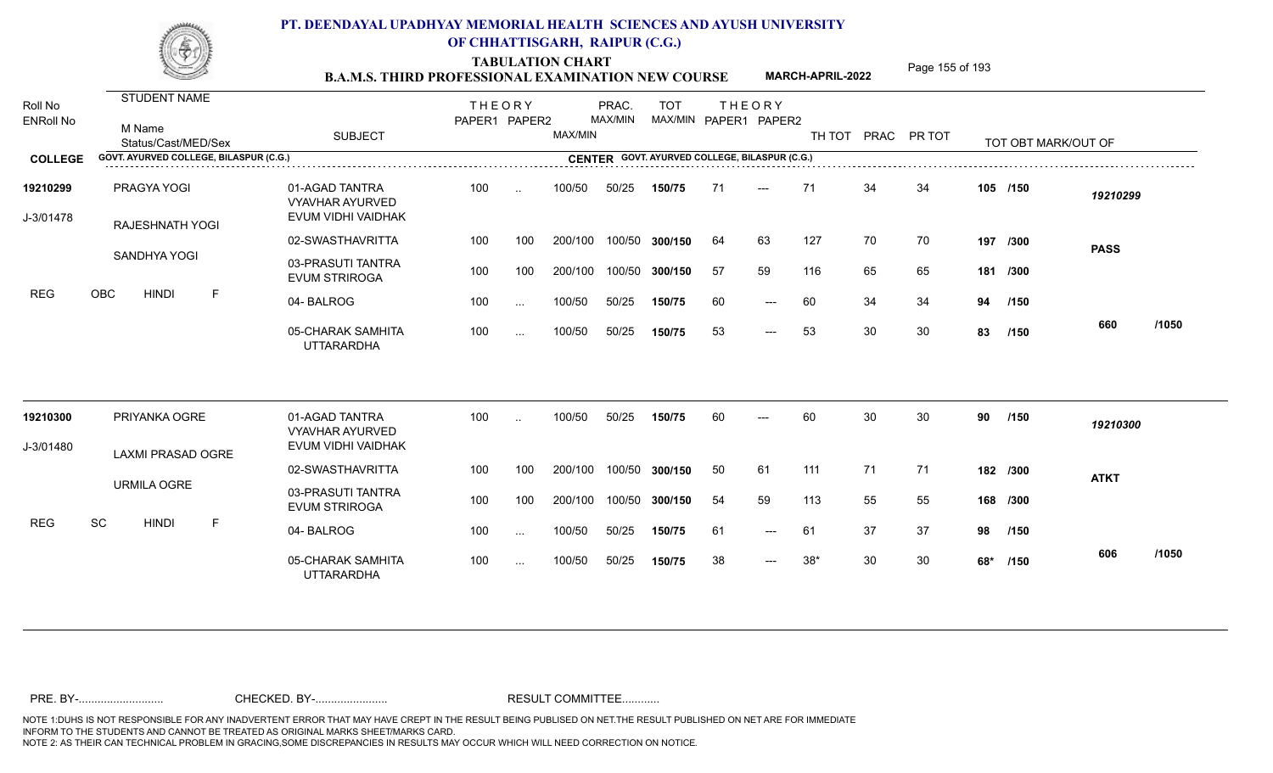TABULATION CHART<br> **TABULATION CHART B.A.M.S. THIRD PROFESSIONAL EXAMINATION NEW COURSE** MARCH-APRIL-2022 **Page 155 of 193** 

**MARCH-APRIL-2022**

| Roll No<br><b>ENRoll No</b> | <b>STUDENT NAME</b><br>M Name<br>Status/Cast/MED/Sex | <b>SUBJECT</b>                                                 | <b>THEORY</b><br>PAPER1 PAPER2 |               | MAX/MIN | PRAC.<br>MAX/MIN | <b>TOT</b>     |    | <b>THEORY</b><br>MAX/MIN PAPER1 PAPER2        | TH TOT PRAC PR TOT |    |     |     | TOT OBT MARK/OUT OF |             |       |
|-----------------------------|------------------------------------------------------|----------------------------------------------------------------|--------------------------------|---------------|---------|------------------|----------------|----|-----------------------------------------------|--------------------|----|-----|-----|---------------------|-------------|-------|
| <b>COLLEGE</b>              | GOVT. AYURVED COLLEGE, BILASPUR (C.G.)               |                                                                |                                |               |         |                  |                |    | CENTER GOVT. AYURVED COLLEGE, BILASPUR (C.G.) |                    |    |     |     |                     |             |       |
| 19210299<br>J-3/01478       | PRAGYA YOGI<br><b>RAJESHNATH YOGI</b>                | 01-AGAD TANTRA<br><b>VYAVHAR AYURVED</b><br>EVUM VIDHI VAIDHAK | 100                            | $\sim$        | 100/50  | 50/25            | 150/75         | 71 | $---$                                         | 71                 | 34 | 34  |     | 105 /150            | 19210299    |       |
|                             |                                                      | 02-SWASTHAVRITTA                                               | 100                            | 100           | 200/100 |                  | 100/50 300/150 | 64 | 63                                            | 127                | 70 | 70  |     | 197 /300            | <b>PASS</b> |       |
|                             | SANDHYA YOGI                                         | 03-PRASUTI TANTRA<br><b>EVUM STRIROGA</b>                      | 100                            | 100           | 200/100 |                  | 100/50 300/150 | 57 | 59                                            | 116                | 65 | 65  |     | 181 /300            |             |       |
| REG                         | OBC<br>F<br><b>HINDI</b>                             | 04-BALROG                                                      | 100                            | $\cdots$      | 100/50  | 50/25            | 150/75         | 60 | $\qquad \qquad - -$                           | 60                 | 34 | 34  | 94  | /150                |             |       |
|                             |                                                      | 05-CHARAK SAMHITA<br><b>UTTARARDHA</b>                         | 100                            | $\sim$ $\sim$ | 100/50  | 50/25            | 150/75         | 53 | $\qquad \qquad - -$                           | 53                 | 30 | 30  | 83  | /150                | 660         | /1050 |
| 19210300                    | PRIYANKA OGRE                                        | 01-AGAD TANTRA<br><b>VYAVHAR AYURVED</b>                       | 100                            | $\sim$        | 100/50  | 50/25            | 150/75         | 60 | $---$                                         | 60                 | 30 | 30  | 90  | /150                | 19210300    |       |
| J-3/01480                   | LAXMI PRASAD OGRE                                    | EVUM VIDHI VAIDHAK                                             |                                |               |         |                  |                |    |                                               |                    |    |     |     |                     |             |       |
|                             |                                                      | 02-SWASTHAVRITTA                                               | 100                            | 100           | 200/100 |                  | 100/50 300/150 | 50 | 61                                            | 111                | 71 | -71 |     | 182 /300            | <b>ATKT</b> |       |
|                             | <b>URMILA OGRE</b>                                   | 03-PRASUTI TANTRA<br><b>EVUM STRIROGA</b>                      | 100                            | 100           | 200/100 |                  | 100/50 300/150 | 54 | 59                                            | 113                | 55 | 55  |     | 168 /300            |             |       |
| <b>REG</b>                  | SC<br>$\mathsf F$<br><b>HINDI</b>                    | 04-BALROG                                                      | 100                            | $\sim$        | 100/50  | 50/25            | 150/75         | 61 | $\qquad \qquad - -$                           | 61                 | 37 | 37  | 98  | /150                |             |       |
|                             |                                                      | 05-CHARAK SAMHITA<br><b>UTTARARDHA</b>                         | 100                            | $\sim$ $\sim$ | 100/50  | 50/25            | 150/75         | 38 | $\qquad \qquad - -$                           | $38*$              | 30 | 30  | 68* | /150                | 606         | /1050 |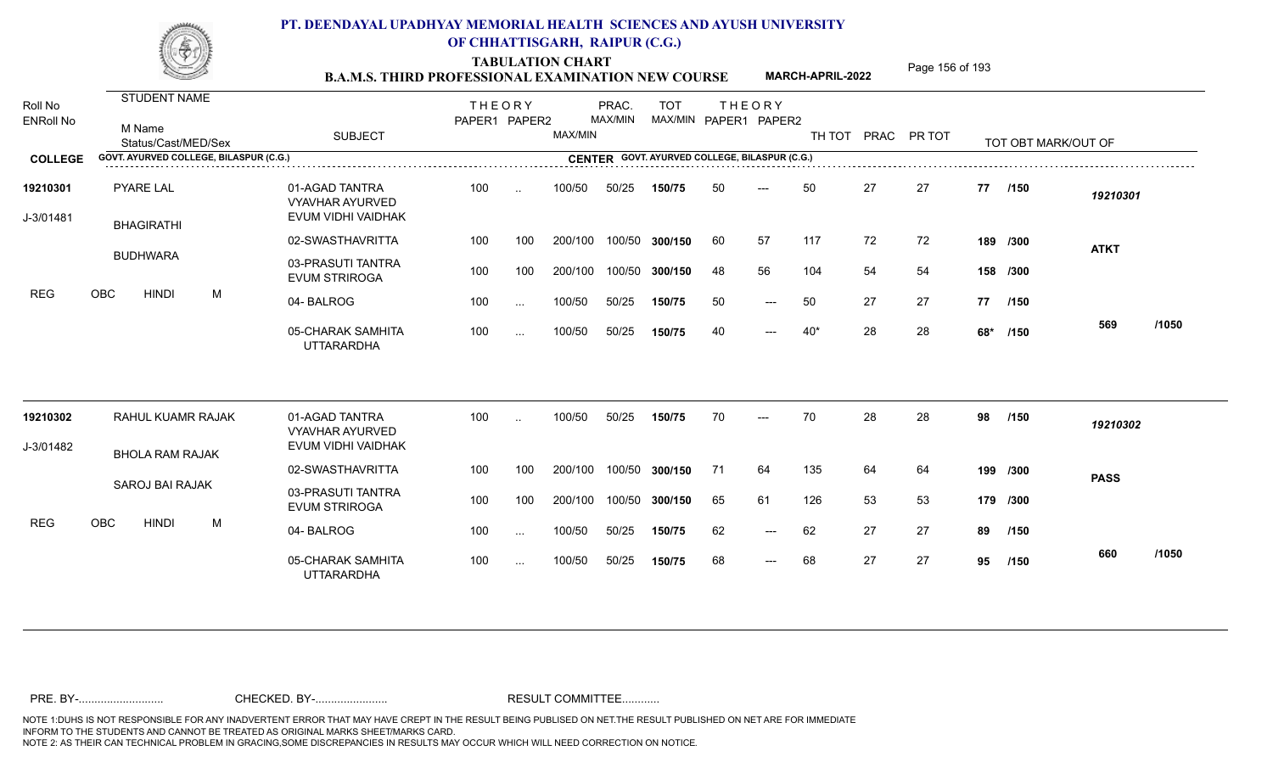TABULATION CHART<br> **TABULATION CHART EXAMINATION NEW COURSE MARCH-APRIL-2022** <sup>Page 156 of 193</sup>

**MARCH-APRIL-2022**

| Roll No               | STUDENT NAME                           |                                                                                                       | <b>THEORY</b> |               |         | PRAC.   | <b>TOT</b>            | <b>THEORY</b> |       |       |    |                    |    |                     |             |       |
|-----------------------|----------------------------------------|-------------------------------------------------------------------------------------------------------|---------------|---------------|---------|---------|-----------------------|---------------|-------|-------|----|--------------------|----|---------------------|-------------|-------|
| <b>ENRoll No</b>      | M Name<br>Status/Cast/MED/Sex          | <b>SUBJECT</b>                                                                                        | PAPER1 PAPER2 |               | MAX/MIN | MAX/MIN | MAX/MIN PAPER1 PAPER2 |               |       |       |    | TH TOT PRAC PR TOT |    | TOT OBT MARK/OUT OF |             |       |
| <b>COLLEGE</b>        | GOVT. AYURVED COLLEGE, BILASPUR (C.G.) | <b>CENTER GOVT. AYURVED COLLEGE, BILASPUR (C.G.)</b><br>CENTER GOVT. AYURVED COLLEGE, BILASPUR (C.G.) |               |               |         |         |                       |               |       |       |    |                    |    |                     |             |       |
| 19210301<br>J-3/01481 | PYARE LAL<br><b>BHAGIRATHI</b>         | 01-AGAD TANTRA<br><b>VYAVHAR AYURVED</b><br>EVUM VIDHI VAIDHAK                                        | 100           | $\sim$        | 100/50  | 50/25   | 150/75                | 50            | ---   | 50    | 27 | 27                 |    | 77 /150             | 19210301    |       |
|                       |                                        | 02-SWASTHAVRITTA                                                                                      | 100           | 100           | 200/100 | 100/50  | 300/150               | 60            | 57    | 117   | 72 | 72                 |    | 189 /300            | <b>ATKT</b> |       |
|                       | <b>BUDHWARA</b>                        | 03-PRASUTI TANTRA<br><b>EVUM STRIROGA</b>                                                             | 100           | 100           | 200/100 | 100/50  | 300/150               | 48            | 56    | 104   | 54 | 54                 |    | 158 /300            |             |       |
| <b>REG</b>            | <b>HINDI</b><br>M<br>OBC               | 04-BALROG                                                                                             | 100           | $\ddotsc$     | 100/50  | 50/25   | 150/75                | 50            | $---$ | 50    | 27 | 27                 |    | 77 /150             |             |       |
|                       |                                        | 05-CHARAK SAMHITA<br><b>UTTARARDHA</b>                                                                | 100           | $\cdots$      | 100/50  | 50/25   | 150/75                | 40            | $---$ | $40*$ | 28 | 28                 |    | 68* /150            | 569         | /1050 |
| 19210302              | RAHUL KUAMR RAJAK                      | 01-AGAD TANTRA                                                                                        | 100           |               | 100/50  | 50/25   | 150/75                | 70            |       | 70    | 28 | 28                 | 98 | /150                | 19210302    |       |
| J-3/01482             |                                        | <b>VYAVHAR AYURVED</b><br>EVUM VIDHI VAIDHAK                                                          |               |               |         |         |                       |               |       |       |    |                    |    |                     |             |       |
|                       | <b>BHOLA RAM RAJAK</b>                 | 02-SWASTHAVRITTA                                                                                      | 100           | 100           | 200/100 | 100/50  | 300/150               | 71            | 64    | 135   | 64 | 64                 |    | 199 /300            | <b>PASS</b> |       |
|                       | <b>SAROJ BAI RAJAK</b>                 | 03-PRASUTI TANTRA<br><b>EVUM STRIROGA</b>                                                             | 100           | 100           | 200/100 | 100/50  | 300/150               | 65            | 61    | 126   | 53 | 53                 |    | 179 /300            |             |       |
| <b>REG</b>            | OBC<br><b>HINDI</b><br>M               | 04-BALROG                                                                                             | 100           | $\sim$ $\sim$ | 100/50  | 50/25   | 150/75                | 62            | $---$ | 62    | 27 | 27                 | 89 | /150                |             |       |
|                       |                                        | 05-CHARAK SAMHITA<br><b>UTTARARDHA</b>                                                                | 100           | $\cdots$      | 100/50  | 50/25   | 150/75                | 68            | $---$ | 68    | 27 | 27                 | 95 | /150                | 660         | /1050 |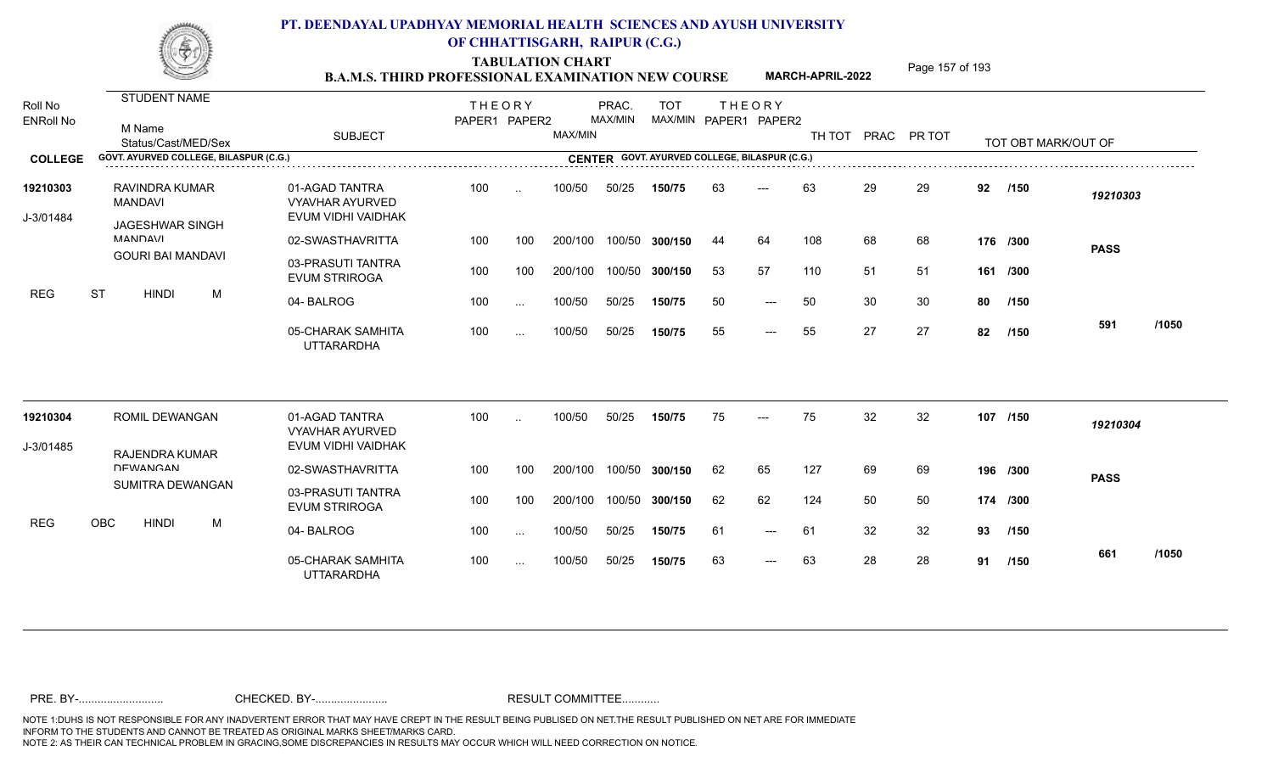TABULATION CHART<br> **TABULATION CHART B.A.M.S. THIRD PROFESSIONAL EXAMINATION NEW COURSE** MARCH-APRIL-2022

**MARCH-APRIL-2022**

| Roll No               | <b>STUDENT NAME</b>                      |                                                                | <b>THEORY</b> |           |         | PRAC.   | <b>TOT</b>                                    |    | <b>THEORY</b>         |     |    |                    |     |                     |             |       |
|-----------------------|------------------------------------------|----------------------------------------------------------------|---------------|-----------|---------|---------|-----------------------------------------------|----|-----------------------|-----|----|--------------------|-----|---------------------|-------------|-------|
| <b>ENRoll No</b>      | M Name<br>Status/Cast/MED/Sex            | <b>SUBJECT</b>                                                 | PAPER1 PAPER2 |           | MAX/MIN | MAX/MIN |                                               |    | MAX/MIN PAPER1 PAPER2 |     |    | TH TOT PRAC PR TOT |     | TOT OBT MARK/OUT OF |             |       |
| <b>COLLEGE</b>        | GOVT. AYURVED COLLEGE, BILASPUR (C.G.)   |                                                                |               |           |         |         | CENTER GOVT. AYURVED COLLEGE, BILASPUR (C.G.) |    |                       |     |    |                    |     |                     |             |       |
| 19210303<br>J-3/01484 | RAVINDRA KUMAR<br><b>MANDAVI</b>         | 01-AGAD TANTRA<br><b>VYAVHAR AYURVED</b><br>EVUM VIDHI VAIDHAK | 100           | $\cdot$   | 100/50  | 50/25   | 150/75                                        | 63 | $---$                 | 63  | 29 | 29                 | 92  | /150                | 19210303    |       |
|                       | <b>JAGESHWAR SINGH</b><br><b>MANDAVI</b> | 02-SWASTHAVRITTA                                               | 100           | 100       | 200/100 |         | 100/50 300/150                                | 44 | 64                    | 108 | 68 | 68                 |     | 176 /300            |             |       |
|                       | <b>GOURI BAI MANDAVI</b>                 |                                                                |               |           |         |         |                                               |    |                       |     |    |                    |     |                     | <b>PASS</b> |       |
|                       |                                          | 03-PRASUTI TANTRA<br><b>EVUM STRIROGA</b>                      | 100           | 100       | 200/100 |         | 100/50 300/150                                | 53 | 57                    | 110 | 51 | 51                 | 161 | /300                |             |       |
| <b>REG</b>            | <b>ST</b><br><b>HINDI</b><br>M           | 04-BALROG                                                      | 100           | $\cdots$  | 100/50  | 50/25   | 150/75                                        | 50 | $---$                 | 50  | 30 | 30                 | 80  | /150                |             |       |
|                       |                                          | 05-CHARAK SAMHITA<br><b>UTTARARDHA</b>                         | 100           | $\cdots$  | 100/50  | 50/25   | 150/75                                        | 55 | $---$                 | 55  | 27 | 27                 | 82  | /150                | 591         | /1050 |
| 19210304              | ROMIL DEWANGAN                           | 01-AGAD TANTRA                                                 | 100           | $\cdot$ . | 100/50  | 50/25   | 150/75                                        | 75 | $---$                 | 75  | 32 | 32                 |     | 107 /150            |             |       |
|                       |                                          | <b>VYAVHAR AYURVED</b>                                         |               |           |         |         |                                               |    |                       |     |    |                    |     |                     | 19210304    |       |
| J-3/01485             | <b>RAJENDRA KUMAR</b>                    | EVUM VIDHI VAIDHAK                                             |               |           |         |         |                                               |    |                       |     |    |                    |     |                     |             |       |
|                       | <b>DEWANGAN</b>                          | 02-SWASTHAVRITTA                                               | 100           | 100       | 200/100 |         | 100/50 300/150                                | 62 | 65                    | 127 | 69 | 69                 |     | 196 /300            | <b>PASS</b> |       |
|                       | SUMITRA DEWANGAN                         | 03-PRASUTI TANTRA<br><b>EVUM STRIROGA</b>                      | 100           | 100       | 200/100 |         | 100/50 300/150                                | 62 | 62                    | 124 | 50 | 50                 |     | 174 /300            |             |       |
| <b>REG</b>            | OBC<br><b>HINDI</b><br>M                 | 04-BALROG                                                      | 100           | $\cdots$  | 100/50  | 50/25   | 150/75                                        | 61 | $---$                 | 61  | 32 | 32                 | 93  | /150                |             |       |
|                       |                                          | 05-CHARAK SAMHITA<br><b>UTTARARDHA</b>                         | 100           | $\cdots$  | 100/50  | 50/25   | 150/75                                        | 63 | $---$                 | 63  | 28 | 28                 | 91  | /150                | 661         | /1050 |
|                       |                                          |                                                                |               |           |         |         |                                               |    |                       |     |    |                    |     |                     |             |       |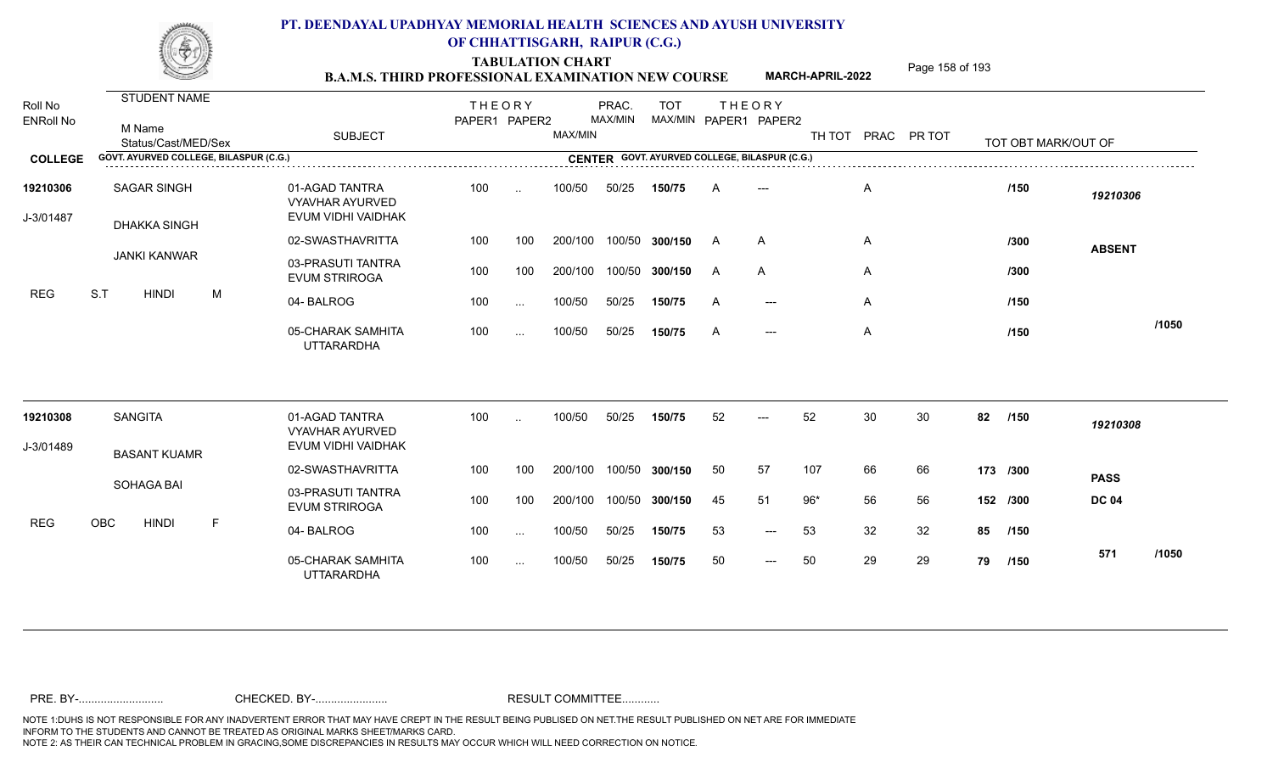TABULATION CHART<br> **TABULATION CHART EXAMINATION NEW COURSE MARCH-APRIL-2022** <sup>Page 158 of 193</sup>

**MARCH-APRIL-2022**

| Roll No<br><b>ENRoll No</b> | STUDENT NAME<br>M Name<br>Status/Cast/MED/Sex | <b>SUBJECT</b>                                                 | <b>THEORY</b><br>PAPER1 PAPER2 |           | MAX/MIN | PRAC.<br>MAX/MIN | <b>TOT</b>     |    | <b>THEORY</b><br>MAX/MIN PAPER1 PAPER2        |       |    | TH TOT PRAC PR TOT |          | TOT OBT MARK/OUT OF |               |       |
|-----------------------------|-----------------------------------------------|----------------------------------------------------------------|--------------------------------|-----------|---------|------------------|----------------|----|-----------------------------------------------|-------|----|--------------------|----------|---------------------|---------------|-------|
| <b>COLLEGE</b>              | GOVT. AYURVED COLLEGE, BILASPUR (C.G.)        |                                                                |                                |           |         |                  |                |    | CENTER GOVT. AYURVED COLLEGE, BILASPUR (C.G.) |       |    |                    |          |                     |               |       |
| 19210306<br>J-3/01487       | <b>SAGAR SINGH</b><br><b>DHAKKA SINGH</b>     | 01-AGAD TANTRA<br><b>VYAVHAR AYURVED</b><br>EVUM VIDHI VAIDHAK | 100                            | $\ddotsc$ | 100/50  | 50/25            | 150/75         | A  |                                               |       | A  |                    |          | /150                | 19210306      |       |
|                             |                                               | 02-SWASTHAVRITTA                                               | 100                            | 100       | 200/100 |                  | 100/50 300/150 | A  | $\overline{A}$                                |       | A  |                    |          | /300                | <b>ABSENT</b> |       |
|                             | <b>JANKI KANWAR</b>                           | 03-PRASUTI TANTRA<br><b>EVUM STRIROGA</b>                      | 100                            | 100       | 200/100 | 100/50           | 300/150        | A  | A                                             |       | A  |                    |          | /300                |               |       |
| <b>REG</b>                  | S.T<br>M<br><b>HINDI</b>                      | 04-BALROG                                                      | 100                            | $\sim$ .  | 100/50  | 50/25            | 150/75         | A  | $---$                                         |       | A  |                    |          | /150                |               |       |
|                             |                                               | 05-CHARAK SAMHITA<br><b>UTTARARDHA</b>                         | 100                            | $\cdots$  | 100/50  | 50/25            | 150/75         | A  | $\qquad \qquad - -$                           |       | A  |                    |          | /150                |               | /1050 |
| 19210308                    | <b>SANGITA</b>                                | 01-AGAD TANTRA<br><b>VYAVHAR AYURVED</b>                       | 100                            | $\ddotsc$ | 100/50  | 50/25            | 150/75         | 52 | $---$                                         | 52    | 30 | 30                 | 82       | /150                | 19210308      |       |
| J-3/01489                   | <b>BASANT KUAMR</b>                           | EVUM VIDHI VAIDHAK                                             |                                |           |         |                  |                |    |                                               |       |    |                    |          |                     |               |       |
|                             |                                               | 02-SWASTHAVRITTA                                               | 100                            | 100       | 200/100 | 100/50           | 300/150        | 50 | 57                                            | 107   | 66 | 66                 | 173 /300 |                     | <b>PASS</b>   |       |
|                             | SOHAGA BAI                                    | 03-PRASUTI TANTRA<br><b>EVUM STRIROGA</b>                      | 100                            | 100       | 200/100 | 100/50           | 300/150        | 45 | 51                                            | $96*$ | 56 | 56                 |          | 152 /300            | <b>DC 04</b>  |       |
| <b>REG</b>                  | $\mathsf F$<br><b>OBC</b><br><b>HINDI</b>     | 04-BALROG                                                      | 100                            | $\sim$    | 100/50  | 50/25            | 150/75         | 53 | $\qquad \qquad - -$                           | 53    | 32 | 32                 | 85       | /150                |               |       |
|                             |                                               | 05-CHARAK SAMHITA<br><b>UTTARARDHA</b>                         | 100                            | $\cdots$  | 100/50  | 50/25            | 150/75         | 50 | $\qquad \qquad - -$                           | 50    | 29 | 29                 | 79       | /150                | 571           | /1050 |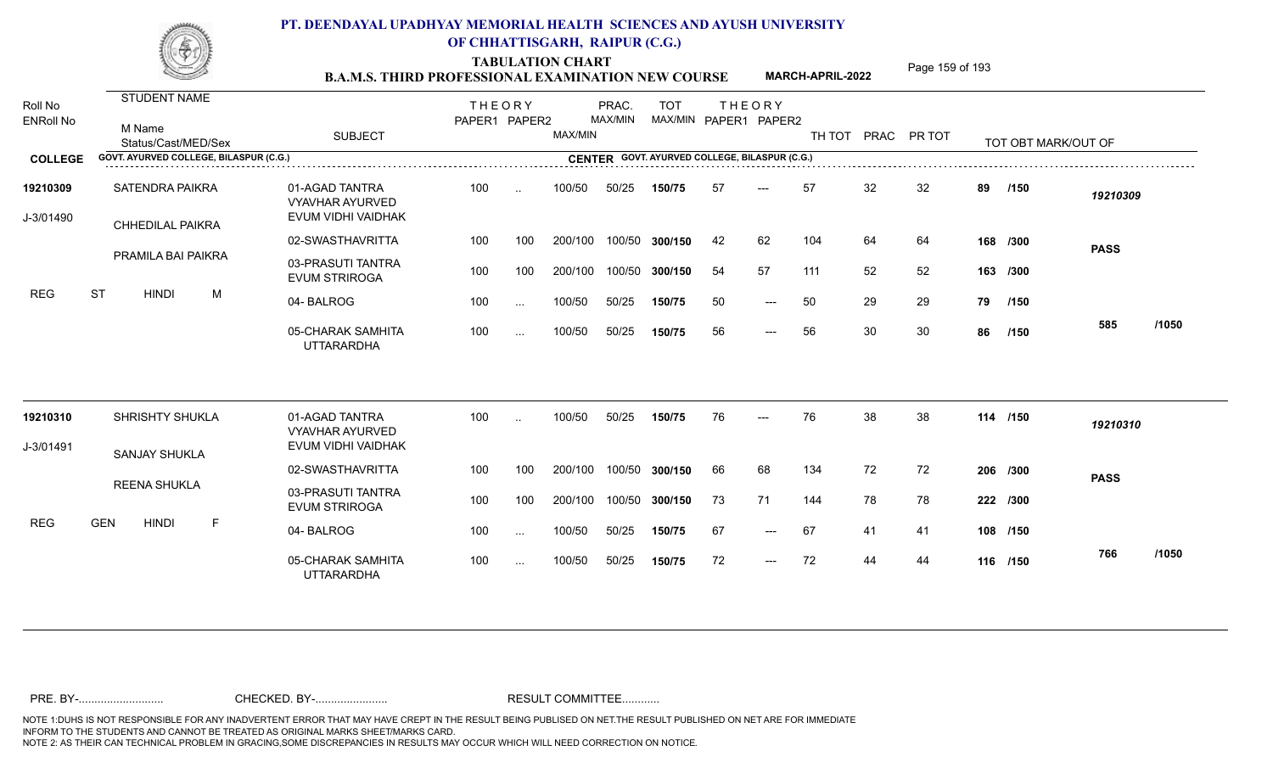TABULATION CHART<br> **TABULATION CHART EXAMINATION NEW COURSE MARCH-APRIL-2022** <sup>Page 159 of 193</sup>

**MARCH-APRIL-2022**

| Roll No<br><b>ENRoll No</b> | STUDENT NAME<br>M Name<br>Status/Cast/MED/Sex | <b>SUBJECT</b>                                                 | <b>THEORY</b><br>PAPER1 PAPER2 |           | MAX/MIN | PRAC.<br>MAX/MIN | <b>TOT</b>                                    |    | <b>THEORY</b><br>MAX/MIN PAPER1 PAPER2 |     |    | TH TOT PRAC PR TOT |    | TOT OBT MARK/OUT OF |             |       |
|-----------------------------|-----------------------------------------------|----------------------------------------------------------------|--------------------------------|-----------|---------|------------------|-----------------------------------------------|----|----------------------------------------|-----|----|--------------------|----|---------------------|-------------|-------|
| <b>COLLEGE</b>              | GOVT. AYURVED COLLEGE, BILASPUR (C.G.)        |                                                                |                                |           |         |                  | CENTER GOVT. AYURVED COLLEGE, BILASPUR (C.G.) |    |                                        |     |    |                    |    |                     |             |       |
| 19210309<br>J-3/01490       | SATENDRA PAIKRA<br><b>CHHEDILAL PAIKRA</b>    | 01-AGAD TANTRA<br><b>VYAVHAR AYURVED</b><br>EVUM VIDHI VAIDHAK | 100                            | $\sim$    | 100/50  | 50/25            | 150/75                                        | 57 | ---                                    | 57  | 32 | 32                 | 89 | /150                | 19210309    |       |
|                             |                                               | 02-SWASTHAVRITTA                                               | 100                            | 100       | 200/100 | 100/50           | 300/150                                       | 42 | 62                                     | 104 | 64 | 64                 |    | 168 /300            | <b>PASS</b> |       |
|                             | <b>PRAMILA BAI PAIKRA</b>                     | 03-PRASUTI TANTRA<br><b>EVUM STRIROGA</b>                      | 100                            | 100       | 200/100 | 100/50           | 300/150                                       | 54 | 57                                     | 111 | 52 | 52                 |    | 163 /300            |             |       |
| <b>REG</b>                  | <b>ST</b><br>M<br><b>HINDI</b>                | 04-BALROG                                                      | 100                            | $\sim$ .  | 100/50  | 50/25            | 150/75                                        | 50 | $---$                                  | 50  | 29 | 29                 | 79 | /150                |             |       |
|                             |                                               | 05-CHARAK SAMHITA<br><b>UTTARARDHA</b>                         | 100                            | $\sim$ .  | 100/50  | 50/25            | 150/75                                        | 56 | $---$                                  | 56  | 30 | 30                 | 86 | /150                | 585         | /1050 |
| 19210310                    | SHRISHTY SHUKLA                               | 01-AGAD TANTRA<br><b>VYAVHAR AYURVED</b>                       | 100                            | $\ddotsc$ | 100/50  | 50/25            | 150/75                                        | 76 | ---                                    | 76  | 38 | 38                 |    | 114 /150            | 19210310    |       |
| J-3/01491                   | <b>SANJAY SHUKLA</b>                          | EVUM VIDHI VAIDHAK                                             |                                |           |         |                  |                                               |    |                                        |     |    |                    |    |                     |             |       |
|                             |                                               | 02-SWASTHAVRITTA                                               | 100                            | 100       | 200/100 | 100/50           | 300/150                                       | 66 | 68                                     | 134 | 72 | 72                 |    | 206 /300            | <b>PASS</b> |       |
|                             | <b>REENA SHUKLA</b>                           | 03-PRASUTI TANTRA<br><b>EVUM STRIROGA</b>                      | 100                            | 100       | 200/100 | 100/50           | 300/150                                       | 73 | 71                                     | 144 | 78 | 78                 |    | 222 /300            |             |       |
| <b>REG</b>                  | <b>GEN</b><br><b>HINDI</b><br>$\mathsf F$     | 04-BALROG                                                      | 100                            | $\sim$    | 100/50  | 50/25            | 150/75                                        | 67 | $---$                                  | 67  | 41 | 41                 |    | 108 /150            |             |       |
|                             |                                               | 05-CHARAK SAMHITA<br><b>UTTARARDHA</b>                         | 100                            | $\cdots$  | 100/50  | 50/25            | 150/75                                        | 72 | $---$                                  | 72  | 44 | 44                 |    | 116 /150            | 766         | /1050 |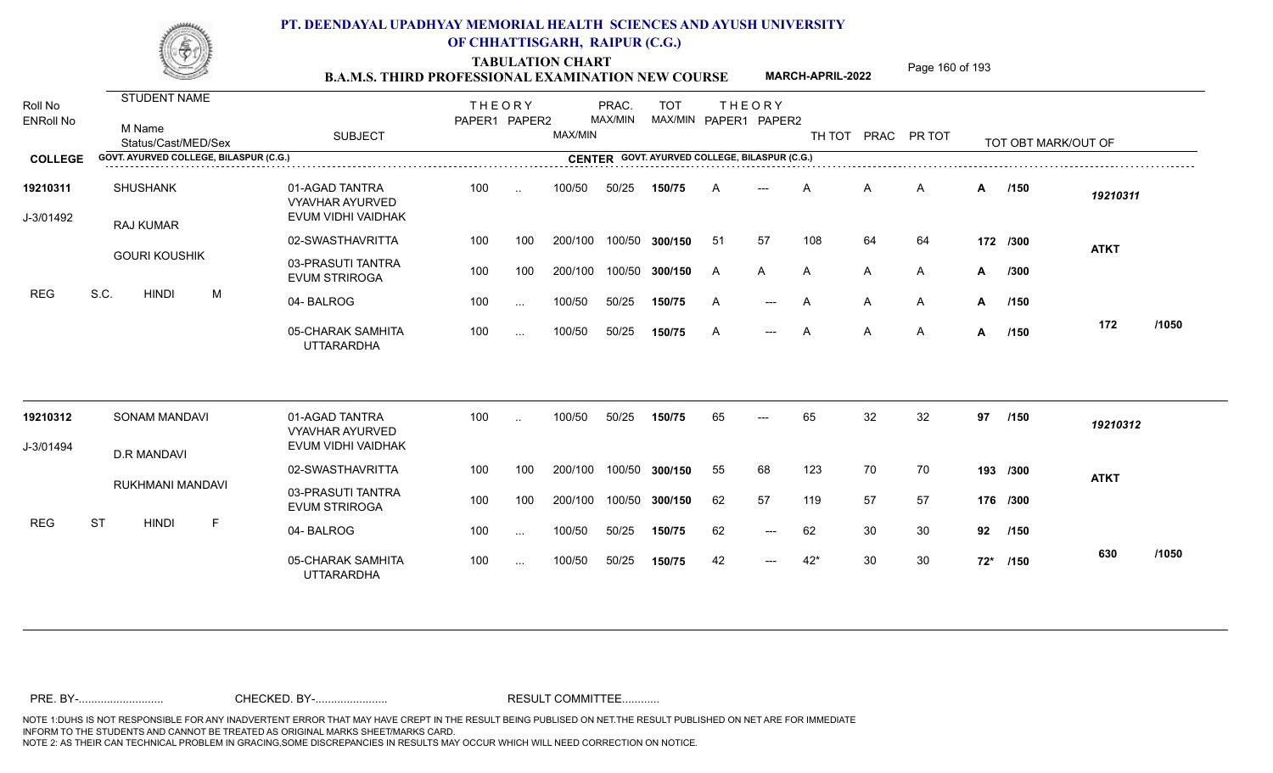TABULATION CHART<br> **TABULATION CHART EXAMINATION NEW COURSE MARCH-APRIL-2022** <sup>Page 160 of 193</sup>

**MARCH-APRIL-2022**

| Roll No<br><b>ENRoll No</b> | STUDENT NAME<br>M Name                 |                                                                | <b>THEORY</b><br>PAPER1 PAPER2 |               |         | PRAC.<br>MAX/MIN | <b>TOT</b><br>MAX/MIN PAPER1 PAPER2 | <b>THEORY</b> |       |       |                |                    |    |                     |             |       |
|-----------------------------|----------------------------------------|----------------------------------------------------------------|--------------------------------|---------------|---------|------------------|-------------------------------------|---------------|-------|-------|----------------|--------------------|----|---------------------|-------------|-------|
|                             | Status/Cast/MED/Sex                    | <b>SUBJECT</b>                                                 |                                |               | MAX/MIN |                  |                                     |               |       |       |                | TH TOT PRAC PR TOT |    | TOT OBT MARK/OUT OF |             |       |
| <b>COLLEGE</b>              | GOVT. AYURVED COLLEGE, BILASPUR (C.G.) |                                                                |                                |               |         |                  |                                     |               |       |       |                |                    |    |                     |             |       |
| 19210311<br>J-3/01492       | <b>SHUSHANK</b><br><b>RAJ KUMAR</b>    | 01-AGAD TANTRA<br><b>VYAVHAR AYURVED</b><br>EVUM VIDHI VAIDHAK | 100                            | $\sim$        | 100/50  | 50/25            | 150/75                              |               |       |       | A              | A                  |    | A /150              | 19210311    |       |
|                             |                                        | 02-SWASTHAVRITTA                                               | 100                            | 100           | 200/100 | 100/50           | 300/150                             | -51           | 57    | 108   | 64             | 64                 |    | 172 /300            | <b>ATKT</b> |       |
|                             | <b>GOURI KOUSHIK</b>                   | 03-PRASUTI TANTRA<br><b>EVUM STRIROGA</b>                      | 100                            | 100           | 200/100 | 100/50           | 300/150                             | A             | A     | A     | A              | A                  | A  | /300                |             |       |
| <b>REG</b>                  | S.C.<br><b>HINDI</b><br>M              | 04-BALROG                                                      | 100                            | $\ddotsc$     | 100/50  | 50/25            | 150/75                              | A             | $---$ | A     | A              | A                  | A  | /150                |             |       |
|                             |                                        | 05-CHARAK SAMHITA<br><b>UTTARARDHA</b>                         | 100                            | $\cdots$      | 100/50  | 50/25            | 150/75                              | A             | $---$ | A     | $\overline{A}$ | $\mathsf{A}$       | A  | 1150                | 172         | /1050 |
| 19210312                    | <b>SONAM MANDAVI</b>                   | 01-AGAD TANTRA                                                 | 100                            |               | 100/50  | 50/25            | 150/75                              | 65            |       | 65    | 32             | 32                 | 97 | /150                | 19210312    |       |
| J-3/01494                   |                                        | <b>VYAVHAR AYURVED</b><br>EVUM VIDHI VAIDHAK                   |                                |               |         |                  |                                     |               |       |       |                |                    |    |                     |             |       |
|                             | <b>D.R MANDAVI</b>                     | 02-SWASTHAVRITTA                                               | 100                            | 100           | 200/100 | 100/50           | 300/150                             | 55            | 68    | 123   | 70             | 70                 |    | 193 /300            | <b>ATKT</b> |       |
|                             | RUKHMANI MANDAVI                       | 03-PRASUTI TANTRA<br><b>EVUM STRIROGA</b>                      | 100                            | 100           | 200/100 | 100/50           | 300/150                             | 62            | 57    | 119   | 57             | 57                 |    | 176 /300            |             |       |
| <b>REG</b>                  | F<br><b>ST</b><br><b>HINDI</b>         | 04-BALROG                                                      | 100                            | $\sim$ $\sim$ | 100/50  | 50/25            | 150/75                              | 62            | $---$ | 62    | 30             | 30                 |    | 92 /150             |             |       |
|                             |                                        | 05-CHARAK SAMHITA<br><b>UTTARARDHA</b>                         | 100                            | $\cdots$      | 100/50  | 50/25            | 150/75                              | 42            | $---$ | $42*$ | 30             | 30                 |    | 72* /150            | 630         | /1050 |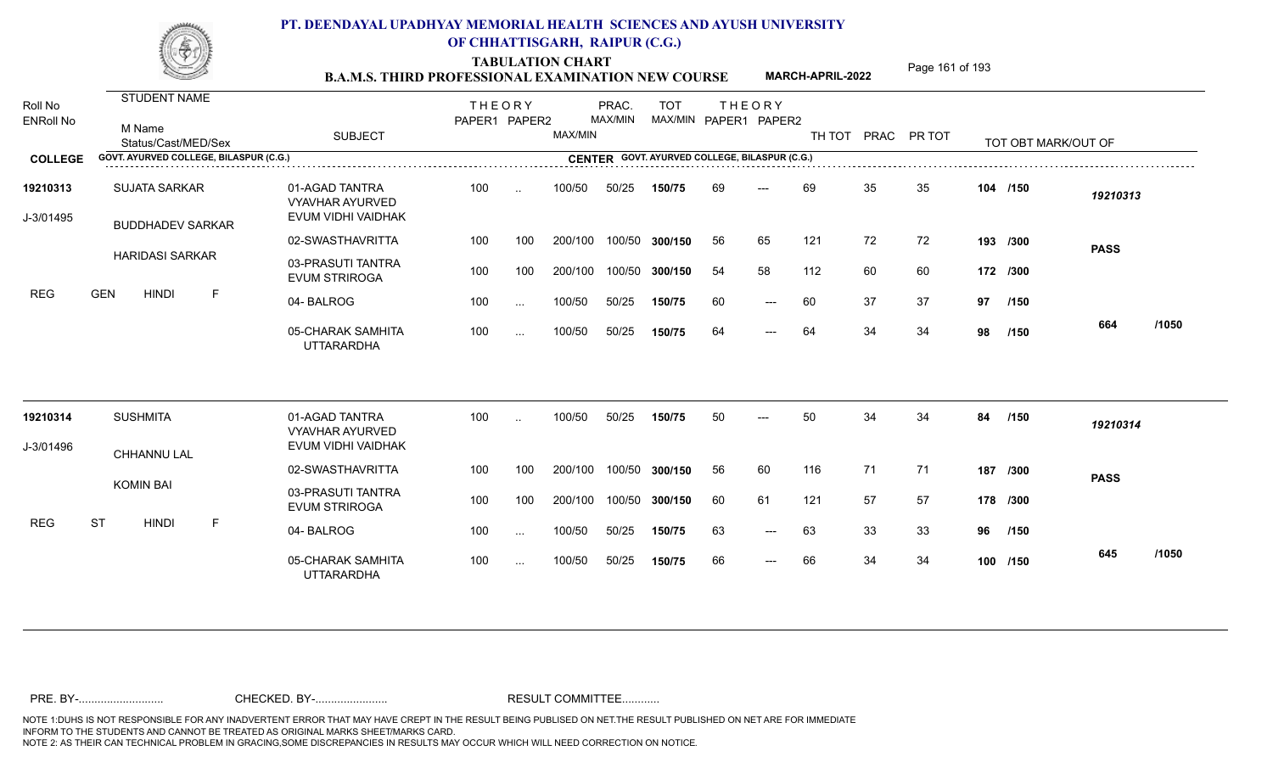TABULATION CHART<br> **TABULATION CHART EXAMINATION NEW COURSE MARCH-APRIL-2022** <sup>Page 161 of 193</sup>

**MARCH-APRIL-2022**

| Roll No<br><b>ENRoll No</b> | STUDENT NAME<br>M Name<br>Status/Cast/MED/Sex                                                                                                   | <b>SUBJECT</b>                                                 | <b>THEORY</b><br>PAPER1 PAPER2 |               | MAX/MIN | PRAC.<br>MAX/MIN | <b>TOT</b><br>MAX/MIN PAPER1 PAPER2 |    | <b>THEORY</b>       |     |    | TH TOT PRAC PR TOT |    | TOT OBT MARK/OUT OF |             |       |
|-----------------------------|-------------------------------------------------------------------------------------------------------------------------------------------------|----------------------------------------------------------------|--------------------------------|---------------|---------|------------------|-------------------------------------|----|---------------------|-----|----|--------------------|----|---------------------|-------------|-------|
| <b>COLLEGE</b>              | GOVT. AYURVED COLLEGE, BILASPUR (C.G.)<br><b>CENTER GOVT. AYURVED COLLEGE, BILASPUR (C.G.)</b><br>CENTER GOVT. AYURVED COLLEGE, BILASPUR (C.G.) |                                                                |                                |               |         |                  |                                     |    |                     |     |    |                    |    |                     |             |       |
| 19210313<br>J-3/01495       | <b>SUJATA SARKAR</b><br><b>BUDDHADEV SARKAR</b>                                                                                                 | 01-AGAD TANTRA<br><b>VYAVHAR AYURVED</b><br>EVUM VIDHI VAIDHAK | 100                            | $\ddotsc$     | 100/50  | 50/25            | 150/75                              | 69 | $---$               | 69  | 35 | 35                 |    | 104 /150            | 19210313    |       |
|                             |                                                                                                                                                 | 02-SWASTHAVRITTA                                               | 100                            | 100           | 200/100 | 100/50           | 300/150                             | 56 | 65                  | 121 | 72 | 72                 |    | 193 /300            | <b>PASS</b> |       |
|                             | <b>HARIDASI SARKAR</b>                                                                                                                          | 03-PRASUTI TANTRA<br><b>EVUM STRIROGA</b>                      | 100                            | 100           | 200/100 | 100/50           | 300/150                             | 54 | 58                  | 112 | 60 | 60                 |    | 172 /300            |             |       |
| <b>REG</b>                  | <b>GEN</b><br><b>HINDI</b><br>$\mathsf F$                                                                                                       | 04-BALROG                                                      | 100                            | $\sim$ $\sim$ | 100/50  | 50/25            | 150/75                              | 60 | $\qquad \qquad - -$ | 60  | 37 | 37                 | 97 | /150                |             |       |
|                             |                                                                                                                                                 | 05-CHARAK SAMHITA<br><b>UTTARARDHA</b>                         | 100                            | $\cdots$      | 100/50  | 50/25            | 150/75                              | 64 | $---$               | 64  | 34 | 34                 | 98 | /150                | 664         | /1050 |
| 19210314                    | <b>SUSHMITA</b>                                                                                                                                 | 01-AGAD TANTRA                                                 | 100                            |               | 100/50  | 50/25            | 150/75                              | 50 |                     | 50  | 34 | 34                 | 84 | /150                | 19210314    |       |
| J-3/01496                   | CHHANNU LAL                                                                                                                                     | <b>VYAVHAR AYURVED</b><br>EVUM VIDHI VAIDHAK                   |                                |               |         |                  |                                     |    |                     |     |    |                    |    |                     |             |       |
|                             |                                                                                                                                                 | 02-SWASTHAVRITTA                                               | 100                            | 100           | 200/100 | 100/50           | 300/150                             | 56 | 60                  | 116 | 71 | 71                 |    | 187 /300            | <b>PASS</b> |       |
|                             | <b>KOMIN BAI</b>                                                                                                                                | 03-PRASUTI TANTRA<br><b>EVUM STRIROGA</b>                      | 100                            | 100           | 200/100 | 100/50           | 300/150                             | 60 | 61                  | 121 | 57 | 57                 |    | 178 /300            |             |       |
| <b>REG</b>                  | <b>ST</b><br><b>HINDI</b><br>E                                                                                                                  | 04-BALROG                                                      | 100                            | $\sim$ $\sim$ | 100/50  | 50/25            | 150/75                              | 63 | $\qquad \qquad - -$ | 63  | 33 | 33                 |    | 96 /150             |             |       |
|                             |                                                                                                                                                 | 05-CHARAK SAMHITA<br><b>UTTARARDHA</b>                         | 100                            | $\cdots$      | 100/50  | 50/25            | 150/75                              | 66 | $---$               | 66  | 34 | 34                 |    | 100 /150            | 645         | /1050 |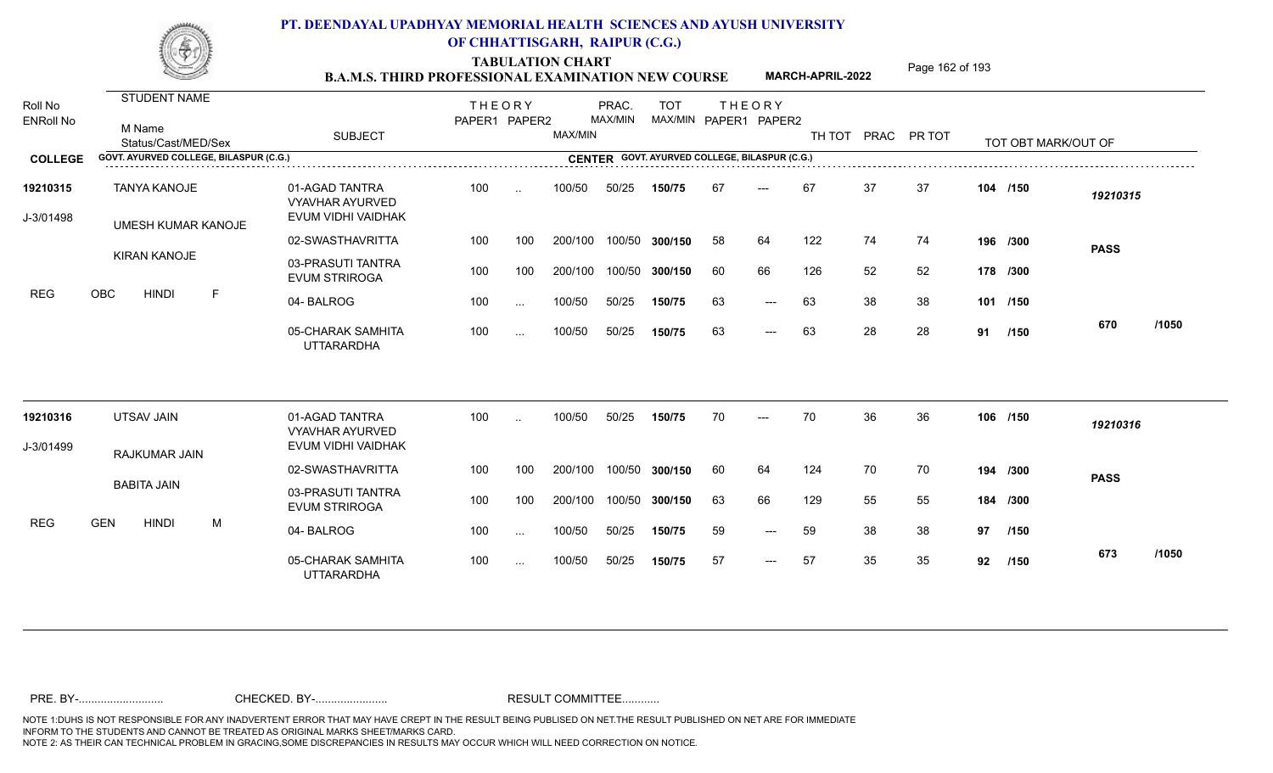TABULATION CHART<br> **TABULATION CHART EXAMINATION NEW COURSE MARCH-APRIL-2022** <sup>Page 162 of 193</sup>

**MARCH-APRIL-2022**

| Roll No<br><b>ENRoll No</b> | <b>STUDENT NAME</b><br>M Name<br>Status/Cast/MED/Sex |             | <b>SUBJECT</b>                                                 | <b>THEORY</b><br>PAPER1 PAPER2 |           | MAX/MIN | PRAC.<br>MAX/MIN | <b>TOT</b>                                    |    | <b>THEORY</b><br>MAX/MIN PAPER1 PAPER2 |     |    | TH TOT PRAC PR TOT |          | TOT OBT MARK/OUT OF |             |       |
|-----------------------------|------------------------------------------------------|-------------|----------------------------------------------------------------|--------------------------------|-----------|---------|------------------|-----------------------------------------------|----|----------------------------------------|-----|----|--------------------|----------|---------------------|-------------|-------|
| <b>COLLEGE</b>              | GOVT. AYURVED COLLEGE, BILASPUR (C.G.)               |             |                                                                |                                |           |         |                  | CENTER GOVT. AYURVED COLLEGE, BILASPUR (C.G.) |    |                                        |     |    |                    |          |                     |             |       |
| 19210315<br>J-3/01498       | <b>TANYA KANOJE</b><br><b>UMESH KUMAR KANOJE</b>     |             | 01-AGAD TANTRA<br><b>VYAVHAR AYURVED</b><br>EVUM VIDHI VAIDHAK | 100                            | $\ddotsc$ | 100/50  | 50/25            | 150/75                                        | 67 | ---                                    | 67  | 37 | 37                 | 104 /150 |                     | 19210315    |       |
|                             |                                                      |             | 02-SWASTHAVRITTA                                               | 100                            | 100       | 200/100 | 100/50           | 300/150                                       | 58 | 64                                     | 122 | 74 | 74                 |          | 196 /300            | <b>PASS</b> |       |
|                             | <b>KIRAN KANOJE</b>                                  |             | 03-PRASUTI TANTRA<br><b>EVUM STRIROGA</b>                      | 100                            | 100       | 200/100 | 100/50           | 300/150                                       | 60 | 66                                     | 126 | 52 | 52                 |          | 178 /300            |             |       |
| <b>REG</b>                  | OBC<br><b>HINDI</b>                                  | $\mathsf F$ | 04-BALROG                                                      | 100                            | $\sim$ .  | 100/50  | 50/25            | 150/75                                        | 63 | $---$                                  | 63  | 38 | 38                 | 101 /150 |                     |             |       |
|                             |                                                      |             | 05-CHARAK SAMHITA<br><b>UTTARARDHA</b>                         | 100                            | $\ddotsc$ | 100/50  | 50/25            | 150/75                                        | 63 | $---$                                  | 63  | 28 | 28                 |          | 91 /150             | 670         | /1050 |
| 19210316                    | UTSAV JAIN                                           |             | 01-AGAD TANTRA<br><b>VYAVHAR AYURVED</b>                       | 100                            |           | 100/50  | 50/25            | 150/75                                        | 70 | $---$                                  | 70  | 36 | 36                 |          | 106 /150            | 19210316    |       |
| J-3/01499                   | RAJKUMAR JAIN                                        |             | EVUM VIDHI VAIDHAK                                             |                                |           |         |                  |                                               |    |                                        |     |    |                    |          |                     |             |       |
|                             |                                                      |             | 02-SWASTHAVRITTA                                               | 100                            | 100       | 200/100 | 100/50           | 300/150                                       | 60 | 64                                     | 124 | 70 | 70                 |          | 194 /300            | <b>PASS</b> |       |
|                             | <b>BABITA JAIN</b>                                   |             | 03-PRASUTI TANTRA<br><b>EVUM STRIROGA</b>                      | 100                            | 100       | 200/100 | 100/50           | 300/150                                       | 63 | 66                                     | 129 | 55 | 55                 |          | 184 /300            |             |       |
| <b>REG</b>                  | <b>GEN</b><br><b>HINDI</b>                           | M           | 04-BALROG                                                      | 100                            | $\cdots$  | 100/50  | 50/25            | 150/75                                        | 59 | $---$                                  | 59  | 38 | 38                 | 97       | /150                |             |       |
|                             |                                                      |             | 05-CHARAK SAMHITA<br><b>UTTARARDHA</b>                         | 100                            | $\cdots$  | 100/50  | 50/25            | 150/75                                        | 57 | $\qquad \qquad - -$                    | 57  | 35 | 35                 | 92       | /150                | 673         | /1050 |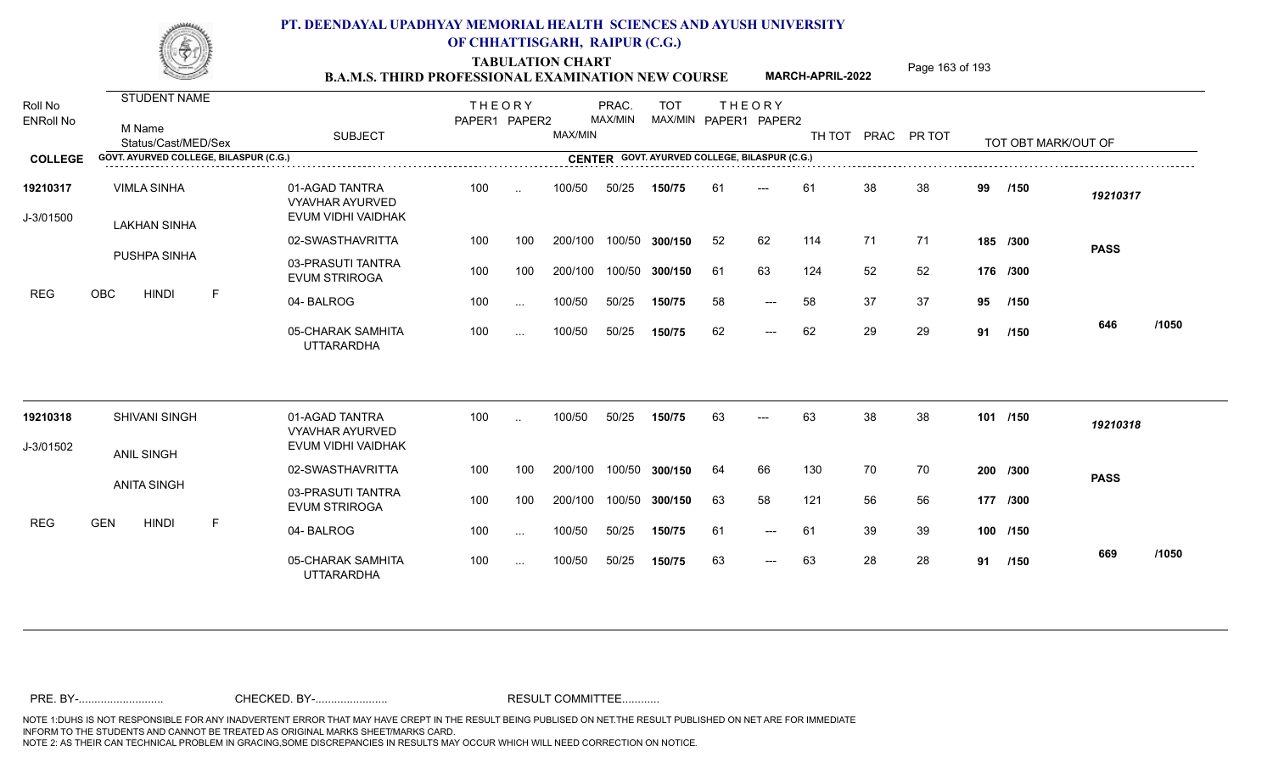TABULATION CHART<br> **TABULATION CHART EXAMINATION NEW COURSE MARCH-APRIL-2022** <sup>Page 163 of 193</sup>

**MARCH-APRIL-2022**

| Roll No<br><b>ENRoll No</b> | STUDENT NAME<br>M Name<br>Status/Cast/MED/Sex |   | <b>SUBJECT</b>                                                 | <b>THEORY</b><br>PAPER1 PAPER2 |               | MAX/MIN | PRAC.<br>MAX/MIN | <b>TOT</b><br>MAX/MIN PAPER1 PAPER2 |    | <b>THEORY</b>       |     |    | TH TOT PRAC PR TOT |    | TOT OBT MARK/OUT OF |             |       |
|-----------------------------|-----------------------------------------------|---|----------------------------------------------------------------|--------------------------------|---------------|---------|------------------|-------------------------------------|----|---------------------|-----|----|--------------------|----|---------------------|-------------|-------|
| <b>COLLEGE</b>              | GOVT. AYURVED COLLEGE, BILASPUR (C.G.)        |   |                                                                |                                |               |         |                  |                                     |    |                     |     |    |                    |    |                     |             |       |
| 19210317<br>J-3/01500       | <b>VIMLA SINHA</b><br><b>LAKHAN SINHA</b>     |   | 01-AGAD TANTRA<br><b>VYAVHAR AYURVED</b><br>EVUM VIDHI VAIDHAK | 100                            | $\sim$        | 100/50  | 50/25            | 150/75                              | 61 | $---$               | 61  | 38 | 38                 | 99 | /150                | 19210317    |       |
|                             |                                               |   | 02-SWASTHAVRITTA                                               | 100                            | 100           | 200/100 | 100/50           | 300/150                             | 52 | 62                  | 114 | 71 | 71                 |    | 185 /300            | <b>PASS</b> |       |
|                             | PUSHPA SINHA                                  |   | 03-PRASUTI TANTRA<br><b>EVUM STRIROGA</b>                      | 100                            | 100           | 200/100 | 100/50           | 300/150                             | 61 | 63                  | 124 | 52 | 52                 |    | 176 /300            |             |       |
| <b>REG</b>                  | <b>OBC</b><br><b>HINDI</b>                    | F | 04-BALROG                                                      | 100                            | $\sim$        | 100/50  | 50/25            | 150/75                              | 58 | $---$               | 58  | 37 | 37                 | 95 | /150                |             |       |
|                             |                                               |   | 05-CHARAK SAMHITA<br><b>UTTARARDHA</b>                         | 100                            | $\cdots$      | 100/50  | 50/25            | 150/75                              | 62 | $\qquad \qquad - -$ | 62  | 29 | 29                 |    | 91 /150             | 646         | /1050 |
| 19210318                    | <b>SHIVANI SINGH</b>                          |   | 01-AGAD TANTRA<br><b>VYAVHAR AYURVED</b>                       | 100                            | $\sim$        | 100/50  | 50/25            | 150/75                              | 63 |                     | 63  | 38 | 38                 |    | 101 /150            | 19210318    |       |
| J-3/01502                   | ANIL SINGH                                    |   | EVUM VIDHI VAIDHAK                                             |                                |               |         |                  |                                     |    |                     |     |    |                    |    |                     |             |       |
|                             |                                               |   | 02-SWASTHAVRITTA                                               | 100                            | 100           | 200/100 | 100/50           | 300/150                             | 64 | 66                  | 130 | 70 | 70                 |    | 200 /300            | <b>PASS</b> |       |
|                             | <b>ANITA SINGH</b>                            |   | 03-PRASUTI TANTRA<br><b>EVUM STRIROGA</b>                      | 100                            | 100           | 200/100 | 100/50           | 300/150                             | 63 | 58                  | 121 | 56 | 56                 |    | 177 /300            |             |       |
| <b>REG</b>                  | <b>GEN</b><br><b>HINDI</b>                    | E | 04-BALROG                                                      | 100                            | $\sim$        | 100/50  | 50/25            | 150/75                              | 61 | $---$               | 61  | 39 | 39                 |    | 100 /150            |             |       |
|                             |                                               |   | 05-CHARAK SAMHITA<br><b>UTTARARDHA</b>                         | 100                            | $\sim$ $\sim$ | 100/50  | 50/25            | 150/75                              | 63 | $---$               | 63  | 28 | 28                 |    | 91 /150             | 669         | /1050 |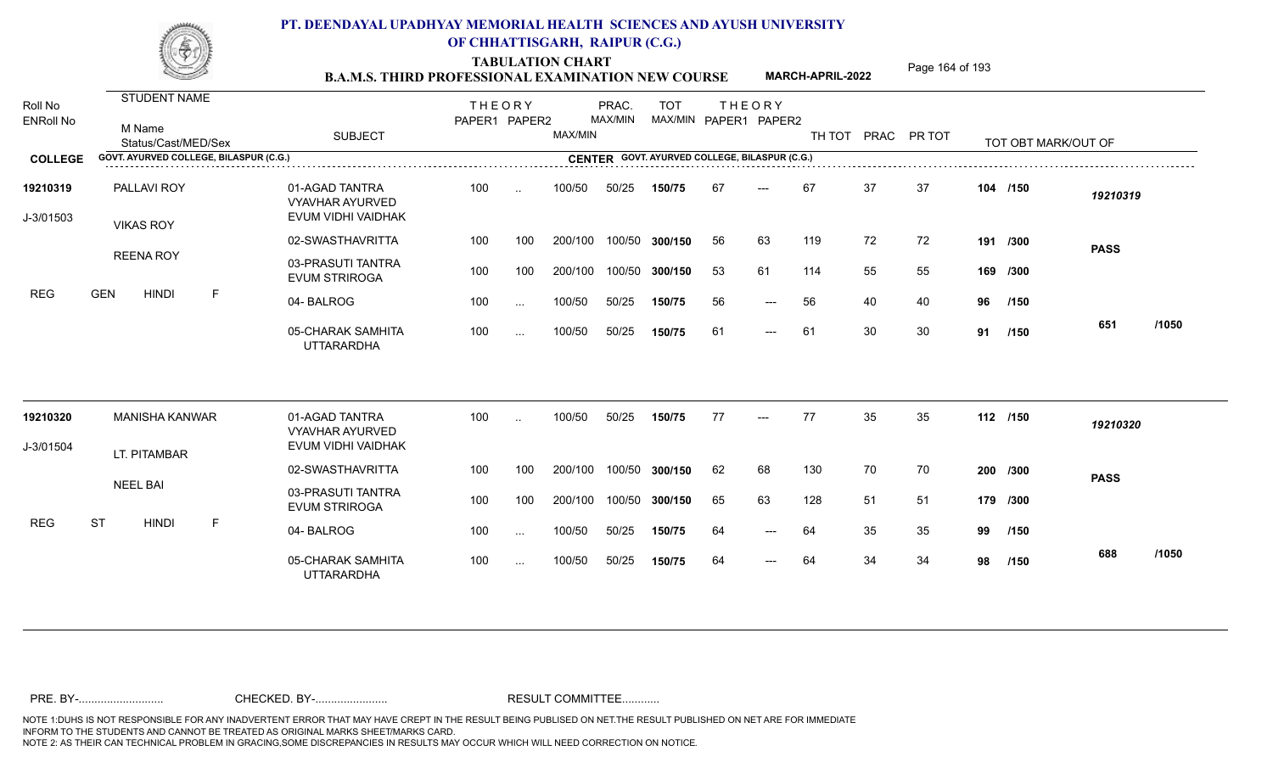TABULATION CHART<br> **TABULATION CHART EXAMINATION NEW COURSE MARCH-APRIL-2022** <sup>Page 164 of 193</sup>

**MARCH-APRIL-2022**

| Roll No<br><b>ENRoll No</b> | STUDENT NAME<br>M Name<br>Status/Cast/MED/Sex | <b>SUBJECT</b>                                                 | <b>THEORY</b><br>PAPER1 PAPER2 |          | MAX/MIN | PRAC.<br>MAX/MIN | <b>TOT</b> |    | <b>THEORY</b><br>MAX/MIN PAPER1 PAPER2        |     |    | TH TOT PRAC PR TOT |    | TOT OBT MARK/OUT OF |             |       |
|-----------------------------|-----------------------------------------------|----------------------------------------------------------------|--------------------------------|----------|---------|------------------|------------|----|-----------------------------------------------|-----|----|--------------------|----|---------------------|-------------|-------|
| <b>COLLEGE</b>              | GOVT. AYURVED COLLEGE, BILASPUR (C.G.)        |                                                                |                                |          |         |                  |            |    | CENTER GOVT. AYURVED COLLEGE, BILASPUR (C.G.) |     |    |                    |    |                     |             |       |
| 19210319<br>J-3/01503       | PALLAVI ROY<br><b>VIKAS ROY</b>               | 01-AGAD TANTRA<br><b>VYAVHAR AYURVED</b><br>EVUM VIDHI VAIDHAK | 100                            | $\sim$   | 100/50  | 50/25            | 150/75     | 67 | $---$                                         | 67  | 37 | 37                 |    | 104 /150            | 19210319    |       |
|                             |                                               | 02-SWASTHAVRITTA                                               | 100                            | 100      | 200/100 | 100/50           | 300/150    | 56 | 63                                            | 119 | 72 | 72                 |    | 191 /300            | <b>PASS</b> |       |
|                             | <b>REENA ROY</b>                              | 03-PRASUTI TANTRA<br><b>EVUM STRIROGA</b>                      | 100                            | 100      | 200/100 | 100/50           | 300/150    | 53 | 61                                            | 114 | 55 | 55                 |    | 169 /300            |             |       |
| <b>REG</b>                  | <b>HINDI</b><br>F<br><b>GEN</b>               | 04-BALROG                                                      | 100                            | $\sim$   | 100/50  | 50/25            | 150/75     | 56 | $\qquad \qquad - -$                           | 56  | 40 | 40                 | 96 | /150                |             |       |
|                             |                                               | 05-CHARAK SAMHITA<br><b>UTTARARDHA</b>                         | 100                            | $\cdots$ | 100/50  | 50/25            | 150/75     | 61 | $\qquad \qquad - -$                           | 61  | 30 | 30                 |    | 91 /150             | 651         | /1050 |
| 19210320                    | <b>MANISHA KANWAR</b>                         | 01-AGAD TANTRA<br><b>VYAVHAR AYURVED</b>                       | 100                            | $\sim$   | 100/50  | 50/25            | 150/75     | 77 | $---$                                         | 77  | 35 | 35                 |    | 112 /150            | 19210320    |       |
| J-3/01504                   | LT. PITAMBAR                                  | EVUM VIDHI VAIDHAK                                             |                                |          |         |                  |            |    |                                               |     |    |                    |    |                     |             |       |
|                             |                                               | 02-SWASTHAVRITTA                                               | 100                            | 100      | 200/100 | 100/50           | 300/150    | 62 | 68                                            | 130 | 70 | 70                 |    | 200 /300            | <b>PASS</b> |       |
|                             | <b>NEEL BAI</b>                               | 03-PRASUTI TANTRA<br><b>EVUM STRIROGA</b>                      | 100                            | 100      | 200/100 | 100/50           | 300/150    | 65 | 63                                            | 128 | 51 | 51                 |    | 179 /300            |             |       |
| <b>REG</b>                  | <b>ST</b><br><b>HINDI</b><br>E                | 04-BALROG                                                      | 100                            | $\cdots$ | 100/50  | 50/25            | 150/75     | 64 | $\qquad \qquad - -$                           | 64  | 35 | 35                 | 99 | /150                |             |       |
|                             |                                               | 05-CHARAK SAMHITA<br><b>UTTARARDHA</b>                         | 100                            | $\cdots$ | 100/50  | 50/25            | 150/75     | 64 | $\qquad \qquad - -$                           | 64  | 34 | 34                 | 98 | /150                | 688         | /1050 |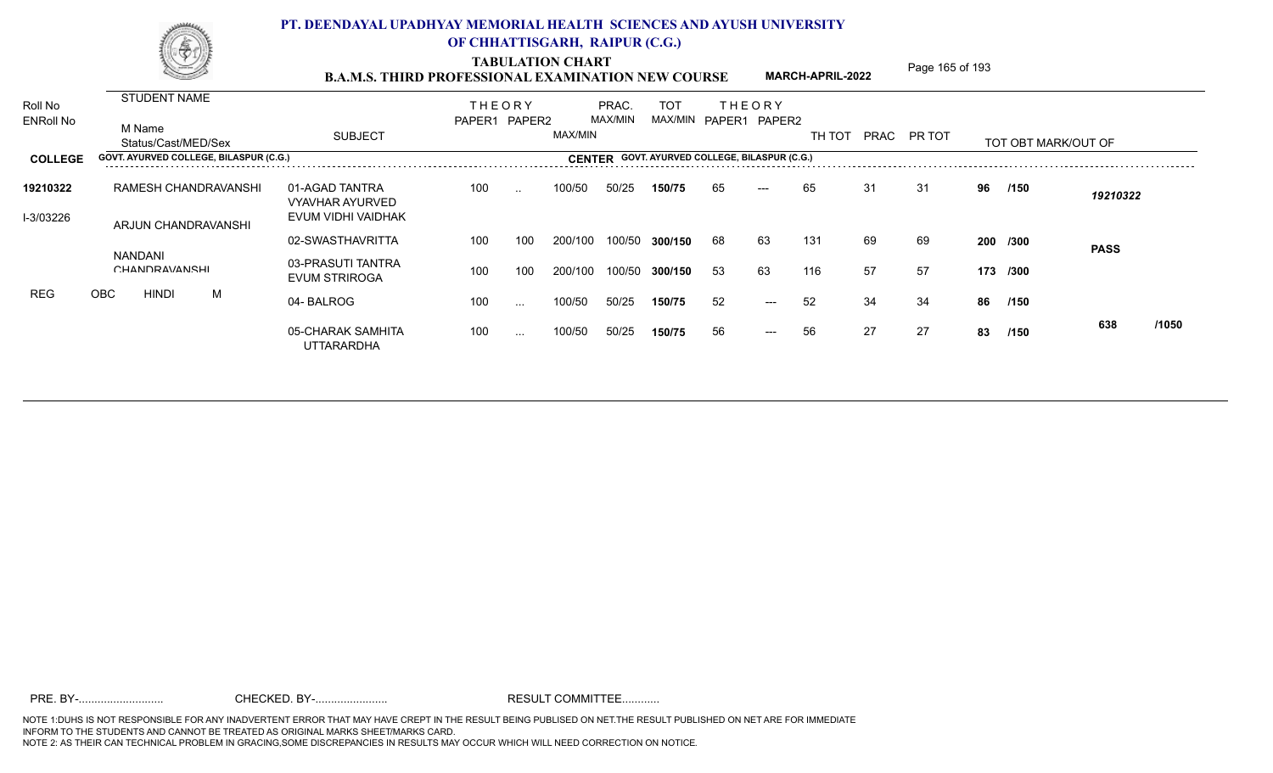TABULATION CHART<br> **TABULATION CHART EXAMINATION NEW COURSE MARCH-APRIL-2022** <sup>Page 165 of 193</sup>

**MARCH-APRIL-2022**

|                                  |            |                                          |     |                                                                                     |                                                            |               |                      |                          | <b>TOT</b>                                      |         |       |                     |                                                                                                        |      |                   |      |                      |                      |
|----------------------------------|------------|------------------------------------------|-----|-------------------------------------------------------------------------------------|------------------------------------------------------------|---------------|----------------------|--------------------------|-------------------------------------------------|---------|-------|---------------------|--------------------------------------------------------------------------------------------------------|------|-------------------|------|----------------------|----------------------|
|                                  |            |                                          |     | <b>SUBJECT</b>                                                                      |                                                            |               |                      |                          |                                                 |         |       | TH TOT              |                                                                                                        |      |                   |      |                      |                      |
|                                  |            |                                          |     |                                                                                     |                                                            |               |                      |                          |                                                 |         |       |                     |                                                                                                        |      |                   |      |                      |                      |
| 19210322                         |            | 01-AGAD TANTRA<br><b>VYAVHAR AYURVED</b> | 100 | $\sim$ $\sim$                                                                       | 100/50                                                     | 50/25         | 150/75               | 65                       | $---$                                           |         | 31    | 31                  | 96                                                                                                     | /150 | 19210322          |      |                      |                      |
| I-3/03226<br>ARJUN CHANDRAVANSHI |            | EVUM VIDHI VAIDHAK                       |     |                                                                                     |                                                            |               |                      |                          |                                                 |         |       |                     |                                                                                                        |      |                   |      |                      |                      |
|                                  |            |                                          |     |                                                                                     |                                                            |               |                      |                          |                                                 |         |       |                     |                                                                                                        |      |                   |      | <b>PASS</b>          |                      |
|                                  |            |                                          |     | 03-PRASUTI TANTRA<br>EVUM STRIROGA                                                  | 100                                                        | 100           | 200/100              |                          | 300/150                                         | -53     | 63    |                     | 57                                                                                                     | 57   |                   |      |                      |                      |
|                                  |            |                                          | M   | 04-BALROG                                                                           | 100                                                        | $\sim$ $\sim$ | 100/50               | 50/25                    | 150/75                                          | 52      | $---$ |                     | 34                                                                                                     | 34   | 86                | /150 |                      |                      |
|                                  |            |                                          |     | 05-CHARAK SAMHITA<br><b>UTTARARDHA</b>                                              | 100                                                        | $\sim$ $\sim$ | 100/50               | 50/25                    | 150/75                                          | 56      | $---$ |                     | 27                                                                                                     | 27   | 83                | /150 | 638                  | /1050                |
|                                  | <b>OBC</b> | M Name<br><b>NANDANI</b><br><b>HINDI</b> |     | STUDENT NAME<br>Status/Cast/MED/Sex<br>RAMESH CHANDRAVANSHI<br><b>CHANDRAVANSHI</b> | GOVT. AYURVED COLLEGE, BILASPUR (C.G.)<br>02-SWASTHAVRITTA | 100           | <b>THEORY</b><br>100 | PAPER1 PAPER2<br>200/100 | PRAC.<br>MAX/MIN<br>MAX/MIN<br>100/50<br>100/50 | 300/150 | 68    | <b>THEORY</b><br>63 | MAX/MIN PAPER1 PAPER2<br>CENTER GOVT. AYURVED COLLEGE, BILASPUR (C.G.)<br>65<br>131<br>116<br>52<br>56 | 69   | PRAC PR TOT<br>69 |      | 200 /300<br>173 /300 | TOT ORT MARK/OLIT OF |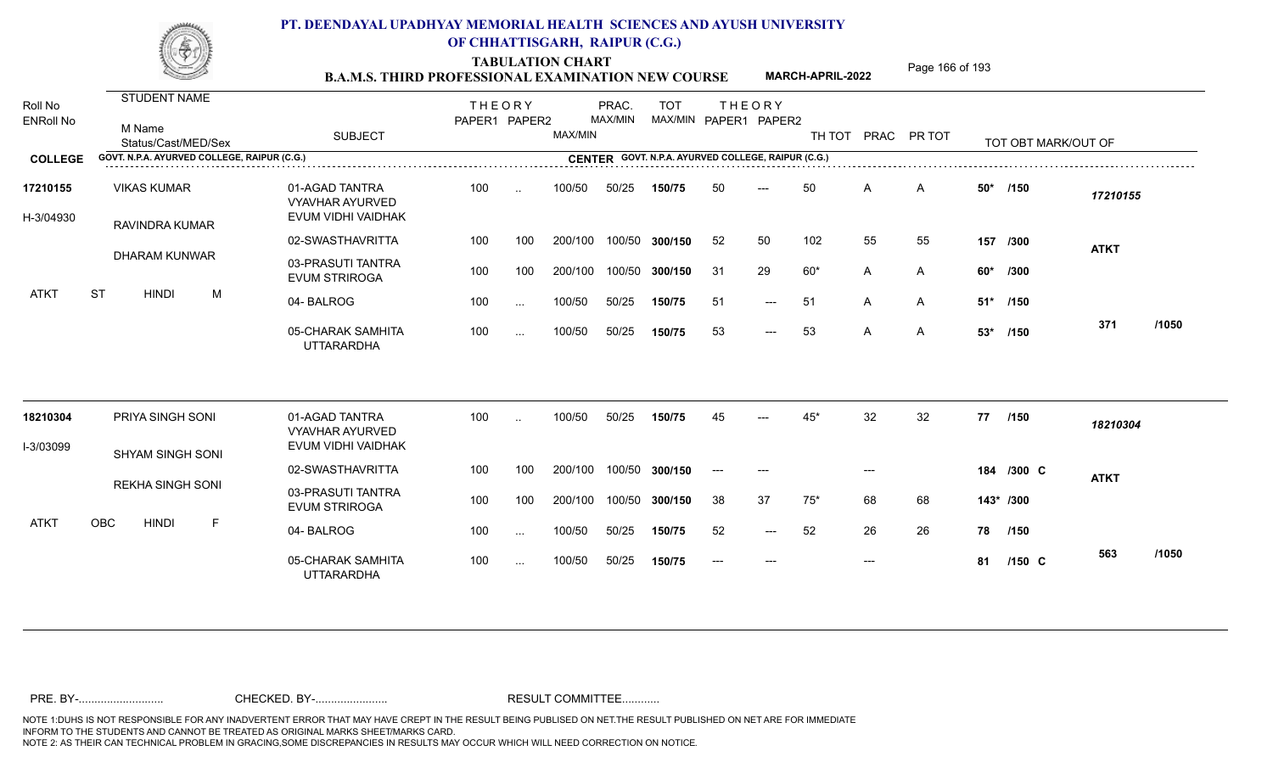TABULATION CHART<br> **TABULATION CHART EXAMINATION NEW COURSE MARCH-APRIL-2022** <sup>Page 166 of 193</sup>

**MARCH-APRIL-2022**

| Roll No<br><b>ENRoll No</b> | STUDENT NAME<br>M Name<br>Status/Cast/MED/Sex | <b>SUBJECT</b>                                                 | <b>THEORY</b><br>PAPER1 PAPER2 |           | MAX/MIN | PRAC.<br>MAX/MIN | <b>TOT</b><br>MAX/MIN PAPER1 PAPER2                |       | <b>THEORY</b>       | TH TOT PRAC PR TOT |       |                |       | TOT OBT MARK/OUT OF |             |       |
|-----------------------------|-----------------------------------------------|----------------------------------------------------------------|--------------------------------|-----------|---------|------------------|----------------------------------------------------|-------|---------------------|--------------------|-------|----------------|-------|---------------------|-------------|-------|
| <b>COLLEGE</b>              | GOVT. N.P.A. AYURVED COLLEGE, RAIPUR (C.G.)   |                                                                |                                |           |         |                  | CENTER GOVT. N.P.A. AYURVED COLLEGE, RAIPUR (C.G.) |       |                     |                    |       |                |       |                     |             |       |
| 17210155<br>H-3/04930       | <b>VIKAS KUMAR</b><br>RAVINDRA KUMAR          | 01-AGAD TANTRA<br><b>VYAVHAR AYURVED</b><br>EVUM VIDHI VAIDHAK | 100                            | $\ddotsc$ | 100/50  | 50/25            | 150/75                                             | 50    | ---                 | 50                 | A     | A              | $50*$ | /150                | 17210155    |       |
|                             |                                               | 02-SWASTHAVRITTA                                               | 100                            | 100       | 200/100 |                  | 100/50 300/150                                     | 52    | 50                  | 102                | 55    | 55             |       | 157 /300            | <b>ATKT</b> |       |
|                             | <b>DHARAM KUNWAR</b>                          | 03-PRASUTI TANTRA<br><b>EVUM STRIROGA</b>                      | 100                            | 100       | 200/100 | 100/50           | 300/150                                            | 31    | 29                  | $60*$              | A     | A              | 60*   | /300                |             |       |
| <b>ATKT</b>                 | <b>ST</b><br><b>HINDI</b><br>M                | 04-BALROG                                                      | 100                            | $\sim$ .  | 100/50  | 50/25            | 150/75                                             | -51   | $\qquad \qquad - -$ | 51                 | A     | A              |       | 51* /150            |             |       |
|                             |                                               | 05-CHARAK SAMHITA<br><b>UTTARARDHA</b>                         | 100                            | $\sim$ .  | 100/50  | 50/25            | 150/75                                             | 53    | $\qquad \qquad - -$ | 53                 | A     | $\overline{A}$ | $53*$ | /150                | 371         | /1050 |
| 18210304                    | PRIYA SINGH SONI                              | 01-AGAD TANTRA                                                 | 100                            | $\sim$    | 100/50  | 50/25            | 150/75                                             | 45    | $---$               | 45*                | 32    | 32             | 77    | /150                | 18210304    |       |
| I-3/03099                   |                                               | <b>VYAVHAR AYURVED</b><br>EVUM VIDHI VAIDHAK                   |                                |           |         |                  |                                                    |       |                     |                    |       |                |       |                     |             |       |
|                             | <b>SHYAM SINGH SONI</b>                       | 02-SWASTHAVRITTA                                               | 100                            | 100       | 200/100 | 100/50           | 300/150                                            | $---$ | $---$               |                    | $---$ |                |       | 184 /300 C          | <b>ATKT</b> |       |
|                             | <b>REKHA SINGH SONI</b>                       | 03-PRASUTI TANTRA<br><b>EVUM STRIROGA</b>                      | 100                            | 100       | 200/100 | 100/50           | 300/150                                            | 38    | 37                  | $75*$              | 68    | 68             |       | $143*$ /300         |             |       |
| <b>ATKT</b>                 | <b>OBC</b><br><b>HINDI</b><br>F               | 04-BALROG                                                      | 100                            | $\cdots$  | 100/50  | 50/25            | 150/75                                             | 52    | $---$               | 52                 | 26    | 26             | 78    | 1150                |             |       |
|                             |                                               | 05-CHARAK SAMHITA<br><b>UTTARARDHA</b>                         | 100                            | $\sim$    | 100/50  | 50/25            | 150/75                                             |       |                     |                    | $---$ |                | 81    | $/150$ C            | 563         | /1050 |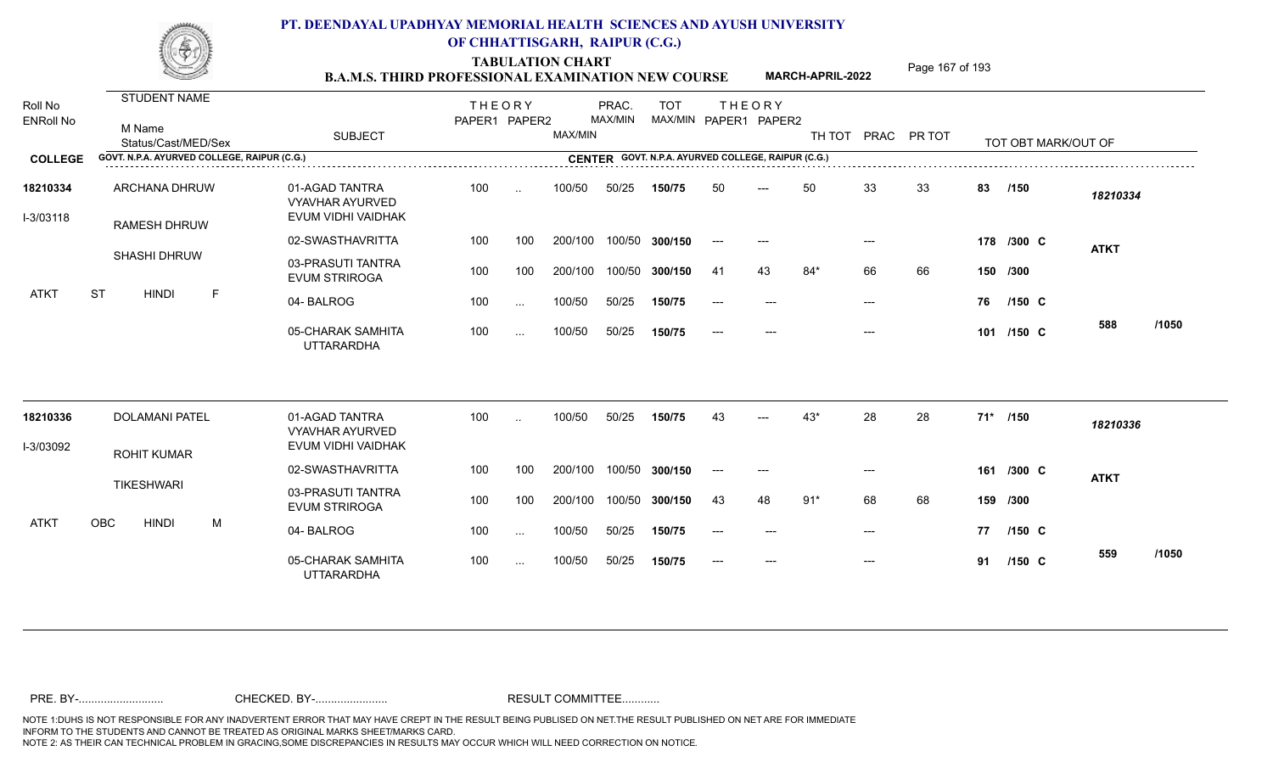TABULATION CHART<br> **TABULATION CHART EXAMINATION NEW COURSE MARCH-APRIL-2022** <sup>Page 167 of 193</sup>

**MARCH-APRIL-2022**

| Roll No<br><b>ENRoll No</b> | STUDENT NAME<br>M Name<br>Status/Cast/MED/Sex | <b>SUBJECT</b>                                                 | <b>THEORY</b><br>PAPER1 PAPER2 |                      | MAX/MIN | PRAC.<br>MAX/MIN | <b>TOT</b> |       | <b>THEORY</b><br>MAX/MIN PAPER1 PAPER2             |       |       | TH TOT PRAC PR TOT |     | TOT OBT MARK/OUT OF |              |  |
|-----------------------------|-----------------------------------------------|----------------------------------------------------------------|--------------------------------|----------------------|---------|------------------|------------|-------|----------------------------------------------------|-------|-------|--------------------|-----|---------------------|--------------|--|
| <b>COLLEGE</b>              | GOVT. N.P.A. AYURVED COLLEGE, RAIPUR (C.G.)   |                                                                |                                |                      |         |                  |            |       | CENTER GOVT. N.P.A. AYURVED COLLEGE, RAIPUR (C.G.) |       |       |                    |     |                     |              |  |
| 18210334<br>I-3/03118       | ARCHANA DHRUW<br><b>RAMESH DHRUW</b>          | 01-AGAD TANTRA<br><b>VYAVHAR AYURVED</b><br>EVUM VIDHI VAIDHAK | 100                            | $\sim$               | 100/50  | 50/25            | 150/75     | 50    | $---$                                              | 50    | 33    | 33                 | 83  | /150                | 18210334     |  |
|                             |                                               | 02-SWASTHAVRITTA                                               | 100                            | 100                  | 200/100 | 100/50           | 300/150    | $---$ | $---$                                              |       |       |                    |     | 178 /300 C          | <b>ATKT</b>  |  |
|                             | <b>SHASHI DHRUW</b>                           | 03-PRASUTI TANTRA<br><b>EVUM STRIROGA</b>                      | 100                            | 100                  | 200/100 | 100/50           | 300/150    | -41   | 43                                                 | $84*$ | 66    | 66                 |     | 150 /300            |              |  |
| <b>ATKT</b>                 | <b>ST</b><br><b>HINDI</b><br>$\mathsf F$      | 04-BALROG                                                      | 100                            | $\sim$ .             | 100/50  | 50/25            | 150/75     |       |                                                    |       | $---$ |                    | 76  | $/150$ C            |              |  |
|                             |                                               | 05-CHARAK SAMHITA<br><b>UTTARARDHA</b>                         | 100                            | $\sim$ .             | 100/50  | 50/25            | 150/75     |       | ---                                                |       |       |                    |     | 101 /150 C          | /1050<br>588 |  |
| 18210336                    | <b>DOLAMANI PATEL</b>                         | 01-AGAD TANTRA                                                 | 100                            | $\ddot{\phantom{a}}$ | 100/50  | 50/25            | 150/75     |       |                                                    | $43*$ | 28    | 28                 |     | 71* /150            | 18210336     |  |
| I-3/03092                   |                                               | VYAVHAR AYURVED<br>EVUM VIDHI VAIDHAK                          |                                |                      |         |                  |            |       |                                                    |       |       |                    |     |                     |              |  |
|                             | <b>ROHIT KUMAR</b>                            | 02-SWASTHAVRITTA                                               | 100                            | 100                  | 200/100 | 100/50           | 300/150    | $---$ | $---$                                              |       | $---$ |                    |     | 161 /300 C          | <b>ATKT</b>  |  |
|                             | <b>TIKESHWARI</b>                             | 03-PRASUTI TANTRA<br><b>EVUM STRIROGA</b>                      | 100                            | 100                  | 200/100 | 100/50           | 300/150    | 43    | 48                                                 | $91*$ | 68    | 68                 | 159 | /300                |              |  |
| ATKT                        | <b>OBC</b><br><b>HINDI</b><br>M               | 04-BALROG                                                      | 100                            | $\sim$ .             | 100/50  | 50/25            | 150/75     | $---$ | $\qquad \qquad - -$                                |       | $---$ |                    | 77  | $/150$ C            |              |  |
|                             |                                               | 05-CHARAK SAMHITA<br><b>UTTARARDHA</b>                         | 100                            | $\sim$ $\sim$        | 100/50  | 50/25            | 150/75     | $---$ | $\qquad \qquad - -$                                |       | $---$ |                    | 91  | $/150$ C            | /1050<br>559 |  |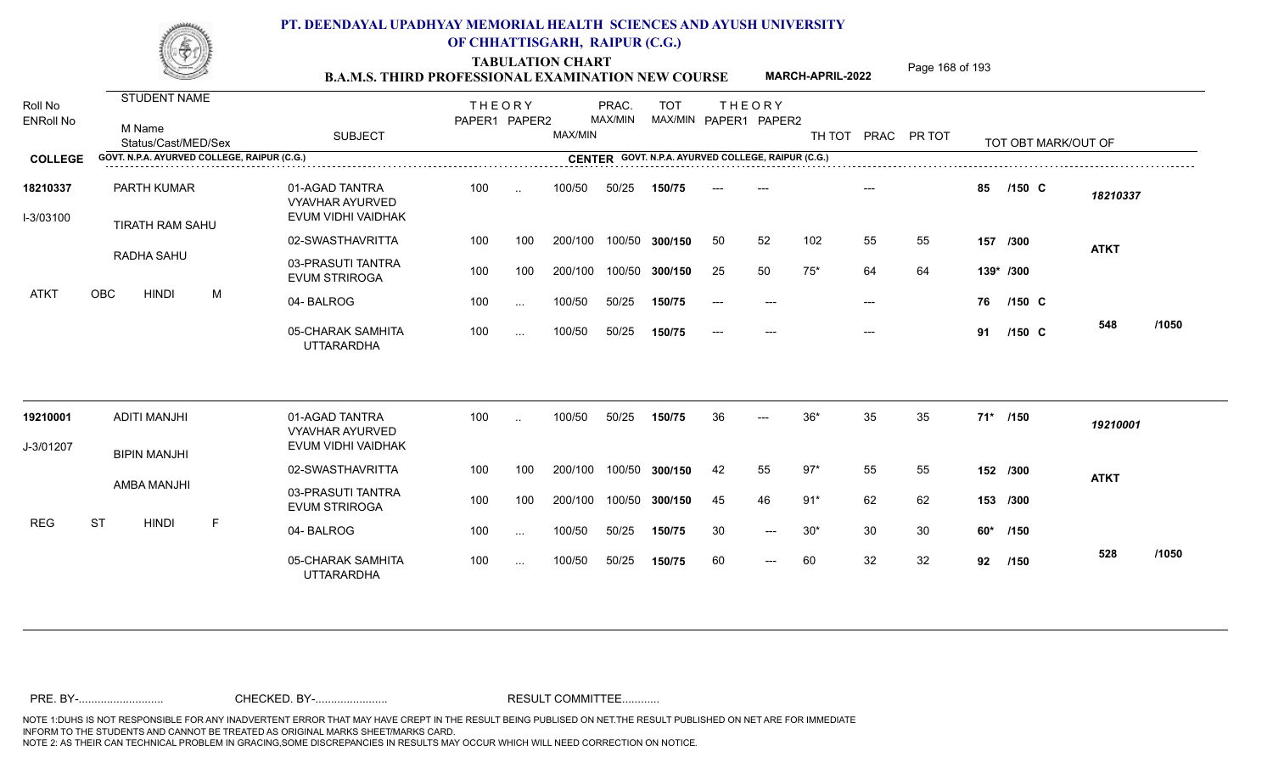TABULATION CHART<br> **TABULATION CHART EXAMINATION NEW COURSE MARCH-APRIL-2022** <sup>Page 168 of 193</sup>

**MARCH-APRIL-2022**

| Roll No<br><b>ENRoll No</b> | STUDENT NAME<br>M Name<br>Status/Cast/MED/Sex<br>GOVT. N.P.A. AYURVED COLLEGE, RAIPUR (C.G.) |   | <b>SUBJECT</b>                                                 | <b>THEORY</b><br>PAPER1 PAPER2 |           | MAX/MIN | PRAC.<br>MAX/MIN | <b>TOT</b>     |       | <b>THEORY</b><br>MAX/MIN PAPER1 PAPER2<br>CENTER GOVT. N.P.A. AYURVED COLLEGE, RAIPUR (C.G.) |       |       | TH TOT PRAC PR TOT |     | TOT OBT MARK/OUT OF |             |       |
|-----------------------------|----------------------------------------------------------------------------------------------|---|----------------------------------------------------------------|--------------------------------|-----------|---------|------------------|----------------|-------|----------------------------------------------------------------------------------------------|-------|-------|--------------------|-----|---------------------|-------------|-------|
| <b>COLLEGE</b>              |                                                                                              |   |                                                                |                                |           |         |                  |                |       |                                                                                              |       |       |                    |     |                     |             |       |
| 18210337<br>I-3/03100       | PARTH KUMAR<br>TIRATH RAM SAHU                                                               |   | 01-AGAD TANTRA<br><b>VYAVHAR AYURVED</b><br>EVUM VIDHI VAIDHAK | 100                            | $\ddotsc$ | 100/50  | 50/25            | 150/75         |       |                                                                                              |       |       |                    | 85  | $/150$ C            | 18210337    |       |
|                             |                                                                                              |   | 02-SWASTHAVRITTA                                               | 100                            | 100       | 200/100 |                  | 100/50 300/150 | 50    | 52                                                                                           | 102   | 55    | 55                 |     | 157 /300            | <b>ATKT</b> |       |
|                             | RADHA SAHU                                                                                   |   | 03-PRASUTI TANTRA<br><b>EVUM STRIROGA</b>                      | 100                            | 100       | 200/100 |                  | 100/50 300/150 | 25    | 50                                                                                           | $75*$ | 64    | 64                 |     | 139* /300           |             |       |
| ATKT                        | OBC<br><b>HINDI</b>                                                                          | M | 04-BALROG                                                      | 100                            | $\cdots$  | 100/50  | 50/25            | 150/75         | $---$ |                                                                                              |       | $---$ |                    | 76  | $/150$ C            |             |       |
|                             |                                                                                              |   | 05-CHARAK SAMHITA<br><b>UTTARARDHA</b>                         | 100                            | $\cdots$  | 100/50  | 50/25            | 150/75         |       |                                                                                              |       | $---$ |                    | 91  | /150 C              | 548         | /1050 |
| 19210001                    | <b>ADITI MANJHI</b>                                                                          |   | 01-AGAD TANTRA                                                 | 100                            |           | 100/50  | 50/25            | 150/75         | 36    |                                                                                              | $36*$ | 35    | 35                 |     | 71* /150            | 19210001    |       |
| J-3/01207                   |                                                                                              |   | <b>VYAVHAR AYURVED</b><br>EVUM VIDHI VAIDHAK                   |                                |           |         |                  |                |       |                                                                                              |       |       |                    |     |                     |             |       |
|                             | <b>BIPIN MANJHI</b>                                                                          |   | 02-SWASTHAVRITTA                                               | 100                            | 100       | 200/100 |                  | 100/50 300/150 | 42    | 55                                                                                           | $97*$ | 55    | 55                 |     | 152 /300            | <b>ATKT</b> |       |
|                             | AMBA MANJHI                                                                                  |   | 03-PRASUTI TANTRA<br><b>EVUM STRIROGA</b>                      | 100                            | 100       | 200/100 |                  | 100/50 300/150 | 45    | 46                                                                                           | $91*$ | 62    | 62                 |     | 153 /300            |             |       |
| <b>REG</b>                  | <b>ST</b><br><b>HINDI</b>                                                                    | F | 04-BALROG                                                      | 100                            | $\cdots$  | 100/50  | 50/25            | 150/75         | 30    | $---$                                                                                        | $30*$ | 30    | 30                 | 60* | /150                |             |       |
|                             |                                                                                              |   | 05-CHARAK SAMHITA<br><b>UTTARARDHA</b>                         | 100                            | $\sim$    | 100/50  | 50/25            | 150/75         | 60    | $---$                                                                                        | 60    | 32    | 32                 | 92  | /150                | 528         | /1050 |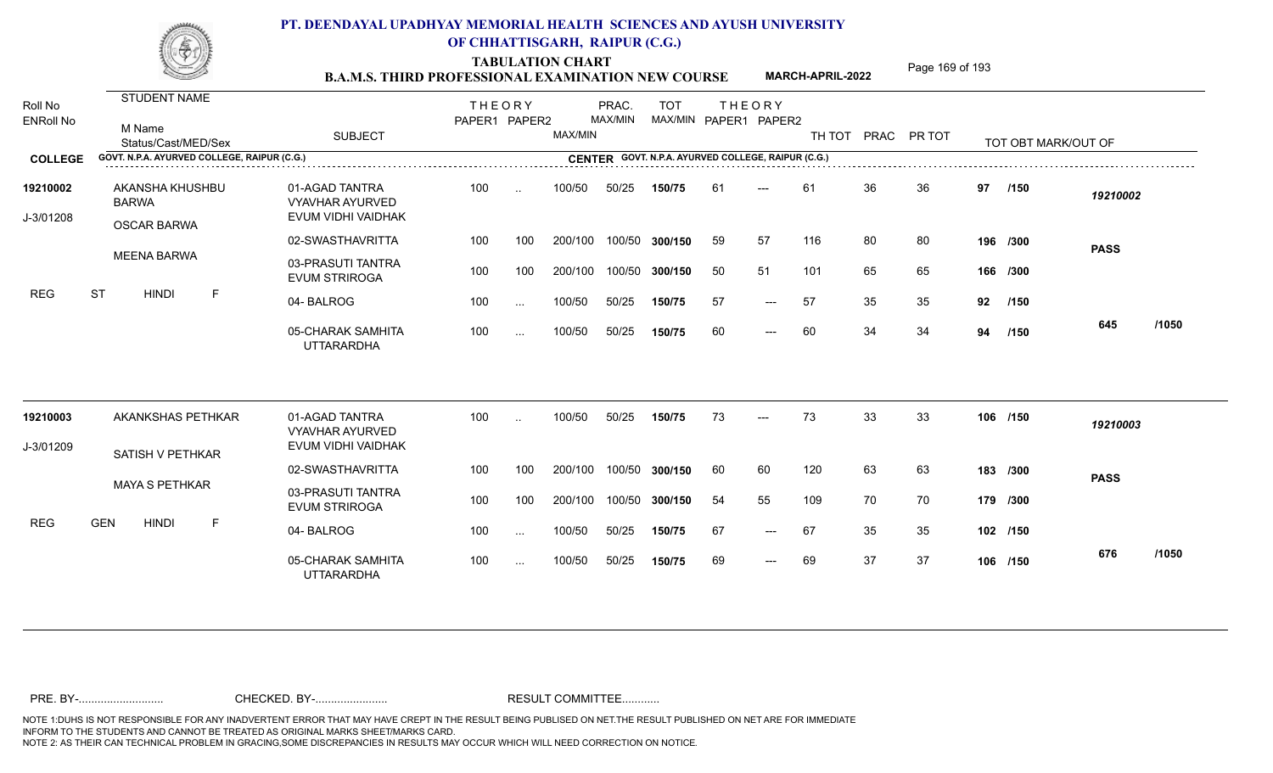TABULATION CHART<br> **TABULATION CHART EXAMINATION NEW COURSE MARCH-APRIL-2022** <sup>Page 169 of 193</sup>

**MARCH-APRIL-2022**

| Roll No<br><b>ENRoll No</b> | <b>STUDENT NAME</b><br>M Name<br>Status/Cast/MED/Sex  | <b>SUBJECT</b>                                                 | <b>THEORY</b><br>PAPER1 PAPER2 |                      | MAX/MIN       | PRAC.<br>MAX/MIN | <b>TOT</b><br>MAX/MIN PAPER1 PAPER2         |    | <b>THEORY</b>       |     |    | TH TOT PRAC PR TOT |    | TOT OBT MARK/OUT OF |             |       |
|-----------------------------|-------------------------------------------------------|----------------------------------------------------------------|--------------------------------|----------------------|---------------|------------------|---------------------------------------------|----|---------------------|-----|----|--------------------|----|---------------------|-------------|-------|
| <b>COLLEGE</b>              | GOVT. N.P.A. AYURVED COLLEGE, RAIPUR (C.G.)           |                                                                |                                |                      | <b>CENTER</b> |                  | GOVT. N.P.A. AYURVED COLLEGE, RAIPUR (C.G.) |    |                     |     |    |                    |    |                     |             |       |
| 19210002<br>J-3/01208       | AKANSHA KHUSHBU<br><b>BARWA</b><br><b>OSCAR BARWA</b> | 01-AGAD TANTRA<br><b>VYAVHAR AYURVED</b><br>EVUM VIDHI VAIDHAK | 100                            | $\ddot{\phantom{a}}$ | 100/50        | 50/25            | 150/75                                      | 61 | $---$               | 61  | 36 | 36                 | 97 | /150                | 19210002    |       |
|                             |                                                       | 02-SWASTHAVRITTA                                               | 100                            | 100                  | 200/100       |                  | 100/50 300/150                              | 59 | 57                  | 116 | 80 | 80                 |    | 196 /300            | <b>PASS</b> |       |
|                             | <b>MEENA BARWA</b>                                    | 03-PRASUTI TANTRA<br><b>EVUM STRIROGA</b>                      | 100                            | 100                  | 200/100       |                  | 100/50 300/150                              | 50 | 51                  | 101 | 65 | 65                 |    | 166 /300            |             |       |
| <b>REG</b>                  | <b>ST</b><br><b>HINDI</b><br>-F                       | 04-BALROG                                                      | 100                            | $\sim$ $\sim$        | 100/50        | 50/25            | 150/75                                      | 57 | $\qquad \qquad - -$ | 57  | 35 | 35                 | 92 | /150                |             |       |
|                             |                                                       | 05-CHARAK SAMHITA<br><b>UTTARARDHA</b>                         | 100                            | $\cdots$             | 100/50        | 50/25            | 150/75                                      | 60 | $---$               | 60  | 34 | 34                 | 94 | /150                | 645         | /1050 |
| 19210003                    | AKANKSHAS PETHKAR                                     | 01-AGAD TANTRA<br><b>VYAVHAR AYURVED</b>                       | 100                            |                      | 100/50        | 50/25            | 150/75                                      | 73 | $---$               | 73  | 33 | 33                 |    | 106 /150            | 19210003    |       |
| J-3/01209                   | SATISH V PETHKAR                                      | EVUM VIDHI VAIDHAK                                             |                                |                      |               |                  |                                             |    |                     |     |    |                    |    |                     |             |       |
|                             |                                                       | 02-SWASTHAVRITTA                                               | 100                            | 100                  | 200/100       |                  | 100/50 300/150                              | 60 | 60                  | 120 | 63 | 63                 |    | 183 /300            | <b>PASS</b> |       |
|                             | <b>MAYA S PETHKAR</b>                                 | 03-PRASUTI TANTRA<br><b>EVUM STRIROGA</b>                      | 100                            | 100                  | 200/100       |                  | 100/50 300/150                              | 54 | 55                  | 109 | 70 | 70                 |    | 179 /300            |             |       |
| <b>REG</b>                  | <b>GEN</b><br><b>HINDI</b><br>F                       | 04-BALROG                                                      | 100                            | $\sim$               | 100/50        | 50/25            | 150/75                                      | 67 | $\qquad \qquad - -$ | 67  | 35 | 35                 |    | 102 /150            |             |       |
|                             |                                                       | 05-CHARAK SAMHITA<br><b>UTTARARDHA</b>                         | 100                            | $\sim$               | 100/50        | 50/25            | 150/75                                      | 69 | ---                 | 69  | 37 | 37                 |    | 106 /150            | 676         | /1050 |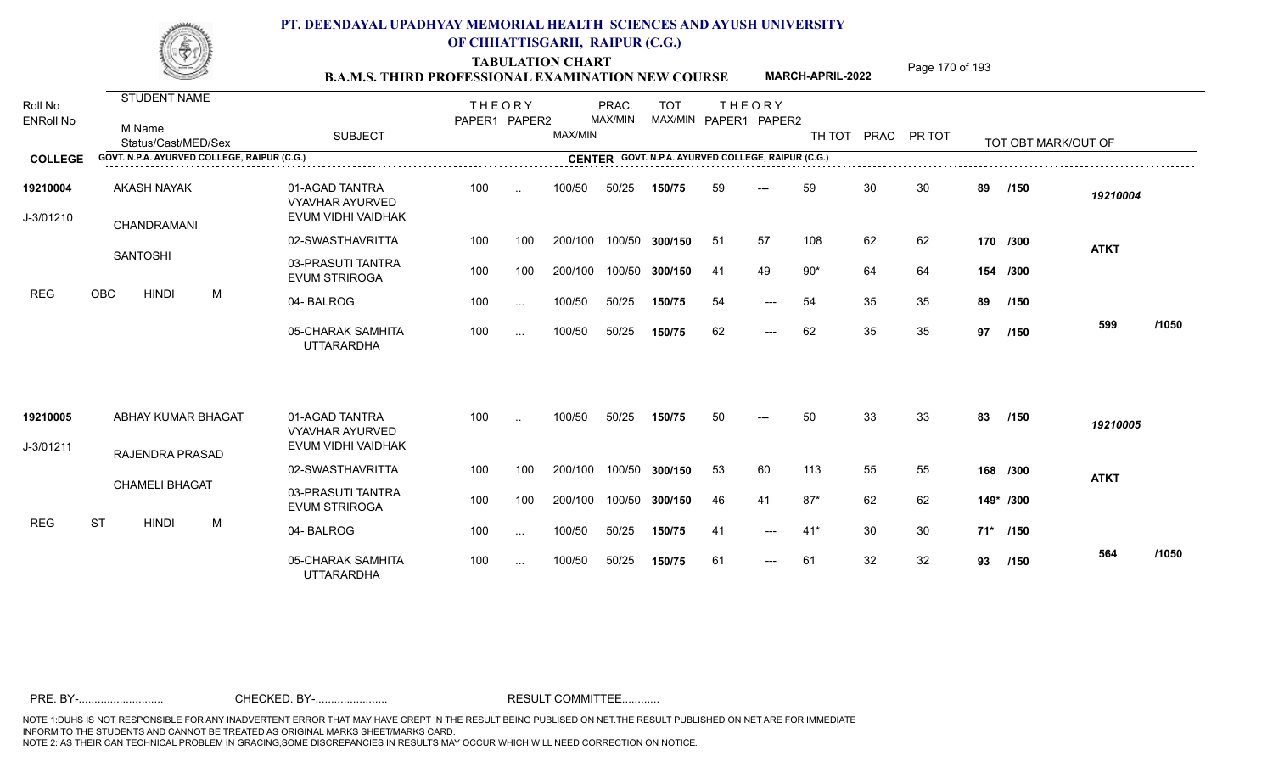TABULATION CHART<br> **TABULATION CHART EXAMINATION NEW COURSE MARCH-APRIL-2022** <sup>Page 170 of 193</sup>

**MARCH-APRIL-2022**

| Roll No<br><b>ENRoll No</b> | <b>STUDENT NAME</b><br>M Name<br>Status/Cast/MED/Sex | <b>SUBJECT</b>                                                 | <b>THEORY</b><br>PAPER1 PAPER2 |           | MAX/MIN | PRAC.<br>MAX/MIN | <b>TOT</b>                                         |     | <b>THEORY</b><br>MAX/MIN PAPER1 PAPER2 | TH TOT |    | PRAC PR TOT |          | TOT OBT MARK/OUT OF |             |       |
|-----------------------------|------------------------------------------------------|----------------------------------------------------------------|--------------------------------|-----------|---------|------------------|----------------------------------------------------|-----|----------------------------------------|--------|----|-------------|----------|---------------------|-------------|-------|
| <b>COLLEGE</b>              | GOVT. N.P.A. AYURVED COLLEGE, RAIPUR (C.G.)          |                                                                |                                |           |         |                  | CENTER GOVT. N.P.A. AYURVED COLLEGE, RAIPUR (C.G.) |     |                                        |        |    |             |          |                     |             |       |
| 19210004<br>J-3/01210       | <b>AKASH NAYAK</b><br>CHANDRAMANI                    | 01-AGAD TANTRA<br><b>VYAVHAR AYURVED</b><br>EVUM VIDHI VAIDHAK | 100                            | $\ddotsc$ | 100/50  | 50/25            | 150/75                                             | 59  | ---                                    | 59     | 30 | 30          | 89       | /150                | 19210004    |       |
|                             |                                                      | 02-SWASTHAVRITTA                                               | 100                            | 100       | 200/100 | 100/50           | 300/150                                            | -51 | 57                                     | 108    | 62 | 62          |          | 170 /300            | <b>ATKT</b> |       |
|                             | <b>SANTOSHI</b>                                      | 03-PRASUTI TANTRA<br><b>EVUM STRIROGA</b>                      | 100                            | 100       | 200/100 | 100/50           | 300/150                                            | -41 | 49                                     | $90*$  | 64 | 64          |          | 154 /300            |             |       |
| <b>REG</b>                  | <b>OBC</b><br><b>HINDI</b><br>M                      | 04-BALROG                                                      | 100                            | $\cdots$  | 100/50  | 50/25            | 150/75                                             | 54  | $---$                                  | 54     | 35 | 35          | 89       | /150                |             |       |
|                             |                                                      | 05-CHARAK SAMHITA<br><b>UTTARARDHA</b>                         | 100                            | $\sim$ .  | 100/50  | 50/25            | 150/75                                             | 62  | $---$                                  | 62     | 35 | 35          | 97       | /150                | 599         | /1050 |
| 19210005                    | ABHAY KUMAR BHAGAT                                   | 01-AGAD TANTRA<br><b>VYAVHAR AYURVED</b>                       | 100                            | $\ddotsc$ | 100/50  | 50/25            | 150/75                                             | 50  | $---$                                  | 50     | 33 | 33          | 83       | /150                | 19210005    |       |
| J-3/01211                   | RAJENDRA PRASAD                                      | EVUM VIDHI VAIDHAK                                             |                                |           |         |                  |                                                    |     |                                        |        |    |             |          |                     |             |       |
|                             |                                                      | 02-SWASTHAVRITTA                                               | 100                            | 100       | 200/100 | 100/50           | 300/150                                            | 53  | 60                                     | 113    | 55 | 55          |          | 168 /300            | <b>ATKT</b> |       |
|                             | <b>CHAMELI BHAGAT</b>                                | 03-PRASUTI TANTRA<br><b>EVUM STRIROGA</b>                      | 100                            | 100       | 200/100 | 100/50           | 300/150                                            | -46 | 41                                     | $87*$  | 62 | 62          |          | 149* /300           |             |       |
| <b>REG</b>                  | <b>ST</b><br><b>HINDI</b><br>M                       | 04-BALROG                                                      | 100                            | $\cdots$  | 100/50  | 50/25            | 150/75                                             | -41 | $\qquad \qquad -\qquad -$              | $41*$  | 30 | 30          | 71* /150 |                     |             |       |
|                             |                                                      | 05-CHARAK SAMHITA<br><b>UTTARARDHA</b>                         | 100                            | $\cdots$  | 100/50  | 50/25            | 150/75                                             | -61 | $\qquad \qquad -\qquad -$              | 61     | 32 | 32          | 93       | /150                | 564         | /1050 |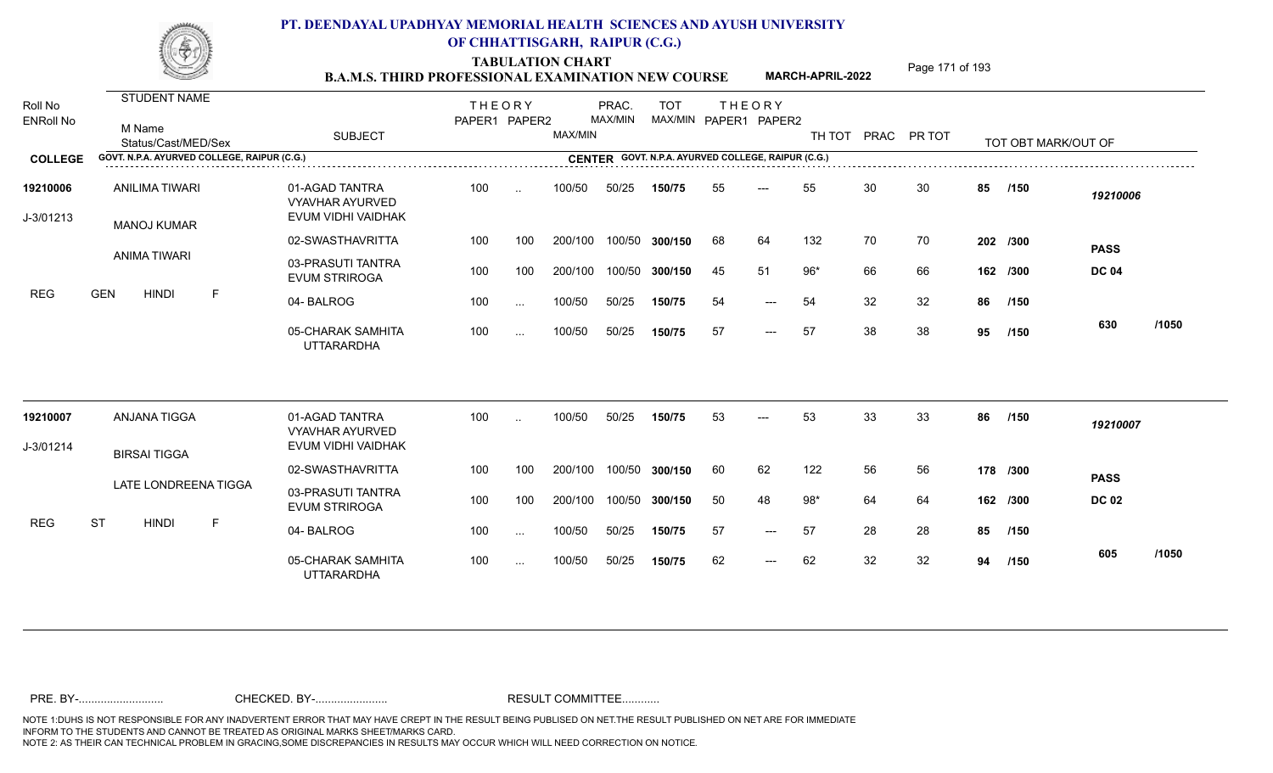TABULATION CHART<br> **TABULATION CHART EXAMINATION NEW COURSE MARCH-APRIL-2022** <sup>Page 171 of 193</sup>

**MARCH-APRIL-2022**

| Roll No<br><b>ENRoll No</b> | STUDENT NAME<br>M Name<br>Status/Cast/MED/Sex | <b>SUBJECT</b>                                                 | <b>THEORY</b><br>PAPER1 PAPER2 |               | MAX/MIN | PRAC.<br>MAX/MIN | <b>TOT</b><br>MAX/MIN PAPER1 PAPER2 | <b>THEORY</b> |       |       |    | TH TOT PRAC PR TOT |    | TOT OBT MARK/OUT OF |              |       |
|-----------------------------|-----------------------------------------------|----------------------------------------------------------------|--------------------------------|---------------|---------|------------------|-------------------------------------|---------------|-------|-------|----|--------------------|----|---------------------|--------------|-------|
| <b>COLLEGE</b>              | GOVT. N.P.A. AYURVED COLLEGE, RAIPUR (C.G.)   |                                                                |                                |               |         |                  |                                     |               |       |       |    |                    |    |                     |              |       |
| 19210006<br>J-3/01213       | ANILIMA TIWARI<br><b>MANOJ KUMAR</b>          | 01-AGAD TANTRA<br><b>VYAVHAR AYURVED</b><br>EVUM VIDHI VAIDHAK | 100                            | $\sim$        | 100/50  | 50/25            | 150/75                              | 55            | ---   | 55    | 30 | 30                 | 85 | /150                | 19210006     |       |
|                             |                                               | 02-SWASTHAVRITTA                                               | 100                            | 100           | 200/100 | 100/50           | 300/150                             | 68            | 64    | 132   | 70 | 70                 |    | 202 /300            | <b>PASS</b>  |       |
|                             | ANIMA TIWARI                                  | 03-PRASUTI TANTRA<br><b>EVUM STRIROGA</b>                      | 100                            | 100           | 200/100 | 100/50           | 300/150                             | 45            | 51    | $96*$ | 66 | 66                 |    | 162 /300            | <b>DC 04</b> |       |
| <b>REG</b>                  | <b>GEN</b><br><b>HINDI</b><br>F               | 04-BALROG                                                      | 100                            | $\sim$ .      | 100/50  | 50/25            | 150/75                              | 54            | $-$   | 54    | 32 | 32                 | 86 | /150                |              |       |
|                             |                                               | 05-CHARAK SAMHITA<br><b>UTTARARDHA</b>                         | 100                            | $\sim$ .      | 100/50  | 50/25            | 150/75                              | 57            | $---$ | 57    | 38 | 38                 | 95 | /150                | 630          | /1050 |
| 19210007                    | <b>ANJANA TIGGA</b>                           | 01-AGAD TANTRA<br><b>VYAVHAR AYURVED</b>                       | 100                            | $\sim$        | 100/50  | 50/25            | 150/75                              | 53            |       | 53    | 33 | 33                 | 86 | /150                | 19210007     |       |
| J-3/01214                   | <b>BIRSAI TIGGA</b>                           | EVUM VIDHI VAIDHAK                                             |                                |               |         |                  |                                     |               |       |       |    |                    |    |                     |              |       |
|                             |                                               | 02-SWASTHAVRITTA                                               | 100                            | 100           | 200/100 | 100/50           | 300/150                             | 60            | 62    | 122   | 56 | 56                 |    | 178 /300            | <b>PASS</b>  |       |
|                             | LATE LONDREENA TIGGA                          | 03-PRASUTI TANTRA<br><b>EVUM STRIROGA</b>                      | 100                            | 100           | 200/100 | 100/50           | 300/150                             | 50            | 48    | $98*$ | 64 | 64                 |    | 162 /300            | <b>DC 02</b> |       |
| <b>REG</b>                  | <b>ST</b><br>F<br><b>HINDI</b>                | 04-BALROG                                                      | 100                            | $\sim$ .      | 100/50  | 50/25            | 150/75                              | 57            | $---$ | 57    | 28 | 28                 | 85 | 1150                |              |       |
|                             |                                               | 05-CHARAK SAMHITA<br><b>UTTARARDHA</b>                         | 100                            | $\sim$ $\sim$ | 100/50  | 50/25            | 150/75                              | 62            | $---$ | 62    | 32 | 32                 | 94 | /150                | 605          | /1050 |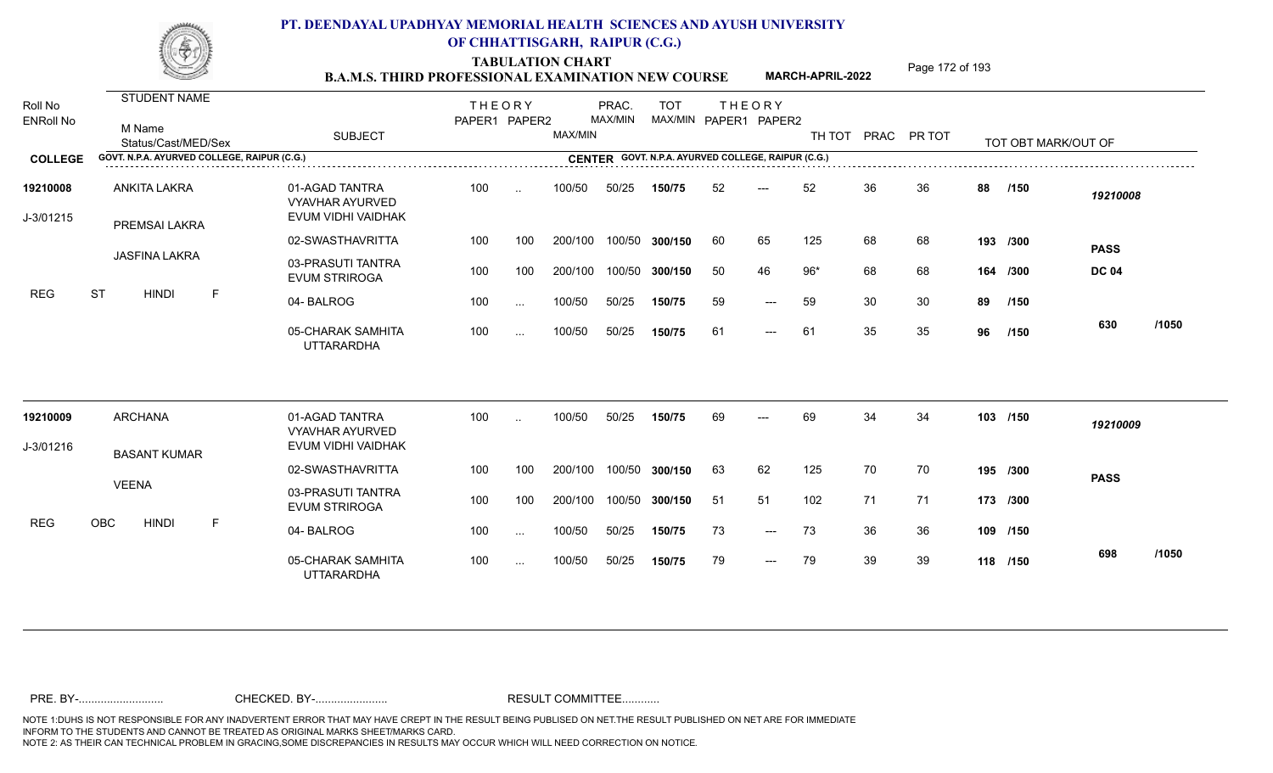TABULATION CHART<br> **TABULATION CHART EXAMINATION NEW COURSE MARCH-APRIL-2022** <sup>Page 172 of 193</sup>

**MARCH-APRIL-2022**

| Roll No<br><b>ENRoll No</b> | <b>STUDENT NAME</b><br>M Name<br>Status/Cast/MED/Sex | <b>SUBJECT</b>                                                 | <b>THEORY</b><br>PAPER1 PAPER2 |           | MAX/MIN | PRAC.<br>MAX/MIN | <b>TOT</b>     |    | <b>THEORY</b><br>MAX/MIN PAPER1 PAPER2             | TH TOT |    | PRAC PR TOT |    | TOT OBT MARK/OUT OF |              |       |
|-----------------------------|------------------------------------------------------|----------------------------------------------------------------|--------------------------------|-----------|---------|------------------|----------------|----|----------------------------------------------------|--------|----|-------------|----|---------------------|--------------|-------|
| <b>COLLEGE</b>              | GOVT. N.P.A. AYURVED COLLEGE, RAIPUR (C.G.)          |                                                                |                                |           |         |                  |                |    | CENTER GOVT. N.P.A. AYURVED COLLEGE, RAIPUR (C.G.) |        |    |             |    |                     |              |       |
| 19210008<br>J-3/01215       | ANKITA LAKRA<br>PREMSAI LAKRA                        | 01-AGAD TANTRA<br><b>VYAVHAR AYURVED</b><br>EVUM VIDHI VAIDHAK | 100                            | $\ddotsc$ | 100/50  | 50/25            | 150/75         | 52 | $---$                                              | 52     | 36 | 36          | 88 | /150                | 19210008     |       |
|                             |                                                      | 02-SWASTHAVRITTA                                               | 100                            | 100       | 200/100 |                  | 100/50 300/150 | 60 | 65                                                 | 125    | 68 | 68          |    | 193 /300            | <b>PASS</b>  |       |
|                             | <b>JASFINA LAKRA</b>                                 | 03-PRASUTI TANTRA<br><b>EVUM STRIROGA</b>                      | 100                            | 100       | 200/100 |                  | 100/50 300/150 | 50 | 46                                                 | $96*$  | 68 | 68          |    | 164 /300            | <b>DC 04</b> |       |
| <b>REG</b>                  | <b>ST</b><br>$\mathsf F$<br><b>HINDI</b>             | 04-BALROG                                                      | 100                            | $\cdots$  | 100/50  | 50/25            | 150/75         | 59 | $---$                                              | 59     | 30 | 30          | 89 | /150                |              |       |
|                             |                                                      | 05-CHARAK SAMHITA<br><b>UTTARARDHA</b>                         | 100                            | $\cdots$  | 100/50  | 50/25            | 150/75         | 61 | $---$                                              | 61     | 35 | 35          | 96 | /150                | 630          | /1050 |
| 19210009                    | <b>ARCHANA</b>                                       | 01-AGAD TANTRA                                                 | 100                            | $\ddotsc$ | 100/50  | 50/25            | 150/75         | 69 | $---$                                              | 69     | 34 | 34          |    | 103 /150            | 19210009     |       |
| J-3/01216                   |                                                      | <b>VYAVHAR AYURVED</b><br>EVUM VIDHI VAIDHAK                   |                                |           |         |                  |                |    |                                                    |        |    |             |    |                     |              |       |
|                             | <b>BASANT KUMAR</b>                                  | 02-SWASTHAVRITTA                                               | 100                            | 100       | 200/100 |                  | 100/50 300/150 | 63 | 62                                                 | 125    | 70 | 70          |    | 195 /300            | <b>PASS</b>  |       |
|                             | <b>VEENA</b>                                         | 03-PRASUTI TANTRA<br><b>EVUM STRIROGA</b>                      | 100                            | 100       | 200/100 |                  | 100/50 300/150 | 51 | 51                                                 | 102    | 71 | -71         |    | 173 /300            |              |       |
| <b>REG</b>                  | OBC<br><b>HINDI</b><br>$\mathsf{F}$                  | 04-BALROG                                                      | 100                            | $\sim$    | 100/50  | 50/25            | 150/75         | 73 | $---$                                              | 73     | 36 | 36          |    | 109 /150            |              |       |
|                             |                                                      | 05-CHARAK SAMHITA<br><b>UTTARARDHA</b>                         | 100                            | $\cdots$  | 100/50  | 50/25            | 150/75         | 79 | $---$                                              | 79     | 39 | 39          |    | 118 /150            | 698          | /1050 |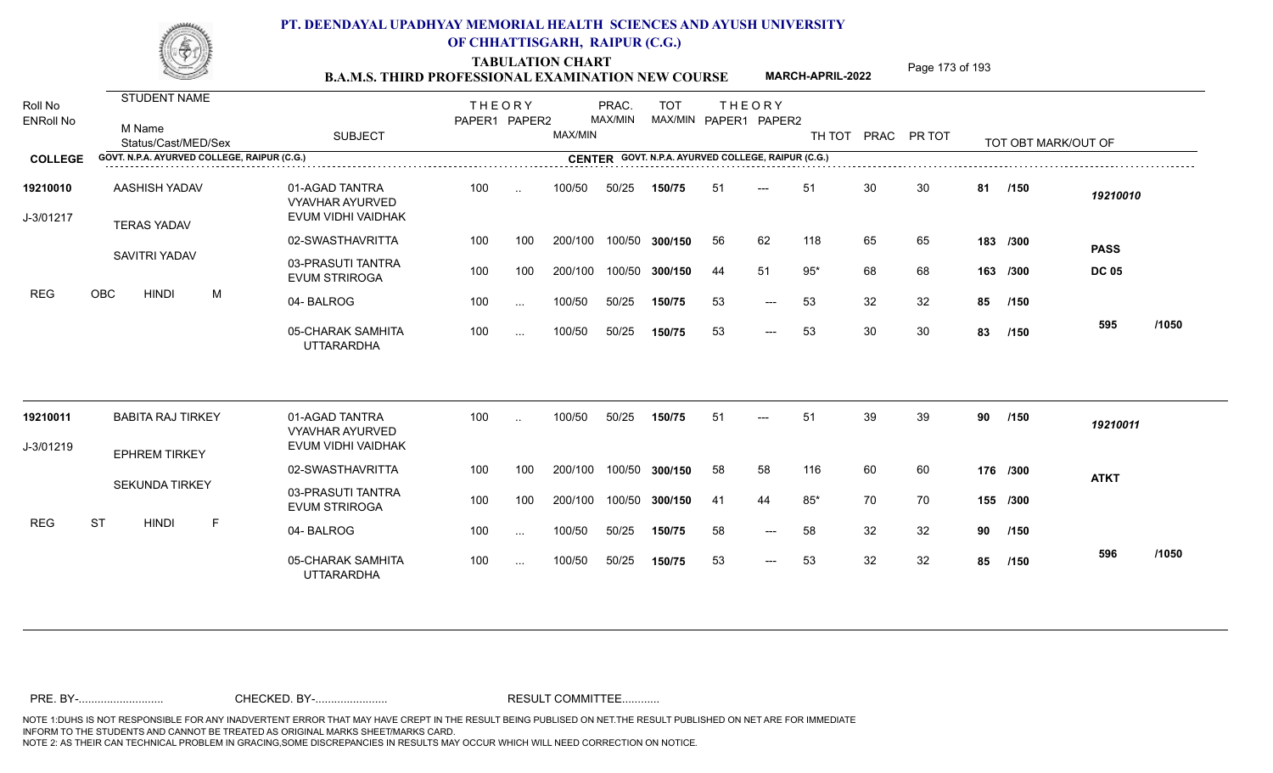TABULATION CHART<br> **TABULATION CHART EXAMINATION NEW COURSE MARCH-APRIL-2022** <sup>Page 173 of 193</sup>

**MARCH-APRIL-2022**

| Roll No<br><b>ENRoll No</b> | <b>STUDENT NAME</b><br>M Name<br>Status/Cast/MED/Sex | <b>SUBJECT</b>                                                 | <b>THEORY</b><br>PAPER1 PAPER2 |               | MAX/MIN | PRAC.<br>MAX/MIN | <b>TOT</b>     |     | <b>THEORY</b><br>MAX/MIN PAPER1 PAPER2             | TH TOT PRAC PR TOT |    |    |    | TOT OBT MARK/OUT OF |              |       |
|-----------------------------|------------------------------------------------------|----------------------------------------------------------------|--------------------------------|---------------|---------|------------------|----------------|-----|----------------------------------------------------|--------------------|----|----|----|---------------------|--------------|-------|
| <b>COLLEGE</b>              | GOVT. N.P.A. AYURVED COLLEGE, RAIPUR (C.G.)          |                                                                |                                |               |         |                  |                |     | CENTER GOVT. N.P.A. AYURVED COLLEGE, RAIPUR (C.G.) |                    |    |    |    |                     |              |       |
| 19210010<br>J-3/01217       | AASHISH YADAV<br><b>TERAS YADAV</b>                  | 01-AGAD TANTRA<br><b>VYAVHAR AYURVED</b><br>EVUM VIDHI VAIDHAK | 100                            | $\ddotsc$     | 100/50  | 50/25            | 150/75         | 51  | $---$                                              | 51                 | 30 | 30 | 81 | /150                | 19210010     |       |
|                             |                                                      | 02-SWASTHAVRITTA                                               | 100                            | 100           | 200/100 |                  | 100/50 300/150 | 56  | 62                                                 | 118                | 65 | 65 |    | 183 /300            | <b>PASS</b>  |       |
|                             | SAVITRI YADAV                                        | 03-PRASUTI TANTRA<br><b>EVUM STRIROGA</b>                      | 100                            | 100           | 200/100 |                  | 100/50 300/150 | 44  | 51                                                 | $95*$              | 68 | 68 |    | 163 /300            | <b>DC 05</b> |       |
| <b>REG</b>                  | OBC<br><b>HINDI</b><br>M                             | 04-BALROG                                                      | 100                            | $\ldots$      | 100/50  | 50/25            | 150/75         | 53  | $---$                                              | 53                 | 32 | 32 | 85 | /150                |              |       |
|                             |                                                      | 05-CHARAK SAMHITA<br><b>UTTARARDHA</b>                         | 100                            | $\sim$ $\sim$ | 100/50  | 50/25            | 150/75         | 53  | $---$                                              | 53                 | 30 | 30 | 83 | /150                | 595          | /1050 |
| 19210011                    | <b>BABITA RAJ TIRKEY</b>                             | 01-AGAD TANTRA<br><b>VYAVHAR AYURVED</b>                       | 100                            | $\sim$        | 100/50  | 50/25            | 150/75         | 51  | $---$                                              | 51                 | 39 | 39 | 90 | /150                | 19210011     |       |
| J-3/01219                   | <b>EPHREM TIRKEY</b>                                 | EVUM VIDHI VAIDHAK                                             |                                |               |         |                  |                |     |                                                    |                    |    |    |    |                     |              |       |
|                             |                                                      | 02-SWASTHAVRITTA                                               | 100                            | 100           | 200/100 |                  | 100/50 300/150 | 58  | 58                                                 | 116                | 60 | 60 |    | 176 /300            | <b>ATKT</b>  |       |
|                             | <b>SEKUNDA TIRKEY</b>                                | 03-PRASUTI TANTRA<br><b>EVUM STRIROGA</b>                      | 100                            | 100           | 200/100 |                  | 100/50 300/150 | -41 | 44                                                 | $85*$              | 70 | 70 |    | 155 /300            |              |       |
| <b>REG</b>                  | <b>ST</b><br><b>HINDI</b><br>F                       | 04-BALROG                                                      | 100                            | $\sim$ $\sim$ | 100/50  | 50/25            | 150/75         | 58  | $---$                                              | 58                 | 32 | 32 | 90 | /150                |              |       |
|                             |                                                      | 05-CHARAK SAMHITA<br><b>UTTARARDHA</b>                         | 100                            | $\sim$ $\sim$ | 100/50  | 50/25            | 150/75         | 53  | $\qquad \qquad - -$                                | 53                 | 32 | 32 | 85 | /150                | 596          | /1050 |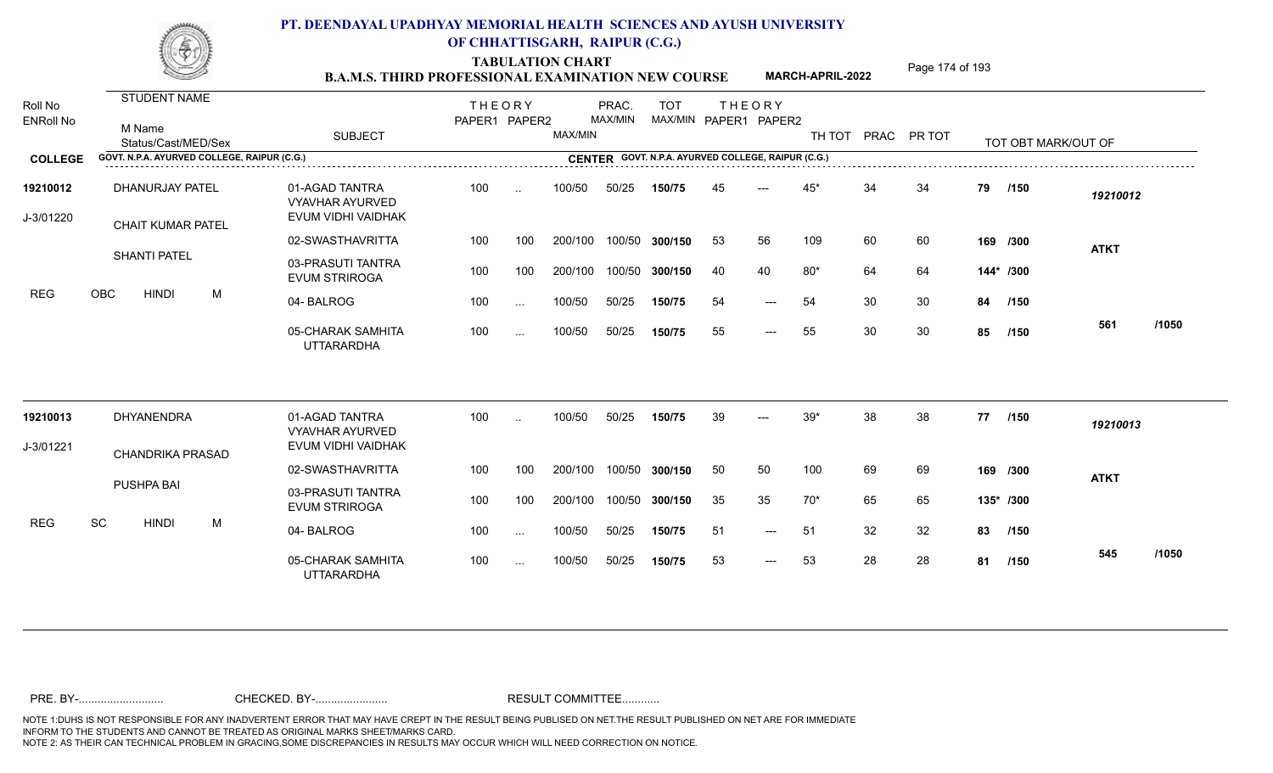TABULATION CHART<br> **TABULATION CHART EXAMINATION NEW COURSE MARCH-APRIL-2022** <sup>Page 174 of 193</sup>

**MARCH-APRIL-2022**

| Roll No<br><b>ENRoll No</b> | <b>STUDENT NAME</b><br>M Name<br>Status/Cast/MED/Sex | <b>SUBJECT</b>                                                 | <b>THEORY</b><br>PAPER1 PAPER2 |                      | MAX/MIN | PRAC.<br>MAX/MIN | <b>TOT</b><br>MAX/MIN PAPER1 PAPER2                |    | <b>THEORY</b> | TH TOT |    | PRAC PR TOT |    | TOT OBT MARK/OUT OF |              |  |
|-----------------------------|------------------------------------------------------|----------------------------------------------------------------|--------------------------------|----------------------|---------|------------------|----------------------------------------------------|----|---------------|--------|----|-------------|----|---------------------|--------------|--|
| <b>COLLEGE</b>              | GOVT. N.P.A. AYURVED COLLEGE, RAIPUR (C.G.)          |                                                                |                                |                      |         |                  | CENTER GOVT. N.P.A. AYURVED COLLEGE, RAIPUR (C.G.) |    |               |        |    |             |    |                     |              |  |
| 19210012<br>J-3/01220       | DHANURJAY PATEL<br>CHAIT KUMAR PATEL                 | 01-AGAD TANTRA<br><b>VYAVHAR AYURVED</b><br>EVUM VIDHI VAIDHAK | 100                            | $\sim$               | 100/50  | 50/25            | 150/75                                             | 45 | $---$         | $45*$  | 34 | 34          | 79 | /150                | 19210012     |  |
|                             |                                                      | 02-SWASTHAVRITTA                                               | 100                            | 100                  | 200/100 |                  | 100/50 300/150                                     | 53 | 56            | 109    | 60 | 60          |    | 169 /300            | <b>ATKT</b>  |  |
|                             | <b>SHANTI PATEL</b>                                  | 03-PRASUTI TANTRA<br><b>EVUM STRIROGA</b>                      | 100                            | 100                  | 200/100 |                  | 100/50 300/150                                     | 40 | 40            | $80*$  | 64 | 64          |    | 144* /300           |              |  |
| <b>REG</b>                  | OBC<br>M<br><b>HINDI</b>                             | 04-BALROG                                                      | 100                            | $\ddotsc$            | 100/50  | 50/25            | 150/75                                             | 54 | $---$         | 54     | 30 | 30          | 84 | /150                |              |  |
|                             |                                                      | 05-CHARAK SAMHITA<br><b>UTTARARDHA</b>                         | 100                            | $\ddotsc$            | 100/50  | 50/25            | 150/75                                             | 55 | $---$         | 55     | 30 | 30          | 85 | /150                | /1050<br>561 |  |
| 19210013                    | DHYANENDRA                                           | 01-AGAD TANTRA<br><b>VYAVHAR AYURVED</b>                       | 100                            | $\ddot{\phantom{a}}$ | 100/50  | 50/25            | 150/75                                             | 39 | $---$         | $39*$  | 38 | 38          | 77 | /150                | 19210013     |  |
| J-3/01221                   | CHANDRIKA PRASAD                                     | EVUM VIDHI VAIDHAK                                             |                                |                      |         |                  |                                                    |    |               |        |    |             |    |                     |              |  |
|                             |                                                      | 02-SWASTHAVRITTA                                               | 100                            | 100                  | 200/100 |                  | 100/50 300/150                                     | 50 | 50            | 100    | 69 | 69          |    | 169 /300            | <b>ATKT</b>  |  |
|                             | PUSHPA BAI                                           | 03-PRASUTI TANTRA<br><b>EVUM STRIROGA</b>                      | 100                            | 100                  | 200/100 |                  | 100/50 300/150                                     | 35 | 35            | $70*$  | 65 | 65          |    | 135* /300           |              |  |
| <b>REG</b>                  | SC<br><b>HINDI</b><br>M                              | 04-BALROG                                                      | 100                            | $\ddotsc$            | 100/50  | 50/25            | 150/75                                             | 51 | $---$         | 51     | 32 | 32          | 83 | /150                |              |  |
|                             |                                                      | 05-CHARAK SAMHITA<br><b>UTTARARDHA</b>                         | 100                            | $\cdots$             | 100/50  | 50/25            | 150/75                                             | 53 | $---$         | 53     | 28 | 28          | 81 | /150                | /1050<br>545 |  |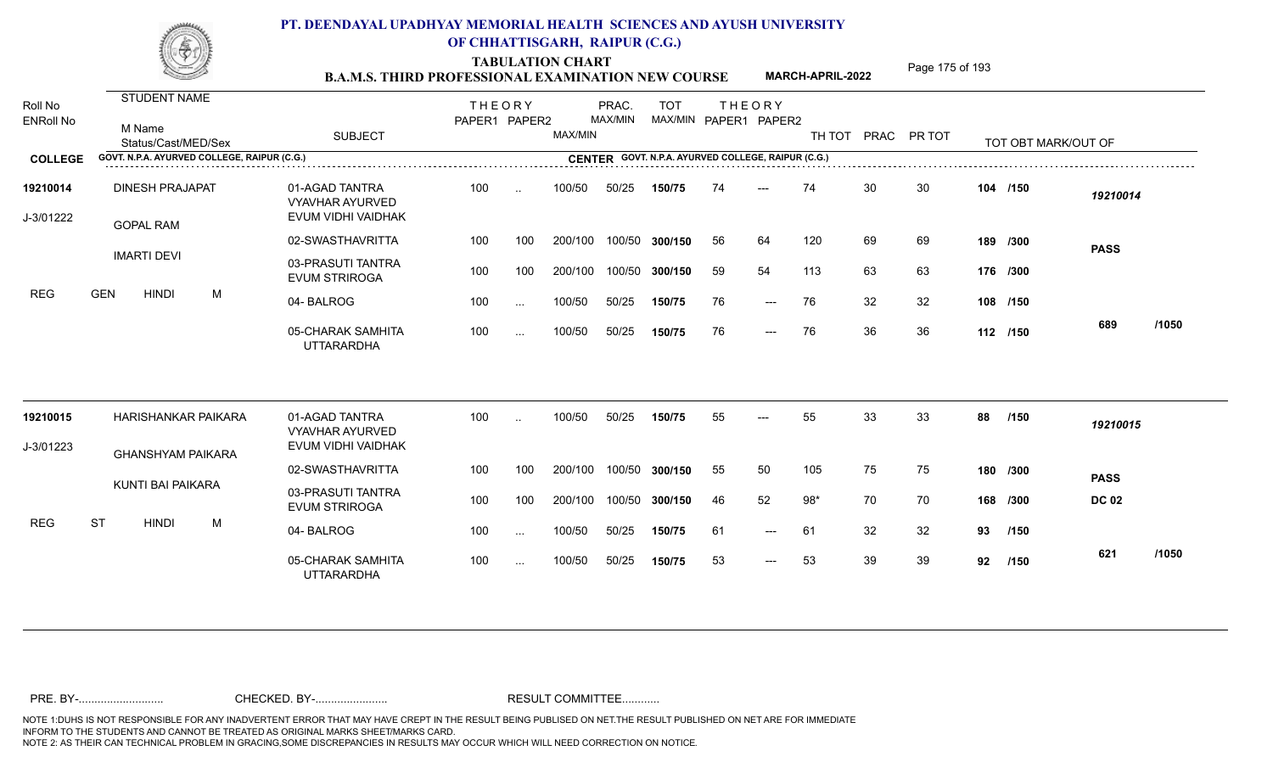TABULATION CHART<br> **TABULATION CHART B.A.M.S. THIRD PROFESSIONAL EXAMINATION NEW COURSE** MARCH-APRIL-2022 **Page 175 of 193** 

**MARCH-APRIL-2022**

| Roll No<br><b>ENRoll No</b> | <b>STUDENT NAME</b><br>M Name<br>Status/Cast/MED/Sex | <b>SUBJECT</b>                                                 | <b>THEORY</b><br>PAPER1 PAPER2 |           | MAX/MIN | PRAC.<br>MAX/MIN | <b>TOT</b> |    | <b>THEORY</b><br>MAX/MIN PAPER1 PAPER2             |       |    | TH TOT PRAC PR TOT |          | TOT OBT MARK/OUT OF |              |       |
|-----------------------------|------------------------------------------------------|----------------------------------------------------------------|--------------------------------|-----------|---------|------------------|------------|----|----------------------------------------------------|-------|----|--------------------|----------|---------------------|--------------|-------|
| <b>COLLEGE</b>              | GOVT. N.P.A. AYURVED COLLEGE, RAIPUR (C.G.)          |                                                                |                                |           |         |                  |            |    | CENTER GOVT. N.P.A. AYURVED COLLEGE, RAIPUR (C.G.) |       |    |                    |          |                     |              |       |
| 19210014<br>J-3/01222       | <b>DINESH PRAJAPAT</b><br><b>GOPAL RAM</b>           | 01-AGAD TANTRA<br><b>VYAVHAR AYURVED</b><br>EVUM VIDHI VAIDHAK | 100                            | $\ddotsc$ | 100/50  | 50/25            | 150/75     | 74 | $---$                                              | 74    | 30 | 30                 |          | 104 /150            | 19210014     |       |
|                             |                                                      | 02-SWASTHAVRITTA                                               | 100                            | 100       | 200/100 | 100/50           | 300/150    | 56 | 64                                                 | 120   | 69 | 69                 |          | 189 /300            | <b>PASS</b>  |       |
|                             | <b>IMARTI DEVI</b>                                   | 03-PRASUTI TANTRA<br><b>EVUM STRIROGA</b>                      | 100                            | 100       | 200/100 | 100/50           | 300/150    | 59 | 54                                                 | 113   | 63 | 63                 | 176 /300 |                     |              |       |
| <b>REG</b>                  | <b>GEN</b><br><b>HINDI</b><br>M                      | 04-BALROG                                                      | 100                            | $\sim$    | 100/50  | 50/25            | 150/75     | 76 | $\qquad \qquad - -$                                | 76    | 32 | 32                 |          | 108 /150            |              |       |
|                             |                                                      | 05-CHARAK SAMHITA<br><b>UTTARARDHA</b>                         | 100                            | $\cdots$  | 100/50  | 50/25            | 150/75     | 76 | $\qquad \qquad - -$                                | 76    | 36 | 36                 |          | 112 /150            | 689          | /1050 |
| 19210015                    | HARISHANKAR PAIKARA                                  | 01-AGAD TANTRA<br><b>VYAVHAR AYURVED</b>                       | 100                            | $\sim$    | 100/50  | 50/25            | 150/75     | 55 | $---$                                              | 55    | 33 | 33                 | 88       | /150                | 19210015     |       |
| J-3/01223                   | <b>GHANSHYAM PAIKARA</b>                             | EVUM VIDHI VAIDHAK                                             |                                |           |         |                  |            |    |                                                    |       |    |                    |          |                     |              |       |
|                             |                                                      | 02-SWASTHAVRITTA                                               | 100                            | 100       | 200/100 | 100/50           | 300/150    | 55 | 50                                                 | 105   | 75 | 75                 |          | 180 /300            | <b>PASS</b>  |       |
|                             | KUNTI BAI PAIKARA                                    | 03-PRASUTI TANTRA<br><b>EVUM STRIROGA</b>                      | 100                            | 100       | 200/100 | 100/50           | 300/150    | 46 | 52                                                 | $98*$ | 70 | 70                 |          | 168 /300            | <b>DC 02</b> |       |
| <b>REG</b>                  | <b>ST</b><br><b>HINDI</b><br>M                       | 04-BALROG                                                      | 100                            | $\sim$ .  | 100/50  | 50/25            | 150/75     | 61 | $---$                                              | 61    | 32 | 32                 | 93       | /150                |              |       |
|                             |                                                      | 05-CHARAK SAMHITA<br><b>UTTARARDHA</b>                         | 100                            | $\cdots$  | 100/50  | 50/25            | 150/75     | 53 | $\qquad \qquad - -$                                | 53    | 39 | 39                 | 92       | /150                | 621          | /1050 |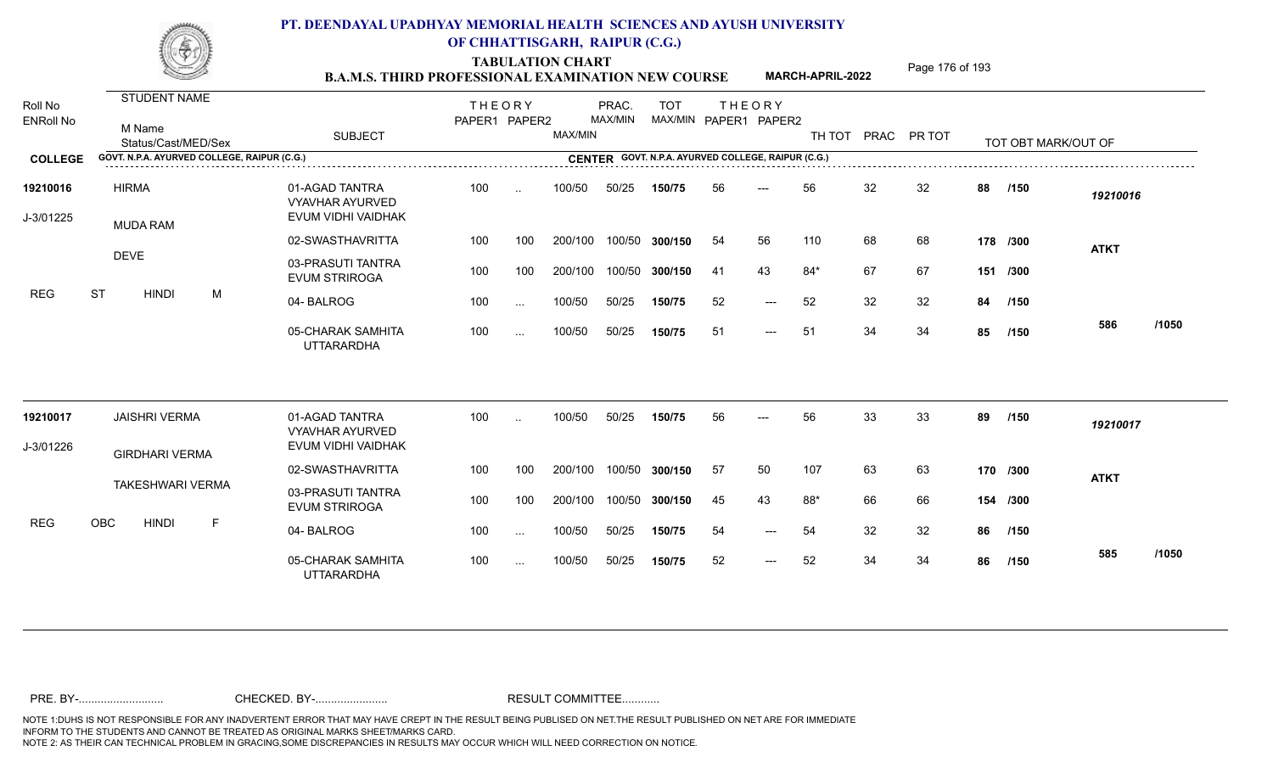TABULATION CHART<br> **TABULATION CHART EXAMINATION NEW COURSE MARCH-APRIL-2022** <sup>Page 176 of 193</sup>

**MARCH-APRIL-2022**

| Roll No<br><b>ENRoll No</b> | <b>STUDENT NAME</b><br>M Name<br>Status/Cast/MED/Sex | <b>SUBJECT</b>                                          | <b>THEORY</b><br>PAPER1 PAPER2 |           | MAX/MIN | PRAC.<br>MAX/MIN | <b>TOT</b><br>MAX/MIN PAPER1 PAPER2                |     | <b>THEORY</b>             | TH TOT PRAC PR TOT |    |    |    | TOT OBT MARK/OUT OF |             |       |
|-----------------------------|------------------------------------------------------|---------------------------------------------------------|--------------------------------|-----------|---------|------------------|----------------------------------------------------|-----|---------------------------|--------------------|----|----|----|---------------------|-------------|-------|
| <b>COLLEGE</b>              | GOVT. N.P.A. AYURVED COLLEGE, RAIPUR (C.G.)          |                                                         |                                |           |         |                  | CENTER GOVT. N.P.A. AYURVED COLLEGE, RAIPUR (C.G.) |     |                           |                    |    |    |    |                     |             |       |
| 19210016<br>J-3/01225       | <b>HIRMA</b><br><b>MUDA RAM</b>                      | 01-AGAD TANTRA<br>VYAVHAR AYURVED<br>EVUM VIDHI VAIDHAK | 100                            | $\ddotsc$ | 100/50  | 50/25            | 150/75                                             | 56  | $---$                     | 56                 | 32 | 32 | 88 | /150                | 19210016    |       |
|                             |                                                      | 02-SWASTHAVRITTA                                        | 100                            | 100       | 200/100 | 100/50           | 300/150                                            | 54  | 56                        | 110                | 68 | 68 |    | 178 /300            | <b>ATKT</b> |       |
|                             | <b>DEVE</b>                                          | 03-PRASUTI TANTRA<br><b>EVUM STRIROGA</b>               | 100                            | 100       | 200/100 | 100/50           | 300/150                                            | -41 | 43                        | $84*$              | 67 | 67 |    | 151 /300            |             |       |
| <b>REG</b>                  | <b>ST</b><br><b>HINDI</b><br>M                       | 04-BALROG                                               | 100                            | $\sim$ .  | 100/50  | 50/25            | 150/75                                             | 52  | $---$                     | 52                 | 32 | 32 | 84 | /150                |             |       |
|                             |                                                      | 05-CHARAK SAMHITA<br><b>UTTARARDHA</b>                  | 100                            | $\cdots$  | 100/50  | 50/25            | 150/75                                             | -51 | $\qquad \qquad - -$       | 51                 | 34 | 34 | 85 | /150                | 586         | /1050 |
| 19210017                    | <b>JAISHRI VERMA</b>                                 | 01-AGAD TANTRA<br><b>VYAVHAR AYURVED</b>                | 100                            | $\ddotsc$ | 100/50  | 50/25            | 150/75                                             | 56  | $---$                     | 56                 | 33 | 33 | 89 | /150                | 19210017    |       |
| J-3/01226                   | <b>GIRDHARI VERMA</b>                                | EVUM VIDHI VAIDHAK                                      |                                |           |         |                  |                                                    |     |                           |                    |    |    |    |                     |             |       |
|                             |                                                      | 02-SWASTHAVRITTA                                        | 100                            | 100       | 200/100 | 100/50           | 300/150                                            | -57 | 50                        | 107                | 63 | 63 |    | 170 /300            | <b>ATKT</b> |       |
|                             | <b>TAKESHWARI VERMA</b>                              | 03-PRASUTI TANTRA<br><b>EVUM STRIROGA</b>               | 100                            | 100       | 200/100 | 100/50           | 300/150                                            | 45  | 43                        | 88*                | 66 | 66 |    | 154 /300            |             |       |
| <b>REG</b>                  | OBC<br><b>HINDI</b><br>F                             | 04-BALROG                                               | 100                            | $\sim$ .  | 100/50  | 50/25            | 150/75                                             | 54  | $\qquad \qquad -\qquad -$ | 54                 | 32 | 32 | 86 | /150                |             |       |
|                             |                                                      | 05-CHARAK SAMHITA<br><b>UTTARARDHA</b>                  | 100                            | $\sim$ .  | 100/50  | 50/25            | 150/75                                             | 52  | $\qquad \qquad - -$       | 52                 | 34 | 34 | 86 | /150                | 585         | /1050 |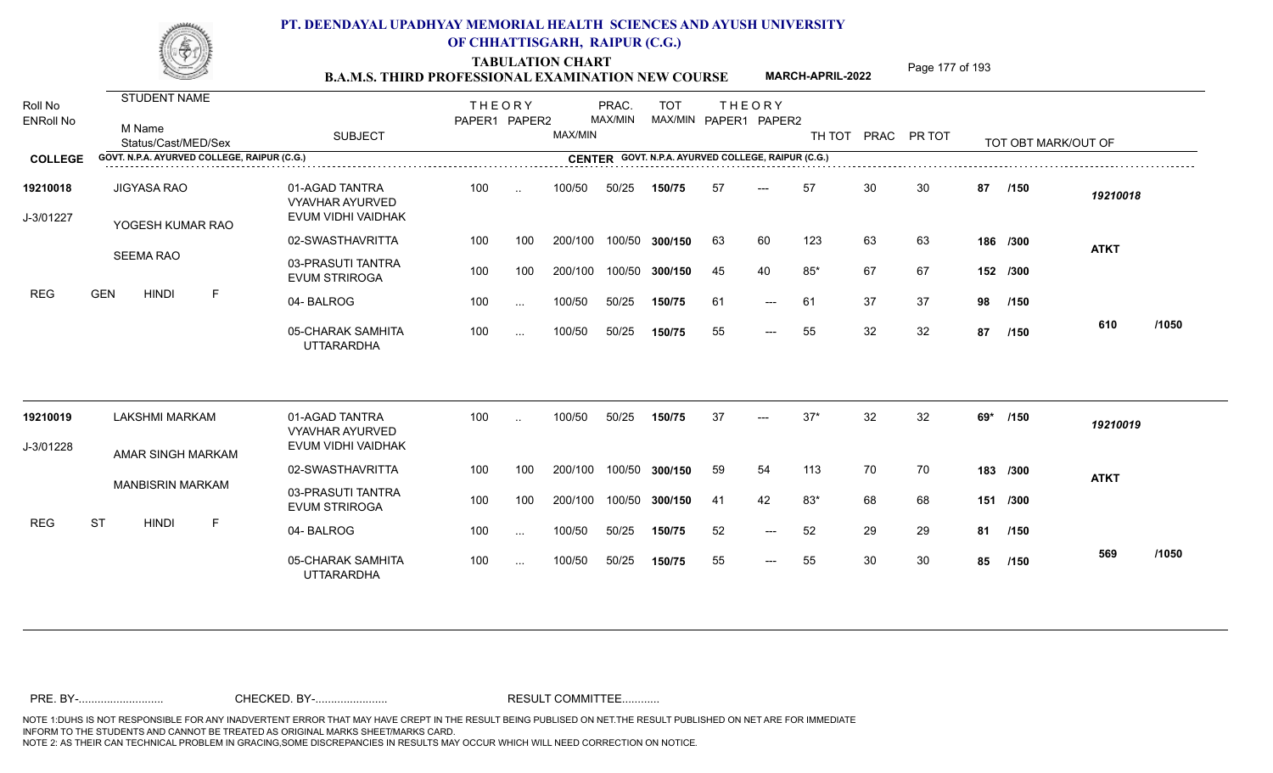TABULATION CHART<br> **TABULATION CHART B.A.M.S. THIRD PROFESSIONAL EXAMINATION NEW COURSE** MARCH-APRIL-2022 **Page 177** of 193

**MARCH-APRIL-2022**

| Roll No<br><b>ENRoll No</b> | STUDENT NAME<br>M Name<br>Status/Cast/MED/Sex | <b>SUBJECT</b>                                          | <b>THEORY</b><br>PAPER1 PAPER2 |                      | MAX/MIN | PRAC.<br>MAX/MIN | <b>TOT</b>                                         |     | <b>THEORY</b><br>MAX/MIN PAPER1 PAPER2 | TH TOT |    | PRAC PR TOT |     | TOT OBT MARK/OUT OF |             |       |
|-----------------------------|-----------------------------------------------|---------------------------------------------------------|--------------------------------|----------------------|---------|------------------|----------------------------------------------------|-----|----------------------------------------|--------|----|-------------|-----|---------------------|-------------|-------|
| <b>COLLEGE</b>              | GOVT. N.P.A. AYURVED COLLEGE, RAIPUR (C.G.)   |                                                         |                                |                      |         |                  | CENTER GOVT. N.P.A. AYURVED COLLEGE, RAIPUR (C.G.) |     |                                        |        |    |             |     |                     |             |       |
| 19210018<br>J-3/01227       | <b>JIGYASA RAO</b><br>YOGESH KUMAR RAO        | 01-AGAD TANTRA<br>VYAVHAR AYURVED<br>EVUM VIDHI VAIDHAK | 100                            | $\ddot{\phantom{a}}$ | 100/50  | 50/25            | 150/75                                             | 57  | $---$                                  | 57     | 30 | 30          | 87  | /150                | 19210018    |       |
|                             |                                               | 02-SWASTHAVRITTA                                        | 100                            | 100                  | 200/100 | 100/50           | 300/150                                            | 63  | 60                                     | 123    | 63 | 63          |     | 186 /300            | <b>ATKT</b> |       |
|                             | <b>SEEMA RAO</b>                              | 03-PRASUTI TANTRA<br><b>EVUM STRIROGA</b>               | 100                            | 100                  | 200/100 | 100/50           | 300/150                                            | 45  | 40                                     | $85*$  | 67 | 67          |     | 152 /300            |             |       |
| <b>REG</b>                  | $\mathsf F$<br><b>GEN</b><br><b>HINDI</b>     | 04-BALROG                                               | 100                            | $\sim$ .             | 100/50  | 50/25            | 150/75                                             | 61  | $\qquad \qquad -\qquad -$              | 61     | 37 | 37          | 98  | /150                |             |       |
|                             |                                               | 05-CHARAK SAMHITA<br><b>UTTARARDHA</b>                  | 100                            | $\sim$ .             | 100/50  | 50/25            | 150/75                                             | 55  | $---$                                  | 55     | 32 | 32          | 87  | /150                | 610         | /1050 |
| 19210019                    | <b>LAKSHMI MARKAM</b>                         | 01-AGAD TANTRA<br><b>VYAVHAR AYURVED</b>                | 100                            | $\ddotsc$            | 100/50  | 50/25            | 150/75                                             | 37  | $---$                                  | $37*$  | 32 | 32          | 69* | /150                | 19210019    |       |
| J-3/01228                   | AMAR SINGH MARKAM                             | EVUM VIDHI VAIDHAK                                      |                                |                      |         |                  |                                                    |     |                                        |        |    |             |     |                     |             |       |
|                             |                                               | 02-SWASTHAVRITTA                                        | 100                            | 100                  | 200/100 | 100/50           | 300/150                                            | 59  | 54                                     | 113    | 70 | 70          |     | 183 /300            | <b>ATKT</b> |       |
|                             | <b>MANBISRIN MARKAM</b>                       | 03-PRASUTI TANTRA<br><b>EVUM STRIROGA</b>               | 100                            | 100                  | 200/100 | 100/50           | 300/150                                            | -41 | 42                                     | 83*    | 68 | 68          |     | 151 /300            |             |       |
| <b>REG</b>                  | <b>ST</b><br><b>HINDI</b><br>F                | 04-BALROG                                               | 100                            | $\cdots$             | 100/50  | 50/25            | 150/75                                             | 52  | $---$                                  | 52     | 29 | 29          | 81  | /150                |             |       |
|                             |                                               | 05-CHARAK SAMHITA<br><b>UTTARARDHA</b>                  | 100                            | $\cdots$             | 100/50  | 50/25            | 150/75                                             | 55  | $---$                                  | 55     | 30 | 30          | 85  | /150                | 569         | /1050 |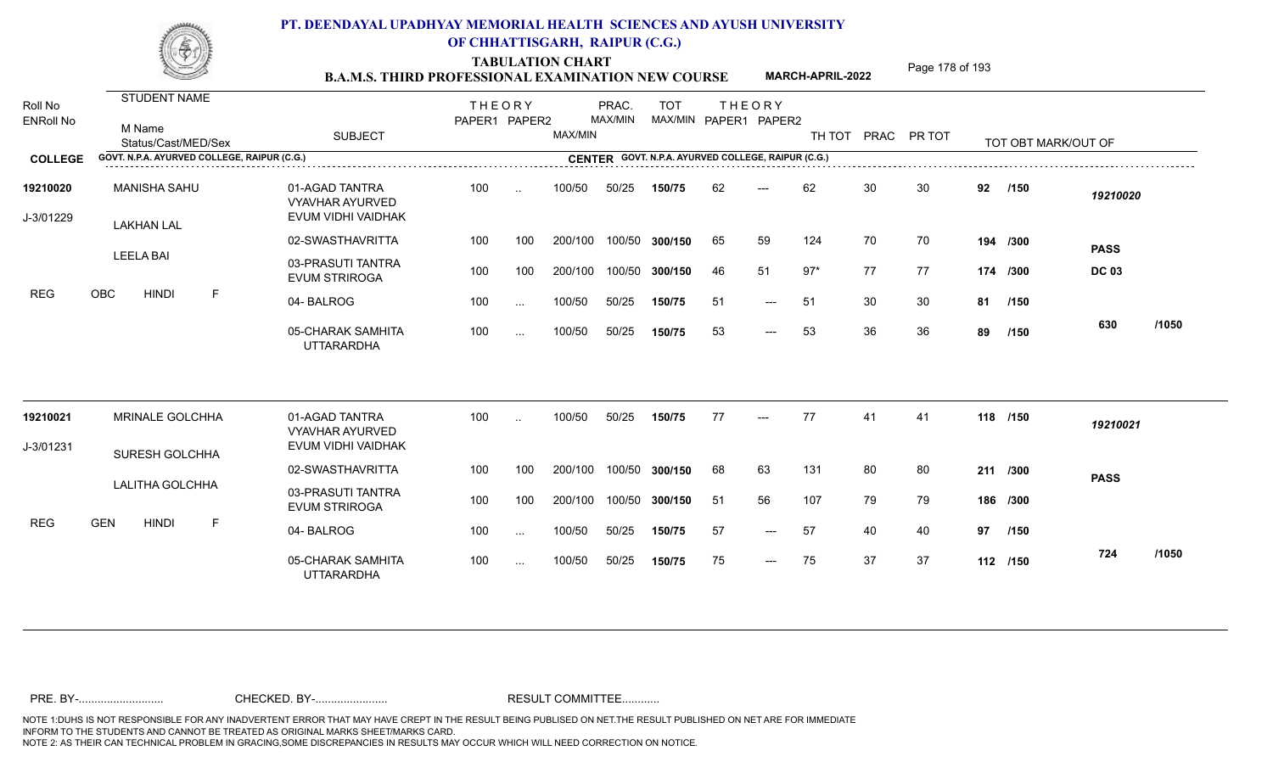TABULATION CHART<br> **TABULATION CHART EXAMINATION NEW COURSE MARCH-APRIL-2022** <sup>Page 178 of 193</sup>

**MARCH-APRIL-2022**

| Roll No<br><b>ENRoll No</b> | <b>STUDENT NAME</b><br>M Name<br>Status/Cast/MED/Sex | <b>SUBJECT</b>                                                 | <b>THEORY</b><br>PAPER1 PAPER2 |           | MAX/MIN | PRAC.<br>MAX/MIN | <b>TOT</b>                                         |     | <b>THEORY</b><br>MAX/MIN PAPER1 PAPER2 | TH TOT |    | PRAC PR TOT |    | TOT OBT MARK/OUT OF |              |       |
|-----------------------------|------------------------------------------------------|----------------------------------------------------------------|--------------------------------|-----------|---------|------------------|----------------------------------------------------|-----|----------------------------------------|--------|----|-------------|----|---------------------|--------------|-------|
| <b>COLLEGE</b>              | GOVT. N.P.A. AYURVED COLLEGE, RAIPUR (C.G.)          |                                                                |                                |           |         |                  | CENTER GOVT. N.P.A. AYURVED COLLEGE, RAIPUR (C.G.) |     |                                        |        |    |             |    |                     |              |       |
| 19210020<br>J-3/01229       | <b>MANISHA SAHU</b><br><b>LAKHAN LAL</b>             | 01-AGAD TANTRA<br><b>VYAVHAR AYURVED</b><br>EVUM VIDHI VAIDHAK | 100                            | $\ddotsc$ | 100/50  | 50/25            | 150/75                                             | 62  | $---$                                  | 62     | 30 | 30          | 92 | /150                | 19210020     |       |
|                             |                                                      | 02-SWASTHAVRITTA                                               | 100                            | 100       | 200/100 | 100/50           | 300/150                                            | 65  | 59                                     | 124    | 70 | 70          |    | 194 /300            | <b>PASS</b>  |       |
|                             | <b>LEELA BAI</b>                                     | 03-PRASUTI TANTRA<br><b>EVUM STRIROGA</b>                      | 100                            | 100       | 200/100 | 100/50           | 300/150                                            | 46  | 51                                     | $97*$  | 77 | 77          |    | 174 /300            | <b>DC 03</b> |       |
| <b>REG</b>                  | <b>OBC</b><br><b>HINDI</b><br>F.                     | 04-BALROG                                                      | 100                            | $\cdots$  | 100/50  | 50/25            | 150/75                                             | -51 | $---$                                  | -51    | 30 | 30          |    | 81 /150             |              |       |
|                             |                                                      | 05-CHARAK SAMHITA<br><b>UTTARARDHA</b>                         | 100                            | $\sim$ .  | 100/50  | 50/25            | 150/75                                             | 53  | $---$                                  | 53     | 36 | 36          | 89 | /150                | 630          | /1050 |
| 19210021                    | <b>MRINALE GOLCHHA</b>                               | 01-AGAD TANTRA                                                 | 100                            | $\ddotsc$ | 100/50  | 50/25            | 150/75                                             | 77  | $---$                                  | 77     | 41 | 41          |    | 118 /150            | 19210021     |       |
| J-3/01231                   |                                                      | <b>VYAVHAR AYURVED</b><br>EVUM VIDHI VAIDHAK                   |                                |           |         |                  |                                                    |     |                                        |        |    |             |    |                     |              |       |
|                             | SURESH GOLCHHA                                       | 02-SWASTHAVRITTA                                               | 100                            | 100       | 200/100 | 100/50           | 300/150                                            | 68  | 63                                     | 131    | 80 | 80          |    | 211 /300            | <b>PASS</b>  |       |
|                             | <b>LALITHA GOLCHHA</b>                               | 03-PRASUTI TANTRA<br><b>EVUM STRIROGA</b>                      | 100                            | 100       | 200/100 | 100/50           | 300/150                                            | -51 | 56                                     | 107    | 79 | 79          |    | 186 /300            |              |       |
| <b>REG</b>                  | <b>GEN</b><br><b>HINDI</b><br>F                      | 04-BALROG                                                      | 100                            | $\cdots$  | 100/50  | 50/25            | 150/75                                             | 57  | $---$                                  | 57     | 40 | 40          | 97 | /150                |              |       |
|                             |                                                      | 05-CHARAK SAMHITA<br><b>UTTARARDHA</b>                         | 100                            | $\sim$ .  | 100/50  | 50/25            | 150/75                                             | 75  | $---$                                  | 75     | 37 | 37          |    | 112 /150            | 724          | /1050 |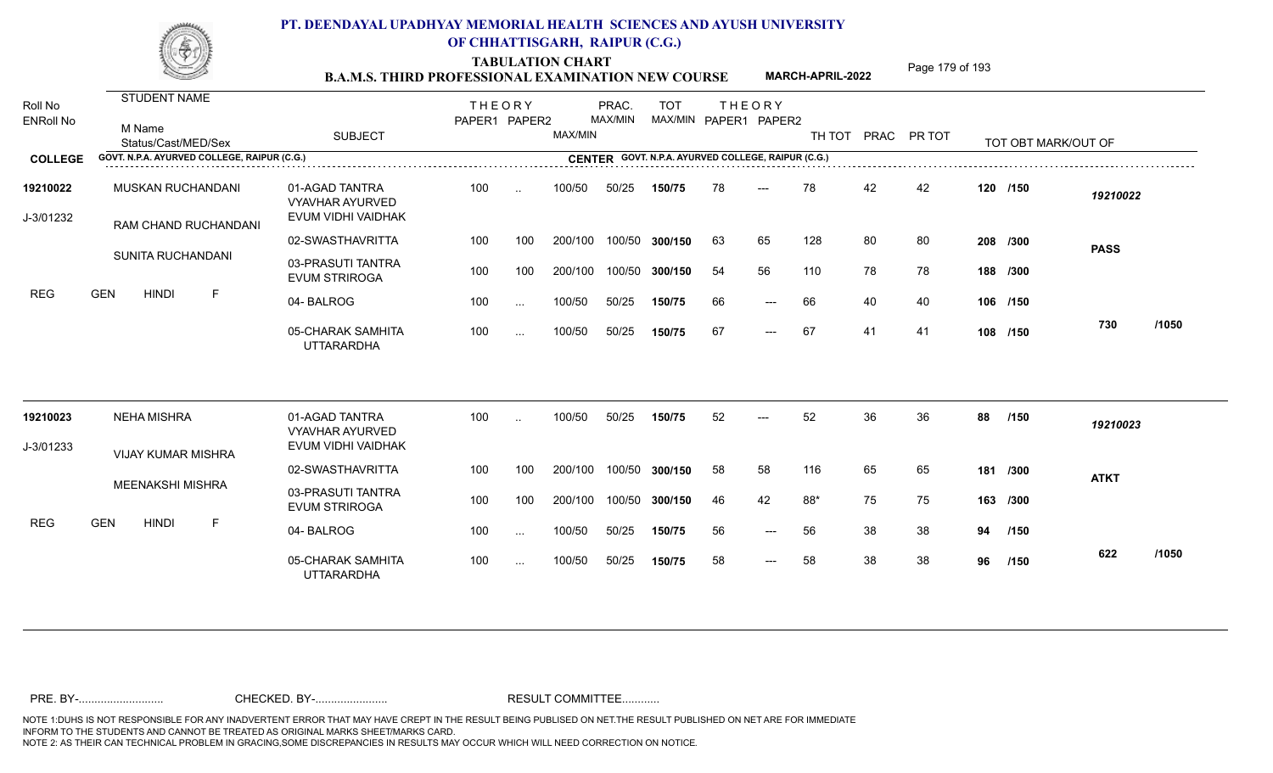TABULATION CHART<br> **TABULATION CHART EXAMINATION NEW COURSE MARCH-APRIL-2022** <sup>Page 179 of 193</sup>

**MARCH-APRIL-2022**

| Roll No<br><b>ENRoll No</b> | <b>STUDENT NAME</b><br>M Name<br>Status/Cast/MED/Sex | <b>SUBJECT</b>                                                 | <b>THEORY</b><br>PAPER1 PAPER2 |           | MAX/MIN | PRAC.<br>MAX/MIN | <b>TOT</b>     |    | <b>THEORY</b><br>MAX/MIN PAPER1 PAPER2             | TH TOT |    | PRAC PR TOT |    | TOT OBT MARK/OUT OF |             |       |
|-----------------------------|------------------------------------------------------|----------------------------------------------------------------|--------------------------------|-----------|---------|------------------|----------------|----|----------------------------------------------------|--------|----|-------------|----|---------------------|-------------|-------|
| <b>COLLEGE</b>              | GOVT. N.P.A. AYURVED COLLEGE, RAIPUR (C.G.)          |                                                                |                                |           |         |                  |                |    | CENTER GOVT. N.P.A. AYURVED COLLEGE, RAIPUR (C.G.) |        |    |             |    |                     |             |       |
| 19210022<br>J-3/01232       | MUSKAN RUCHANDANI<br>RAM CHAND RUCHANDANI            | 01-AGAD TANTRA<br><b>VYAVHAR AYURVED</b><br>EVUM VIDHI VAIDHAK | 100                            | $\ddotsc$ | 100/50  | 50/25            | 150/75         | 78 | $---$                                              | 78     | 42 | 42          |    | 120 /150            | 19210022    |       |
|                             |                                                      | 02-SWASTHAVRITTA                                               | 100                            | 100       | 200/100 |                  | 100/50 300/150 | 63 | 65                                                 | 128    | 80 | 80          |    | 208 /300            | <b>PASS</b> |       |
|                             | SUNITA RUCHANDANI<br><b>GEN</b><br><b>HINDI</b><br>F | 03-PRASUTI TANTRA<br><b>EVUM STRIROGA</b>                      | 100                            | 100       | 200/100 |                  | 100/50 300/150 | 54 | 56                                                 | 110    | 78 | 78          |    | 188 /300            |             |       |
| <b>REG</b>                  |                                                      | 04-BALROG                                                      | 100                            | $\cdots$  | 100/50  | 50/25            | 150/75         | 66 | $---$                                              | 66     | 40 | 40          |    | 106 /150            |             |       |
|                             |                                                      | 05-CHARAK SAMHITA<br><b>UTTARARDHA</b>                         | 100                            | $\cdots$  | 100/50  | 50/25            | 150/75         | 67 | $---$                                              | 67     | 41 | -41         |    | 108 /150            | 730         | /1050 |
| 19210023                    | <b>NEHA MISHRA</b>                                   | 01-AGAD TANTRA                                                 | 100                            | $\cdot$ . | 100/50  | 50/25            | 150/75         | 52 | $---$                                              | 52     | 36 | 36          | 88 | /150                | 19210023    |       |
| J-3/01233                   |                                                      | <b>VYAVHAR AYURVED</b><br>EVUM VIDHI VAIDHAK                   |                                |           |         |                  |                |    |                                                    |        |    |             |    |                     |             |       |
|                             | <b>VIJAY KUMAR MISHRA</b>                            | 02-SWASTHAVRITTA                                               | 100                            | 100       | 200/100 |                  | 100/50 300/150 | 58 | 58                                                 | 116    | 65 | 65          |    | 181 /300            | <b>ATKT</b> |       |
|                             | <b>MEENAKSHI MISHRA</b>                              | 03-PRASUTI TANTRA<br><b>EVUM STRIROGA</b>                      | 100                            | 100       | 200/100 |                  | 100/50 300/150 | 46 | 42                                                 | 88*    | 75 | 75          |    | 163 /300            |             |       |
| <b>REG</b>                  | <b>GEN</b><br><b>HINDI</b><br>F                      | 04-BALROG                                                      | 100                            | $\cdots$  | 100/50  | 50/25            | 150/75         | 56 | $---$                                              | 56     | 38 | 38          | 94 | /150                |             |       |
|                             |                                                      | 05-CHARAK SAMHITA<br><b>UTTARARDHA</b>                         | 100                            | $\cdots$  | 100/50  | 50/25            | 150/75         | 58 | $---$                                              | 58     | 38 | 38          | 96 | /150                | 622         | /1050 |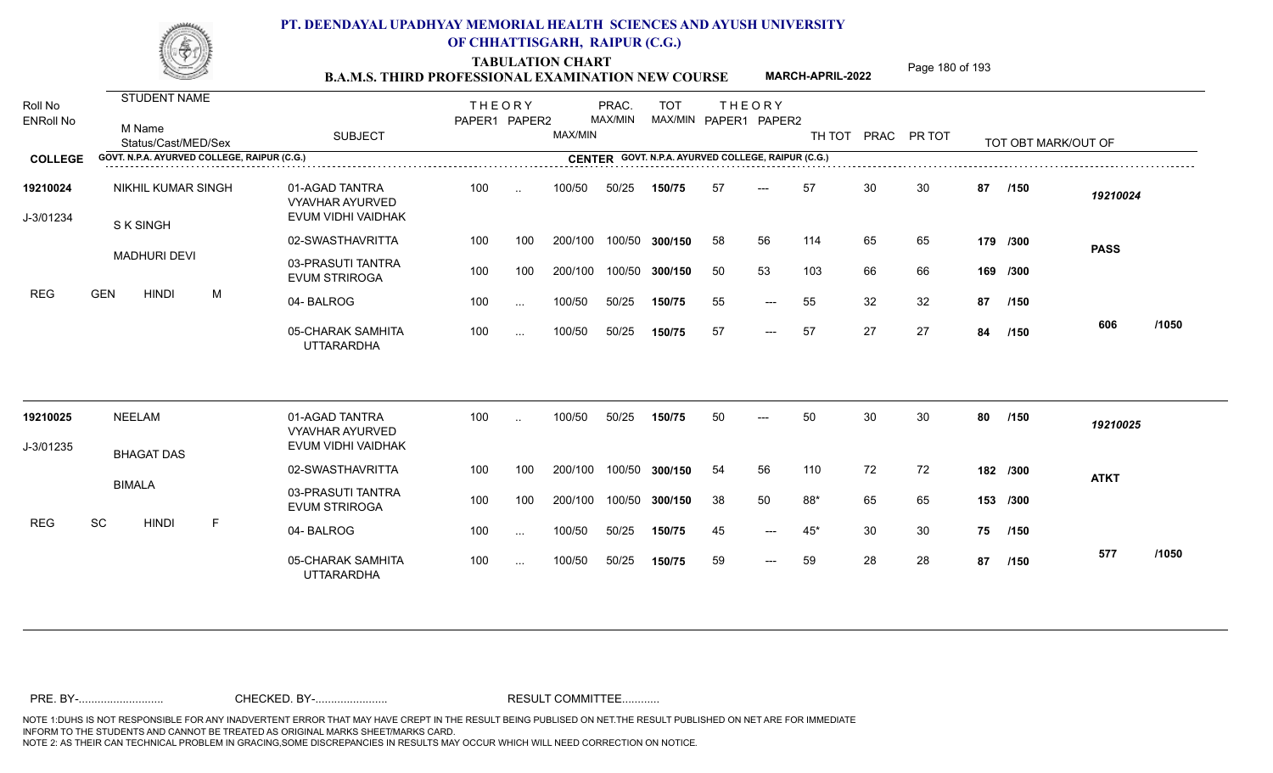TABULATION CHART<br> **TABULATION CHART EXAMINATION NEW COURSE MARCH-APRIL-2022** <sup>Page 180 of 193</sup>

**MARCH-APRIL-2022**

| Roll No<br><b>ENRoll No</b><br><b>COLLEGE</b> | <b>STUDENT NAME</b><br>M Name<br>Status/Cast/MED/Sex<br>GOVT. N.P.A. AYURVED COLLEGE, RAIPUR (C.G.) |   | <b>SUBJECT</b>                                                 | <b>THEORY</b><br>PAPER1 PAPER2 |           | MAX/MIN | PRAC.<br>MAX/MIN | <b>TOT</b>     |     | <b>THEORY</b><br>MAX/MIN PAPER1 PAPER2<br>CENTER GOVT. N.P.A. AYURVED COLLEGE, RAIPUR (C.G.) | TH TOT |    | PRAC PR TOT |    | TOT OBT MARK/OUT OF |             |       |
|-----------------------------------------------|-----------------------------------------------------------------------------------------------------|---|----------------------------------------------------------------|--------------------------------|-----------|---------|------------------|----------------|-----|----------------------------------------------------------------------------------------------|--------|----|-------------|----|---------------------|-------------|-------|
|                                               |                                                                                                     |   |                                                                |                                |           |         |                  |                |     |                                                                                              |        |    |             |    |                     |             |       |
| 19210024<br>J-3/01234                         | <b>NIKHIL KUMAR SINGH</b><br>S K SINGH                                                              |   | 01-AGAD TANTRA<br><b>VYAVHAR AYURVED</b><br>EVUM VIDHI VAIDHAK | 100                            | $\cdot$ . | 100/50  | 50/25            | 150/75         | -57 | $---$                                                                                        | 57     | 30 | 30          | 87 | /150                | 19210024    |       |
|                                               |                                                                                                     |   | 02-SWASTHAVRITTA                                               | 100                            | 100       | 200/100 |                  | 100/50 300/150 | 58  | 56                                                                                           | 114    | 65 | 65          |    | 179 /300            | <b>PASS</b> |       |
|                                               | <b>MADHURI DEVI</b>                                                                                 |   | 03-PRASUTI TANTRA<br><b>EVUM STRIROGA</b>                      | 100                            | 100       | 200/100 |                  | 100/50 300/150 | 50  | 53                                                                                           | 103    | 66 | 66          |    | 169 /300            |             |       |
| <b>REG</b>                                    | <b>GEN</b><br><b>HINDI</b>                                                                          | M | 04-BALROG                                                      | 100                            | $\cdots$  | 100/50  | 50/25            | 150/75         | 55  | $- - -$                                                                                      | 55     | 32 | 32          | 87 | /150                |             |       |
|                                               |                                                                                                     |   | 05-CHARAK SAMHITA<br><b>UTTARARDHA</b>                         | 100                            | $\cdots$  | 100/50  | 50/25            | 150/75         | 57  | $---$                                                                                        | 57     | 27 | 27          | 84 | /150                | 606         | /1050 |
| 19210025                                      | <b>NEELAM</b>                                                                                       |   | 01-AGAD TANTRA<br><b>VYAVHAR AYURVED</b>                       | 100                            |           | 100/50  | 50/25            | 150/75         | 50  |                                                                                              | 50     | 30 | 30          | 80 | /150                | 19210025    |       |
| J-3/01235                                     |                                                                                                     |   | EVUM VIDHI VAIDHAK                                             |                                |           |         |                  |                |     |                                                                                              |        |    |             |    |                     |             |       |
|                                               | <b>BHAGAT DAS</b>                                                                                   |   | 02-SWASTHAVRITTA                                               | 100                            | 100       | 200/100 |                  | 100/50 300/150 | 54  | 56                                                                                           | 110    | 72 | 72          |    | 182 /300            | <b>ATKT</b> |       |
|                                               | <b>BIMALA</b>                                                                                       |   | 03-PRASUTI TANTRA<br><b>EVUM STRIROGA</b>                      | 100                            | 100       | 200/100 |                  | 100/50 300/150 | 38  | 50                                                                                           | 88*    | 65 | 65          |    | 153 /300            |             |       |
| <b>REG</b>                                    | SC<br><b>HINDI</b>                                                                                  | F | 04-BALROG                                                      | 100                            | $\cdots$  | 100/50  | 50/25            | 150/75         | 45  | $---$                                                                                        | $45*$  | 30 | 30          | 75 | /150                |             |       |
|                                               |                                                                                                     |   | 05-CHARAK SAMHITA<br><b>UTTARARDHA</b>                         | 100                            | $\cdots$  | 100/50  | 50/25            | 150/75         | 59  | $---$                                                                                        | 59     | 28 | 28          | 87 | /150                | 577         | /1050 |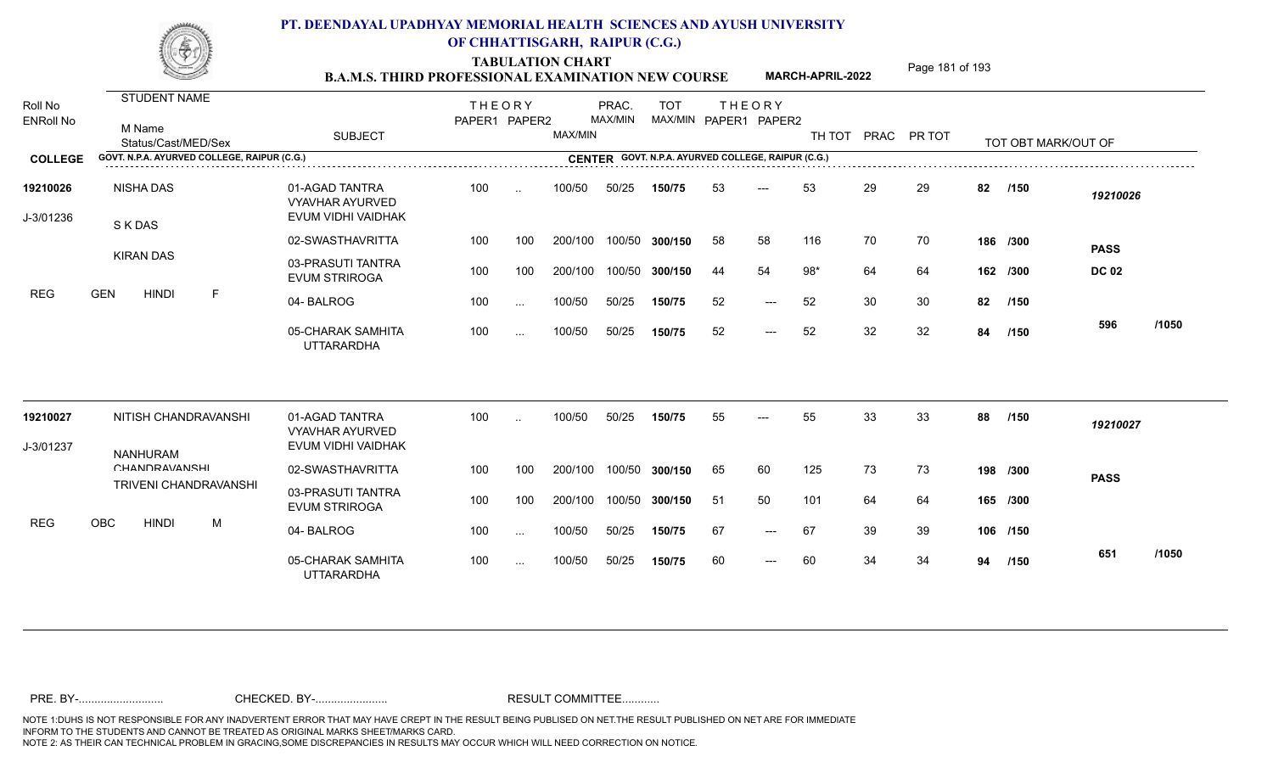TABULATION CHART<br> **TABULATION CHART EXAMINATION NEW COURSE MARCH-APRIL-2022** <sup>Page 181 of 193</sup>

**MARCH-APRIL-2022**

| Roll No<br><b>ENRoll No</b> | STUDENT NAME<br>M Name<br>Status/Cast/MED/Sex |                              | <b>SUBJECT</b>                                                 | <b>THEORY</b><br>PAPER1 PAPER2 |               | MAX/MIN | PRAC.<br>MAX/MIN | <b>TOT</b><br>MAX/MIN PAPER1 PAPER2 |    | <b>THEORY</b> |       |    | TH TOT PRAC PR TOT |    | TOT OBT MARK/OUT OF |              |       |
|-----------------------------|-----------------------------------------------|------------------------------|----------------------------------------------------------------|--------------------------------|---------------|---------|------------------|-------------------------------------|----|---------------|-------|----|--------------------|----|---------------------|--------------|-------|
| <b>COLLEGE</b>              | GOVT. N.P.A. AYURVED COLLEGE, RAIPUR (C.G.)   |                              | CENTER GOVT. N.P.A. AYURVED COLLEGE, RAIPUR (C.G.)             |                                |               |         |                  |                                     |    |               |       |    |                    |    |                     |              |       |
| 19210026<br>J-3/01236       | <b>NISHA DAS</b><br>S K DAS                   |                              | 01-AGAD TANTRA<br><b>VYAVHAR AYURVED</b><br>EVUM VIDHI VAIDHAK | 100                            | $\sim$        | 100/50  | 50/25            | 150/75                              | 53 | ---           | 53    | 29 | 29                 | 82 | /150                | 19210026     |       |
|                             |                                               |                              | 02-SWASTHAVRITTA                                               | 100                            | 100           | 200/100 | 100/50           | 300/150                             | 58 | 58            | 116   | 70 | 70                 |    | 186 /300            | <b>PASS</b>  |       |
|                             | <b>KIRAN DAS</b>                              |                              | 03-PRASUTI TANTRA<br><b>EVUM STRIROGA</b>                      | 100                            | 100           | 200/100 | 100/50           | 300/150                             | 44 | 54            | $98*$ | 64 | 64                 |    | 162 /300            | <b>DC 02</b> |       |
| <b>REG</b>                  | <b>HINDI</b><br><b>GEN</b>                    | F.                           | 04-BALROG                                                      | 100                            | $\cdots$      | 100/50  | 50/25            | 150/75                              | 52 | $---$         | 52    | 30 | 30                 | 82 | /150                |              |       |
|                             |                                               |                              | 05-CHARAK SAMHITA<br><b>UTTARARDHA</b>                         | 100                            | $\cdots$      | 100/50  | 50/25            | 150/75                              | 52 | $---$         | 52    | 32 | 32                 | 84 | /150                | 596          | /1050 |
| 19210027                    |                                               | NITISH CHANDRAVANSHI         | 01-AGAD TANTRA<br><b>VYAVHAR AYURVED</b><br>EVUM VIDHI VAIDHAK | 100                            | i.            | 100/50  | 50/25            | 150/75                              | 55 | ---           | 55    | 33 | 33                 | 88 | /150                | 19210027     |       |
| J-3/01237                   | <b>NANHURAM</b><br><b>CHANDRAVANSHI</b>       |                              | 02-SWASTHAVRITTA                                               | 100                            | 100           | 200/100 | 100/50           | 300/150                             | 65 | 60            | 125   | 73 | 73                 |    | 198 /300            |              |       |
|                             |                                               | <b>TRIVENI CHANDRAVANSHI</b> | 03-PRASUTI TANTRA<br><b>EVUM STRIROGA</b>                      | 100                            | 100           | 200/100 |                  | 100/50 300/150                      | 51 | 50            | 101   | 64 | 64                 |    | 165 /300            | <b>PASS</b>  |       |
| <b>REG</b>                  | <b>HINDI</b><br>OBC                           | M                            | 04-BALROG                                                      | 100                            | $\cdots$      | 100/50  | 50/25            | 150/75                              | 67 | $---$         | 67    | 39 | 39                 |    | 106 /150            |              |       |
|                             |                                               |                              | 05-CHARAK SAMHITA<br><b>UTTARARDHA</b>                         | 100                            | $\sim$ $\sim$ | 100/50  | 50/25            | 150/75                              | 60 | $---$         | 60    | 34 | 34                 | 94 | /150                | 651          | /1050 |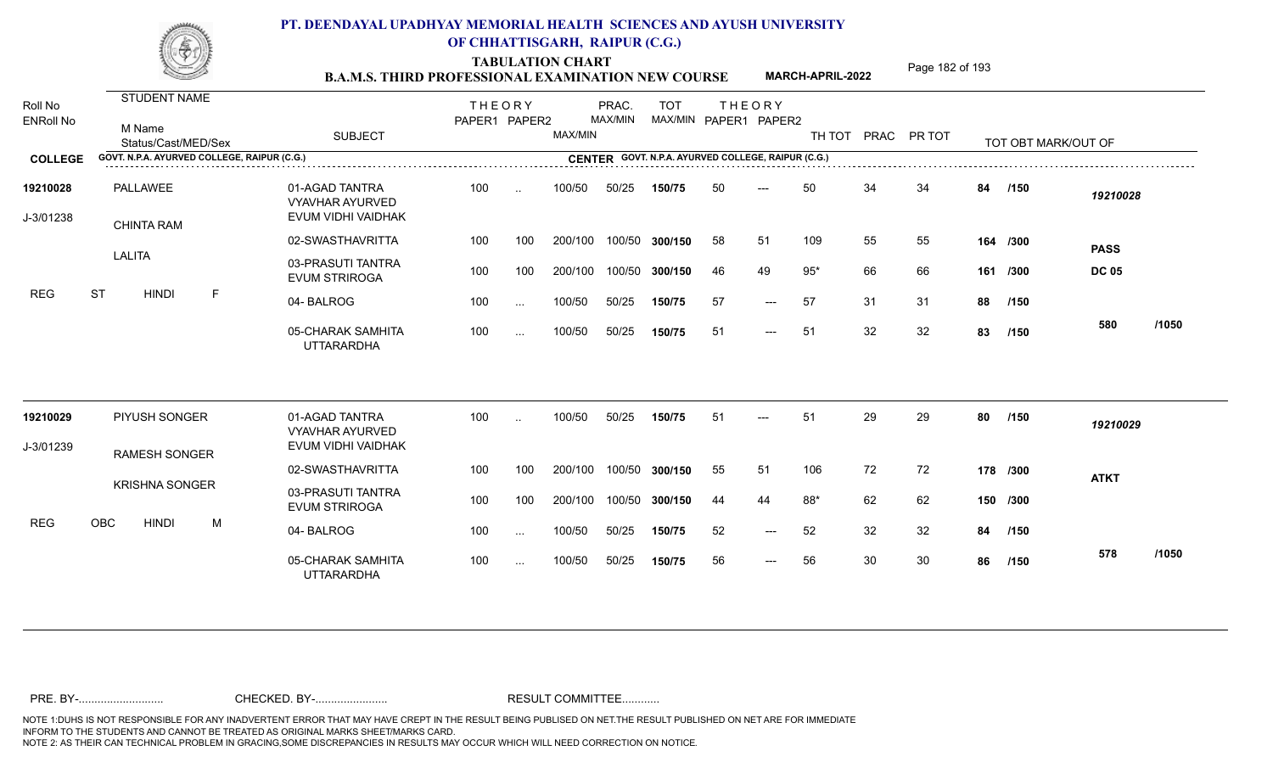TABULATION CHART<br> **TABULATION CHART EXAMINATION NEW COURSE MARCH-APRIL-2022** <sup>Page 182 of 193</sup>

**MARCH-APRIL-2022**

| Roll No<br><b>ENRoll No</b> | <b>STUDENT NAME</b><br>M Name<br>Status/Cast/MED/Sex | <b>SUBJECT</b>                                                 | <b>THEORY</b><br>PAPER1 PAPER2 |          | MAX/MIN | PRAC.<br>MAX/MIN | <b>TOT</b><br>MAX/MIN PAPER1 PAPER2                |     | <b>THEORY</b>       | TH TOT PRAC PR TOT |    |    |    | TOT OBT MARK/OUT OF |              |       |
|-----------------------------|------------------------------------------------------|----------------------------------------------------------------|--------------------------------|----------|---------|------------------|----------------------------------------------------|-----|---------------------|--------------------|----|----|----|---------------------|--------------|-------|
| <b>COLLEGE</b>              | GOVT. N.P.A. AYURVED COLLEGE, RAIPUR (C.G.)          |                                                                |                                |          |         |                  | CENTER GOVT. N.P.A. AYURVED COLLEGE, RAIPUR (C.G.) |     |                     |                    |    |    |    |                     |              |       |
| 19210028<br>J-3/01238       | <b>PALLAWEE</b><br><b>CHINTA RAM</b>                 | 01-AGAD TANTRA<br><b>VYAVHAR AYURVED</b><br>EVUM VIDHI VAIDHAK | 100                            | $\sim$   | 100/50  | 50/25            | 150/75                                             | 50  | ---                 | 50                 | 34 | 34 | 84 | /150                | 19210028     |       |
|                             |                                                      | 02-SWASTHAVRITTA                                               | 100                            | 100      | 200/100 | 100/50           | 300/150                                            | 58  | 51                  | 109                | 55 | 55 |    | 164 /300            | <b>PASS</b>  |       |
|                             | <b>LALITA</b>                                        | 03-PRASUTI TANTRA<br><b>EVUM STRIROGA</b>                      | 100                            | 100      | 200/100 | 100/50           | 300/150                                            | 46  | 49                  | $95*$              | 66 | 66 |    | 161 /300            | <b>DC 05</b> |       |
| <b>REG</b>                  | <b>ST</b><br><b>HINDI</b><br>$\mathsf F$             | 04-BALROG                                                      | 100                            | $\sim$ . | 100/50  | 50/25            | 150/75                                             | 57  | $\qquad \qquad - -$ | 57                 | 31 | 31 | 88 | /150                |              |       |
|                             |                                                      | 05-CHARAK SAMHITA<br><b>UTTARARDHA</b>                         | 100                            | $\cdots$ | 100/50  | 50/25            | 150/75                                             | -51 | $---$               | -51                | 32 | 32 | 83 | /150                | 580          | /1050 |
| 19210029                    | PIYUSH SONGER                                        | 01-AGAD TANTRA<br><b>VYAVHAR AYURVED</b>                       | 100                            | $\sim$   | 100/50  | 50/25            | 150/75                                             | 51  | ---                 | 51                 | 29 | 29 | 80 | /150                | 19210029     |       |
| J-3/01239                   | <b>RAMESH SONGER</b>                                 | EVUM VIDHI VAIDHAK                                             |                                |          |         |                  |                                                    |     |                     |                    |    |    |    |                     |              |       |
|                             |                                                      | 02-SWASTHAVRITTA                                               | 100                            | 100      | 200/100 | 100/50           | 300/150                                            | 55  | 51                  | 106                | 72 | 72 |    | 178 /300            | <b>ATKT</b>  |       |
|                             | <b>KRISHNA SONGER</b>                                | 03-PRASUTI TANTRA<br><b>EVUM STRIROGA</b>                      | 100                            | 100      | 200/100 | 100/50           | 300/150                                            | 44  | 44                  | 88*                | 62 | 62 |    | 150 /300            |              |       |
| <b>REG</b>                  | <b>OBC</b><br><b>HINDI</b><br>M                      | 04-BALROG                                                      | 100                            | $\sim$ . | 100/50  | 50/25            | 150/75                                             | 52  | $---$               | 52                 | 32 | 32 | 84 | /150                |              |       |
|                             |                                                      | 05-CHARAK SAMHITA<br><b>UTTARARDHA</b>                         | 100                            | $\cdots$ | 100/50  | 50/25            | 150/75                                             | 56  | $\qquad \qquad - -$ | 56                 | 30 | 30 | 86 | /150                | 578          | /1050 |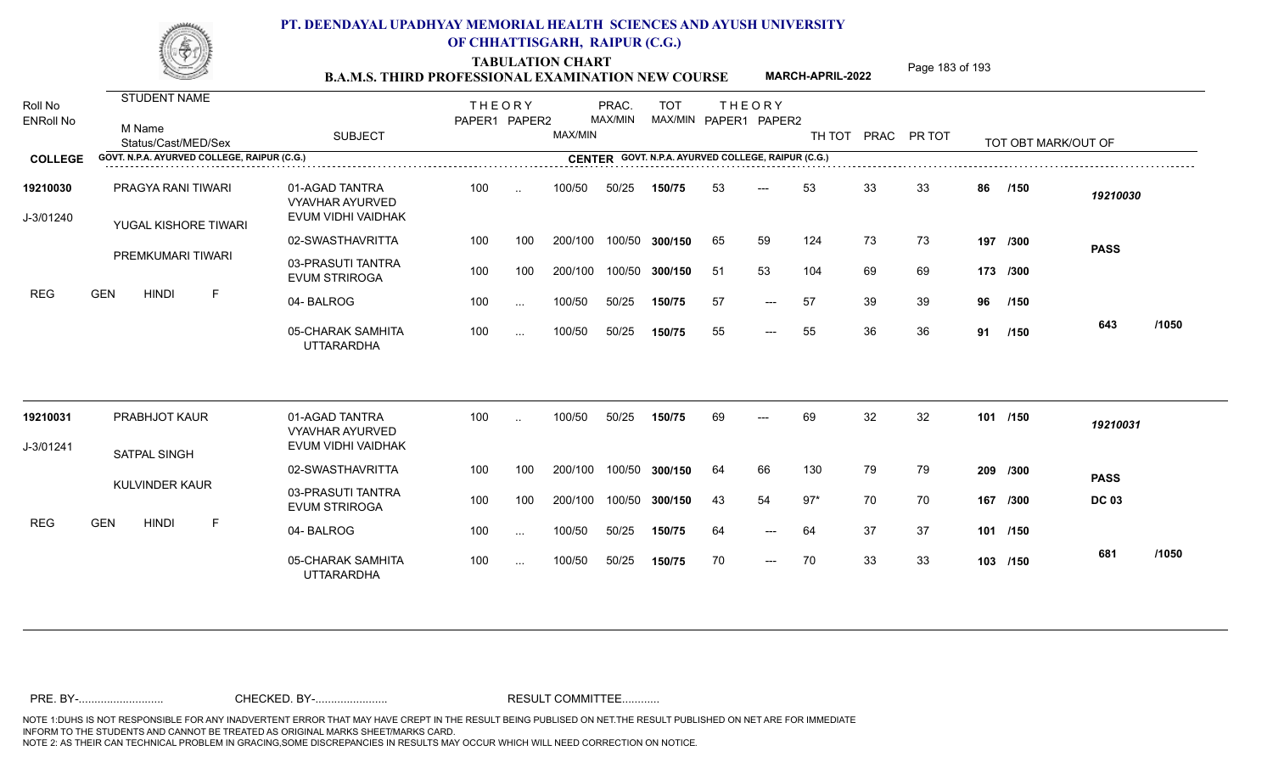TABULATION CHART<br> **TABULATION CHART B.A.M.S. THIRD PROFESSIONAL EXAMINATION NEW COURSE** MARCH-APRIL-2022

**MARCH-APRIL-2022**

| Roll No               | <b>STUDENT NAME</b>                         |                                                                | <b>THEORY</b> |               |         | PRAC.   | <b>TOT</b>     |    | <b>THEORY</b>                                      |        |    |             |    |                     |              |       |
|-----------------------|---------------------------------------------|----------------------------------------------------------------|---------------|---------------|---------|---------|----------------|----|----------------------------------------------------|--------|----|-------------|----|---------------------|--------------|-------|
| <b>ENRoll No</b>      | M Name<br>Status/Cast/MED/Sex               | <b>SUBJECT</b>                                                 | PAPER1 PAPER2 |               | MAX/MIN | MAX/MIN |                |    | MAX/MIN PAPER1 PAPER2                              | TH TOT |    | PRAC PR TOT |    | TOT OBT MARK/OUT OF |              |       |
| <b>COLLEGE</b>        | GOVT. N.P.A. AYURVED COLLEGE, RAIPUR (C.G.) |                                                                |               |               |         |         |                |    | CENTER GOVT. N.P.A. AYURVED COLLEGE, RAIPUR (C.G.) |        |    |             |    |                     |              |       |
| 19210030<br>J-3/01240 | PRAGYA RANI TIWARI<br>YUGAL KISHORE TIWARI  | 01-AGAD TANTRA<br><b>VYAVHAR AYURVED</b><br>EVUM VIDHI VAIDHAK | 100           | $\ddotsc$     | 100/50  | 50/25   | 150/75         | 53 | $---$                                              | 53     | 33 | 33          | 86 | /150                | 19210030     |       |
|                       |                                             | 02-SWASTHAVRITTA                                               | 100           | 100           | 200/100 |         | 100/50 300/150 | 65 | 59                                                 | 124    | 73 | 73          |    | 197 /300            | <b>PASS</b>  |       |
|                       | PREMKUMARI TIWARI                           | 03-PRASUTI TANTRA<br><b>EVUM STRIROGA</b>                      | 100           | 100           | 200/100 |         | 100/50 300/150 | 51 | 53                                                 | 104    | 69 | 69          |    | 173 /300            |              |       |
| <b>REG</b>            | <b>GEN</b><br><b>HINDI</b><br>F             | 04-BALROG                                                      | 100           | $\sim$ .      | 100/50  | 50/25   | 150/75         | 57 | $---$                                              | 57     | 39 | 39          | 96 | /150                |              |       |
|                       |                                             | 05-CHARAK SAMHITA<br><b>UTTARARDHA</b>                         | 100           | $\sim$ .      | 100/50  | 50/25   | 150/75         | 55 | $---$                                              | 55     | 36 | 36          | 91 | /150                | 643          | /1050 |
| 19210031              | PRABHJOT KAUR                               | 01-AGAD TANTRA<br><b>VYAVHAR AYURVED</b>                       | 100           | $\ddotsc$     | 100/50  | 50/25   | 150/75         | 69 | $---$                                              | 69     | 32 | 32          |    | 101 /150            | 19210031     |       |
| J-3/01241             | <b>SATPAL SINGH</b>                         | EVUM VIDHI VAIDHAK                                             |               |               |         |         |                |    |                                                    |        |    |             |    |                     |              |       |
|                       |                                             | 02-SWASTHAVRITTA                                               | 100           | 100           | 200/100 |         | 100/50 300/150 | 64 | 66                                                 | 130    | 79 | 79          |    | 209 /300            | <b>PASS</b>  |       |
|                       | KULVINDER KAUR                              | 03-PRASUTI TANTRA<br><b>EVUM STRIROGA</b>                      | 100           | 100           | 200/100 |         | 100/50 300/150 | 43 | 54                                                 | $97*$  | 70 | 70          |    | 167 /300            | <b>DC 03</b> |       |
| <b>REG</b>            | <b>GEN</b><br><b>HINDI</b><br>F             | 04-BALROG                                                      | 100           | $\sim$ $\sim$ | 100/50  | 50/25   | 150/75         | 64 | $---$                                              | 64     | 37 | 37          |    | 101 /150            |              |       |
|                       |                                             | 05-CHARAK SAMHITA<br><b>UTTARARDHA</b>                         | 100           | $\sim$ .      | 100/50  | 50/25   | 150/75         | 70 | $---$                                              | 70     | 33 | 33          |    | 103 /150            | 681          | /1050 |
|                       |                                             |                                                                |               |               |         |         |                |    |                                                    |        |    |             |    |                     |              |       |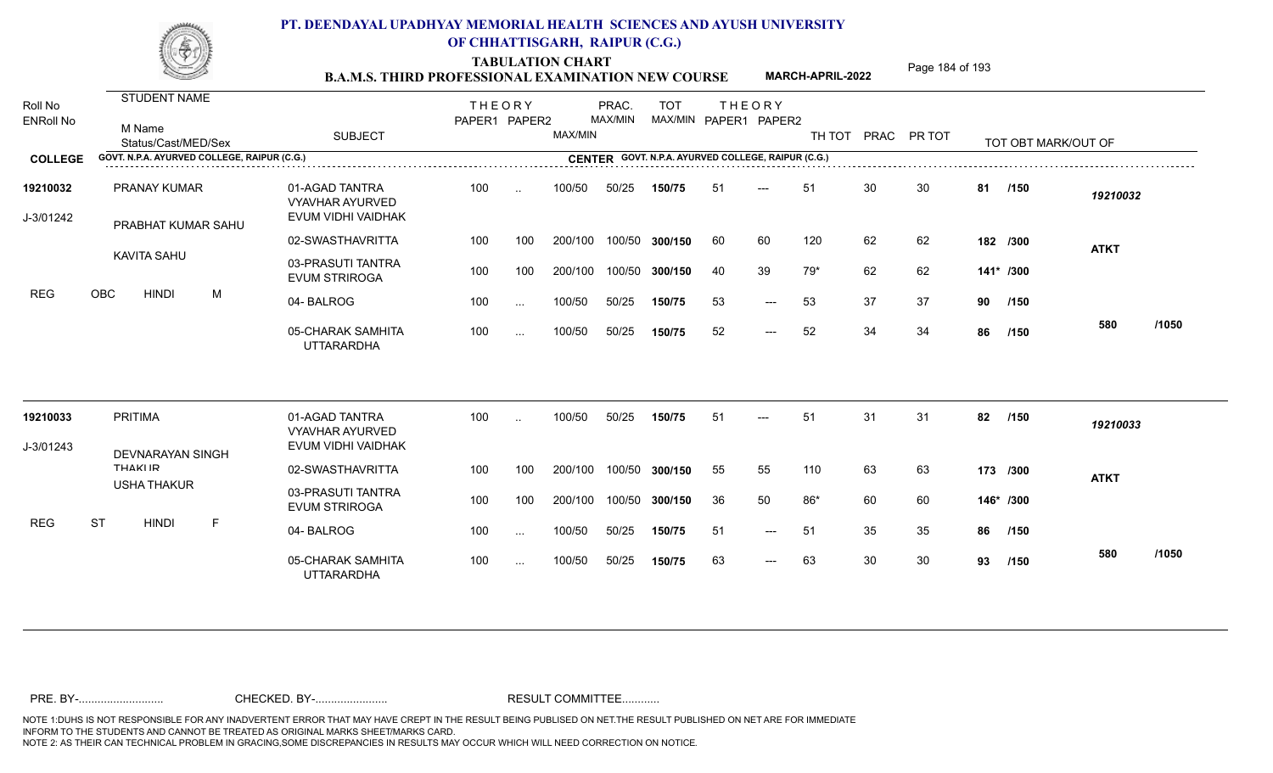TABULATION CHART<br> **TABULATION CHART EXAMINATION NEW COURSE MARCH-APRIL-2022** <sup>Page 184 of 193</sup>

**MARCH-APRIL-2022**

| Roll No               | <b>STUDENT NAME</b>                         |                                                                | <b>THEORY</b> |                 |         | PRAC.   | <b>TOT</b> |     | <b>THEORY</b>                                      |        |    |             |    |                     |             |       |
|-----------------------|---------------------------------------------|----------------------------------------------------------------|---------------|-----------------|---------|---------|------------|-----|----------------------------------------------------|--------|----|-------------|----|---------------------|-------------|-------|
| <b>ENRoll No</b>      | M Name<br>Status/Cast/MED/Sex               | <b>SUBJECT</b>                                                 | PAPER1 PAPER2 |                 | MAX/MIN | MAX/MIN |            |     | MAX/MIN PAPER1 PAPER2                              | TH TOT |    | PRAC PR TOT |    | TOT OBT MARK/OUT OF |             |       |
| <b>COLLEGE</b>        | GOVT. N.P.A. AYURVED COLLEGE, RAIPUR (C.G.) |                                                                |               |                 |         |         |            |     | CENTER GOVT. N.P.A. AYURVED COLLEGE, RAIPUR (C.G.) |        |    |             |    |                     |             |       |
| 19210032<br>J-3/01242 | <b>PRANAY KUMAR</b><br>PRABHAT KUMAR SAHU   | 01-AGAD TANTRA<br><b>VYAVHAR AYURVED</b><br>EVUM VIDHI VAIDHAK | 100           | $\sim$          | 100/50  | 50/25   | 150/75     | 51  | $---$                                              | 51     | 30 | 30          | 81 | /150                | 19210032    |       |
|                       |                                             | 02-SWASTHAVRITTA                                               | 100           | 100             | 200/100 | 100/50  | 300/150    | -60 | 60                                                 | 120    | 62 | 62          |    | 182 /300            | <b>ATKT</b> |       |
|                       | KAVITA SAHU                                 | 03-PRASUTI TANTRA<br><b>EVUM STRIROGA</b>                      | 100           | 100             | 200/100 | 100/50  | 300/150    | 40  | 39                                                 | 79*    | 62 | 62          |    | 141* /300           |             |       |
| <b>REG</b>            | <b>OBC</b><br><b>HINDI</b><br>M             | 04-BALROG                                                      | 100           | $\sim$ .        | 100/50  | 50/25   | 150/75     | 53  | $---$                                              | 53     | 37 | 37          | 90 | /150                |             |       |
|                       |                                             | 05-CHARAK SAMHITA<br><b>UTTARARDHA</b>                         | 100           | $\sim$ . $\sim$ | 100/50  | 50/25   | 150/75     | 52  | $\qquad \qquad - -$                                | 52     | 34 | 34          | 86 | /150                | 580         | /1050 |
| 19210033              | <b>PRITIMA</b>                              | 01-AGAD TANTRA                                                 | 100           | $\ddotsc$       | 100/50  | 50/25   | 150/75     | 51  | ---                                                | 51     | 31 | 31          | 82 | /150                | 19210033    |       |
| J-3/01243             |                                             | <b>VYAVHAR AYURVED</b><br>EVUM VIDHI VAIDHAK                   |               |                 |         |         |            |     |                                                    |        |    |             |    |                     |             |       |
|                       | <b>DEVNARAYAN SINGH</b><br><b>THAKIID</b>   | 02-SWASTHAVRITTA                                               | 100           | 100             | 200/100 | 100/50  | 300/150    | 55  | 55                                                 | 110    | 63 | 63          |    | 173 /300            | <b>ATKT</b> |       |
|                       | <b>USHA THAKUR</b>                          | 03-PRASUTI TANTRA<br><b>EVUM STRIROGA</b>                      | 100           | 100             | 200/100 | 100/50  | 300/150    | 36  | 50                                                 | 86*    | 60 | 60          |    | 146* /300           |             |       |
| <b>REG</b>            | <b>ST</b><br>$\mathsf F$<br><b>HINDI</b>    | 04-BALROG                                                      | 100           | $\sim$ .        | 100/50  | 50/25   | 150/75     | 51  | $---$                                              | 51     | 35 | 35          | 86 | /150                |             |       |
|                       |                                             | 05-CHARAK SAMHITA<br><b>UTTARARDHA</b>                         | 100           | $\cdots$        | 100/50  | 50/25   | 150/75     | 63  | $---$                                              | 63     | 30 | 30          | 93 | /150                | 580         | /1050 |
|                       |                                             |                                                                |               |                 |         |         |            |     |                                                    |        |    |             |    |                     |             |       |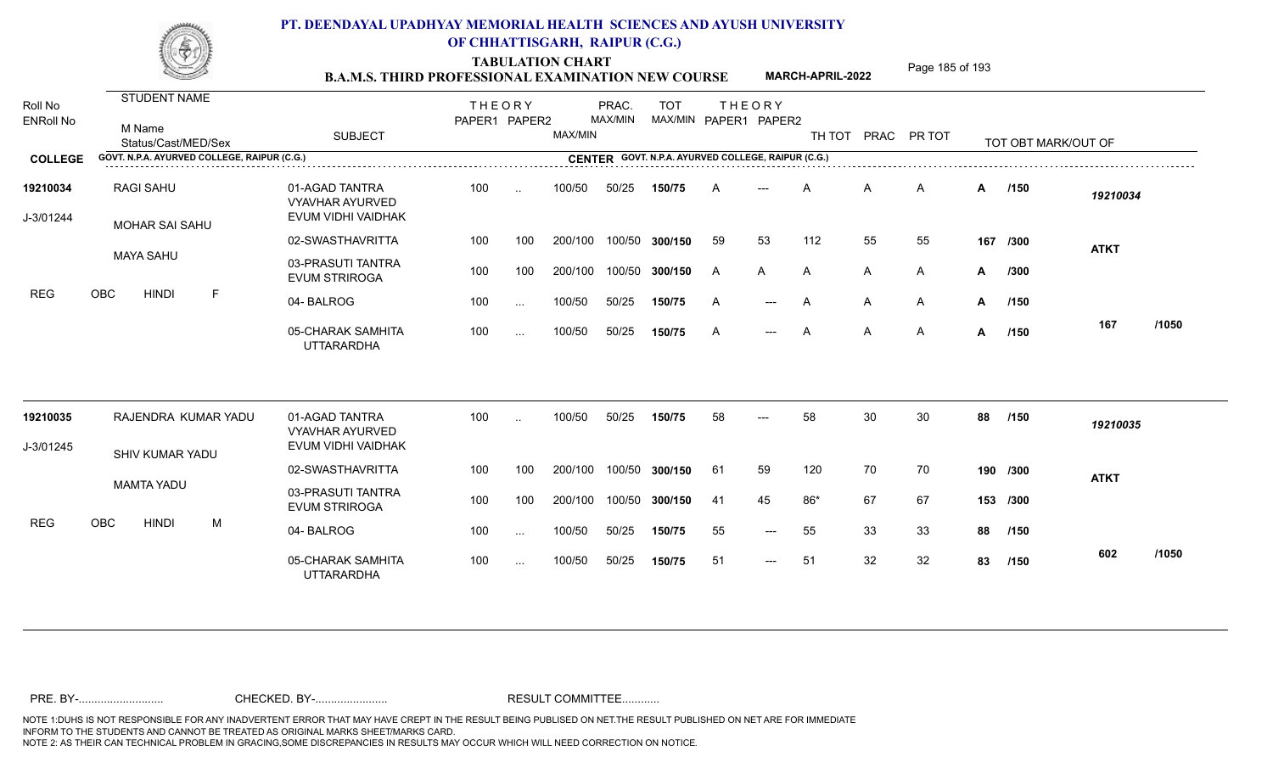TABULATION CHART<br> **TABULATION CHART EXAMINATION NEW COURSE MARCH-APRIL-2022** <sup>Page 185 of 193</sup>

**MARCH-APRIL-2022**

| Roll No<br><b>ENRoll No</b> | <b>STUDENT NAME</b><br>M Name<br>Status/Cast/MED/Sex | <b>SUBJECT</b>                                                 | <b>THEORY</b><br>PAPER1 PAPER2 |               | MAX/MIN | PRAC.<br>MAX/MIN | <b>TOT</b>                                         | MAX/MIN PAPER1 PAPER2 | <b>THEORY</b> |       |    | TH TOT PRAC PR TOT |              | TOT OBT MARK/OUT OF |             |       |
|-----------------------------|------------------------------------------------------|----------------------------------------------------------------|--------------------------------|---------------|---------|------------------|----------------------------------------------------|-----------------------|---------------|-------|----|--------------------|--------------|---------------------|-------------|-------|
| <b>COLLEGE</b>              | GOVT. N.P.A. AYURVED COLLEGE, RAIPUR (C.G.)          |                                                                |                                |               |         |                  | CENTER GOVT. N.P.A. AYURVED COLLEGE, RAIPUR (C.G.) |                       |               |       |    |                    |              |                     |             |       |
| 19210034<br>J-3/01244       | <b>RAGI SAHU</b><br><b>MOHAR SAI SAHU</b>            | 01-AGAD TANTRA<br><b>VYAVHAR AYURVED</b><br>EVUM VIDHI VAIDHAK | 100                            | $\sim$        | 100/50  | 50/25            | 150/75                                             | A                     | ---           | A     | Α  | $\mathsf{A}$       |              | A /150              | 19210034    |       |
|                             |                                                      | 02-SWASTHAVRITTA                                               | 100                            | 100           | 200/100 | 100/50           | 300/150                                            | 59                    | 53            | 112   | 55 | 55                 | 167          | /300                | <b>ATKT</b> |       |
|                             | <b>MAYA SAHU</b>                                     | 03-PRASUTI TANTRA<br><b>EVUM STRIROGA</b>                      | 100                            | 100           | 200/100 | 100/50           | 300/150                                            | A                     | A             | A     | A  | $\mathsf{A}$       | A            | /300                |             |       |
| <b>REG</b>                  | <b>OBC</b><br><b>HINDI</b><br>F                      | 04-BALROG                                                      | 100                            | $\ddotsc$     | 100/50  | 50/25            | 150/75                                             | A                     | $---$         | A     | A  | A                  | A            | /150                |             |       |
|                             |                                                      | 05-CHARAK SAMHITA<br><b>UTTARARDHA</b>                         | 100                            | $\cdots$      | 100/50  | 50/25            | 150/75                                             | $\mathsf{A}$          | $---$         | A     | A  | $\mathsf{A}$       | $\mathsf{A}$ | /150                | 167         | /1050 |
| 19210035                    | RAJENDRA KUMAR YADU                                  | 01-AGAD TANTRA<br><b>VYAVHAR AYURVED</b>                       | 100                            | $\sim$        | 100/50  | 50/25            | 150/75                                             | 58                    | ---           | 58    | 30 | 30                 | 88           | /150                | 19210035    |       |
| J-3/01245                   | SHIV KUMAR YADU                                      | EVUM VIDHI VAIDHAK                                             |                                |               |         |                  |                                                    |                       |               |       |    |                    |              |                     |             |       |
|                             |                                                      | 02-SWASTHAVRITTA                                               | 100                            | 100           | 200/100 | 100/50           | 300/150                                            | 61                    | 59            | 120   | 70 | 70                 |              | 190 /300            | <b>ATKT</b> |       |
|                             | <b>MAMTA YADU</b>                                    | 03-PRASUTI TANTRA<br><b>EVUM STRIROGA</b>                      | 100                            | 100           | 200/100 | 100/50           | 300/150                                            | -41                   | 45            | $86*$ | 67 | 67                 |              | 153 /300            |             |       |
| <b>REG</b>                  | <b>OBC</b><br><b>HINDI</b><br>M                      | 04-BALROG                                                      | 100                            | $\sim$ $\sim$ | 100/50  | 50/25            | 150/75                                             | 55                    | $---$         | 55    | 33 | 33                 | 88           | /150                |             |       |
|                             |                                                      | 05-CHARAK SAMHITA<br><b>UTTARARDHA</b>                         | 100                            | $\cdots$      | 100/50  | 50/25            | 150/75                                             | 51                    | $---$         | 51    | 32 | 32                 | 83           | /150                | 602         | /1050 |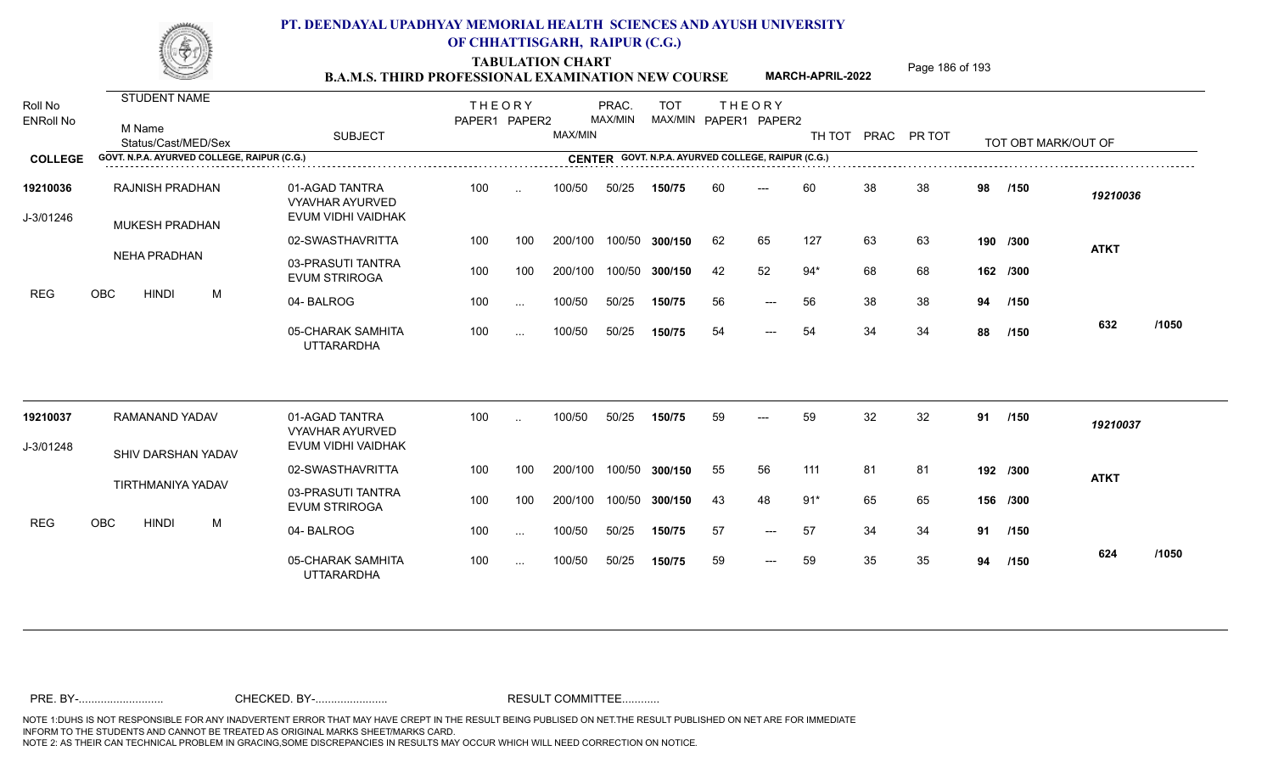TABULATION CHART<br> **TABULATION CHART EXAMINATION NEW COURSE MARCH-APRIL-2022** <sup>Page 186 of 193</sup>

**MARCH-APRIL-2022**

| Roll No<br><b>ENRoll No</b> | STUDENT NAME<br>M Name<br>Status/Cast/MED/Sex   | <b>SUBJECT</b>                                                 | <b>THEORY</b><br>PAPER1 PAPER2 |           | MAX/MIN | PRAC.<br>MAX/MIN | <b>TOT</b><br>MAX/MIN PAPER1 PAPER2                |    | <b>THEORY</b> |       |    | TH TOT PRAC PR TOT |    | TOT OBT MARK/OUT OF |             |       |
|-----------------------------|-------------------------------------------------|----------------------------------------------------------------|--------------------------------|-----------|---------|------------------|----------------------------------------------------|----|---------------|-------|----|--------------------|----|---------------------|-------------|-------|
| <b>COLLEGE</b>              | GOVT. N.P.A. AYURVED COLLEGE, RAIPUR (C.G.)     |                                                                |                                |           |         |                  | CENTER GOVT. N.P.A. AYURVED COLLEGE, RAIPUR (C.G.) |    |               |       |    |                    |    |                     |             |       |
| 19210036<br>J-3/01246       | <b>RAJNISH PRADHAN</b><br><b>MUKESH PRADHAN</b> | 01-AGAD TANTRA<br><b>VYAVHAR AYURVED</b><br>EVUM VIDHI VAIDHAK | 100                            | $\ddotsc$ | 100/50  | 50/25            | 150/75                                             | 60 | $---$         | 60    | 38 | 38                 | 98 | /150                | 19210036    |       |
|                             |                                                 | 02-SWASTHAVRITTA                                               | 100                            | 100       | 200/100 |                  | 100/50 300/150                                     | 62 | 65            | 127   | 63 | 63                 |    | 190 /300            | <b>ATKT</b> |       |
|                             | <b>NEHA PRADHAN</b>                             | 03-PRASUTI TANTRA<br><b>EVUM STRIROGA</b>                      | 100                            | 100       | 200/100 |                  | 100/50 300/150                                     | 42 | 52            | $94*$ | 68 | 68                 |    | 162 /300            |             |       |
| <b>REG</b>                  | OBC<br><b>HINDI</b><br>M                        | 04-BALROG                                                      | 100                            | $\cdots$  | 100/50  | 50/25            | 150/75                                             | 56 | $---$         | 56    | 38 | 38                 | 94 | /150                |             |       |
|                             |                                                 | 05-CHARAK SAMHITA<br><b>UTTARARDHA</b>                         | 100                            | $\cdots$  | 100/50  | 50/25            | 150/75                                             | 54 | $---$         | 54    | 34 | 34                 | 88 | /150                | 632         | /1050 |
| 19210037                    | RAMANAND YADAV                                  | 01-AGAD TANTRA                                                 | 100                            |           | 100/50  | 50/25            | 150/75                                             | 59 | $---$         | 59    | 32 | 32                 | 91 | /150                | 19210037    |       |
| J-3/01248                   |                                                 | <b>VYAVHAR AYURVED</b><br>EVUM VIDHI VAIDHAK                   |                                |           |         |                  |                                                    |    |               |       |    |                    |    |                     |             |       |
|                             | SHIV DARSHAN YADAV                              | 02-SWASTHAVRITTA                                               | 100                            | 100       | 200/100 |                  | 100/50 300/150                                     | 55 | 56            | 111   | 81 | 81                 |    | 192 /300            | <b>ATKT</b> |       |
|                             | <b>TIRTHMANIYA YADAV</b>                        | 03-PRASUTI TANTRA<br><b>EVUM STRIROGA</b>                      | 100                            | 100       | 200/100 |                  | 100/50 300/150                                     | 43 | 48            | $91*$ | 65 | 65                 |    | 156 /300            |             |       |
| <b>REG</b>                  | OBC<br><b>HINDI</b><br>M                        | 04-BALROG                                                      | 100                            | $\cdots$  | 100/50  | 50/25            | 150/75                                             | 57 | $---$         | 57    | 34 | 34                 | 91 | /150                |             |       |
|                             |                                                 | 05-CHARAK SAMHITA<br><b>UTTARARDHA</b>                         | 100                            | $\cdots$  | 100/50  | 50/25            | 150/75                                             | 59 | $---$         | 59    | 35 | 35                 | 94 | /150                | 624         | /1050 |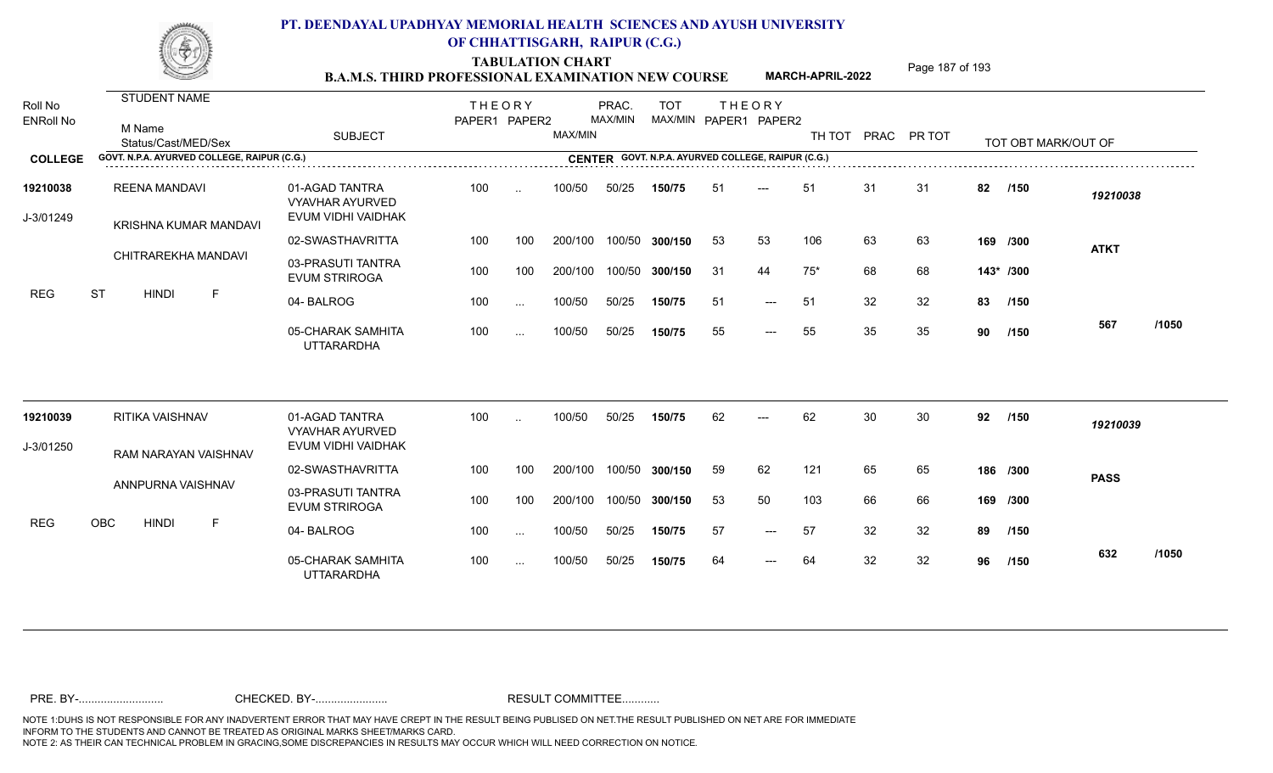TABULATION CHART<br> **TABULATION CHART B.A.M.S. THIRD PROFESSIONAL EXAMINATION NEW COURSE** MARCH-APRIL-2022

**MARCH-APRIL-2022**

| Roll No<br><b>ENRoll No</b> | <b>STUDENT NAME</b>                           |                                                                | <b>THEORY</b> |           |         | PRAC.   | <b>TOT</b>     |     | <b>THEORY</b>                                      |        |    |             |     |                     |             |       |
|-----------------------------|-----------------------------------------------|----------------------------------------------------------------|---------------|-----------|---------|---------|----------------|-----|----------------------------------------------------|--------|----|-------------|-----|---------------------|-------------|-------|
|                             | M Name<br>Status/Cast/MED/Sex                 | <b>SUBJECT</b>                                                 | PAPER1 PAPER2 |           | MAX/MIN | MAX/MIN |                |     | MAX/MIN PAPER1 PAPER2                              | TH TOT |    | PRAC PR TOT |     | TOT OBT MARK/OUT OF |             |       |
| <b>COLLEGE</b>              | GOVT. N.P.A. AYURVED COLLEGE, RAIPUR (C.G.)   |                                                                |               |           |         |         |                |     | CENTER GOVT. N.P.A. AYURVED COLLEGE, RAIPUR (C.G.) |        |    |             |     |                     |             |       |
| 19210038<br>J-3/01249       | <b>REENA MANDAVI</b><br>KRISHNA KUMAR MANDAVI | 01-AGAD TANTRA<br><b>VYAVHAR AYURVED</b><br>EVUM VIDHI VAIDHAK | 100           | $\sim$    | 100/50  | 50/25   | 150/75         | -51 | $---$                                              | 51     | 31 | 31          | 82  | /150                | 19210038    |       |
|                             |                                               | 02-SWASTHAVRITTA                                               | 100           | 100       | 200/100 |         | 100/50 300/150 | 53  | 53                                                 | 106    | 63 | 63          |     | 169 /300            | <b>ATKT</b> |       |
|                             | CHITRAREKHA MANDAVI                           | 03-PRASUTI TANTRA<br><b>EVUM STRIROGA</b>                      | 100           | 100       | 200/100 | 100/50  | 300/150        | 31  | 44                                                 | $75*$  | 68 | 68          |     | 143* /300           |             |       |
| <b>REG</b>                  | <b>ST</b><br>$\mathsf F$<br><b>HINDI</b>      | 04-BALROG                                                      | 100           | $\ldots$  | 100/50  | 50/25   | 150/75         | 51  | $---$                                              | 51     | 32 | 32          | 83  | /150                |             |       |
|                             |                                               | 05-CHARAK SAMHITA<br><b>UTTARARDHA</b>                         | 100           | $\sim$    | 100/50  | 50/25   | 150/75         | 55  | $---$                                              | 55     | 35 | 35          | 90  | /150                | 567         | /1050 |
| 19210039                    | RITIKA VAISHNAV                               | 01-AGAD TANTRA<br><b>VYAVHAR AYURVED</b>                       | 100           | $\cdot$ . | 100/50  | 50/25   | 150/75         | 62  | $---$                                              | 62     | 30 | 30          | 92  | /150                | 19210039    |       |
| J-3/01250                   | RAM NARAYAN VAISHNAV                          | EVUM VIDHI VAIDHAK                                             |               |           |         |         |                |     |                                                    |        |    |             |     |                     |             |       |
|                             |                                               | 02-SWASTHAVRITTA                                               | 100           | 100       | 200/100 |         | 100/50 300/150 | 59  | 62                                                 | 121    | 65 | 65          |     | 186 /300            | <b>PASS</b> |       |
|                             | ANNPURNA VAISHNAV                             | 03-PRASUTI TANTRA<br><b>EVUM STRIROGA</b>                      | 100           | 100       | 200/100 | 100/50  | 300/150        | 53  | 50                                                 | 103    | 66 | 66          | 169 | /300                |             |       |
| <b>REG</b>                  | OBC<br><b>HINDI</b><br>F                      | 04-BALROG                                                      | 100           | $\cdots$  | 100/50  | 50/25   | 150/75         | 57  | $---$                                              | 57     | 32 | 32          | 89  | /150                |             |       |
|                             |                                               | 05-CHARAK SAMHITA<br><b>UTTARARDHA</b>                         | 100           | $\sim$ .  | 100/50  | 50/25   | 150/75         | 64  | $---$                                              | 64     | 32 | 32          | 96  | /150                | 632         | /1050 |
|                             |                                               |                                                                |               |           |         |         |                |     |                                                    |        |    |             |     |                     |             |       |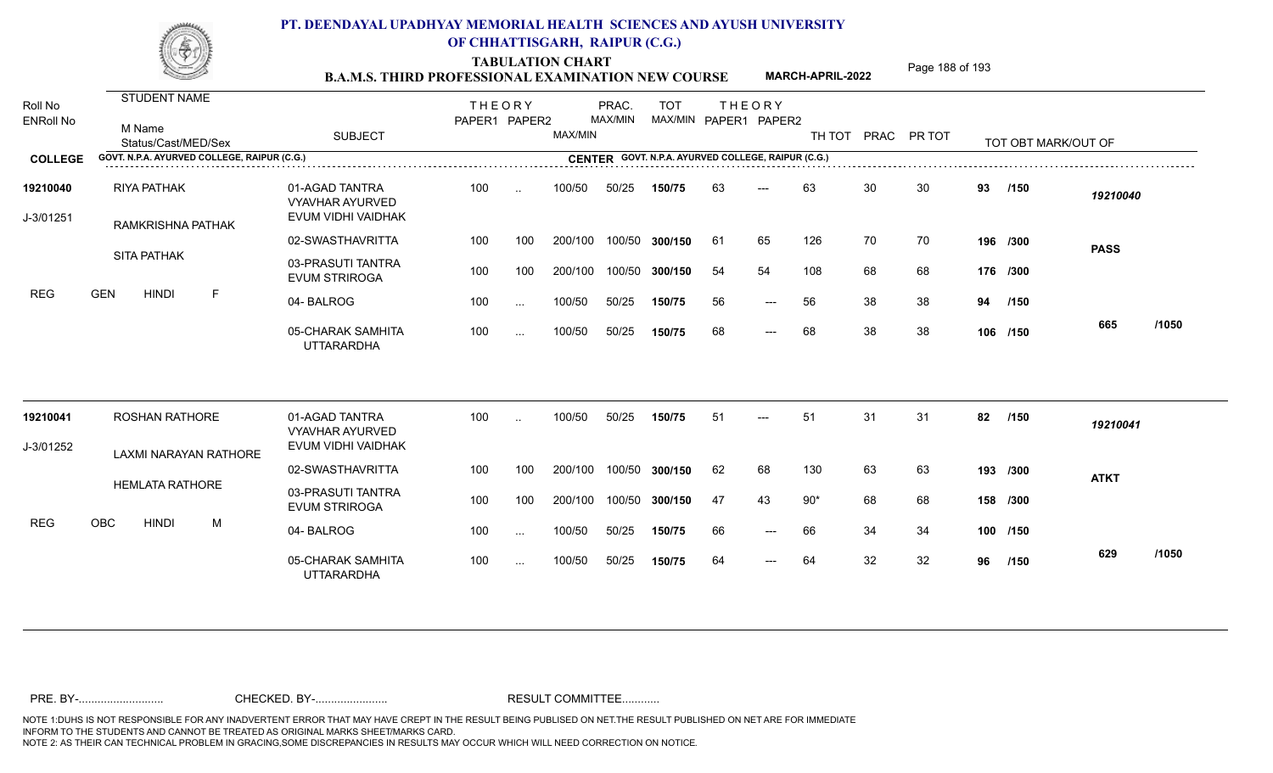TABULATION CHART<br> **TABULATION CHART EXAMINATION NEW COURSE MARCH-APRIL-2022** <sup>Page 188 of 193</sup>

**MARCH-APRIL-2022**

| Roll No<br><b>ENRoll No</b> | <b>STUDENT NAME</b><br>M Name<br>Status/Cast/MED/Sex | <b>SUBJECT</b>                                                 | <b>THEORY</b><br>PAPER1 PAPER2 |           | MAX/MIN | PRAC.<br>MAX/MIN | <b>TOT</b> |    | <b>THEORY</b><br>MAX/MIN PAPER1 PAPER2             |       |    | TH TOT PRAC PR TOT |    | TOT OBT MARK/OUT OF |             |       |
|-----------------------------|------------------------------------------------------|----------------------------------------------------------------|--------------------------------|-----------|---------|------------------|------------|----|----------------------------------------------------|-------|----|--------------------|----|---------------------|-------------|-------|
| <b>COLLEGE</b>              | GOVT. N.P.A. AYURVED COLLEGE, RAIPUR (C.G.)          |                                                                |                                |           |         |                  |            |    | CENTER GOVT. N.P.A. AYURVED COLLEGE, RAIPUR (C.G.) |       |    |                    |    |                     |             |       |
| 19210040<br>J-3/01251       | <b>RIYA PATHAK</b><br>RAMKRISHNA PATHAK              | 01-AGAD TANTRA<br><b>VYAVHAR AYURVED</b><br>EVUM VIDHI VAIDHAK | 100                            | $\ddotsc$ | 100/50  | 50/25            | 150/75     | 63 | $---$                                              | 63    | 30 | 30                 | 93 | /150                | 19210040    |       |
|                             |                                                      | 02-SWASTHAVRITTA                                               | 100                            | 100       | 200/100 | 100/50           | 300/150    | 61 | 65                                                 | 126   | 70 | 70                 |    | 196 /300            | <b>PASS</b> |       |
|                             | <b>SITA PATHAK</b>                                   | 03-PRASUTI TANTRA<br><b>EVUM STRIROGA</b>                      | 100                            | 100       | 200/100 | 100/50           | 300/150    | 54 | 54                                                 | 108   | 68 | 68                 |    | 176 /300            |             |       |
| <b>REG</b>                  | <b>GEN</b><br><b>HINDI</b><br>F                      | 04-BALROG                                                      | 100                            | $\sim$    | 100/50  | 50/25            | 150/75     | 56 | $---$                                              | 56    | 38 | 38                 | 94 | /150                |             |       |
|                             |                                                      | 05-CHARAK SAMHITA<br><b>UTTARARDHA</b>                         | 100                            | $\cdots$  | 100/50  | 50/25            | 150/75     | 68 | $---$                                              | 68    | 38 | 38                 |    | 106 /150            | 665         | /1050 |
| 19210041                    | <b>ROSHAN RATHORE</b>                                | 01-AGAD TANTRA<br><b>VYAVHAR AYURVED</b>                       | 100                            |           | 100/50  | 50/25            | 150/75     | 51 |                                                    | 51    | 31 | 31                 | 82 | /150                | 19210041    |       |
| J-3/01252                   | LAXMI NARAYAN RATHORE                                | EVUM VIDHI VAIDHAK                                             |                                |           |         |                  |            |    |                                                    |       |    |                    |    |                     |             |       |
|                             | <b>HEMLATA RATHORE</b>                               | 02-SWASTHAVRITTA                                               | 100                            | 100       | 200/100 | 100/50           | 300/150    | 62 | 68                                                 | 130   | 63 | 63                 |    | 193 /300            | <b>ATKT</b> |       |
|                             |                                                      | 03-PRASUTI TANTRA<br><b>EVUM STRIROGA</b>                      | 100                            | 100       | 200/100 | 100/50           | 300/150    | 47 | 43                                                 | $90*$ | 68 | 68                 |    | 158 /300            |             |       |
| <b>REG</b>                  | <b>OBC</b><br><b>HINDI</b><br>M                      | 04-BALROG                                                      | 100                            | $\sim$    | 100/50  | 50/25            | 150/75     | 66 | $---$                                              | 66    | 34 | 34                 |    | 100 /150            |             |       |
|                             |                                                      | 05-CHARAK SAMHITA<br><b>UTTARARDHA</b>                         | 100                            | $\cdots$  | 100/50  | 50/25            | 150/75     | 64 | $\qquad \qquad - -$                                | 64    | 32 | 32                 | 96 | /150                | 629         | /1050 |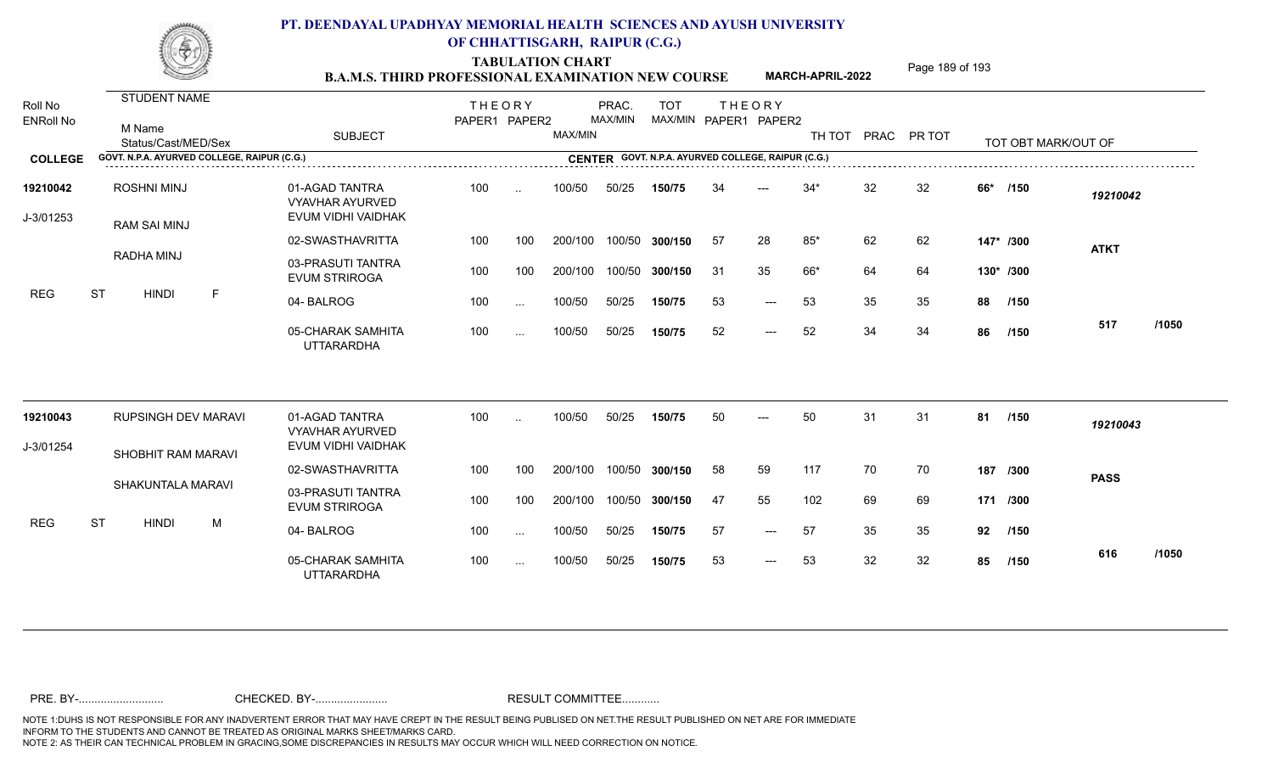TABULATION CHART<br> **TABULATION CHART EXAMINATION NEW COURSE MARCH-APRIL-2022** <sup>Page 189 of 193</sup>

**MARCH-APRIL-2022**

| Roll No<br><b>ENRoll No</b> | <b>STUDENT NAME</b><br>M Name<br>Status/Cast/MED/Sex | <b>SUBJECT</b>                                          | <b>THEORY</b><br>PAPER1 PAPER2 |          | MAX/MIN | PRAC.<br>MAX/MIN | <b>TOT</b> |     | <b>THEORY</b><br>MAX/MIN PAPER1 PAPER2             | TH TOT PRAC PR TOT |    |    |           | TOT OBT MARK/OUT OF |             |       |
|-----------------------------|------------------------------------------------------|---------------------------------------------------------|--------------------------------|----------|---------|------------------|------------|-----|----------------------------------------------------|--------------------|----|----|-----------|---------------------|-------------|-------|
| <b>COLLEGE</b>              | GOVT. N.P.A. AYURVED COLLEGE, RAIPUR (C.G.)          |                                                         |                                |          |         |                  |            |     | CENTER GOVT. N.P.A. AYURVED COLLEGE, RAIPUR (C.G.) |                    |    |    |           |                     |             |       |
| 19210042<br>J-3/01253       | <b>ROSHNI MINJ</b><br><b>RAM SAI MINJ</b>            | 01-AGAD TANTRA<br>VYAVHAR AYURVED<br>EVUM VIDHI VAIDHAK | 100                            |          | 100/50  | 50/25            | 150/75     | 34  | $---$                                              | $34*$              | 32 | 32 | 66*       | /150                | 19210042    |       |
|                             |                                                      | 02-SWASTHAVRITTA                                        | 100                            | 100      | 200/100 | 100/50           | 300/150    | -57 | 28                                                 | $85*$              | 62 | 62 |           | 147* /300           |             |       |
|                             | RADHA MINJ                                           | 03-PRASUTI TANTRA<br><b>EVUM STRIROGA</b>               | 100                            | 100      | 200/100 | 100/50           | 300/150    | -31 | 35                                                 | 66*                | 64 | 64 | 130* /300 |                     | <b>ATKT</b> |       |
| <b>REG</b>                  | <b>ST</b><br><b>HINDI</b><br>E                       | 04-BALROG                                               | 100                            | $\cdots$ | 100/50  | 50/25            | 150/75     | 53  | $---$                                              | 53                 | 35 | 35 | 88        | /150                |             |       |
|                             |                                                      | 05-CHARAK SAMHITA<br><b>UTTARARDHA</b>                  | 100                            | $\cdots$ | 100/50  | 50/25            | 150/75     | 52  | $---$                                              | 52                 | 34 | 34 | 86        | /150                | 517         | /1050 |
| 19210043                    | <b>RUPSINGH DEV MARAVI</b>                           | 01-AGAD TANTRA                                          | 100                            | $\sim$   | 100/50  | 50/25            | 150/75     | 50  | $---$                                              | 50                 | 31 | 31 | 81        | /150                | 19210043    |       |
| J-3/01254                   |                                                      | <b>VYAVHAR AYURVED</b><br>EVUM VIDHI VAIDHAK            |                                |          |         |                  |            |     |                                                    |                    |    |    |           |                     |             |       |
|                             | SHOBHIT RAM MARAVI                                   | 02-SWASTHAVRITTA                                        | 100                            | 100      | 200/100 | 100/50           | 300/150    | 58  | 59                                                 | 117                | 70 | 70 |           | 187 /300            | <b>PASS</b> |       |
|                             | <b>SHAKUNTALA MARAVI</b>                             | 03-PRASUTI TANTRA<br><b>EVUM STRIROGA</b>               | 100                            | 100      | 200/100 | 100/50           | 300/150    | 47  | 55                                                 | 102                | 69 | 69 | 171 /300  |                     |             |       |
| <b>REG</b>                  | <b>ST</b><br><b>HINDI</b><br>M                       | 04-BALROG                                               | 100                            | $\sim$   | 100/50  | 50/25            | 150/75     | 57  | $---$                                              | 57                 | 35 | 35 | 92        | /150                |             |       |
|                             |                                                      | 05-CHARAK SAMHITA<br><b>UTTARARDHA</b>                  | 100                            | $\cdots$ | 100/50  | 50/25            | 150/75     | 53  | $\qquad \qquad - -$                                | 53                 | 32 | 32 | 85        | /150                | 616         | /1050 |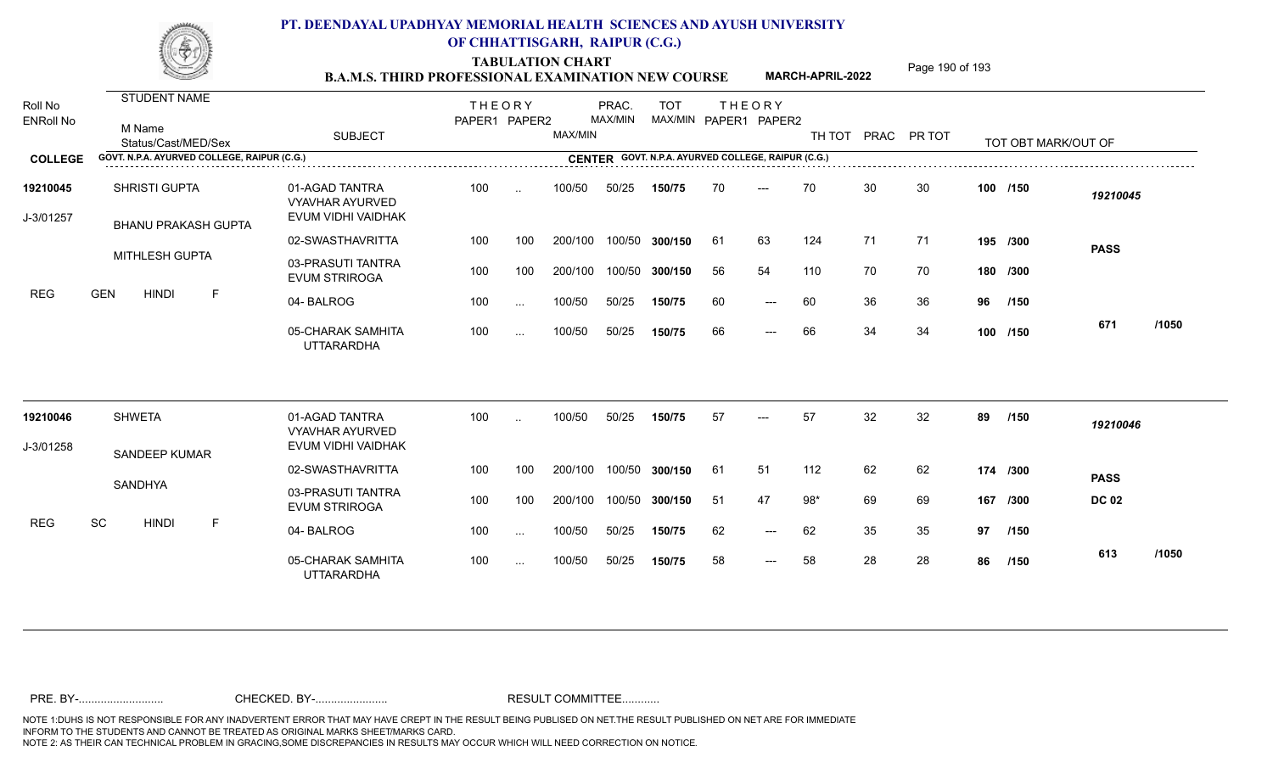TABULATION CHART<br> **TABULATION CHART EXAMINATION NEW COURSE MARCH-APRIL-2022** <sup>Page 190 of 193</sup>

**MARCH-APRIL-2022**

| Roll No<br><b>ENRoll No</b> | <b>STUDENT NAME</b><br>M Name<br>Status/Cast/MED/Sex | <b>SUBJECT</b>                                                 | <b>THEORY</b><br>PAPER1 PAPER2 |           | MAX/MIN | PRAC.<br>MAX/MIN | <b>TOT</b>     |     | <b>THEORY</b><br>MAX/MIN PAPER1 PAPER2             | TH TOT | PRAC PR TOT |    |     | TOT OBT MARK/OUT OF |              |       |
|-----------------------------|------------------------------------------------------|----------------------------------------------------------------|--------------------------------|-----------|---------|------------------|----------------|-----|----------------------------------------------------|--------|-------------|----|-----|---------------------|--------------|-------|
| <b>COLLEGE</b>              | GOVT. N.P.A. AYURVED COLLEGE, RAIPUR (C.G.)          |                                                                |                                |           |         |                  |                |     | CENTER GOVT. N.P.A. AYURVED COLLEGE, RAIPUR (C.G.) |        |             |    |     |                     |              |       |
| 19210045<br>J-3/01257       | <b>SHRISTI GUPTA</b><br><b>BHANU PRAKASH GUPTA</b>   | 01-AGAD TANTRA<br><b>VYAVHAR AYURVED</b><br>EVUM VIDHI VAIDHAK | 100                            | $\sim$    | 100/50  | 50/25            | 150/75         | 70  | $---$                                              | 70     | 30          | 30 |     | 100 /150            | 19210045     |       |
|                             |                                                      | 02-SWASTHAVRITTA                                               | 100                            | 100       | 200/100 |                  | 100/50 300/150 | -61 | 63                                                 | 124    | 71          | 71 |     | 195 /300            | <b>PASS</b>  |       |
|                             | <b>MITHLESH GUPTA</b>                                | 03-PRASUTI TANTRA<br><b>EVUM STRIROGA</b>                      | 100                            | 100       | 200/100 | 100/50           | 300/150        | 56  | 54                                                 | 110    | 70          | 70 |     | 180 /300            |              |       |
| <b>REG</b>                  | <b>GEN</b><br>$\mathsf{F}$<br><b>HINDI</b>           | 04-BALROG                                                      | 100                            | $\cdots$  | 100/50  | 50/25            | 150/75         | 60  | $---$                                              | 60     | 36          | 36 | 96  | /150                |              |       |
|                             |                                                      | 05-CHARAK SAMHITA<br><b>UTTARARDHA</b>                         | 100                            | $\cdots$  | 100/50  | 50/25            | 150/75         | 66  | $---$                                              | 66     | 34          | 34 |     | 100 /150            | 671          | /1050 |
| 19210046                    | <b>SHWETA</b>                                        | 01-AGAD TANTRA<br><b>VYAVHAR AYURVED</b>                       | 100                            | $\ddotsc$ | 100/50  | 50/25            | 150/75         | 57  | $---$                                              | 57     | 32          | 32 | 89  | /150                | 19210046     |       |
| J-3/01258                   | SANDEEP KUMAR                                        | EVUM VIDHI VAIDHAK                                             |                                |           |         |                  |                |     |                                                    |        |             |    |     |                     |              |       |
|                             |                                                      | 02-SWASTHAVRITTA                                               | 100                            | 100       | 200/100 |                  | 100/50 300/150 | 61  | 51                                                 | 112    | 62          | 62 |     | 174 /300            | <b>PASS</b>  |       |
|                             | SANDHYA                                              | 03-PRASUTI TANTRA<br><b>EVUM STRIROGA</b>                      | 100                            | 100       | 200/100 | 100/50           | 300/150        | -51 | 47                                                 | $98*$  | 69          | 69 | 167 | /300                | <b>DC 02</b> |       |
| <b>REG</b>                  | SC<br><b>HINDI</b><br>E                              | 04-BALROG                                                      | 100                            | $\sim$    | 100/50  | 50/25            | 150/75         | 62  | $---$                                              | 62     | 35          | 35 | 97  | /150                |              |       |
|                             |                                                      | 05-CHARAK SAMHITA<br><b>UTTARARDHA</b>                         | 100                            | $\cdots$  | 100/50  | 50/25            | 150/75         | 58  | $---$                                              | 58     | 28          | 28 | 86  | /150                | 613          | /1050 |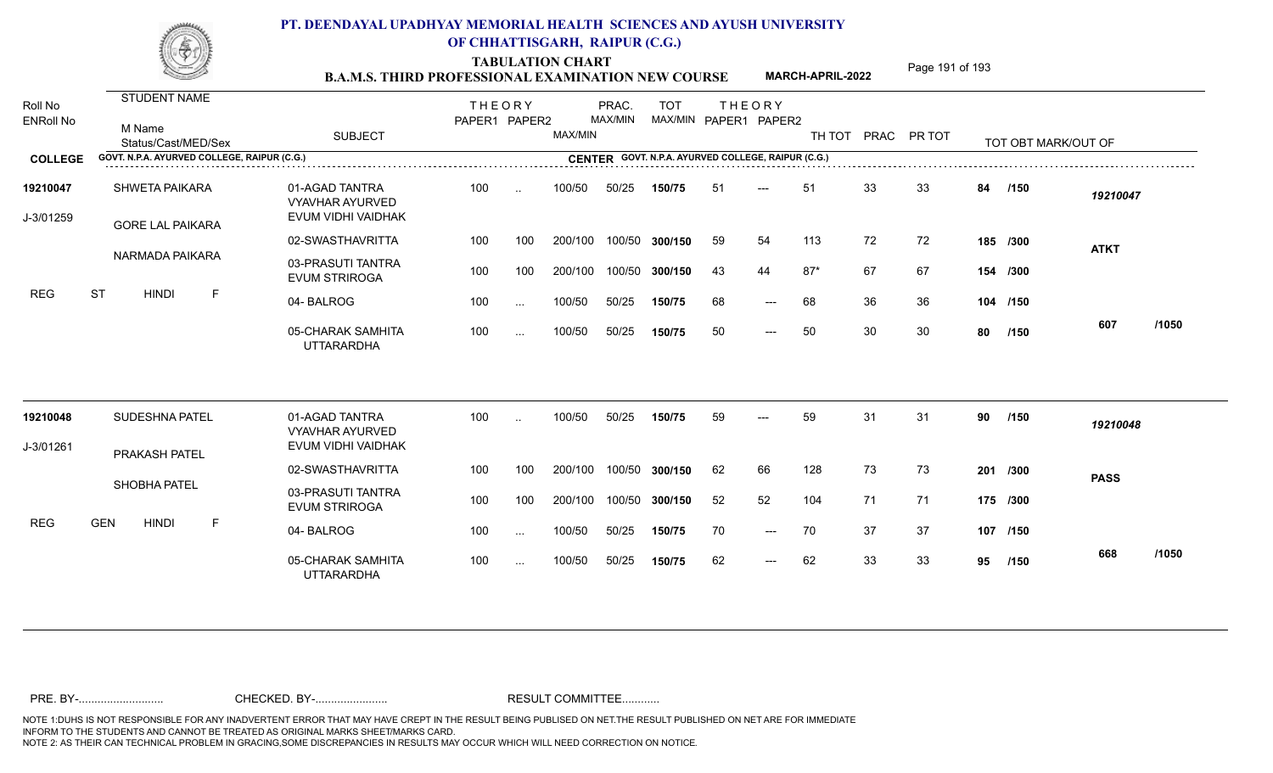TABULATION CHART<br> **TABULATION CHART EXAMINATION NEW COURSE MARCH-APRIL-2022** <sup>Page 191 of 193</sup>

**MARCH-APRIL-2022**

| Roll No<br><b>ENRoll No</b> | STUDENT NAME<br>M Name<br>Status/Cast/MED/Sex    | <b>SUBJECT</b>                                                 | <b>THEORY</b><br>PAPER1 PAPER2 |           | MAX/MIN | PRAC.<br>MAX/MIN | <b>TOT</b>                                         |    | <b>THEORY</b><br>MAX/MIN PAPER1 PAPER2 | TH TOT PRAC PR TOT |    |    |    | TOT OBT MARK/OUT OF |             |       |
|-----------------------------|--------------------------------------------------|----------------------------------------------------------------|--------------------------------|-----------|---------|------------------|----------------------------------------------------|----|----------------------------------------|--------------------|----|----|----|---------------------|-------------|-------|
| <b>COLLEGE</b>              | GOVT. N.P.A. AYURVED COLLEGE, RAIPUR (C.G.)      |                                                                |                                |           |         |                  | CENTER GOVT. N.P.A. AYURVED COLLEGE, RAIPUR (C.G.) |    |                                        |                    |    |    |    |                     |             |       |
| 19210047<br>J-3/01259       | <b>SHWETA PAIKARA</b><br><b>GORE LAL PAIKARA</b> | 01-AGAD TANTRA<br><b>VYAVHAR AYURVED</b><br>EVUM VIDHI VAIDHAK | 100                            | $\ddotsc$ | 100/50  | 50/25            | 150/75                                             | 51 | $---$                                  | 51                 | 33 | 33 | 84 | /150                | 19210047    |       |
|                             |                                                  | 02-SWASTHAVRITTA                                               | 100                            | 100       | 200/100 |                  | 100/50 300/150                                     | 59 | 54                                     | 113                | 72 | 72 |    | 185 /300            | <b>ATKT</b> |       |
|                             | NARMADA PAIKARA                                  | 03-PRASUTI TANTRA<br><b>EVUM STRIROGA</b>                      | 100                            | 100       | 200/100 |                  | 100/50 300/150                                     | 43 | 44                                     | $87*$              | 67 | 67 |    | 154 /300            |             |       |
| <b>REG</b>                  | <b>ST</b><br><b>HINDI</b><br>F                   | 04-BALROG                                                      | 100                            | $\sim$ .  | 100/50  | 50/25            | 150/75                                             | 68 | $---$                                  | 68                 | 36 | 36 |    | 104 /150            |             |       |
|                             |                                                  | 05-CHARAK SAMHITA<br><b>UTTARARDHA</b>                         | 100                            | $\cdots$  | 100/50  | 50/25            | 150/75                                             | 50 | $---$                                  | 50                 | 30 | 30 | 80 | /150                | 607         | /1050 |
| 19210048                    | SUDESHNA PATEL                                   | 01-AGAD TANTRA<br><b>VYAVHAR AYURVED</b>                       | 100                            | $\ddotsc$ | 100/50  | 50/25            | 150/75                                             | 59 | $---$                                  | 59                 | 31 | 31 | 90 | /150                | 19210048    |       |
| J-3/01261                   | PRAKASH PATEL                                    | EVUM VIDHI VAIDHAK                                             |                                |           |         |                  |                                                    |    |                                        |                    |    |    |    |                     |             |       |
|                             |                                                  | 02-SWASTHAVRITTA                                               | 100                            | 100       | 200/100 |                  | 100/50 300/150                                     | 62 | 66                                     | 128                | 73 | 73 |    | 201 /300            | <b>PASS</b> |       |
|                             | SHOBHA PATEL                                     | 03-PRASUTI TANTRA<br><b>EVUM STRIROGA</b>                      | 100                            | 100       | 200/100 |                  | 100/50 300/150                                     | 52 | 52                                     | 104                | 71 | 71 |    | 175 /300            |             |       |
| <b>REG</b>                  | <b>GEN</b><br><b>HINDI</b><br>F                  | 04-BALROG                                                      | 100                            | $\cdots$  | 100/50  | 50/25            | 150/75                                             | 70 | $---$                                  | 70                 | 37 | 37 |    | 107 /150            |             |       |
|                             |                                                  | 05-CHARAK SAMHITA<br><b>UTTARARDHA</b>                         | 100                            | $\cdots$  | 100/50  | 50/25            | 150/75                                             | 62 | $\qquad \qquad - -$                    | 62                 | 33 | 33 | 95 | /150                | 668         | /1050 |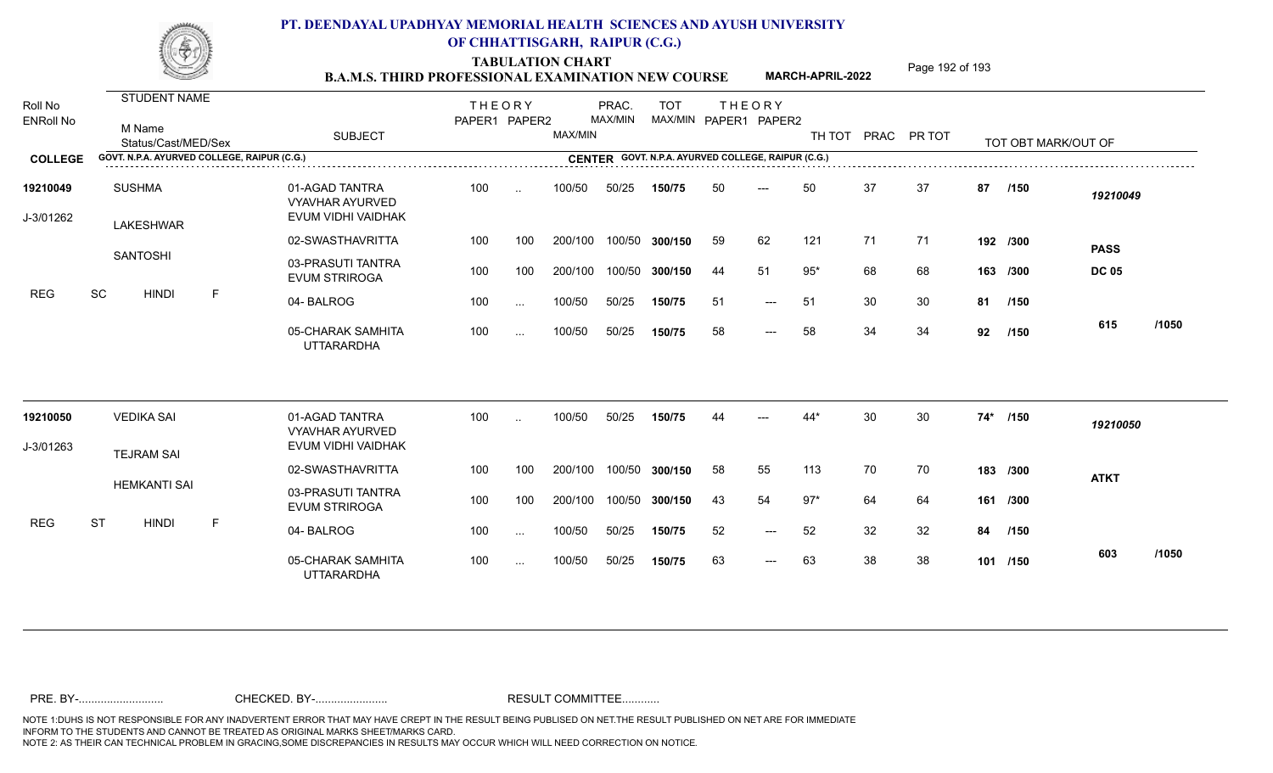TABULATION CHART<br> **TABULATION CHART EXAMINATION NEW COURSE MARCH-APRIL-2022** <sup>Page 192 of 193</sup>

**MARCH-APRIL-2022**

| Roll No<br><b>ENRoll No</b> | <b>STUDENT NAME</b><br>M Name<br>Status/Cast/MED/Sex | <b>SUBJECT</b>                                                 | <b>THEORY</b><br>PAPER1 PAPER2 |               | MAX/MIN | PRAC.<br>MAX/MIN | <b>TOT</b> |     | <b>THEORY</b><br>MAX/MIN PAPER1 PAPER2             |       |    | TH TOT PRAC PR TOT |       | TOT OBT MARK/OUT OF |              |       |
|-----------------------------|------------------------------------------------------|----------------------------------------------------------------|--------------------------------|---------------|---------|------------------|------------|-----|----------------------------------------------------|-------|----|--------------------|-------|---------------------|--------------|-------|
| <b>COLLEGE</b>              | GOVT. N.P.A. AYURVED COLLEGE, RAIPUR (C.G.)          |                                                                |                                |               |         |                  |            |     | CENTER GOVT. N.P.A. AYURVED COLLEGE, RAIPUR (C.G.) |       |    |                    |       |                     |              |       |
| 19210049<br>J-3/01262       | <b>SUSHMA</b><br>LAKESHWAR                           | 01-AGAD TANTRA<br><b>VYAVHAR AYURVED</b><br>EVUM VIDHI VAIDHAK | 100                            | $\sim$        | 100/50  | 50/25            | 150/75     | 50  | $---$                                              | 50    | 37 | 37                 | 87    | /150                | 19210049     |       |
|                             |                                                      | 02-SWASTHAVRITTA                                               | 100                            | 100           | 200/100 | 100/50           | 300/150    | 59  | 62                                                 | 121   | 71 | 71                 |       | 192 /300            | <b>PASS</b>  |       |
|                             | <b>SANTOSHI</b>                                      | 03-PRASUTI TANTRA<br><b>EVUM STRIROGA</b>                      | 100                            | 100           | 200/100 | 100/50           | 300/150    | 44  | 51                                                 | $95*$ | 68 | 68                 |       | 163 /300            | <b>DC 05</b> |       |
| <b>REG</b>                  | SC<br><b>HINDI</b><br>F                              | 04-BALROG                                                      | 100                            | $\sim$ $\sim$ | 100/50  | 50/25            | 150/75     | -51 | $---$                                              | 51    | 30 | 30                 |       | 81 /150             |              |       |
|                             |                                                      | 05-CHARAK SAMHITA<br><b>UTTARARDHA</b>                         | 100                            | $\cdots$      | 100/50  | 50/25            | 150/75     | 58  | $---$                                              | 58    | 34 | 34                 | 92    | /150                | 615          | /1050 |
| 19210050                    | <b>VEDIKA SAI</b>                                    | 01-AGAD TANTRA                                                 | 100                            | $\ddotsc$     | 100/50  | 50/25            | 150/75     |     |                                                    | $44*$ | 30 | 30                 | $74*$ | /150                | 19210050     |       |
| J-3/01263                   |                                                      | VYAVHAR AYURVED<br>EVUM VIDHI VAIDHAK                          |                                |               |         |                  |            |     |                                                    |       |    |                    |       |                     |              |       |
|                             | <b>TEJRAM SAI</b>                                    | 02-SWASTHAVRITTA                                               | 100                            | 100           | 200/100 | 100/50           | 300/150    | 58  | 55                                                 | 113   | 70 | 70                 |       | 183 /300            | <b>ATKT</b>  |       |
|                             | <b>HEMKANTI SAI</b>                                  | 03-PRASUTI TANTRA<br><b>EVUM STRIROGA</b>                      | 100                            | 100           | 200/100 | 100/50           | 300/150    | 43  | 54                                                 | $97*$ | 64 | 64                 |       | 161 /300            |              |       |
| <b>REG</b>                  | <b>ST</b><br><b>HINDI</b><br>E                       | 04-BALROG                                                      | 100                            | $\cdots$      | 100/50  | 50/25            | 150/75     | 52  | $---$                                              | 52    | 32 | 32                 | 84    | /150                |              |       |
|                             |                                                      | 05-CHARAK SAMHITA<br><b>UTTARARDHA</b>                         | 100                            | $\cdots$      | 100/50  | 50/25            | 150/75     | 63  | $\qquad \qquad - -$                                | 63    | 38 | 38                 |       | 101 /150            | 603          | /1050 |